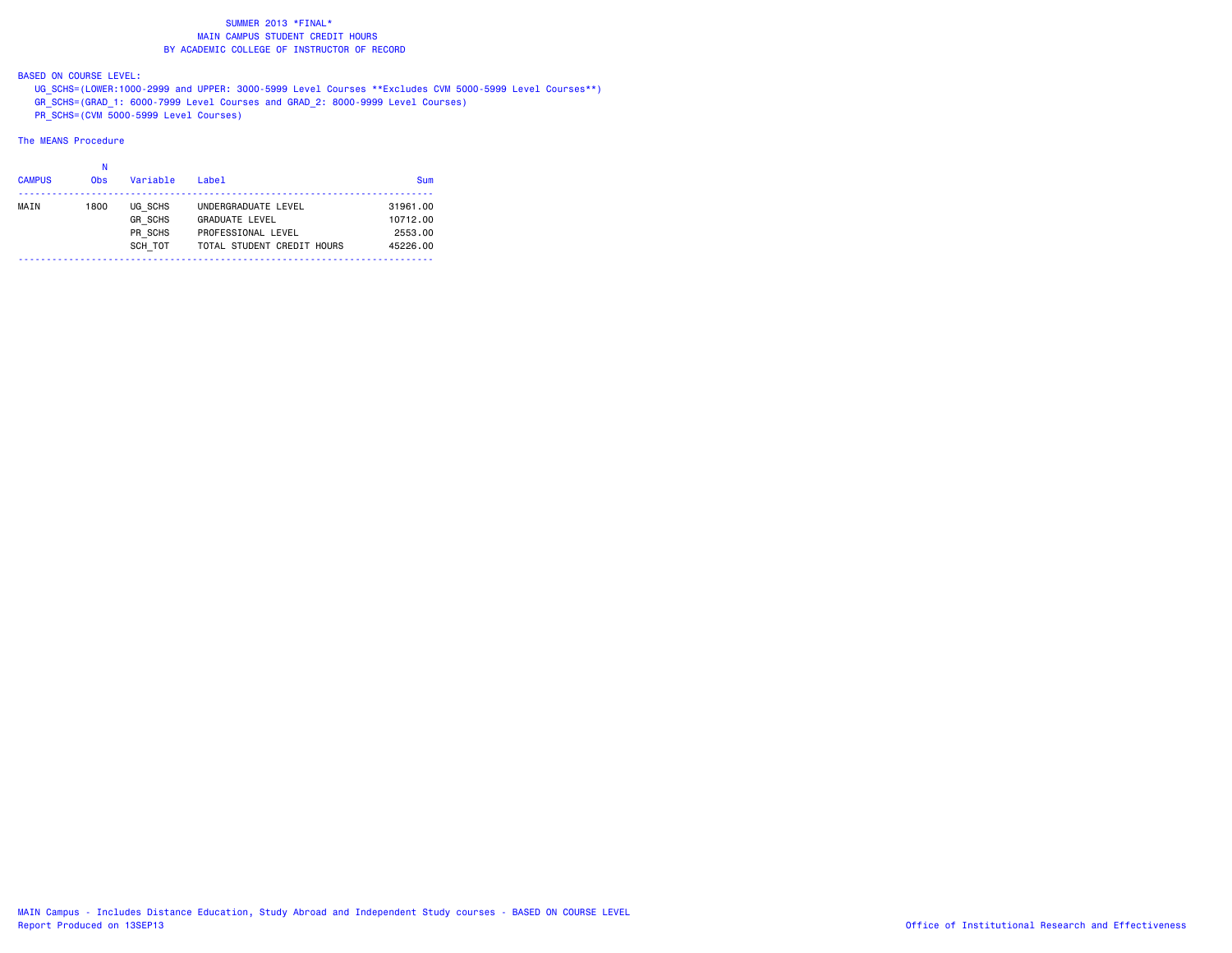## BASED ON COURSE LEVEL:

 UG\_SCHS=(LOWER:1000-2999 and UPPER: 3000-5999 Level Courses \*\*Excludes CVM 5000-5999 Level Courses\*\*) GR\_SCHS=(GRAD\_1: 6000-7999 Level Courses and GRAD\_2: 8000-9999 Level Courses) PR\_SCHS=(CVM 5000-5999 Level Courses)

| <b>CAMPUS</b> | <b>Obs</b> | Variable                                        | Label                                                                                            | <b>Sum</b>                                  |
|---------------|------------|-------------------------------------------------|--------------------------------------------------------------------------------------------------|---------------------------------------------|
| MAIN          | 1800       | UG SCHS<br><b>GR SCHS</b><br>PR SCHS<br>SCH TOT | UNDERGRADUATE LEVEL<br><b>GRADUATE LEVEL</b><br>PROFESSIONAL LEVEL<br>TOTAL STUDENT CREDIT HOURS | 31961.00<br>10712.00<br>2553.00<br>45226.00 |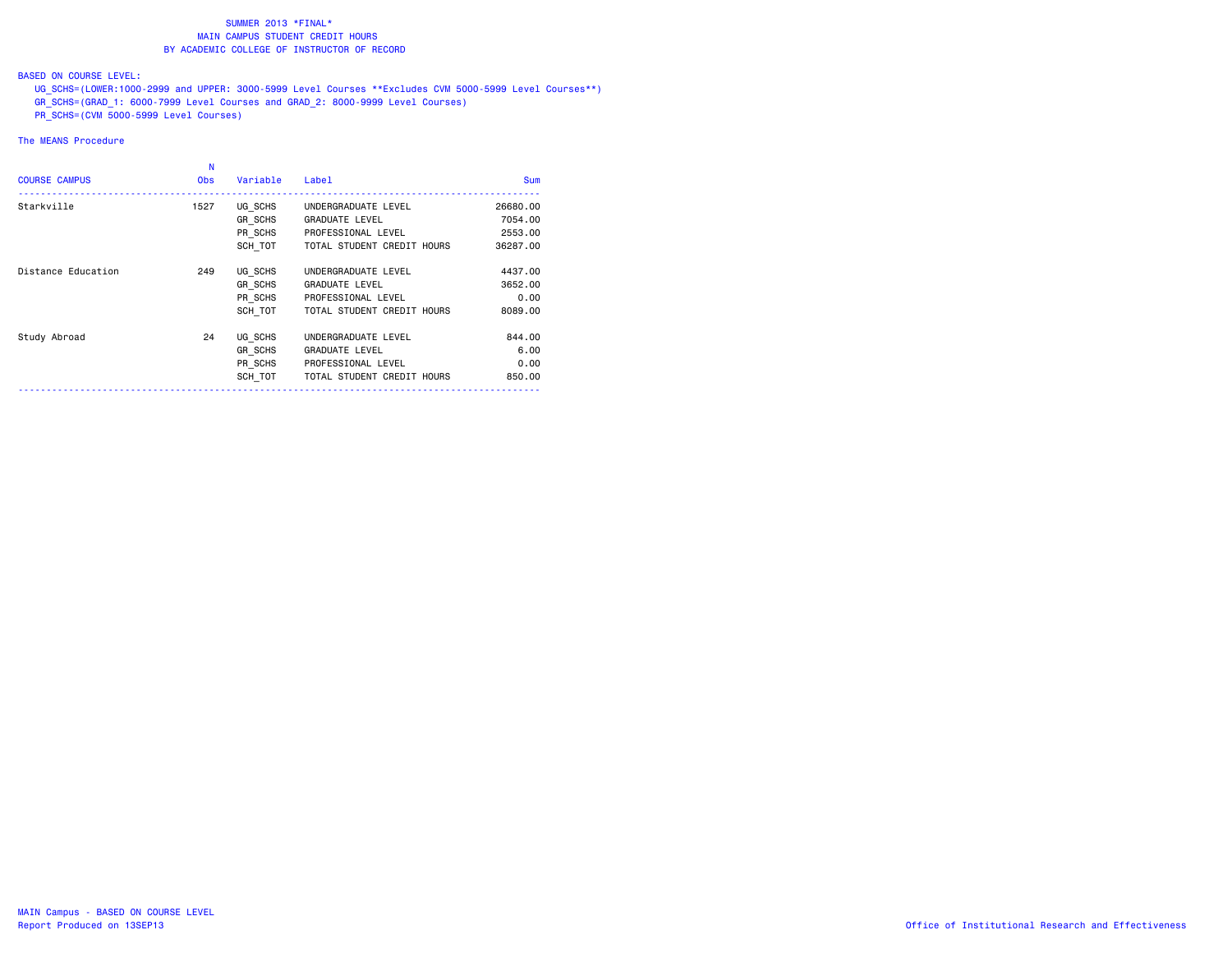## BASED ON COURSE LEVEL:

 UG\_SCHS=(LOWER:1000-2999 and UPPER: 3000-5999 Level Courses \*\*Excludes CVM 5000-5999 Level Courses\*\*) GR\_SCHS=(GRAD\_1: 6000-7999 Level Courses and GRAD\_2: 8000-9999 Level Courses)  $\overline{PR}$  SCHS=(CVM 5000-5999 Level Courses)

| <b>COURSE CAMPUS</b> | N<br><b>Obs</b> | Variable | Label                      | <b>Sum</b> |
|----------------------|-----------------|----------|----------------------------|------------|
| Starkville           | 1527            | UG SCHS  | UNDERGRADUATE LEVEL        | 26680.00   |
|                      |                 | GR SCHS  | <b>GRADUATE LEVEL</b>      | 7054.00    |
|                      |                 | PR SCHS  | PROFESSIONAL LEVEL         | 2553.00    |
|                      |                 | SCH TOT  | TOTAL STUDENT CREDIT HOURS | 36287.00   |
| Distance Education   | 249             | UG SCHS  | UNDERGRADUATE LEVEL        | 4437.00    |
|                      |                 | GR SCHS  | <b>GRADUATE LEVEL</b>      | 3652.00    |
|                      |                 | PR SCHS  | PROFESSIONAL LEVEL         | 0.00       |
|                      |                 | SCH TOT  | TOTAL STUDENT CREDIT HOURS | 8089,00    |
| Study Abroad         | 24              | UG SCHS  | UNDERGRADUATE LEVEL        | 844.00     |
|                      |                 | GR SCHS  | <b>GRADUATE LEVEL</b>      | 6.00       |
|                      |                 | PR SCHS  | PROFESSIONAL LEVEL         | 0.00       |
|                      |                 | SCH TOT  | TOTAL STUDENT CREDIT HOURS | 850,00     |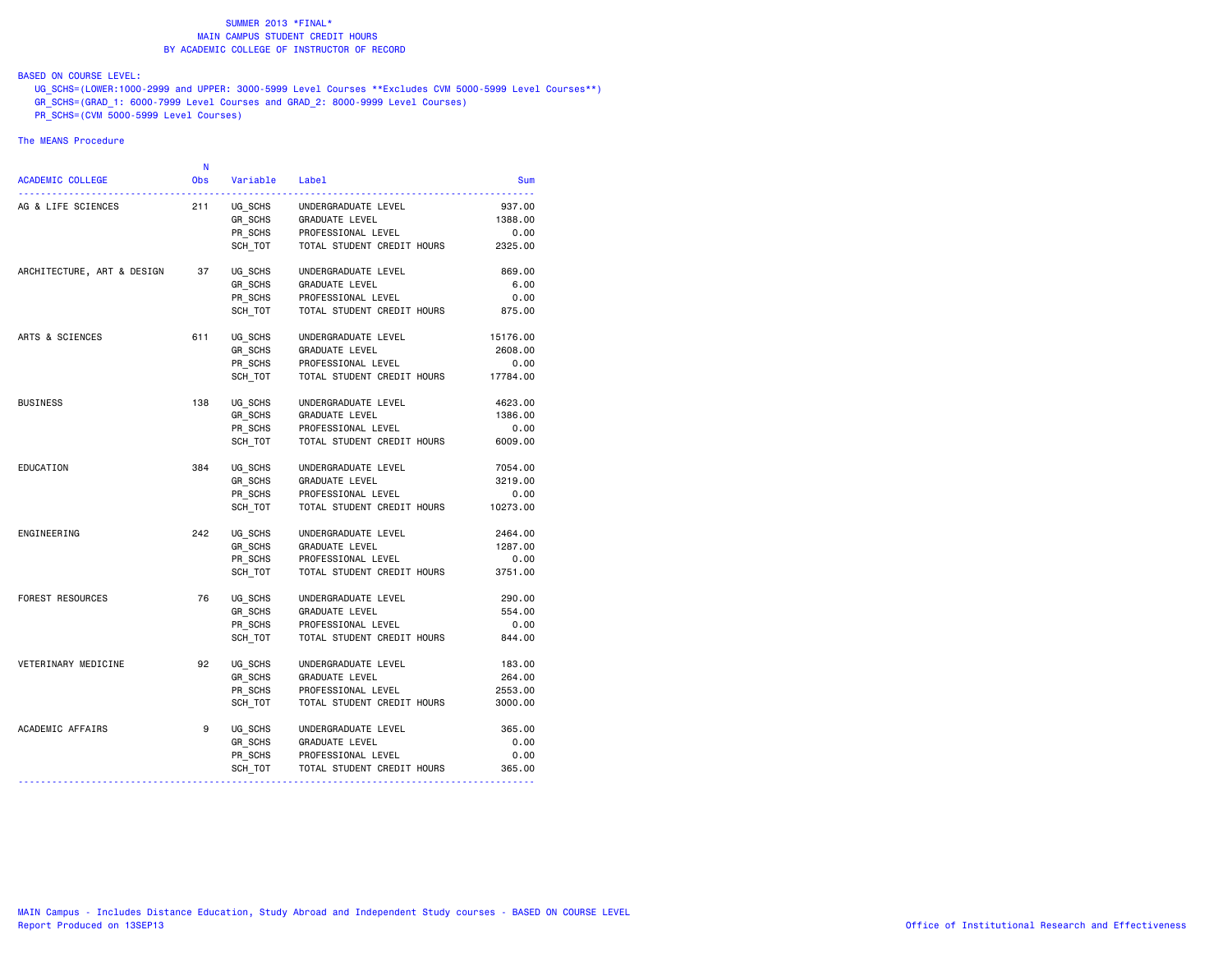## BASED ON COURSE LEVEL:

 UG\_SCHS=(LOWER:1000-2999 and UPPER: 3000-5999 Level Courses \*\*Excludes CVM 5000-5999 Level Courses\*\*) GR\_SCHS=(GRAD\_1: 6000-7999 Level Courses and GRAD\_2: 8000-9999 Level Courses)  $\overline{PR}$  SCHS=(CVM 5000-5999 Level Courses)

|                                  | N          |          |                            |          |
|----------------------------------|------------|----------|----------------------------|----------|
| <b>ACADEMIC COLLEGE</b>          | <b>Obs</b> | Variable | Label                      | Sum      |
| AG & LIFE SCIENCES               | 211        | UG SCHS  | UNDERGRADUATE LEVEL        | 937.00   |
|                                  |            | GR SCHS  | GRADUATE LEVEL             | 1388.00  |
|                                  |            | PR_SCHS  | PROFESSIONAL LEVEL         | 0.00     |
|                                  |            | SCH TOT  | TOTAL STUDENT CREDIT HOURS | 2325.00  |
| ARCHITECTURE, ART & DESIGN       | 37         | UG SCHS  | UNDERGRADUATE LEVEL        | 869.00   |
|                                  |            | GR SCHS  | GRADUATE LEVEL             | 6.00     |
|                                  |            | PR_SCHS  | PROFESSIONAL LEVEL         | 0.00     |
|                                  |            | SCH TOT  | TOTAL STUDENT CREDIT HOURS | 875.00   |
| ARTS & SCIENCES                  | 611        | UG SCHS  | UNDERGRADUATE LEVEL        | 15176.00 |
|                                  |            | GR SCHS  | <b>GRADUATE LEVEL</b>      | 2608.00  |
|                                  |            | PR SCHS  | PROFESSIONAL LEVEL         | 0.00     |
|                                  |            | SCH TOT  | TOTAL STUDENT CREDIT HOURS | 17784.00 |
| <b>BUSINESS</b>                  | 138        | UG SCHS  | UNDERGRADUATE LEVEL        | 4623.00  |
|                                  |            | GR_SCHS  | GRADUATE LEVEL             | 1386.00  |
|                                  |            | PR SCHS  | PROFESSIONAL LEVEL         | 0.00     |
|                                  |            | SCH TOT  | TOTAL STUDENT CREDIT HOURS | 6009.00  |
| EDUCATION                        | 384        | UG SCHS  | UNDERGRADUATE LEVEL        | 7054.00  |
|                                  |            | GR SCHS  | GRADUATE LEVEL             | 3219.00  |
|                                  |            | PR_SCHS  | PROFESSIONAL LEVEL         | 0.00     |
|                                  |            | SCH TOT  | TOTAL STUDENT CREDIT HOURS | 10273.00 |
| ENGINEERING                      | 242        | UG SCHS  | UNDERGRADUATE LEVEL        | 2464.00  |
|                                  |            | GR SCHS  | GRADUATE LEVEL             | 1287.00  |
|                                  |            | PR SCHS  | PROFESSIONAL LEVEL         | 0.00     |
|                                  |            | SCH TOT  | TOTAL STUDENT CREDIT HOURS | 3751.00  |
| FOREST RESOURCES                 | 76         | UG SCHS  | UNDERGRADUATE LEVEL        | 290.00   |
|                                  |            | GR SCHS  | GRADUATE LEVEL             | 554.00   |
|                                  |            | PR_SCHS  | PROFESSIONAL LEVEL         | 0.00     |
|                                  |            | SCH TOT  | TOTAL STUDENT CREDIT HOURS | 844.00   |
| VETERINARY MEDICINE              | 92         | UG SCHS  | UNDERGRADUATE LEVEL        | 183.00   |
|                                  |            | GR SCHS  | GRADUATE LEVEL             | 264.00   |
|                                  |            | PR SCHS  | PROFESSIONAL LEVEL         | 2553.00  |
|                                  |            | SCH TOT  | TOTAL STUDENT CREDIT HOURS | 3000.00  |
| ACADEMIC AFFAIRS                 | 9          | UG SCHS  | UNDERGRADUATE LEVEL        | 365.00   |
|                                  |            | GR_SCHS  | GRADUATE LEVEL             | 0.00     |
|                                  |            | PR_SCHS  | PROFESSIONAL LEVEL         | 0.00     |
|                                  |            | SCH_TOT  | TOTAL STUDENT CREDIT HOURS | 365.00   |
| -------------------------------- |            |          |                            |          |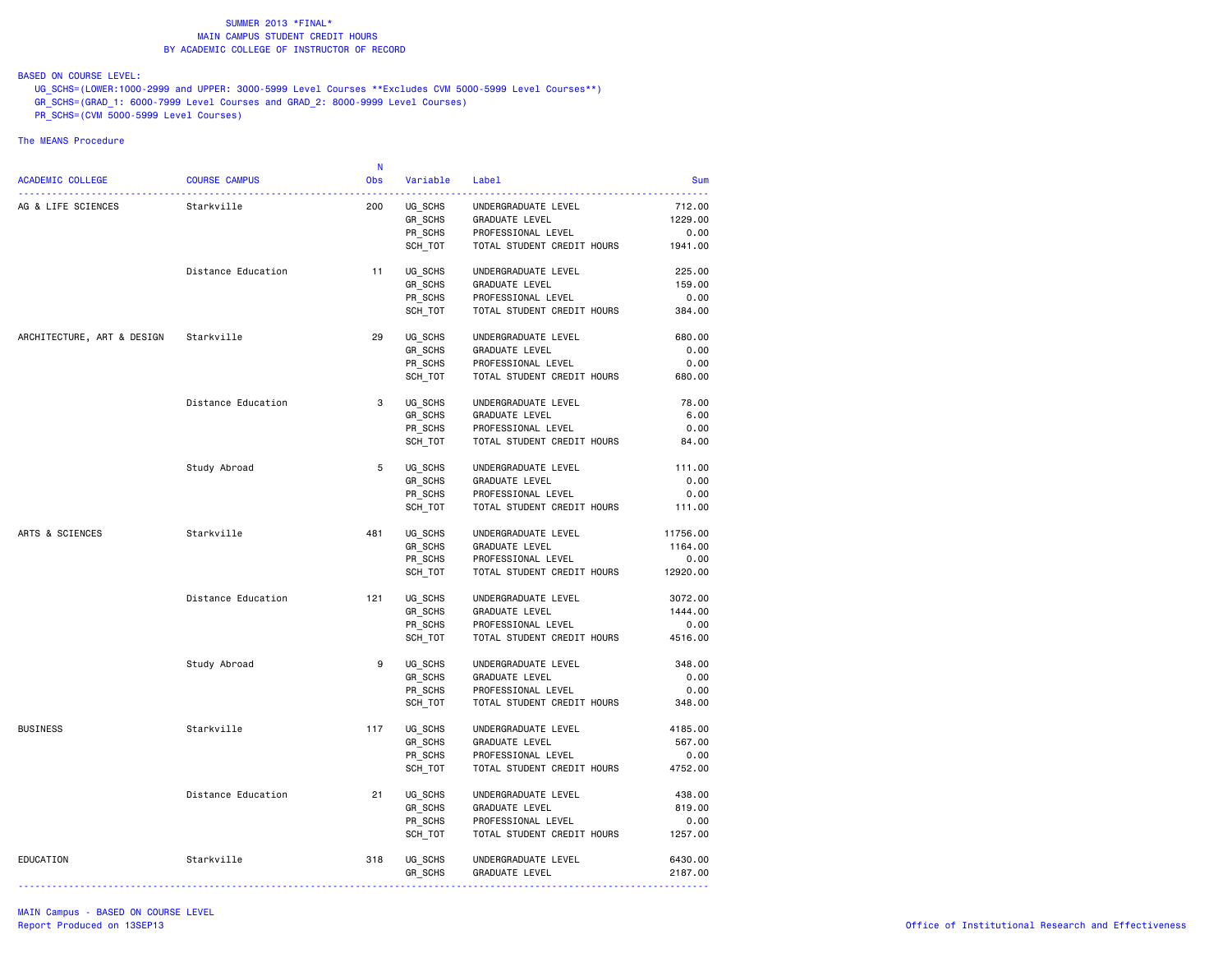BASED ON COURSE LEVEL:

 UG\_SCHS=(LOWER:1000-2999 and UPPER: 3000-5999 Level Courses \*\*Excludes CVM 5000-5999 Level Courses\*\*) GR\_SCHS=(GRAD\_1: 6000-7999 Level Courses and GRAD\_2: 8000-9999 Level Courses)  $P$ R $\overline{\phantom{0}}$ SCHS=(CVM 5000-5999 Level Courses)

|                            |                      | <b>N</b>   |          |                            |            |
|----------------------------|----------------------|------------|----------|----------------------------|------------|
| <b>ACADEMIC COLLEGE</b>    | <b>COURSE CAMPUS</b> | <b>Obs</b> | Variable | Label                      | <b>Sum</b> |
| AG & LIFE SCIENCES         | Starkville           | 200        | UG SCHS  | UNDERGRADUATE LEVEL        | 712.00     |
|                            |                      |            | GR_SCHS  | GRADUATE LEVEL             | 1229.00    |
|                            |                      |            | PR_SCHS  | PROFESSIONAL LEVEL         | 0.00       |
|                            |                      |            | SCH_TOT  | TOTAL STUDENT CREDIT HOURS | 1941.00    |
|                            | Distance Education   | 11         | UG SCHS  | UNDERGRADUATE LEVEL        | 225.00     |
|                            |                      |            | GR_SCHS  | GRADUATE LEVEL             | 159.00     |
|                            |                      |            | PR_SCHS  | PROFESSIONAL LEVEL         | 0.00       |
|                            |                      |            | SCH_TOT  | TOTAL STUDENT CREDIT HOURS | 384.00     |
|                            |                      | 29         |          |                            |            |
| ARCHITECTURE, ART & DESIGN | Starkville           |            | UG SCHS  | UNDERGRADUATE LEVEL        | 680.00     |
|                            |                      |            | GR_SCHS  | <b>GRADUATE LEVEL</b>      | 0.00       |
|                            |                      |            | PR_SCHS  | PROFESSIONAL LEVEL         | 0.00       |
|                            |                      |            | SCH TOT  | TOTAL STUDENT CREDIT HOURS | 680.00     |
|                            | Distance Education   | 3          | UG_SCHS  | UNDERGRADUATE LEVEL        | 78.00      |
|                            |                      |            | GR_SCHS  | GRADUATE LEVEL             | 6.00       |
|                            |                      |            | PR SCHS  | PROFESSIONAL LEVEL         | 0.00       |
|                            |                      |            | SCH_TOT  | TOTAL STUDENT CREDIT HOURS | 84.00      |
|                            | Study Abroad         | 5          | UG SCHS  | UNDERGRADUATE LEVEL        | 111.00     |
|                            |                      |            | GR_SCHS  | <b>GRADUATE LEVEL</b>      | 0.00       |
|                            |                      |            | PR SCHS  | PROFESSIONAL LEVEL         | 0.00       |
|                            |                      |            | SCH_TOT  | TOTAL STUDENT CREDIT HOURS | 111.00     |
| ARTS & SCIENCES            | Starkville           | 481        | UG_SCHS  | UNDERGRADUATE LEVEL        | 11756.00   |
|                            |                      |            | GR SCHS  | <b>GRADUATE LEVEL</b>      | 1164.00    |
|                            |                      |            | PR SCHS  | PROFESSIONAL LEVEL         | 0.00       |
|                            |                      |            | SCH_TOT  | TOTAL STUDENT CREDIT HOURS | 12920.00   |
|                            | Distance Education   | 121        | UG_SCHS  | UNDERGRADUATE LEVEL        | 3072.00    |
|                            |                      |            | GR SCHS  | GRADUATE LEVEL             | 1444.00    |
|                            |                      |            | PR SCHS  | PROFESSIONAL LEVEL         | 0.00       |
|                            |                      |            | SCH_TOT  | TOTAL STUDENT CREDIT HOURS | 4516.00    |
|                            | Study Abroad         | 9          | UG_SCHS  | UNDERGRADUATE LEVEL        | 348,00     |
|                            |                      |            | GR SCHS  | <b>GRADUATE LEVEL</b>      | 0.00       |
|                            |                      |            | PR SCHS  | PROFESSIONAL LEVEL         | 0.00       |
|                            |                      |            | SCH_TOT  | TOTAL STUDENT CREDIT HOURS | 348.00     |
| <b>BUSINESS</b>            | Starkville           | 117        | UG SCHS  | UNDERGRADUATE LEVEL        | 4185.00    |
|                            |                      |            | GR_SCHS  | GRADUATE LEVEL             | 567.00     |
|                            |                      |            | PR SCHS  | PROFESSIONAL LEVEL         | 0.00       |
|                            |                      |            | SCH_TOT  | TOTAL STUDENT CREDIT HOURS | 4752.00    |
|                            | Distance Education   | 21         | UG_SCHS  | UNDERGRADUATE LEVEL        | 438.00     |
|                            |                      |            | GR_SCHS  | <b>GRADUATE LEVEL</b>      | 819.00     |
|                            |                      |            | PR_SCHS  | PROFESSIONAL LEVEL         | 0.00       |
|                            |                      |            | SCH_TOT  | TOTAL STUDENT CREDIT HOURS | 1257.00    |
| EDUCATION                  | Starkville           | 318        | UG_SCHS  | UNDERGRADUATE LEVEL        | 6430.00    |
|                            |                      |            | GR_SCHS  | GRADUATE LEVEL             | 2187.00    |
|                            |                      |            |          |                            |            |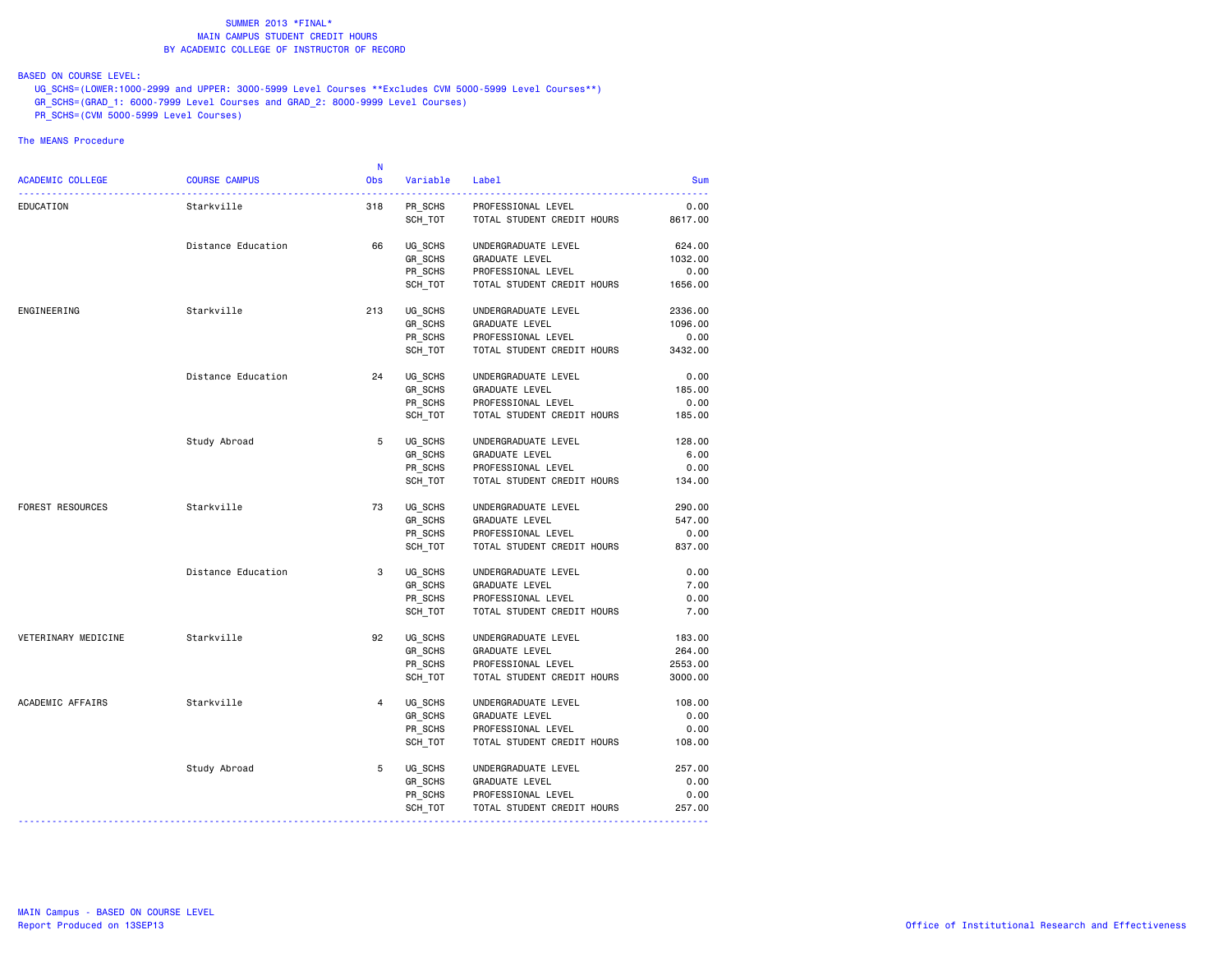## BASED ON COURSE LEVEL:

 UG\_SCHS=(LOWER:1000-2999 and UPPER: 3000-5999 Level Courses \*\*Excludes CVM 5000-5999 Level Courses\*\*) GR\_SCHS=(GRAD\_1: 6000-7999 Level Courses and GRAD\_2: 8000-9999 Level Courses)  $P$ R $\overline{\phantom{0}}$ SCHS=(CVM 5000-5999 Level Courses)

|                         |                      | N.             |                |                            |            |
|-------------------------|----------------------|----------------|----------------|----------------------------|------------|
| <b>ACADEMIC COLLEGE</b> | <b>COURSE CAMPUS</b> | <b>Obs</b>     | Variable Label |                            | <b>Sum</b> |
| EDUCATION               | Starkville           | 318            | PR SCHS        | PROFESSIONAL LEVEL         | 0.00       |
|                         |                      |                | SCH TOT        | TOTAL STUDENT CREDIT HOURS | 8617.00    |
|                         | Distance Education   | 66             | UG SCHS        | UNDERGRADUATE LEVEL        | 624.00     |
|                         |                      |                | GR_SCHS        | <b>GRADUATE LEVEL</b>      | 1032.00    |
|                         |                      |                | PR SCHS        | PROFESSIONAL LEVEL         | 0.00       |
|                         |                      |                | SCH_TOT        | TOTAL STUDENT CREDIT HOURS | 1656.00    |
| ENGINEERING             | Starkville           | 213            | UG SCHS        | UNDERGRADUATE LEVEL        | 2336.00    |
|                         |                      |                | GR_SCHS        | <b>GRADUATE LEVEL</b>      | 1096.00    |
|                         |                      |                | PR_SCHS        | PROFESSIONAL LEVEL         | 0.00       |
|                         |                      |                | SCH TOT        | TOTAL STUDENT CREDIT HOURS | 3432.00    |
|                         | Distance Education   | 24             | UG SCHS        | UNDERGRADUATE LEVEL        | 0.00       |
|                         |                      |                | GR_SCHS        | GRADUATE LEVEL             | 185.00     |
|                         |                      |                | PR SCHS        | PROFESSIONAL LEVEL         | 0.00       |
|                         |                      |                | SCH_TOT        | TOTAL STUDENT CREDIT HOURS | 185.00     |
|                         | Study Abroad         | 5              | UG SCHS        | UNDERGRADUATE LEVEL        | 128,00     |
|                         |                      |                | GR_SCHS        | GRADUATE LEVEL             | 6.00       |
|                         |                      |                | PR_SCHS        | PROFESSIONAL LEVEL         | 0.00       |
|                         |                      |                | SCH TOT        | TOTAL STUDENT CREDIT HOURS | 134.00     |
| FOREST RESOURCES        | Starkville           | 73             | UG_SCHS        | UNDERGRADUATE LEVEL        | 290.00     |
|                         |                      |                | GR SCHS        | GRADUATE LEVEL             | 547.00     |
|                         |                      |                | PR SCHS        | PROFESSIONAL LEVEL         | 0.00       |
|                         |                      |                | SCH_TOT        | TOTAL STUDENT CREDIT HOURS | 837.00     |
|                         | Distance Education   | 3              | UG SCHS        | UNDERGRADUATE LEVEL        | 0.00       |
|                         |                      |                | GR_SCHS        | GRADUATE LEVEL             | 7.00       |
|                         |                      |                | PR_SCHS        | PROFESSIONAL LEVEL         | 0.00       |
|                         |                      |                | SCH_TOT        | TOTAL STUDENT CREDIT HOURS | 7.00       |
| VETERINARY MEDICINE     | Starkville           | 92             | UG_SCHS        | UNDERGRADUATE LEVEL        | 183.00     |
|                         |                      |                | GR_SCHS        | <b>GRADUATE LEVEL</b>      | 264.00     |
|                         |                      |                | PR SCHS        | PROFESSIONAL LEVEL         | 2553.00    |
|                         |                      |                | SCH_TOT        | TOTAL STUDENT CREDIT HOURS | 3000.00    |
| ACADEMIC AFFAIRS        | Starkville           | $\overline{4}$ | UG SCHS        | UNDERGRADUATE LEVEL        | 108.00     |
|                         |                      |                | GR SCHS        | <b>GRADUATE LEVEL</b>      | 0.00       |
|                         |                      |                | PR SCHS        | PROFESSIONAL LEVEL         | 0.00       |
|                         |                      |                | SCH TOT        | TOTAL STUDENT CREDIT HOURS | 108.00     |
|                         | Study Abroad         | 5              | UG_SCHS        | UNDERGRADUATE LEVEL        | 257.00     |
|                         |                      |                | GR SCHS        | GRADUATE LEVEL             | 0.00       |
|                         |                      |                | PR SCHS        | PROFESSIONAL LEVEL         | 0.00       |
|                         |                      |                | SCH_TOT        | TOTAL STUDENT CREDIT HOURS | 257.00     |
|                         |                      |                |                |                            |            |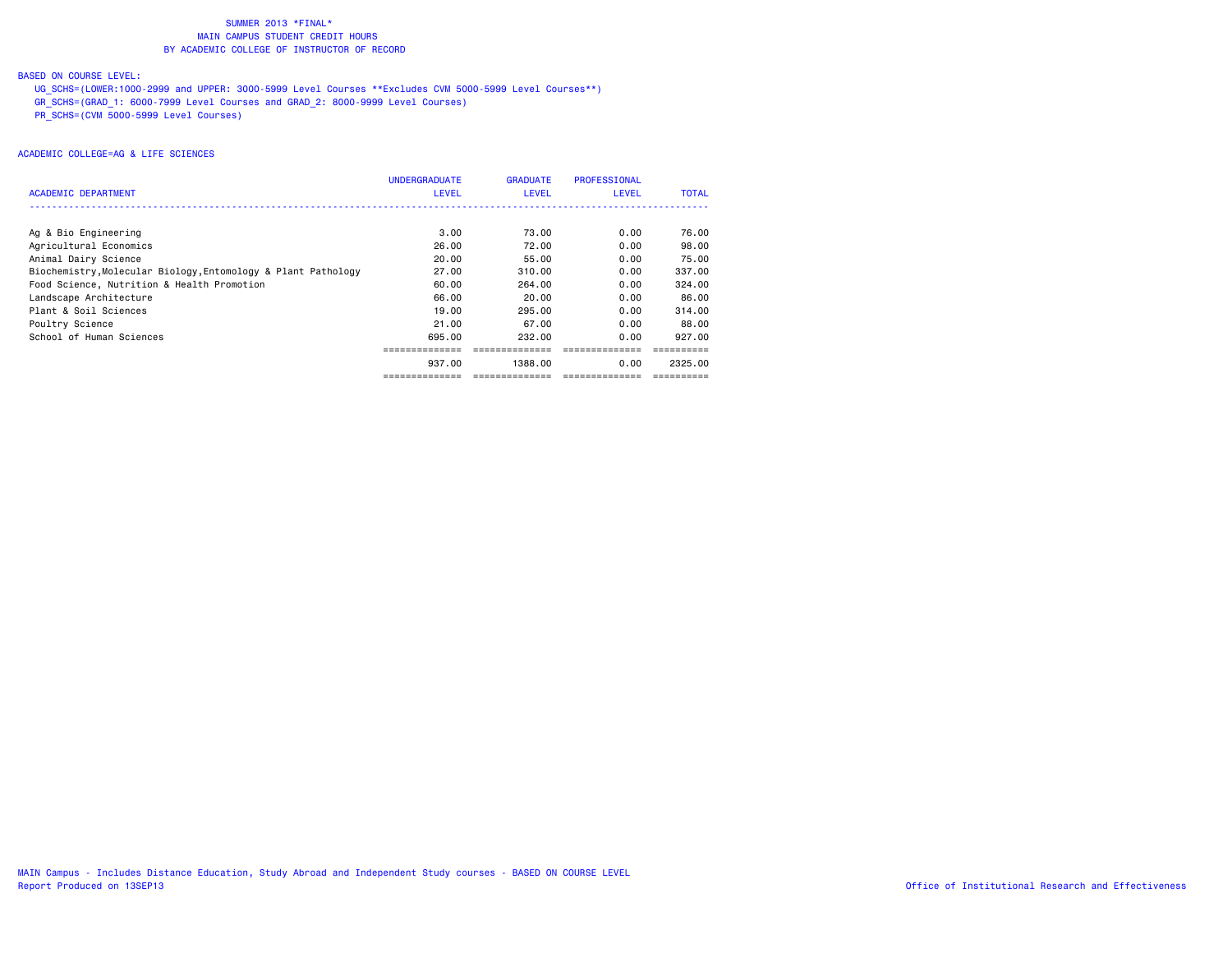## BASED ON COURSE LEVEL:

 UG\_SCHS=(LOWER:1000-2999 and UPPER: 3000-5999 Level Courses \*\*Excludes CVM 5000-5999 Level Courses\*\*) GR\_SCHS=(GRAD\_1: 6000-7999 Level Courses and GRAD\_2: 8000-9999 Level Courses) PR\_SCHS=(CVM 5000-5999 Level Courses)

| <b>ACADEMIC DEPARTMENT</b>                                    | <b>UNDERGRADUATE</b><br><b>LEVEL</b> | <b>GRADUATE</b><br><b>LEVEL</b> | PROFESSIONAL<br><b>LEVEL</b> | <b>TOTAL</b> |
|---------------------------------------------------------------|--------------------------------------|---------------------------------|------------------------------|--------------|
|                                                               |                                      |                                 |                              |              |
| Ag & Bio Engineering                                          | 3.00                                 | 73.00                           | 0.00                         | 76.00        |
| Agricultural Economics                                        | 26.00                                | 72.00                           | 0.00                         | 98.00        |
| Animal Dairy Science                                          | 20.00                                | 55.00                           | 0.00                         | 75.00        |
| Biochemistry, Molecular Biology, Entomology & Plant Pathology | 27.00                                | 310,00                          | 0.00                         | 337.00       |
| Food Science, Nutrition & Health Promotion                    | 60.00                                | 264.00                          | 0.00                         | 324.00       |
| Landscape Architecture                                        | 66.00                                | 20.00                           | 0.00                         | 86.00        |
| Plant & Soil Sciences                                         | 19.00                                | 295.00                          | 0.00                         | 314,00       |
| Poultry Science                                               | 21,00                                | 67.00                           | 0.00                         | 88,00        |
| School of Human Sciences                                      | 695.00                               | 232.00                          | 0.00                         | 927.00       |
|                                                               |                                      |                                 |                              |              |
|                                                               | 937.00                               | 1388.00                         | 0.00                         | 2325.00      |
|                                                               | ==============                       | ==============                  | ==============               |              |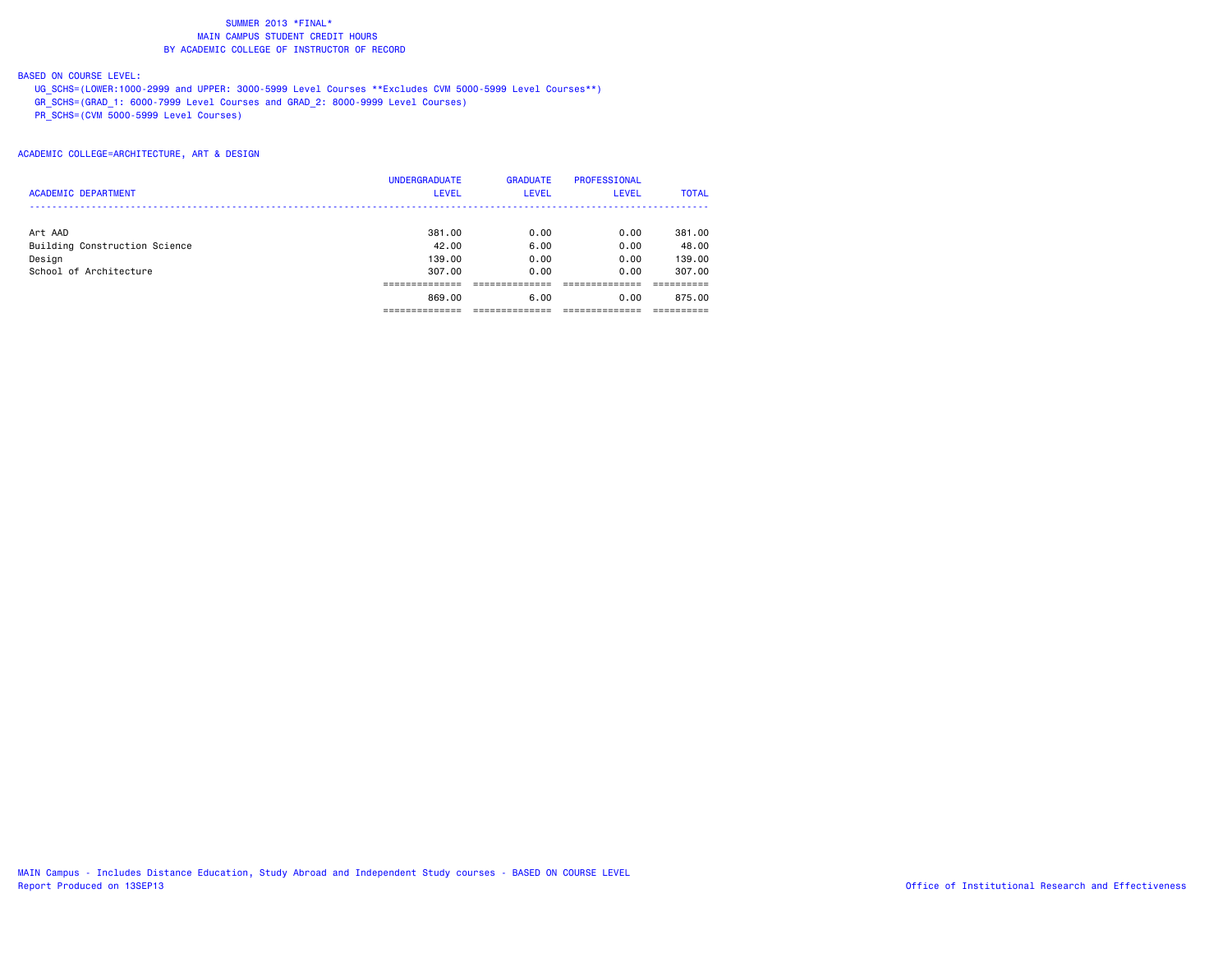## BASED ON COURSE LEVEL:

 UG\_SCHS=(LOWER:1000-2999 and UPPER: 3000-5999 Level Courses \*\*Excludes CVM 5000-5999 Level Courses\*\*) GR\_SCHS=(GRAD\_1: 6000-7999 Level Courses and GRAD\_2: 8000-9999 Level Courses)  $\overline{C}$ CVM 5000-5999 Level Courses)

|                               | <b>UNDERGRADUATE</b> | <b>GRADUATE</b> | <b>PROFESSIONAL</b> |              |
|-------------------------------|----------------------|-----------------|---------------------|--------------|
| <b>ACADEMIC DEPARTMENT</b>    | <b>LEVEL</b>         | <b>LEVEL</b>    | <b>LEVEL</b>        | <b>TOTAL</b> |
| Art AAD                       | 381,00               | 0.00            | 0.00                | 381,00       |
| Building Construction Science | 42.00                | 6.00            | 0.00                | 48.00        |
| Design                        | 139,00               | 0.00            | 0.00                | 139,00       |
| School of Architecture        | 307.00               | 0.00            | 0.00                | 307,00       |
|                               |                      |                 |                     |              |
|                               | 869,00               | 6.00            | 0.00                | 875.00       |
|                               |                      |                 |                     |              |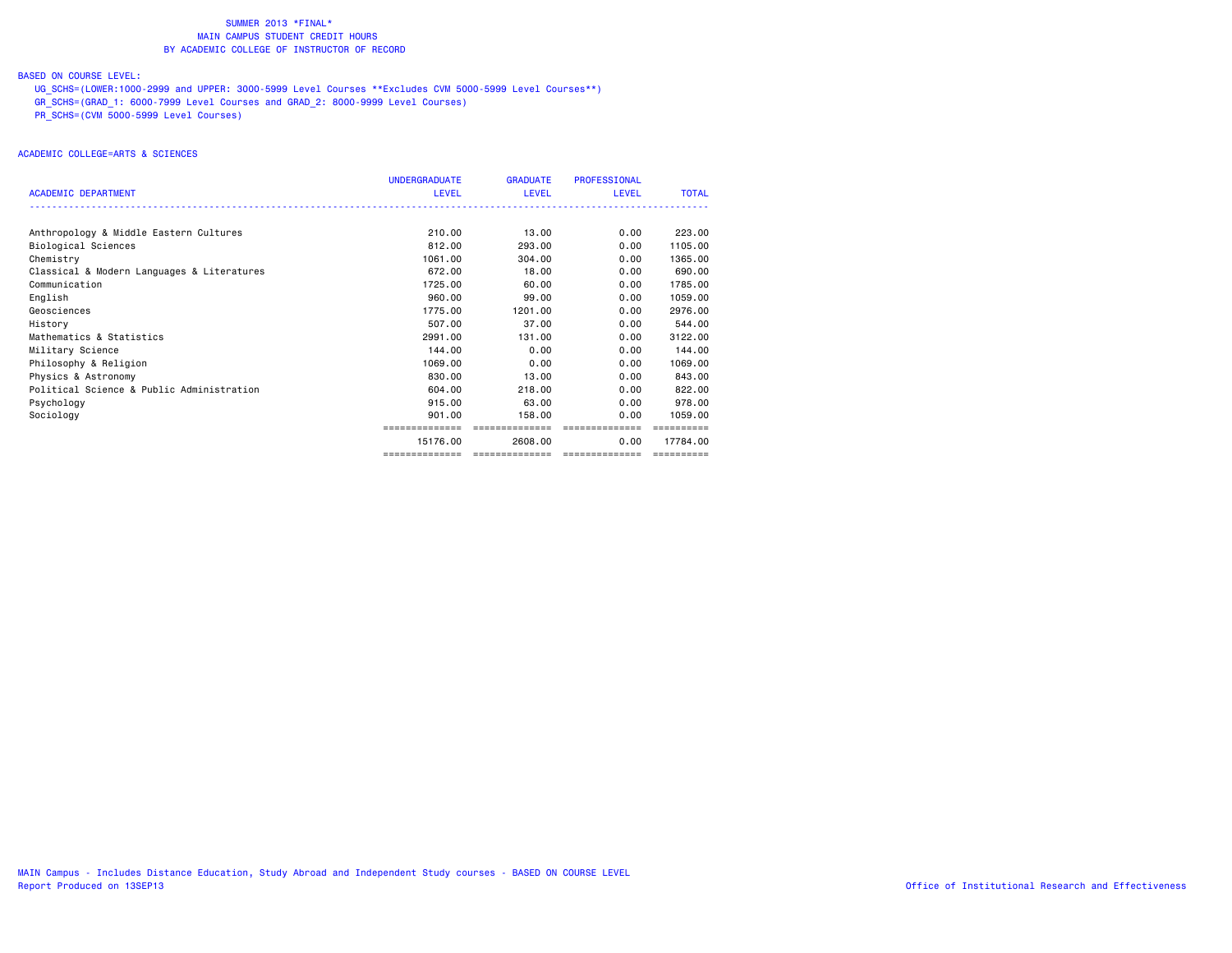## BASED ON COURSE LEVEL:

 UG\_SCHS=(LOWER:1000-2999 and UPPER: 3000-5999 Level Courses \*\*Excludes CVM 5000-5999 Level Courses\*\*) GR\_SCHS=(GRAD\_1: 6000-7999 Level Courses and GRAD\_2: 8000-9999 Level Courses) PR\_SCHS=(CVM 5000-5999 Level Courses)

|                                            | <b>UNDERGRADUATE</b> | <b>GRADUATE</b> | <b>PROFESSIONAL</b> |              |
|--------------------------------------------|----------------------|-----------------|---------------------|--------------|
| <b>ACADEMIC DEPARTMENT</b>                 | <b>LEVEL</b>         | <b>LEVEL</b>    | LEVEL               | <b>TOTAL</b> |
|                                            |                      |                 |                     |              |
|                                            |                      |                 |                     |              |
| Anthropology & Middle Eastern Cultures     | 210.00               | 13.00           | 0.00                | 223,00       |
| Biological Sciences                        | 812,00               | 293,00          | 0.00                | 1105.00      |
| Chemistry                                  | 1061.00              | 304,00          | 0.00                | 1365,00      |
| Classical & Modern Languages & Literatures | 672.00               | 18,00           | 0.00                | 690,00       |
| Communication                              | 1725.00              | 60.00           | 0.00                | 1785.00      |
| English                                    | 960.00               | 99.00           | 0.00                | 1059.00      |
| Geosciences                                | 1775.00              | 1201.00         | 0.00                | 2976.00      |
| History                                    | 507.00               | 37.00           | 0.00                | 544.00       |
| Mathematics & Statistics                   | 2991.00              | 131,00          | 0.00                | 3122.00      |
| Military Science                           | 144.00               | 0.00            | 0.00                | 144.00       |
| Philosophy & Religion                      | 1069.00              | 0.00            | 0.00                | 1069,00      |
| Physics & Astronomy                        | 830,00               | 13.00           | 0.00                | 843,00       |
| Political Science & Public Administration  | 604.00               | 218,00          | 0.00                | 822,00       |
| Psychology                                 | 915,00               | 63.00           | 0.00                | 978.00       |
| Sociology                                  | 901.00               | 158,00          | 0.00                | 1059.00      |
|                                            |                      | =============== |                     |              |
|                                            | 15176.00             | 2608.00         | 0.00                | 17784.00     |
|                                            | ==============       | --------------  | ---------------     | ==========   |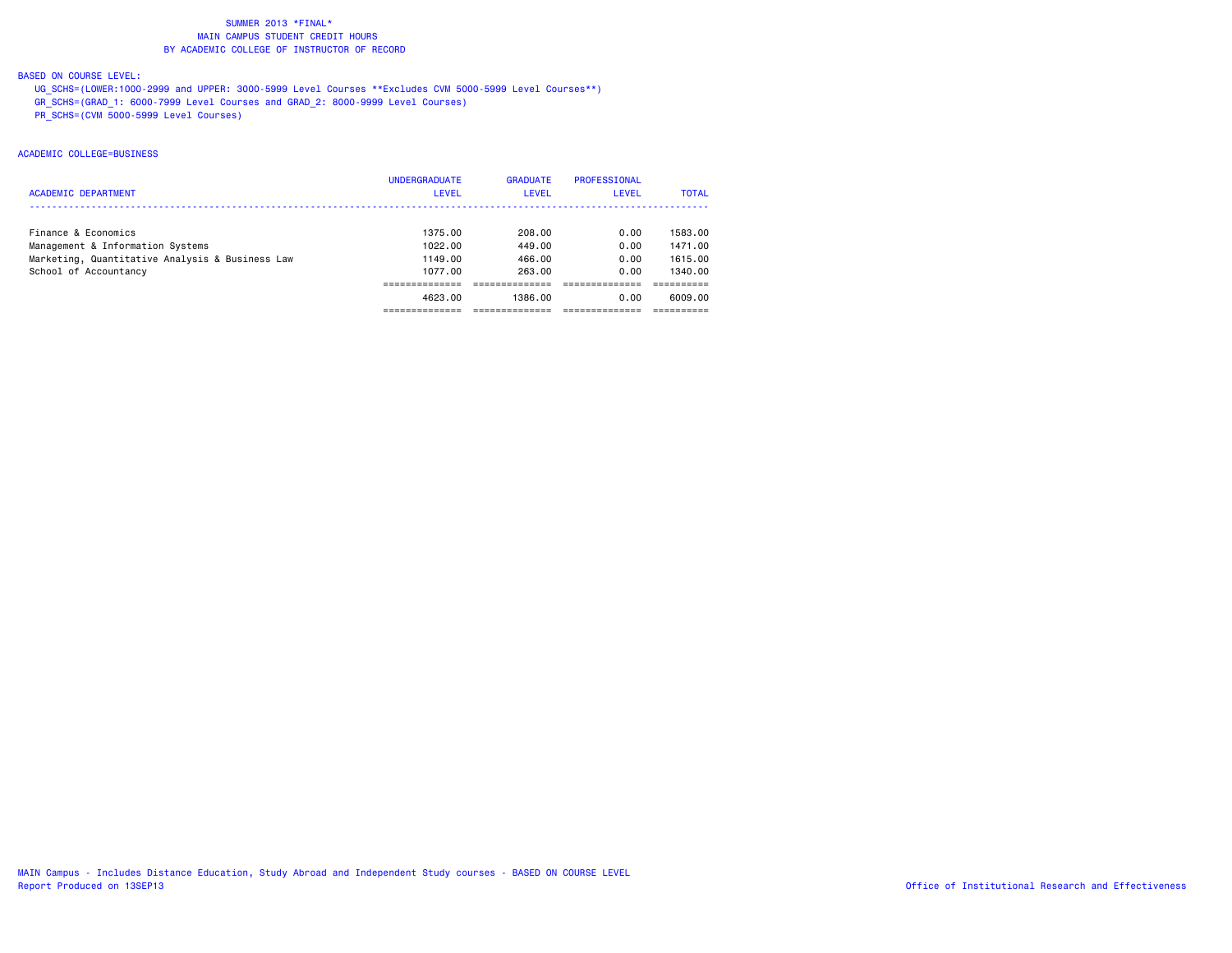## BASED ON COURSE LEVEL:

 UG\_SCHS=(LOWER:1000-2999 and UPPER: 3000-5999 Level Courses \*\*Excludes CVM 5000-5999 Level Courses\*\*) GR\_SCHS=(GRAD\_1: 6000-7999 Level Courses and GRAD\_2: 8000-9999 Level Courses) PR\_SCHS=(CVM 5000-5999 Level Courses)

## ACADEMIC COLLEGE=BUSINESS

| <b>ACADEMIC DEPARTMENT</b>                      | <b>UNDERGRADUATE</b><br><b>LEVEL</b> | <b>GRADUATE</b><br>LEVEL | PROFESSIONAL<br>LEVEL | <b>TOTAL</b> |
|-------------------------------------------------|--------------------------------------|--------------------------|-----------------------|--------------|
| Finance & Economics                             | 1375.00                              | 208.00                   | 0.00                  | 1583.00      |
| Management & Information Systems                | 1022.00                              | 449.00                   | 0.00                  | 1471.00      |
| Marketing, Quantitative Analysis & Business Law | 1149.00                              | 466.00                   | 0.00                  | 1615.00      |
| School of Accountancy                           | 1077.00                              | 263.00                   | 0.00                  | 1340.00      |
|                                                 |                                      |                          |                       |              |
|                                                 | 4623.00                              | 1386.00                  | 0.00                  | 6009.00      |
|                                                 |                                      |                          |                       |              |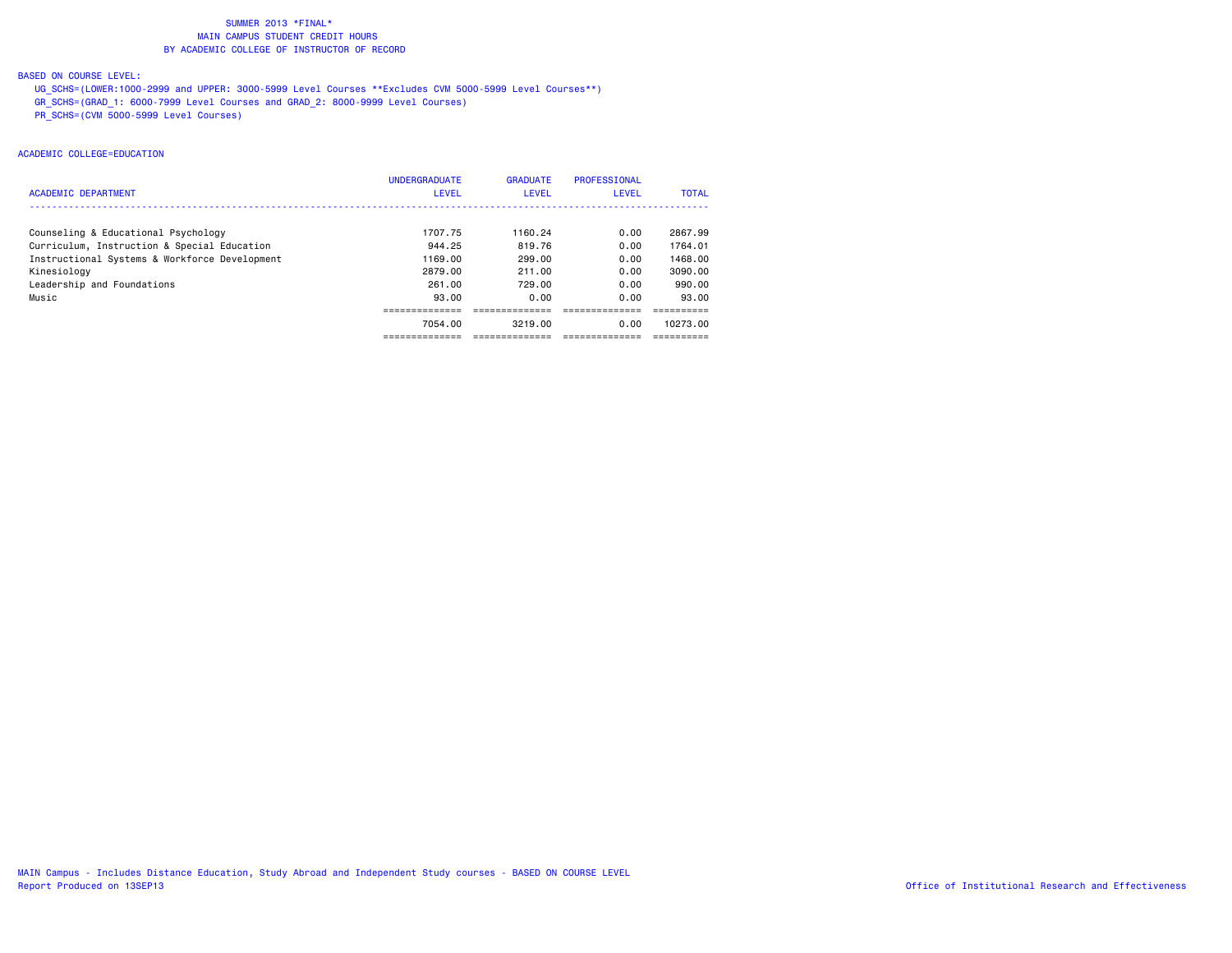## BASED ON COURSE LEVEL:

 UG\_SCHS=(LOWER:1000-2999 and UPPER: 3000-5999 Level Courses \*\*Excludes CVM 5000-5999 Level Courses\*\*) GR\_SCHS=(GRAD\_1: 6000-7999 Level Courses and GRAD\_2: 8000-9999 Level Courses)  $\overline{PR}$  SCHS=(CVM 5000-5999 Level Courses)

## ACADEMIC COLLEGE=EDUCATION

| <b>ACADEMIC DEPARTMENT</b>                    | <b>UNDERGRADUATE</b><br><b>LEVEL</b> | <b>GRADUATE</b><br><b>LEVEL</b> | PROFESSIONAL<br><b>LEVEL</b> | <b>TOTAL</b> |
|-----------------------------------------------|--------------------------------------|---------------------------------|------------------------------|--------------|
| Counseling & Educational Psychology           | 1707.75                              | 1160.24                         | 0.00                         | 2867.99      |
| Curriculum, Instruction & Special Education   | 944.25                               | 819.76                          | 0.00                         | 1764.01      |
| Instructional Systems & Workforce Development | 1169.00                              | 299.00                          | 0.00                         | 1468.00      |
| Kinesiology                                   | 2879.00                              | 211.00                          | 0.00                         | 3090.00      |
| Leadership and Foundations                    | 261.00                               | 729.00                          | 0.00                         | 990.00       |
| Music                                         | 93.00                                | 0.00                            | 0.00                         | 93.00        |
|                                               |                                      |                                 |                              |              |
|                                               | 7054.00                              | 3219.00                         | 0.00                         | 10273.00     |
|                                               |                                      |                                 |                              |              |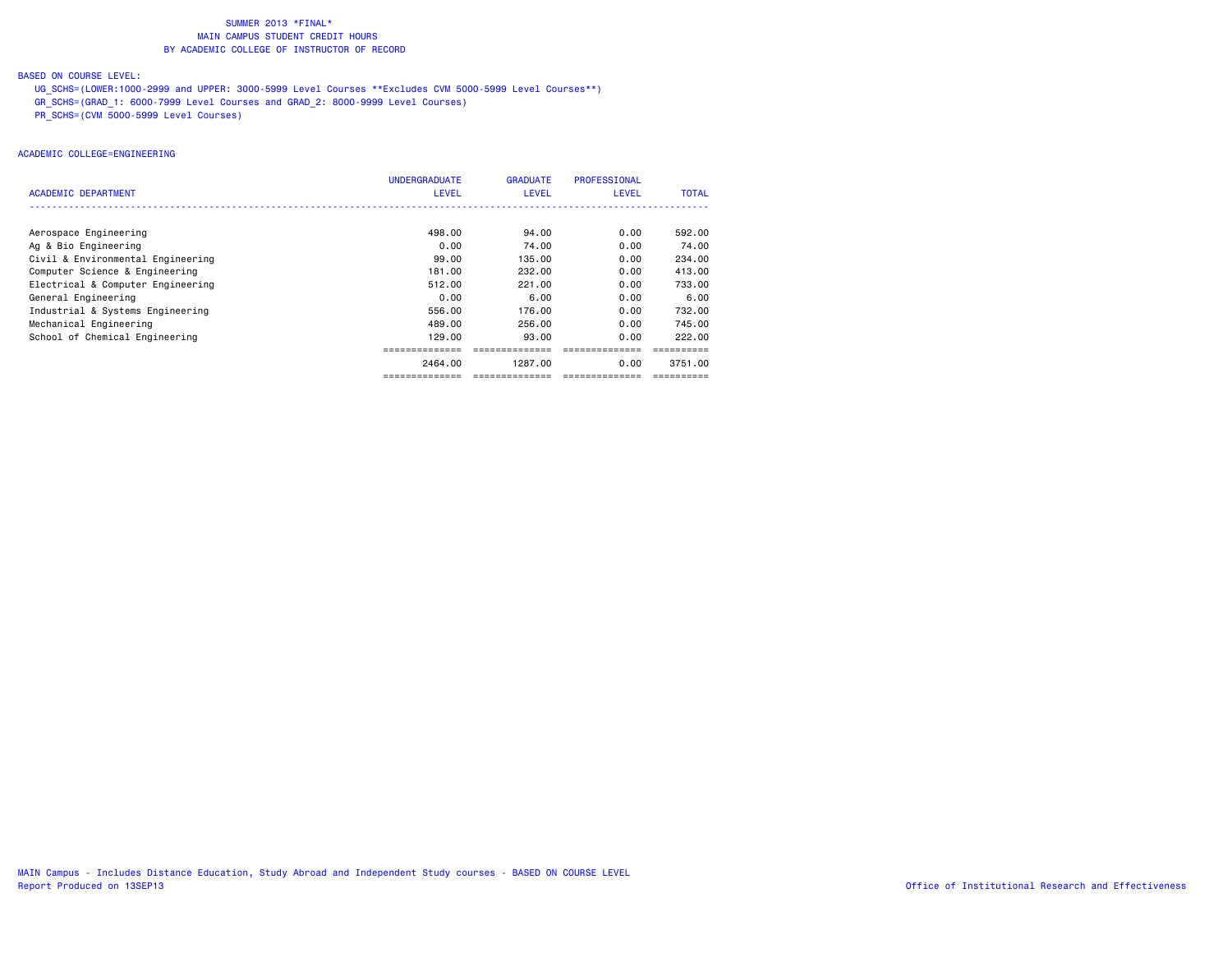## BASED ON COURSE LEVEL:

 UG\_SCHS=(LOWER:1000-2999 and UPPER: 3000-5999 Level Courses \*\*Excludes CVM 5000-5999 Level Courses\*\*) GR\_SCHS=(GRAD\_1: 6000-7999 Level Courses and GRAD\_2: 8000-9999 Level Courses) PR\_SCHS=(CVM 5000-5999 Level Courses)

## ACADEMIC COLLEGE=ENGINEERING

| ACADEMIC DEPARTMENT               | <b>UNDERGRADUATE</b><br><b>LEVEL</b> | <b>GRADUATE</b><br><b>LEVEL</b> | <b>PROFESSIONAL</b><br><b>LEVEL</b> | <b>TOTAL</b> |
|-----------------------------------|--------------------------------------|---------------------------------|-------------------------------------|--------------|
|                                   |                                      |                                 |                                     |              |
| Aerospace Engineering             | 498,00                               | 94.00                           | 0.00                                | 592.00       |
| Ag & Bio Engineering              | 0.00                                 | 74.00                           | 0.00                                | 74.00        |
| Civil & Environmental Engineering | 99.00                                | 135,00                          | 0.00                                | 234,00       |
| Computer Science & Engineering    | 181.00                               | 232.00                          | 0.00                                | 413,00       |
| Electrical & Computer Engineering | 512.00                               | 221.00                          | 0.00                                | 733,00       |
| General Engineering               | 0.00                                 | 6.00                            | 0.00                                | 6.00         |
| Industrial & Systems Engineering  | 556.00                               | 176.00                          | 0.00                                | 732.00       |
| Mechanical Engineering            | 489.00                               | 256.00                          | 0.00                                | 745.00       |
| School of Chemical Engineering    | 129,00                               | 93.00                           | 0.00                                | 222.00       |
|                                   |                                      |                                 |                                     |              |
|                                   | 2464.00                              | 1287.00                         | 0.00                                | 3751.00      |
|                                   | ==============                       | ==============                  | ==============                      | ==========   |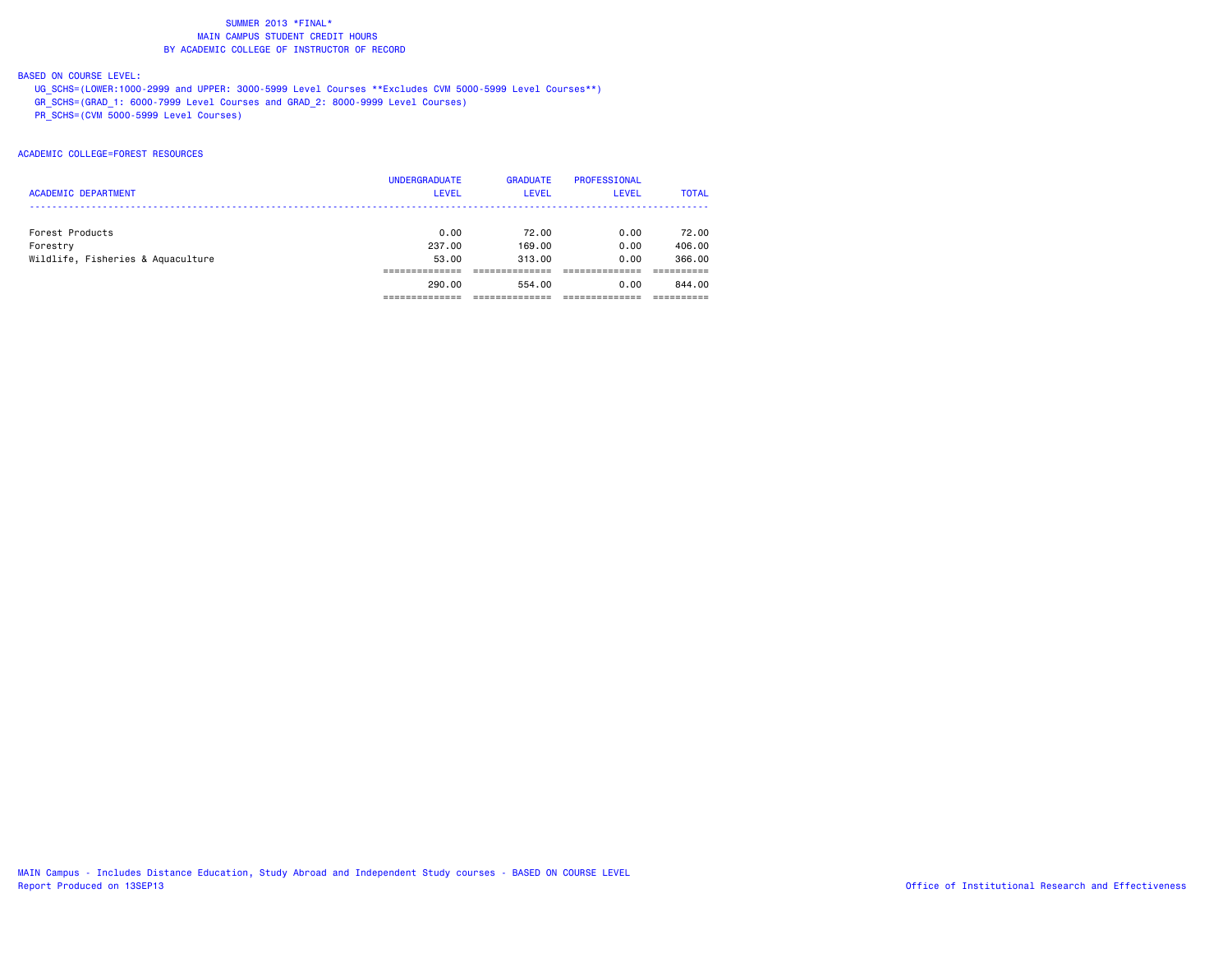## BASED ON COURSE LEVEL:

 UG\_SCHS=(LOWER:1000-2999 and UPPER: 3000-5999 Level Courses \*\*Excludes CVM 5000-5999 Level Courses\*\*) GR\_SCHS=(GRAD\_1: 6000-7999 Level Courses and GRAD\_2: 8000-9999 Level Courses) PR\_SCHS=(CVM 5000-5999 Level Courses)

## ACADEMIC COLLEGE=FOREST RESOURCES

|                                   | <b>UNDERGRADUATE</b> | <b>GRADUATE</b> | PROFESSIONAL |              |
|-----------------------------------|----------------------|-----------------|--------------|--------------|
| <b>ACADEMIC DEPARTMENT</b>        | <b>LEVEL</b>         | <b>LEVEL</b>    | <b>LEVEL</b> | <b>TOTAL</b> |
|                                   |                      |                 |              |              |
| Forest Products                   | 0.00                 | 72.00           | 0.00         | 72.00        |
| Forestry                          | 237,00               | 169,00          | 0.00         | 406,00       |
| Wildlife, Fisheries & Aquaculture | 53.00                | 313,00          | 0.00         | 366,00       |
|                                   |                      |                 |              |              |
|                                   | 290,00               | 554.00          | 0.00         | 844,00       |
|                                   |                      |                 |              |              |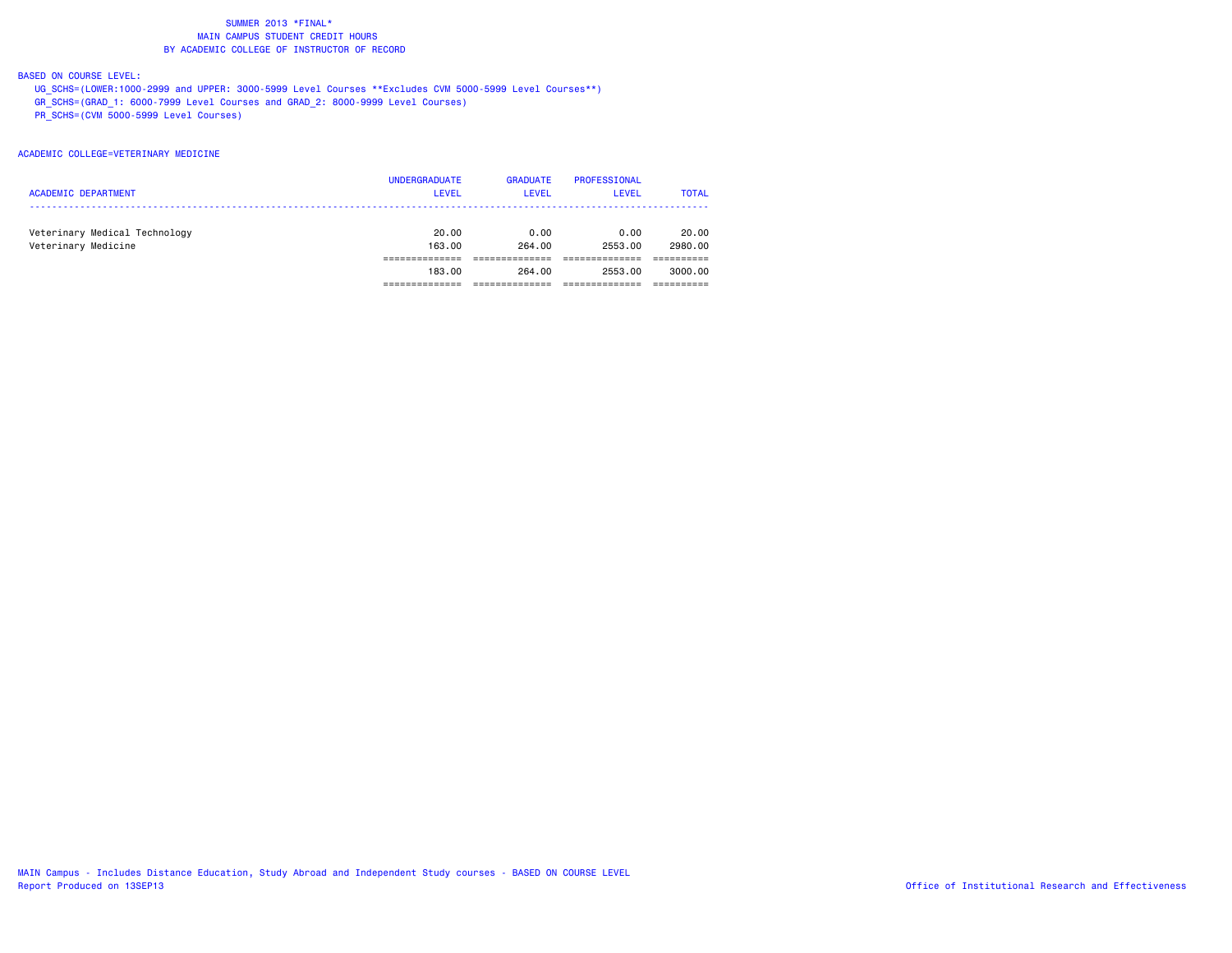## BASED ON COURSE LEVEL:

 UG\_SCHS=(LOWER:1000-2999 and UPPER: 3000-5999 Level Courses \*\*Excludes CVM 5000-5999 Level Courses\*\*) GR\_SCHS=(GRAD\_1: 6000-7999 Level Courses and GRAD\_2: 8000-9999 Level Courses) PR\_SCHS=(CVM 5000-5999 Level Courses)

### ACADEMIC COLLEGE=VETERINARY MEDICINE

| <b>ACADEMIC DEPARTMENT</b>                           | <b>UNDERGRADUATE</b><br><b>LEVEL</b> | <b>GRADUATE</b><br><b>LEVEL</b> | PROFESSIONAL<br><b>LEVEL</b> | <b>TOTAL</b>     |
|------------------------------------------------------|--------------------------------------|---------------------------------|------------------------------|------------------|
| Veterinary Medical Technology<br>Veterinary Medicine | 20.00<br>163,00                      | 0.00<br>264.00                  | 0.00<br>2553.00              | 20.00<br>2980.00 |
|                                                      | 183.00                               | 264.00                          | 2553.00                      | 3000.00          |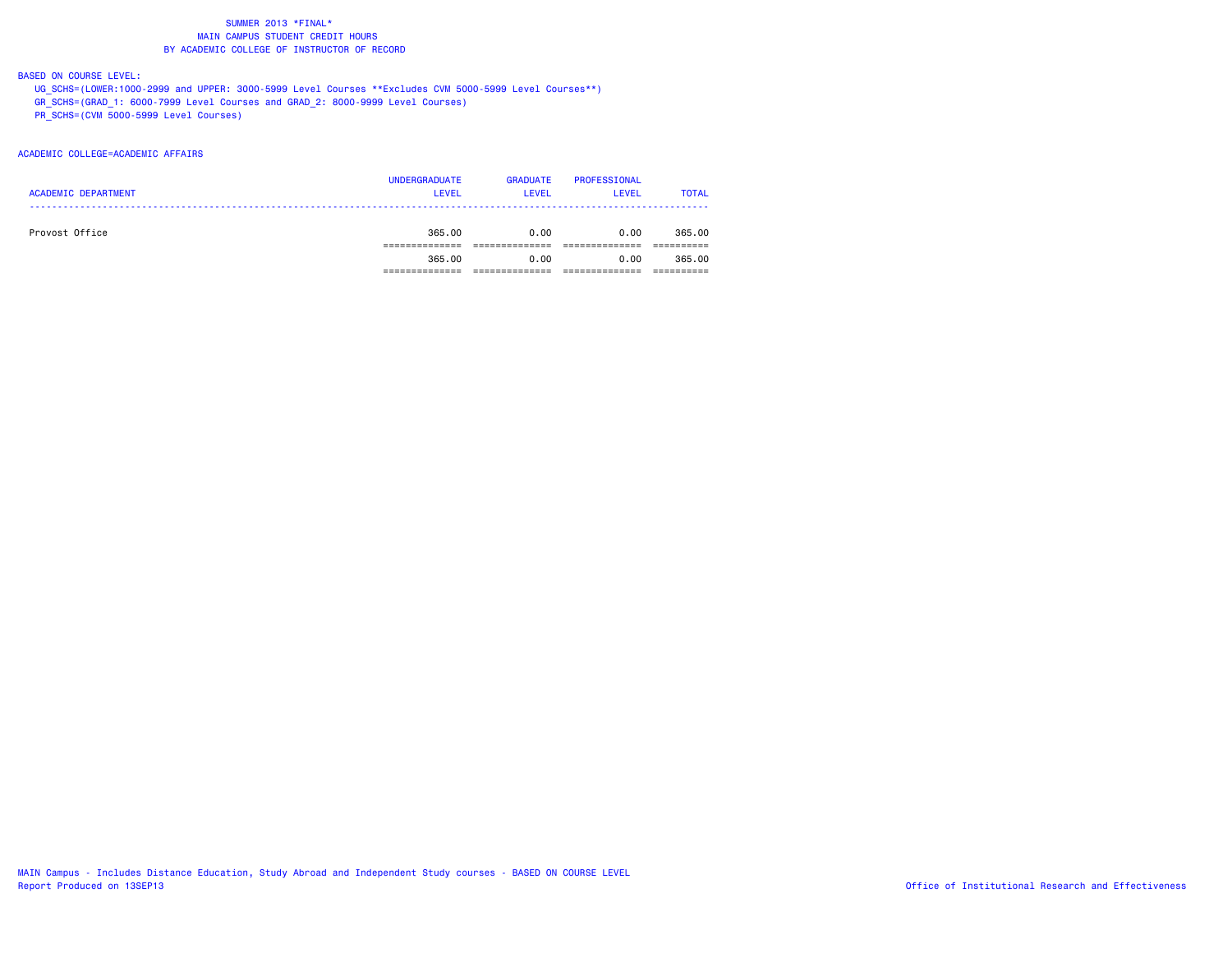## BASED ON COURSE LEVEL:

 UG\_SCHS=(LOWER:1000-2999 and UPPER: 3000-5999 Level Courses \*\*Excludes CVM 5000-5999 Level Courses\*\*) GR\_SCHS=(GRAD\_1: 6000-7999 Level Courses and GRAD\_2: 8000-9999 Level Courses) PR\_SCHS=(CVM 5000-5999 Level Courses)

### ACADEMIC COLLEGE=ACADEMIC AFFAIRS

| <b>ACADEMIC DEPARTMENT</b> | <b>UNDERGRADUATE</b><br><b>LEVEL</b> | <b>GRADUATE</b><br>LEVEL | PROFESSIONAL<br><b>LEVEL</b> | <b>TOTAL</b> |
|----------------------------|--------------------------------------|--------------------------|------------------------------|--------------|
| Provost Office             | 365.00                               | 0.00                     | 0.00                         | 365,00       |
|                            | 365.00                               | 0.00                     | 0.00                         | 365,00       |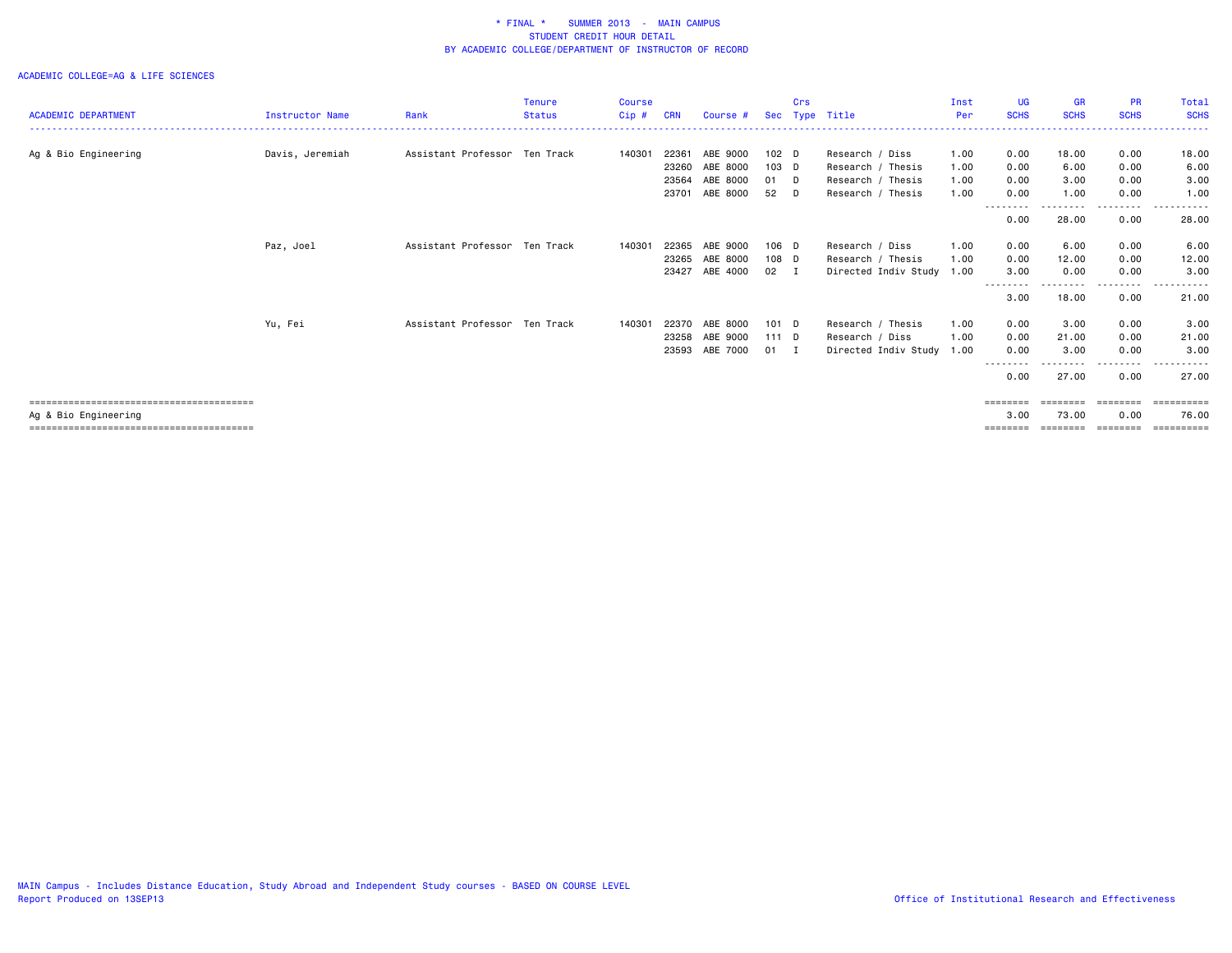|                            |                        |                               | <b>Tenure</b> | <b>Course</b> |            |                |                  | Crs  |                      | Inst | <b>UG</b>        | <b>GR</b>   | <b>PR</b>   | Total               |
|----------------------------|------------------------|-------------------------------|---------------|---------------|------------|----------------|------------------|------|----------------------|------|------------------|-------------|-------------|---------------------|
| <b>ACADEMIC DEPARTMENT</b> | <b>Instructor Name</b> | Rank                          | <b>Status</b> | Cip#          | <b>CRN</b> | Course #       | Sec              | Type | Title                | Per  | <b>SCHS</b>      | <b>SCHS</b> | <b>SCHS</b> | <b>SCHS</b>         |
|                            |                        |                               |               |               |            |                |                  |      |                      |      |                  |             |             |                     |
| Ag & Bio Engineering       | Davis, Jeremiah        | Assistant Professor Ten Track |               | 140301        | 22361      | ABE 9000       | 102 <sub>D</sub> |      | Research / Diss      | 1.00 | 0.00             | 18.00       | 0.00        | 18.00               |
|                            |                        |                               |               |               | 23260      | ABE 8000       | 103 D            |      | Research / Thesis    | 1.00 | 0.00             | 6.00        | 0.00        | 6.00                |
|                            |                        |                               |               |               | 23564      | ABE 8000       | 01 D             |      | Research / Thesis    | 1.00 | 0.00             | 3.00        | 0.00        | 3.00                |
|                            |                        |                               |               |               | 23701      | ABE 8000       | 52 D             |      | Research / Thesis    | 1.00 | 0.00             | 1.00        | 0.00        | 1.00                |
|                            |                        |                               |               |               |            |                |                  |      |                      |      |                  |             |             | .                   |
|                            |                        |                               |               |               |            |                |                  |      |                      |      | 0.00             | 28.00       | 0.00        | 28.00               |
|                            | Paz, Joel              | Assistant Professor Ten Track |               | 140301        | 22365      | ABE 9000       | 106 D            |      | Research / Diss      | 1.00 | 0.00             | 6.00        | 0.00        | 6.00                |
|                            |                        |                               |               |               | 23265      | ABE 8000       | 108 D            |      | Research / Thesis    | 1.00 | 0.00             | 12.00       | 0.00        | 12.00               |
|                            |                        |                               |               |               | 23427      | ABE 4000       | $02 \quad I$     |      | Directed Indiv Study | 1.00 | 3.00             | 0.00        | 0.00        | 3.00                |
|                            |                        |                               |               |               |            |                |                  |      |                      |      | --------<br>3.00 | 18.00       | 0.00        | 21.00               |
|                            | Yu, Fei                | Assistant Professor Ten Track |               | 140301        | 22370      | ABE 8000       | $101$ D          |      | Research / Thesis    | 1.00 | 0.00             | 3.00        | 0.00        | 3.00                |
|                            |                        |                               |               |               | 23258      | ABE 9000       | $111$ D          |      | Research / Diss      | 1.00 | 0.00             | 21.00       | 0.00        | 21.00               |
|                            |                        |                               |               |               |            | 23593 ABE 7000 | $01$ I           |      | Directed Indiv Study | 1.00 | 0.00             | 3.00        | 0.00        | 3,00                |
|                            |                        |                               |               |               |            |                |                  |      |                      |      | <u>.</u><br>0.00 | 27.00       | .<br>0.00   | ----------<br>27.00 |
|                            |                        |                               |               |               |            |                |                  |      |                      |      | ========         | ========    | ========    | ==========          |
| Ag & Bio Engineering       |                        |                               |               |               |            |                |                  |      |                      |      | 3.00             | 73.00       | 0.00        | 76.00               |
|                            |                        |                               |               |               |            |                |                  |      |                      |      | ========         | ========    | ========    | ==========          |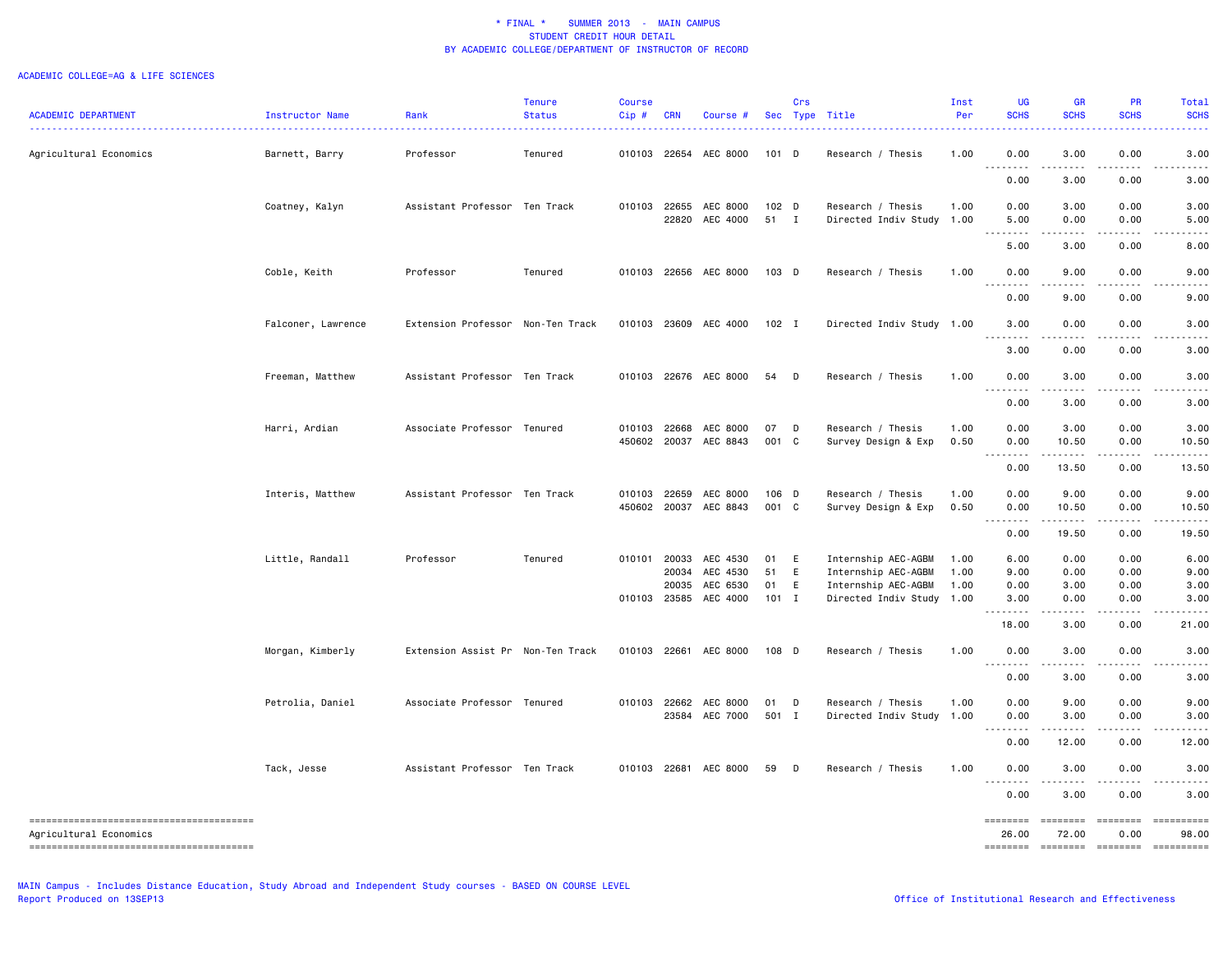| <b>ACADEMIC DEPARTMENT</b>             | Instructor Name    | Rank<br>.                         | <b>Tenure</b><br><b>Status</b> | <b>Course</b><br>Cip# | <b>CRN</b>   | Course #              |                  | Crs          | Sec Type Title<br><u>.</u> | Inst<br>Per | <b>UG</b><br><b>SCHS</b>             | <b>GR</b><br><b>SCHS</b>            | PR<br><b>SCHS</b>   | Total<br><b>SCHS</b>                                                                                                                                                                                                                                                                                                                                                                                                                                                                      |
|----------------------------------------|--------------------|-----------------------------------|--------------------------------|-----------------------|--------------|-----------------------|------------------|--------------|----------------------------|-------------|--------------------------------------|-------------------------------------|---------------------|-------------------------------------------------------------------------------------------------------------------------------------------------------------------------------------------------------------------------------------------------------------------------------------------------------------------------------------------------------------------------------------------------------------------------------------------------------------------------------------------|
| Agricultural Economics                 | Barnett, Barry     | Professor                         | Tenured                        |                       |              | 010103 22654 AEC 8000 | $101$ D          |              | Research / Thesis          | 1.00        | 0.00<br>.                            | 3.00                                | 0.00                | 3,00                                                                                                                                                                                                                                                                                                                                                                                                                                                                                      |
|                                        |                    |                                   |                                |                       |              |                       |                  |              |                            |             | 0.00                                 | 3.00                                | 0.00                | 3.00                                                                                                                                                                                                                                                                                                                                                                                                                                                                                      |
|                                        | Coatney, Kalyn     | Assistant Professor Ten Track     |                                |                       | 010103 22655 | AEC 8000              | 102 <sub>D</sub> |              | Research / Thesis          | 1.00        | 0.00                                 | 3.00                                | 0.00                | 3.00                                                                                                                                                                                                                                                                                                                                                                                                                                                                                      |
|                                        |                    |                                   |                                |                       | 22820        | AEC 4000              | 51 I             |              | Directed Indiv Study       | 1.00        | 5.00<br>. <b>.</b>                   | 0.00<br>$\sim$ $\sim$ $\sim$ $\sim$ | 0.00<br>بالمستحدث   | 5.00                                                                                                                                                                                                                                                                                                                                                                                                                                                                                      |
|                                        |                    |                                   |                                |                       |              |                       |                  |              |                            |             | 5.00                                 | 3.00                                | 0.00                | 8.00                                                                                                                                                                                                                                                                                                                                                                                                                                                                                      |
|                                        | Coble, Keith       | Professor                         | Tenured                        |                       |              | 010103 22656 AEC 8000 | 103 D            |              | Research / Thesis          | 1.00        | 0.00<br>$- - - -$                    | 9.00<br>----                        | 0.00                | 9.00                                                                                                                                                                                                                                                                                                                                                                                                                                                                                      |
|                                        |                    |                                   |                                |                       |              |                       |                  |              |                            |             | 0.00                                 | 9.00                                | 0.00                | 9.00                                                                                                                                                                                                                                                                                                                                                                                                                                                                                      |
|                                        | Falconer, Lawrence | Extension Professor Non-Ten Track |                                |                       |              | 010103 23609 AEC 4000 | 102 I            |              | Directed Indiv Study 1.00  |             | 3.00                                 | 0.00                                | 0.00                | 3.00                                                                                                                                                                                                                                                                                                                                                                                                                                                                                      |
|                                        |                    |                                   |                                |                       |              |                       |                  |              |                            |             | 3.00                                 | .<br>0.00                           | .<br>0.00           | 3.00                                                                                                                                                                                                                                                                                                                                                                                                                                                                                      |
|                                        | Freeman, Matthew   | Assistant Professor Ten Track     |                                |                       |              | 010103 22676 AEC 8000 | 54               | $\Box$       | Research / Thesis          | 1.00        | 0.00                                 | 3.00                                | 0.00                | 3.00                                                                                                                                                                                                                                                                                                                                                                                                                                                                                      |
|                                        |                    |                                   |                                |                       |              |                       |                  |              |                            |             | $\sim$ $\sim$ $\sim$ $\sim$<br>0.00  | $\omega$ is a $\omega$<br>3.00      | .<br>0.00           | 3.00                                                                                                                                                                                                                                                                                                                                                                                                                                                                                      |
|                                        | Harri, Ardian      | Associate Professor Tenured       |                                | 010103                | 22668        | AEC 8000              | 07               | $\mathsf{D}$ | Research / Thesis          | 1.00        | 0.00                                 | 3.00                                | 0.00                | 3.00                                                                                                                                                                                                                                                                                                                                                                                                                                                                                      |
|                                        |                    |                                   |                                |                       | 450602 20037 | AEC 8843              | 001 C            |              | Survey Design & Exp        | 0.50        | 0.00                                 | 10.50                               | 0.00                | 10.50                                                                                                                                                                                                                                                                                                                                                                                                                                                                                     |
|                                        |                    |                                   |                                |                       |              |                       |                  |              |                            |             | 0.00                                 | 13.50                               | 0.00                | 13.50                                                                                                                                                                                                                                                                                                                                                                                                                                                                                     |
|                                        | Interis, Matthew   | Assistant Professor Ten Track     |                                | 010103                | 22659        | AEC 8000              | $106$ D          |              | Research / Thesis          | 1.00        | 0.00                                 | 9.00                                | 0.00                | 9.00                                                                                                                                                                                                                                                                                                                                                                                                                                                                                      |
|                                        |                    |                                   |                                |                       |              | 450602 20037 AEC 8843 | 001 C            |              | Survey Design & Exp        | 0.50        | 0.00                                 | 10.50                               | 0.00                | 10.50                                                                                                                                                                                                                                                                                                                                                                                                                                                                                     |
|                                        |                    |                                   |                                |                       |              |                       |                  |              |                            |             | .<br>0.00                            | .<br>19.50                          | $- - - - -$<br>0.00 | .<br>19.50                                                                                                                                                                                                                                                                                                                                                                                                                                                                                |
|                                        | Little, Randall    | Professor                         | Tenured                        |                       | 010101 20033 | AEC 4530              | 01 E             |              | Internship AEC-AGBM        | 1.00        | 6.00                                 | 0.00                                | 0.00                | 6.00                                                                                                                                                                                                                                                                                                                                                                                                                                                                                      |
|                                        |                    |                                   |                                |                       | 20034        | AEC 4530              | 51               | E            | Internship AEC-AGBM        | 1.00        | 9.00                                 | 0.00                                | 0.00                | 9.00                                                                                                                                                                                                                                                                                                                                                                                                                                                                                      |
|                                        |                    |                                   |                                |                       | 20035        | AEC 6530              | 01               | E            | Internship AEC-AGBM        | 1.00        | 0.00                                 | 3.00                                | 0.00                | 3.00                                                                                                                                                                                                                                                                                                                                                                                                                                                                                      |
|                                        |                    |                                   |                                |                       |              | 010103 23585 AEC 4000 | $101$ I          |              | Directed Indiv Study       | 1.00        | 3.00<br>.                            | 0.00<br>د د د د                     | 0.00<br>.           | 3,00                                                                                                                                                                                                                                                                                                                                                                                                                                                                                      |
|                                        |                    |                                   |                                |                       |              |                       |                  |              |                            |             | 18.00                                | 3.00                                | 0.00                | 21.00                                                                                                                                                                                                                                                                                                                                                                                                                                                                                     |
|                                        | Morgan, Kimberly   | Extension Assist Pr Non-Ten Track |                                |                       |              | 010103 22661 AEC 8000 | 108 D            |              | Research / Thesis          | 1.00        | 0.00<br>$- - - - -$<br>$\sim$ $\sim$ | 3.00<br>.                           | 0.00<br>$- - - - -$ | 3.00                                                                                                                                                                                                                                                                                                                                                                                                                                                                                      |
|                                        |                    |                                   |                                |                       |              |                       |                  |              |                            |             | 0.00                                 | 3.00                                | 0.00                | 3.00                                                                                                                                                                                                                                                                                                                                                                                                                                                                                      |
|                                        | Petrolia, Daniel   | Associate Professor Tenured       |                                | 010103                |              | 22662 AEC 8000        | 01               | D            | Research / Thesis          | 1.00        | 0.00                                 | 9.00                                | 0.00                | 9.00                                                                                                                                                                                                                                                                                                                                                                                                                                                                                      |
|                                        |                    |                                   |                                |                       |              | 23584 AEC 7000        | 501 I            |              | Directed Indiv Study       | 1.00        | 0.00                                 | 3.00                                | 0.00                | 3.00                                                                                                                                                                                                                                                                                                                                                                                                                                                                                      |
|                                        |                    |                                   |                                |                       |              |                       |                  |              |                            |             | .<br>0.00                            | .<br>12.00                          | 0.00                | 12.00                                                                                                                                                                                                                                                                                                                                                                                                                                                                                     |
|                                        | Tack, Jesse        | Assistant Professor Ten Track     |                                |                       |              | 010103 22681 AEC 8000 | 59               | D            | Research / Thesis          | 1.00        | 0.00                                 | 3.00                                | 0.00                | 3.00                                                                                                                                                                                                                                                                                                                                                                                                                                                                                      |
|                                        |                    |                                   |                                |                       |              |                       |                  |              |                            |             | 0.00                                 | 3.00                                | 0.00                | 3.00                                                                                                                                                                                                                                                                                                                                                                                                                                                                                      |
| -------------------------------------- |                    |                                   |                                |                       |              |                       |                  |              |                            |             | ========                             | <b>ESSESSE</b>                      | ========            |                                                                                                                                                                                                                                                                                                                                                                                                                                                                                           |
| Agricultural Economics                 |                    |                                   |                                |                       |              |                       |                  |              |                            |             | 26.00                                | 72.00                               | 0.00                | 98.00                                                                                                                                                                                                                                                                                                                                                                                                                                                                                     |
|                                        |                    |                                   |                                |                       |              |                       |                  |              |                            |             | ========                             | <b>SEEBERE</b>                      | <b>ESSESSES</b>     | $\begin{minipage}{0.03\linewidth} \begin{tabular}{l} \multicolumn{2}{l}{} & \multicolumn{2}{l}{} & \multicolumn{2}{l}{} \\ \multicolumn{2}{l}{} & \multicolumn{2}{l}{} & \multicolumn{2}{l}{} \\ \multicolumn{2}{l}{} & \multicolumn{2}{l}{} & \multicolumn{2}{l}{} \\ \multicolumn{2}{l}{} & \multicolumn{2}{l}{} & \multicolumn{2}{l}{} \\ \multicolumn{2}{l}{} & \multicolumn{2}{l}{} & \multicolumn{2}{l}{} \\ \multicolumn{2}{l}{} & \multicolumn{2}{l}{} & \multicolumn{2}{l}{} \\$ |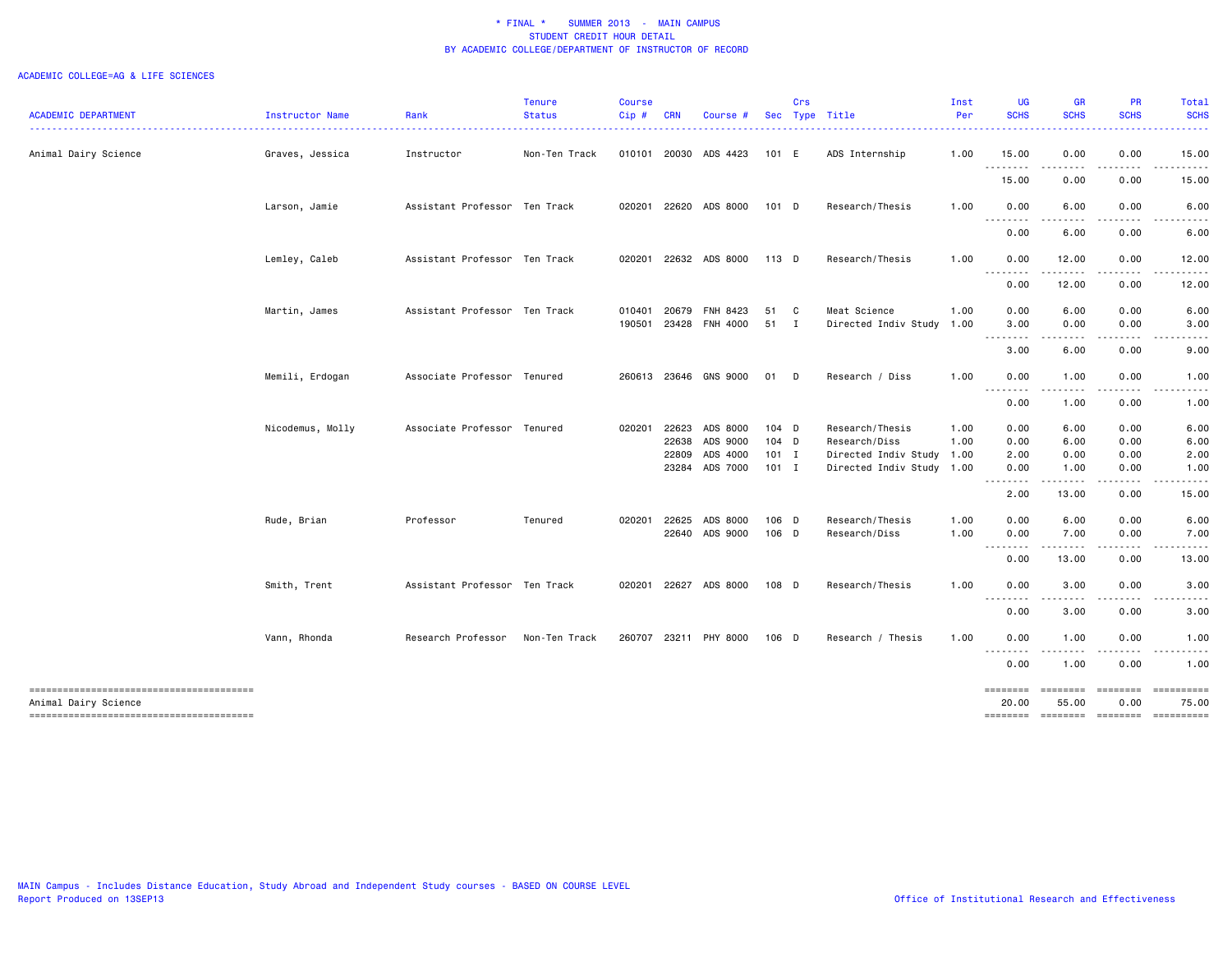| <b>ACADEMIC DEPARTMENT</b> | Instructor Name  | Rank                          | <b>Tenure</b><br><b>Status</b> | <b>Course</b><br>$Cip$ # | <b>CRN</b>     | Course #                    |              | Crs | Sec Type Title                            | Inst<br>Per | <b>UG</b><br><b>SCHS</b>                                                                                                          | <b>GR</b><br><b>SCHS</b>                                                                                                                                                                                                                                                                                                                     | <b>PR</b><br><b>SCHS</b>                                                                                                                                     | Total<br><b>SCHS</b>                                                                                                 |
|----------------------------|------------------|-------------------------------|--------------------------------|--------------------------|----------------|-----------------------------|--------------|-----|-------------------------------------------|-------------|-----------------------------------------------------------------------------------------------------------------------------------|----------------------------------------------------------------------------------------------------------------------------------------------------------------------------------------------------------------------------------------------------------------------------------------------------------------------------------------------|--------------------------------------------------------------------------------------------------------------------------------------------------------------|----------------------------------------------------------------------------------------------------------------------|
| Animal Dairy Science       | Graves, Jessica  | Instructor                    | Non-Ten Track                  |                          |                | 010101 20030 ADS 4423       | 101 E        |     | ADS Internship                            | 1.00        | 15.00                                                                                                                             | 0.00                                                                                                                                                                                                                                                                                                                                         | 0.00                                                                                                                                                         | 15.00                                                                                                                |
|                            |                  |                               |                                |                          |                |                             |              |     |                                           |             | .<br>15.00                                                                                                                        | .<br>0.00                                                                                                                                                                                                                                                                                                                                    | $\frac{1}{2} \left( \frac{1}{2} \right) \left( \frac{1}{2} \right) \left( \frac{1}{2} \right) \left( \frac{1}{2} \right) \left( \frac{1}{2} \right)$<br>0.00 | .<br>15.00                                                                                                           |
|                            | Larson, Jamie    | Assistant Professor Ten Track |                                | 020201                   |                | 22620 ADS 8000              | 101 D        |     | Research/Thesis                           | 1.00        | 0.00                                                                                                                              | 6.00                                                                                                                                                                                                                                                                                                                                         | 0.00                                                                                                                                                         | 6.00                                                                                                                 |
|                            |                  |                               |                                |                          |                |                             |              |     |                                           |             | .<br>0.00                                                                                                                         | $\sim$ $\sim$ $\sim$<br>6.00                                                                                                                                                                                                                                                                                                                 | 0.00                                                                                                                                                         | 6.00                                                                                                                 |
|                            | Lemley, Caleb    | Assistant Professor Ten Track |                                | 020201                   |                | 22632 ADS 8000              | 113 D        |     | Research/Thesis                           | 1.00        | 0.00                                                                                                                              | 12.00                                                                                                                                                                                                                                                                                                                                        | 0.00                                                                                                                                                         | 12.00                                                                                                                |
|                            |                  |                               |                                |                          |                |                             |              |     |                                           |             | 0.00                                                                                                                              | 12.00                                                                                                                                                                                                                                                                                                                                        | 0.00                                                                                                                                                         | 12.00                                                                                                                |
|                            | Martin, James    | Assistant Professor Ten Track |                                | 010401<br>190501         | 20679<br>23428 | FNH 8423<br><b>FNH 4000</b> | 51 C<br>51 I |     | Meat Science<br>Directed Indiv Study 1.00 | 1.00        | 0.00<br>3.00                                                                                                                      | 6.00<br>0.00                                                                                                                                                                                                                                                                                                                                 | 0.00<br>0.00<br>$   -$                                                                                                                                       | 6.00<br>3.00                                                                                                         |
|                            |                  |                               |                                |                          |                |                             |              |     |                                           |             | .<br>3.00                                                                                                                         | .<br>6.00                                                                                                                                                                                                                                                                                                                                    | 0.00                                                                                                                                                         | 9.00                                                                                                                 |
|                            | Memili, Erdogan  | Associate Professor Tenured   |                                | 260613                   |                | 23646 GNS 9000              | 01 D         |     | Research / Diss                           | 1.00        | 0.00<br><u>.</u>                                                                                                                  | 1.00                                                                                                                                                                                                                                                                                                                                         | 0.00                                                                                                                                                         | 1.00                                                                                                                 |
|                            |                  |                               |                                |                          |                |                             |              |     |                                           |             | 0.00                                                                                                                              | 1.00                                                                                                                                                                                                                                                                                                                                         | 0.00                                                                                                                                                         | 1.00                                                                                                                 |
|                            | Nicodemus, Molly | Associate Professor Tenured   |                                | 020201                   | 22623          | ADS 8000                    | 104 D        |     | Research/Thesis                           | 1.00        | 0.00                                                                                                                              | 6.00                                                                                                                                                                                                                                                                                                                                         | 0.00                                                                                                                                                         | 6.00                                                                                                                 |
|                            |                  |                               |                                |                          | 22638          | ADS 9000                    | 104 D        |     | Research/Diss                             | 1.00        | 0.00                                                                                                                              | 6.00                                                                                                                                                                                                                                                                                                                                         | 0.00                                                                                                                                                         | 6.00                                                                                                                 |
|                            |                  |                               |                                |                          | 22809          | ADS 4000                    | $101$ I      |     | Directed Indiv Study                      | 1.00        | 2.00                                                                                                                              | 0.00                                                                                                                                                                                                                                                                                                                                         | 0.00                                                                                                                                                         | 2.00                                                                                                                 |
|                            |                  |                               |                                |                          |                | 23284 ADS 7000              | $101$ I      |     | Directed Indiv Study 1.00                 |             | 0.00<br>$\frac{1}{2} \left( \frac{1}{2} \right) \left( \frac{1}{2} \right) \left( \frac{1}{2} \right) \left( \frac{1}{2} \right)$ | 1.00                                                                                                                                                                                                                                                                                                                                         | 0.00                                                                                                                                                         | 1.00                                                                                                                 |
|                            |                  |                               |                                |                          |                |                             |              |     |                                           |             | 2.00                                                                                                                              | 13.00                                                                                                                                                                                                                                                                                                                                        | 0.00                                                                                                                                                         | 15.00                                                                                                                |
|                            | Rude, Brian      | Professor                     | Tenured                        | 020201                   | 22625          | ADS 8000                    | 106 D        |     | Research/Thesis                           | 1.00        | 0.00                                                                                                                              | 6.00                                                                                                                                                                                                                                                                                                                                         | 0.00                                                                                                                                                         | 6.00                                                                                                                 |
|                            |                  |                               |                                |                          |                | 22640 ADS 9000              | 106 D        |     | Research/Diss                             | 1.00        | 0.00<br>. <b>.</b>                                                                                                                | 7.00<br>$\frac{1}{2} \left( \begin{array}{ccc} 1 & 0 & 0 & 0 \\ 0 & 0 & 0 & 0 \\ 0 & 0 & 0 & 0 \\ 0 & 0 & 0 & 0 \\ 0 & 0 & 0 & 0 \\ 0 & 0 & 0 & 0 \\ 0 & 0 & 0 & 0 \\ 0 & 0 & 0 & 0 \\ 0 & 0 & 0 & 0 \\ 0 & 0 & 0 & 0 \\ 0 & 0 & 0 & 0 & 0 \\ 0 & 0 & 0 & 0 & 0 \\ 0 & 0 & 0 & 0 & 0 \\ 0 & 0 & 0 & 0 & 0 \\ 0 & 0 & 0 & 0 & 0 \\ 0 & 0 & 0$ | 0.00<br><u>.</u>                                                                                                                                             | 7.00<br>.                                                                                                            |
|                            |                  |                               |                                |                          |                |                             |              |     |                                           |             | 0.00                                                                                                                              | 13.00                                                                                                                                                                                                                                                                                                                                        | 0.00                                                                                                                                                         | 13.00                                                                                                                |
|                            | Smith, Trent     | Assistant Professor Ten Track |                                | 020201                   |                | 22627 ADS 8000              | 108 D        |     | Research/Thesis                           | 1.00        | 0.00                                                                                                                              | 3.00                                                                                                                                                                                                                                                                                                                                         | 0.00                                                                                                                                                         | 3.00                                                                                                                 |
|                            |                  |                               |                                |                          |                |                             |              |     |                                           |             | .<br>0.00                                                                                                                         | ---<br>3.00                                                                                                                                                                                                                                                                                                                                  | 0.00                                                                                                                                                         | 3.00                                                                                                                 |
|                            | Vann, Rhonda     | Research Professor            | Non-Ten Track                  | 260707                   |                | 23211 PHY 8000              | 106 D        |     | Research / Thesis                         | 1.00        | 0.00                                                                                                                              | 1.00                                                                                                                                                                                                                                                                                                                                         | 0.00                                                                                                                                                         | 1.00                                                                                                                 |
|                            |                  |                               |                                |                          |                |                             |              |     |                                           |             | .<br>0.00                                                                                                                         | $\sim$ $\sim$ $\sim$ $\sim$<br>1.00                                                                                                                                                                                                                                                                                                          | 0.00                                                                                                                                                         | 1.00                                                                                                                 |
| Animal Dairy Science       |                  |                               |                                |                          |                |                             |              |     |                                           |             | ========<br>20,00                                                                                                                 | ========<br>55.00                                                                                                                                                                                                                                                                                                                            | <b>ESSESSES</b><br>0.00                                                                                                                                      | 75.00                                                                                                                |
|                            |                  |                               |                                |                          |                |                             |              |     |                                           |             | ========                                                                                                                          | <b>EDEDEDED</b>                                                                                                                                                                                                                                                                                                                              | $=$                                                                                                                                                          | $\begin{minipage}{0.03\linewidth} \hspace*{-0.2cm} \textbf{m} = \textbf{m} = \textbf{m} = \textbf{m} \end{minipage}$ |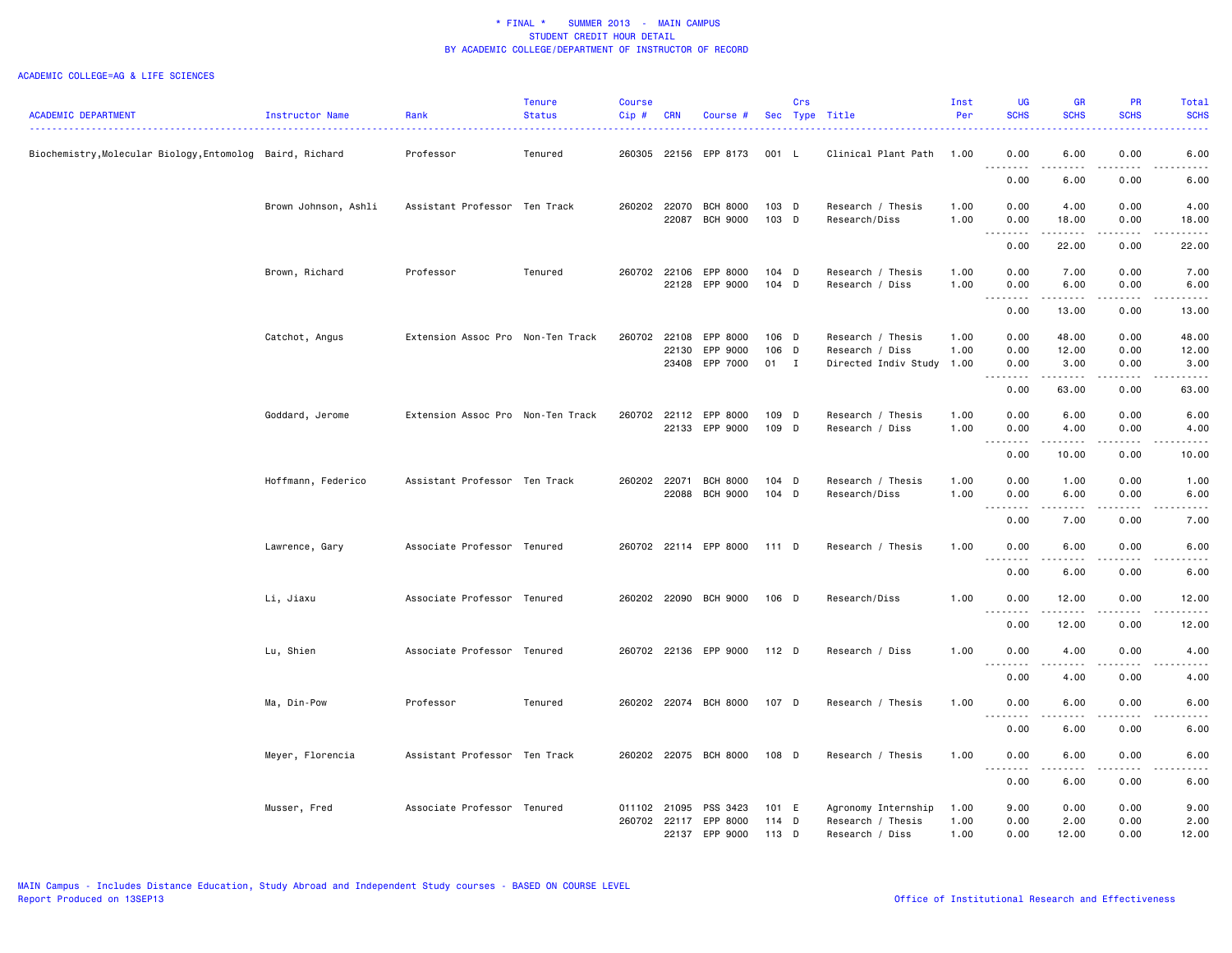|                                                           |                      |                                   | <b>Tenure</b> | <b>Course</b> |              |                            |                | Crs |                                         | Inst         | <b>UG</b><br><b>SCHS</b>                       | <b>GR</b><br><b>SCHS</b>                                                                                                                                     | <b>PR</b><br><b>SCHS</b> | Total<br><b>SCHS</b>                                                                                                              |
|-----------------------------------------------------------|----------------------|-----------------------------------|---------------|---------------|--------------|----------------------------|----------------|-----|-----------------------------------------|--------------|------------------------------------------------|--------------------------------------------------------------------------------------------------------------------------------------------------------------|--------------------------|-----------------------------------------------------------------------------------------------------------------------------------|
| <b>ACADEMIC DEPARTMENT</b>                                | Instructor Name      | Rank                              | <b>Status</b> | $Cip$ #       | <b>CRN</b>   | Course #                   |                |     | Sec Type Title                          | Per          |                                                |                                                                                                                                                              |                          |                                                                                                                                   |
| Biochemistry, Molecular Biology, Entomolog Baird, Richard |                      | Professor                         | Tenured       |               |              | 260305 22156 EPP 8173      | 001 L          |     | Clinical Plant Path                     | 1.00         | 0.00<br>.                                      | 6.00<br>.                                                                                                                                                    | 0.00                     | 6.00<br>$\frac{1}{2}$                                                                                                             |
|                                                           |                      |                                   |               |               |              |                            |                |     |                                         |              | 0.00                                           | 6.00                                                                                                                                                         | 0.00                     | 6.00                                                                                                                              |
|                                                           | Brown Johnson, Ashli | Assistant Professor Ten Track     |               | 260202 22070  |              | <b>BCH 8000</b>            | 103 D          |     | Research / Thesis                       | 1.00         | 0.00                                           | 4.00                                                                                                                                                         | 0.00                     | 4.00                                                                                                                              |
|                                                           |                      |                                   |               |               | 22087        | <b>BCH 9000</b>            | 103 D          |     | Research/Diss                           | 1.00         | 0.00<br>.<br>$\sim$ $\sim$                     | 18.00<br>.                                                                                                                                                   | 0.00<br>.                | 18.00<br>$    -$                                                                                                                  |
|                                                           |                      |                                   |               |               |              |                            |                |     |                                         |              | 0.00                                           | 22.00                                                                                                                                                        | 0.00                     | 22.00                                                                                                                             |
|                                                           | Brown, Richard       | Professor                         | Tenured       | 260702 22106  |              | EPP 8000                   | $104$ D        |     | Research / Thesis                       | 1.00         | 0.00                                           | 7.00                                                                                                                                                         | 0.00                     | 7.00                                                                                                                              |
|                                                           |                      |                                   |               |               |              | 22128 EPP 9000             | $104$ D        |     | Research / Diss                         | 1.00         | 0.00<br>.                                      | 6.00<br>.                                                                                                                                                    | 0.00<br>.                | 6.00<br>.                                                                                                                         |
|                                                           |                      |                                   |               |               |              |                            |                |     |                                         |              | 0.00                                           | 13.00                                                                                                                                                        | 0.00                     | 13.00                                                                                                                             |
|                                                           | Catchot, Angus       | Extension Assoc Pro Non-Ten Track |               | 260702        | 22108        | EPP 8000                   | 106 D          |     | Research / Thesis                       | 1.00         | 0.00                                           | 48.00                                                                                                                                                        | 0.00                     | 48.00                                                                                                                             |
|                                                           |                      |                                   |               |               | 22130        | EPP 9000<br>23408 EPP 7000 | 106 D<br>01 I  |     | Research / Diss<br>Directed Indiv Study | 1.00<br>1.00 | 0.00<br>0.00                                   | 12.00<br>3.00                                                                                                                                                | 0.00<br>0.00             | 12.00<br>3.00                                                                                                                     |
|                                                           |                      |                                   |               |               |              |                            |                |     |                                         |              | $- - - - -$<br>$  -$                           | .                                                                                                                                                            | .                        | . <u>.</u>                                                                                                                        |
|                                                           |                      |                                   |               |               |              |                            |                |     |                                         |              | 0.00                                           | 63.00                                                                                                                                                        | 0.00                     | 63.00                                                                                                                             |
|                                                           | Goddard, Jerome      | Extension Assoc Pro Non-Ten Track |               |               | 260702 22112 | EPP 8000                   | 109 D          |     | Research / Thesis                       | 1.00         | 0.00                                           | 6.00                                                                                                                                                         | 0.00                     | 6.00                                                                                                                              |
|                                                           |                      |                                   |               |               |              | 22133 EPP 9000             | 109 D          |     | Research / Diss                         | 1.00         | 0.00<br>.<br>$\sim$ $\sim$                     | 4.00<br>.                                                                                                                                                    | 0.00<br>.                | 4.00<br>$    -$                                                                                                                   |
|                                                           |                      |                                   |               |               |              |                            |                |     |                                         |              | 0.00                                           | 10.00                                                                                                                                                        | 0.00                     | 10.00                                                                                                                             |
|                                                           | Hoffmann, Federico   | Assistant Professor Ten Track     |               | 260202 22071  |              | <b>BCH 8000</b>            | $104$ D        |     | Research / Thesis                       | 1.00         | 0.00                                           | 1.00                                                                                                                                                         | 0.00                     | 1.00                                                                                                                              |
|                                                           |                      |                                   |               |               | 22088        | <b>BCH 9000</b>            | 104 D          |     | Research/Diss                           | 1.00         | 0.00<br>$\sim$ $\sim$<br>د د د د               | 6.00<br>.                                                                                                                                                    | 0.00                     | 6.00<br>.                                                                                                                         |
|                                                           |                      |                                   |               |               |              |                            |                |     |                                         |              | 0.00                                           | 7.00                                                                                                                                                         | 0.00                     | 7.00                                                                                                                              |
|                                                           | Lawrence, Gary       | Associate Professor Tenured       |               |               |              | 260702 22114 EPP 8000      | 111 D          |     | Research / Thesis                       | 1.00         | 0.00                                           | 6.00                                                                                                                                                         | 0.00                     | 6.00                                                                                                                              |
|                                                           |                      |                                   |               |               |              |                            |                |     |                                         |              | 0.00                                           | 6.00                                                                                                                                                         | 0.00                     | 6.00                                                                                                                              |
|                                                           |                      |                                   |               |               |              |                            |                |     |                                         |              |                                                |                                                                                                                                                              |                          |                                                                                                                                   |
|                                                           | Li, Jiaxu            | Associate Professor Tenured       |               |               |              | 260202 22090 BCH 9000      | 106 D          |     | Research/Diss                           | 1.00         | 0.00<br>$\sim$ $\sim$                          | 12.00<br>.                                                                                                                                                   | 0.00<br>.                | 12.00<br>والمستحدث                                                                                                                |
|                                                           |                      |                                   |               |               |              |                            |                |     |                                         |              | 0.00                                           | 12.00                                                                                                                                                        | 0.00                     | 12.00                                                                                                                             |
|                                                           | Lu, Shien            | Associate Professor Tenured       |               |               |              | 260702 22136 EPP 9000      | 112 D          |     | Research / Diss                         | 1.00         | 0.00<br>.                                      | 4.00                                                                                                                                                         | 0.00                     | 4.00<br>$\frac{1}{2} \left( \frac{1}{2} \right) \left( \frac{1}{2} \right) \left( \frac{1}{2} \right) \left( \frac{1}{2} \right)$ |
|                                                           |                      |                                   |               |               |              |                            |                |     |                                         |              | 0.00                                           | 4.00                                                                                                                                                         | 0.00                     | 4.00                                                                                                                              |
|                                                           | Ma, Din-Pow          | Professor                         | Tenured       |               |              | 260202 22074 BCH 8000      | 107 D          |     | Research / Thesis                       | 1.00         | 0.00                                           | 6.00                                                                                                                                                         | 0.00                     | 6.00                                                                                                                              |
|                                                           |                      |                                   |               |               |              |                            |                |     |                                         |              | $\sim$ $\sim$ $\sim$ $\sim$<br>د د د د<br>0.00 | $\frac{1}{2} \left( \frac{1}{2} \right) \left( \frac{1}{2} \right) \left( \frac{1}{2} \right) \left( \frac{1}{2} \right) \left( \frac{1}{2} \right)$<br>6.00 | 0.00                     | .<br>6.00                                                                                                                         |
|                                                           |                      |                                   |               |               |              |                            |                |     |                                         |              |                                                |                                                                                                                                                              |                          |                                                                                                                                   |
|                                                           | Meyer, Florencia     | Assistant Professor Ten Track     |               |               |              | 260202 22075 BCH 8000      | 108 D          |     | Research / Thesis                       | 1.00         | 0.00                                           | 6.00                                                                                                                                                         | 0.00                     | 6.00                                                                                                                              |
|                                                           |                      |                                   |               |               |              |                            |                |     |                                         |              | 0.00                                           | 6.00                                                                                                                                                         | 0.00                     | 6.00                                                                                                                              |
|                                                           | Musser, Fred         | Associate Professor Tenured       |               | 011102 21095  |              | PSS 3423                   | 101 E          |     | Agronomy Internship                     | 1.00         | 9.00                                           | 0.00                                                                                                                                                         | 0.00                     | 9.00                                                                                                                              |
|                                                           |                      |                                   |               | 260702 22117  | 22137        | EPP 8000<br>EPP 9000       | 114 D<br>113 D |     | Research / Thesis<br>Research / Diss    | 1.00<br>1.00 | 0.00<br>0.00                                   | 2.00<br>12.00                                                                                                                                                | 0.00<br>0.00             | 2.00<br>12.00                                                                                                                     |
|                                                           |                      |                                   |               |               |              |                            |                |     |                                         |              |                                                |                                                                                                                                                              |                          |                                                                                                                                   |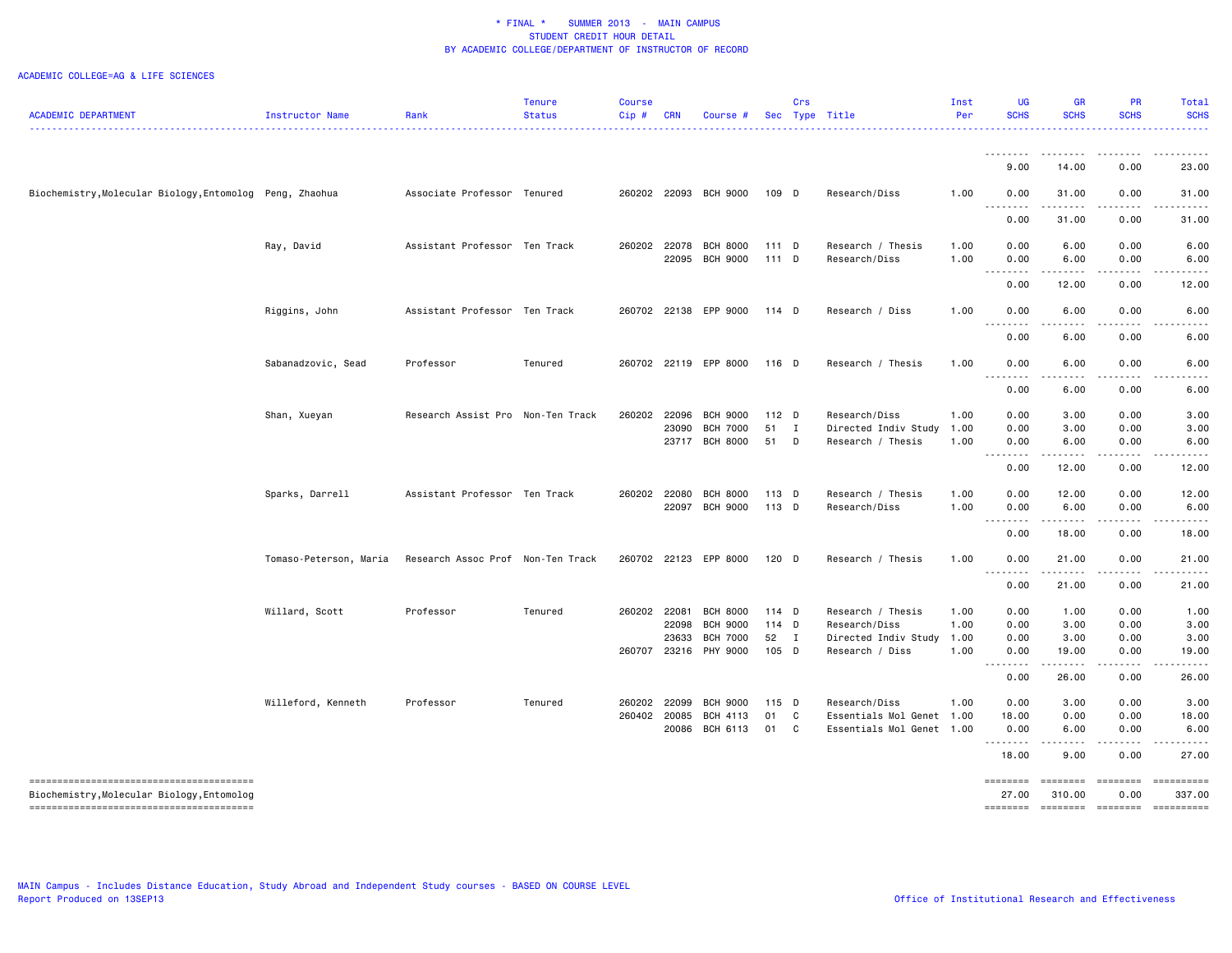|                                                          |                        |                                   | <b>Tenure</b> | <b>Course</b> |              |                       |         | Crs |                      | Inst | <b>UG</b>        | <b>GR</b>         | <b>PR</b>        | <b>Total</b>               |
|----------------------------------------------------------|------------------------|-----------------------------------|---------------|---------------|--------------|-----------------------|---------|-----|----------------------|------|------------------|-------------------|------------------|----------------------------|
| <b>ACADEMIC DEPARTMENT</b>                               | Instructor Name        | Rank                              | <b>Status</b> | $Cip$ #       | <b>CRN</b>   | Course #              |         |     | Sec Type Title<br>.  | Per  | <b>SCHS</b>      | <b>SCHS</b>       | <b>SCHS</b>      | <b>SCHS</b>                |
|                                                          |                        |                                   |               |               |              |                       |         |     |                      |      |                  |                   |                  |                            |
|                                                          |                        |                                   |               |               |              |                       |         |     |                      |      | <u>.</u><br>9.00 | $\cdots$<br>14.00 | .<br>0.00        | 23.00                      |
| Biochemistry, Molecular Biology, Entomolog Peng, Zhaohua |                        | Associate Professor Tenured       |               |               |              | 260202 22093 BCH 9000 | 109 D   |     | Research/Diss        | 1.00 | 0.00             | 31.00             | 0.00             | 31.00                      |
|                                                          |                        |                                   |               |               |              |                       |         |     |                      |      | .<br>0.00        | .<br>31.00        | <u>.</u><br>0.00 | 31.00                      |
|                                                          | Ray, David             | Assistant Professor Ten Track     |               |               |              | 260202 22078 BCH 8000 | $111$ D |     | Research / Thesis    | 1.00 | 0.00             | 6.00              | 0.00             | 6.00                       |
|                                                          |                        |                                   |               |               |              | 22095 BCH 9000        | $111$ D |     | Research/Diss        | 1.00 | 0.00             | 6.00              | 0.00             | 6.00                       |
|                                                          |                        |                                   |               |               |              |                       |         |     |                      |      | .<br>0.00        | .<br>12.00        | 0.00             | 12.00                      |
|                                                          | Riggins, John          | Assistant Professor Ten Track     |               |               |              | 260702 22138 EPP 9000 | 114 D   |     | Research / Diss      | 1.00 | 0.00             | 6.00              | 0.00             | 6.00                       |
|                                                          |                        |                                   |               |               |              |                       |         |     |                      |      | .<br>0.00        | ----<br>6.00      | 0.00             | 6.00                       |
|                                                          | Sabanadzovic, Sead     | Professor                         | Tenured       |               |              | 260702 22119 EPP 8000 | 116 D   |     | Research / Thesis    | 1.00 | 0.00             | 6.00              | 0.00             | 6.00                       |
|                                                          |                        |                                   |               |               |              |                       |         |     |                      |      | .<br>0.00        | .<br>6.00         | 0.00             | 6.00                       |
|                                                          | Shan, Xueyan           | Research Assist Pro Non-Ten Track |               | 260202        | 22096        | <b>BCH 9000</b>       | $112$ D |     | Research/Diss        | 1.00 | 0.00             | 3.00              | 0.00             | 3.00                       |
|                                                          |                        |                                   |               |               | 23090        | <b>BCH 7000</b>       | 51 I    |     | Directed Indiv Study | 1.00 | 0.00             | 3.00              | 0.00             | 3.00                       |
|                                                          |                        |                                   |               |               |              | 23717 BCH 8000        | 51 D    |     | Research / Thesis    | 1.00 | 0.00             | 6.00              | 0.00             | 6.00                       |
|                                                          |                        |                                   |               |               |              |                       |         |     |                      |      | --------<br>0.00 | 12.00             | 0.00             | 12.00                      |
|                                                          | Sparks, Darrell        | Assistant Professor Ten Track     |               |               | 260202 22080 | <b>BCH 8000</b>       | 113 D   |     | Research / Thesis    | 1.00 | 0.00             | 12.00             | 0.00             | 12.00                      |
|                                                          |                        |                                   |               |               | 22097        | <b>BCH 9000</b>       | 113 D   |     | Research/Diss        | 1.00 | 0.00<br>.        | 6.00<br>د د د د د | 0.00<br>.        | 6.00<br>. <u>.</u>         |
|                                                          |                        |                                   |               |               |              |                       |         |     |                      |      | 0.00             | 18.00             | 0.00             | 18.00                      |
|                                                          | Tomaso-Peterson, Maria | Research Assoc Prof Non-Ten Track |               |               |              | 260702 22123 EPP 8000 | 120 D   |     | Research / Thesis    | 1.00 | 0.00             | 21.00             | 0.00             | 21.00                      |
|                                                          |                        |                                   |               |               |              |                       |         |     |                      |      | .<br>0.00        | .<br>21.00        | 0.00             | 21.00                      |
|                                                          | Willard, Scott         | Professor                         | Tenured       |               | 260202 22081 | <b>BCH 8000</b>       | 114 D   |     | Research / Thesis    | 1.00 | 0.00             | 1.00              | 0.00             | 1.00                       |
|                                                          |                        |                                   |               |               | 22098        | <b>BCH 9000</b>       | $114$ D |     | Research/Diss        | 1.00 | 0.00             | 3.00              | 0.00             | 3.00                       |
|                                                          |                        |                                   |               |               | 23633        | <b>BCH 7000</b>       | 52 I    |     | Directed Indiv Study | 1.00 | 0.00             | 3.00              | 0.00             | 3.00                       |
|                                                          |                        |                                   |               |               |              | 260707 23216 PHY 9000 | 105 D   |     | Research / Diss      | 1.00 | 0.00<br>.        | 19.00<br>.        | 0.00<br>.        | 19.00<br>. <u>.</u>        |
|                                                          |                        |                                   |               |               |              |                       |         |     |                      |      | 0.00             | 26.00             | 0.00             | 26.00                      |
|                                                          | Willeford, Kenneth     | Professor                         | Tenured       | 260202        | 22099        | <b>BCH 9000</b>       | 115 D   |     | Research/Diss        | 1.00 | 0.00             | 3.00              | 0.00             | 3.00                       |
|                                                          |                        |                                   |               | 260402        | 20085        | BCH 4113              | 01      | C   | Essentials Mol Genet | 1.00 | 18.00            | 0.00              | 0.00             | 18.00                      |
|                                                          |                        |                                   |               |               | 20086        | BCH 6113              | 01      | C   | Essentials Mol Genet | 1.00 | 0.00<br>.        | 6.00<br>$- - - -$ | 0.00             | 6.00                       |
|                                                          |                        |                                   |               |               |              |                       |         |     |                      |      | 18.00            | 9.00              | 0.00             | 27,00                      |
| --------------------------------------                   |                        |                                   |               |               |              |                       |         |     |                      |      | ========         | ========          | ========         | -==========                |
| Biochemistry, Molecular Biology, Entomolog               |                        |                                   |               |               |              |                       |         |     |                      |      | 27.00            | 310.00            | 0.00             | 337.00                     |
|                                                          |                        |                                   |               |               |              |                       |         |     |                      |      |                  |                   |                  | -------- ------- --------- |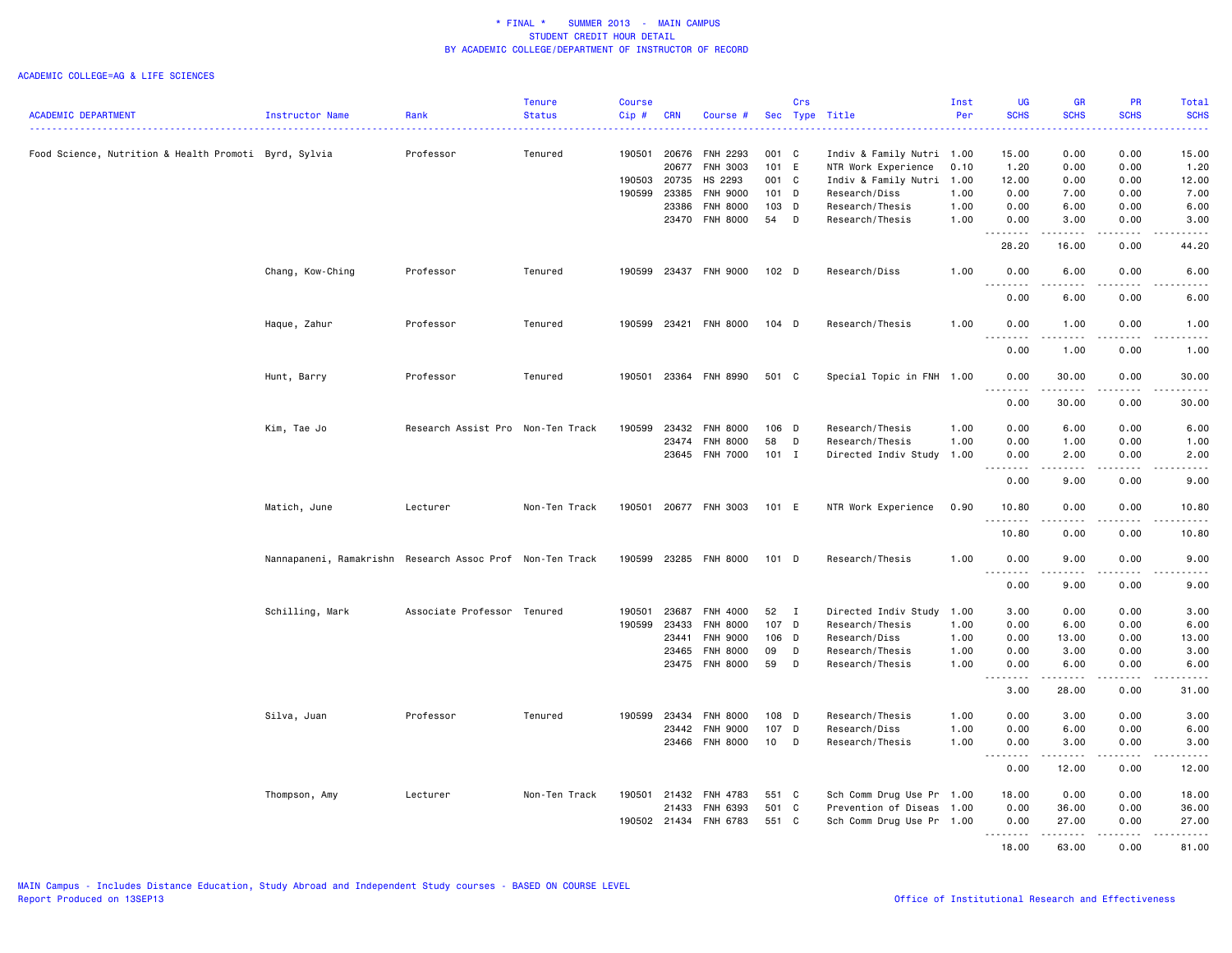|                                                       |                                                           |                             | <b>Tenure</b> | <b>Course</b> |                |                 |                  | Crs          |                           | Inst | <b>UG</b>                                                                                                                         | <b>GR</b>                                                                                                                                                                                                                                                                                                                            | PR                    | Total                     |
|-------------------------------------------------------|-----------------------------------------------------------|-----------------------------|---------------|---------------|----------------|-----------------|------------------|--------------|---------------------------|------|-----------------------------------------------------------------------------------------------------------------------------------|--------------------------------------------------------------------------------------------------------------------------------------------------------------------------------------------------------------------------------------------------------------------------------------------------------------------------------------|-----------------------|---------------------------|
| <b>ACADEMIC DEPARTMENT</b>                            | Instructor Name                                           | Rank                        | <b>Status</b> | Cip#          | <b>CRN</b>     | Course #        |                  |              | Sec Type Title            | Per  | <b>SCHS</b>                                                                                                                       | <b>SCHS</b>                                                                                                                                                                                                                                                                                                                          | <b>SCHS</b>           | <b>SCHS</b><br>ا کا کا کا |
| Food Science, Nutrition & Health Promoti Byrd, Sylvia |                                                           | Professor                   | Tenured       | 190501        | 20676          | <b>FNH 2293</b> | 001 C            |              | Indiv & Family Nutri 1.00 |      | 15.00                                                                                                                             | 0.00                                                                                                                                                                                                                                                                                                                                 | 0.00                  | 15.00                     |
|                                                       |                                                           |                             |               |               | 20677          | FNH 3003        | 101 E            |              | NTR Work Experience       | 0.10 | 1.20                                                                                                                              | 0.00                                                                                                                                                                                                                                                                                                                                 | 0.00                  | 1.20                      |
|                                                       |                                                           |                             |               | 190503        | 20735          | HS 2293         | 001 C            |              | Indiv & Family Nutri 1.00 |      | 12.00                                                                                                                             | 0.00                                                                                                                                                                                                                                                                                                                                 | 0.00                  | 12.00                     |
|                                                       |                                                           |                             |               | 190599        | 23385          | <b>FNH 9000</b> | $101$ D          |              | Research/Diss             | 1.00 | 0.00                                                                                                                              | 7.00                                                                                                                                                                                                                                                                                                                                 | 0.00                  | 7.00                      |
|                                                       |                                                           |                             |               |               |                |                 | 103 D            |              |                           |      |                                                                                                                                   |                                                                                                                                                                                                                                                                                                                                      |                       |                           |
|                                                       |                                                           |                             |               |               | 23386          | FNH 8000        |                  |              | Research/Thesis           | 1.00 | 0.00                                                                                                                              | 6.00                                                                                                                                                                                                                                                                                                                                 | 0.00                  | 6.00                      |
|                                                       |                                                           |                             |               |               |                | 23470 FNH 8000  | 54               | D            | Research/Thesis           | 1.00 | 0.00<br>.                                                                                                                         | 3.00<br>.                                                                                                                                                                                                                                                                                                                            | 0.00<br>.             | 3.00<br>.                 |
|                                                       |                                                           |                             |               |               |                |                 |                  |              |                           |      | 28.20                                                                                                                             | 16.00                                                                                                                                                                                                                                                                                                                                | 0.00                  | 44.20                     |
|                                                       | Chang, Kow-Ching                                          | Professor                   | Tenured       | 190599        |                | 23437 FNH 9000  | 102 <sub>D</sub> |              | Research/Diss             | 1.00 | 0.00<br>$\frac{1}{2} \left( \frac{1}{2} \right) \left( \frac{1}{2} \right) \left( \frac{1}{2} \right) \left( \frac{1}{2} \right)$ | 6.00                                                                                                                                                                                                                                                                                                                                 | 0.00<br>. <b>.</b> .  | 6.00<br>.                 |
|                                                       |                                                           |                             |               |               |                |                 |                  |              |                           |      | 0.00                                                                                                                              | 6.00                                                                                                                                                                                                                                                                                                                                 | 0.00                  | 6.00                      |
|                                                       | Haque, Zahur                                              | Professor                   | Tenured       | 190599        | 23421          | <b>FNH 8000</b> | $104$ D          |              | Research/Thesis           | 1.00 | 0.00<br>.                                                                                                                         | 1.00<br>.                                                                                                                                                                                                                                                                                                                            | 0.00<br>.             | 1.00<br>22222             |
|                                                       |                                                           |                             |               |               |                |                 |                  |              |                           |      | 0.00                                                                                                                              | 1.00                                                                                                                                                                                                                                                                                                                                 | 0.00                  | 1.00                      |
|                                                       | Hunt, Barry                                               | Professor                   | Tenured       | 190501        | 23364          | <b>FNH 8990</b> | 501 C            |              | Special Topic in FNH 1.00 |      | 0.00<br>. <b>.</b>                                                                                                                | 30.00<br>.                                                                                                                                                                                                                                                                                                                           | 0.00<br>$\frac{1}{2}$ | 30.00<br>.                |
|                                                       |                                                           |                             |               |               |                |                 |                  |              |                           |      | 0.00                                                                                                                              | 30.00                                                                                                                                                                                                                                                                                                                                | 0.00                  | 30.00                     |
|                                                       | Kim, Tae Jo                                               | Research Assist Pro         | Non-Ten Track | 190599        | 23432          | <b>FNH 8000</b> | 106 D            |              | Research/Thesis           | 1.00 | 0.00                                                                                                                              | 6.00                                                                                                                                                                                                                                                                                                                                 | 0.00                  | 6.00                      |
|                                                       |                                                           |                             |               |               |                | FNH 8000        | 58               |              | Research/Thesis           |      | 0.00                                                                                                                              |                                                                                                                                                                                                                                                                                                                                      | 0.00                  |                           |
|                                                       |                                                           |                             |               |               | 23474<br>23645 | <b>FNH 7000</b> | $101$ I          | D            |                           | 1.00 | 0.00                                                                                                                              | 1.00<br>2.00                                                                                                                                                                                                                                                                                                                         | 0.00                  | 1.00<br>2.00              |
|                                                       |                                                           |                             |               |               |                |                 |                  |              | Directed Indiv Study 1.00 |      | .<br>$\sim$ $\sim$ $\sim$                                                                                                         | $\frac{1}{2} \left( \begin{array}{ccc} 1 & 0 & 0 & 0 \\ 0 & 0 & 0 & 0 \\ 0 & 0 & 0 & 0 \\ 0 & 0 & 0 & 0 \\ 0 & 0 & 0 & 0 \\ 0 & 0 & 0 & 0 \\ 0 & 0 & 0 & 0 \\ 0 & 0 & 0 & 0 \\ 0 & 0 & 0 & 0 \\ 0 & 0 & 0 & 0 \\ 0 & 0 & 0 & 0 & 0 \\ 0 & 0 & 0 & 0 & 0 \\ 0 & 0 & 0 & 0 & 0 \\ 0 & 0 & 0 & 0 & 0 \\ 0 & 0 & 0 & 0 & 0 \\ 0 & 0 & 0$ | .                     | -----                     |
|                                                       |                                                           |                             |               |               |                |                 |                  |              |                           |      | 0.00                                                                                                                              | 9.00                                                                                                                                                                                                                                                                                                                                 | 0.00                  | 9.00                      |
|                                                       | Matich, June                                              | Lecturer                    | Non-Ten Track | 190501        |                | 20677 FNH 3003  | 101 E            |              | NTR Work Experience       | 0.90 | 10.80<br>.                                                                                                                        | 0.00<br>-----                                                                                                                                                                                                                                                                                                                        | 0.00<br>.             | 10.80<br>.                |
|                                                       |                                                           |                             |               |               |                |                 |                  |              |                           |      | 10.80                                                                                                                             | 0.00                                                                                                                                                                                                                                                                                                                                 | 0.00                  | 10.80                     |
|                                                       | Nannapaneni, Ramakrishn Research Assoc Prof Non-Ten Track |                             |               | 190599        | 23285          | <b>FNH 8000</b> | $101$ D          |              | Research/Thesis           | 1.00 | 0.00<br>$\sim$ $\sim$ $\sim$<br>.                                                                                                 | 9.00                                                                                                                                                                                                                                                                                                                                 | 0.00                  | 9.00<br>.                 |
|                                                       |                                                           |                             |               |               |                |                 |                  |              |                           |      | 0.00                                                                                                                              | 9.00                                                                                                                                                                                                                                                                                                                                 | 0.00                  | 9.00                      |
|                                                       | Schilling, Mark                                           | Associate Professor Tenured |               | 190501        | 23687          | FNH 4000        | 52               | $\mathbf{I}$ | Directed Indiv Study 1.00 |      | 3.00                                                                                                                              | 0.00                                                                                                                                                                                                                                                                                                                                 | 0.00                  | 3.00                      |
|                                                       |                                                           |                             |               | 190599        | 23433          | <b>FNH 8000</b> | 107 D            |              | Research/Thesis           | 1.00 | 0.00                                                                                                                              | 6.00                                                                                                                                                                                                                                                                                                                                 | 0.00                  | 6.00                      |
|                                                       |                                                           |                             |               |               | 23441          | <b>FNH 9000</b> | 106 D            |              | Research/Diss             | 1.00 | 0.00                                                                                                                              | 13.00                                                                                                                                                                                                                                                                                                                                | 0.00                  | 13.00                     |
|                                                       |                                                           |                             |               |               | 23465          | FNH 8000        | 09               | D            | Research/Thesis           | 1.00 | 0.00                                                                                                                              | 3.00                                                                                                                                                                                                                                                                                                                                 | 0.00                  | 3.00                      |
|                                                       |                                                           |                             |               |               | 23475          | <b>FNH 8000</b> | 59               | D            | Research/Thesis           | 1.00 | 0.00                                                                                                                              | 6.00                                                                                                                                                                                                                                                                                                                                 | 0.00                  | 6.00<br><u>.</u>          |
|                                                       |                                                           |                             |               |               |                |                 |                  |              |                           |      | .<br>3.00                                                                                                                         | $- - - - -$<br>28.00                                                                                                                                                                                                                                                                                                                 | $\frac{1}{2}$<br>0.00 | 31.00                     |
|                                                       | Silva, Juan                                               | Professor                   | Tenured       | 190599 23434  |                | <b>FNH 8000</b> | 108 D            |              | Research/Thesis           | 1.00 | 0.00                                                                                                                              | 3.00                                                                                                                                                                                                                                                                                                                                 | 0.00                  | 3.00                      |
|                                                       |                                                           |                             |               |               | 23442          | FNH 9000        | 107              | D            | Research/Diss             | 1.00 | 0.00                                                                                                                              | 6.00                                                                                                                                                                                                                                                                                                                                 | 0.00                  | 6.00                      |
|                                                       |                                                           |                             |               |               | 23466          | <b>FNH 8000</b> | 10               | D            | Research/Thesis           | 1.00 | 0.00<br>.                                                                                                                         | 3.00<br>د د د د د                                                                                                                                                                                                                                                                                                                    | 0.00<br>.             | 3.00<br>.                 |
|                                                       |                                                           |                             |               |               |                |                 |                  |              |                           |      | 0.00                                                                                                                              | 12.00                                                                                                                                                                                                                                                                                                                                | 0.00                  | 12.00                     |
|                                                       | Thompson, Amy                                             | Lecturer                    | Non-Ten Track | 190501 21432  |                | FNH 4783        | 551 C            |              | Sch Comm Drug Use Pr 1.00 |      | 18.00                                                                                                                             | 0.00                                                                                                                                                                                                                                                                                                                                 | 0.00                  | 18.00                     |
|                                                       |                                                           |                             |               |               | 21433          | FNH 6393        | 501 C            |              | Prevention of Diseas 1.00 |      | 0.00                                                                                                                              | 36.00                                                                                                                                                                                                                                                                                                                                | 0.00                  | 36.00                     |
|                                                       |                                                           |                             |               | 190502 21434  |                | FNH 6783        | 551 C            |              | Sch Comm Drug Use Pr 1.00 |      | 0.00                                                                                                                              | 27.00                                                                                                                                                                                                                                                                                                                                | 0.00                  | 27.00                     |
|                                                       |                                                           |                             |               |               |                |                 |                  |              |                           |      | .<br>18,00                                                                                                                        | 63.00                                                                                                                                                                                                                                                                                                                                | ----<br>0.00          | ه د د د د<br>81.00        |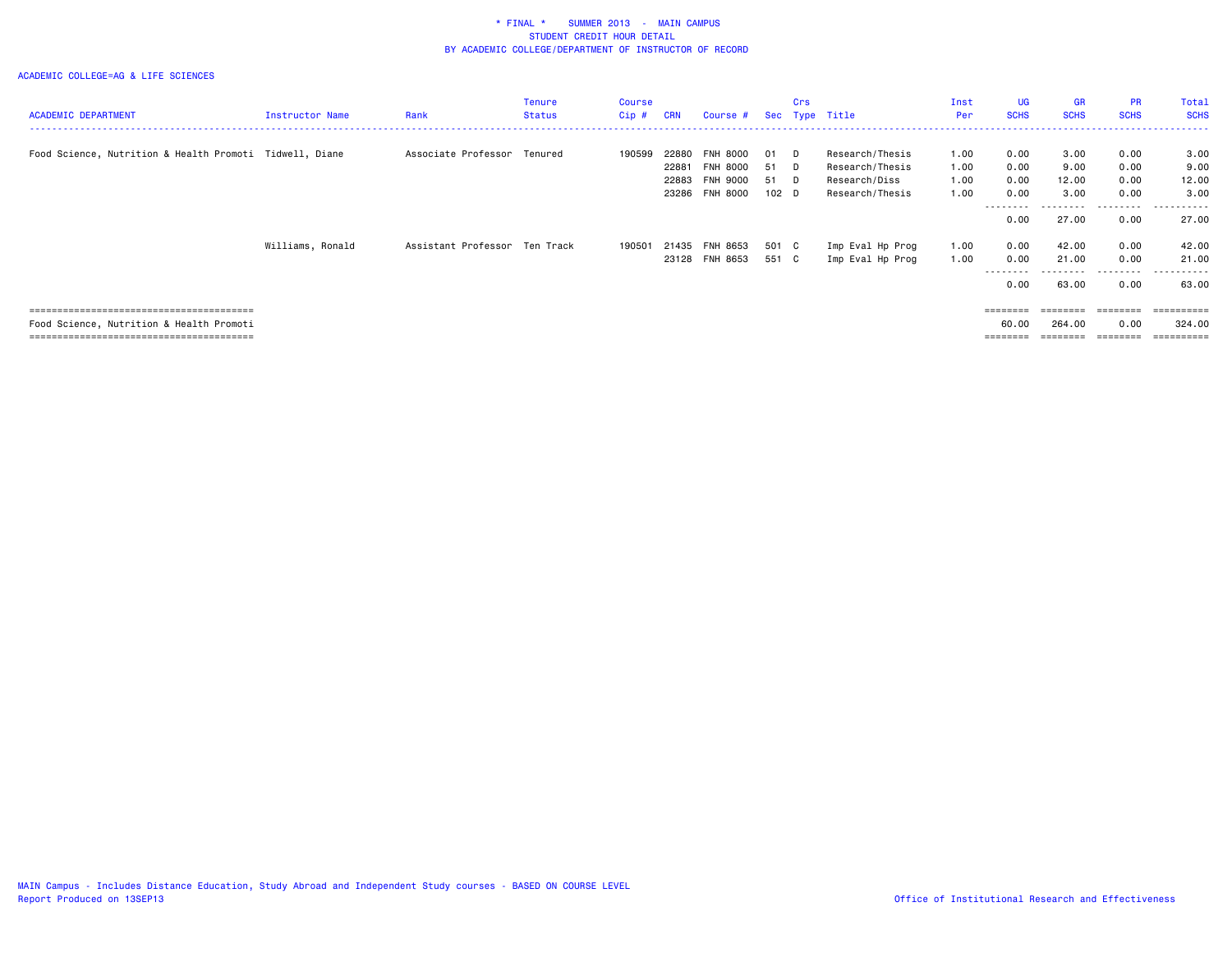|                                                         |                        |                               | Tenure        | Course  |            |                 |                  | Crs |                  | Inst       | <b>UG</b>         | <b>GR</b>   | <b>PR</b>         | Total               |
|---------------------------------------------------------|------------------------|-------------------------------|---------------|---------|------------|-----------------|------------------|-----|------------------|------------|-------------------|-------------|-------------------|---------------------|
| <b>ACADEMIC DEPARTMENT</b>                              | <b>Instructor Name</b> | Rank                          | <b>Status</b> | $Cip$ # | <b>CRN</b> | Course #        |                  |     | Sec Type Title   | <b>Per</b> | <b>SCHS</b>       | <b>SCHS</b> | <b>SCHS</b>       | <b>SCHS</b>         |
|                                                         |                        |                               |               |         |            |                 |                  |     |                  |            |                   |             |                   |                     |
| Food Science, Nutrition & Health Promoti Tidwell, Diane |                        | Associate Professor Tenured   |               | 190599  | 22880      | <b>FNH 8000</b> | 01               | D.  | Research/Thesis  | 1.00       | 0.00              | 3.00        | 0.00              | 3.00                |
|                                                         |                        |                               |               |         | 22881      | <b>FNH 8000</b> | 51               | D.  | Research/Thesis  | 1.00       | 0.00              | 9.00        | 0.00              | 9.00                |
|                                                         |                        |                               |               |         | 22883      | FNH 9000        | 51 D             |     | Research/Diss    | 1.00       | 0.00              | 12.00       | 0.00              | 12.00               |
|                                                         |                        |                               |               |         |            | 23286 FNH 8000  | 102 <sub>D</sub> |     | Research/Thesis  | 1.00       | 0.00              | 3.00        | 0.00              | 3.00                |
|                                                         |                        |                               |               |         |            |                 |                  |     |                  |            | --------<br>0.00  | 27.00       | ---------<br>0.00 | ----------<br>27.00 |
|                                                         | Williams, Ronald       | Assistant Professor Ten Track |               | 190501  | 21435      | FNH 8653        | 501 C            |     | Imp Eval Hp Prog | 1.00       | 0.00              | 42.00       | 0.00              | 42.00               |
|                                                         |                        |                               |               |         |            | 23128 FNH 8653  | 551 C            |     | Imp Eval Hp Prog | 1.00       | 0.00              | 21.00       | 0.00              | 21.00               |
|                                                         |                        |                               |               |         |            |                 |                  |     |                  |            | .<br>0.00         | .<br>63.00  | .<br>0.00         | .<br>63.00          |
|                                                         |                        |                               |               |         |            |                 |                  |     |                  |            | $=$ = = = = = = = | ========    | ========          | ==========          |
| Food Science, Nutrition & Health Promoti                |                        |                               |               |         |            |                 |                  |     |                  |            | 60.00             | 264.00      | 0.00              | 324.00              |
|                                                         |                        |                               |               |         |            |                 |                  |     |                  |            |                   |             |                   | =========           |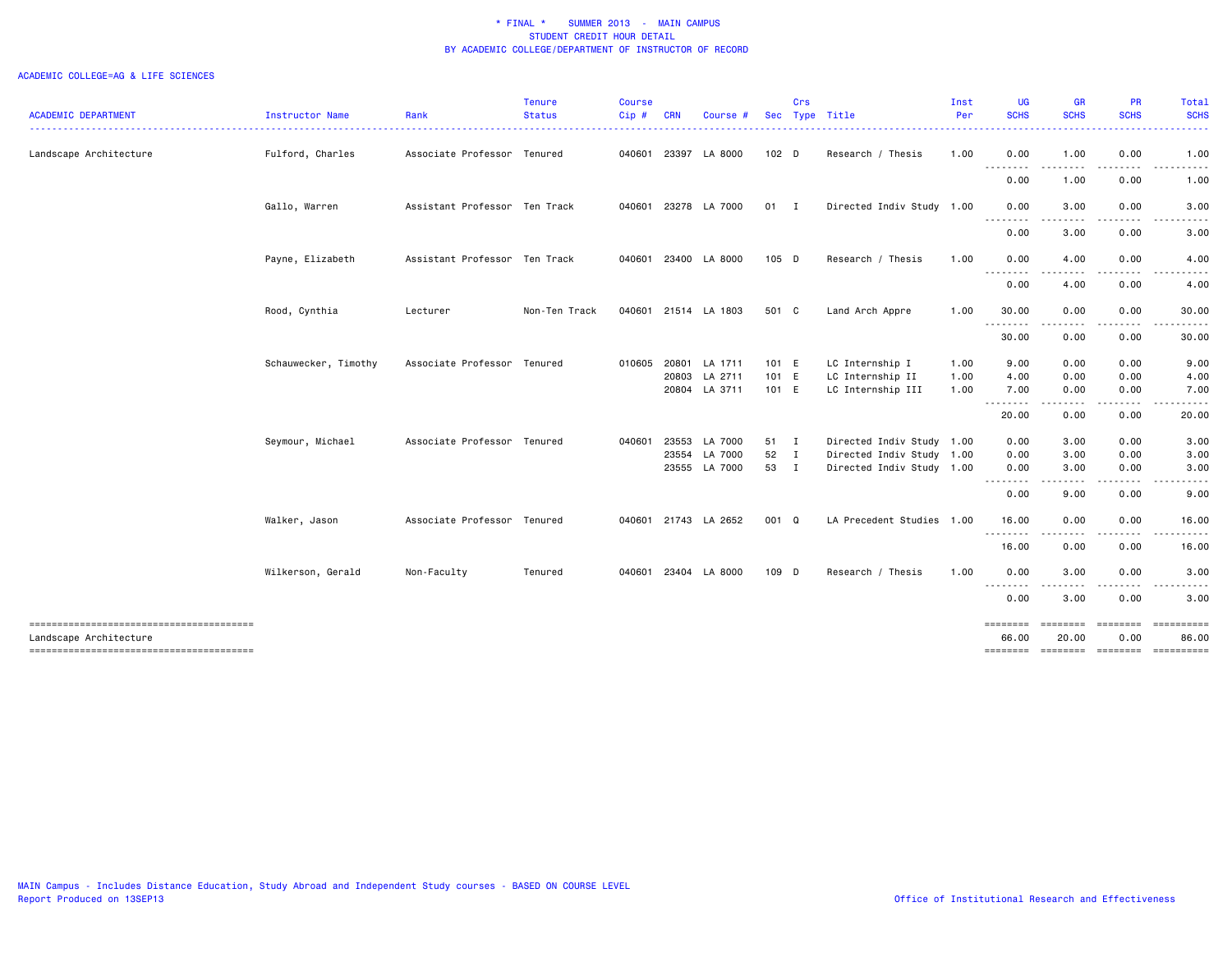|                                                                  |                      |                               | <b>Tenure</b> | Course |            |               |                  | Crs |                           | Inst | <b>UG</b>         | <b>GR</b>                                                                                                                                                    | PR                    | Total                                                                                                                                                        |
|------------------------------------------------------------------|----------------------|-------------------------------|---------------|--------|------------|---------------|------------------|-----|---------------------------|------|-------------------|--------------------------------------------------------------------------------------------------------------------------------------------------------------|-----------------------|--------------------------------------------------------------------------------------------------------------------------------------------------------------|
| <b>ACADEMIC DEPARTMENT</b>                                       | Instructor Name      | Rank                          | <b>Status</b> | Cip#   | <b>CRN</b> | <b>Course</b> |                  |     | Sec Type Title            | Per  | <b>SCHS</b>       | <b>SCHS</b>                                                                                                                                                  | <b>SCHS</b>           | <b>SCHS</b><br><b><i><u><u>.</u></u></i></b>                                                                                                                 |
| Landscape Architecture                                           | Fulford, Charles     | Associate Professor Tenured   |               | 040601 | 23397      | LA 8000       | 102 <sub>D</sub> |     | Research / Thesis         | 1.00 | 0.00              | 1.00                                                                                                                                                         | 0.00                  | 1.00                                                                                                                                                         |
|                                                                  |                      |                               |               |        |            |               |                  |     |                           |      | .<br>0.00         | .<br>1.00                                                                                                                                                    | 0.00                  | 1.00                                                                                                                                                         |
|                                                                  | Gallo, Warren        | Assistant Professor Ten Track |               | 040601 |            | 23278 LA 7000 | $01$ I           |     | Directed Indiv Study 1.00 |      | 0.00              | 3.00                                                                                                                                                         | 0.00                  | 3.00                                                                                                                                                         |
|                                                                  |                      |                               |               |        |            |               |                  |     |                           |      | .<br>0.00         | $- - -$<br>3.00                                                                                                                                              | 0.00                  | 3.00                                                                                                                                                         |
|                                                                  | Payne, Elizabeth     | Assistant Professor Ten Track |               | 040601 |            | 23400 LA 8000 | 105 D            |     | Research / Thesis         | 1.00 | 0.00<br>.         | 4.00                                                                                                                                                         | 0.00                  | 4.00                                                                                                                                                         |
|                                                                  |                      |                               |               |        |            |               |                  |     |                           |      | 0.00              | 4.00                                                                                                                                                         | 0.00                  | 4.00                                                                                                                                                         |
|                                                                  | Rood, Cynthia        | Lecturer                      | Non-Ten Track | 040601 |            | 21514 LA 1803 | 501 C            |     | Land Arch Appre           | 1.00 | 30.00<br>-------- | 0.00<br>$\frac{1}{2} \left( \frac{1}{2} \right) \left( \frac{1}{2} \right) \left( \frac{1}{2} \right) \left( \frac{1}{2} \right) \left( \frac{1}{2} \right)$ | 0.00<br>$\frac{1}{2}$ | 30.00<br>.                                                                                                                                                   |
|                                                                  |                      |                               |               |        |            |               |                  |     |                           |      | 30.00             | 0.00                                                                                                                                                         | 0.00                  | 30.00                                                                                                                                                        |
|                                                                  | Schauwecker, Timothy | Associate Professor Tenured   |               | 010605 |            | 20801 LA 1711 | 101 E            |     | LC Internship I           | 1.00 | 9.00              | 0.00                                                                                                                                                         | 0.00                  | 9.00                                                                                                                                                         |
|                                                                  |                      |                               |               |        |            | 20803 LA 2711 | 101 E            |     | LC Internship II          | 1.00 | 4.00              | 0.00                                                                                                                                                         | 0.00                  | 4.00                                                                                                                                                         |
|                                                                  |                      |                               |               |        |            | 20804 LA 3711 | 101 E            |     | LC Internship III         | 1.00 | 7.00<br>.         | 0.00<br>$\frac{1}{2} \left( \frac{1}{2} \right) \left( \frac{1}{2} \right) \left( \frac{1}{2} \right) \left( \frac{1}{2} \right) \left( \frac{1}{2} \right)$ | 0.00<br>.             | 7.00<br>$\frac{1}{2} \left( \frac{1}{2} \right) \left( \frac{1}{2} \right) \left( \frac{1}{2} \right) \left( \frac{1}{2} \right) \left( \frac{1}{2} \right)$ |
|                                                                  |                      |                               |               |        |            |               |                  |     |                           |      | 20.00             | 0.00                                                                                                                                                         | 0.00                  | 20.00                                                                                                                                                        |
|                                                                  | Seymour, Michael     | Associate Professor Tenured   |               | 040601 | 23553      | LA 7000       | 51 I             |     | Directed Indiv Study 1.00 |      | 0.00              | 3.00                                                                                                                                                         | 0.00                  | 3.00                                                                                                                                                         |
|                                                                  |                      |                               |               |        |            | 23554 LA 7000 | 52 I             |     | Directed Indiv Study 1.00 |      | 0.00              | 3.00                                                                                                                                                         | 0.00                  | 3.00                                                                                                                                                         |
|                                                                  |                      |                               |               |        |            | 23555 LA 7000 | 53 I             |     | Directed Indiv Study 1.00 |      | 0.00<br>.         | 3.00                                                                                                                                                         | 0.00                  | 3.00                                                                                                                                                         |
|                                                                  |                      |                               |               |        |            |               |                  |     |                           |      | 0.00              | 9.00                                                                                                                                                         | 0.00                  | 9.00                                                                                                                                                         |
|                                                                  | Walker, Jason        | Associate Professor Tenured   |               | 040601 |            | 21743 LA 2652 | 001 Q            |     | LA Precedent Studies 1.00 |      | 16.00<br>.        | 0.00<br>.                                                                                                                                                    | 0.00                  | 16.00                                                                                                                                                        |
|                                                                  |                      |                               |               |        |            |               |                  |     |                           |      | 16.00             | 0.00                                                                                                                                                         | 0.00                  | 16.00                                                                                                                                                        |
|                                                                  | Wilkerson, Gerald    | Non-Faculty                   | Tenured       | 040601 |            | 23404 LA 8000 | 109 D            |     | Research / Thesis         | 1.00 | 0.00<br>.         | 3.00                                                                                                                                                         | 0.00                  | 3.00                                                                                                                                                         |
|                                                                  |                      |                               |               |        |            |               |                  |     |                           |      | 0.00              | 3.00                                                                                                                                                         | 0.00                  | 3.00                                                                                                                                                         |
| --------------------------------------<br>Landscape Architecture |                      |                               |               |        |            |               |                  |     |                           |      | ========<br>66.00 | 20.00                                                                                                                                                        | ========<br>0.00      | ==========<br>86.00                                                                                                                                          |
| --------------------------------------                           |                      |                               |               |        |            |               |                  |     |                           |      | ========          |                                                                                                                                                              |                       | ======== ======== =========                                                                                                                                  |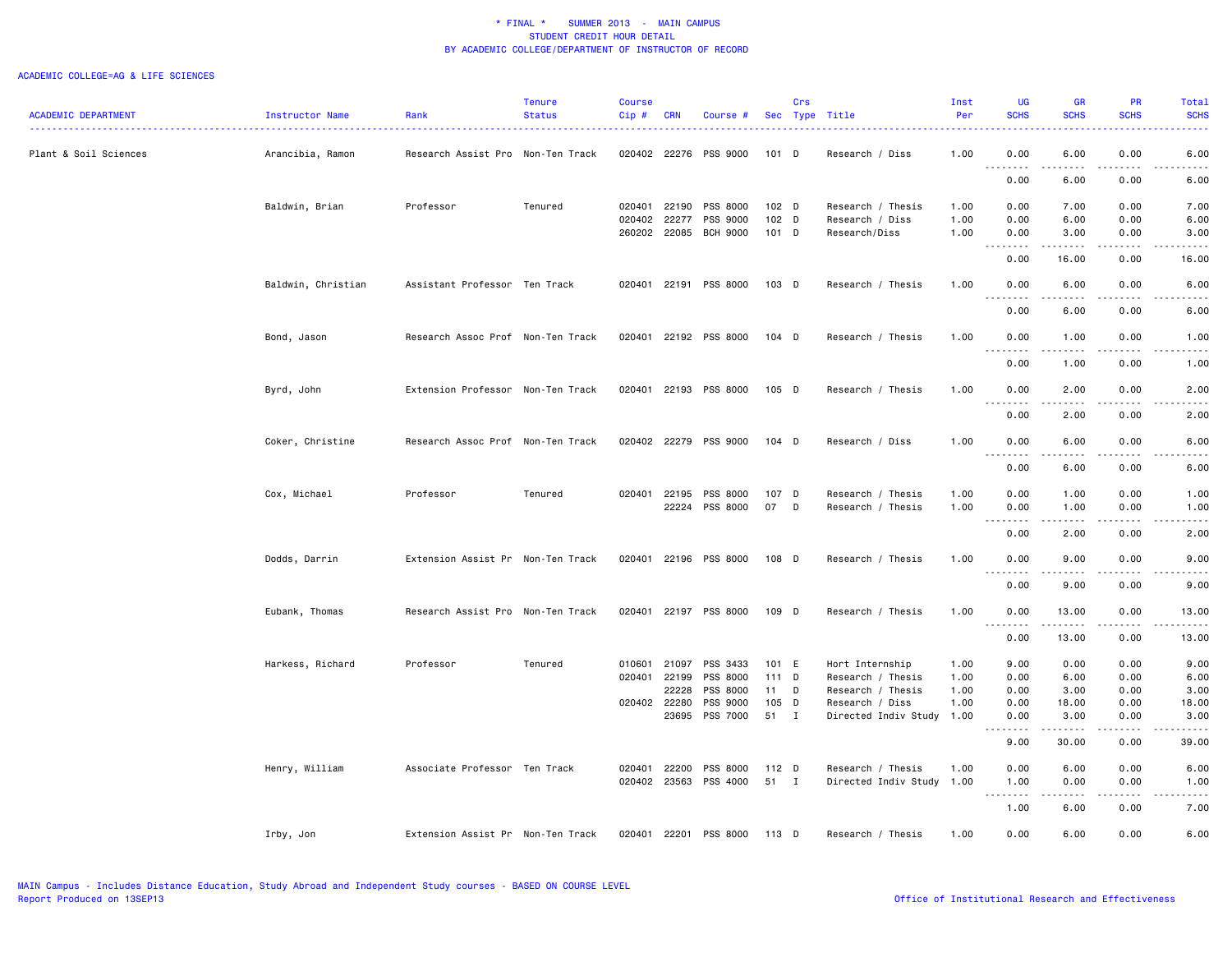|                            |                    |                                   | <b>Tenure</b> | <b>Course</b>    |                |                             |                | Crs |                                  | Inst         | UG              | <b>GR</b>                                                                                                                                                     | PR            | Total                                                                                                                             |
|----------------------------|--------------------|-----------------------------------|---------------|------------------|----------------|-----------------------------|----------------|-----|----------------------------------|--------------|-----------------|---------------------------------------------------------------------------------------------------------------------------------------------------------------|---------------|-----------------------------------------------------------------------------------------------------------------------------------|
| <b>ACADEMIC DEPARTMENT</b> | Instructor Name    | Rank                              | <b>Status</b> | Cip#             | <b>CRN</b>     | Course #                    |                |     | Sec Type Title                   | Per          | <b>SCHS</b>     | <b>SCHS</b>                                                                                                                                                   | <b>SCHS</b>   | <b>SCHS</b>                                                                                                                       |
| Plant & Soil Sciences      | Arancibia, Ramon   | Research Assist Pro Non-Ten Track |               |                  | 020402 22276   | PSS 9000                    | $101$ D        |     | Research / Diss                  | 1.00         | 0.00            | 6.00                                                                                                                                                          | 0.00          | 6.00                                                                                                                              |
|                            |                    |                                   |               |                  |                |                             |                |     |                                  |              | .<br>0.00       | 6.00                                                                                                                                                          | 0.00          | 6.00                                                                                                                              |
|                            |                    |                                   |               |                  |                |                             |                |     |                                  |              |                 |                                                                                                                                                               |               |                                                                                                                                   |
|                            | Baldwin, Brian     | Professor                         | Tenured       | 020401           | 22190          | PSS 8000                    | 102 D          |     | Research / Thesis                | 1.00         | 0.00            | 7.00                                                                                                                                                          | 0.00          | 7.00                                                                                                                              |
|                            |                    |                                   |               | 020402<br>260202 | 22277<br>22085 | PSS 9000<br><b>BCH 9000</b> | 102 D<br>101 D |     | Research / Diss<br>Research/Diss | 1.00<br>1.00 | 0.00<br>0.00    | 6.00<br>3.00                                                                                                                                                  | 0.00<br>0.00  | 6.00<br>3.00                                                                                                                      |
|                            |                    |                                   |               |                  |                |                             |                |     |                                  |              | .               | $\frac{1}{2} \left( \frac{1}{2} \right) \left( \frac{1}{2} \right) \left( \frac{1}{2} \right) \left( \frac{1}{2} \right) \left( \frac{1}{2} \right)$          |               |                                                                                                                                   |
|                            |                    |                                   |               |                  |                |                             |                |     |                                  |              | 0.00            | 16.00                                                                                                                                                         | 0.00          | 16.00                                                                                                                             |
|                            | Baldwin, Christian | Assistant Professor Ten Track     |               | 020401           | 22191          | PSS 8000                    | 103 D          |     | Research / Thesis                | 1.00         | 0.00            | 6.00                                                                                                                                                          | 0.00          | 6.00                                                                                                                              |
|                            |                    |                                   |               |                  |                |                             |                |     |                                  |              | 0.00            | 6.00                                                                                                                                                          | 0.00          | 6.00                                                                                                                              |
|                            | Bond, Jason        | Research Assoc Prof Non-Ten Track |               | 020401           |                | 22192 PSS 8000              | $104$ D        |     | Research / Thesis                | 1.00         | 0.00            | 1.00<br>.                                                                                                                                                     | 0.00          | 1.00                                                                                                                              |
|                            |                    |                                   |               |                  |                |                             |                |     |                                  |              | 0.00            | 1.00                                                                                                                                                          | 0.00          | 1.00                                                                                                                              |
|                            | Byrd, John         | Extension Professor Non-Ten Track |               |                  |                | 020401 22193 PSS 8000       | 105 D          |     | Research / Thesis                | 1.00         | 0.00            | 2.00                                                                                                                                                          | 0.00          | 2.00                                                                                                                              |
|                            |                    |                                   |               |                  |                |                             |                |     |                                  |              | -----<br>0.00   | المتماما<br>2.00                                                                                                                                              | .<br>0.00     | 2.00                                                                                                                              |
|                            | Coker, Christine   | Research Assoc Prof Non-Ten Track |               | 020402           | 22279          | PSS 9000                    | $104$ D        |     | Research / Diss                  | 1.00         | 0.00            | 6.00                                                                                                                                                          | 0.00          | 6.00                                                                                                                              |
|                            |                    |                                   |               |                  |                |                             |                |     |                                  |              | د د د د<br>0.00 | 6.00                                                                                                                                                          | 0.00          | 6.00                                                                                                                              |
|                            | Cox, Michael       | Professor                         | Tenured       | 020401           | 22195          | PSS 8000                    | 107 D          |     | Research / Thesis                | 1.00         | 0.00            | 1.00                                                                                                                                                          | 0.00          | 1.00                                                                                                                              |
|                            |                    |                                   |               |                  | 22224          | PSS 8000                    | 07 D           |     | Research / Thesis                | 1.00         | 0.00            | 1.00                                                                                                                                                          | 0.00          | 1.00                                                                                                                              |
|                            |                    |                                   |               |                  |                |                             |                |     |                                  |              | .<br>0.00       | $\frac{1}{2} \left( \frac{1}{2} \right) \left( \frac{1}{2} \right) \left( \frac{1}{2} \right) \left( \frac{1}{2} \right)$<br>2.00                             | .<br>0.00     | $\frac{1}{2} \left( \frac{1}{2} \right) \left( \frac{1}{2} \right) \left( \frac{1}{2} \right) \left( \frac{1}{2} \right)$<br>2.00 |
|                            | Dodds, Darrin      | Extension Assist Pr Non-Ten Track |               | 020401           |                | 22196 PSS 8000              | 108 D          |     | Research / Thesis                | 1.00         | 0.00            | 9.00                                                                                                                                                          | 0.00          | 9.00                                                                                                                              |
|                            |                    |                                   |               |                  |                |                             |                |     |                                  |              | 0.00            | .<br>9.00                                                                                                                                                     | -----<br>0.00 | $\sim$ $\sim$ $\sim$ $\sim$<br>9.00                                                                                               |
|                            | Eubank, Thomas     | Research Assist Pro Non-Ten Track |               | 020401           |                | 22197 PSS 8000              | 109 D          |     | Research / Thesis                | 1.00         | 0.00            | 13.00                                                                                                                                                         | 0.00          | 13.00                                                                                                                             |
|                            |                    |                                   |               |                  |                |                             |                |     |                                  |              | .<br>0.00       | 13.00                                                                                                                                                         | 0.00          | 13.00                                                                                                                             |
|                            | Harkess, Richard   | Professor                         | Tenured       | 010601           | 21097          | PSS 3433                    | 101 E          |     | Hort Internship                  | 1.00         | 9.00            | 0.00                                                                                                                                                          | 0.00          | 9.00                                                                                                                              |
|                            |                    |                                   |               | 020401           | 22199          | PSS 8000                    | 111 D          |     | Research / Thesis                | 1.00         | 0.00            | 6.00                                                                                                                                                          | 0.00          | 6.00                                                                                                                              |
|                            |                    |                                   |               |                  | 22228          | PSS 8000                    | $11$ D         |     | Research / Thesis                | 1.00         | 0.00            | 3.00                                                                                                                                                          | 0.00          | 3.00                                                                                                                              |
|                            |                    |                                   |               |                  | 020402 22280   | PSS 9000                    | 105 D          |     | Research / Diss                  | 1.00         | 0.00            | 18.00                                                                                                                                                         | 0.00          | 18.00                                                                                                                             |
|                            |                    |                                   |               |                  | 23695          | PSS 7000                    | 51 I           |     | Directed Indiv Study             | 1.00         | 0.00            | 3.00                                                                                                                                                          | 0.00          | 3.00                                                                                                                              |
|                            |                    |                                   |               |                  |                |                             |                |     |                                  |              | .<br>9.00       | $\frac{1}{2} \left( \frac{1}{2} \right) \left( \frac{1}{2} \right) \left( \frac{1}{2} \right) \left( \frac{1}{2} \right) \left( \frac{1}{2} \right)$<br>30.00 | .<br>0.00     | 39.00                                                                                                                             |
|                            |                    |                                   |               |                  |                |                             |                |     |                                  |              |                 |                                                                                                                                                               |               |                                                                                                                                   |
|                            | Henry, William     | Associate Professor Ten Track     |               | 020401           | 22200          | PSS 8000                    | 112 D          |     | Research / Thesis                | 1.00         | 0.00            | 6.00                                                                                                                                                          | 0.00          | 6.00                                                                                                                              |
|                            |                    |                                   |               |                  |                | 020402 23563 PSS 4000       | 51 I           |     | Directed Indiv Study             | 1.00         | 1.00<br>.       | 0.00<br>.                                                                                                                                                     | 0.00<br>.     | 1.00<br>.                                                                                                                         |
|                            |                    |                                   |               |                  |                |                             |                |     |                                  |              | 1.00            | 6.00                                                                                                                                                          | 0.00          | 7.00                                                                                                                              |
|                            | Irby, Jon          | Extension Assist Pr Non-Ten Track |               | 020401           |                | 22201 PSS 8000              | 113 D          |     | Research / Thesis                | 1.00         | 0.00            | 6.00                                                                                                                                                          | 0.00          | 6.00                                                                                                                              |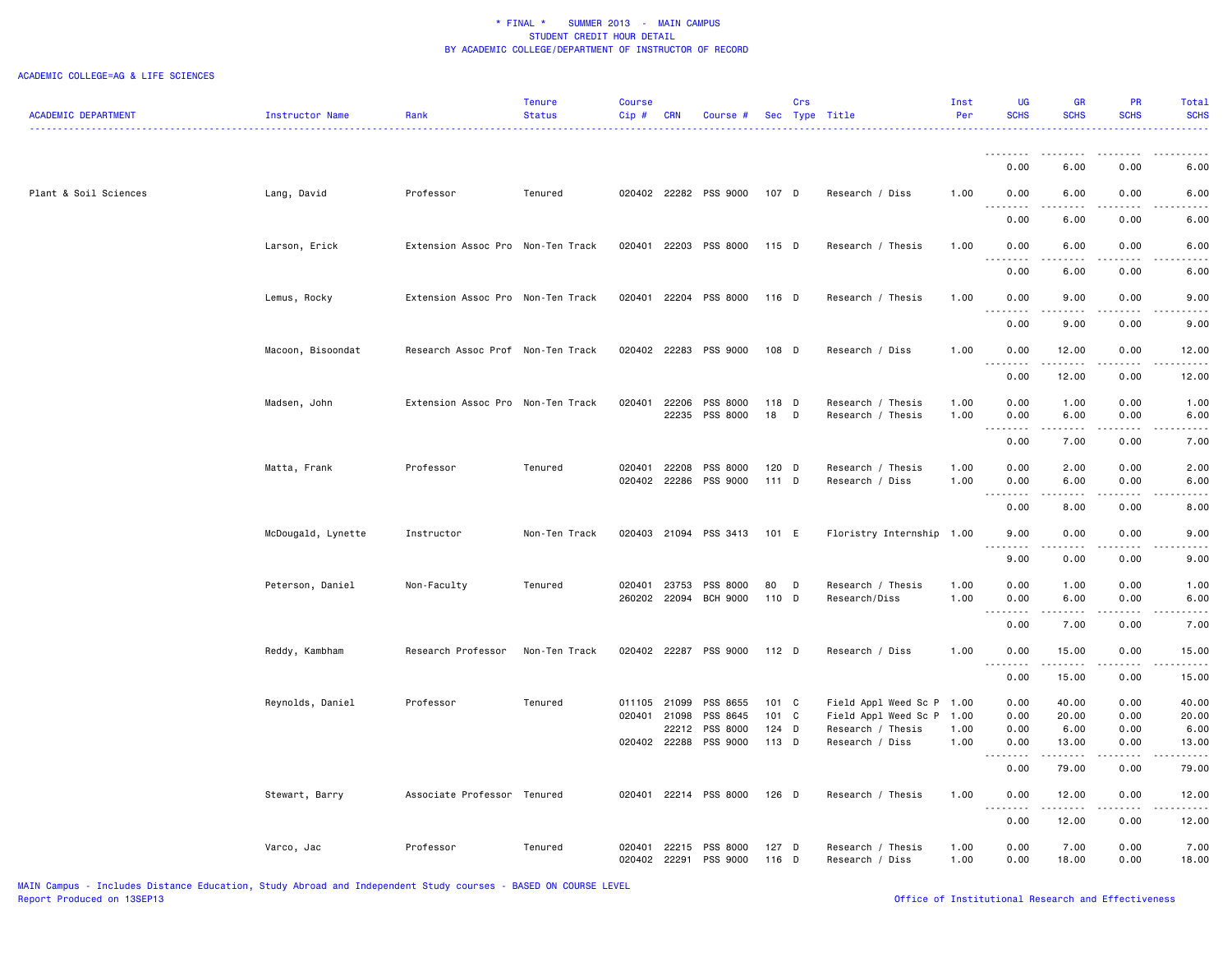|                            |                    |                                   | Tenure        | <b>Course</b> |            |                       |         | Crs |                           | Inst | UG                                                                                                                                                   | <b>GR</b>                   | <b>PR</b>     | Total                                                                                                                                                |
|----------------------------|--------------------|-----------------------------------|---------------|---------------|------------|-----------------------|---------|-----|---------------------------|------|------------------------------------------------------------------------------------------------------------------------------------------------------|-----------------------------|---------------|------------------------------------------------------------------------------------------------------------------------------------------------------|
| <b>ACADEMIC DEPARTMENT</b> | Instructor Name    | Rank                              | <b>Status</b> | Cip#          | <b>CRN</b> | Course #              |         |     | Sec Type Title            | Per  | <b>SCHS</b>                                                                                                                                          | <b>SCHS</b>                 | <b>SCHS</b>   | <b>SCHS</b>                                                                                                                                          |
|                            |                    |                                   | . <b>.</b>    |               |            |                       |         |     |                           |      |                                                                                                                                                      |                             |               |                                                                                                                                                      |
|                            |                    |                                   |               |               |            |                       |         |     |                           |      | . <b>.</b>                                                                                                                                           | .                           | .             | .                                                                                                                                                    |
|                            |                    |                                   |               |               |            |                       |         |     |                           |      | 0.00                                                                                                                                                 | 6.00                        | 0.00          | 6.00                                                                                                                                                 |
|                            |                    |                                   |               |               |            |                       |         |     |                           |      |                                                                                                                                                      |                             |               |                                                                                                                                                      |
| Plant & Soil Sciences      | Lang, David        | Professor                         | Tenured       |               |            | 020402 22282 PSS 9000 | 107 D   |     | Research / Diss           | 1.00 | 0.00                                                                                                                                                 | 6.00                        | 0.00          | 6.00                                                                                                                                                 |
|                            |                    |                                   |               |               |            |                       |         |     |                           |      |                                                                                                                                                      |                             |               |                                                                                                                                                      |
|                            |                    |                                   |               |               |            |                       |         |     |                           |      | 0.00                                                                                                                                                 | 6.00                        | 0.00          | 6.00                                                                                                                                                 |
|                            |                    |                                   |               |               |            |                       |         |     |                           |      |                                                                                                                                                      |                             |               |                                                                                                                                                      |
|                            | Larson, Erick      | Extension Assoc Pro Non-Ten Track |               |               |            | 020401 22203 PSS 8000 | 115 D   |     | Research / Thesis         | 1.00 | 0.00                                                                                                                                                 | 6.00                        | 0.00          | 6.00                                                                                                                                                 |
|                            |                    |                                   |               |               |            |                       |         |     |                           |      | $\frac{1}{2} \left( \frac{1}{2} \right) \left( \frac{1}{2} \right) \left( \frac{1}{2} \right) \left( \frac{1}{2} \right) \left( \frac{1}{2} \right)$ | $\sim$ $\sim$ $\sim$ $\sim$ | $   -$        |                                                                                                                                                      |
|                            |                    |                                   |               |               |            |                       |         |     |                           |      | 0.00                                                                                                                                                 | 6.00                        | 0.00          | 6.00                                                                                                                                                 |
|                            |                    |                                   |               |               |            |                       |         |     |                           |      |                                                                                                                                                      |                             |               |                                                                                                                                                      |
|                            | Lemus, Rocky       | Extension Assoc Pro Non-Ten Track |               |               |            | 020401 22204 PSS 8000 | 116 D   |     | Research / Thesis         | 1.00 | 0.00                                                                                                                                                 | 9.00                        | 0.00          | 9.00                                                                                                                                                 |
|                            |                    |                                   |               |               |            |                       |         |     |                           |      | .                                                                                                                                                    | <u>.</u>                    | .             | $\frac{1}{2}$                                                                                                                                        |
|                            |                    |                                   |               |               |            |                       |         |     |                           |      | 0.00                                                                                                                                                 | 9.00                        | 0.00          | 9.00                                                                                                                                                 |
|                            |                    |                                   |               |               |            |                       |         |     |                           |      |                                                                                                                                                      |                             |               |                                                                                                                                                      |
|                            | Macoon, Bisoondat  | Research Assoc Prof Non-Ten Track |               |               |            | 020402 22283 PSS 9000 | 108 D   |     | Research / Diss           | 1.00 | 0.00<br>د د د د                                                                                                                                      | 12.00<br>.                  | 0.00<br>.     | 12.00<br>.                                                                                                                                           |
|                            |                    |                                   |               |               |            |                       |         |     |                           |      |                                                                                                                                                      |                             | 0.00          |                                                                                                                                                      |
|                            |                    |                                   |               |               |            |                       |         |     |                           |      | 0.00                                                                                                                                                 | 12.00                       |               | 12.00                                                                                                                                                |
|                            | Madsen, John       | Extension Assoc Pro Non-Ten Track |               | 020401        | 22206      | PSS 8000              | 118 D   |     | Research / Thesis         | 1.00 | 0.00                                                                                                                                                 | 1.00                        | 0.00          | 1.00                                                                                                                                                 |
|                            |                    |                                   |               |               | 22235      | PSS 8000              | 18      | D   | Research / Thesis         | 1.00 | 0.00                                                                                                                                                 | 6.00                        | 0.00          | 6.00                                                                                                                                                 |
|                            |                    |                                   |               |               |            |                       |         |     |                           |      | $\sim$ $\sim$ $\sim$ $\sim$<br>$\sim$ $\sim$ $\sim$                                                                                                  |                             |               | .                                                                                                                                                    |
|                            |                    |                                   |               |               |            |                       |         |     |                           |      | 0.00                                                                                                                                                 | 7.00                        | 0.00          | 7.00                                                                                                                                                 |
|                            |                    |                                   |               |               |            |                       |         |     |                           |      |                                                                                                                                                      |                             |               |                                                                                                                                                      |
|                            | Matta, Frank       | Professor                         | Tenured       | 020401        | 22208      | PSS 8000              | $120$ D |     | Research / Thesis         | 1.00 | 0.00                                                                                                                                                 | 2.00                        | 0.00          | 2.00                                                                                                                                                 |
|                            |                    |                                   |               |               |            | 020402 22286 PSS 9000 | 111 D   |     | Research / Diss           | 1.00 | 0.00                                                                                                                                                 | 6.00                        | 0.00          | 6.00                                                                                                                                                 |
|                            |                    |                                   |               |               |            |                       |         |     |                           |      | $\frac{1}{2} \left( \frac{1}{2} \right) \left( \frac{1}{2} \right) \left( \frac{1}{2} \right) \left( \frac{1}{2} \right)$                            | .                           | .             | .                                                                                                                                                    |
|                            |                    |                                   |               |               |            |                       |         |     |                           |      | 0.00                                                                                                                                                 | 8.00                        | 0.00          | 8.00                                                                                                                                                 |
|                            |                    |                                   |               |               |            |                       |         |     |                           |      |                                                                                                                                                      |                             |               |                                                                                                                                                      |
|                            | McDougald, Lynette | Instructor                        | Non-Ten Track |               |            | 020403 21094 PSS 3413 | 101 E   |     | Floristry Internship 1.00 |      | 9.00                                                                                                                                                 | 0.00                        | 0.00          | 9.00                                                                                                                                                 |
|                            |                    |                                   |               |               |            |                       |         |     |                           |      | $\sim$ $\sim$                                                                                                                                        | $\sim$ $\sim$ $\sim$ $\sim$ |               |                                                                                                                                                      |
|                            |                    |                                   |               |               |            |                       |         |     |                           |      | 9.00                                                                                                                                                 | 0.00                        | 0.00          | 9.00                                                                                                                                                 |
|                            | Peterson, Daniel   |                                   | Tenured       | 020401 23753  |            | PSS 8000              | 80      | D   | Research / Thesis         | 1.00 | 0.00                                                                                                                                                 | 1.00                        | 0.00          | 1.00                                                                                                                                                 |
|                            |                    | Non-Faculty                       |               |               |            | 260202 22094 BCH 9000 | 110 D   |     | Research/Diss             | 1.00 | 0.00                                                                                                                                                 | 6.00                        | 0.00          | 6.00                                                                                                                                                 |
|                            |                    |                                   |               |               |            |                       |         |     |                           |      | .<br>$\sim$ $\sim$                                                                                                                                   | 2.2.2.2.2                   | .             | $\frac{1}{2} \left( \frac{1}{2} \right) \left( \frac{1}{2} \right) \left( \frac{1}{2} \right) \left( \frac{1}{2} \right) \left( \frac{1}{2} \right)$ |
|                            |                    |                                   |               |               |            |                       |         |     |                           |      | 0.00                                                                                                                                                 | 7.00                        | 0.00          | 7.00                                                                                                                                                 |
|                            |                    |                                   |               |               |            |                       |         |     |                           |      |                                                                                                                                                      |                             |               |                                                                                                                                                      |
|                            | Reddy, Kambham     | Research Professor                | Non-Ten Track | 020402        | 22287      | PSS 9000              | $112$ D |     | Research / Diss           | 1.00 | 0.00                                                                                                                                                 | 15.00                       | 0.00          | 15.00                                                                                                                                                |
|                            |                    |                                   |               |               |            |                       |         |     |                           |      | $\sim$ $\sim$ $\sim$<br>.                                                                                                                            | . <u>.</u>                  | $\frac{1}{2}$ | .                                                                                                                                                    |
|                            |                    |                                   |               |               |            |                       |         |     |                           |      | 0.00                                                                                                                                                 | 15.00                       | 0.00          | 15.00                                                                                                                                                |
|                            |                    |                                   |               |               |            |                       |         |     |                           |      |                                                                                                                                                      |                             |               |                                                                                                                                                      |
|                            | Reynolds, Daniel   | Professor                         | Tenured       | 011105        | 21099      | PSS 8655              | 101 C   |     | Field Appl Weed Sc P      | 1.00 | 0.00                                                                                                                                                 | 40.00                       | 0.00          | 40.00                                                                                                                                                |
|                            |                    |                                   |               | 020401 21098  |            | PSS 8645              | 101 C   |     | Field Appl Weed Sc P      | 1.00 | 0.00                                                                                                                                                 | 20.00                       | 0.00          | 20.00                                                                                                                                                |
|                            |                    |                                   |               |               | 22212      | PSS 8000              | $124$ D |     | Research / Thesis         | 1.00 | 0.00                                                                                                                                                 | 6.00                        | 0.00          | 6.00                                                                                                                                                 |
|                            |                    |                                   |               | 020402 22288  |            | PSS 9000              | 113 D   |     | Research / Diss           | 1.00 | 0.00                                                                                                                                                 | 13.00                       | 0.00          | 13.00                                                                                                                                                |
|                            |                    |                                   |               |               |            |                       |         |     |                           |      | $\sim$ $\sim$ $\sim$ $\sim$                                                                                                                          | .                           | .             | $\sim$ $\sim$ $\sim$ $\sim$ $\sim$                                                                                                                   |
|                            |                    |                                   |               |               |            |                       |         |     |                           |      | 0.00                                                                                                                                                 | 79.00                       | 0.00          | 79.00                                                                                                                                                |
|                            |                    |                                   |               | 020401        |            | 22214 PSS 8000        | $126$ D |     | Research / Thesis         | 1.00 | 0.00                                                                                                                                                 | 12.00                       | 0.00          |                                                                                                                                                      |
|                            | Stewart, Barry     | Associate Professor Tenured       |               |               |            |                       |         |     |                           |      | $- - - - -$<br>$  -$                                                                                                                                 | .                           | .             | 12.00<br>.                                                                                                                                           |
|                            |                    |                                   |               |               |            |                       |         |     |                           |      | 0.00                                                                                                                                                 | 12.00                       | 0.00          | 12.00                                                                                                                                                |
|                            |                    |                                   |               |               |            |                       |         |     |                           |      |                                                                                                                                                      |                             |               |                                                                                                                                                      |
|                            | Varco, Jac         | Professor                         | Tenured       | 020401        | 22215      | PSS 8000              | 127 D   |     | Research / Thesis         | 1.00 | 0.00                                                                                                                                                 | 7.00                        | 0.00          | 7.00                                                                                                                                                 |
|                            |                    |                                   |               | 020402        | 22291      | PSS 9000              | 116 D   |     | Research / Diss           | 1.00 | 0.00                                                                                                                                                 | 18.00                       | 0.00          | 18.00                                                                                                                                                |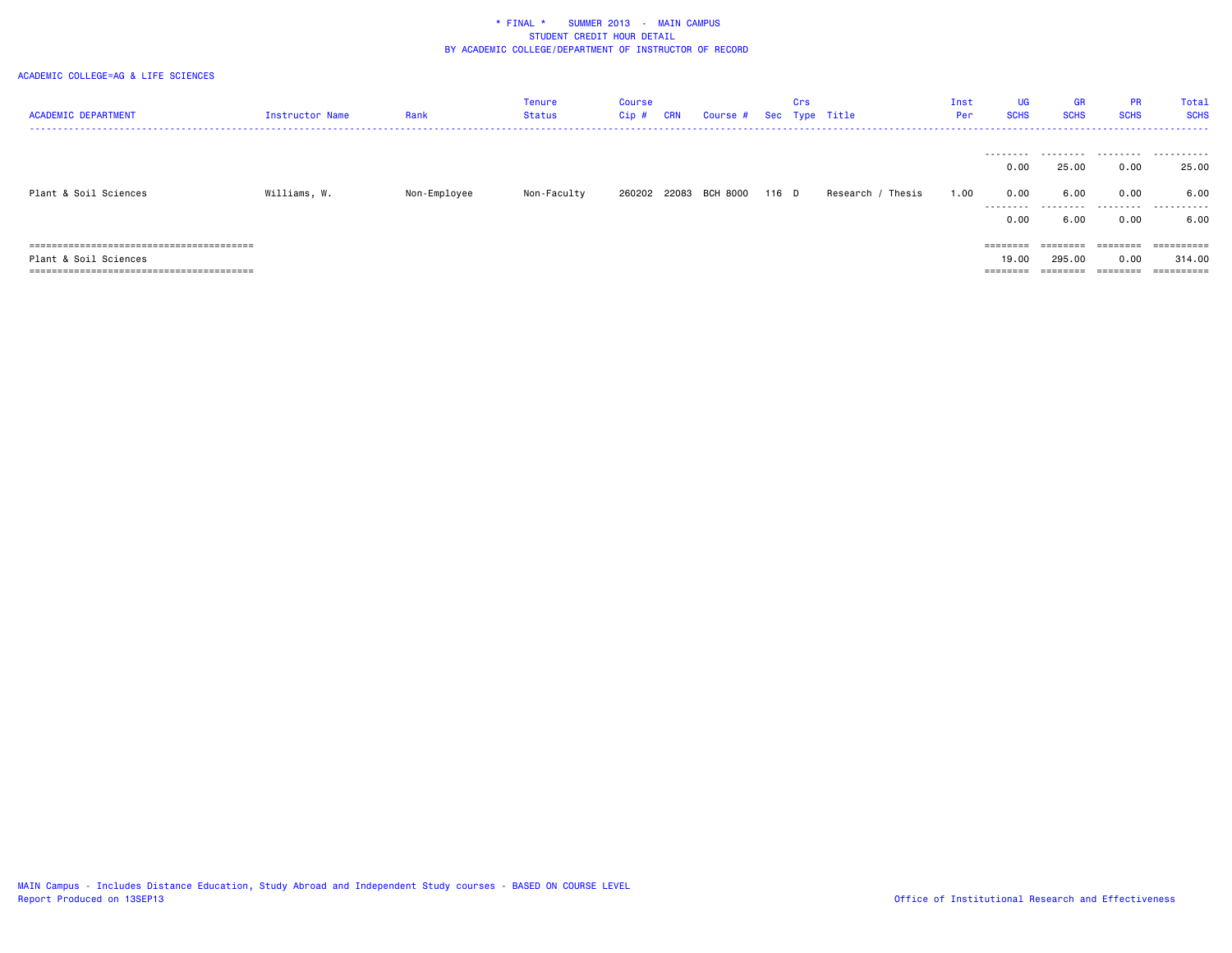| <b>ACADEMIC DEPARTMENT</b> | <b>Instructor Name</b> | Rank         | Tenure<br>Status | Course<br>Cip # | CRN | Course # Sec Type Title |       | Crs |                   | Inst<br>Per | <b>UG</b><br><b>SCHS</b> | <b>GR</b><br><b>SCHS</b> | <b>PR</b><br><b>SCHS</b> | Total<br><b>SCHS</b><br>----------------------------- |
|----------------------------|------------------------|--------------|------------------|-----------------|-----|-------------------------|-------|-----|-------------------|-------------|--------------------------|--------------------------|--------------------------|-------------------------------------------------------|
|                            |                        |              |                  |                 |     |                         |       |     |                   |             | 0.00                     | 25.00                    | 0.00                     | 25.00                                                 |
| Plant & Soil Sciences      | Williams, W.           | Non-Employee | Non-Faculty      |                 |     | 260202 22083 BCH 8000   | 116 D |     | Research / Thesis | 1.00        | 0.00<br>.                | 6.00<br>.                | 0.00<br>.                | 6.00<br>.                                             |
|                            |                        |              |                  |                 |     |                         |       |     |                   |             | 0.00                     | 6.00                     | 0.00                     | 6.00                                                  |
|                            |                        |              |                  |                 |     |                         |       |     |                   |             | ========                 | ========                 | ========                 | ==========                                            |
| Plant & Soil Sciences      |                        |              |                  |                 |     |                         |       |     |                   |             | 19.00                    | 295,00                   | 0.00                     | 314.00                                                |
|                            |                        |              |                  |                 |     |                         |       |     |                   |             | $=$ = = = = = = =        | $=$ = = = = = = =        | ========                 | ==========                                            |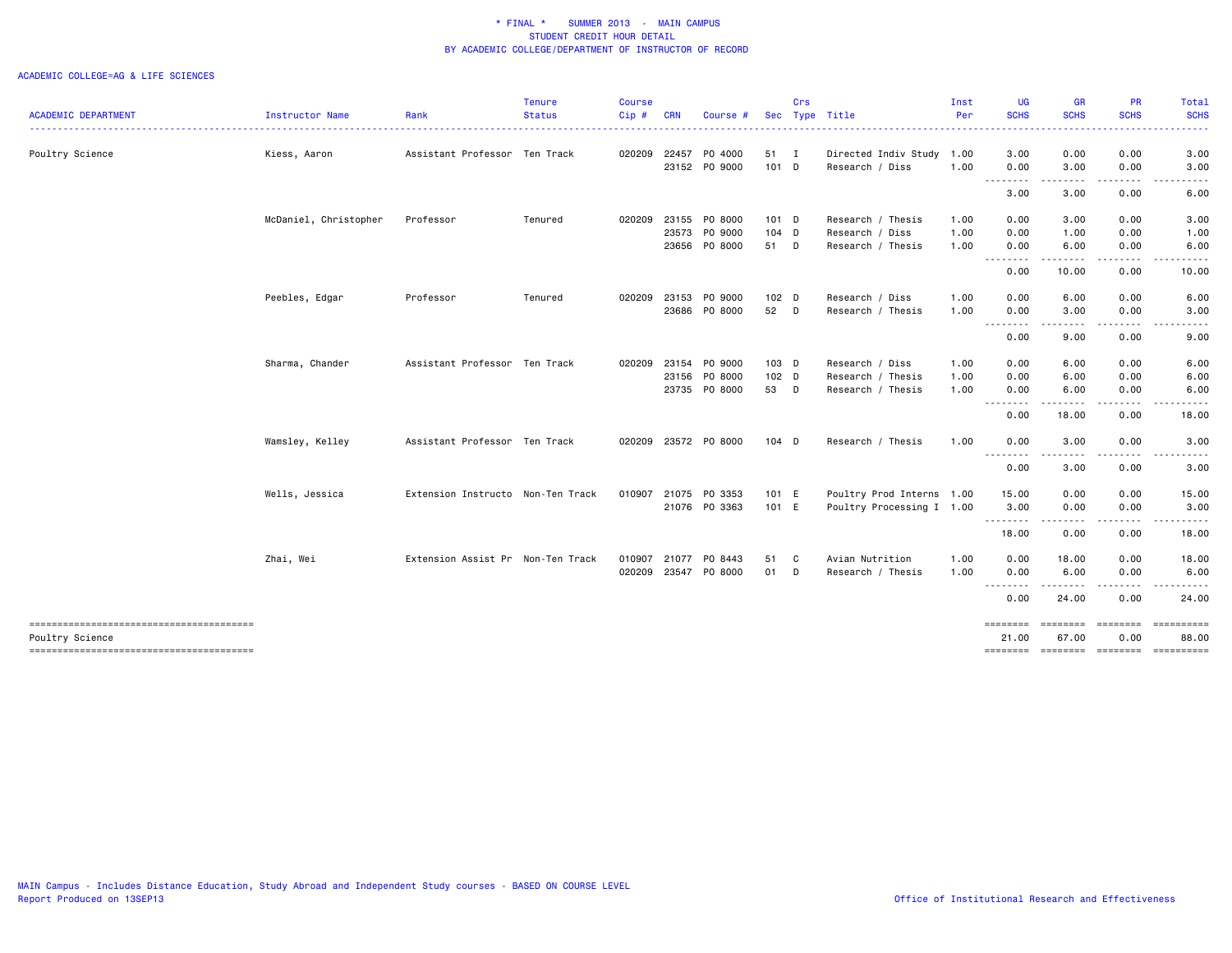|                                                           |                       |                                   | <b>Tenure</b>      | <b>Course</b> |            |               |         | Crs |                           | Inst | <b>UG</b>         | <b>GR</b>                                                                                                                                                           | <b>PR</b>                                                                                                               | Total                                                                                                                                                               |
|-----------------------------------------------------------|-----------------------|-----------------------------------|--------------------|---------------|------------|---------------|---------|-----|---------------------------|------|-------------------|---------------------------------------------------------------------------------------------------------------------------------------------------------------------|-------------------------------------------------------------------------------------------------------------------------|---------------------------------------------------------------------------------------------------------------------------------------------------------------------|
| <b>ACADEMIC DEPARTMENT</b>                                | Instructor Name       | Rank                              | <b>Status</b><br>. | $Cip \#$      | <b>CRN</b> | Course        |         |     | Sec Type Title            | Per  | <b>SCHS</b><br>.  | <b>SCHS</b><br>$\frac{1}{2} \left( \frac{1}{2} \right) \left( \frac{1}{2} \right) \left( \frac{1}{2} \right) \left( \frac{1}{2} \right) \left( \frac{1}{2} \right)$ | <b>SCHS</b>                                                                                                             | <b>SCHS</b><br>$\frac{1}{2} \left( \frac{1}{2} \right) \left( \frac{1}{2} \right) \left( \frac{1}{2} \right) \left( \frac{1}{2} \right) \left( \frac{1}{2} \right)$ |
| Poultry Science                                           | Kiess, Aaron          | Assistant Professor Ten Track     |                    | 020209 22457  |            | PO 4000       | 51 I    |     | Directed Indiv Study 1.00 |      | 3.00              | 0.00                                                                                                                                                                | 0.00                                                                                                                    | 3.00                                                                                                                                                                |
|                                                           |                       |                                   |                    |               |            | 23152 PO 9000 | 101 D   |     | Research / Diss           | 1.00 | 0.00<br>.         | 3.00<br>$- - - -$                                                                                                                                                   | 0.00                                                                                                                    | 3.00                                                                                                                                                                |
|                                                           |                       |                                   |                    |               |            |               |         |     |                           |      | 3.00              | 3.00                                                                                                                                                                | 0.00                                                                                                                    | 6.00                                                                                                                                                                |
|                                                           | McDaniel, Christopher | Professor                         | Tenured            | 020209        |            | 23155 PO 8000 | $101$ D |     | Research / Thesis         | 1.00 | 0.00              | 3.00                                                                                                                                                                | 0.00                                                                                                                    | 3.00                                                                                                                                                                |
|                                                           |                       |                                   |                    |               |            | 23573 PO 9000 | $104$ D |     | Research / Diss           | 1.00 | 0.00              | 1.00                                                                                                                                                                | 0.00                                                                                                                    | 1.00                                                                                                                                                                |
|                                                           |                       |                                   |                    |               |            | 23656 PO 8000 | 51 D    |     | Research / Thesis         | 1.00 | 0.00              | 6.00                                                                                                                                                                | 0.00                                                                                                                    | 6.00                                                                                                                                                                |
|                                                           |                       |                                   |                    |               |            |               |         |     |                           |      | <u>.</u><br>0.00  | $- - - - -$<br>10.00                                                                                                                                                | .<br>0.00                                                                                                               | 10.00                                                                                                                                                               |
|                                                           | Peebles, Edgar        | Professor                         | Tenured            | 020209        | 23153      | PO 9000       | $102$ D |     | Research / Diss           | 1.00 | 0.00              | 6.00                                                                                                                                                                | 0.00                                                                                                                    | 6.00                                                                                                                                                                |
|                                                           |                       |                                   |                    |               |            | 23686 PO 8000 | 52 D    |     | Research / Thesis         | 1.00 | 0.00              | 3.00                                                                                                                                                                | 0.00                                                                                                                    | 3.00                                                                                                                                                                |
|                                                           |                       |                                   |                    |               |            |               |         |     |                           |      | ---------<br>0.00 | $\frac{1}{2} \left( \frac{1}{2} \right) \left( \frac{1}{2} \right) \left( \frac{1}{2} \right) \left( \frac{1}{2} \right)$<br>9.00                                   | -----<br>0.00                                                                                                           | -----<br>9.00                                                                                                                                                       |
|                                                           | Sharma, Chander       | Assistant Professor Ten Track     |                    | 020209        |            | 23154 PO 9000 | 103 D   |     | Research / Diss           | 1.00 | 0.00              | 6.00                                                                                                                                                                | 0.00                                                                                                                    | 6.00                                                                                                                                                                |
|                                                           |                       |                                   |                    |               |            | 23156 PO 8000 | 102 D   |     | Research / Thesis         | 1.00 | 0.00              | 6.00                                                                                                                                                                | 0.00                                                                                                                    | 6.00                                                                                                                                                                |
|                                                           |                       |                                   |                    |               |            | 23735 PO 8000 | 53 D    |     | Research / Thesis         | 1.00 | 0.00              | 6.00                                                                                                                                                                | 0.00                                                                                                                    | 6.00                                                                                                                                                                |
|                                                           |                       |                                   |                    |               |            |               |         |     |                           |      | .<br>0.00         | .<br>18.00                                                                                                                                                          | 0.00                                                                                                                    | 18.00                                                                                                                                                               |
|                                                           | Wamsley, Kelley       | Assistant Professor Ten Track     |                    | 020209        |            | 23572 PO 8000 | 104 D   |     | Research / Thesis         | 1.00 | 0.00              | 3.00                                                                                                                                                                | 0.00                                                                                                                    | 3.00                                                                                                                                                                |
|                                                           |                       |                                   |                    |               |            |               |         |     |                           |      | <u>.</u><br>0.00  | .<br>3.00                                                                                                                                                           | 0.00                                                                                                                    | 3.00                                                                                                                                                                |
|                                                           | Wells, Jessica        | Extension Instructo Non-Ten Track |                    | 010907        |            | 21075 PO 3353 | 101 E   |     | Poultry Prod Interns 1.00 |      | 15.00             | 0.00                                                                                                                                                                | 0.00                                                                                                                    | 15.00                                                                                                                                                               |
|                                                           |                       |                                   |                    |               |            | 21076 PO 3363 | 101 E   |     | Poultry Processing I 1.00 |      | 3.00              | 0.00                                                                                                                                                                | 0.00                                                                                                                    | 3.00                                                                                                                                                                |
|                                                           |                       |                                   |                    |               |            |               |         |     |                           |      | --------<br>18.00 | $\frac{1}{2} \left( \frac{1}{2} \right) \left( \frac{1}{2} \right) \left( \frac{1}{2} \right) \left( \frac{1}{2} \right)$<br>0.00                                   | $\begin{array}{cccccccccccccc} \bullet & \bullet & \bullet & \bullet & \bullet & \bullet & \bullet \end{array}$<br>0.00 | ------<br>18.00                                                                                                                                                     |
|                                                           | Zhai, Wei             | Extension Assist Pr Non-Ten Track |                    | 010907        | 21077      | PO 8443       | 51      | C   | Avian Nutrition           | 1.00 | 0.00              | 18.00                                                                                                                                                               | 0.00                                                                                                                    | 18.00                                                                                                                                                               |
|                                                           |                       |                                   |                    | 020209        |            | 23547 PO 8000 | 01 D    |     | Research / Thesis         | 1.00 | 0.00              | 6.00                                                                                                                                                                | 0.00                                                                                                                    | 6.00                                                                                                                                                                |
|                                                           |                       |                                   |                    |               |            |               |         |     |                           |      | 0.00              | . <b>.</b><br>24.00                                                                                                                                                 | <u>.</u><br>0.00                                                                                                        | 24.00                                                                                                                                                               |
| --------------------------------------                    |                       |                                   |                    |               |            |               |         |     |                           |      | ========          | ========                                                                                                                                                            | ========                                                                                                                | ==========                                                                                                                                                          |
| Poultry Science<br>-------------------------------------- |                       |                                   |                    |               |            |               |         |     |                           |      | 21,00<br>======== | 67.00<br><b>ESSESSES</b>                                                                                                                                            | 0.00<br><b>ESSESSES</b>                                                                                                 | 88,00                                                                                                                                                               |
|                                                           |                       |                                   |                    |               |            |               |         |     |                           |      |                   |                                                                                                                                                                     |                                                                                                                         |                                                                                                                                                                     |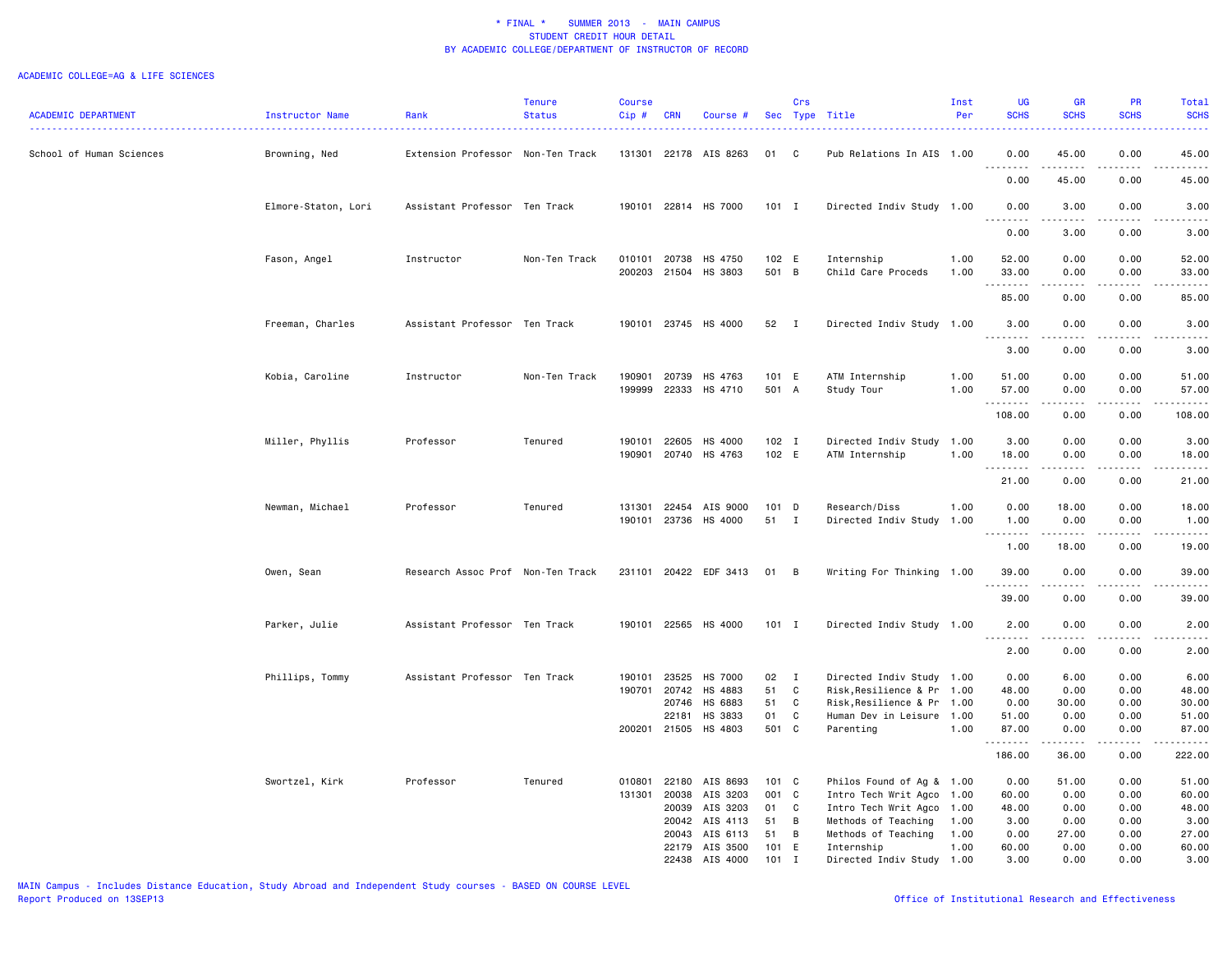|                            |                     |                                   | Tenure        | <b>Course</b> |            |                       |         | Crs         |                            | Inst | <b>UG</b>                           | <b>GR</b>                                                                                                                                            | PR          | Total                                                                                                                              |
|----------------------------|---------------------|-----------------------------------|---------------|---------------|------------|-----------------------|---------|-------------|----------------------------|------|-------------------------------------|------------------------------------------------------------------------------------------------------------------------------------------------------|-------------|------------------------------------------------------------------------------------------------------------------------------------|
| <b>ACADEMIC DEPARTMENT</b> | Instructor Name     | Rank                              | <b>Status</b> | $Cip$ #       | <b>CRN</b> | Course #              |         |             | Sec Type Title             | Per  | <b>SCHS</b>                         | <b>SCHS</b>                                                                                                                                          | <b>SCHS</b> | <b>SCHS</b>                                                                                                                        |
|                            |                     |                                   |               |               |            |                       |         |             |                            |      |                                     |                                                                                                                                                      |             | والداعات                                                                                                                           |
| School of Human Sciences   | Browning, Ned       | Extension Professor Non-Ten Track |               | 131301        |            | 22178 AIS 8263        | 01      | <b>C</b>    | Pub Relations In AIS       | 1.00 | 0.00                                | 45.00                                                                                                                                                | 0.00        | 45.00                                                                                                                              |
|                            |                     |                                   |               |               |            |                       |         |             |                            |      | <u>.</u>                            | .                                                                                                                                                    | $- - - -$   | .                                                                                                                                  |
|                            |                     |                                   |               |               |            |                       |         |             |                            |      | 0.00                                | 45.00                                                                                                                                                | 0.00        | 45.00                                                                                                                              |
|                            | Elmore-Staton, Lori | Assistant Professor Ten Track     |               | 190101        |            | 22814 HS 7000         | $101$ I |             | Directed Indiv Study 1.00  |      | 0.00                                | 3.00                                                                                                                                                 | 0.00        | 3.00                                                                                                                               |
|                            |                     |                                   |               |               |            |                       |         |             |                            |      |                                     |                                                                                                                                                      |             |                                                                                                                                    |
|                            |                     |                                   |               |               |            |                       |         |             |                            |      | 0.00                                | 3.00                                                                                                                                                 | 0.00        | 3.00                                                                                                                               |
|                            | Fason, Angel        | Instructor                        | Non-Ten Track | 010101        | 20738      | HS 4750               | 102 E   |             | Internship                 | 1.00 | 52.00                               | 0.00                                                                                                                                                 | 0.00        | 52.00                                                                                                                              |
|                            |                     |                                   |               |               |            | 200203 21504 HS 3803  | 501 B   |             | Child Care Proceds         | 1.00 | 33.00                               | 0.00                                                                                                                                                 | 0.00        | 33.00                                                                                                                              |
|                            |                     |                                   |               |               |            |                       |         |             |                            |      | .                                   | .                                                                                                                                                    | .           | .                                                                                                                                  |
|                            |                     |                                   |               |               |            |                       |         |             |                            |      | 85.00                               | 0.00                                                                                                                                                 | 0.00        | 85.00                                                                                                                              |
|                            | Freeman, Charles    | Assistant Professor Ten Track     |               |               |            | 190101 23745 HS 4000  | 52 I    |             | Directed Indiv Study 1.00  |      | 3.00                                | 0.00                                                                                                                                                 | 0.00        | 3.00                                                                                                                               |
|                            |                     |                                   |               |               |            |                       |         |             |                            |      | $\sim$ $\sim$ .<br>.                |                                                                                                                                                      |             | .                                                                                                                                  |
|                            |                     |                                   |               |               |            |                       |         |             |                            |      | 3.00                                | 0.00                                                                                                                                                 | 0.00        | 3.00                                                                                                                               |
|                            | Kobia, Caroline     | Instructor                        | Non-Ten Track | 190901        | 20739      | HS 4763               | 101 E   |             | ATM Internship             | 1.00 | 51.00                               | 0.00                                                                                                                                                 | 0.00        | 51.00                                                                                                                              |
|                            |                     |                                   |               | 199999        | 22333      | HS 4710               | 501 A   |             | Study Tour                 | 1.00 | 57.00                               | 0.00                                                                                                                                                 | 0.00        | 57.00                                                                                                                              |
|                            |                     |                                   |               |               |            |                       |         |             |                            |      | .                                   | $\begin{array}{cccccccccc} \bullet & \bullet & \bullet & \bullet & \bullet & \bullet \end{array}$                                                    | .           | .                                                                                                                                  |
|                            |                     |                                   |               |               |            |                       |         |             |                            |      | 108.00                              | 0.00                                                                                                                                                 | 0.00        | 108.00                                                                                                                             |
|                            | Miller, Phyllis     | Professor                         | Tenured       | 190101        | 22605      | HS 4000               | $102$ I |             | Directed Indiv Study 1.00  |      | 3.00                                | 0.00                                                                                                                                                 | 0.00        | 3.00                                                                                                                               |
|                            |                     |                                   |               | 190901        |            | 20740 HS 4763         | 102 E   |             | ATM Internship             | 1.00 | 18.00                               | 0.00                                                                                                                                                 | 0.00        | 18.00                                                                                                                              |
|                            |                     |                                   |               |               |            |                       |         |             |                            |      | .                                   | $- - - - -$                                                                                                                                          | .           | .                                                                                                                                  |
|                            |                     |                                   |               |               |            |                       |         |             |                            |      | 21.00                               | 0.00                                                                                                                                                 | 0.00        | 21.00                                                                                                                              |
|                            | Newman, Michael     | Professor                         | Tenured       | 131301        | 22454      | AIS 9000              | 101 D   |             | Research/Diss              | 1.00 | 0.00                                | 18.00                                                                                                                                                | 0.00        | 18.00                                                                                                                              |
|                            |                     |                                   |               |               |            | 190101 23736 HS 4000  | 51 I    |             | Directed Indiv Study 1.00  |      | 1.00                                | 0.00                                                                                                                                                 | 0.00        | 1.00                                                                                                                               |
|                            |                     |                                   |               |               |            |                       |         |             |                            |      | $\sim$ $\sim$ $\sim$ $\sim$<br>1.00 | 18.00                                                                                                                                                | .<br>0.00   | $\frac{1}{2} \left( \frac{1}{2} \right) \left( \frac{1}{2} \right) \left( \frac{1}{2} \right) \left( \frac{1}{2} \right)$<br>19.00 |
|                            |                     |                                   |               |               |            |                       |         |             |                            |      |                                     |                                                                                                                                                      |             |                                                                                                                                    |
|                            | Owen, Sean          | Research Assoc Prof Non-Ten Track |               |               |            | 231101 20422 EDF 3413 | 01 B    |             | Writing For Thinking 1.00  |      | 39.00                               | 0.00                                                                                                                                                 | 0.00        | 39.00                                                                                                                              |
|                            |                     |                                   |               |               |            |                       |         |             |                            |      | .                                   | -----                                                                                                                                                | .           | .                                                                                                                                  |
|                            |                     |                                   |               |               |            |                       |         |             |                            |      | 39.00                               | 0.00                                                                                                                                                 | 0.00        | 39.00                                                                                                                              |
|                            | Parker, Julie       | Assistant Professor Ten Track     |               |               |            | 190101 22565 HS 4000  | $101$ I |             | Directed Indiv Study 1.00  |      | 2.00                                | 0.00                                                                                                                                                 | 0.00        | 2.00                                                                                                                               |
|                            |                     |                                   |               |               |            |                       |         |             |                            |      | $\sim$ $\sim$ .<br>-----            | $\frac{1}{2} \left( \frac{1}{2} \right) \left( \frac{1}{2} \right) \left( \frac{1}{2} \right) \left( \frac{1}{2} \right) \left( \frac{1}{2} \right)$ | .           | $\frac{1}{2}$                                                                                                                      |
|                            |                     |                                   |               |               |            |                       |         |             |                            |      | 2.00                                | 0.00                                                                                                                                                 | 0.00        | 2.00                                                                                                                               |
|                            | Phillips, Tommy     | Assistant Professor Ten Track     |               | 190101        | 23525      | HS 7000               | 02 I    |             | Directed Indiv Study 1.00  |      | 0.00                                | 6.00                                                                                                                                                 | 0.00        | 6.00                                                                                                                               |
|                            |                     |                                   |               | 190701        | 20742      | HS 4883               | 51      | C           | Risk, Resilience & Pr 1.00 |      | 48.00                               | 0.00                                                                                                                                                 | 0.00        | 48.00                                                                                                                              |
|                            |                     |                                   |               |               | 20746      | HS 6883               | 51      | C           | Risk, Resilience & Pr 1.00 |      | 0.00                                | 30.00                                                                                                                                                | 0.00        | 30.00                                                                                                                              |
|                            |                     |                                   |               |               | 22181      | HS 3833               | 01      | C           | Human Dev in Leisure 1.00  |      | 51.00                               | 0.00                                                                                                                                                 | 0.00        | 51.00                                                                                                                              |
|                            |                     |                                   |               | 200201        | 21505      | HS 4803               | 501 C   |             | Parenting                  | 1.00 | 87.00                               | 0.00                                                                                                                                                 | 0.00        | 87.00                                                                                                                              |
|                            |                     |                                   |               |               |            |                       |         |             |                            |      | <u>.</u>                            | .                                                                                                                                                    | .           | <u>.</u>                                                                                                                           |
|                            |                     |                                   |               |               |            |                       |         |             |                            |      | 186.00                              | 36.00                                                                                                                                                | 0.00        | 222.00                                                                                                                             |
|                            | Swortzel, Kirk      | Professor                         | Tenured       | 010801        | 22180      | AIS 8693              | 101 C   |             | Philos Found of Ag & 1.00  |      | 0.00                                | 51.00                                                                                                                                                | 0.00        | 51.00                                                                                                                              |
|                            |                     |                                   |               | 131301        | 20038      | AIS 3203              | 001 C   |             | Intro Tech Writ Agco 1.00  |      | 60.00                               | 0.00                                                                                                                                                 | 0.00        | 60.00                                                                                                                              |
|                            |                     |                                   |               |               | 20039      | AIS 3203              | 01      | C           | Intro Tech Writ Agco       | 1.00 | 48.00                               | 0.00                                                                                                                                                 | 0.00        | 48.00                                                                                                                              |
|                            |                     |                                   |               |               | 20042      | AIS 4113              | 51      | B           | Methods of Teaching        | 1.00 | 3.00                                | 0.00                                                                                                                                                 | 0.00        | 3.00                                                                                                                               |
|                            |                     |                                   |               |               | 20043      | AIS 6113              | 51      | B           | Methods of Teaching        | 1.00 | 0.00                                | 27.00                                                                                                                                                | 0.00        | 27.00                                                                                                                              |
|                            |                     |                                   |               |               | 22179      | AIS 3500              | 101     | E           | Internship                 | 1.00 | 60.00                               | 0.00                                                                                                                                                 | 0.00        | 60.00                                                                                                                              |
|                            |                     |                                   |               |               | 22438      | AIS 4000              | 101     | $\mathbf I$ | Directed Indiv Study 1.00  |      | 3.00                                | 0.00                                                                                                                                                 | 0.00        | 3.00                                                                                                                               |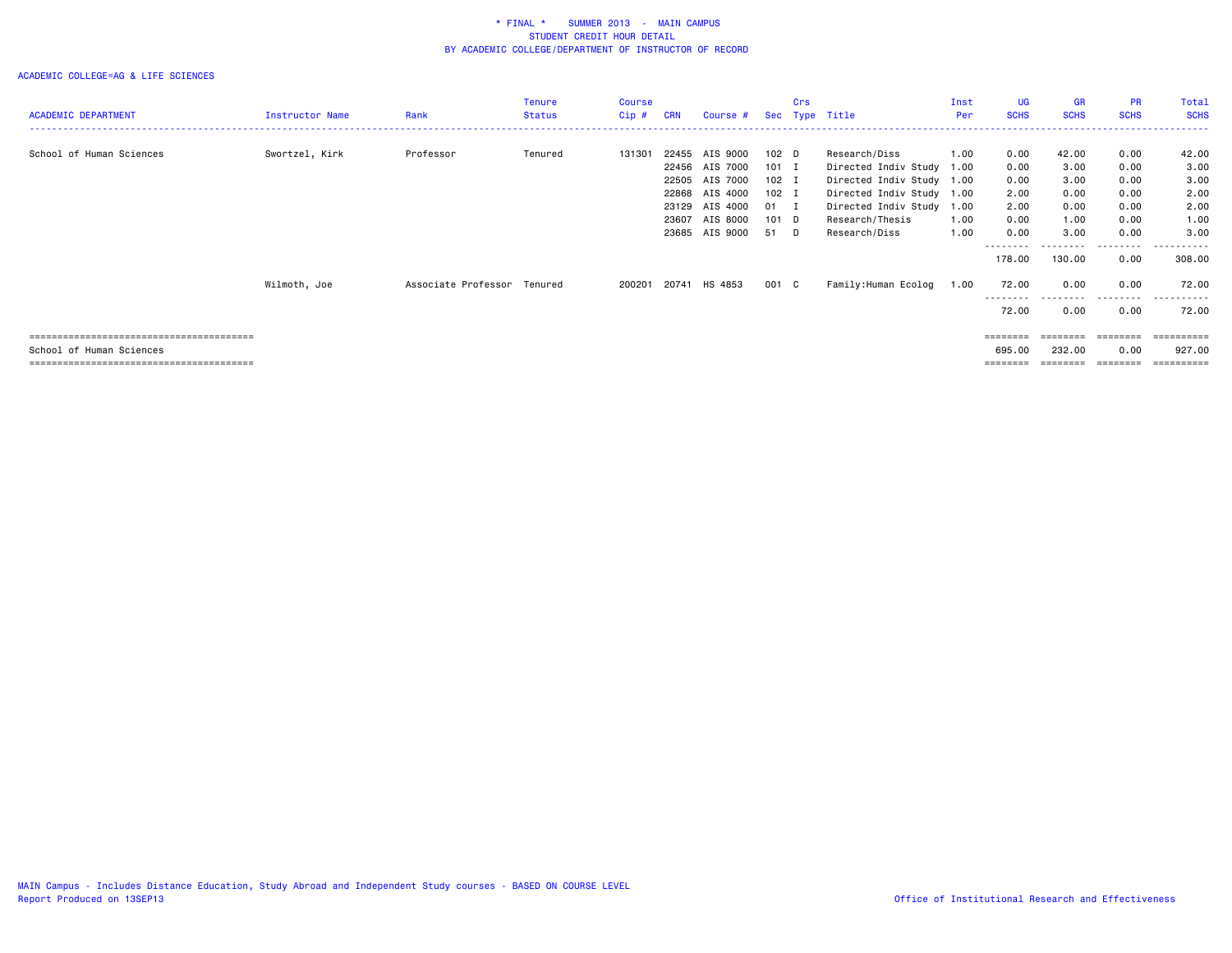|                            |                 |                             | Tenure        | Course  |            |                |                  | Crs |                           | Inst | <b>UG</b>          | GR          | <b>PR</b>   | Total       |
|----------------------------|-----------------|-----------------------------|---------------|---------|------------|----------------|------------------|-----|---------------------------|------|--------------------|-------------|-------------|-------------|
| <b>ACADEMIC DEPARTMENT</b> | Instructor Name | Rank                        | <b>Status</b> | $Cip$ # | <b>CRN</b> | Course #       |                  |     | Sec Type Title            | Per  | <b>SCHS</b>        | <b>SCHS</b> | <b>SCHS</b> | <b>SCHS</b> |
|                            |                 |                             |               |         |            |                |                  |     |                           |      |                    |             |             |             |
| School of Human Sciences   | Swortzel, Kirk  | Professor                   | Tenured       | 131301  | 22455      | AIS 9000       | 102 <sub>D</sub> |     | Research/Diss             | 1.00 | 0.00               | 42.00       | 0.00        | 42.00       |
|                            |                 |                             |               |         |            | 22456 AIS 7000 | 101 I            |     | Directed Indiv Study 1.00 |      | 0.00               | 3.00        | 0.00        | 3.00        |
|                            |                 |                             |               |         |            | 22505 AIS 7000 | 102 I            |     | Directed Indiv Study 1.00 |      | 0.00               | 3.00        | 0.00        | 3.00        |
|                            |                 |                             |               |         |            | 22868 AIS 4000 | 102 I            |     | Directed Indiv Study 1.00 |      | 2.00               | 0.00        | 0.00        | 2.00        |
|                            |                 |                             |               |         | 23129      | AIS 4000       | $01 \quad I$     |     | Directed Indiv Study 1.00 |      | 2.00               | 0.00        | 0.00        | 2.00        |
|                            |                 |                             |               |         | 23607      | AIS 8000       | 101 D            |     | Research/Thesis           | 1.00 | 0.00               | 1.00        | 0.00        | 1.00        |
|                            |                 |                             |               |         |            | 23685 AIS 9000 | 51 D             |     | Research/Diss             | 1.00 | 0.00               | 3.00        | 0.00        | 3.00        |
|                            |                 |                             |               |         |            |                |                  |     |                           |      | --------<br>178.00 | 130.00      | .<br>0.00   | .<br>308.00 |
|                            | Wilmoth, Joe    | Associate Professor Tenured |               | 200201  |            | 20741 HS 4853  | 001 C            |     | Family:Human Ecolog       | 1.00 | 72.00              | 0.00        | 0.00        | 72.00       |
|                            |                 |                             |               |         |            |                |                  |     |                           |      | 72.00              | 0.00        | 0.00        | 72.00       |
|                            |                 |                             |               |         |            |                |                  |     |                           |      | ========           |             | ========    | ==========  |
| School of Human Sciences   |                 |                             |               |         |            |                |                  |     |                           |      | 695.00             | 232.00      | 0.00        | 927.00      |
|                            |                 |                             |               |         |            |                |                  |     |                           |      | ========           | ========    | ---------   | ----------- |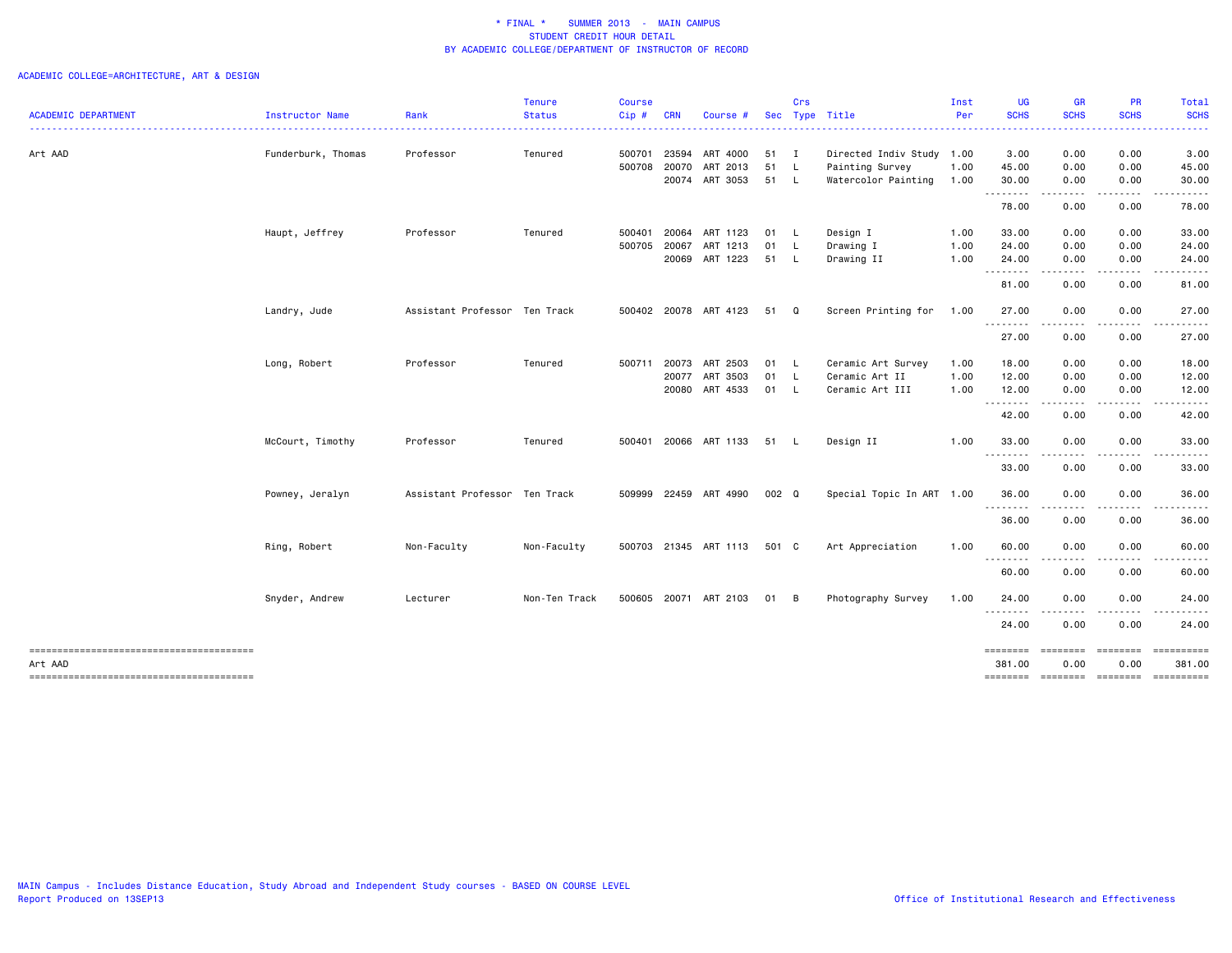|                    |             |               |                                                                |            |              |                                                                                                                                                                                                             | Crs |                                                                                                                                                       | Inst | <b>UG</b>                                              | <b>GR</b>                                                                            | PR                                                                     | <b>Total</b>                                                   |
|--------------------|-------------|---------------|----------------------------------------------------------------|------------|--------------|-------------------------------------------------------------------------------------------------------------------------------------------------------------------------------------------------------------|-----|-------------------------------------------------------------------------------------------------------------------------------------------------------|------|--------------------------------------------------------|--------------------------------------------------------------------------------------|------------------------------------------------------------------------|----------------------------------------------------------------|
| Instructor Name    | Rank        | <b>Status</b> | Cip#                                                           | <b>CRN</b> | Course #     |                                                                                                                                                                                                             |     | Sec Type Title                                                                                                                                        | Per  | <b>SCHS</b>                                            | <b>SCHS</b>                                                                          | <b>SCHS</b>                                                            | <b>SCHS</b>                                                    |
| Funderburk, Thomas | Professor   | Tenured       | 500701                                                         | 23594      |              |                                                                                                                                                                                                             |     |                                                                                                                                                       |      | 3.00                                                   | 0.00                                                                                 | 0.00                                                                   | 3.00                                                           |
|                    |             |               |                                                                |            |              | 51                                                                                                                                                                                                          | - L | Painting Survey                                                                                                                                       | 1.00 | 45.00                                                  | 0.00                                                                                 | 0.00                                                                   | 45.00                                                          |
|                    |             |               |                                                                |            |              |                                                                                                                                                                                                             |     | Watercolor Painting                                                                                                                                   | 1.00 | 30.00                                                  | 0.00                                                                                 | 0.00                                                                   | 30.00                                                          |
|                    |             |               |                                                                |            |              |                                                                                                                                                                                                             |     |                                                                                                                                                       |      | 78.00                                                  | 0.00                                                                                 | 0.00                                                                   | 78.00                                                          |
| Haupt, Jeffrey     | Professor   | Tenured       | 500401                                                         |            |              |                                                                                                                                                                                                             |     | Design I                                                                                                                                              | 1.00 | 33.00                                                  | 0.00                                                                                 | 0.00                                                                   | 33.00                                                          |
|                    |             |               | 500705                                                         | 20067      | ART 1213     | 01                                                                                                                                                                                                          |     | Drawing I                                                                                                                                             | 1.00 | 24.00                                                  | 0.00                                                                                 | 0.00                                                                   | 24.00                                                          |
|                    |             |               |                                                                |            |              |                                                                                                                                                                                                             |     | Drawing II                                                                                                                                            | 1.00 | 24.00                                                  | 0.00<br>$\sim$ $\sim$ $\sim$                                                         | 0.00                                                                   | 24.00                                                          |
|                    |             |               |                                                                |            |              |                                                                                                                                                                                                             |     |                                                                                                                                                       |      | 81.00                                                  | 0.00                                                                                 | 0.00                                                                   | 81.00                                                          |
| Landry, Jude       |             |               |                                                                |            |              |                                                                                                                                                                                                             |     | Screen Printing for                                                                                                                                   | 1.00 | 27.00                                                  | 0.00                                                                                 | 0.00                                                                   | 27.00                                                          |
|                    |             |               |                                                                |            |              |                                                                                                                                                                                                             |     |                                                                                                                                                       |      | 27.00                                                  | 0.00                                                                                 | 0.00                                                                   | 27.00                                                          |
| Long, Robert       | Professor   | Tenured       | 500711                                                         |            |              |                                                                                                                                                                                                             |     | Ceramic Art Survey                                                                                                                                    | 1.00 | 18.00                                                  | 0.00                                                                                 | 0.00                                                                   | 18.00                                                          |
|                    |             |               |                                                                |            |              | 01                                                                                                                                                                                                          |     | Ceramic Art II                                                                                                                                        | 1.00 | 12.00                                                  | 0.00                                                                                 | 0.00                                                                   | 12.00                                                          |
|                    |             |               |                                                                |            |              |                                                                                                                                                                                                             |     | Ceramic Art III                                                                                                                                       | 1.00 | 12.00                                                  | 0.00                                                                                 | 0.00                                                                   | 12.00<br>.                                                     |
|                    |             |               |                                                                |            |              |                                                                                                                                                                                                             |     |                                                                                                                                                       |      | 42.00                                                  | 0.00                                                                                 | 0.00                                                                   | 42.00                                                          |
| McCourt, Timothy   | Professor   | Tenured       |                                                                |            |              |                                                                                                                                                                                                             |     | Design II                                                                                                                                             | 1.00 | 33.00                                                  | 0.00                                                                                 | 0.00                                                                   | 33.00                                                          |
|                    |             |               |                                                                |            |              |                                                                                                                                                                                                             |     |                                                                                                                                                       |      | 33.00                                                  | 0.00                                                                                 | 0.00                                                                   | 33.00                                                          |
| Powney, Jeralyn    |             |               |                                                                |            |              |                                                                                                                                                                                                             |     |                                                                                                                                                       |      | 36.00                                                  | 0.00                                                                                 | 0.00                                                                   | 36.00                                                          |
|                    |             |               |                                                                |            |              |                                                                                                                                                                                                             |     |                                                                                                                                                       |      | 36.00                                                  | 0.00                                                                                 | 0.00                                                                   | 36.00                                                          |
| Ring, Robert       | Non-Faculty | Non-Faculty   |                                                                |            |              |                                                                                                                                                                                                             |     | Art Appreciation                                                                                                                                      | 1.00 | 60.00<br>.                                             | 0.00                                                                                 | 0.00                                                                   | 60.00                                                          |
|                    |             |               |                                                                |            |              |                                                                                                                                                                                                             |     |                                                                                                                                                       |      | 60.00                                                  | 0.00                                                                                 | 0.00                                                                   | 60.00                                                          |
| Snyder, Andrew     | Lecturer    | Non-Ten Track |                                                                |            |              |                                                                                                                                                                                                             |     | Photography Survey                                                                                                                                    | 1.00 | 24.00                                                  | 0.00                                                                                 | 0.00                                                                   | 24.00                                                          |
|                    |             |               |                                                                |            |              |                                                                                                                                                                                                             |     |                                                                                                                                                       |      | 24.00                                                  | 0.00                                                                                 | 0.00                                                                   | 24.00                                                          |
|                    |             |               |                                                                |            |              |                                                                                                                                                                                                             |     |                                                                                                                                                       |      | 381.00                                                 | 0.00                                                                                 | 0.00                                                                   | ==========<br>381.00                                           |
|                    |             |               | Assistant Professor Ten Track<br>Assistant Professor Ten Track |            | 500708 20070 | ART 4000<br>ART 2013<br>20074 ART 3053<br>20064 ART 1123<br>20069 ART 1223<br>500402 20078 ART 4123<br>20073 ART 2503<br>20077 ART 3503<br>20080 ART 4533<br>509999 22459 ART 4990<br>500605 20071 ART 2103 |     | 51 I<br>51 L<br>01 L<br>- L<br>51 L<br>51 Q<br>01 L<br><b>L</b><br>01 L<br>500401 20066 ART 1133 51 L<br>002 Q<br>500703 21345 ART 1113 501 C<br>01 B |      | Directed Indiv Study 1.00<br>Special Topic In ART 1.00 | .<br>.<br>--------<br>--------<br><u>.</u><br>---------<br>.<br>========<br>======== | -----<br>$\cdots$<br>$\cdots$<br>.<br>.<br>========<br><b>ESSESSES</b> | .<br>----<br>-----<br>.<br>========<br>========<br>----------- |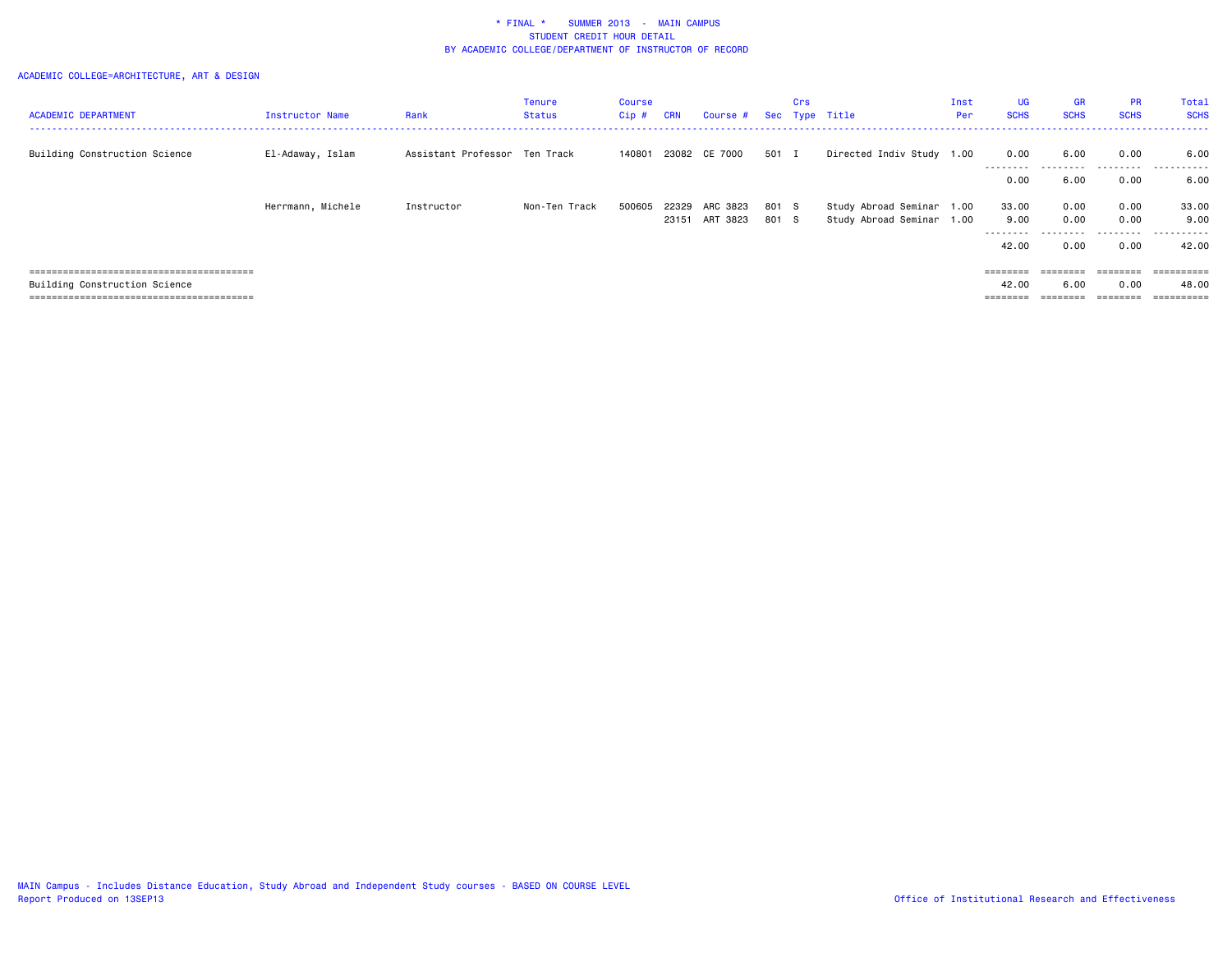|                               |                   |                               | Tenure        | Course |       |                         |       | Crs |                           | Inst | UG                | <b>GR</b>   | <b>PR</b>       | Total       |
|-------------------------------|-------------------|-------------------------------|---------------|--------|-------|-------------------------|-------|-----|---------------------------|------|-------------------|-------------|-----------------|-------------|
| <b>ACADEMIC DEPARTMENT</b>    | Instructor Name   | Rank                          | Status        | Cip #  | CRN   | Course # Sec Type Title |       |     |                           | Per  | <b>SCHS</b>       | <b>SCHS</b> | <b>SCHS</b>     | <b>SCHS</b> |
|                               |                   |                               |               |        |       |                         |       |     |                           |      |                   |             |                 |             |
| Building Construction Science | El-Adaway, Islam  | Assistant Professor Ten Track |               | 140801 |       | 23082 CE 7000           | 501 I |     | Directed Indiv Study 1.00 |      | 0.00<br>--------- | 6.00<br>.   | 0.00<br>.       | 6.00<br>.   |
|                               |                   |                               |               |        |       |                         |       |     |                           |      | 0.00              | 6.00        | 0.00            | 6.00        |
|                               | Herrmann, Michele | Instructor                    | Non-Ten Track | 500605 | 22329 | ARC 3823                | 801 S |     | Study Abroad Seminar 1.00 |      | 33.00             | 0.00        | 0.00            | 33.00       |
|                               |                   |                               |               |        | 23151 | ART 3823                | 801 S |     | Study Abroad Seminar 1.00 |      | 9.00              | 0.00        | 0.00            | 9.00        |
|                               |                   |                               |               |        |       |                         |       |     |                           |      | --------          |             |                 | .           |
|                               |                   |                               |               |        |       |                         |       |     |                           |      | 42.00             | 0.00        | 0.00            | 42.00       |
|                               |                   |                               |               |        |       |                         |       |     |                           |      |                   |             |                 |             |
|                               |                   |                               |               |        |       |                         |       |     |                           |      | ========          | ========    | <b>EBBEEBBE</b> | ==========  |
| Building Construction Science |                   |                               |               |        |       |                         |       |     |                           |      | 42.00             | 6.00        | 0.00            | 48.00       |
|                               |                   |                               |               |        |       |                         |       |     |                           |      |                   |             |                 |             |
|                               |                   |                               |               |        |       |                         |       |     |                           |      |                   |             |                 |             |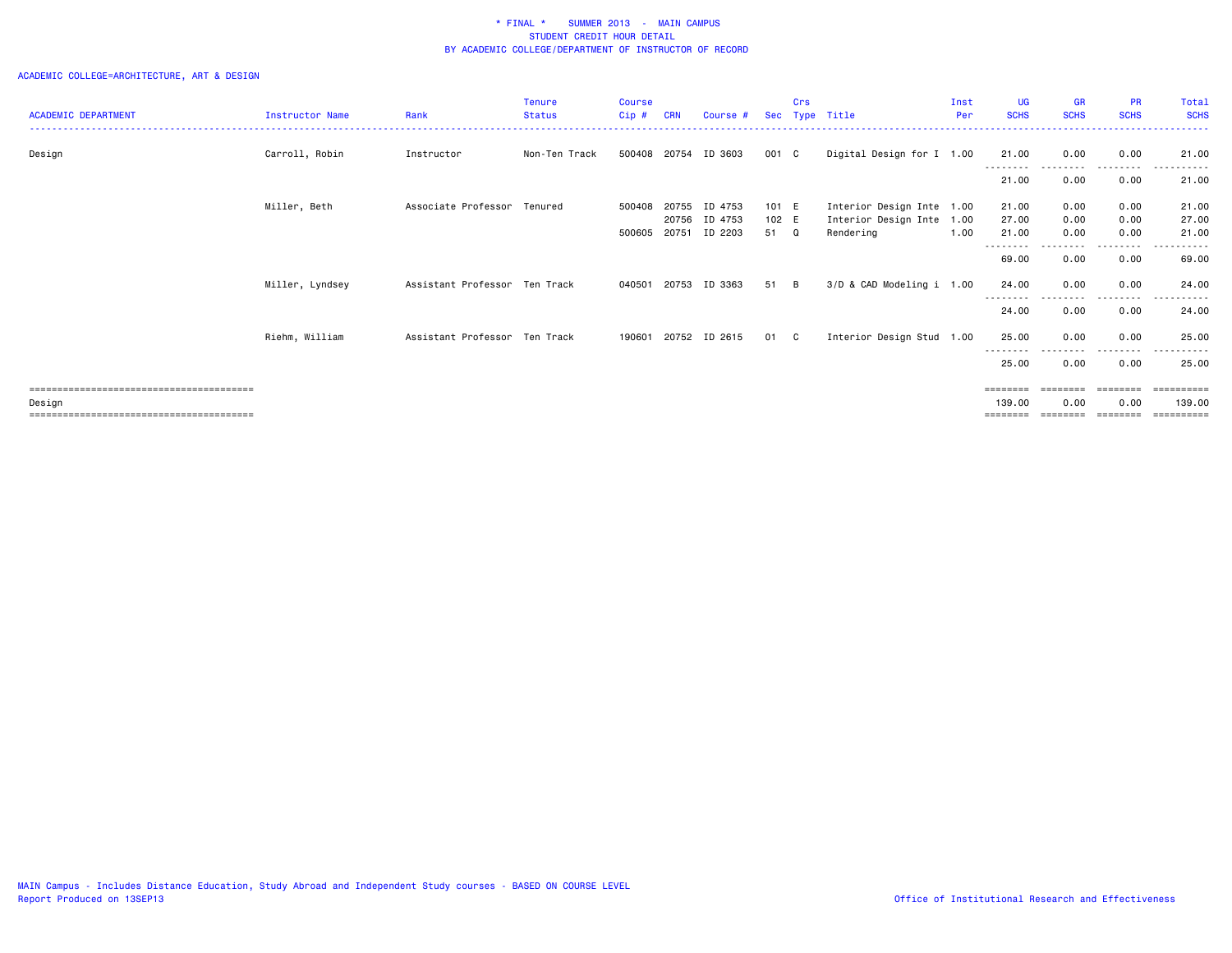|                            |                        |                               | <b>Tenure</b> | <b>Course</b> |            |                      |       | Crs      |                           | Inst | <b>UG</b>         | <b>GR</b>   | <b>PR</b>            | Total                |
|----------------------------|------------------------|-------------------------------|---------------|---------------|------------|----------------------|-------|----------|---------------------------|------|-------------------|-------------|----------------------|----------------------|
| <b>ACADEMIC DEPARTMENT</b> | <b>Instructor Name</b> | Rank                          | <b>Status</b> | Cip#          | <b>CRN</b> | Course #             |       |          | Sec Type Title            | Per  | <b>SCHS</b>       | <b>SCHS</b> | <b>SCHS</b>          | <b>SCHS</b>          |
| Design                     | Carroll, Robin         | Instructor                    | Non-Ten Track | 500408        | 20754      | ID 3603              | 001 C |          | Digital Design for I 1.00 |      | 21.00<br>-------- | 0.00        | 0.00                 | 21.00                |
|                            |                        |                               |               |               |            |                      |       |          |                           |      | 21.00             | 0.00        | 0.00                 | 21.00                |
|                            | Miller, Beth           | Associate Professor Tenured   |               | 500408        | 20755      | ID 4753              | 101 E |          | Interior Design Inte 1.00 |      | 21.00             | 0.00        | 0.00                 | 21.00                |
|                            |                        |                               |               |               |            | 20756 ID 4753        | 102 E |          | Interior Design Inte 1.00 |      | 27.00             | 0.00        | 0.00                 | 27.00                |
|                            |                        |                               |               | 500605        | 20751      | ID 2203              | 51 Q  |          | Rendering                 | 1.00 | 21.00             | 0.00        | 0.00                 | 21.00                |
|                            |                        |                               |               |               |            |                      |       |          |                           |      | --------<br>69.00 | 0.00        | . <b>.</b> .<br>0.00 | 69.00                |
|                            | Miller, Lyndsey        | Assistant Professor Ten Track |               | 040501        |            | 20753 ID 3363        | 51    | <b>B</b> | 3/D & CAD Modeling i 1.00 |      | 24.00             | 0.00        | 0.00                 | 24,00                |
|                            |                        |                               |               |               |            |                      |       |          |                           |      | 24.00             | 0.00        | 0.00                 | 24.00                |
|                            | Riehm, William         | Assistant Professor Ten Track |               |               |            | 190601 20752 ID 2615 | 01    | C C      | Interior Design Stud 1.00 |      | 25.00<br>-------- | 0.00        | 0.00<br>---------    | 25.00<br>.           |
|                            |                        |                               |               |               |            |                      |       |          |                           |      | 25.00             | 0.00        | 0.00                 | 25.00                |
|                            |                        |                               |               |               |            |                      |       |          |                           |      | $=$ = = = = = = = |             |                      | eesseesse            |
| Design                     |                        |                               |               |               |            |                      |       |          |                           |      | 139,00            | 0.00        | 0.00                 | 139.00<br>========== |
|                            |                        |                               |               |               |            |                      |       |          |                           |      |                   |             |                      |                      |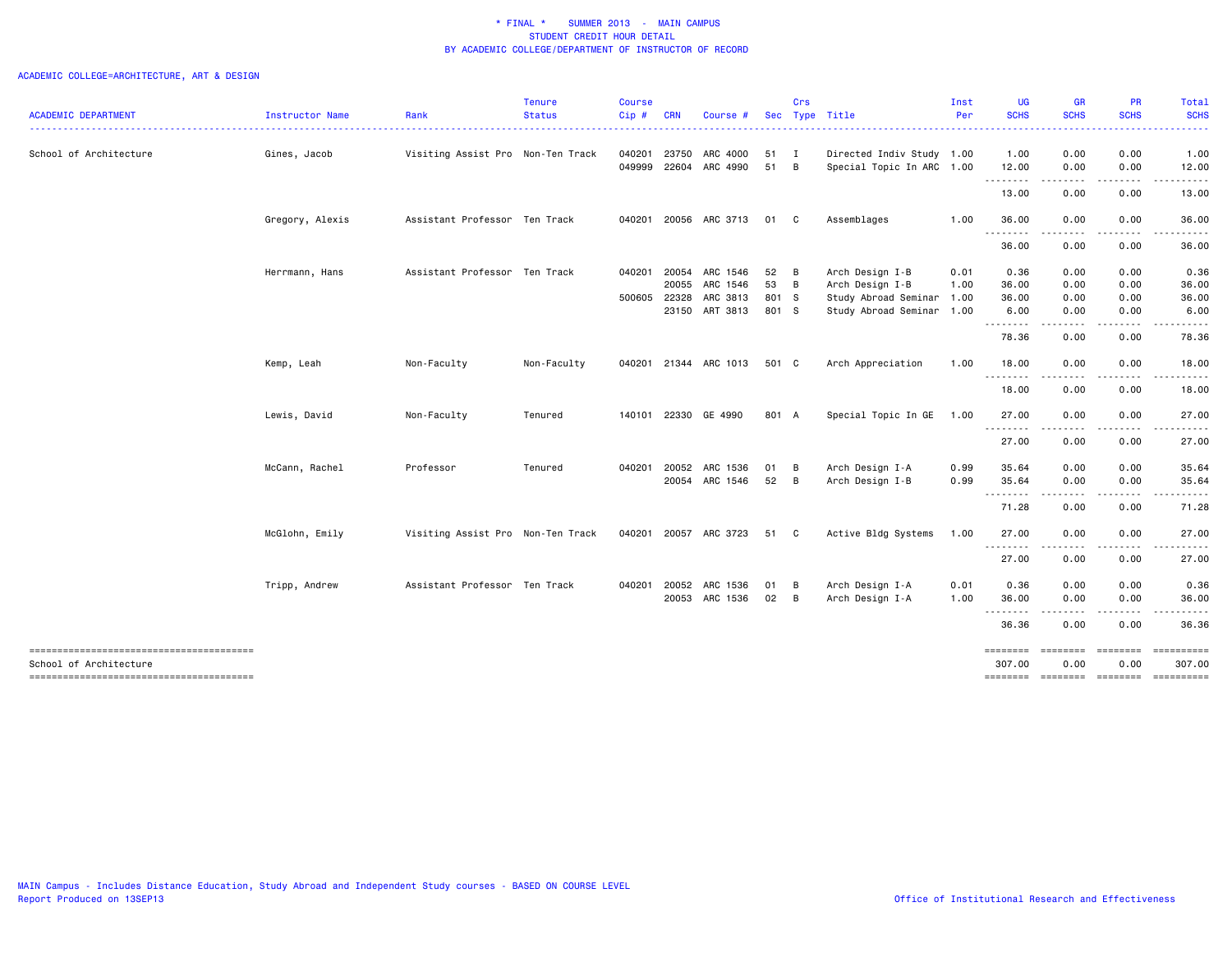| <b>ACADEMIC DEPARTMENT</b>                                       | Instructor Name | Rank                              | Tenure<br><b>Status</b> | <b>Course</b><br>Cip# | <b>CRN</b> | Course #              |              | Crs | Sec Type Title            | Inst<br>Per | <b>UG</b><br><b>SCHS</b> | GR<br><b>SCHS</b>       | PR<br><b>SCHS</b> | Total<br><b>SCHS</b> |
|------------------------------------------------------------------|-----------------|-----------------------------------|-------------------------|-----------------------|------------|-----------------------|--------------|-----|---------------------------|-------------|--------------------------|-------------------------|-------------------|----------------------|
|                                                                  |                 |                                   |                         |                       |            |                       |              |     |                           |             |                          |                         |                   |                      |
| School of Architecture                                           | Gines, Jacob    | Visiting Assist Pro Non-Ten Track |                         | 040201                | 23750      | ARC 4000              | 51 I         |     | Directed Indiv Study 1.00 |             | 1.00                     | 0.00                    | 0.00              | 1.00                 |
|                                                                  |                 |                                   |                         | 049999                |            | 22604 ARC 4990        | 51 B         |     | Special Topic In ARC 1.00 |             | 12.00                    | 0.00                    | 0.00<br>-----     | 12.00<br>.           |
|                                                                  |                 |                                   |                         |                       |            |                       |              |     |                           |             | .<br>13.00               | $- - - -$<br>0.00       | 0.00              | 13.00                |
|                                                                  | Gregory, Alexis | Assistant Professor Ten Track     |                         | 040201                |            | 20056 ARC 3713        | 01 C         |     | Assemblages               | 1.00        | 36.00<br>.               | 0.00                    | 0.00              | 36.00                |
|                                                                  |                 |                                   |                         |                       |            |                       |              |     |                           |             | 36.00                    | 0.00                    | 0.00              | 36.00                |
|                                                                  | Herrmann, Hans  | Assistant Professor Ten Track     |                         | 040201                | 20054      | ARC 1546              | 52 B         |     | Arch Design I-B           | 0.01        | 0.36                     | 0.00                    | 0.00              | 0.36                 |
|                                                                  |                 |                                   |                         |                       | 20055      | ARC 1546              | 53 B         |     | Arch Design I-B           | 1.00        | 36.00                    | 0.00                    | 0.00              | 36.00                |
|                                                                  |                 |                                   |                         | 500605                | 22328      | ARC 3813              | 801 S        |     | Study Abroad Seminar      | 1.00        | 36.00                    | 0.00                    | 0.00              | 36.00                |
|                                                                  |                 |                                   |                         |                       |            | 23150 ART 3813        | 801 S        |     | Study Abroad Seminar 1.00 |             | 6.00<br>.                | 0.00<br>----            | 0.00<br>----      | 6.00                 |
|                                                                  |                 |                                   |                         |                       |            |                       |              |     |                           |             | 78.36                    | 0.00                    | 0.00              | 78.36                |
|                                                                  | Kemp, Leah      | Non-Faculty                       | Non-Faculty             |                       |            | 040201 21344 ARC 1013 | 501 C        |     | Arch Appreciation         | 1.00        | 18.00<br>.               | 0.00                    | 0.00              | 18.00                |
|                                                                  |                 |                                   |                         |                       |            |                       |              |     |                           |             | 18.00                    | 0.00                    | 0.00              | 18.00                |
|                                                                  | Lewis, David    | Non-Faculty                       | Tenured                 | 140101                |            | 22330 GE 4990         | 801 A        |     | Special Topic In GE       | 1.00        | 27.00                    | 0.00                    | 0.00              | 27.00                |
|                                                                  |                 |                                   |                         |                       |            |                       |              |     |                           |             | .<br>27.00               | .<br>0.00               | .<br>0.00         | 27.00                |
|                                                                  | McCann, Rachel  | Professor                         | Tenured                 | 040201                |            | 20052 ARC 1536        | 01 B         |     | Arch Design I-A           | 0.99        | 35.64                    | 0.00                    | 0.00              | 35.64                |
|                                                                  |                 |                                   |                         |                       |            | 20054 ARC 1546        | 52 B         |     | Arch Design I-B           | 0.99        | 35.64                    | 0.00                    | 0.00              | 35.64                |
|                                                                  |                 |                                   |                         |                       |            |                       |              |     |                           |             | .<br>71.28               | .<br>0.00               | .<br>0.00         | 71.28                |
|                                                                  | McGlohn, Emily  | Visiting Assist Pro Non-Ten Track |                         |                       |            | 040201 20057 ARC 3723 | 51 C         |     | Active Bldg Systems       | 1.00        | 27.00                    | 0.00                    | 0.00              | 27.00                |
|                                                                  |                 |                                   |                         |                       |            |                       |              |     |                           |             | ---------<br>27.00       | .<br>0.00               | 0.00              | 27.00                |
|                                                                  | Tripp, Andrew   | Assistant Professor Ten Track     |                         | 040201                |            | 20052 ARC 1536        | 01 B         |     | Arch Design I-A           | 0.01        | 0.36                     | 0.00                    | 0.00              | 0.36                 |
|                                                                  |                 |                                   |                         |                       |            | 20053 ARC 1536        | $02 \quad B$ |     | Arch Design I-A           | 1.00        | 36.00                    | 0.00                    | 0.00              | 36.00                |
|                                                                  |                 |                                   |                         |                       |            |                       |              |     |                           |             | .<br>36.36               | المستبد<br>0.00         | -----<br>0.00     | 36.36                |
| --------------------------------------<br>School of Architecture |                 |                                   |                         |                       |            |                       |              |     |                           |             | ========<br>307.00       | <b>ESSESSES</b><br>0.00 | ========<br>0.00  | 307.00               |
| --------------------------------------                           |                 |                                   |                         |                       |            |                       |              |     |                           |             | ========                 | <b>ESSESSES</b>         | ========          |                      |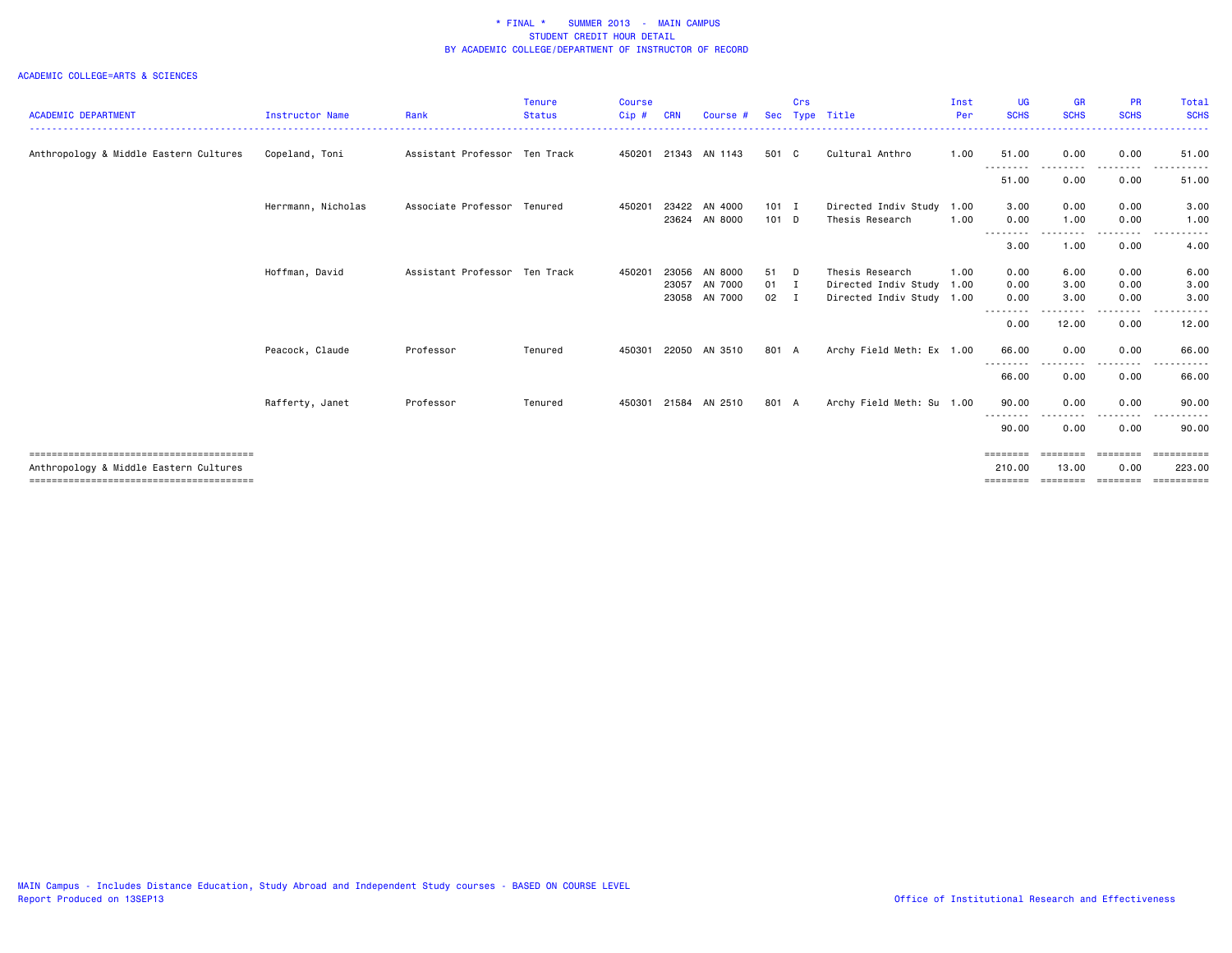|                                        |                        |                               | <b>Tenure</b> | <b>Course</b> |       |               |              | Crs |                           | Inst | <b>UG</b>           | <b>GR</b>        | <b>PR</b>   | Total            |
|----------------------------------------|------------------------|-------------------------------|---------------|---------------|-------|---------------|--------------|-----|---------------------------|------|---------------------|------------------|-------------|------------------|
| <b>ACADEMIC DEPARTMENT</b>             | <b>Instructor Name</b> | Rank                          | <b>Status</b> | Cip#          | CRN   | Course #      | <b>Sec</b>   |     | Type Title                | Per  | <b>SCHS</b>         | <b>SCHS</b>      | <b>SCHS</b> | <b>SCHS</b>      |
| Anthropology & Middle Eastern Cultures | Copeland, Toni         | Assistant Professor Ten Track |               | 450201        |       | 21343 AN 1143 | 501 C        |     | Cultural Anthro           | 1.00 | 51.00<br>. <b>.</b> | 0.00<br>-------- | 0.00<br>.   | 51.00<br>.       |
|                                        |                        |                               |               |               |       |               |              |     |                           |      | 51.00               | 0.00             | 0.00        | 51.00            |
|                                        | Herrmann, Nicholas     | Associate Professor Tenured   |               | 450201        | 23422 | AN 4000       | 101 I        |     | Directed Indiv Study      | 1.00 | 3.00                | 0.00             | 0.00        | 3.00             |
|                                        |                        |                               |               |               | 23624 | AN 8000       | $101$ D      |     | Thesis Research           | 1.00 | 0.00                | 1.00             | 0.00        | 1.00             |
|                                        |                        |                               |               |               |       |               |              |     |                           |      | --------<br>3.00    | -----<br>1.00    | .<br>0.00   | 4.00             |
|                                        | Hoffman, David         | Assistant Professor Ten Track |               | 450201        | 23056 | AN 8000       | 51           | D   | Thesis Research           | 1.00 | 0.00                | 6.00             | 0.00        | 6.00             |
|                                        |                        |                               |               |               | 23057 | AN 7000       | $01$ I       |     | Directed Indiv Study      | 1.00 | 0.00                | 3.00             | 0.00        | 3.00             |
|                                        |                        |                               |               |               | 23058 | AN 7000       | $02 \quad I$ |     | Directed Indiv Study 1.00 |      | 0.00                | 3.00             | 0.00        | 3.00             |
|                                        |                        |                               |               |               |       |               |              |     |                           |      | 0.00                | 12.00            | 0.00        | 12.00            |
|                                        | Peacock, Claude        | Professor                     | Tenured       | 450301        | 22050 | AN 3510       | 801 A        |     | Archy Field Meth: Ex 1.00 |      | 66.00               | 0.00             | 0.00        | 66.00            |
|                                        |                        |                               |               |               |       |               |              |     |                           |      | 66.00               | 0.00             | 0.00        | 66.00            |
|                                        | Rafferty, Janet        | Professor                     | Tenured       | 450301        |       | 21584 AN 2510 | 801 A        |     | Archy Field Meth: Su 1.00 |      | 90.00               | 0.00             | 0.00        | 90.00            |
|                                        |                        |                               |               |               |       |               |              |     |                           |      | 90.00               | 0.00             | 0.00        | 90.00            |
|                                        |                        |                               |               |               |       |               |              |     |                           |      | ========            | ========         | ========    | <b>CONSESSED</b> |
| Anthropology & Middle Eastern Cultures |                        |                               |               |               |       |               |              |     |                           |      | 210.00              | 13.00            | 0.00        | 223.00           |
|                                        |                        |                               |               |               |       |               |              |     |                           |      | ========            | ========         | ========    |                  |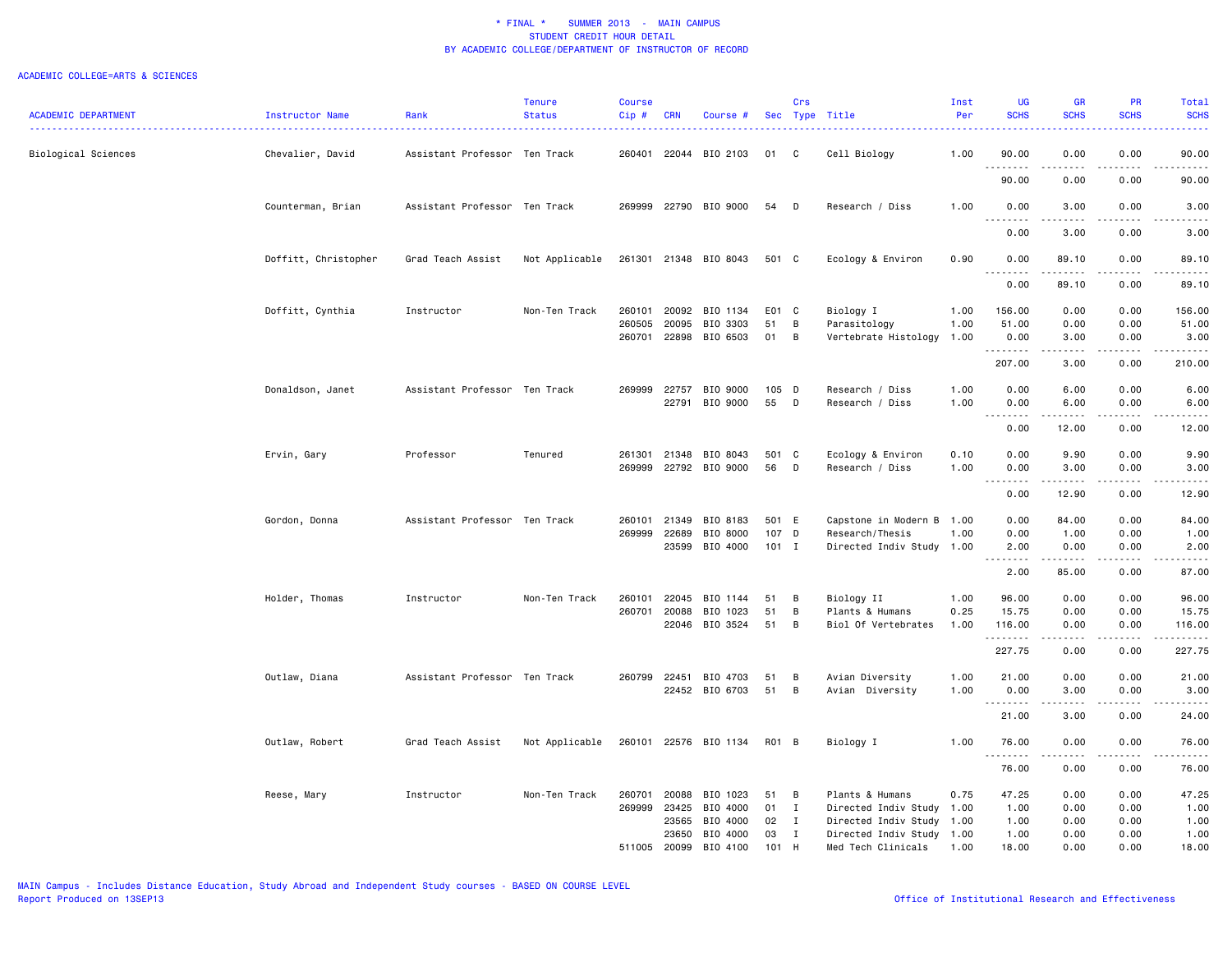| <b>ACADEMIC DEPARTMENT</b> | Instructor Name      | Rank                          | <b>Tenure</b><br><b>Status</b> | <b>Course</b><br>Cip# | <b>CRN</b>     | Course #              |           | Crs            | Sec Type Title            | Inst<br>Per | <b>UG</b><br><b>SCHS</b>    | <b>GR</b><br><b>SCHS</b> | <b>PR</b><br><b>SCHS</b> | Total<br><b>SCHS</b>                                                                                                                                           |
|----------------------------|----------------------|-------------------------------|--------------------------------|-----------------------|----------------|-----------------------|-----------|----------------|---------------------------|-------------|-----------------------------|--------------------------|--------------------------|----------------------------------------------------------------------------------------------------------------------------------------------------------------|
| Biological Sciences        | Chevalier, David     | Assistant Professor Ten Track |                                | 260401                |                | 22044 BIO 2103        | 01        | $\mathbf{C}$   | Cell Biology              | 1.00        | 90.00                       | 0.00                     | 0.00                     | 90.00                                                                                                                                                          |
|                            |                      |                               |                                |                       |                |                       |           |                |                           |             | .<br>90.00                  | 0.00                     | 0.00                     | 90.00                                                                                                                                                          |
|                            | Counterman, Brian    | Assistant Professor Ten Track |                                | 269999                |                | 22790 BIO 9000        | 54        | D              | Research / Diss           | 1.00        | 0.00                        | 3.00                     | 0.00                     | 3.00                                                                                                                                                           |
|                            |                      |                               |                                |                       |                |                       |           |                |                           |             | $\sim$ $\sim$ $\sim$ $\sim$ |                          |                          |                                                                                                                                                                |
|                            | Doffitt, Christopher | Grad Teach Assist             | Not Applicable                 |                       |                | 261301 21348 BIO 8043 | 501 C     |                | Ecology & Environ         | 0.90        | 0.00<br>0.00                | 3.00<br>89.10            | 0.00<br>0.00             | 3.00<br>89.10                                                                                                                                                  |
|                            |                      |                               |                                |                       |                |                       |           |                |                           |             | .<br>0.00                   | .<br>89.10               | $\frac{1}{2}$<br>0.00    | .<br>89.10                                                                                                                                                     |
|                            | Doffitt, Cynthia     | Instructor                    | Non-Ten Track                  | 260101                | 20092          | BIO 1134              | E01 C     |                | Biology I                 | 1.00        | 156.00                      | 0.00                     | 0.00                     | 156.00                                                                                                                                                         |
|                            |                      |                               |                                | 260505                | 20095          | BIO 3303              | 51        | B              | Parasitology              | 1.00        | 51.00                       | 0.00                     | 0.00                     | 51.00                                                                                                                                                          |
|                            |                      |                               |                                | 260701                | 22898          | BIO 6503              | 01        | B              | Vertebrate Histology      | 1.00        | 0.00<br>.                   | 3.00<br>.                | 0.00                     | 3.00<br>.                                                                                                                                                      |
|                            |                      |                               |                                |                       |                |                       |           |                |                           |             | 207.00                      | 3.00                     | 0.00                     | 210.00                                                                                                                                                         |
|                            | Donaldson, Janet     | Assistant Professor Ten Track |                                | 269999                | 22757          | BIO 9000              | 105 D     |                | Research / Diss           | 1.00        | 0.00                        | 6.00                     | 0.00                     | 6.00                                                                                                                                                           |
|                            |                      |                               |                                |                       | 22791          | BIO 9000              | 55        | $\mathsf{D}$   | Research / Diss           | 1.00        | 0.00                        | 6.00                     | 0.00                     | 6.00                                                                                                                                                           |
|                            |                      |                               |                                |                       |                |                       |           |                |                           |             | $\sim$ $\sim$ .<br>.        | $- - - - -$              | .                        | $\frac{1}{2}$                                                                                                                                                  |
|                            |                      |                               |                                |                       |                |                       |           |                |                           |             | 0.00                        | 12.00                    | 0.00                     | 12.00                                                                                                                                                          |
|                            | Ervin, Gary          | Professor                     | Tenured                        | 261301                | 21348          | BIO 8043              | 501 C     |                | Ecology & Environ         | 0.10        | 0.00                        | 9.90                     | 0.00                     | 9.90                                                                                                                                                           |
|                            |                      |                               |                                | 269999                |                | 22792 BIO 9000        | 56        | D              | Research / Diss           | 1.00        | 0.00<br>.                   | 3.00<br>.                | 0.00<br>.                | 3.00<br>.                                                                                                                                                      |
|                            |                      |                               |                                |                       |                |                       |           |                |                           |             | 0.00                        | 12.90                    | 0.00                     | 12.90                                                                                                                                                          |
|                            | Gordon, Donna        | Assistant Professor Ten Track |                                | 260101                | 21349          | BIO 8183              | 501 E     |                | Capstone in Modern B      | 1.00        | 0.00                        | 84.00                    | 0.00                     | 84.00                                                                                                                                                          |
|                            |                      |                               |                                | 269999                | 22689          | BIO 8000              | 107 D     |                | Research/Thesis           | 1.00        | 0.00                        | 1.00                     | 0.00                     | 1.00                                                                                                                                                           |
|                            |                      |                               |                                |                       | 23599          | BIO 4000              | $101$ I   |                | Directed Indiv Study      | 1.00        | 2.00<br>.                   | 0.00<br>.                | 0.00<br>.                | 2.00<br>.                                                                                                                                                      |
|                            |                      |                               |                                |                       |                |                       |           |                |                           |             | 2.00                        | 85.00                    | 0.00                     | 87.00                                                                                                                                                          |
|                            | Holder, Thomas       | Instructor                    | Non-Ten Track                  | 260101                | 22045          | BIO 1144              | 51        | B              | Biology II                | 1.00        | 96.00                       | 0.00                     | 0.00                     | 96.00                                                                                                                                                          |
|                            |                      |                               |                                | 260701                | 20088          | BIO 1023              | 51        | B              | Plants & Humans           | 0.25        | 15.75                       | 0.00                     | 0.00                     | 15.75                                                                                                                                                          |
|                            |                      |                               |                                |                       |                | 22046 BIO 3524        | 51        | $\overline{B}$ | Biol Of Vertebrates       | 1.00        | 116.00<br>.                 | 0.00<br>.                | 0.00<br>.                | 116.00<br>$\frac{1}{2} \left( \frac{1}{2} \right) \left( \frac{1}{2} \right) \left( \frac{1}{2} \right) \left( \frac{1}{2} \right) \left( \frac{1}{2} \right)$ |
|                            |                      |                               |                                |                       |                |                       |           |                |                           |             | 227.75                      | 0.00                     | 0.00                     | 227.75                                                                                                                                                         |
|                            | Outlaw, Diana        | Assistant Professor Ten Track |                                | 260799                | 22451          | BIO 4703              | 51        | B              | Avian Diversity           | 1.00        | 21.00                       | 0.00                     | 0.00                     | 21.00                                                                                                                                                          |
|                            |                      |                               |                                |                       |                | 22452 BIO 6703        | 51        | B              | Avian Diversity           | 1.00        | 0.00                        | 3.00                     | 0.00                     | 3.00                                                                                                                                                           |
|                            |                      |                               |                                |                       |                |                       |           |                |                           |             | --------<br>21.00           | 3.00                     | .<br>0.00                | .<br>24.00                                                                                                                                                     |
|                            | Outlaw, Robert       | Grad Teach Assist             | Not Applicable                 |                       |                | 260101 22576 BIO 1134 | RO1 B     |                | Biology I                 | 1.00        | 76.00                       | 0.00                     | 0.00                     | 76.00                                                                                                                                                          |
|                            |                      |                               |                                |                       |                |                       |           |                |                           |             | .                           |                          |                          | .                                                                                                                                                              |
|                            |                      |                               |                                |                       |                |                       |           |                |                           |             | 76.00                       | 0.00                     | 0.00                     | 76.00                                                                                                                                                          |
|                            | Reese, Mary          | Instructor                    | Non-Ten Track                  | 260701                | 20088          | BIO 1023              | 51        | B              | Plants & Humans           | 0.75        | 47.25                       | 0.00                     | 0.00                     | 47.25                                                                                                                                                          |
|                            |                      |                               |                                | 269999                | 23425          | BIO 4000              | 01        | $\mathbf{I}$   | Directed Indiv Study 1.00 |             | 1.00                        | 0.00                     | 0.00                     | 1.00                                                                                                                                                           |
|                            |                      |                               |                                |                       | 23565          | BIO 4000              | 02        | $\mathbf{I}$   | Directed Indiv Study      | 1.00        | 1.00                        | 0.00                     | 0.00                     | 1.00                                                                                                                                                           |
|                            |                      |                               |                                | 511005                | 23650<br>20099 | BIO 4000              | 03<br>101 | I<br>H         | Directed Indiv Study 1.00 | 1.00        | 1.00<br>18.00               | 0.00<br>0.00             | 0.00<br>0.00             | 1.00<br>18,00                                                                                                                                                  |
|                            |                      |                               |                                |                       |                | BIO 4100              |           |                | Med Tech Clinicals        |             |                             |                          |                          |                                                                                                                                                                |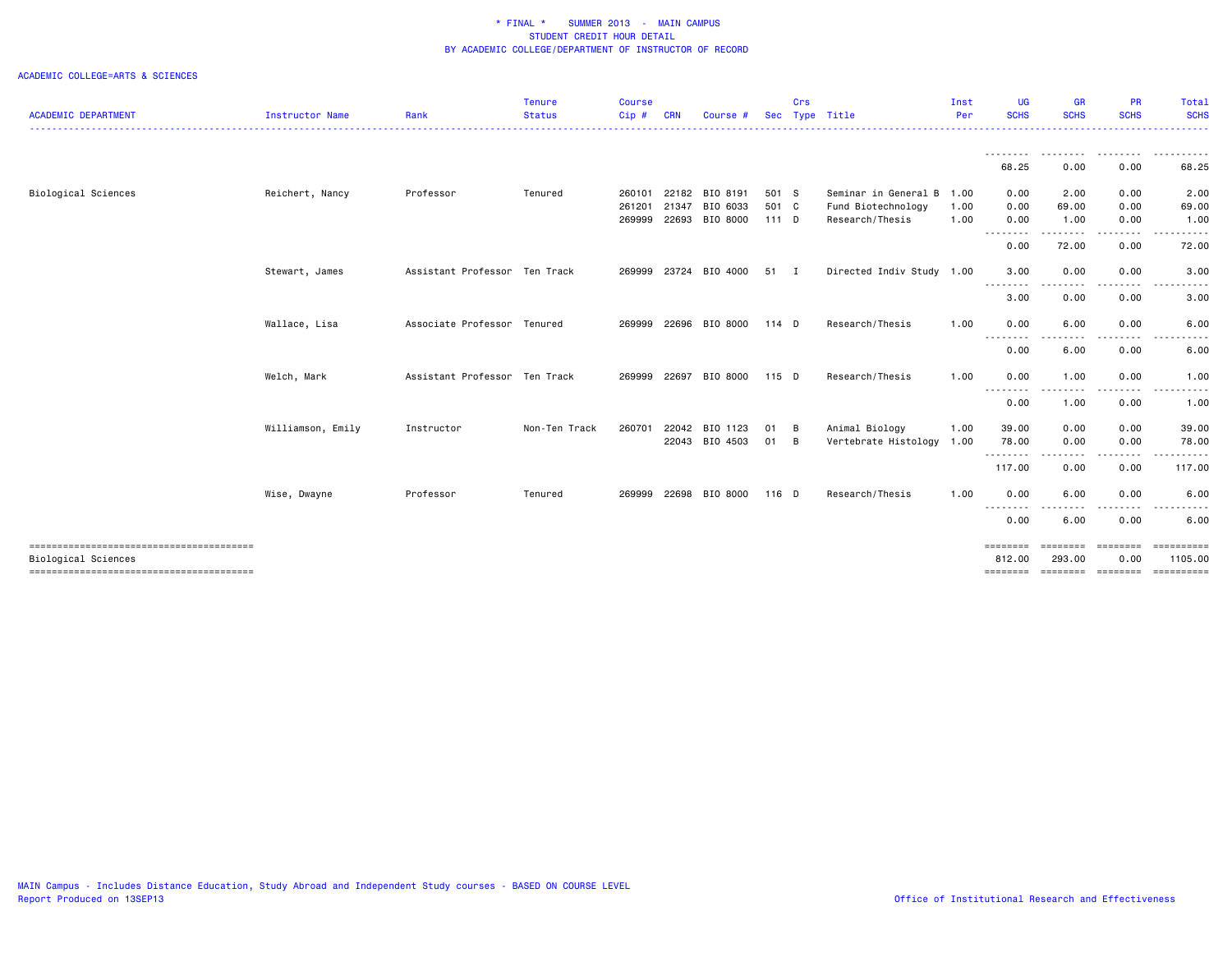|                            |                   |                               | <b>Tenure</b> | <b>Course</b> |       |                |            | Crs            |                           | Inst | <b>UG</b>          | <b>GR</b>                 | <b>PR</b>                                  | Total                 |
|----------------------------|-------------------|-------------------------------|---------------|---------------|-------|----------------|------------|----------------|---------------------------|------|--------------------|---------------------------|--------------------------------------------|-----------------------|
| <b>ACADEMIC DEPARTMENT</b> | Instructor Name   | Rank                          | <b>Status</b> | Cip#          | CRN   | Course         | <b>Sec</b> |                | Type Title                | Per  | <b>SCHS</b>        | <b>SCHS</b>               | <b>SCHS</b>                                | <b>SCHS</b>           |
|                            |                   |                               |               |               |       |                |            |                |                           |      | --------- <b>-</b> | .                         | <b><i><u><u> - - - - - - -</u></u></i></b> | .                     |
|                            |                   |                               |               |               |       |                |            |                |                           |      | 68.25              | 0.00                      | 0.00                                       | 68.25                 |
| Biological Sciences        | Reichert, Nancy   | Professor                     | Tenured       | 260101        | 22182 | BIO 8191       | 501 S      |                | Seminar in General B 1.00 |      | 0.00               | 2.00                      | 0.00                                       | 2.00                  |
|                            |                   |                               |               | 261201        | 21347 | BIO 6033       | 501 C      |                | Fund Biotechnology        | 1.00 | 0.00               | 69.00                     | 0.00                                       | 69.00                 |
|                            |                   |                               |               | 269999        | 22693 | BIO 8000       | $111$ D    |                | Research/Thesis           | 1.00 | 0.00<br>.          | 1.00                      | 0.00                                       | 1.00                  |
|                            |                   |                               |               |               |       |                |            |                |                           |      | 0.00               | 72.00                     | 0.00                                       | 72.00                 |
|                            | Stewart, James    | Assistant Professor Ten Track |               | 269999        | 23724 | BIO 4000       | 51         | - I            | Directed Indiv Study 1.00 |      | 3.00<br>--------   | 0.00                      | 0.00                                       | 3.00                  |
|                            |                   |                               |               |               |       |                |            |                |                           |      | 3.00               | 0.00                      | 0.00                                       | 3.00                  |
|                            | Wallace, Lisa     | Associate Professor           | Tenured       | 269999        | 22696 | BIO 8000       | 114 D      |                | Research/Thesis           | 1.00 | 0.00<br>--------   | 6.00<br>.                 | 0.00                                       | 6.00                  |
|                            |                   |                               |               |               |       |                |            |                |                           |      | 0.00               | 6.00                      | 0.00                                       | 6.00                  |
|                            | Welch, Mark       | Assistant Professor Ten Track |               | 269999        | 22697 | BIO 8000       | 115 D      |                | Research/Thesis           | 1.00 | 0.00<br><u>.</u>   | 1.00                      | 0.00                                       | 1.00                  |
|                            |                   |                               |               |               |       |                |            |                |                           |      | 0.00               | 1.00                      | 0.00                                       | 1.00                  |
|                            | Williamson, Emily | Instructor                    | Non-Ten Track | 260701        | 22042 | BIO 1123       | 01         | - B            | Animal Biology            | 1.00 | 39.00              | 0.00                      | 0.00                                       | 39.00                 |
|                            |                   |                               |               |               |       | 22043 BIO 4503 | 01         | $\overline{B}$ | Vertebrate Histology      | 1.00 | 78.00<br>.         | 0.00<br>.                 | 0.00                                       | 78.00                 |
|                            |                   |                               |               |               |       |                |            |                |                           |      | 117.00             | 0.00                      | 0.00                                       | 117.00                |
|                            | Wise, Dwayne      | Professor                     | Tenured       | 269999        |       | 22698 BIO 8000 | $116$ D    |                | Research/Thesis           | 1.00 | 0.00               | 6.00                      | 0.00                                       | 6.00                  |
|                            |                   |                               |               |               |       |                |            |                |                           |      | .<br>0.00          | 6.00                      | 0.00                                       | 6.00                  |
| <b>Biological Sciences</b> |                   |                               |               |               |       |                |            |                |                           |      | ========           | <b>SEESSEES</b><br>293,00 | ========                                   | ==========<br>1105.00 |
|                            |                   |                               |               |               |       |                |            |                |                           |      | 812,00<br>======== | ========                  | 0.00<br>========                           | ==========            |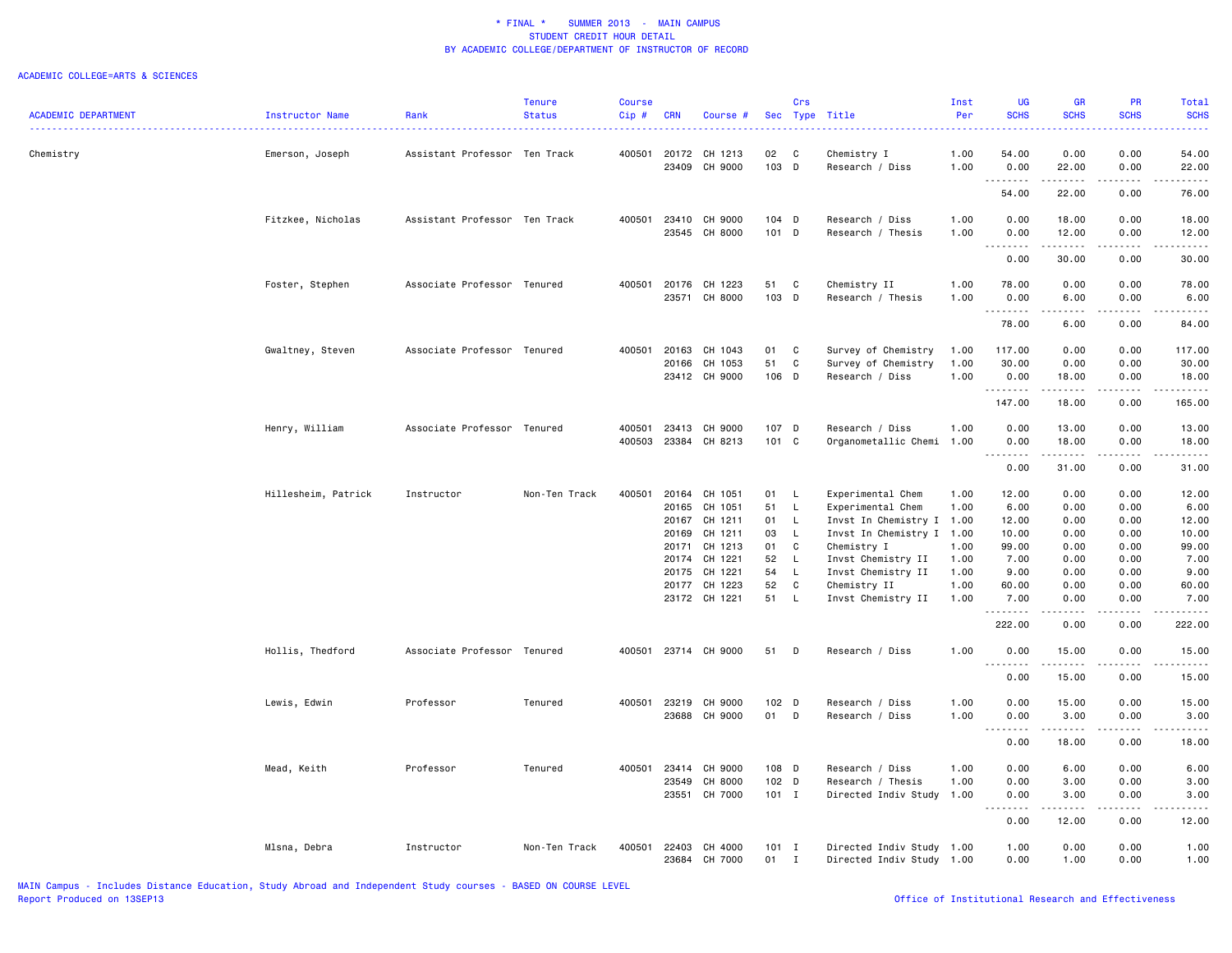| <b>ACADEMIC DEPARTMENT</b> | Instructor Name     | Rank                          | Tenure<br><b>Status</b> | Course<br>Cip#   | <b>CRN</b>     | Course #                            |                   | Crs               | Sec Type Title                                                | Inst<br>Per          | <b>UG</b><br><b>SCHS</b>            | <b>GR</b><br><b>SCHS</b>                                                                                                                                      | PR<br><b>SCHS</b>    | Total<br><b>SCHS</b>       |
|----------------------------|---------------------|-------------------------------|-------------------------|------------------|----------------|-------------------------------------|-------------------|-------------------|---------------------------------------------------------------|----------------------|-------------------------------------|---------------------------------------------------------------------------------------------------------------------------------------------------------------|----------------------|----------------------------|
| Chemistry                  | Emerson, Joseph     | Assistant Professor Ten Track |                         | 400501           | 20172<br>23409 | CH 1213<br>CH 9000                  | 02<br>103 D       | C                 | Chemistry I<br>Research / Diss                                | 1.00<br>1.00         | 54.00<br>0.00                       | 0.00<br>22.00                                                                                                                                                 | 0.00<br>0.00         | 54.00<br>22.00             |
|                            |                     |                               |                         |                  |                |                                     |                   |                   |                                                               |                      | .<br>54.00                          | $\frac{1}{2} \left( \frac{1}{2} \right) \left( \frac{1}{2} \right) \left( \frac{1}{2} \right) \left( \frac{1}{2} \right) \left( \frac{1}{2} \right)$<br>22.00 | 0.00                 | .<br>76.00                 |
|                            | Fitzkee, Nicholas   | Assistant Professor Ten Track |                         | 400501           | 23410          | CH 9000                             | $104$ D           |                   | Research / Diss                                               | 1.00                 | 0.00                                | 18.00                                                                                                                                                         | 0.00                 | 18.00                      |
|                            |                     |                               |                         |                  | 23545          | CH 8000                             | 101 D             |                   | Research / Thesis                                             | 1.00                 | 0.00<br>$\sim$ $\sim$ $\sim$ $\sim$ | 12.00<br>.                                                                                                                                                    | 0.00                 | 12.00                      |
|                            |                     |                               |                         |                  |                |                                     |                   |                   |                                                               |                      | 0.00                                | 30.00                                                                                                                                                         | 0.00                 | 30.00                      |
|                            | Foster, Stephen     | Associate Professor Tenured   |                         | 400501           | 20176<br>23571 | CH 1223<br>CH 8000                  | 51<br>103 D       | C                 | Chemistry II<br>Research / Thesis                             | 1.00<br>1.00         | 78.00<br>0.00<br>.                  | 0.00<br>6.00<br>.                                                                                                                                             | 0.00<br>0.00<br>.    | 78.00<br>6.00<br>المتمامين |
|                            |                     |                               |                         |                  |                |                                     |                   |                   |                                                               |                      | 78.00                               | 6.00                                                                                                                                                          | 0.00                 | 84.00                      |
|                            | Gwaltney, Steven    | Associate Professor Tenured   |                         | 400501           | 20163<br>20166 | CH 1043<br>CH 1053<br>23412 CH 9000 | 01<br>51<br>106 D | C<br>C            | Survey of Chemistry<br>Survey of Chemistry<br>Research / Diss | 1.00<br>1.00<br>1.00 | 117.00<br>30.00<br>0.00             | 0.00<br>0.00<br>18.00                                                                                                                                         | 0.00<br>0.00<br>0.00 | 117.00<br>30.00<br>18.00   |
|                            |                     |                               |                         |                  |                |                                     |                   |                   |                                                               |                      | .<br>147.00                         | 18.00                                                                                                                                                         | -----<br>0.00        | 165.00                     |
|                            | Henry, William      | Associate Professor Tenured   |                         | 400501<br>400503 | 23413          | CH 9000<br>23384 CH 8213            | 107 D<br>101 C    |                   | Research / Diss<br>Organometallic Chemi 1.00                  | 1.00                 | 0.00<br>0.00                        | 13.00<br>18.00                                                                                                                                                | 0.00<br>0.00         | 13.00<br>18.00             |
|                            |                     |                               |                         |                  |                |                                     |                   |                   |                                                               |                      | .<br>0.00                           | .<br>31.00                                                                                                                                                    | .<br>0.00            | .<br>31.00                 |
|                            | Hillesheim, Patrick | Instructor                    | Non-Ten Track           | 400501           | 20164<br>20165 | CH 1051<br>CH 1051                  | 01<br>51          | L,<br>L.          | Experimental Chem<br>Experimental Chem                        | 1.00<br>1.00         | 12.00<br>6.00                       | 0.00<br>0.00                                                                                                                                                  | 0.00<br>0.00         | 12.00<br>6.00              |
|                            |                     |                               |                         |                  | 20167<br>20169 | CH 1211<br>CH 1211                  | 01<br>03          | L<br>L            | Invst In Chemistry I 1.00<br>Invst In Chemistry I 1.00        |                      | 12.00<br>10.00                      | 0.00<br>0.00                                                                                                                                                  | 0.00<br>0.00         | 12.00<br>10.00             |
|                            |                     |                               |                         |                  | 20171<br>20174 | CH 1213<br>CH 1221                  | 01<br>52          | C<br>$\mathsf{L}$ | Chemistry I<br>Invst Chemistry II                             | 1.00<br>1.00         | 99.00<br>7.00                       | 0.00<br>0.00                                                                                                                                                  | 0.00<br>0.00         | 99.00<br>7.00              |
|                            |                     |                               |                         |                  | 20175          | CH 1221                             | 54                | L                 | Invst Chemistry II                                            | 1.00                 | 9.00                                | 0.00                                                                                                                                                          | 0.00                 | 9.00                       |
|                            |                     |                               |                         |                  |                | 20177 CH 1223                       | 52                | C                 | Chemistry II                                                  | 1.00                 | 60.00                               | 0.00                                                                                                                                                          | 0.00                 | 60.00                      |
|                            |                     |                               |                         |                  |                | 23172 CH 1221                       | 51                | L                 | Invst Chemistry II                                            | 1.00                 | 7.00<br>.                           | 0.00<br>.                                                                                                                                                     | 0.00<br>.            | 7.00<br>.                  |
|                            |                     |                               |                         |                  |                |                                     |                   |                   |                                                               |                      | 222.00                              | 0.00                                                                                                                                                          | 0.00                 | 222.00                     |
|                            | Hollis, Thedford    | Associate Professor Tenured   |                         | 400501           |                | 23714 CH 9000                       | 51                | D                 | Research / Diss                                               | 1.00                 | 0.00<br>. <b>.</b>                  | 15.00<br>$- - - - - - -$                                                                                                                                      | 0.00<br>.            | 15.00<br>.                 |
|                            |                     |                               |                         |                  |                |                                     |                   |                   |                                                               |                      | 0.00                                | 15.00                                                                                                                                                         | 0.00                 | 15.00                      |
|                            | Lewis, Edwin        | Professor                     | Tenured                 | 400501           | 23219          | CH 9000                             | 102 D             |                   | Research / Diss                                               | 1.00                 | 0.00                                | 15.00                                                                                                                                                         | 0.00                 | 15.00                      |
|                            |                     |                               |                         |                  | 23688          | CH 9000                             | 01                | $\mathsf{D}$      | Research / Diss                                               | 1.00                 | 0.00                                | 3.00                                                                                                                                                          | 0.00                 | 3.00                       |
|                            |                     |                               |                         |                  |                |                                     |                   |                   |                                                               |                      | 0.00                                | 18.00                                                                                                                                                         | 0.00                 | 18.00                      |
|                            | Mead, Keith         | Professor                     | Tenured                 | 400501           | 23414          | CH 9000                             | 108 D             |                   | Research / Diss                                               | 1.00                 | 0.00                                | 6.00                                                                                                                                                          | 0.00                 | 6.00                       |
|                            |                     |                               |                         |                  | 23549          | CH 8000                             | 102 D             |                   | Research / Thesis                                             | 1.00                 | 0.00                                | 3.00                                                                                                                                                          | 0.00                 | 3.00                       |
|                            |                     |                               |                         |                  | 23551          | CH 7000                             | $101$ I           |                   | Directed Indiv Study 1.00                                     |                      | 0.00<br>.<br>$\sim$ $\sim$          | 3.00<br>.                                                                                                                                                     | 0.00<br>.            | 3.00<br>د د د د            |
|                            |                     |                               |                         |                  |                |                                     |                   |                   |                                                               |                      | 0.00                                | 12.00                                                                                                                                                         | 0.00                 | 12.00                      |
|                            | Mlsna, Debra        | Instructor                    | Non-Ten Track           | 400501           | 22403          | CH 4000<br>23684 CH 7000            | $101$ I<br>01     | $\mathbf{I}$      | Directed Indiv Study 1.00<br>Directed Indiv Study 1.00        |                      | 1.00<br>0.00                        | 0.00<br>1.00                                                                                                                                                  | 0.00<br>0.00         | 1.00<br>1.00               |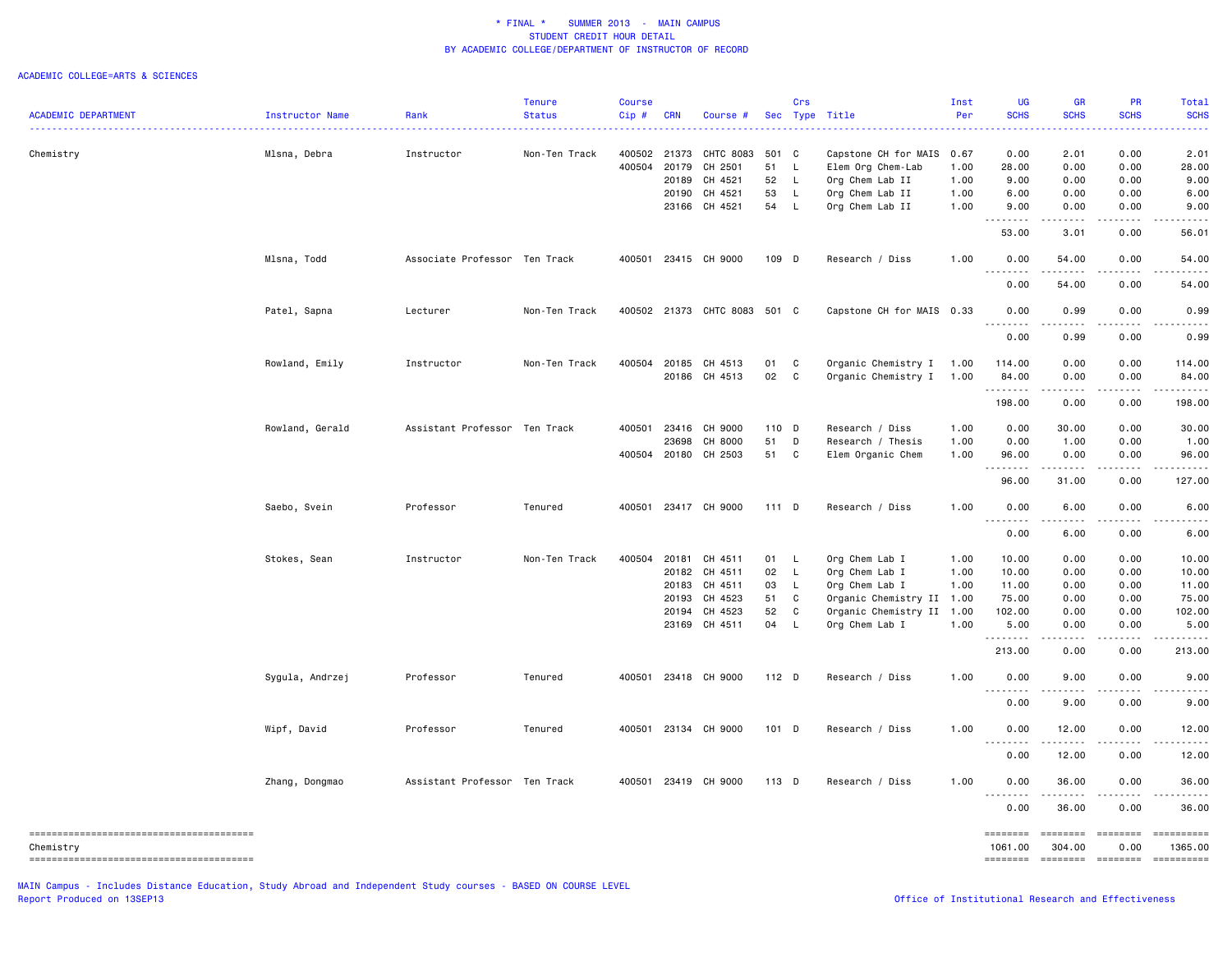### ACADEMIC COLLEGE=ARTS & SCIENCES

|                            |                 |                               | <b>Tenure</b> | <b>Course</b> |              |                              |       | Crs          |                                | Inst | <b>UG</b>           | <b>GR</b>                           | <b>PR</b>                                                                                                                                                    | Total                  |
|----------------------------|-----------------|-------------------------------|---------------|---------------|--------------|------------------------------|-------|--------------|--------------------------------|------|---------------------|-------------------------------------|--------------------------------------------------------------------------------------------------------------------------------------------------------------|------------------------|
| <b>ACADEMIC DEPARTMENT</b> | Instructor Name | Rank                          | <b>Status</b> | Cip#          | <b>CRN</b>   | Course #                     |       |              | Sec Type Title<br>. <u>.</u> . | Per  | <b>SCHS</b>         | <b>SCHS</b>                         | <b>SCHS</b>                                                                                                                                                  | <b>SCHS</b>            |
| Chemistry                  |                 | Instructor                    | Non-Ten Track |               | 400502 21373 | CHTC 8083                    | 501 C |              | Capstone CH for MAIS 0.67      |      | 0.00                | 2.01                                | 0.00                                                                                                                                                         | 2.01                   |
|                            | Mlsna, Debra    |                               |               | 400504        | 20179        | CH 2501                      | 51    | $\mathsf{L}$ | Elem Org Chem-Lab              | 1.00 | 28.00               | 0.00                                | 0.00                                                                                                                                                         | 28.00                  |
|                            |                 |                               |               |               | 20189        | CH 4521                      | 52    | $\mathsf{L}$ |                                | 1.00 | 9.00                | 0.00                                | 0.00                                                                                                                                                         | 9.00                   |
|                            |                 |                               |               |               |              |                              | 53    |              | Org Chem Lab II                |      |                     |                                     |                                                                                                                                                              |                        |
|                            |                 |                               |               |               |              | 20190 CH 4521                |       | L            | Org Chem Lab II                | 1.00 | 6.00                | 0.00                                | 0.00                                                                                                                                                         | 6.00                   |
|                            |                 |                               |               |               | 23166        | CH 4521                      | 54    | $\mathsf{L}$ | Org Chem Lab II                | 1.00 | 9.00<br>--------    | 0.00<br>.                           | 0.00<br>.                                                                                                                                                    | 9.00<br>. <u>.</u> .   |
|                            |                 |                               |               |               |              |                              |       |              |                                |      | 53.00               | 3.01                                | 0.00                                                                                                                                                         | 56.01                  |
|                            | Mlsna, Todd     | Associate Professor Ten Track |               | 400501        |              | 23415 CH 9000                | 109 D |              | Research / Diss                | 1.00 | 0.00<br>.           | 54.00                               | 0.00                                                                                                                                                         | 54.00                  |
|                            |                 |                               |               |               |              |                              |       |              |                                |      | 0.00                | 54.00                               | 0.00                                                                                                                                                         | 54.00                  |
|                            | Patel, Sapna    | Lecturer                      | Non-Ten Track |               |              | 400502 21373 CHTC 8083 501 C |       |              | Capstone CH for MAIS 0.33      |      | 0.00<br>.           | 0.99                                | 0.00                                                                                                                                                         | 0.99                   |
|                            |                 |                               |               |               |              |                              |       |              |                                |      | 0.00                | 0.99                                | 0.00                                                                                                                                                         | 0.99                   |
|                            | Rowland, Emily  | Instructor                    | Non-Ten Track |               |              | 400504 20185 CH 4513         | 01 C  |              | Organic Chemistry I            | 1.00 | 114.00              | 0.00                                | 0.00                                                                                                                                                         | 114.00                 |
|                            |                 |                               |               |               |              | 20186 CH 4513                | 02    | $\mathbf{C}$ | Organic Chemistry I            | 1.00 | 84.00               | 0.00                                | 0.00                                                                                                                                                         | 84.00                  |
|                            |                 |                               |               |               |              |                              |       |              |                                |      | --------            | $\sim$ $\sim$ $\sim$ $\sim$         | .                                                                                                                                                            |                        |
|                            |                 |                               |               |               |              |                              |       |              |                                |      | 198.00              | 0.00                                | 0.00                                                                                                                                                         | 198.00                 |
|                            | Rowland, Gerald | Assistant Professor Ten Track |               | 400501        | 23416        | CH 9000                      | 110 D |              | Research / Diss                | 1.00 | 0.00                | 30.00                               | 0.00                                                                                                                                                         | 30.00                  |
|                            |                 |                               |               |               | 23698        | CH 8000                      | 51    | D            | Research / Thesis              | 1.00 | 0.00                | 1.00                                | 0.00                                                                                                                                                         | 1.00                   |
|                            |                 |                               |               |               |              | 400504 20180 CH 2503         | 51 C  |              | Elem Organic Chem              | 1.00 | 96.00               | 0.00                                | 0.00                                                                                                                                                         | 96.00                  |
|                            |                 |                               |               |               |              |                              |       |              |                                |      | .<br>96.00          | .<br>31.00                          | $- - - - -$<br>0.00                                                                                                                                          | 127.00                 |
|                            | Saebo, Svein    | Professor                     | Tenured       |               |              | 400501 23417 CH 9000         | 111 D |              | Research / Diss                | 1.00 | 0.00                | 6.00                                | 0.00                                                                                                                                                         | 6.00                   |
|                            |                 |                               |               |               |              |                              |       |              |                                |      | 0.00                | 6.00                                | 0.00                                                                                                                                                         | 6.00                   |
|                            | Stokes, Sean    | Instructor                    | Non-Ten Track | 400504        | 20181        | CH 4511                      | 01 L  |              | Org Chem Lab I                 | 1.00 | 10.00               | 0.00                                | 0.00                                                                                                                                                         | 10.00                  |
|                            |                 |                               |               |               |              | 20182 CH 4511                | 02    | $\mathsf{L}$ | Org Chem Lab I                 | 1.00 | 10.00               | 0.00                                | 0.00                                                                                                                                                         | 10.00                  |
|                            |                 |                               |               |               | 20183        | CH 4511                      | 03    | $\mathsf{L}$ | Org Chem Lab I                 | 1.00 | 11.00               | 0.00                                | 0.00                                                                                                                                                         | 11.00                  |
|                            |                 |                               |               |               | 20193        | CH 4523                      | 51    | C            | Organic Chemistry II 1.00      |      | 75.00               | 0.00                                | 0.00                                                                                                                                                         | 75.00                  |
|                            |                 |                               |               |               | 20194        | CH 4523                      | 52    | C            | Organic Chemistry II 1.00      |      | 102.00              | 0.00                                | 0.00                                                                                                                                                         | 102.00                 |
|                            |                 |                               |               |               |              | 23169 CH 4511                | 04    | L            | Org Chem Lab I                 | 1.00 | 5.00                | 0.00                                | 0.00                                                                                                                                                         | 5.00                   |
|                            |                 |                               |               |               |              |                              |       |              |                                |      | .<br>213.00         | .<br>0.00                           | $- - - - -$<br>0.00                                                                                                                                          | . <b>.</b> .<br>213.00 |
|                            | Sygula, Andrzej | Professor                     | Tenured       |               |              | 400501 23418 CH 9000         | 112 D |              | Research / Diss                | 1.00 | 0.00                | 9.00                                | 0.00                                                                                                                                                         | 9.00                   |
|                            |                 |                               |               |               |              |                              |       |              |                                |      | .<br>0.00           | $\sim$ $\sim$ $\sim$ $\sim$<br>9.00 | .<br>0.00                                                                                                                                                    |                        |
|                            |                 |                               |               |               |              |                              |       |              |                                |      |                     |                                     |                                                                                                                                                              | 9.00                   |
|                            | Wipf, David     | Professor                     | Tenured       | 400501        |              | 23134 CH 9000                | 101 D |              | Research / Diss                | 1.00 | 0.00<br>.           | 12.00<br>.                          | 0.00<br>$\frac{1}{2} \left( \frac{1}{2} \right) \left( \frac{1}{2} \right) \left( \frac{1}{2} \right) \left( \frac{1}{2} \right) \left( \frac{1}{2} \right)$ | 12.00<br>.             |
|                            |                 |                               |               |               |              |                              |       |              |                                |      | 0.00                | 12.00                               | 0.00                                                                                                                                                         | 12.00                  |
|                            | Zhang, Dongmao  | Assistant Professor Ten Track |               | 400501        |              | 23419 CH 9000                | 113 D |              | Research / Diss                | 1.00 | 0.00<br>.           | 36.00<br>.                          | 0.00<br>.                                                                                                                                                    | 36.00<br>.             |
|                            |                 |                               |               |               |              |                              |       |              |                                |      | 0.00                | 36.00                               | 0.00                                                                                                                                                         | 36.00                  |
| Chemistry                  |                 |                               |               |               |              |                              |       |              |                                |      | ========<br>1061.00 | <b>EEEEEEEE</b><br>304.00           | 0.00                                                                                                                                                         | 1365.00                |
|                            |                 |                               |               |               |              |                              |       |              |                                |      | ========            | ========                            | <b>EDEDEDER</b>                                                                                                                                              |                        |

MAIN Campus - Includes Distance Education, Study Abroad and Independent Study courses - BASED ON COURSE LEVEL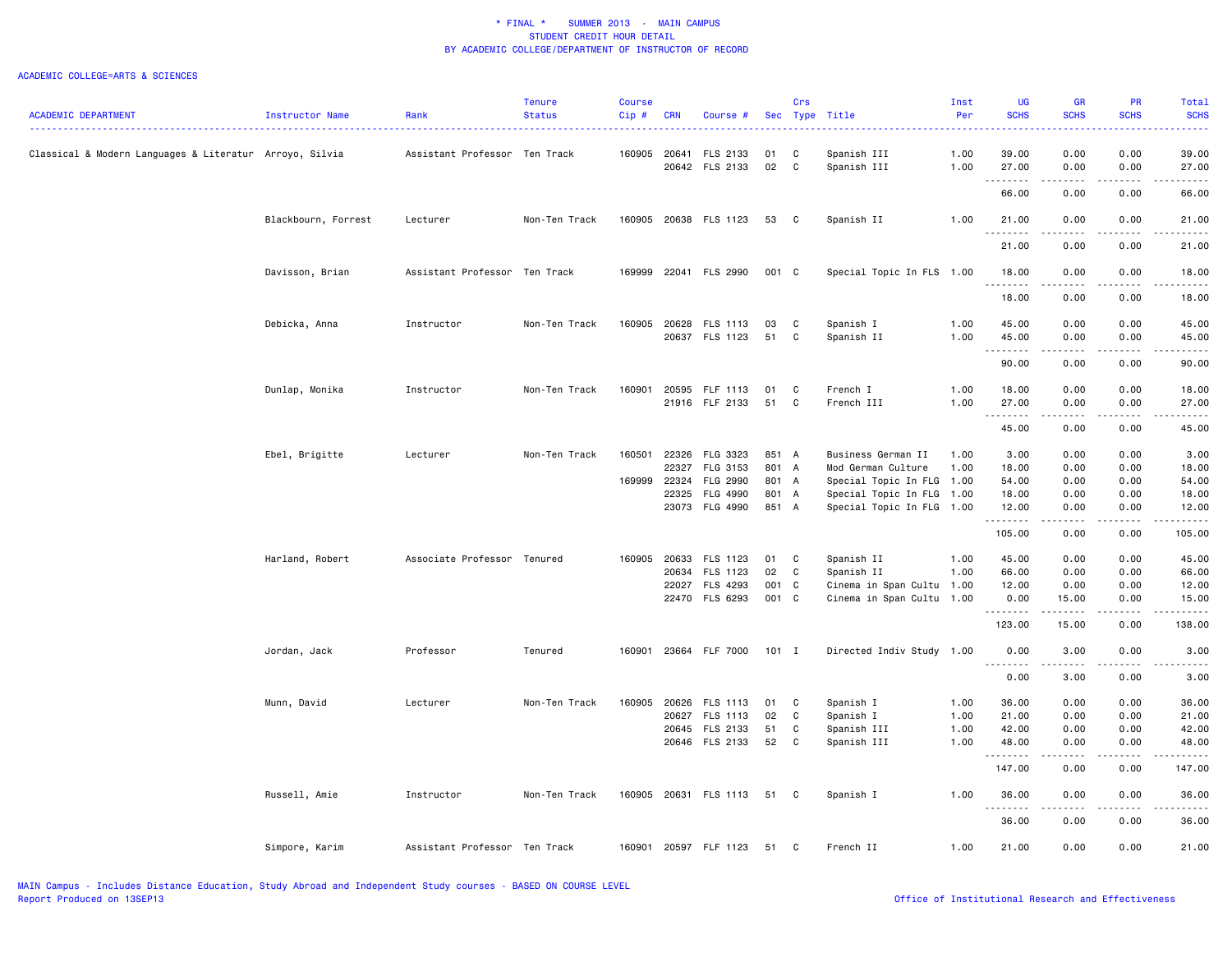|                                                         |                     |                               | Tenure        | <b>Course</b> |            |                       |          | Crs          |                           | Inst | UG               | <b>GR</b>                           | <b>PR</b>        | Total                                                                                                                                                         |
|---------------------------------------------------------|---------------------|-------------------------------|---------------|---------------|------------|-----------------------|----------|--------------|---------------------------|------|------------------|-------------------------------------|------------------|---------------------------------------------------------------------------------------------------------------------------------------------------------------|
| <b>ACADEMIC DEPARTMENT</b>                              | Instructor Name     | Rank                          | <b>Status</b> | Cip#          | <b>CRN</b> | Course #              |          |              | Sec Type Title            | Per  | <b>SCHS</b><br>. | <b>SCHS</b><br>.                    | <b>SCHS</b><br>. | <b>SCHS</b><br>.                                                                                                                                              |
|                                                         |                     |                               |               |               |            |                       |          |              |                           |      |                  |                                     |                  |                                                                                                                                                               |
| Classical & Modern Languages & Literatur Arroyo, Silvia |                     | Assistant Professor Ten Track |               | 160905 20641  |            | FLS 2133              | 01<br>02 | C            | Spanish III               | 1.00 | 39.00            | 0.00                                | 0.00             | 39.00                                                                                                                                                         |
|                                                         |                     |                               |               |               |            | 20642 FLS 2133        |          | C            | Spanish III               | 1.00 | 27.00<br>.       | 0.00<br>$\sim$ $\sim$ $\sim$ $\sim$ | 0.00<br>.        | 27.00                                                                                                                                                         |
|                                                         |                     |                               |               |               |            |                       |          |              |                           |      | 66.00            | 0.00                                | 0.00             | 66.00                                                                                                                                                         |
|                                                         | Blackbourn, Forrest | Lecturer                      | Non-Ten Track |               |            | 160905 20638 FLS 1123 | 53       | $\mathbf{C}$ | Spanish II                | 1.00 | 21.00            | 0.00                                | 0.00             | 21.00                                                                                                                                                         |
|                                                         |                     |                               |               |               |            |                       |          |              |                           |      | .<br>21.00       | 0.00                                | 0.00             | 21.00                                                                                                                                                         |
|                                                         | Davisson, Brian     | Assistant Professor Ten Track |               | 169999        |            | 22041 FLS 2990        | 001 C    |              | Special Topic In FLS 1.00 |      | 18.00            | 0.00                                | 0.00             | 18.00                                                                                                                                                         |
|                                                         |                     |                               |               |               |            |                       |          |              |                           |      | .<br>18.00       | د د د د<br>0.00                     | .<br>0.00        | .<br>18.00                                                                                                                                                    |
|                                                         |                     |                               |               |               |            |                       |          |              |                           |      |                  |                                     |                  |                                                                                                                                                               |
|                                                         | Debicka, Anna       | Instructor                    | Non-Ten Track | 160905        | 20628      | FLS 1113              | 03       | C            | Spanish I                 | 1.00 | 45.00            | 0.00                                | 0.00             | 45.00                                                                                                                                                         |
|                                                         |                     |                               |               |               |            | 20637 FLS 1123        | 51       | C            | Spanish II                | 1.00 | 45.00<br>.       | 0.00<br>.                           | 0.00<br>.        | 45.00<br>. <u>.</u> .                                                                                                                                         |
|                                                         |                     |                               |               |               |            |                       |          |              |                           |      | 90.00            | 0.00                                | 0.00             | 90.00                                                                                                                                                         |
|                                                         | Dunlap, Monika      | Instructor                    | Non-Ten Track | 160901        | 20595      | FLF 1113              | 01       | C            | French I                  | 1.00 | 18.00            | 0.00                                | 0.00             | 18.00                                                                                                                                                         |
|                                                         |                     |                               |               |               |            | 21916 FLF 2133        | 51       | C            | French III                | 1.00 | 27.00            | 0.00                                | 0.00             | 27.00                                                                                                                                                         |
|                                                         |                     |                               |               |               |            |                       |          |              |                           |      | .<br>45.00       | .<br>0.00                           | .<br>0.00        | .<br>45.00                                                                                                                                                    |
|                                                         | Ebel, Brigitte      | Lecturer                      | Non-Ten Track | 160501        | 22326      | FLG 3323              | 851 A    |              | Business German II        | 1.00 | 3.00             | 0.00                                | 0.00             | 3.00                                                                                                                                                          |
|                                                         |                     |                               |               |               | 22327      | FLG 3153              | 801 A    |              | Mod German Culture        | 1.00 | 18.00            | 0.00                                | 0.00             | 18.00                                                                                                                                                         |
|                                                         |                     |                               |               | 169999        | 22324      | FLG 2990              | 801 A    |              | Special Topic In FLG      | 1.00 | 54.00            | 0.00                                | 0.00             | 54.00                                                                                                                                                         |
|                                                         |                     |                               |               |               | 22325      | FLG 4990              | 801 A    |              | Special Topic In FLG 1.00 |      | 18.00            | 0.00                                | 0.00             | 18.00                                                                                                                                                         |
|                                                         |                     |                               |               |               |            | 23073 FLG 4990        | 851 A    |              | Special Topic In FLG 1.00 |      | 12.00<br>.       | 0.00<br>.                           | 0.00<br>-----    | 12.00<br>------                                                                                                                                               |
|                                                         |                     |                               |               |               |            |                       |          |              |                           |      | 105.00           | 0.00                                | 0.00             | 105.00                                                                                                                                                        |
|                                                         | Harland, Robert     | Associate Professor Tenured   |               | 160905        | 20633      | FLS 1123              | 01       | $\mathbf{C}$ | Spanish II                | 1.00 | 45.00            | 0.00                                | 0.00             | 45.00                                                                                                                                                         |
|                                                         |                     |                               |               |               | 20634      | FLS 1123              | 02       | $\mathbf{C}$ | Spanish II                | 1.00 | 66.00            | 0.00                                | 0.00             | 66.00                                                                                                                                                         |
|                                                         |                     |                               |               |               |            | 22027 FLS 4293        | 001 C    |              | Cinema in Span Cultu 1.00 |      | 12.00            | 0.00                                | 0.00             | 12.00                                                                                                                                                         |
|                                                         |                     |                               |               |               |            | 22470 FLS 6293        | 001 C    |              | Cinema in Span Cultu 1.00 |      | 0.00<br>.        | 15.00<br>.                          | 0.00<br>.        | 15.00<br>$\frac{1}{2} \left( \frac{1}{2} \right) \left( \frac{1}{2} \right) \left( \frac{1}{2} \right) \left( \frac{1}{2} \right) \left( \frac{1}{2} \right)$ |
|                                                         |                     |                               |               |               |            |                       |          |              |                           |      | 123.00           | 15.00                               | 0.00             | 138.00                                                                                                                                                        |
|                                                         | Jordan, Jack        | Professor                     | Tenured       | 160901        |            | 23664 FLF 7000        | $101$ I  |              | Directed Indiv Study 1.00 |      | 0.00             | 3.00                                | 0.00<br>-----    | 3.00<br>.                                                                                                                                                     |
|                                                         |                     |                               |               |               |            |                       |          |              |                           |      | .<br>0.00        | .<br>3.00                           | 0.00             | 3.00                                                                                                                                                          |
|                                                         | Munn, David         | Lecturer                      | Non-Ten Track | 160905        | 20626      | FLS 1113              | 01       | C            | Spanish I                 | 1.00 | 36.00            | 0.00                                | 0.00             | 36.00                                                                                                                                                         |
|                                                         |                     |                               |               |               | 20627      | FLS 1113              | 02       | C            | Spanish I                 | 1.00 | 21.00            | 0.00                                | 0.00             | 21.00                                                                                                                                                         |
|                                                         |                     |                               |               |               |            | 20645 FLS 2133        | 51       | C            | Spanish III               | 1.00 | 42.00            | 0.00                                | 0.00             | 42.00                                                                                                                                                         |
|                                                         |                     |                               |               |               |            | 20646 FLS 2133        | 52       | C            | Spanish III               | 1.00 | 48.00            | 0.00                                | 0.00             | 48.00                                                                                                                                                         |
|                                                         |                     |                               |               |               |            |                       |          |              |                           |      | .<br>147.00      | .<br>0.00                           | .<br>0.00        | .<br>147.00                                                                                                                                                   |
|                                                         | Russell, Amie       | Instructor                    | Non-Ten Track |               |            | 160905 20631 FLS 1113 | 51       | $\mathbf{C}$ | Spanish I                 | 1.00 | 36.00            | 0.00                                | 0.00             | 36.00                                                                                                                                                         |
|                                                         |                     |                               |               |               |            |                       |          |              |                           |      | .<br>36.00       | 0.00                                | 0.00             | 36.00                                                                                                                                                         |
|                                                         | Simpore, Karim      | Assistant Professor Ten Track |               |               |            | 160901 20597 FLF 1123 | 51       | C            | French II                 | 1.00 | 21.00            | 0.00                                | 0.00             | 21.00                                                                                                                                                         |
|                                                         |                     |                               |               |               |            |                       |          |              |                           |      |                  |                                     |                  |                                                                                                                                                               |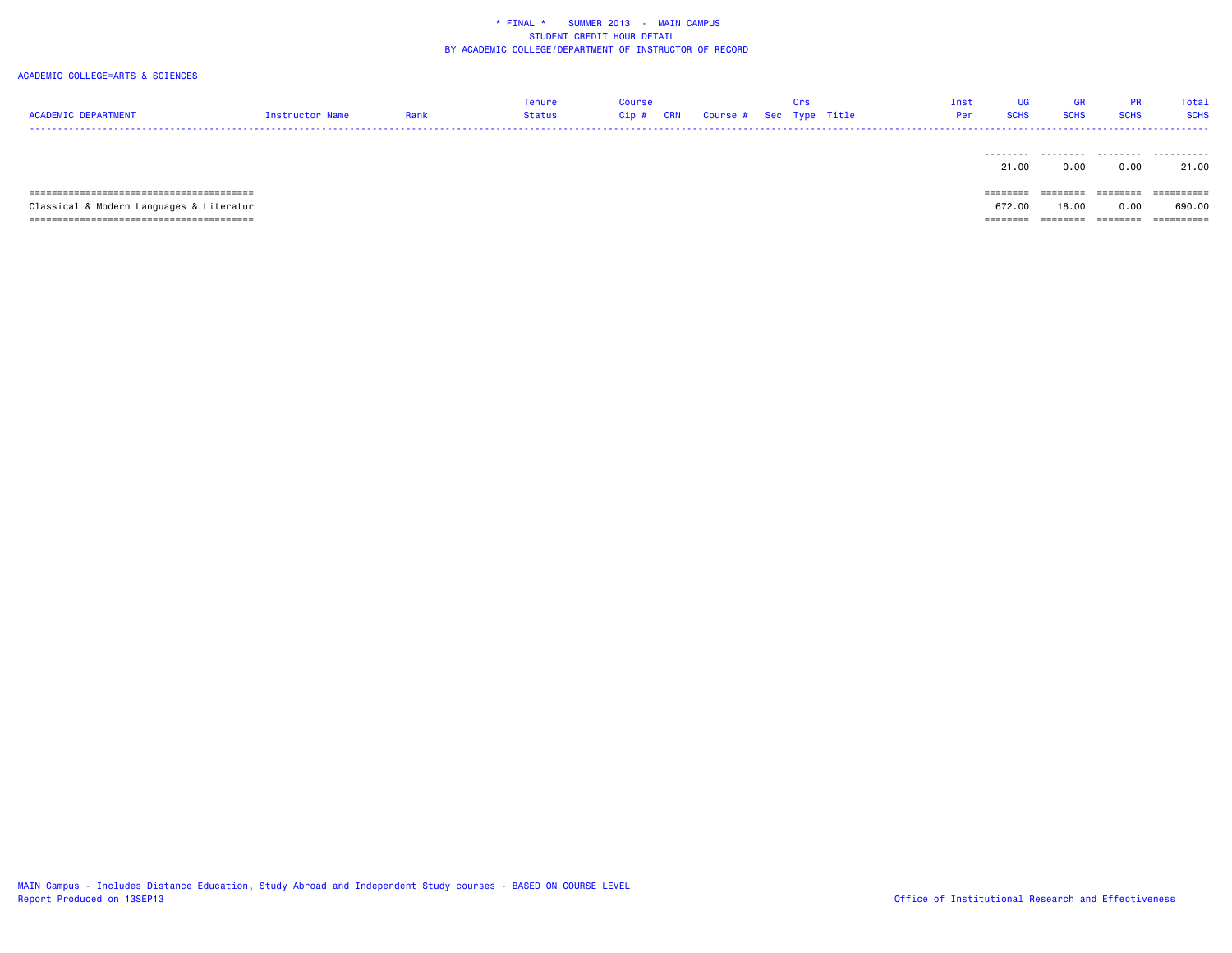| <b>ACADEMIC DEPARTMENT</b>               | Instructor Name | Rank | Tenure<br>Status | Course<br>Cip#<br><b>CRN</b> |  | urs<br>Course # Sec Type Title | Inst<br>Per | UG<br><b>SCHS</b> | <b>GR</b><br><b>SCHS</b> | <b>PR</b><br><b>SCHS</b> | Total<br><b>SCHS</b> |
|------------------------------------------|-----------------|------|------------------|------------------------------|--|--------------------------------|-------------|-------------------|--------------------------|--------------------------|----------------------|
|                                          |                 |      |                  |                              |  |                                |             | ---------         | .                        | .                        | .                    |
|                                          |                 |      |                  |                              |  |                                |             | 21.00             | 0.00                     | 0.00                     | 21.00                |
|                                          |                 |      |                  |                              |  |                                |             | ========          | --------                 | ========                 | -----------          |
| Classical & Modern Languages & Literatur |                 |      |                  |                              |  |                                |             | 672.00            | 18.00                    | 0.00                     | 690.00               |
|                                          |                 |      |                  |                              |  |                                |             | ========          | --------                 | ========                 | ==========           |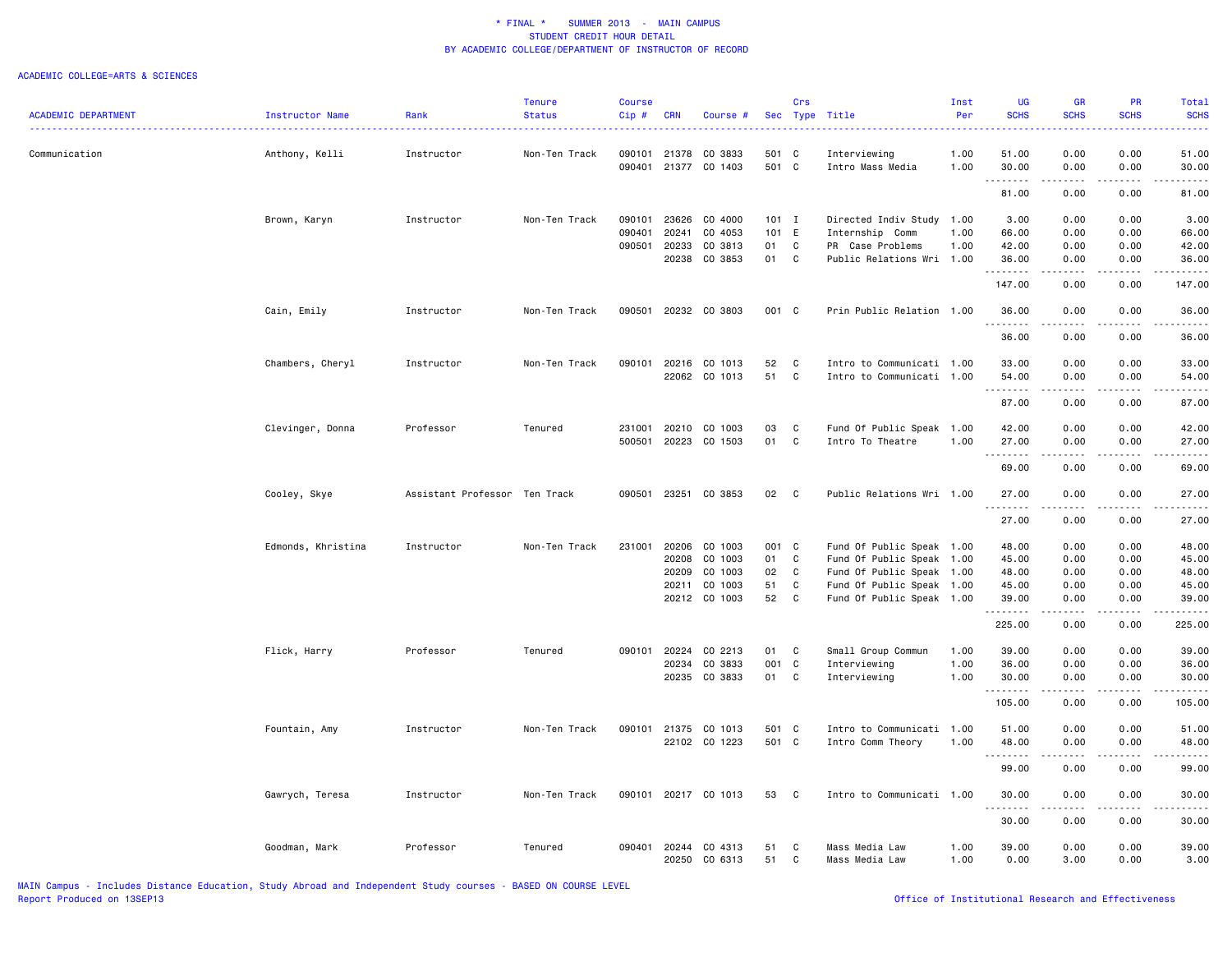|                            |                    |                               | Tenure        | <b>Course</b> |                |                      |               | Crs          |                              | Inst | <b>UG</b>        | GR                                                                                                                                       | <b>PR</b>    | Total                                                                                                                                    |
|----------------------------|--------------------|-------------------------------|---------------|---------------|----------------|----------------------|---------------|--------------|------------------------------|------|------------------|------------------------------------------------------------------------------------------------------------------------------------------|--------------|------------------------------------------------------------------------------------------------------------------------------------------|
| <b>ACADEMIC DEPARTMENT</b> | Instructor Name    | Rank                          | <b>Status</b> | Cip#          | <b>CRN</b>     | Course #             |               |              | Sec Type Title               | Per  | <b>SCHS</b><br>. | <b>SCHS</b><br>$\frac{1}{2} \left( \frac{1}{2} \right) \left( \frac{1}{2} \right) \left( \frac{1}{2} \right) \left( \frac{1}{2} \right)$ | <b>SCHS</b>  | <b>SCHS</b><br>$\frac{1}{2} \left( \frac{1}{2} \right) \left( \frac{1}{2} \right) \left( \frac{1}{2} \right) \left( \frac{1}{2} \right)$ |
|                            |                    |                               |               |               |                |                      |               |              |                              |      |                  |                                                                                                                                          |              |                                                                                                                                          |
| Communication              | Anthony, Kelli     | Instructor                    | Non-Ten Track | 090101        | 21378          | CO 3833              | 501 C         |              | Interviewing                 | 1.00 | 51.00            | 0.00                                                                                                                                     | 0.00         | 51.00                                                                                                                                    |
|                            |                    |                               |               | 090401        | 21377          | CO 1403              | 501 C         |              | Intro Mass Media             | 1.00 | 30.00<br>.       | 0.00<br>----                                                                                                                             | 0.00<br>.    | 30.00<br>$\cdots$                                                                                                                        |
|                            |                    |                               |               |               |                |                      |               |              |                              |      | 81.00            | 0.00                                                                                                                                     | 0.00         | 81.00                                                                                                                                    |
|                            | Brown, Karyn       | Instructor                    | Non-Ten Track | 090101        | 23626          | CO 4000              | $101$ I       |              | Directed Indiv Study         | 1.00 | 3.00             | 0.00                                                                                                                                     | 0.00         | 3.00                                                                                                                                     |
|                            |                    |                               |               | 090401        | 20241          | CO 4053              | 101 E         |              | Internship Comm              | 1.00 | 66.00            | 0.00                                                                                                                                     | 0.00         | 66.00                                                                                                                                    |
|                            |                    |                               |               | 090501        | 20233          | CO 3813              | 01            | C            | PR Case Problems             | 1.00 | 42.00            | 0.00                                                                                                                                     | 0.00         | 42.00                                                                                                                                    |
|                            |                    |                               |               |               | 20238          | CO 3853              | 01            | C            | Public Relations Wri 1.00    |      | 36.00            | 0.00                                                                                                                                     | 0.00         | 36.00                                                                                                                                    |
|                            |                    |                               |               |               |                |                      |               |              |                              |      | .<br>147.00      | .<br>0.00                                                                                                                                | .<br>0.00    | .<br>147.00                                                                                                                              |
|                            | Cain, Emily        | Instructor                    | Non-Ten Track | 090501        |                | 20232 CO 3803        | 001 C         |              | Prin Public Relation 1.00    |      | 36.00            | 0.00                                                                                                                                     | 0.00         | 36.00                                                                                                                                    |
|                            |                    |                               |               |               |                |                      |               |              |                              |      | .<br>36.00       | .<br>0.00                                                                                                                                | .<br>0.00    | .<br>36.00                                                                                                                               |
|                            | Chambers, Cheryl   |                               |               | 090101        | 20216          | CO 1013              | 52            |              | Intro to Communicati 1.00    |      | 33.00            | 0.00                                                                                                                                     | 0.00         | 33.00                                                                                                                                    |
|                            |                    | Instructor                    | Non-Ten Track |               |                | 22062 CO 1013        | 51            | C<br>C       | Intro to Communicati 1.00    |      | 54.00            | 0.00                                                                                                                                     | 0.00         | 54.00                                                                                                                                    |
|                            |                    |                               |               |               |                |                      |               |              |                              |      | .                |                                                                                                                                          |              | ه د د د د                                                                                                                                |
|                            |                    |                               |               |               |                |                      |               |              |                              |      | 87.00            | 0.00                                                                                                                                     | 0.00         | 87.00                                                                                                                                    |
|                            | Clevinger, Donna   | Professor                     | Tenured       | 231001        | 20210          | CO 1003              | 03            | C            | Fund Of Public Speak 1.00    |      | 42.00            | 0.00                                                                                                                                     | 0.00         | 42.00                                                                                                                                    |
|                            |                    |                               |               | 500501        |                | 20223 CO 1503        | 01            | C            | Intro To Theatre             | 1.00 | 27.00            | 0.00                                                                                                                                     | 0.00         | 27.00                                                                                                                                    |
|                            |                    |                               |               |               |                |                      |               |              |                              |      | .<br>69.00       | .<br>0.00                                                                                                                                | .<br>0.00    | .<br>69.00                                                                                                                               |
|                            | Cooley, Skye       | Assistant Professor Ten Track |               | 090501        | 23251          | CO 3853              | 02            | $\mathbf{C}$ | Public Relations Wri 1.00    |      | 27.00            | 0.00                                                                                                                                     | 0.00         | 27.00                                                                                                                                    |
|                            |                    |                               |               |               |                |                      |               |              |                              |      | .                | .                                                                                                                                        | .            | .                                                                                                                                        |
|                            |                    |                               |               |               |                |                      |               |              |                              |      | 27.00            | 0.00                                                                                                                                     | 0.00         | 27.00                                                                                                                                    |
|                            | Edmonds, Khristina | Instructor                    | Non-Ten Track | 231001        | 20206          | CO 1003              | 001 C         |              | Fund Of Public Speak 1.00    |      | 48.00            | 0.00                                                                                                                                     | 0.00         | 48.00                                                                                                                                    |
|                            |                    |                               |               |               | 20208          | CO 1003              | 01            | C            | Fund Of Public Speak 1.00    |      | 45.00            | 0.00                                                                                                                                     | 0.00         | 45.00                                                                                                                                    |
|                            |                    |                               |               |               | 20209          | CO 1003              | 02            | C            | Fund Of Public Speak 1.00    |      | 48.00            | 0.00                                                                                                                                     | 0.00         | 48.00                                                                                                                                    |
|                            |                    |                               |               |               | 20211          | CO 1003              | 51            | C            | Fund Of Public Speak 1.00    |      | 45.00            | 0.00                                                                                                                                     | 0.00         | 45.00                                                                                                                                    |
|                            |                    |                               |               |               |                | 20212 CO 1003        | 52            | C            | Fund Of Public Speak 1.00    |      | 39.00            | 0.00                                                                                                                                     | 0.00         | 39.00                                                                                                                                    |
|                            |                    |                               |               |               |                |                      |               |              |                              |      | .<br>225.00      | .<br>0.00                                                                                                                                | .<br>0.00    | .<br>225.00                                                                                                                              |
|                            |                    |                               |               |               |                |                      |               |              |                              |      |                  |                                                                                                                                          |              |                                                                                                                                          |
|                            | Flick, Harry       | Professor                     | Tenured       | 090101        | 20224          | CO 2213              | 01            | C            | Small Group Commun           | 1.00 | 39.00            | 0.00                                                                                                                                     | 0.00         | 39.00                                                                                                                                    |
|                            |                    |                               |               |               | 20234<br>20235 | CO 3833<br>CO 3833   | 001 C<br>01 C |              | Interviewing<br>Interviewing | 1.00 | 36.00<br>30.00   | 0.00<br>0.00                                                                                                                             | 0.00<br>0.00 | 36.00<br>30.00                                                                                                                           |
|                            |                    |                               |               |               |                |                      |               |              |                              | 1.00 | .                | $\frac{1}{2} \left( \frac{1}{2} \right) \left( \frac{1}{2} \right) \left( \frac{1}{2} \right) \left( \frac{1}{2} \right)$                | .            | .                                                                                                                                        |
|                            |                    |                               |               |               |                |                      |               |              |                              |      | 105.00           | 0.00                                                                                                                                     | 0.00         | 105.00                                                                                                                                   |
|                            | Fountain, Amy      | Instructor                    | Non-Ten Track |               |                | 090101 21375 CO 1013 | 501 C         |              | Intro to Communicati 1.00    |      | 51.00            | 0.00                                                                                                                                     | 0.00         | 51.00                                                                                                                                    |
|                            |                    |                               |               |               |                | 22102 CO 1223        | 501 C         |              | Intro Comm Theory            | 1.00 | 48.00            | 0.00                                                                                                                                     | 0.00         | 48.00                                                                                                                                    |
|                            |                    |                               |               |               |                |                      |               |              |                              |      | .                | $\omega_{\rm c}$ and $\omega_{\rm c}$                                                                                                    | .            | .                                                                                                                                        |
|                            |                    |                               |               |               |                |                      |               |              |                              |      | 99.00            | 0.00                                                                                                                                     | 0.00         | 99.00                                                                                                                                    |
|                            | Gawrych, Teresa    | Instructor                    | Non-Ten Track | 090101        |                | 20217 CO 1013        | 53            | C            | Intro to Communicati 1.00    |      | 30.00<br>.       | 0.00<br>$\frac{1}{2} \left( \frac{1}{2} \right) \left( \frac{1}{2} \right) \left( \frac{1}{2} \right) \left( \frac{1}{2} \right)$        | 0.00<br>.    | 30.00<br>.                                                                                                                               |
|                            |                    |                               |               |               |                |                      |               |              |                              |      | 30.00            | 0.00                                                                                                                                     | 0.00         | 30.00                                                                                                                                    |
|                            | Goodman, Mark      | Professor                     | Tenured       | 090401        | 20244          | CO 4313              | 51            | C            | Mass Media Law               | 1.00 | 39.00            | 0.00                                                                                                                                     | 0.00         | 39.00                                                                                                                                    |
|                            |                    |                               |               |               | 20250          | CO 6313              | 51            | C            | Mass Media Law               | 1.00 | 0.00             | 3.00                                                                                                                                     | 0.00         | 3.00                                                                                                                                     |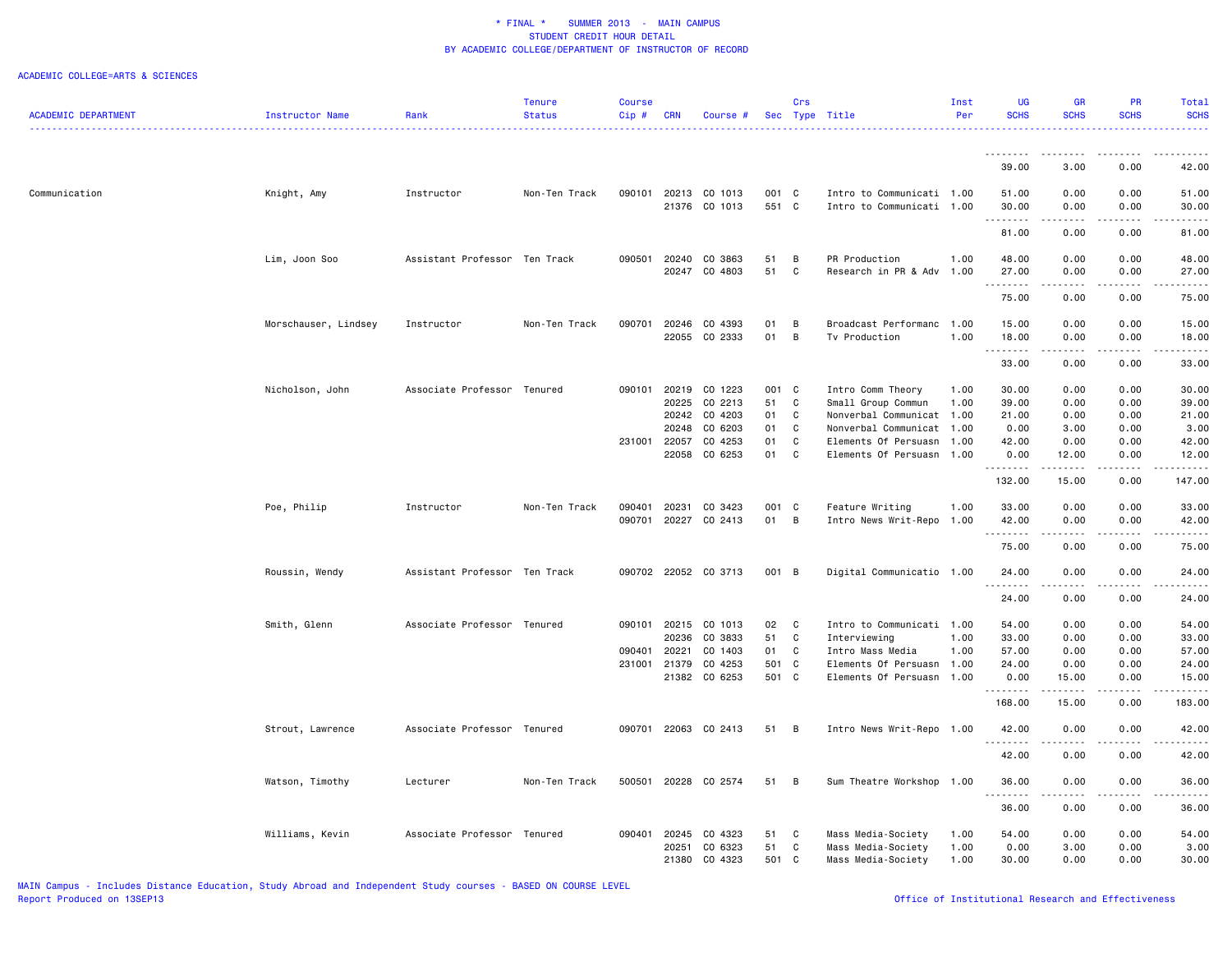|                            |                      |                               | <b>Tenure</b> | <b>Course</b> |                |                          |                | Crs            |                                                   | Inst | UG                                                                                                                                                            | GR                                                                                                                                                           | PR.          | Total                                          |
|----------------------------|----------------------|-------------------------------|---------------|---------------|----------------|--------------------------|----------------|----------------|---------------------------------------------------|------|---------------------------------------------------------------------------------------------------------------------------------------------------------------|--------------------------------------------------------------------------------------------------------------------------------------------------------------|--------------|------------------------------------------------|
| <b>ACADEMIC DEPARTMENT</b> | Instructor Name      | Rank                          | <b>Status</b> | Cip#          | <b>CRN</b>     | Course #                 |                |                | Sec Type Title                                    | Per  | <b>SCHS</b>                                                                                                                                                   | <b>SCHS</b>                                                                                                                                                  | <b>SCHS</b>  | <b>SCHS</b>                                    |
|                            |                      |                               |               |               |                |                          |                |                |                                                   |      | .                                                                                                                                                             | ------                                                                                                                                                       | .            | .                                              |
|                            |                      |                               |               |               |                |                          |                |                |                                                   |      | 39.00                                                                                                                                                         | 3.00                                                                                                                                                         | 0.00         | 42.00                                          |
| Communication              | Knight, Amy          | Instructor                    | Non-Ten Track | 090101        |                | 20213 CO 1013            | 001 C          |                | Intro to Communicati 1.00                         |      | 51.00                                                                                                                                                         | 0.00                                                                                                                                                         | 0.00         | 51.00                                          |
|                            |                      |                               |               |               |                | 21376 CO 1013            | 551 C          |                | Intro to Communicati 1.00                         |      | 30.00<br>.                                                                                                                                                    | 0.00<br>$- - - - -$                                                                                                                                          | 0.00<br>.    | 30.00<br>.                                     |
|                            |                      |                               |               |               |                |                          |                |                |                                                   |      | 81.00                                                                                                                                                         | 0.00                                                                                                                                                         | 0.00         | 81.00                                          |
|                            | Lim, Joon Soo        | Assistant Professor Ten Track |               | 090501        | 20240          | CO 3863                  | 51             | B              | PR Production                                     | 1.00 | 48.00                                                                                                                                                         | 0.00                                                                                                                                                         | 0.00         | 48.00                                          |
|                            |                      |                               |               |               | 20247          | CO 4803                  | 51             | C              | Research in PR & Adv                              | 1.00 | 27.00<br>$\frac{1}{2} \left( \frac{1}{2} \right) \left( \frac{1}{2} \right) \left( \frac{1}{2} \right) \left( \frac{1}{2} \right) \left( \frac{1}{2} \right)$ | 0.00                                                                                                                                                         | 0.00         | 27.00                                          |
|                            |                      |                               |               |               |                |                          |                |                |                                                   |      | 75.00                                                                                                                                                         | 0.00                                                                                                                                                         | 0.00         | 75.00                                          |
|                            | Morschauser, Lindsey | Instructor                    | Non-Ten Track | 090701        | 20246          | CO 4393                  | 01             | B              | Broadcast Performanc                              | 1.00 | 15.00                                                                                                                                                         | 0.00                                                                                                                                                         | 0.00         | 15.00                                          |
|                            |                      |                               |               |               | 22055          | CO 2333                  | 01             | B              | Tv Production                                     | 1.00 | 18.00<br>1.1.1.1.1.1.1                                                                                                                                        | 0.00<br>$\frac{1}{2} \left( \frac{1}{2} \right) \left( \frac{1}{2} \right) \left( \frac{1}{2} \right) \left( \frac{1}{2} \right) \left( \frac{1}{2} \right)$ | 0.00<br>.    | 18.00<br>.                                     |
|                            |                      |                               |               |               |                |                          |                |                |                                                   |      | 33.00                                                                                                                                                         | 0.00                                                                                                                                                         | 0.00         | 33.00                                          |
|                            | Nicholson, John      | Associate Professor Tenured   |               | 090101        | 20219          | CO 1223                  | 001 C          |                | Intro Comm Theory                                 | 1.00 | 30.00                                                                                                                                                         | 0.00                                                                                                                                                         | 0.00         | 30.00                                          |
|                            |                      |                               |               |               | 20225          | CO 2213                  | 51             | C              | Small Group Commun                                | 1.00 | 39.00                                                                                                                                                         | 0.00                                                                                                                                                         | 0.00         | 39.00                                          |
|                            |                      |                               |               |               | 20242          | CO 4203                  | 01             | C              | Nonverbal Communicat                              | 1.00 | 21.00                                                                                                                                                         | 0.00                                                                                                                                                         | 0.00         | 21.00                                          |
|                            |                      |                               |               |               | 20248          | CO 6203                  | 01             | C              | Nonverbal Communicat 1.00                         |      | 0.00                                                                                                                                                          | 3.00                                                                                                                                                         | 0.00         | 3.00                                           |
|                            |                      |                               |               | 231001        | 22057<br>22058 | CO 4253<br>CO 6253       | 01<br>01       | C<br>C         | Elements Of Persuasn<br>Elements Of Persuasn 1.00 | 1.00 | 42.00<br>0.00                                                                                                                                                 | 0.00<br>12.00                                                                                                                                                | 0.00<br>0.00 | 42.00<br>12.00                                 |
|                            |                      |                               |               |               |                |                          |                |                |                                                   |      | .                                                                                                                                                             | .                                                                                                                                                            | .            | .                                              |
|                            |                      |                               |               |               |                |                          |                |                |                                                   |      | 132.00                                                                                                                                                        | 15.00                                                                                                                                                        | 0.00         | 147.00                                         |
|                            | Poe, Philip          | Instructor                    | Non-Ten Track | 090401        | 20231          | CO 3423                  | 001 C          |                | Feature Writing                                   | 1.00 | 33.00                                                                                                                                                         | 0.00                                                                                                                                                         | 0.00         | 33.00                                          |
|                            |                      |                               |               | 090701        | 20227          | CO 2413                  | 01             | $\overline{B}$ | Intro News Writ-Repo                              | 1.00 | 42.00<br>.                                                                                                                                                    | 0.00                                                                                                                                                         | 0.00<br>.    | 42.00<br>.                                     |
|                            |                      |                               |               |               |                |                          |                |                |                                                   |      | 75.00                                                                                                                                                         | 0.00                                                                                                                                                         | 0.00         | 75.00                                          |
|                            | Roussin, Wendy       | Assistant Professor Ten Track |               |               |                | 090702 22052 CO 3713     | 001 B          |                | Digital Communicatio 1.00                         |      | 24.00<br>.                                                                                                                                                    | 0.00                                                                                                                                                         | 0.00         | 24.00<br>.                                     |
|                            |                      |                               |               |               |                |                          |                |                |                                                   |      | 24.00                                                                                                                                                         | 0.00                                                                                                                                                         | 0.00         | 24.00                                          |
|                            | Smith, Glenn         | Associate Professor Tenured   |               | 090101        | 20215          | CO 1013                  | 02             | C              | Intro to Communicati 1.00                         |      | 54.00                                                                                                                                                         | 0.00                                                                                                                                                         | 0.00         | 54.00                                          |
|                            |                      |                               |               |               | 20236          | CO 3833                  | 51             | C              | Interviewing                                      | 1.00 | 33.00                                                                                                                                                         | 0.00                                                                                                                                                         | 0.00         | 33.00                                          |
|                            |                      |                               |               | 090401        | 20221          | CO 1403                  | 01             | C              | Intro Mass Media                                  | 1.00 | 57.00                                                                                                                                                         | 0.00                                                                                                                                                         | 0.00         | 57.00                                          |
|                            |                      |                               |               | 231001 21379  |                | CO 4253<br>21382 CO 6253 | 501 C<br>501 C |                | Elements Of Persuasn 1.00                         |      | 24.00                                                                                                                                                         | 0.00                                                                                                                                                         | 0.00<br>0.00 | 24.00                                          |
|                            |                      |                               |               |               |                |                          |                |                | Elements Of Persuasn 1.00                         |      | 0.00<br>.                                                                                                                                                     | 15.00<br>.                                                                                                                                                   | .            | 15.00<br>.                                     |
|                            |                      |                               |               |               |                |                          |                |                |                                                   |      | 168.00                                                                                                                                                        | 15.00                                                                                                                                                        | 0.00         | 183.00                                         |
|                            | Strout, Lawrence     | Associate Professor Tenured   |               | 090701        |                | 22063 CO 2413            | 51 B           |                | Intro News Writ-Repo 1.00                         |      | 42.00<br>.                                                                                                                                                    | 0.00                                                                                                                                                         | 0.00         | 42.00<br>$\omega_{\rm c}$ and $\omega_{\rm c}$ |
|                            |                      |                               |               |               |                |                          |                |                |                                                   |      | 42.00                                                                                                                                                         | 0.00                                                                                                                                                         | 0.00         | 42.00                                          |
|                            | Watson, Timothy      | Lecturer                      | Non-Ten Track | 500501        |                | 20228 CO 2574            | 51 B           |                | Sum Theatre Workshop 1.00                         |      | 36.00<br>.                                                                                                                                                    | 0.00<br>.                                                                                                                                                    | 0.00<br>.    | 36.00<br>.                                     |
|                            |                      |                               |               |               |                |                          |                |                |                                                   |      | 36.00                                                                                                                                                         | 0.00                                                                                                                                                         | 0.00         | 36.00                                          |
|                            | Williams, Kevin      | Associate Professor Tenured   |               | 090401        | 20245          | CO 4323                  | 51             | C              | Mass Media-Society                                | 1.00 | 54.00                                                                                                                                                         | 0.00                                                                                                                                                         | 0.00         | 54.00                                          |
|                            |                      |                               |               |               | 20251          | CO 6323                  | 51             | C              | Mass Media-Society                                | 1.00 | 0.00                                                                                                                                                          | 3.00                                                                                                                                                         | 0.00         | 3.00                                           |
|                            |                      |                               |               |               | 21380          | CO 4323                  | 501 C          |                | Mass Media-Society                                | 1.00 | 30.00                                                                                                                                                         | 0.00                                                                                                                                                         | 0.00         | 30.00                                          |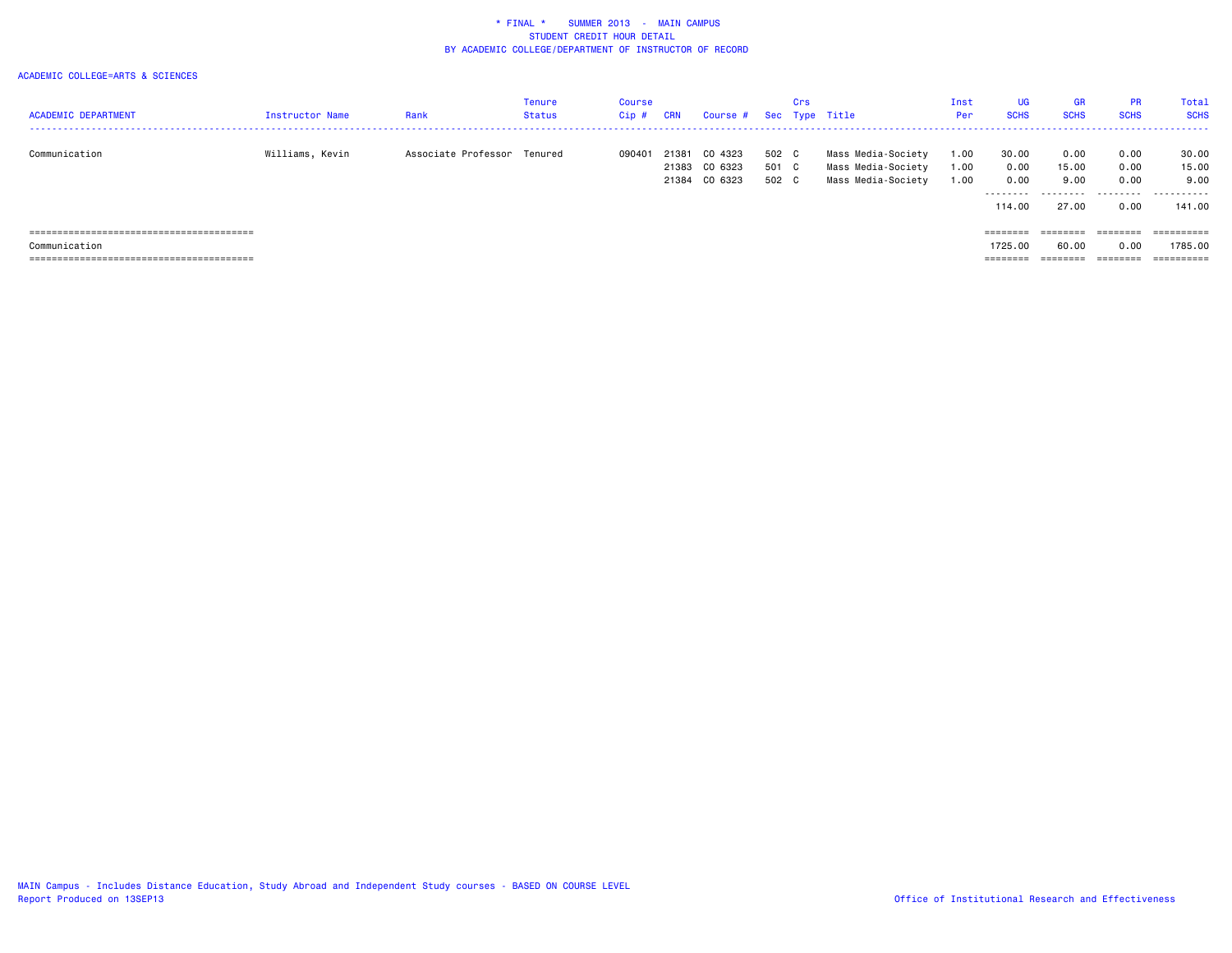| <b>ACADEMIC DEPARTMENT</b>         | Instructor Name | Rank                        | Tenure<br><b>Status</b> | <b>Course</b><br>$Cip$ # | <b>CRN</b>              | Course # Sec Type Title       |                         | Crs |                                                                | Inst<br>Per          | UG<br><b>SCHS</b>               | <b>GR</b><br><b>SCHS</b>       | <b>PR</b><br><b>SCHS</b>     | <b>Total</b><br><b>SCHS</b>      |
|------------------------------------|-----------------|-----------------------------|-------------------------|--------------------------|-------------------------|-------------------------------|-------------------------|-----|----------------------------------------------------------------|----------------------|---------------------------------|--------------------------------|------------------------------|----------------------------------|
| Communication                      | Williams, Kevin | Associate Professor Tenured |                         | 090401                   | 21381<br>21383<br>21384 | CO 4323<br>CO 6323<br>CO 6323 | 502 C<br>501 C<br>502 C |     | Mass Media-Society<br>Mass Media-Society<br>Mass Media-Society | 1.00<br>1.00<br>1.00 | 30.00<br>0.00<br>0.00<br>114.00 | 0.00<br>15.00<br>9.00<br>27.00 | 0.00<br>0.00<br>0.00<br>0.00 | 30.00<br>15.00<br>9.00<br>141.00 |
| Communication<br>================= |                 |                             |                         |                          |                         |                               |                         |     |                                                                |                      | ========<br>1725.00<br>=======  | ========<br>60.00              | ========<br>0.00             | 1785.00<br>==========            |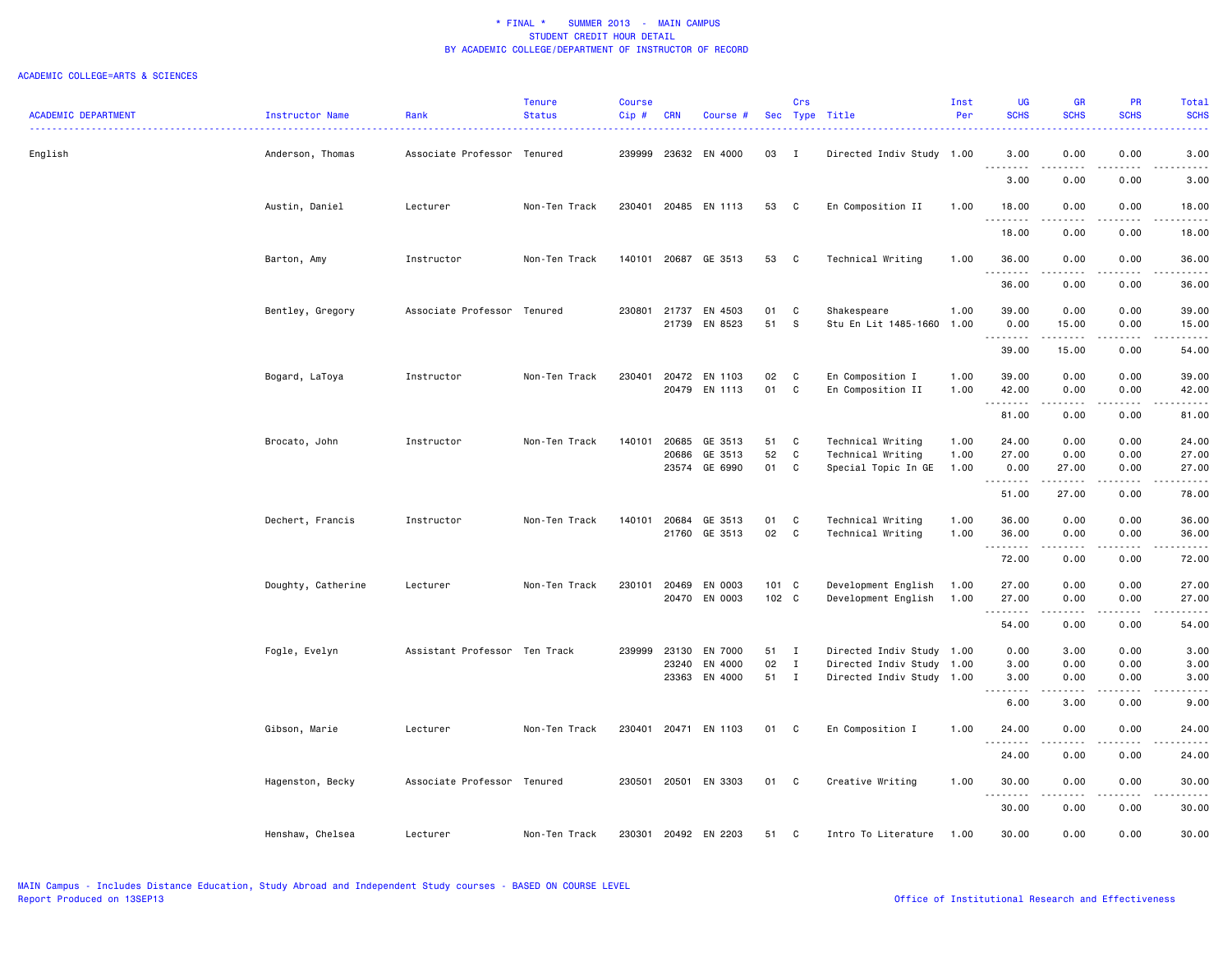| <b>ACADEMIC DEPARTMENT</b> | Instructor Name    | Rank                          | <b>Tenure</b><br><b>Status</b> | <b>Course</b><br>Cip# | <b>CRN</b> | Course #      |       | Crs            | Sec Type Title            | Inst<br>Per | <b>UG</b><br><b>SCHS</b>                                                                                                                   | GR<br><b>SCHS</b>                                                                                                                 | PR<br><b>SCHS</b>   | Total<br><b>SCHS</b> |
|----------------------------|--------------------|-------------------------------|--------------------------------|-----------------------|------------|---------------|-------|----------------|---------------------------|-------------|--------------------------------------------------------------------------------------------------------------------------------------------|-----------------------------------------------------------------------------------------------------------------------------------|---------------------|----------------------|
|                            |                    |                               |                                |                       |            |               |       |                |                           |             |                                                                                                                                            |                                                                                                                                   |                     |                      |
| English                    | Anderson, Thomas   | Associate Professor Tenured   |                                | 239999                |            | 23632 EN 4000 | 03    | $\blacksquare$ | Directed Indiv Study 1.00 |             | 3.00                                                                                                                                       | 0.00                                                                                                                              | 0.00                | 3.00                 |
|                            |                    |                               |                                |                       |            |               |       |                |                           |             | 3.00                                                                                                                                       | 0.00                                                                                                                              | 0.00                | 3.00                 |
|                            | Austin, Daniel     | Lecturer                      | Non-Ten Track                  | 230401                |            | 20485 EN 1113 | 53    | C              | En Composition II         | 1.00        | 18.00<br>.                                                                                                                                 | 0.00<br>.                                                                                                                         | 0.00<br>.           | 18.00<br>.           |
|                            |                    |                               |                                |                       |            |               |       |                |                           |             | 18.00                                                                                                                                      | 0.00                                                                                                                              | 0.00                | 18.00                |
|                            | Barton, Amy        | Instructor                    | Non-Ten Track                  | 140101                |            | 20687 GE 3513 | 53    | $\mathbf{C}$   | Technical Writing         | 1.00        | 36.00<br>.                                                                                                                                 | 0.00<br>.                                                                                                                         | 0.00<br>-----       | 36.00<br>.           |
|                            |                    |                               |                                |                       |            |               |       |                |                           |             | 36.00                                                                                                                                      | 0.00                                                                                                                              | 0.00                | 36.00                |
|                            | Bentley, Gregory   | Associate Professor Tenured   |                                | 230801                | 21737      | EN 4503       | 01    | C              | Shakespeare               | 1.00        | 39.00                                                                                                                                      | 0.00                                                                                                                              | 0.00                | 39.00                |
|                            |                    |                               |                                |                       | 21739      | EN 8523       | 51    | S              | Stu En Lit 1485-1660      | 1.00        | 0.00<br><u>.</u>                                                                                                                           | 15.00                                                                                                                             | 0.00<br>.           | 15.00<br>.           |
|                            |                    |                               |                                |                       |            |               |       |                |                           |             | 39.00                                                                                                                                      | 15.00                                                                                                                             | 0.00                | 54.00                |
|                            | Bogard, LaToya     | Instructor                    | Non-Ten Track                  | 230401                | 20472      | EN 1103       | 02    | C              | En Composition I          | 1.00        | 39.00                                                                                                                                      | 0.00                                                                                                                              | 0.00                | 39.00                |
|                            |                    |                               |                                |                       |            | 20479 EN 1113 | 01    | $\mathtt{C}$   | En Composition II         | 1.00        | 42.00<br>.                                                                                                                                 | 0.00<br>المتمالين                                                                                                                 | 0.00<br>-----       | 42.00<br>.           |
|                            |                    |                               |                                |                       |            |               |       |                |                           |             | 81.00                                                                                                                                      | 0.00                                                                                                                              | 0.00                | 81.00                |
|                            | Brocato, John      | Instructor                    | Non-Ten Track                  | 140101                | 20685      | GE 3513       | 51    | C              | Technical Writing         | 1.00        | 24.00                                                                                                                                      | 0.00                                                                                                                              | 0.00                | 24.00                |
|                            |                    |                               |                                |                       | 20686      | GE 3513       | 52    | C              | Technical Writing         | 1.00        | 27.00                                                                                                                                      | 0.00                                                                                                                              | 0.00                | 27.00                |
|                            |                    |                               |                                |                       |            | 23574 GE 6990 | 01    | C              | Special Topic In GE       | 1.00        | 0.00<br>.                                                                                                                                  | 27.00<br>.                                                                                                                        | 0.00<br>.           | 27.00<br>.           |
|                            |                    |                               |                                |                       |            |               |       |                |                           |             | 51.00                                                                                                                                      | 27.00                                                                                                                             | 0.00                | 78.00                |
|                            | Dechert, Francis   | Instructor                    | Non-Ten Track                  | 140101                | 20684      | GE 3513       | 01    | C              | Technical Writing         | 1.00        | 36.00                                                                                                                                      | 0.00                                                                                                                              | 0.00                | 36.00                |
|                            |                    |                               |                                |                       | 21760      | GE 3513       | 02    | C              | Technical Writing         | 1.00        | 36.00<br>$\frac{1}{2} \left( \frac{1}{2} \right) \left( \frac{1}{2} \right) \left( \frac{1}{2} \right) \left( \frac{1}{2} \right)$<br>---- | 0.00                                                                                                                              | 0.00                | 36.00                |
|                            |                    |                               |                                |                       |            |               |       |                |                           |             | 72.00                                                                                                                                      | 0.00                                                                                                                              | 0.00                | 72.00                |
|                            | Doughty, Catherine | Lecturer                      | Non-Ten Track                  | 230101                | 20469      | EN 0003       | 101 C |                | Development English       | 1.00        | 27.00                                                                                                                                      | 0.00                                                                                                                              | 0.00                | 27.00                |
|                            |                    |                               |                                |                       |            | 20470 EN 0003 | 102 C |                | Development English       | 1.00        | 27.00<br><u>.</u>                                                                                                                          | 0.00<br>.                                                                                                                         | 0.00<br>$- - - - -$ | 27.00<br>.           |
|                            |                    |                               |                                |                       |            |               |       |                |                           |             | 54.00                                                                                                                                      | 0.00                                                                                                                              | 0.00                | 54.00                |
|                            | Fogle, Evelyn      | Assistant Professor Ten Track |                                | 239999                | 23130      | EN 7000       | 51    | $\mathbf{I}$   | Directed Indiv Study 1.00 |             | 0.00                                                                                                                                       | 3.00                                                                                                                              | 0.00                | 3.00                 |
|                            |                    |                               |                                |                       | 23240      | EN 4000       | 02    | I              | Directed Indiv Study 1.00 |             | 3.00                                                                                                                                       | 0.00                                                                                                                              | 0.00                | 3.00                 |
|                            |                    |                               |                                |                       |            | 23363 EN 4000 | 51    | $\blacksquare$ | Directed Indiv Study 1.00 |             | 3.00                                                                                                                                       | 0.00                                                                                                                              | 0.00                | 3.00                 |
|                            |                    |                               |                                |                       |            |               |       |                |                           |             | 6.00                                                                                                                                       | 3.00                                                                                                                              | 0.00                | 9.00                 |
|                            | Gibson, Marie      | Lecturer                      | Non-Ten Track                  | 230401                |            | 20471 EN 1103 | 01    | C              | En Composition I          | 1.00        | 24.00<br>.                                                                                                                                 | 0.00<br>$\frac{1}{2} \left( \frac{1}{2} \right) \left( \frac{1}{2} \right) \left( \frac{1}{2} \right) \left( \frac{1}{2} \right)$ | 0.00<br>.           | 24.00<br>المتمالين   |
|                            |                    |                               |                                |                       |            |               |       |                |                           |             | 24.00                                                                                                                                      | 0.00                                                                                                                              | 0.00                | 24.00                |
|                            | Hagenston, Becky   | Associate Professor Tenured   |                                | 230501                | 20501      | EN 3303       | 01    | C              | Creative Writing          | 1.00        | 30.00<br>.                                                                                                                                 | 0.00                                                                                                                              | 0.00                | 30.00                |
|                            |                    |                               |                                |                       |            |               |       |                |                           |             | 30.00                                                                                                                                      | 0.00                                                                                                                              | 0.00                | 30.00                |
|                            | Henshaw, Chelsea   | Lecturer                      | Non-Ten Track                  | 230301                |            | 20492 EN 2203 | 51    | C              | Intro To Literature       | 1.00        | 30.00                                                                                                                                      | 0.00                                                                                                                              | 0.00                | 30.00                |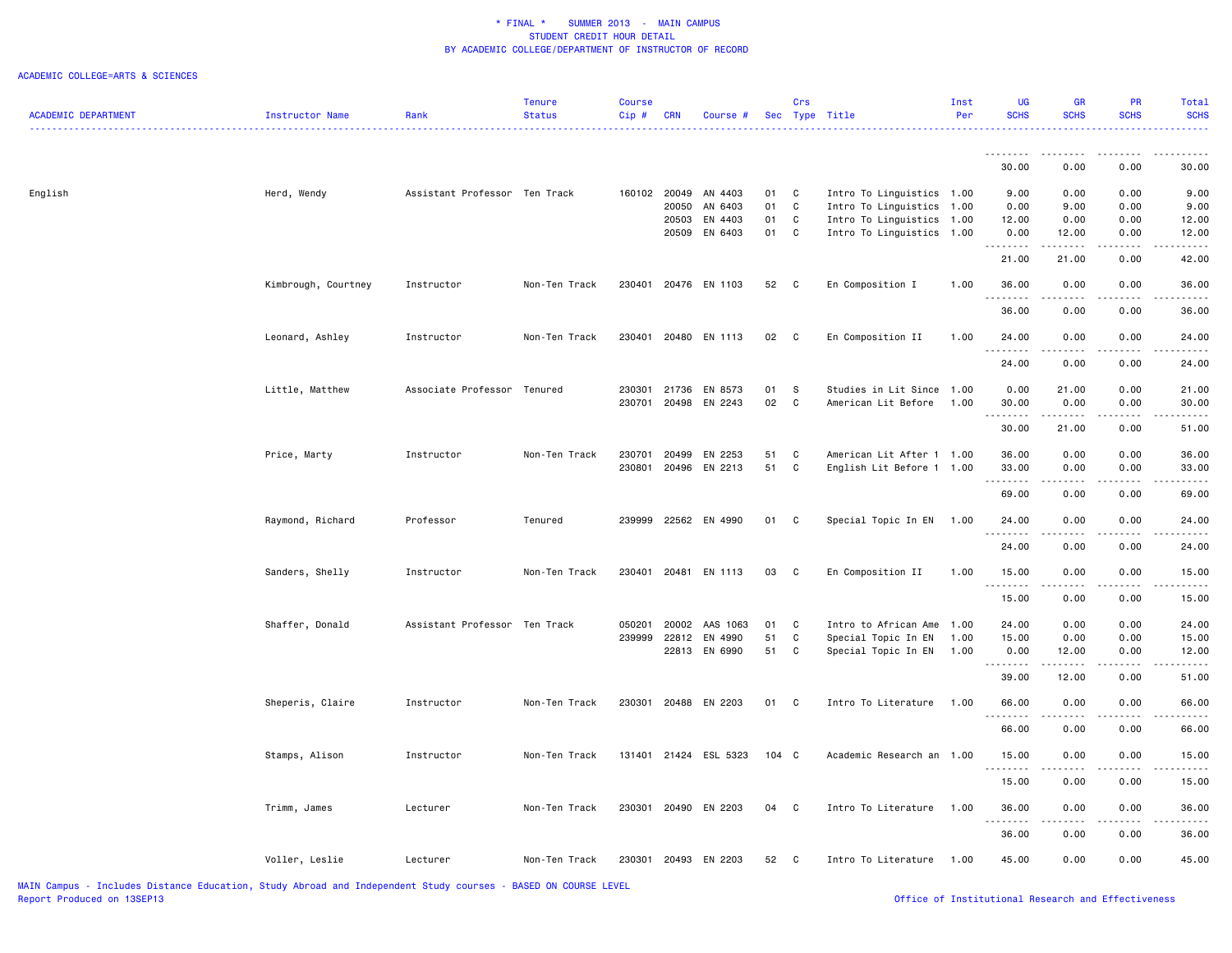|                            |                     |                               | <b>Tenure</b> | <b>Course</b> |            |                      |       | Crs          |                                                   | Inst | <b>UG</b>   | GR                                                                                                                        | PR          | Total       |
|----------------------------|---------------------|-------------------------------|---------------|---------------|------------|----------------------|-------|--------------|---------------------------------------------------|------|-------------|---------------------------------------------------------------------------------------------------------------------------|-------------|-------------|
| <b>ACADEMIC DEPARTMENT</b> | Instructor Name     | Rank                          | <b>Status</b> | Cip #         | <b>CRN</b> | Course #             |       |              | Sec Type Title<br>------------------------------- | Per  | <b>SCHS</b> | <b>SCHS</b>                                                                                                               | <b>SCHS</b> | <b>SCHS</b> |
|                            |                     |                               |               |               |            |                      |       |              |                                                   |      | .           | .                                                                                                                         | -----       | .           |
|                            |                     |                               |               |               |            |                      |       |              |                                                   |      | 30.00       | 0.00                                                                                                                      | 0.00        | 30.00       |
| English                    | Herd, Wendy         | Assistant Professor Ten Track |               |               |            | 160102 20049 AN 4403 | 01    | C            | Intro To Linguistics 1.00                         |      | 9.00        | 0.00                                                                                                                      | 0.00        | 9.00        |
|                            |                     |                               |               |               | 20050      | AN 6403              | 01    | C            | Intro To Linguistics                              | 1.00 | 0.00        | 9.00                                                                                                                      | 0.00        | 9.00        |
|                            |                     |                               |               |               | 20503      | EN 4403              | 01    | C            | Intro To Linguistics                              | 1.00 | 12.00       | 0.00                                                                                                                      | 0.00        | 12.00       |
|                            |                     |                               |               |               |            | 20509 EN 6403        | 01 C  |              | Intro To Linguistics                              | 1.00 | 0.00<br>.   | 12.00<br>.                                                                                                                | 0.00        | 12.00       |
|                            |                     |                               |               |               |            |                      |       |              |                                                   |      | 21.00       | 21.00                                                                                                                     | 0.00        | 42.00       |
|                            | Kimbrough, Courtney | Instructor                    | Non-Ten Track | 230401        |            | 20476 EN 1103        | 52 C  |              | En Composition I                                  | 1.00 | 36.00       | 0.00                                                                                                                      | 0.00        | 36.00       |
|                            |                     |                               |               |               |            |                      |       |              |                                                   |      | 36.00       | 0.00                                                                                                                      | 0.00        | 36.00       |
|                            | Leonard, Ashley     | Instructor                    | Non-Ten Track | 230401        |            | 20480 EN 1113        | 02 C  |              | En Composition II                                 | 1.00 | 24.00       | 0.00                                                                                                                      | 0.00        | 24.00       |
|                            |                     |                               |               |               |            |                      |       |              |                                                   |      | 24.00       | 0.00                                                                                                                      | 0.00        | 24.00       |
|                            | Little, Matthew     | Associate Professor           | Tenured       | 230301        |            | 21736 EN 8573        | 01    | s            | Studies in Lit Since                              | 1.00 | 0.00        | 21.00                                                                                                                     | 0.00        | 21.00       |
|                            |                     |                               |               | 230701        |            | 20498 EN 2243        | 02    | $\mathbf{C}$ | American Lit Before                               | 1.00 | 30.00       | 0.00                                                                                                                      | 0.00        | 30.00       |
|                            |                     |                               |               |               |            |                      |       |              |                                                   |      | .<br>30.00  | .<br>21.00                                                                                                                | 0.00        | 51.00       |
|                            | Price, Marty        | Instructor                    | Non-Ten Track | 230701        | 20499      | EN 2253              | 51    | C            | American Lit After 1 1.00                         |      | 36.00       | 0.00                                                                                                                      | 0.00        | 36.00       |
|                            |                     |                               |               | 230801        |            | 20496 EN 2213        | 51    | C            | English Lit Before 1 1.00                         |      | 33.00       | 0.00                                                                                                                      | 0.00        | 33.00       |
|                            |                     |                               |               |               |            |                      |       |              |                                                   |      | .<br>69.00  | $\sim$ $\sim$ $\sim$ $\sim$<br>0.00                                                                                       | 0.00        | 69.00       |
|                            | Raymond, Richard    | Professor                     | Tenured       | 239999        |            | 22562 EN 4990        | 01 C  |              | Special Topic In EN 1.00                          |      | 24.00       | 0.00                                                                                                                      | 0.00        | 24.00       |
|                            |                     |                               |               |               |            |                      |       |              |                                                   |      | .           | $\frac{1}{2} \left( \frac{1}{2} \right) \left( \frac{1}{2} \right) \left( \frac{1}{2} \right) \left( \frac{1}{2} \right)$ |             |             |
|                            |                     |                               |               |               |            |                      |       |              |                                                   |      | 24.00       | 0.00                                                                                                                      | 0.00        | 24.00       |
|                            | Sanders, Shelly     | Instructor                    | Non-Ten Track | 230401        |            | 20481 EN 1113        | 03    | $\mathbf{C}$ | En Composition II                                 | 1.00 | 15.00       | 0.00                                                                                                                      | 0.00        | 15.00       |
|                            |                     |                               |               |               |            |                      |       |              |                                                   |      | 15.00       | 0.00                                                                                                                      | 0.00        | 15.00       |
|                            | Shaffer, Donald     | Assistant Professor Ten Track |               | 050201        | 20002      | AAS 1063             | 01    | C            | Intro to African Ame                              | 1.00 | 24.00       | 0.00                                                                                                                      | 0.00        | 24.00       |
|                            |                     |                               |               | 239999        |            | 22812 EN 4990        | 51    | C            | Special Topic In EN                               | 1.00 | 15.00       | 0.00                                                                                                                      | 0.00        | 15.00       |
|                            |                     |                               |               |               |            | 22813 EN 6990        | 51    | C            | Special Topic In EN                               | 1.00 | 0.00        | 12.00                                                                                                                     | 0.00        | 12.00       |
|                            |                     |                               |               |               |            |                      |       |              |                                                   |      | .<br>39.00  | 12.00                                                                                                                     | 0.00        | 51.00       |
|                            | Sheperis, Claire    | Instructor                    | Non-Ten Track | 230301        |            | 20488 EN 2203        | 01    | C            | Intro To Literature                               | 1.00 | 66.00       | 0.00                                                                                                                      | 0.00        | 66.00       |
|                            |                     |                               |               |               |            |                      |       |              |                                                   |      | .<br>66.00  | 0.00                                                                                                                      | 0.00        | 66.00       |
|                            | Stamps, Alison      | Instructor                    | Non-Ten Track | 131401        |            | 21424 ESL 5323       | 104 C |              | Academic Research an 1.00                         |      | 15.00       | 0.00                                                                                                                      | 0.00        | 15.00       |
|                            |                     |                               |               |               |            |                      |       |              |                                                   |      |             |                                                                                                                           | 0.00        | 15.00       |
|                            |                     |                               |               |               |            |                      |       |              |                                                   |      | 15.00       | 0.00                                                                                                                      |             |             |
|                            | Trimm, James        | Lecturer                      | Non-Ten Track | 230301        |            | 20490 EN 2203        | 04    | C            | Intro To Literature                               | 1.00 | 36.00<br>.  | 0.00                                                                                                                      | 0.00        | 36.00       |
|                            |                     |                               |               |               |            |                      |       |              |                                                   |      | 36.00       | 0.00                                                                                                                      | 0.00        | 36.00       |
|                            | Voller, Leslie      | Lecturer                      | Non-Ten Track | 230301        |            | 20493 EN 2203        | 52    | $\mathbf{C}$ | Intro To Literature                               | 1.00 | 45.00       | 0.00                                                                                                                      | 0.00        | 45.00       |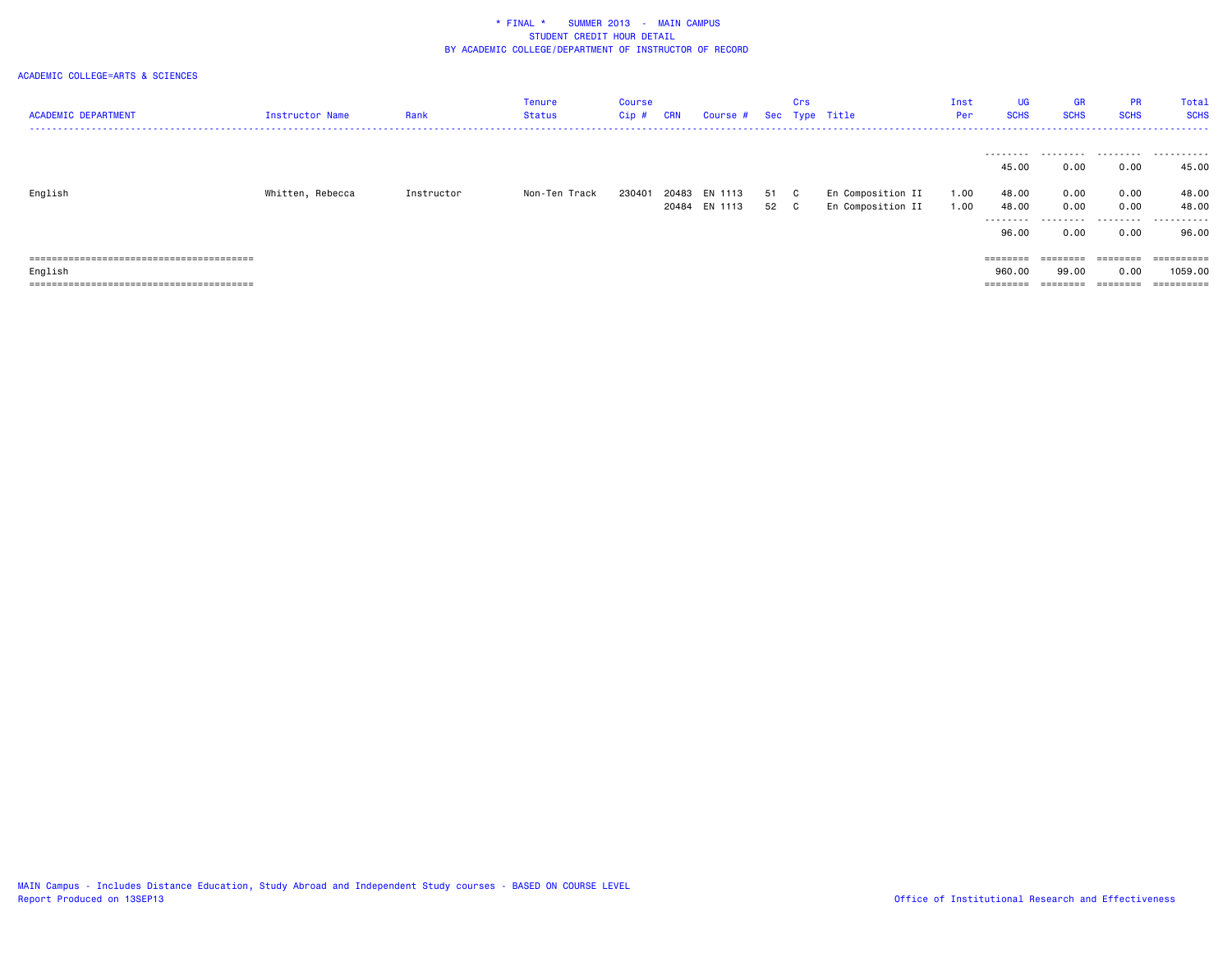| <b>ACADEMIC DEPARTMENT</b>       | <b>Instructor Name</b> | Rank       | Tenure<br><b>Status</b> | <b>Course</b><br>Cip # | <b>CRN</b> | Course # Sec Type Title |      | Crs |                   | Inst<br>Per | <b>UG</b><br><b>SCHS</b> | <b>GR</b><br><b>SCHS</b> | <b>PR</b><br><b>SCHS</b> | Total<br><b>SCHS</b> |
|----------------------------------|------------------------|------------|-------------------------|------------------------|------------|-------------------------|------|-----|-------------------|-------------|--------------------------|--------------------------|--------------------------|----------------------|
|                                  |                        |            |                         |                        |            |                         |      |     |                   |             | .                        |                          |                          |                      |
|                                  |                        |            |                         |                        |            |                         |      |     |                   |             | 45.00                    | 0.00                     | 0.00                     | 45.00                |
| English                          | Whitten, Rebecca       | Instructor | Non-Ten Track           | 230401                 |            | 20483 EN 1113           | 51 C |     | En Composition II | 1.00        | 48.00                    | 0.00                     | 0.00                     | 48.00                |
|                                  |                        |            |                         |                        |            | 20484 EN 1113           | 52 C |     | En Composition II | 1.00        | 48.00<br>---------       | 0.00<br>.                | 0.00<br>.                | 48.00<br>.           |
|                                  |                        |            |                         |                        |            |                         |      |     |                   |             | 96.00                    | 0.00                     | 0.00                     | 96.00                |
|                                  |                        |            |                         |                        |            |                         |      |     |                   |             | ========                 | ========                 | ========                 | ==========           |
| English                          |                        |            |                         |                        |            |                         |      |     |                   |             | 960.00                   | 99.00                    | 0.00                     | 1059.00              |
| -------------------------------- |                        |            |                         |                        |            |                         |      |     |                   |             | --------                 |                          | --------                 | =========            |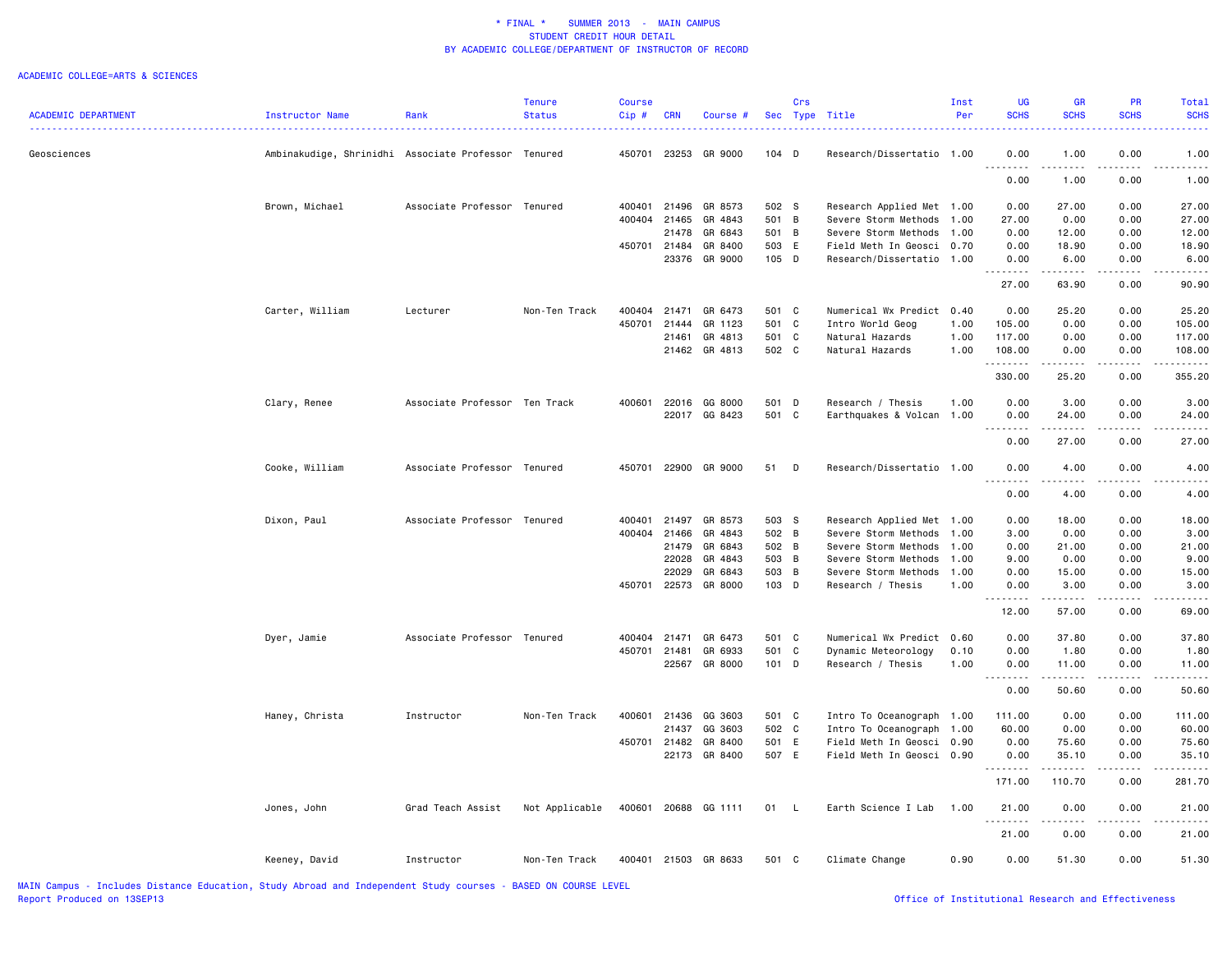|                            |                                                     |                               | <b>Tenure</b>  | <b>Course</b> |              |                      |         | Crs |                           | Inst | UG                                                                                                                                                           | <b>GR</b>            | <b>PR</b>           | Total       |
|----------------------------|-----------------------------------------------------|-------------------------------|----------------|---------------|--------------|----------------------|---------|-----|---------------------------|------|--------------------------------------------------------------------------------------------------------------------------------------------------------------|----------------------|---------------------|-------------|
| <b>ACADEMIC DEPARTMENT</b> | Instructor Name                                     | Rank                          | <b>Status</b>  | Cip#          | <b>CRN</b>   | Course #             |         |     | Sec Type Title            | Per  | <b>SCHS</b>                                                                                                                                                  | <b>SCHS</b>          | <b>SCHS</b>         | <b>SCHS</b> |
| Geosciences                | Ambinakudige, Shrinidhi Associate Professor Tenured |                               |                |               |              | 450701 23253 GR 9000 | $104$ D |     | Research/Dissertatio 1.00 |      | 0.00                                                                                                                                                         | 1.00                 | 0.00                | 1.00        |
|                            |                                                     |                               |                |               |              |                      |         |     |                           |      | .<br>0.00                                                                                                                                                    | .<br>1.00            | .<br>0.00           | 1.00        |
|                            | Brown, Michael                                      | Associate Professor Tenured   |                | 400401        | 21496        | GR 8573              | 502 S   |     | Research Applied Met 1.00 |      | 0.00                                                                                                                                                         | 27.00                | 0.00                | 27.00       |
|                            |                                                     |                               |                | 400404        | 21465        | GR 4843              | 501 B   |     | Severe Storm Methods      | 1.00 | 27.00                                                                                                                                                        | 0.00                 | 0.00                | 27.00       |
|                            |                                                     |                               |                |               | 21478        | GR 6843              | 501 B   |     | Severe Storm Methods      | 1.00 | 0.00                                                                                                                                                         | 12.00                | 0.00                | 12.00       |
|                            |                                                     |                               |                |               | 450701 21484 | GR 8400              | 503 E   |     | Field Meth In Geosci      | 0.70 | 0.00                                                                                                                                                         | 18.90                | 0.00                | 18.90       |
|                            |                                                     |                               |                |               | 23376        | GR 9000              | 105 D   |     | Research/Dissertatio      | 1.00 | 0.00                                                                                                                                                         | 6.00                 | 0.00                | 6.00        |
|                            |                                                     |                               |                |               |              |                      |         |     |                           |      | .<br>27.00                                                                                                                                                   | .<br>63.90           | .<br>0.00           | .<br>90.90  |
|                            | Carter, William                                     | Lecturer                      | Non-Ten Track  | 400404        | 21471        | GR 6473              | 501 C   |     | Numerical Wx Predict      | 0.40 | 0.00                                                                                                                                                         | 25.20                | 0.00                | 25.20       |
|                            |                                                     |                               |                | 450701        | 21444        | GR 1123              | 501 C   |     | Intro World Geog          | 1.00 | 105.00                                                                                                                                                       | 0.00                 | 0.00                | 105.00      |
|                            |                                                     |                               |                |               | 21461        | GR 4813              | 501 C   |     | Natural Hazards           | 1.00 | 117.00                                                                                                                                                       | 0.00                 | 0.00                | 117.00      |
|                            |                                                     |                               |                |               |              | 21462 GR 4813        | 502 C   |     | Natural Hazards           | 1.00 | 108.00                                                                                                                                                       | 0.00                 | 0.00<br>.           | 108.00      |
|                            |                                                     |                               |                |               |              |                      |         |     |                           |      | .<br>330.00                                                                                                                                                  | .<br>25.20           | 0.00                | .<br>355.20 |
|                            | Clary, Renee                                        | Associate Professor Ten Track |                | 400601        |              | 22016 GG 8000        | 501 D   |     | Research / Thesis         | 1.00 | 0.00                                                                                                                                                         | 3.00                 | 0.00                | 3.00        |
|                            |                                                     |                               |                |               |              | 22017 GG 8423        | 501 C   |     | Earthquakes & Volcan 1.00 |      | 0.00                                                                                                                                                         | 24.00                | 0.00                | 24.00       |
|                            |                                                     |                               |                |               |              |                      |         |     |                           |      | .<br>0.00                                                                                                                                                    | د د د د د<br>27.00   | .<br>0.00           | 27.00       |
|                            | Cooke, William                                      | Associate Professor Tenured   |                |               |              | 450701 22900 GR 9000 | 51 D    |     | Research/Dissertatio 1.00 |      | 0.00                                                                                                                                                         | 4.00                 | 0.00                | 4.00        |
|                            |                                                     |                               |                |               |              |                      |         |     |                           |      | $\frac{1}{2} \left( \frac{1}{2} \right) \left( \frac{1}{2} \right) \left( \frac{1}{2} \right) \left( \frac{1}{2} \right) \left( \frac{1}{2} \right)$<br>0.00 | 4.00                 | 0.00                | 4.00        |
|                            | Dixon, Paul                                         | Associate Professor Tenured   |                | 400401        | 21497        | GR 8573              | 503 S   |     | Research Applied Met 1.00 |      | 0.00                                                                                                                                                         | 18.00                | 0.00                | 18.00       |
|                            |                                                     |                               |                | 400404        | 21466        | GR 4843              | 502 B   |     | Severe Storm Methods      | 1.00 | 3.00                                                                                                                                                         | 0.00                 | 0.00                | 3.00        |
|                            |                                                     |                               |                |               |              | 21479 GR 6843        | 502 B   |     | Severe Storm Methods      | 1.00 | 0.00                                                                                                                                                         | 21.00                | 0.00                | 21.00       |
|                            |                                                     |                               |                |               | 22028        | GR 4843              | 503 B   |     | Severe Storm Methods      | 1.00 | 9.00                                                                                                                                                         | 0.00                 | 0.00                | 9.00        |
|                            |                                                     |                               |                |               | 22029        | GR 6843              | 503 B   |     | Severe Storm Methods      | 1.00 | 0.00                                                                                                                                                         | 15.00                | 0.00                | 15.00       |
|                            |                                                     |                               |                | 450701        | 22573        | GR 8000              | 103 D   |     | Research / Thesis         | 1.00 | 0.00<br><u>.</u>                                                                                                                                             | 3.00<br>.            | 0.00<br>.           | 3.00        |
|                            |                                                     |                               |                |               |              |                      |         |     |                           |      | 12.00                                                                                                                                                        | 57.00                | 0.00                | 69.00       |
|                            | Dyer, Jamie                                         | Associate Professor Tenured   |                | 400404        | 21471        | GR 6473              | 501 C   |     | Numerical Wx Predict      | 0.60 | 0.00                                                                                                                                                         | 37.80                | 0.00                | 37.80       |
|                            |                                                     |                               |                | 450701 21481  |              | GR 6933              | 501 C   |     | Dynamic Meteorology       | 0.10 | 0.00                                                                                                                                                         | 1.80                 | 0.00                | 1.80        |
|                            |                                                     |                               |                |               | 22567        | GR 8000              | 101 D   |     | Research / Thesis         | 1.00 | 0.00<br>. <b>.</b>                                                                                                                                           | 11.00<br>.           | 0.00<br>$- - - - -$ | 11.00<br>.  |
|                            |                                                     |                               |                |               |              |                      |         |     |                           |      | 0.00                                                                                                                                                         | 50.60                | 0.00                | 50.60       |
|                            | Haney, Christa                                      | Instructor                    | Non-Ten Track  | 400601        | 21436        | GG 3603              | 501 C   |     | Intro To Oceanograph 1.00 |      | 111.00                                                                                                                                                       | 0.00                 | 0.00                | 111.00      |
|                            |                                                     |                               |                |               | 21437        | GG 3603              | 502 C   |     | Intro To Oceanograph      | 1.00 | 60.00                                                                                                                                                        | 0.00                 | 0.00                | 60.00       |
|                            |                                                     |                               |                | 450701        | 21482        | GR 8400              | 501 E   |     | Field Meth In Geosci 0.90 |      | 0.00                                                                                                                                                         | 75.60                | 0.00                | 75.60       |
|                            |                                                     |                               |                |               | 22173        | GR 8400              | 507 E   |     | Field Meth In Geosci 0.90 |      | 0.00<br>.                                                                                                                                                    | 35.10<br>2.2.2.2.2.2 | 0.00<br>.           | 35.10       |
|                            |                                                     |                               |                |               |              |                      |         |     |                           |      | 171.00                                                                                                                                                       | 110.70               | 0.00                | 281.70      |
|                            | Jones, John                                         | Grad Teach Assist             | Not Applicable |               |              | 400601 20688 GG 1111 | 01 L    |     | Earth Science I Lab       | 1.00 | 21.00<br>$\sim$ $\sim$ $\sim$ $\sim$                                                                                                                         | 0.00<br>د د د د      | 0.00                | 21.00       |
|                            |                                                     |                               |                |               |              |                      |         |     |                           |      | 21.00                                                                                                                                                        | 0.00                 | 0.00                | 21.00       |
|                            | Keeney, David                                       | Instructor                    | Non-Ten Track  |               |              | 400401 21503 GR 8633 | 501 C   |     | Climate Change            | 0.90 | 0.00                                                                                                                                                         | 51.30                | 0.00                | 51.30       |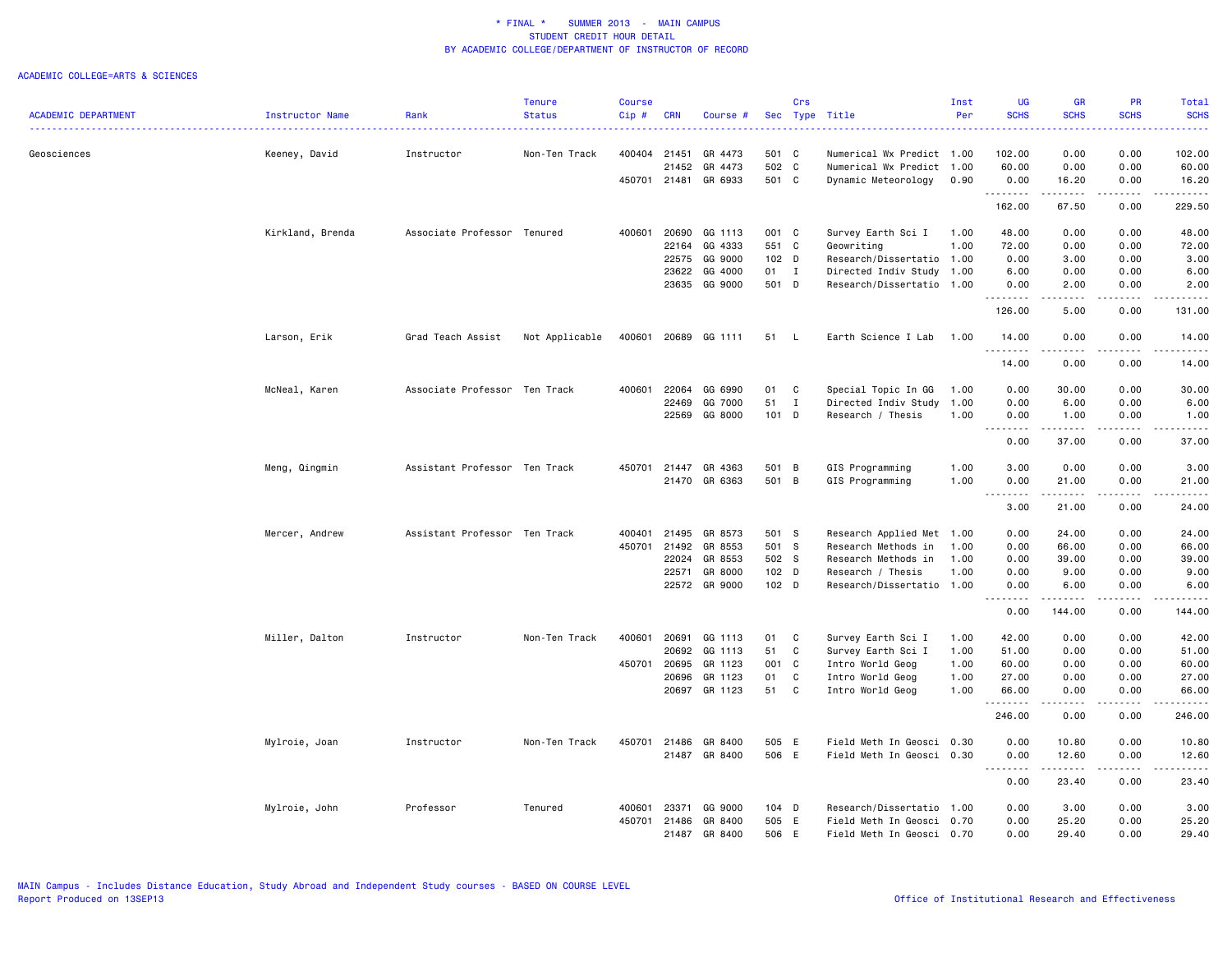|                            |                  |                               | <b>Tenure</b>  | <b>Course</b> |            |               |       | Crs          |                           | Inst | UG                                | GR                                                                                                                                                                                       | <b>PR</b>                                                                                                                                                    | Total            |
|----------------------------|------------------|-------------------------------|----------------|---------------|------------|---------------|-------|--------------|---------------------------|------|-----------------------------------|------------------------------------------------------------------------------------------------------------------------------------------------------------------------------------------|--------------------------------------------------------------------------------------------------------------------------------------------------------------|------------------|
| <b>ACADEMIC DEPARTMENT</b> | Instructor Name  | Rank                          | <b>Status</b>  | Cip#          | <b>CRN</b> | Course #      |       |              | Sec Type Title            | Per  | <b>SCHS</b><br>.                  | <b>SCHS</b><br>$\frac{1}{2} \left( \frac{1}{2} \right) \left( \frac{1}{2} \right) \left( \frac{1}{2} \right) \left( \frac{1}{2} \right)$                                                 | <b>SCHS</b><br>$\frac{1}{2} \left( \frac{1}{2} \right) \left( \frac{1}{2} \right) \left( \frac{1}{2} \right) \left( \frac{1}{2} \right)$                     | <b>SCHS</b><br>. |
| Geosciences                | Keeney, David    | Instructor                    | Non-Ten Track  | 400404 21451  |            | GR 4473       | 501 C |              | Numerical Wx Predict 1.00 |      | 102.00                            | 0.00                                                                                                                                                                                     | 0.00                                                                                                                                                         | 102.00           |
|                            |                  |                               |                |               | 21452      | GR 4473       | 502 C |              | Numerical Wx Predict 1.00 |      | 60.00                             | 0.00                                                                                                                                                                                     | 0.00                                                                                                                                                         | 60.00            |
|                            |                  |                               |                | 450701        |            | 21481 GR 6933 | 501 C |              | Dynamic Meteorology       | 0.90 | 0.00                              | 16.20                                                                                                                                                                                    | 0.00                                                                                                                                                         | 16.20            |
|                            |                  |                               |                |               |            |               |       |              |                           |      | .<br>162.00                       | $\frac{1}{2} \left( \frac{1}{2} \right) \left( \frac{1}{2} \right) \left( \frac{1}{2} \right) \left( \frac{1}{2} \right) \left( \frac{1}{2} \right) \left( \frac{1}{2} \right)$<br>67.50 | .<br>0.00                                                                                                                                                    | .<br>229.50      |
|                            | Kirkland, Brenda | Associate Professor Tenured   |                | 400601        | 20690      | GG 1113       | 001 C |              | Survey Earth Sci I        | 1.00 | 48.00                             | 0.00                                                                                                                                                                                     | 0.00                                                                                                                                                         | 48.00            |
|                            |                  |                               |                |               | 22164      | GG 4333       | 551 C |              | Geowriting                | 1.00 | 72.00                             | 0.00                                                                                                                                                                                     | 0.00                                                                                                                                                         | 72.00            |
|                            |                  |                               |                |               | 22575      | GG 9000       | 102 D |              | Research/Dissertatio 1.00 |      | 0.00                              | 3.00                                                                                                                                                                                     | 0.00                                                                                                                                                         | 3.00             |
|                            |                  |                               |                |               | 23622      | GG 4000       | 01 I  |              | Directed Indiv Study      | 1.00 | 6.00                              | 0.00                                                                                                                                                                                     | 0.00                                                                                                                                                         | 6.00             |
|                            |                  |                               |                |               | 23635      | GG 9000       | 501 D |              | Research/Dissertatio 1.00 |      | 0.00                              | 2.00                                                                                                                                                                                     | 0.00                                                                                                                                                         | 2.00             |
|                            |                  |                               |                |               |            |               |       |              |                           |      | .<br>126.00                       | .<br>5.00                                                                                                                                                                                | .<br>0.00                                                                                                                                                    | .<br>131.00      |
|                            | Larson, Erik     | Grad Teach Assist             | Not Applicable | 400601        |            | 20689 GG 1111 | 51    | - L          | Earth Science I Lab       | 1.00 | 14.00<br>.                        | 0.00<br>.                                                                                                                                                                                | 0.00<br>.                                                                                                                                                    | 14.00<br>.       |
|                            |                  |                               |                |               |            |               |       |              |                           |      | 14.00                             | 0.00                                                                                                                                                                                     | 0.00                                                                                                                                                         | 14.00            |
|                            | McNeal, Karen    | Associate Professor Ten Track |                | 400601        | 22064      | GG 6990       | 01 C  |              | Special Topic In GG       | 1.00 | 0.00                              | 30.00                                                                                                                                                                                    | 0.00                                                                                                                                                         | 30.00            |
|                            |                  |                               |                |               | 22469      | GG 7000       | 51    | $\mathbf{I}$ | Directed Indiv Study      | 1.00 | 0.00                              | 6.00                                                                                                                                                                                     | 0.00                                                                                                                                                         | 6.00             |
|                            |                  |                               |                |               | 22569      | GG 8000       | 101 D |              | Research / Thesis         | 1.00 | 0.00<br>1.1.1.1.1.1.1             | 1.00<br>.                                                                                                                                                                                | 0.00<br>.                                                                                                                                                    | 1.00<br>.        |
|                            |                  |                               |                |               |            |               |       |              |                           |      | 0.00                              | 37.00                                                                                                                                                                                    | 0.00                                                                                                                                                         | 37.00            |
|                            | Meng, Qingmin    | Assistant Professor Ten Track |                | 450701        | 21447      | GR 4363       | 501 B |              | GIS Programming           | 1.00 | 3.00                              | 0.00                                                                                                                                                                                     | 0.00                                                                                                                                                         | 3.00             |
|                            |                  |                               |                |               | 21470      | GR 6363       | 501 B |              | GIS Programming           | 1.00 | 0.00<br>$- - - - -$<br>$- - -$    | 21.00<br>.                                                                                                                                                                               | 0.00<br>.                                                                                                                                                    | 21.00<br>.       |
|                            |                  |                               |                |               |            |               |       |              |                           |      | 3.00                              | 21.00                                                                                                                                                                                    | 0.00                                                                                                                                                         | 24.00            |
|                            | Mercer, Andrew   | Assistant Professor Ten Track |                | 400401        | 21495      | GR 8573       | 501 S |              | Research Applied Met 1.00 |      | 0.00                              | 24.00                                                                                                                                                                                    | 0.00                                                                                                                                                         | 24.00            |
|                            |                  |                               |                | 450701        | 21492      | GR 8553       | 501 S |              | Research Methods in       | 1.00 | 0.00                              | 66.00                                                                                                                                                                                    | 0.00                                                                                                                                                         | 66.00            |
|                            |                  |                               |                |               | 22024      | GR 8553       | 502 S |              | Research Methods in       | 1.00 | 0.00                              | 39.00                                                                                                                                                                                    | 0.00                                                                                                                                                         | 39.00            |
|                            |                  |                               |                |               | 22571      | GR 8000       | 102 D |              | Research / Thesis         | 1.00 | 0.00                              | 9.00                                                                                                                                                                                     | 0.00                                                                                                                                                         | 9.00             |
|                            |                  |                               |                |               |            | 22572 GR 9000 | 102 D |              | Research/Dissertatio 1.00 |      | 0.00<br>$\sim$ $\sim$ $\sim$<br>. | 6.00<br>.                                                                                                                                                                                | 0.00<br>.                                                                                                                                                    | 6.00<br>.        |
|                            |                  |                               |                |               |            |               |       |              |                           |      | 0.00                              | 144.00                                                                                                                                                                                   | 0.00                                                                                                                                                         | 144.00           |
|                            | Miller, Dalton   | Instructor                    | Non-Ten Track  | 400601        | 20691      | GG 1113       | 01    | C            | Survey Earth Sci I        | 1.00 | 42.00                             | 0.00                                                                                                                                                                                     | 0.00                                                                                                                                                         | 42.00            |
|                            |                  |                               |                |               | 20692      | GG 1113       | 51    | C            | Survey Earth Sci I        | 1.00 | 51.00                             | 0.00                                                                                                                                                                                     | 0.00                                                                                                                                                         | 51.00            |
|                            |                  |                               |                | 450701        | 20695      | GR 1123       | 001 C |              | Intro World Geog          | 1.00 | 60.00                             | 0.00                                                                                                                                                                                     | 0.00                                                                                                                                                         | 60.00            |
|                            |                  |                               |                |               | 20696      | GR 1123       | 01    | $\mathbf c$  | Intro World Geog          | 1.00 | 27.00                             | 0.00                                                                                                                                                                                     | 0.00                                                                                                                                                         | 27.00            |
|                            |                  |                               |                |               | 20697      | GR 1123       | 51    | C            | Intro World Geog          | 1.00 | 66.00<br>.                        | 0.00                                                                                                                                                                                     | 0.00                                                                                                                                                         | 66.00            |
|                            |                  |                               |                |               |            |               |       |              |                           |      | 246.00                            | 0.00                                                                                                                                                                                     | 0.00                                                                                                                                                         | 246.00           |
|                            | Mylroie, Joan    | Instructor                    | Non-Ten Track  | 450701        | 21486      | GR 8400       | 505 E |              | Field Meth In Geosci 0.30 |      | 0.00                              | 10.80                                                                                                                                                                                    | 0.00                                                                                                                                                         | 10.80            |
|                            |                  |                               |                |               |            | 21487 GR 8400 | 506 E |              | Field Meth In Geosci 0.30 |      | 0.00                              | 12.60<br>.                                                                                                                                                                               | 0.00<br>$\frac{1}{2} \left( \frac{1}{2} \right) \left( \frac{1}{2} \right) \left( \frac{1}{2} \right) \left( \frac{1}{2} \right) \left( \frac{1}{2} \right)$ | 12.60<br>.       |
|                            |                  |                               |                |               |            |               |       |              |                           |      | 0.00                              | 23.40                                                                                                                                                                                    | 0.00                                                                                                                                                         | 23.40            |
|                            | Mylroie, John    | Professor                     | Tenured        | 400601        | 23371      | GG 9000       | 104 D |              | Research/Dissertatio 1.00 |      | 0.00                              | 3.00                                                                                                                                                                                     | 0.00                                                                                                                                                         | 3.00             |
|                            |                  |                               |                | 450701        | 21486      | GR 8400       | 505 E |              | Field Meth In Geosci 0.70 |      | 0.00                              | 25.20                                                                                                                                                                                    | 0.00                                                                                                                                                         | 25.20            |
|                            |                  |                               |                |               | 21487      | GR 8400       | 506   | E            | Field Meth In Geosci      | 0.70 | 0.00                              | 29,40                                                                                                                                                                                    | 0.00                                                                                                                                                         | 29,40            |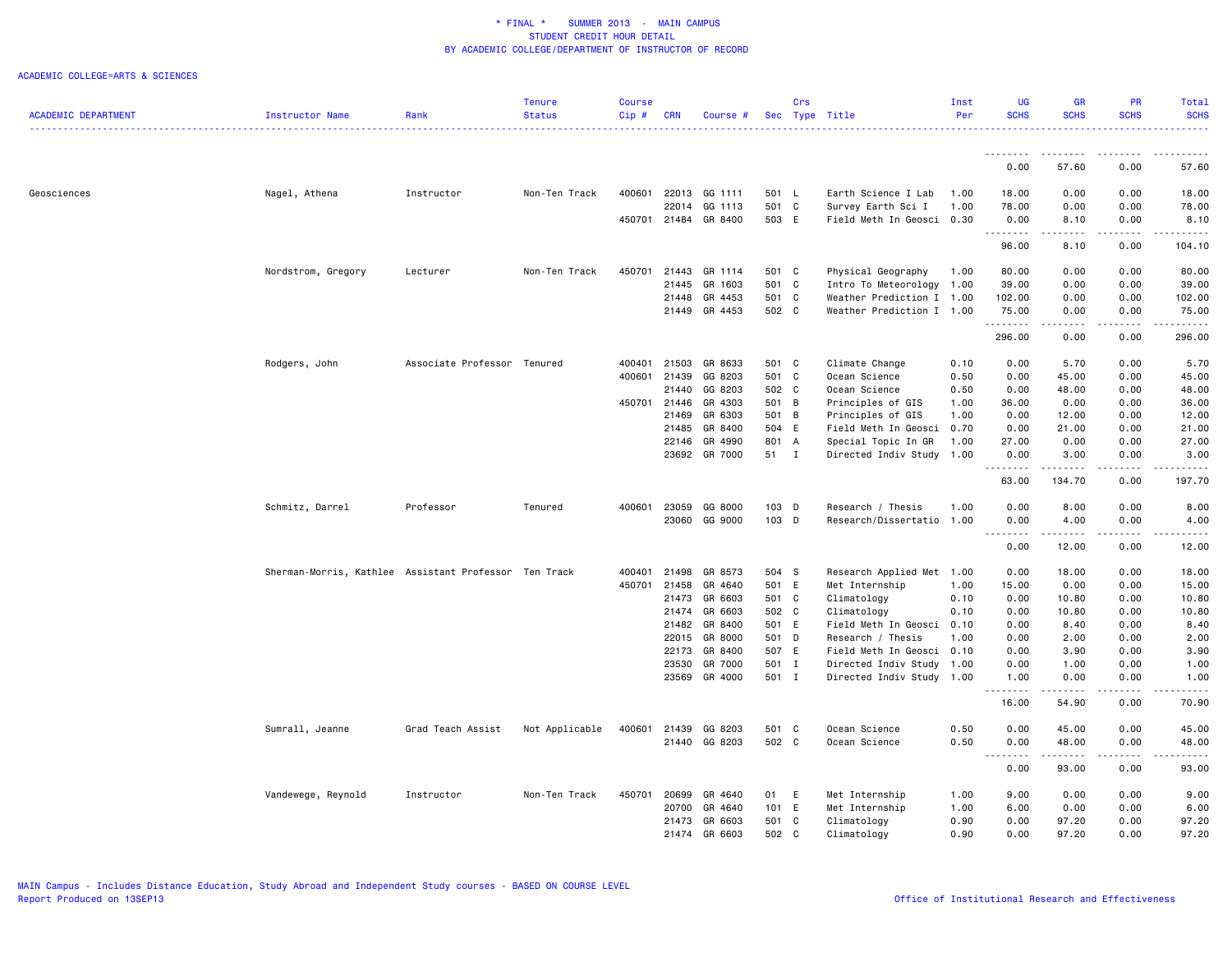|                            |                                                       |                     | <b>Tenure</b>  | Course       |            |                      |       | Crs |                           | Inst | UG               | <b>GR</b>                      | <b>PR</b>       | Total               |
|----------------------------|-------------------------------------------------------|---------------------|----------------|--------------|------------|----------------------|-------|-----|---------------------------|------|------------------|--------------------------------|-----------------|---------------------|
| <b>ACADEMIC DEPARTMENT</b> | Instructor Name                                       | Rank                | <b>Status</b>  | Cip#         | <b>CRN</b> | Course #             |       |     | Sec Type Title            | Per  | <b>SCHS</b>      | <b>SCHS</b>                    | <b>SCHS</b>     | <b>SCHS</b>         |
|                            |                                                       |                     |                |              |            |                      |       |     |                           |      |                  |                                |                 |                     |
|                            |                                                       |                     |                |              |            |                      |       |     |                           |      | .<br>0.00        | .<br>57.60                     | .<br>0.00       | . <b>.</b><br>57.60 |
| Geosciences                | Nagel, Athena                                         | Instructor          | Non-Ten Track  | 400601       |            | 22013 GG 1111        | 501 L |     | Earth Science I Lab       | 1.00 | 18.00            | 0.00                           | 0.00            | 18.00               |
|                            |                                                       |                     |                |              | 22014      | GG 1113              | 501 C |     | Survey Earth Sci I        | 1.00 | 78.00            | 0.00                           | 0.00            | 78.00               |
|                            |                                                       |                     |                |              |            | 450701 21484 GR 8400 | 503 E |     | Field Meth In Geosci 0.30 |      | 0.00             | 8.10                           | 0.00            | 8.10                |
|                            |                                                       |                     |                |              |            |                      |       |     |                           |      | .<br>96.00       | .<br>8.10                      | د د د د<br>0.00 | 104.10              |
|                            | Nordstrom, Gregory                                    | Lecturer            | Non-Ten Track  | 450701 21443 |            | GR 1114              | 501 C |     | Physical Geography        | 1.00 | 80.00            | 0.00                           | 0.00            | 80.00               |
|                            |                                                       |                     |                |              | 21445      | GR 1603              | 501 C |     | Intro To Meteorology      | 1.00 | 39.00            | 0.00                           | 0.00            | 39.00               |
|                            |                                                       |                     |                |              | 21448      | GR 4453              | 501 C |     | Weather Prediction I 1.00 |      | 102.00           | 0.00                           | 0.00            | 102.00              |
|                            |                                                       |                     |                |              |            |                      | 502 C |     |                           |      |                  |                                |                 |                     |
|                            |                                                       |                     |                |              |            | 21449 GR 4453        |       |     | Weather Prediction I 1.00 |      | 75.00<br>.       | 0.00<br>$\omega$ is a $\omega$ | 0.00<br>.       | 75.00<br>.          |
|                            |                                                       |                     |                |              |            |                      |       |     |                           |      | 296.00           | 0.00                           | 0.00            | 296.00              |
|                            | Rodgers, John                                         | Associate Professor | Tenured        | 400401       | 21503      | GR 8633              | 501 C |     | Climate Change            | 0.10 | 0.00             | 5.70                           | 0.00            | 5.70                |
|                            |                                                       |                     |                | 400601 21439 |            | GG 8203              | 501 C |     | Ocean Science             | 0.50 | 0.00             | 45.00                          | 0.00            | 45.00               |
|                            |                                                       |                     |                |              | 21440      | GG 8203              | 502 C |     | Ocean Science             | 0.50 | 0.00             | 48.00                          | 0.00            | 48.00               |
|                            |                                                       |                     |                | 450701 21446 |            | GR 4303              | 501 B |     | Principles of GIS         | 1.00 | 36.00            | 0.00                           | 0.00            | 36.00               |
|                            |                                                       |                     |                |              | 21469      | GR 6303              | 501 B |     | Principles of GIS         | 1.00 | 0.00             | 12.00                          | 0.00            | 12.00               |
|                            |                                                       |                     |                |              |            | 21485 GR 8400        | 504 E |     | Field Meth In Geosci 0.70 |      | 0.00             | 21.00                          | 0.00            | 21.00               |
|                            |                                                       |                     |                |              |            | 22146 GR 4990        | 801 A |     | Special Topic In GR       | 1.00 | 27.00            | 0.00                           | 0.00            | 27.00               |
|                            |                                                       |                     |                |              |            | 23692 GR 7000        | 51 I  |     | Directed Indiv Study      | 1.00 | 0.00             | 3.00                           | 0.00            | 3.00                |
|                            |                                                       |                     |                |              |            |                      |       |     |                           |      | .                |                                |                 | .                   |
|                            |                                                       |                     |                |              |            |                      |       |     |                           |      | 63.00            | 134.70                         | 0.00            | 197.70              |
|                            | Schmitz, Darrel                                       | Professor           | Tenured        | 400601       | 23059      | GG 8000              | 103 D |     | Research / Thesis         | 1.00 | 0.00             | 8.00                           | 0.00            | 8.00                |
|                            |                                                       |                     |                |              |            | 23060 GG 9000        | 103 D |     | Research/Dissertatio 1.00 |      | 0.00             | 4.00                           | 0.00            | 4.00                |
|                            |                                                       |                     |                |              |            |                      |       |     |                           |      | .<br>0.00        | .<br>12.00                     | -----<br>0.00   | .<br>12.00          |
|                            | Sherman-Morris, Kathlee Assistant Professor Ten Track |                     |                | 400401       | 21498      | GR 8573              | 504 S |     | Research Applied Met 1.00 |      | 0.00             | 18.00                          | 0.00            | 18.00               |
|                            |                                                       |                     |                | 450701 21458 |            | GR 4640              | 501 E |     | Met Internship            | 1.00 | 15.00            | 0.00                           | 0.00            | 15.00               |
|                            |                                                       |                     |                |              | 21473      | GR 6603              | 501 C |     | Climatology               | 0.10 | 0.00             | 10.80                          | 0.00            | 10.80               |
|                            |                                                       |                     |                |              | 21474      | GR 6603              | 502 C |     | Climatology               | 0.10 | 0.00             | 10.80                          | 0.00            | 10.80               |
|                            |                                                       |                     |                |              | 21482      | GR 8400              | 501 E |     | Field Meth In Geosci 0.10 |      | 0.00             | 8.40                           | 0.00            | 8.40                |
|                            |                                                       |                     |                |              |            | 22015 GR 8000        | 501 D |     | Research / Thesis         | 1.00 | 0.00             | 2.00                           | 0.00            | 2.00                |
|                            |                                                       |                     |                |              | 22173      | GR 8400              | 507 E |     | Field Meth In Geosci      | 0.10 | 0.00             | 3.90                           | 0.00            | 3.90                |
|                            |                                                       |                     |                |              | 23530      | GR 7000              | 501 I |     | Directed Indiv Study 1.00 |      | 0.00             | 1.00                           | 0.00            | 1.00                |
|                            |                                                       |                     |                |              |            | 23569 GR 4000        | 501 I |     | Directed Indiv Study 1.00 |      | 1.00             | 0.00                           | 0.00            | 1.00                |
|                            |                                                       |                     |                |              |            |                      |       |     |                           |      | .<br>16.00       | .<br>54.90                     | .<br>0.00       | .<br>70.90          |
|                            |                                                       |                     |                |              |            |                      |       |     |                           |      |                  |                                |                 |                     |
|                            | Sumrall, Jeanne                                       | Grad Teach Assist   | Not Applicable | 400601       |            | 21439 GG 8203        | 501 C |     | Ocean Science             | 0.50 | 0.00             | 45.00                          | 0.00            | 45.00               |
|                            |                                                       |                     |                |              |            | 21440 GG 8203        | 502 C |     | Ocean Science             | 0.50 | 0.00<br><u>.</u> | 48.00<br>.                     | 0.00<br>.       | 48.00<br>.          |
|                            |                                                       |                     |                |              |            |                      |       |     |                           |      | 0.00             | 93.00                          | 0.00            | 93.00               |
|                            | Vandewege, Reynold                                    | Instructor          | Non-Ten Track  | 450701       | 20699      | GR 4640              | 01 E  |     | Met Internship            | 1.00 | 9.00             | 0.00                           | 0.00            | 9.00                |
|                            |                                                       |                     |                |              | 20700      | GR 4640              | 101 E |     | Met Internship            | 1.00 | 6.00             | 0.00                           | 0.00            | 6.00                |
|                            |                                                       |                     |                |              | 21473      | GR 6603              | 501 C |     | Climatology               | 0.90 | 0.00             | 97.20                          | 0.00            | 97.20               |
|                            |                                                       |                     |                |              | 21474      | GR 6603              | 502 C |     | Climatology               | 0.90 | 0.00             | 97.20                          | 0.00            | 97.20               |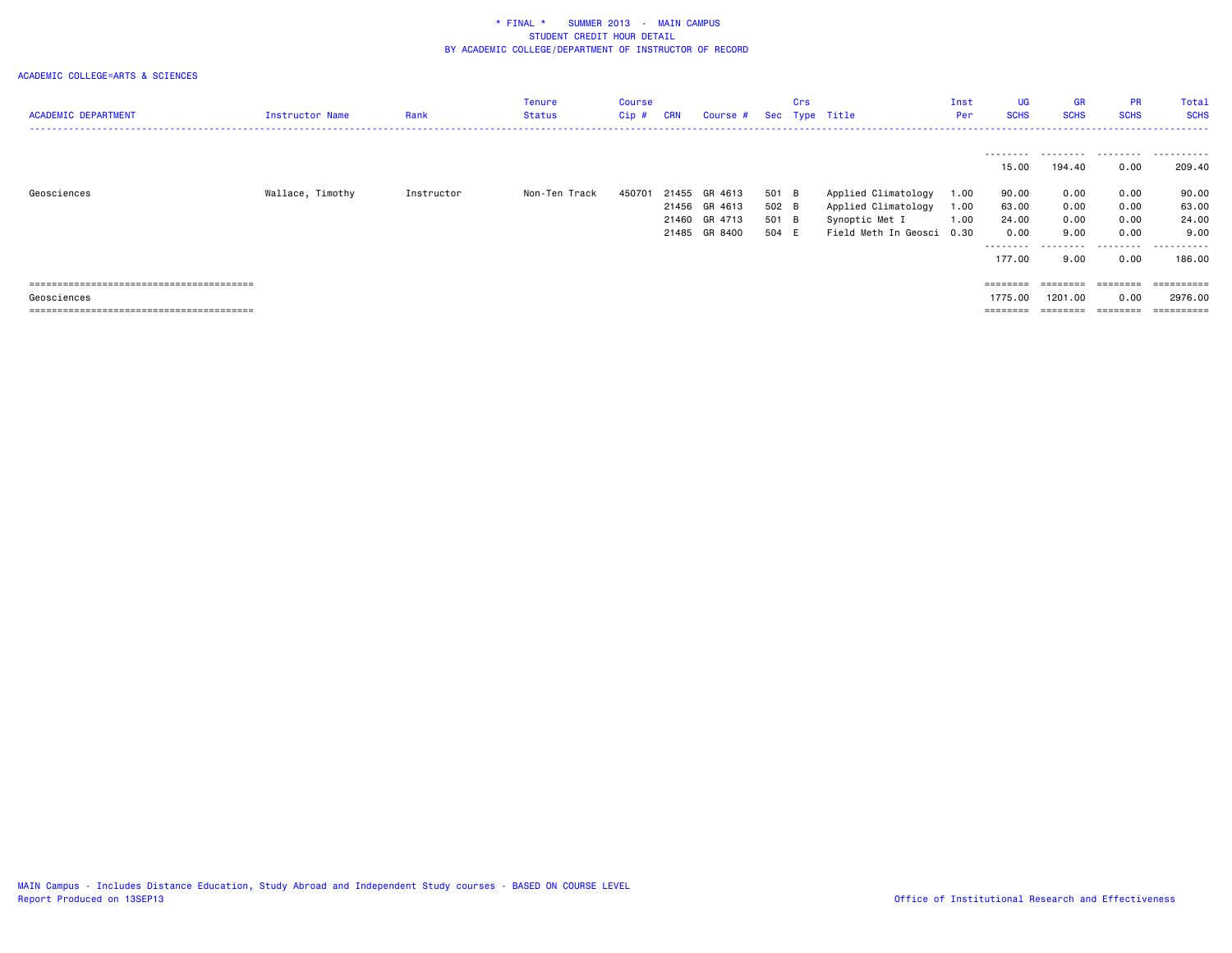| <b>ACADEMIC DEPARTMENT</b> | Instructor Name  | Rank       | Tenure<br>Status | Course<br>Cip # | <b>CRN</b> | Course # Sec Type Title |       | Crs |                           | Inst<br>Per | <b>UG</b><br><b>SCHS</b> | <b>GR</b><br><b>SCHS</b> | <b>PR</b><br><b>SCHS</b> | Total<br><b>SCHS</b> |
|----------------------------|------------------|------------|------------------|-----------------|------------|-------------------------|-------|-----|---------------------------|-------------|--------------------------|--------------------------|--------------------------|----------------------|
|                            |                  |            |                  |                 |            |                         |       |     |                           |             | ---------                |                          | .                        | .                    |
|                            |                  |            |                  |                 |            |                         |       |     |                           |             | 15.00                    | 194.40                   | 0.00                     | 209.40               |
| Geosciences                | Wallace, Timothy | Instructor | Non-Ten Track    | 450701          | 21455      | GR 4613                 | 501 B |     | Applied Climatology       | 1.00        | 90.00                    | 0.00                     | 0.00                     | 90.00                |
|                            |                  |            |                  |                 |            | 21456 GR 4613           | 502 B |     | Applied Climatology       | 1.00        | 63.00                    | 0.00                     | 0.00                     | 63.00                |
|                            |                  |            |                  |                 |            | 21460 GR 4713           | 501 B |     | Synoptic Met I            | 1.00        | 24.00                    | 0.00                     | 0.00                     | 24.00                |
|                            |                  |            |                  |                 |            | 21485 GR 8400           | 504 E |     | Field Meth In Geosci 0.30 |             | 0.00                     | 9.00                     | 0.00                     | 9.00                 |
|                            |                  |            |                  |                 |            |                         |       |     |                           |             | ---------                |                          | ------                   | -------              |
|                            |                  |            |                  |                 |            |                         |       |     |                           |             | 177.00                   | 9.00                     | 0.00                     | 186.00               |
|                            |                  |            |                  |                 |            |                         |       |     |                           |             |                          |                          |                          |                      |
|                            |                  |            |                  |                 |            |                         |       |     |                           |             | ========                 | ========                 | ========                 | ==========           |
| Geosciences                |                  |            |                  |                 |            |                         |       |     |                           |             | 1775.00                  | 1201.00                  | 0.00                     | 2976.00              |
|                            |                  |            |                  |                 |            |                         |       |     |                           |             | --------                 | ========                 | ========                 | ==========           |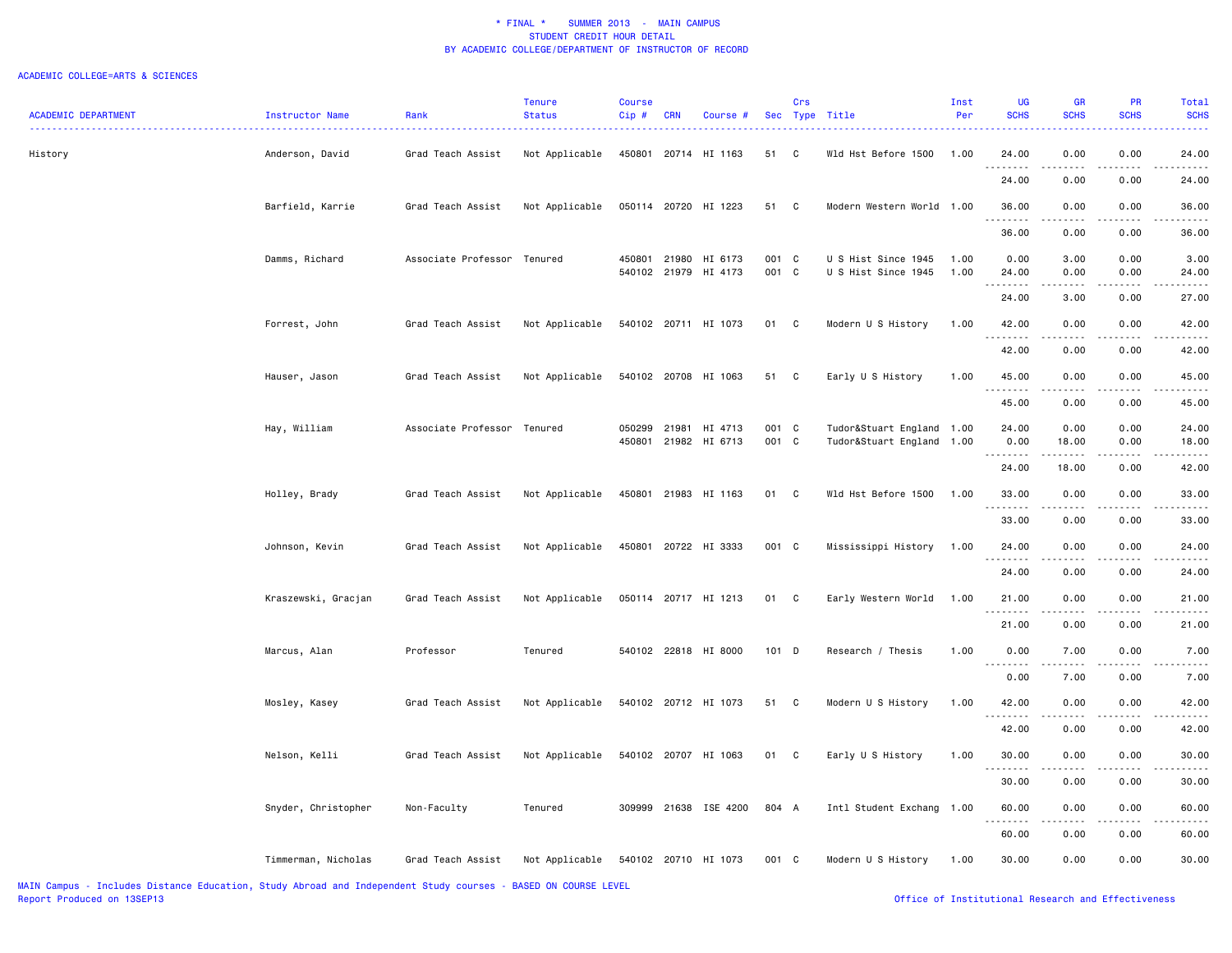| <b>ACADEMIC DEPARTMENT</b> | <b>Instructor Name</b> | Rank                        | <b>Tenure</b><br><b>Status</b> | <b>Course</b><br>Cip# | <b>CRN</b> | Course #                                     |                | Crs<br>Sec Type Title |                                                        | Inst<br>Per  | <b>UG</b><br><b>SCHS</b> | <b>GR</b><br><b>SCHS</b>                                                                                                                                      | <b>PR</b><br><b>SCHS</b>                                                                                                                                     | Total<br><b>SCHS</b> |
|----------------------------|------------------------|-----------------------------|--------------------------------|-----------------------|------------|----------------------------------------------|----------------|-----------------------|--------------------------------------------------------|--------------|--------------------------|---------------------------------------------------------------------------------------------------------------------------------------------------------------|--------------------------------------------------------------------------------------------------------------------------------------------------------------|----------------------|
| History                    | Anderson, David        | Grad Teach Assist           | Not Applicable                 |                       |            | 450801 20714 HI 1163                         | 51 C           |                       | Wld Hst Before 1500                                    | 1.00         | 24.00<br>.               | 0.00<br>$\sim$ $\sim$ $\sim$ $\sim$                                                                                                                           | 0.00<br>.                                                                                                                                                    | 24.00                |
|                            |                        |                             |                                |                       |            |                                              |                |                       |                                                        |              | 24.00                    | 0.00                                                                                                                                                          | 0.00                                                                                                                                                         | 24.00                |
|                            | Barfield, Karrie       | Grad Teach Assist           | Not Applicable                 |                       |            | 050114 20720 HI 1223                         | 51 C           |                       | Modern Western World 1.00                              |              | 36.00<br>.               | 0.00<br>المتمالين                                                                                                                                             | 0.00<br>$\frac{1}{2} \left( \frac{1}{2} \right) \left( \frac{1}{2} \right) \left( \frac{1}{2} \right) \left( \frac{1}{2} \right) \left( \frac{1}{2} \right)$ | 36.00<br>.           |
|                            |                        |                             |                                |                       |            |                                              |                |                       |                                                        |              | 36.00                    | 0.00                                                                                                                                                          | 0.00                                                                                                                                                         | 36.00                |
|                            | Damms, Richard         | Associate Professor Tenured |                                |                       |            | 450801 21980 HI 6173<br>540102 21979 HI 4173 | 001 C<br>001 C |                       | U S Hist Since 1945<br>U S Hist Since 1945             | 1.00<br>1.00 | 0.00<br>24.00            | 3.00<br>0.00                                                                                                                                                  | 0.00<br>0.00                                                                                                                                                 | 3.00<br>24.00        |
|                            |                        |                             |                                |                       |            |                                              |                |                       |                                                        |              | ----<br>24.00            | 3.00                                                                                                                                                          | 0.00                                                                                                                                                         | 27.00                |
|                            | Forrest, John          | Grad Teach Assist           | Not Applicable                 |                       |            | 540102 20711 HI 1073                         | 01 C           |                       | Modern U S History                                     | 1.00         | 42.00                    | 0.00                                                                                                                                                          | 0.00                                                                                                                                                         | 42.00                |
|                            |                        |                             |                                |                       |            |                                              |                |                       |                                                        |              | 42.00                    | 0.00                                                                                                                                                          | 0.00                                                                                                                                                         | 42.00                |
|                            | Hauser, Jason          | Grad Teach Assist           | Not Applicable                 |                       |            | 540102 20708 HI 1063                         | 51 C           |                       | Early U S History                                      | 1.00         | 45.00<br><u>.</u>        | 0.00                                                                                                                                                          | 0.00                                                                                                                                                         | 45.00                |
|                            |                        |                             |                                |                       |            |                                              |                |                       |                                                        |              | 45.00                    | 0.00                                                                                                                                                          | 0.00                                                                                                                                                         | 45.00                |
|                            | Hay, William           | Associate Professor Tenured |                                | 050299<br>450801      |            | 21981 HI 4713<br>21982 HI 6713               | 001 C<br>001 C |                       | Tudor&Stuart England 1.00<br>Tudor&Stuart England 1.00 |              | 24.00<br>0.00<br>.       | 0.00<br>18.00                                                                                                                                                 | 0.00<br>0.00                                                                                                                                                 | 24.00<br>18.00       |
|                            |                        |                             |                                |                       |            |                                              |                |                       |                                                        |              | 24.00                    | $\frac{1}{2} \left( \frac{1}{2} \right) \left( \frac{1}{2} \right) \left( \frac{1}{2} \right) \left( \frac{1}{2} \right) \left( \frac{1}{2} \right)$<br>18.00 | .<br>0.00                                                                                                                                                    | 42.00                |
|                            | Holley, Brady          | Grad Teach Assist           | Not Applicable                 |                       |            | 450801 21983 HI 1163                         | 01 C           |                       | Wld Hst Before 1500                                    | 1.00         | 33.00<br>.               | 0.00<br>.                                                                                                                                                     | 0.00<br>$- - - - -$                                                                                                                                          | 33.00<br>.           |
|                            |                        |                             |                                |                       |            |                                              |                |                       |                                                        |              | 33.00                    | 0.00                                                                                                                                                          | 0.00                                                                                                                                                         | 33.00                |
|                            | Johnson, Kevin         | Grad Teach Assist           | Not Applicable                 |                       |            | 450801 20722 HI 3333                         | 001 C          |                       | Mississippi History                                    | 1.00         | 24.00<br><u>.</u>        | 0.00<br>----                                                                                                                                                  | 0.00                                                                                                                                                         | 24.00                |
|                            |                        |                             |                                |                       |            |                                              |                |                       |                                                        |              | 24.00                    | 0.00                                                                                                                                                          | 0.00                                                                                                                                                         | 24.00                |
|                            | Kraszewski, Gracjan    | Grad Teach Assist           | Not Applicable                 |                       |            | 050114 20717 HI 1213                         | 01 C           |                       | Early Western World                                    | 1.00         | 21.00<br><u>.</u>        | 0.00<br>.                                                                                                                                                     | 0.00<br>$- - - - -$                                                                                                                                          | 21.00                |
|                            |                        |                             |                                |                       |            |                                              |                |                       |                                                        |              | 21.00                    | 0.00                                                                                                                                                          | 0.00                                                                                                                                                         | 21.00                |
|                            | Marcus, Alan           | Professor                   | Tenured                        |                       |            | 540102 22818 HI 8000                         | 101 D          |                       | Research / Thesis                                      | 1.00         | 0.00<br><u>.</u>         | 7.00<br>$- - - -$                                                                                                                                             | 0.00<br>$\cdots$                                                                                                                                             | 7.00                 |
|                            |                        |                             |                                |                       |            |                                              |                |                       |                                                        |              | 0.00                     | 7.00                                                                                                                                                          | 0.00                                                                                                                                                         | 7.00                 |
|                            | Mosley, Kasey          | Grad Teach Assist           | Not Applicable                 |                       |            | 540102 20712 HI 1073                         | 51 C           |                       | Modern U S History                                     | 1.00         | 42.00<br>.               | 0.00<br>د د د د                                                                                                                                               | 0.00<br>.                                                                                                                                                    | 42.00                |
|                            |                        |                             |                                |                       |            |                                              |                |                       |                                                        |              | 42.00                    | 0.00                                                                                                                                                          | 0.00                                                                                                                                                         | 42.00                |
|                            | Nelson, Kelli          | Grad Teach Assist           | Not Applicable                 |                       |            | 540102 20707 HI 1063                         | 01 C           |                       | Early U S History                                      | 1.00         | 30.00<br><u>.</u>        | 0.00<br>.                                                                                                                                                     | 0.00<br>$\cdots$                                                                                                                                             | 30.00                |
|                            |                        |                             |                                |                       |            |                                              |                |                       |                                                        |              | 30.00                    | 0.00                                                                                                                                                          | 0.00                                                                                                                                                         | 30.00                |
|                            | Snyder, Christopher    | Non-Faculty                 | Tenured                        |                       |            | 309999 21638 ISE 4200                        | 804 A          |                       | Intl Student Exchang 1.00                              |              | 60.00<br>.               | 0.00<br>$\frac{1}{2} \left( \frac{1}{2} \right) \left( \frac{1}{2} \right) \left( \frac{1}{2} \right) \left( \frac{1}{2} \right)$                             | 0.00<br>.                                                                                                                                                    | 60.00                |
|                            |                        |                             |                                |                       |            |                                              |                |                       |                                                        |              | 60.00                    | 0.00                                                                                                                                                          | 0.00                                                                                                                                                         | 60.00                |
|                            | Timmerman, Nicholas    | Grad Teach Assist           | Not Applicable                 |                       |            | 540102 20710 HI 1073                         | 001 C          |                       | Modern U S History                                     | 1.00         | 30.00                    | 0.00                                                                                                                                                          | 0.00                                                                                                                                                         | 30.00                |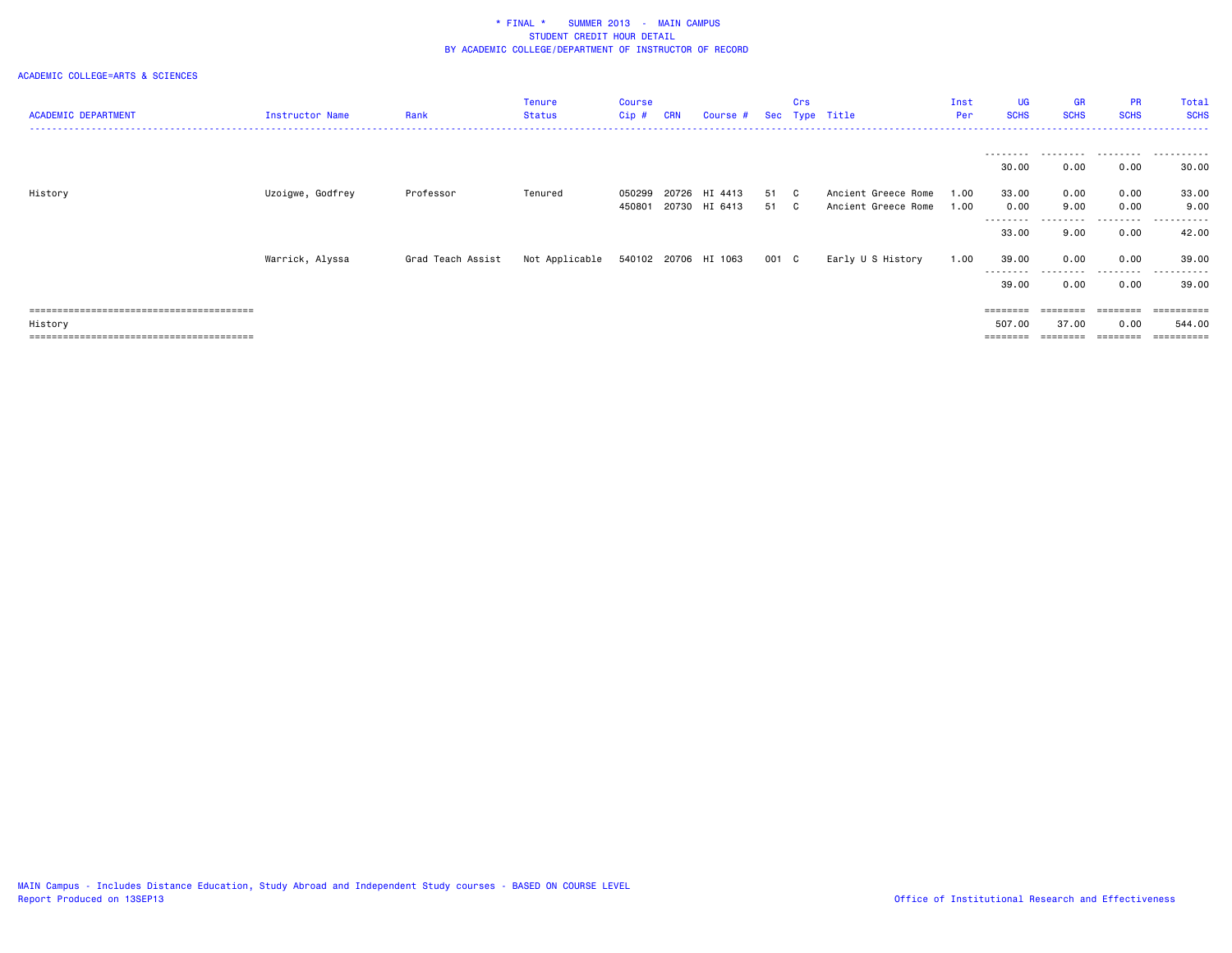| <b>ACADEMIC DEPARTMENT</b> | <b>Instructor Name</b> | Rank              | <b>Tenure</b><br><b>Status</b>      | Course<br>Cip# | <b>CRN</b> | Course #      |       | Crs | Sec Type Title      | Inst<br>Per | <b>UG</b><br><b>SCHS</b> | GR<br><b>SCHS</b> | <b>PR</b><br><b>SCHS</b> | Total<br><b>SCHS</b> |
|----------------------------|------------------------|-------------------|-------------------------------------|----------------|------------|---------------|-------|-----|---------------------|-------------|--------------------------|-------------------|--------------------------|----------------------|
|                            |                        |                   |                                     |                |            |               |       |     |                     |             |                          |                   |                          |                      |
|                            |                        |                   |                                     |                |            |               |       |     |                     |             | 30.00                    | 0.00              | 0.00                     | 30.00                |
| History                    | Uzoigwe, Godfrey       | Professor         | Tenured                             | 050299         | 20726      | HI 4413       | 51 C  |     | Ancient Greece Rome | 1.00        | 33.00                    | 0.00              | 0.00                     | 33.00                |
|                            |                        |                   |                                     | 450801         |            | 20730 HI 6413 | 51 C  |     | Ancient Greece Rome | 1.00        | 0.00                     | 9.00              | 0.00                     | 9.00                 |
|                            |                        |                   |                                     |                |            |               |       |     |                     |             | 33.00                    | 9.00              | 0.00                     | 42.00                |
|                            | Warrick, Alyssa        | Grad Teach Assist | Not Applicable 540102 20706 HI 1063 |                |            |               | 001 C |     | Early U S History   | 1.00        | 39.00                    | 0.00              | 0.00                     | 39.00                |
|                            |                        |                   |                                     |                |            |               |       |     |                     |             | --------<br>39.00        | 0.00              | 0.00                     | ----------<br>39.00  |
|                            |                        |                   |                                     |                |            |               |       |     |                     |             | $=$ = = = = = = =        | $=$ = = = = = = = | ========                 | ==========           |
| History                    |                        |                   |                                     |                |            |               |       |     |                     |             | 507.00                   | 37.00             | 0.00                     | 544.00               |
|                            |                        |                   |                                     |                |            |               |       |     |                     |             | ========                 | ========          | ========                 | ==========           |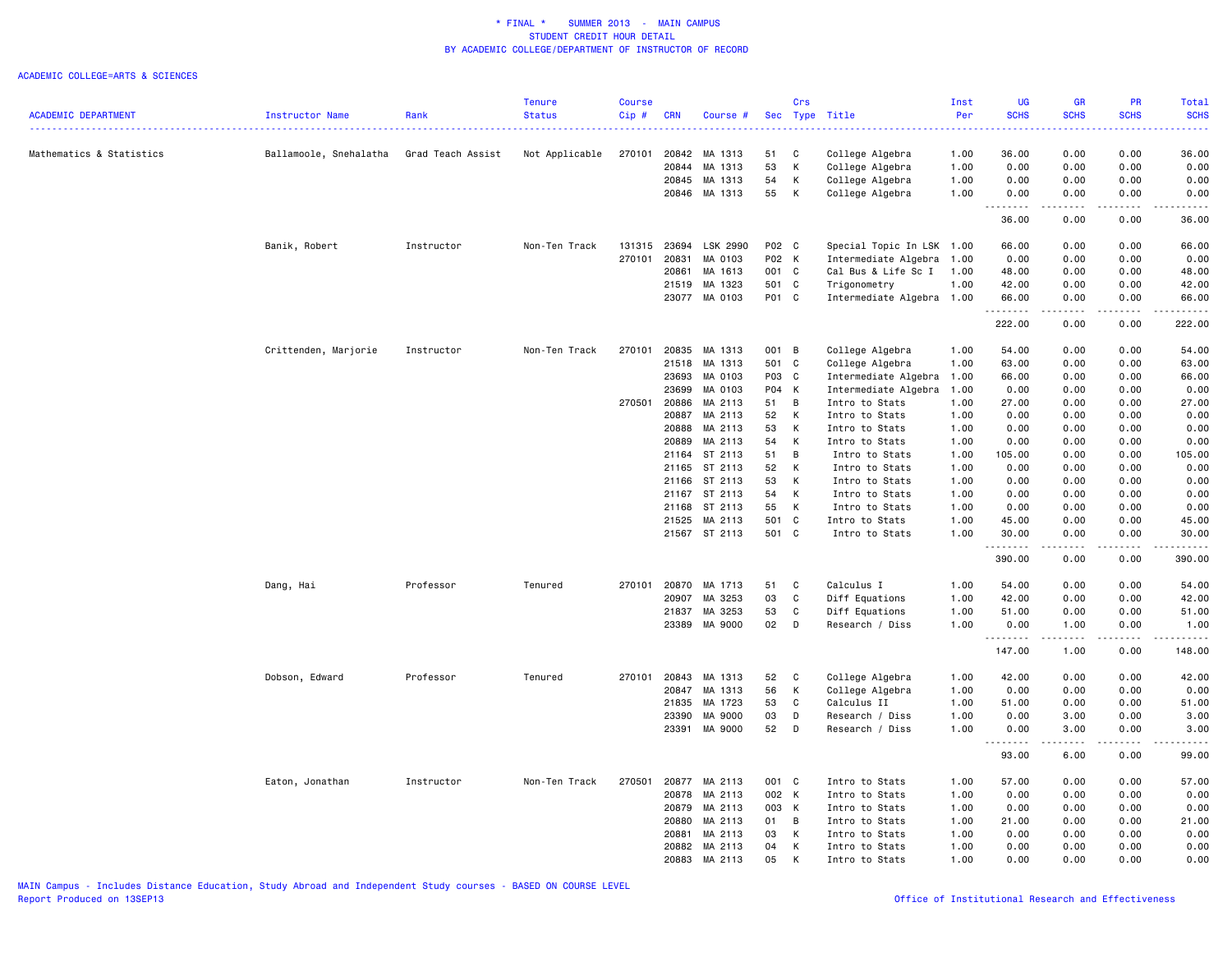|                            |                        |                   | Tenure         | <b>Course</b> |            |               |       | Crs          |                           | Inst | <b>UG</b>         | GR                                                                                                                                | <b>PR</b>     | Total              |
|----------------------------|------------------------|-------------------|----------------|---------------|------------|---------------|-------|--------------|---------------------------|------|-------------------|-----------------------------------------------------------------------------------------------------------------------------------|---------------|--------------------|
| <b>ACADEMIC DEPARTMENT</b> | Instructor Name        | Rank              | <b>Status</b>  | Cip#          | <b>CRN</b> | Course #      |       |              | Sec Type Title            | Per  | <b>SCHS</b>       | <b>SCHS</b>                                                                                                                       | <b>SCHS</b>   | <b>SCHS</b>        |
|                            |                        |                   |                |               |            |               |       |              |                           |      | .                 | $\frac{1}{2} \left( \frac{1}{2} \right) \left( \frac{1}{2} \right) \left( \frac{1}{2} \right) \left( \frac{1}{2} \right)$         | .             | .                  |
| Mathematics & Statistics   | Ballamoole, Snehalatha | Grad Teach Assist | Not Applicable | 270101        | 20842      | MA 1313       | 51    | C            | College Algebra           | 1.00 | 36.00             | 0.00                                                                                                                              | 0.00          | 36.00              |
|                            |                        |                   |                |               | 20844      | MA 1313       | 53    | К            | College Algebra           | 1.00 | 0.00              | 0.00                                                                                                                              | 0.00          | 0.00               |
|                            |                        |                   |                |               | 20845      | MA 1313       | 54    | К            | College Algebra           | 1.00 | 0.00              | 0.00                                                                                                                              | 0.00          | 0.00               |
|                            |                        |                   |                |               |            | 20846 MA 1313 | 55    | К            | College Algebra           | 1.00 | 0.00              | 0.00                                                                                                                              | 0.00          | 0.00               |
|                            |                        |                   |                |               |            |               |       |              |                           |      | .                 | $\frac{1}{2} \left( \frac{1}{2} \right) \left( \frac{1}{2} \right) \left( \frac{1}{2} \right) \left( \frac{1}{2} \right)$         | المتماما      |                    |
|                            |                        |                   |                |               |            |               |       |              |                           |      | 36.00             | 0.00                                                                                                                              | 0.00          | 36.00              |
|                            | Banik, Robert          | Instructor        | Non-Ten Track  | 131315        | 23694      | LSK 2990      | P02 C |              | Special Topic In LSK 1.00 |      | 66.00             | 0.00                                                                                                                              | 0.00          | 66.00              |
|                            |                        |                   |                | 270101        | 20831      | MA 0103       | P02 K |              | Intermediate Algebra      | 1.00 | 0.00              | 0.00                                                                                                                              | 0.00          | 0.00               |
|                            |                        |                   |                |               | 20861      | MA 1613       | 001 C |              | Cal Bus & Life Sc I       | 1.00 | 48.00             | 0.00                                                                                                                              | 0.00          | 48.00              |
|                            |                        |                   |                |               | 21519      | MA 1323       | 501 C |              | Trigonometry              | 1.00 | 42.00             | 0.00                                                                                                                              | 0.00          | 42.00              |
|                            |                        |                   |                |               |            | 23077 MA 0103 | P01 C |              | Intermediate Algebra 1.00 |      | 66.00             | 0.00                                                                                                                              | 0.00          | 66.00              |
|                            |                        |                   |                |               |            |               |       |              |                           |      | .<br>222.00       | .<br>0.00                                                                                                                         | -----<br>0.00 | .<br>222.00        |
|                            |                        |                   |                |               |            |               |       |              |                           |      |                   |                                                                                                                                   |               |                    |
|                            | Crittenden, Marjorie   | Instructor        | Non-Ten Track  | 270101        | 20835      | MA 1313       | 001 B |              | College Algebra           | 1.00 | 54.00             | 0.00                                                                                                                              | 0.00          | 54.00              |
|                            |                        |                   |                |               | 21518      | MA 1313       | 501 C |              | College Algebra           | 1.00 | 63.00             | 0.00                                                                                                                              | 0.00          | 63.00              |
|                            |                        |                   |                |               | 23693      | MA 0103       | P03 C |              | Intermediate Algebra      | 1.00 | 66.00             | 0.00                                                                                                                              | 0.00          | 66.00              |
|                            |                        |                   |                |               | 23699      | MA 0103       | P04 K |              | Intermediate Algebra      | 1.00 | 0.00              | 0.00                                                                                                                              | 0.00          | 0.00               |
|                            |                        |                   |                | 270501        | 20886      | MA 2113       | 51    | B            | Intro to Stats            | 1.00 | 27.00             | 0.00                                                                                                                              | 0.00          | 27.00              |
|                            |                        |                   |                |               | 20887      | MA 2113       | 52    | K            | Intro to Stats            | 1.00 | 0.00              | 0.00                                                                                                                              | 0.00          | 0.00               |
|                            |                        |                   |                |               | 20888      | MA 2113       | 53    | К            | Intro to Stats            | 1.00 | 0.00              | 0.00                                                                                                                              | 0.00          | 0.00               |
|                            |                        |                   |                |               | 20889      | MA 2113       | 54    | К            | Intro to Stats            | 1.00 | 0.00              | 0.00                                                                                                                              | 0.00          | 0.00               |
|                            |                        |                   |                |               | 21164      | ST 2113       | 51    | B            | Intro to Stats            | 1.00 | 105.00            | 0.00                                                                                                                              | 0.00          | 105.00             |
|                            |                        |                   |                |               | 21165      | ST 2113       | 52    | К            | Intro to Stats            | 1.00 | 0.00              | 0.00                                                                                                                              | 0.00          | 0.00               |
|                            |                        |                   |                |               | 21166      | ST 2113       | 53    | К            | Intro to Stats            | 1.00 | 0.00              | 0.00                                                                                                                              | 0.00          | 0.00               |
|                            |                        |                   |                |               | 21167      | ST 2113       | 54    | K            | Intro to Stats            | 1.00 | 0.00              | 0.00                                                                                                                              | 0.00          | 0.00               |
|                            |                        |                   |                |               | 21168      | ST 2113       | 55    | K            | Intro to Stats            | 1.00 | 0.00              | 0.00                                                                                                                              | 0.00          | 0.00               |
|                            |                        |                   |                |               | 21525      | MA 2113       | 501 C |              | Intro to Stats            | 1.00 | 45.00             | 0.00                                                                                                                              | 0.00          | 45.00              |
|                            |                        |                   |                |               |            | 21567 ST 2113 | 501 C |              | Intro to Stats            | 1.00 | 30.00<br><u>.</u> | 0.00<br>----                                                                                                                      | 0.00          | 30.00<br>$\cdots$  |
|                            |                        |                   |                |               |            |               |       |              |                           |      | 390.00            | 0.00                                                                                                                              | 0.00          | 390.00             |
|                            | Dang, Hai              | Professor         | Tenured        | 270101        | 20870      | MA 1713       | 51    | C            | Calculus I                | 1.00 | 54.00             | 0.00                                                                                                                              | 0.00          | 54.00              |
|                            |                        |                   |                |               | 20907      | MA 3253       | 03    | $\mathtt{C}$ | Diff Equations            | 1.00 | 42.00             | 0.00                                                                                                                              | 0.00          | 42.00              |
|                            |                        |                   |                |               | 21837      | MA 3253       | 53    | C            | Diff Equations            | 1.00 | 51.00             | 0.00                                                                                                                              | 0.00          | 51.00              |
|                            |                        |                   |                |               | 23389      | MA 9000       | 02    | D            | Research / Diss           | 1.00 | 0.00              | 1.00                                                                                                                              | 0.00          | 1.00               |
|                            |                        |                   |                |               |            |               |       |              |                           |      | .<br>147.00       | .<br>1.00                                                                                                                         | .<br>0.00     | <u>.</u><br>148.00 |
|                            |                        |                   |                |               |            |               |       |              |                           |      |                   |                                                                                                                                   |               |                    |
|                            | Dobson, Edward         | Professor         | Tenured        | 270101        | 20843      | MA 1313       | 52    | C            | College Algebra           | 1.00 | 42.00             | 0.00                                                                                                                              | 0.00          | 42.00              |
|                            |                        |                   |                |               | 20847      | MA 1313       | 56    | K            | College Algebra           | 1.00 | 0.00              | 0.00                                                                                                                              | 0.00          | 0.00               |
|                            |                        |                   |                |               | 21835      | MA 1723       | 53    | C            | Calculus II               | 1.00 | 51.00             | 0.00                                                                                                                              | 0.00          | 51.00              |
|                            |                        |                   |                |               | 23390      | MA 9000       | 03    | D            | Research / Diss           | 1.00 | 0.00              | 3.00                                                                                                                              | 0.00          | 3.00               |
|                            |                        |                   |                |               | 23391      | MA 9000       | 52    | D            | Research / Diss           | 1.00 | 0.00<br>.         | 3.00<br>$\frac{1}{2} \left( \frac{1}{2} \right) \left( \frac{1}{2} \right) \left( \frac{1}{2} \right) \left( \frac{1}{2} \right)$ | 0.00<br>.     | 3.00               |
|                            |                        |                   |                |               |            |               |       |              |                           |      | 93.00             | 6.00                                                                                                                              | 0.00          | 99.00              |
|                            | Eaton, Jonathan        | Instructor        | Non-Ten Track  | 270501        | 20877      | MA 2113       | 001 C |              | Intro to Stats            | 1.00 | 57.00             | 0.00                                                                                                                              | 0.00          | 57.00              |
|                            |                        |                   |                |               | 20878      | MA 2113       | 002 K |              | Intro to Stats            | 1.00 | 0.00              | 0.00                                                                                                                              | 0.00          | 0.00               |
|                            |                        |                   |                |               | 20879      | MA 2113       | 003 K |              | Intro to Stats            | 1.00 | 0.00              | 0.00                                                                                                                              | 0.00          | 0.00               |
|                            |                        |                   |                |               | 20880      | MA 2113       | 01    | B            | Intro to Stats            | 1.00 | 21.00             | 0.00                                                                                                                              | 0.00          | 21.00              |
|                            |                        |                   |                |               | 20881      | MA 2113       | 03    | К            | Intro to Stats            | 1.00 | 0.00              | 0.00                                                                                                                              | 0.00          | 0.00               |
|                            |                        |                   |                |               | 20882      | MA 2113       | 04    | К            | Intro to Stats            | 1.00 | 0.00              | 0.00                                                                                                                              | 0.00          | 0.00               |
|                            |                        |                   |                |               | 20883      | MA 2113       | 05    | K            | Intro to Stats            | 1.00 | 0.00              | 0.00                                                                                                                              | 0.00          | 0.00               |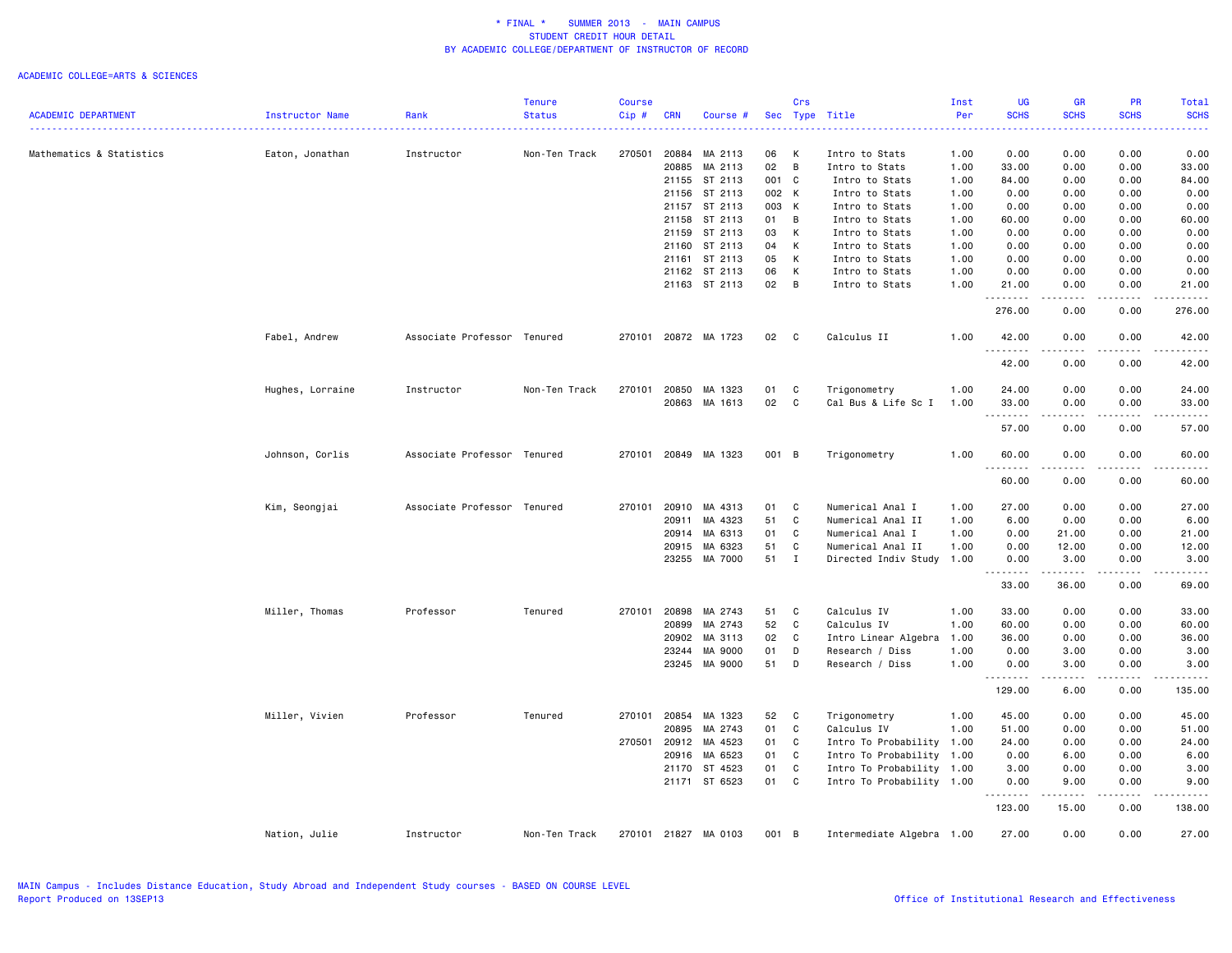|                            |                  |                             | <b>Tenure</b> | <b>Course</b> |            |                      |       | Crs            |                           | Inst | UG          | <b>GR</b>                                                                                                                                                                                                                                                                                                                                    | PR                                                                                                                                                           | Total       |
|----------------------------|------------------|-----------------------------|---------------|---------------|------------|----------------------|-------|----------------|---------------------------|------|-------------|----------------------------------------------------------------------------------------------------------------------------------------------------------------------------------------------------------------------------------------------------------------------------------------------------------------------------------------------|--------------------------------------------------------------------------------------------------------------------------------------------------------------|-------------|
| <b>ACADEMIC DEPARTMENT</b> | Instructor Name  | Rank                        | <b>Status</b> | Cip#          | <b>CRN</b> | Course #             |       |                | Sec Type Title            | Per  | <b>SCHS</b> | <b>SCHS</b>                                                                                                                                                                                                                                                                                                                                  | <b>SCHS</b>                                                                                                                                                  | <b>SCHS</b> |
| Mathematics & Statistics   | Eaton, Jonathan  | Instructor                  | Non-Ten Track | 270501        | 20884      | MA 2113              | 06    | к              | Intro to Stats            | 1.00 | 0.00        | 0.00                                                                                                                                                                                                                                                                                                                                         | 0.00                                                                                                                                                         | 0.00        |
|                            |                  |                             |               |               | 20885      | MA 2113              | 02    | B              | Intro to Stats            | 1.00 | 33.00       | 0.00                                                                                                                                                                                                                                                                                                                                         | 0.00                                                                                                                                                         | 33.00       |
|                            |                  |                             |               |               |            | 21155 ST 2113        | 001 C |                | Intro to Stats            | 1.00 | 84.00       | 0.00                                                                                                                                                                                                                                                                                                                                         | 0.00                                                                                                                                                         | 84.00       |
|                            |                  |                             |               |               | 21156      | ST 2113              | 002 K |                | Intro to Stats            | 1.00 | 0.00        | 0.00                                                                                                                                                                                                                                                                                                                                         | 0.00                                                                                                                                                         | 0.00        |
|                            |                  |                             |               |               |            | 21157 ST 2113        | 003 K |                | Intro to Stats            | 1.00 | 0.00        | 0.00                                                                                                                                                                                                                                                                                                                                         | 0.00                                                                                                                                                         | 0.00        |
|                            |                  |                             |               |               | 21158      | ST 2113              | 01    | B              | Intro to Stats            | 1.00 | 60.00       | 0.00                                                                                                                                                                                                                                                                                                                                         | 0.00                                                                                                                                                         | 60.00       |
|                            |                  |                             |               |               | 21159      | ST 2113              | 03    | K              | Intro to Stats            | 1.00 | 0.00        | 0.00                                                                                                                                                                                                                                                                                                                                         | 0.00                                                                                                                                                         | 0.00        |
|                            |                  |                             |               |               | 21160      | ST 2113              | 04    | К              | Intro to Stats            | 1.00 | 0.00        | 0.00                                                                                                                                                                                                                                                                                                                                         | 0.00                                                                                                                                                         | 0.00        |
|                            |                  |                             |               |               | 21161      | ST 2113              | 05    | К              | Intro to Stats            | 1.00 | 0.00        | 0.00                                                                                                                                                                                                                                                                                                                                         | 0.00                                                                                                                                                         | 0.00        |
|                            |                  |                             |               |               |            | 21162 ST 2113        | 06    | К              | Intro to Stats            | 1.00 | 0.00        | 0.00                                                                                                                                                                                                                                                                                                                                         | 0.00                                                                                                                                                         | 0.00        |
|                            |                  |                             |               |               |            | 21163 ST 2113        | 02    | $\overline{B}$ | Intro to Stats            | 1.00 | 21.00       | 0.00                                                                                                                                                                                                                                                                                                                                         | 0.00                                                                                                                                                         | 21.00       |
|                            |                  |                             |               |               |            |                      |       |                |                           |      | .<br>276.00 | .<br>0.00                                                                                                                                                                                                                                                                                                                                    | .<br>0.00                                                                                                                                                    | .<br>276.00 |
|                            | Fabel, Andrew    | Associate Professor Tenured |               |               |            | 270101 20872 MA 1723 | 02    | $\mathbf{C}$   | Calculus II               | 1.00 | 42.00       | 0.00                                                                                                                                                                                                                                                                                                                                         | 0.00                                                                                                                                                         | 42.00       |
|                            |                  |                             |               |               |            |                      |       |                |                           |      | .<br>42.00  | .<br>0.00                                                                                                                                                                                                                                                                                                                                    | .<br>0.00                                                                                                                                                    | .<br>42.00  |
|                            | Hughes, Lorraine | Instructor                  | Non-Ten Track | 270101        | 20850      | MA 1323              | 01    | C              | Trigonometry              | 1.00 | 24.00       | 0.00                                                                                                                                                                                                                                                                                                                                         | 0.00                                                                                                                                                         | 24.00       |
|                            |                  |                             |               |               | 20863      | MA 1613              | 02    | C              | Cal Bus & Life Sc I       | 1.00 | 33.00       | 0.00                                                                                                                                                                                                                                                                                                                                         | 0.00                                                                                                                                                         | 33.00       |
|                            |                  |                             |               |               |            |                      |       |                |                           |      | .           | ----                                                                                                                                                                                                                                                                                                                                         | .                                                                                                                                                            | .           |
|                            |                  |                             |               |               |            |                      |       |                |                           |      | 57.00       | 0.00                                                                                                                                                                                                                                                                                                                                         | 0.00                                                                                                                                                         | 57.00       |
|                            | Johnson, Corlis  | Associate Professor Tenured |               |               |            | 270101 20849 MA 1323 | 001 B |                | Trigonometry              | 1.00 | 60.00<br>.  | 0.00                                                                                                                                                                                                                                                                                                                                         | 0.00                                                                                                                                                         | 60.00<br>.  |
|                            |                  |                             |               |               |            |                      |       |                |                           |      | 60.00       | 0.00                                                                                                                                                                                                                                                                                                                                         | 0.00                                                                                                                                                         | 60.00       |
|                            | Kim, Seongjai    | Associate Professor Tenured |               | 270101        | 20910      | MA 4313              | 01    | C              | Numerical Anal I          | 1.00 | 27.00       | 0.00                                                                                                                                                                                                                                                                                                                                         | 0.00                                                                                                                                                         | 27.00       |
|                            |                  |                             |               |               | 20911      | MA 4323              | 51    | C              | Numerical Anal II         | 1.00 | 6.00        | 0.00                                                                                                                                                                                                                                                                                                                                         | 0.00                                                                                                                                                         | 6.00        |
|                            |                  |                             |               |               | 20914      | MA 6313              | 01    | C              | Numerical Anal I          | 1.00 | 0.00        | 21.00                                                                                                                                                                                                                                                                                                                                        | 0.00                                                                                                                                                         | 21.00       |
|                            |                  |                             |               |               | 20915      | MA 6323              | 51    | C              | Numerical Anal II         | 1.00 | 0.00        | 12.00                                                                                                                                                                                                                                                                                                                                        | 0.00                                                                                                                                                         | 12.00       |
|                            |                  |                             |               |               |            | 23255 MA 7000        | 51    | $\mathbf{I}$   | Directed Indiv Study 1.00 |      | 0.00<br>.   | 3.00<br>.                                                                                                                                                                                                                                                                                                                                    | 0.00<br>$\frac{1}{2} \left( \frac{1}{2} \right) \left( \frac{1}{2} \right) \left( \frac{1}{2} \right) \left( \frac{1}{2} \right) \left( \frac{1}{2} \right)$ | 3.00<br>.   |
|                            |                  |                             |               |               |            |                      |       |                |                           |      | 33.00       | 36.00                                                                                                                                                                                                                                                                                                                                        | 0.00                                                                                                                                                         | 69.00       |
|                            | Miller, Thomas   | Professor                   | Tenured       | 270101        | 20898      | MA 2743              | 51    | C              | Calculus IV               | 1.00 | 33.00       | 0.00                                                                                                                                                                                                                                                                                                                                         | 0.00                                                                                                                                                         | 33.00       |
|                            |                  |                             |               |               | 20899      | MA 2743              | 52    | $\mathtt{C}$   | Calculus IV               | 1.00 | 60.00       | 0.00                                                                                                                                                                                                                                                                                                                                         | 0.00                                                                                                                                                         | 60.00       |
|                            |                  |                             |               |               | 20902      | MA 3113              | 02    | C              | Intro Linear Algebra      | 1.00 | 36.00       | 0.00                                                                                                                                                                                                                                                                                                                                         | 0.00                                                                                                                                                         | 36.00       |
|                            |                  |                             |               |               | 23244      | MA 9000              | 01    | D              | Research / Diss           | 1.00 | 0.00        | 3.00                                                                                                                                                                                                                                                                                                                                         | 0.00                                                                                                                                                         | 3.00        |
|                            |                  |                             |               |               |            | 23245 MA 9000        | 51    | D              | Research / Diss           | 1.00 | 0.00        | 3.00<br>.                                                                                                                                                                                                                                                                                                                                    | 0.00                                                                                                                                                         | 3.00        |
|                            |                  |                             |               |               |            |                      |       |                |                           |      | 129.00      | 6.00                                                                                                                                                                                                                                                                                                                                         | 0.00                                                                                                                                                         | 135.00      |
|                            | Miller, Vivien   | Professor                   | Tenured       | 270101        | 20854      | MA 1323              | 52    | C              | Trigonometry              | 1.00 | 45.00       | 0.00                                                                                                                                                                                                                                                                                                                                         | 0.00                                                                                                                                                         | 45.00       |
|                            |                  |                             |               |               | 20895      | MA 2743              | 01    | C              | Calculus IV               | 1.00 | 51.00       | 0.00                                                                                                                                                                                                                                                                                                                                         | 0.00                                                                                                                                                         | 51.00       |
|                            |                  |                             |               | 270501        | 20912      | MA 4523              | 01    | C              | Intro To Probability      | 1.00 | 24.00       | 0.00                                                                                                                                                                                                                                                                                                                                         | 0.00                                                                                                                                                         | 24.00       |
|                            |                  |                             |               |               | 20916      | MA 6523              | 01    | C              | Intro To Probability 1.00 |      | 0.00        | 6.00                                                                                                                                                                                                                                                                                                                                         | 0.00                                                                                                                                                         | 6.00        |
|                            |                  |                             |               |               | 21170      | ST 4523              | 01    | C              | Intro To Probability 1.00 |      | 3.00        | 0.00                                                                                                                                                                                                                                                                                                                                         | 0.00                                                                                                                                                         | 3.00        |
|                            |                  |                             |               |               |            | 21171 ST 6523        | 01    | C              | Intro To Probability 1.00 |      | 0.00<br>.   | 9.00<br>$\frac{1}{2} \left( \begin{array}{ccc} 1 & 0 & 0 & 0 \\ 0 & 0 & 0 & 0 \\ 0 & 0 & 0 & 0 \\ 0 & 0 & 0 & 0 \\ 0 & 0 & 0 & 0 \\ 0 & 0 & 0 & 0 \\ 0 & 0 & 0 & 0 \\ 0 & 0 & 0 & 0 \\ 0 & 0 & 0 & 0 \\ 0 & 0 & 0 & 0 \\ 0 & 0 & 0 & 0 & 0 \\ 0 & 0 & 0 & 0 & 0 \\ 0 & 0 & 0 & 0 & 0 \\ 0 & 0 & 0 & 0 & 0 \\ 0 & 0 & 0 & 0 & 0 \\ 0 & 0 & 0$ | 0.00<br>.                                                                                                                                                    | 9.00        |
|                            |                  |                             |               |               |            |                      |       |                |                           |      | 123.00      | 15.00                                                                                                                                                                                                                                                                                                                                        | 0.00                                                                                                                                                         | 138.00      |
|                            | Nation, Julie    | Instructor                  | Non-Ten Track |               |            | 270101 21827 MA 0103 | 001 B |                | Intermediate Algebra 1.00 |      | 27.00       | 0.00                                                                                                                                                                                                                                                                                                                                         | 0.00                                                                                                                                                         | 27.00       |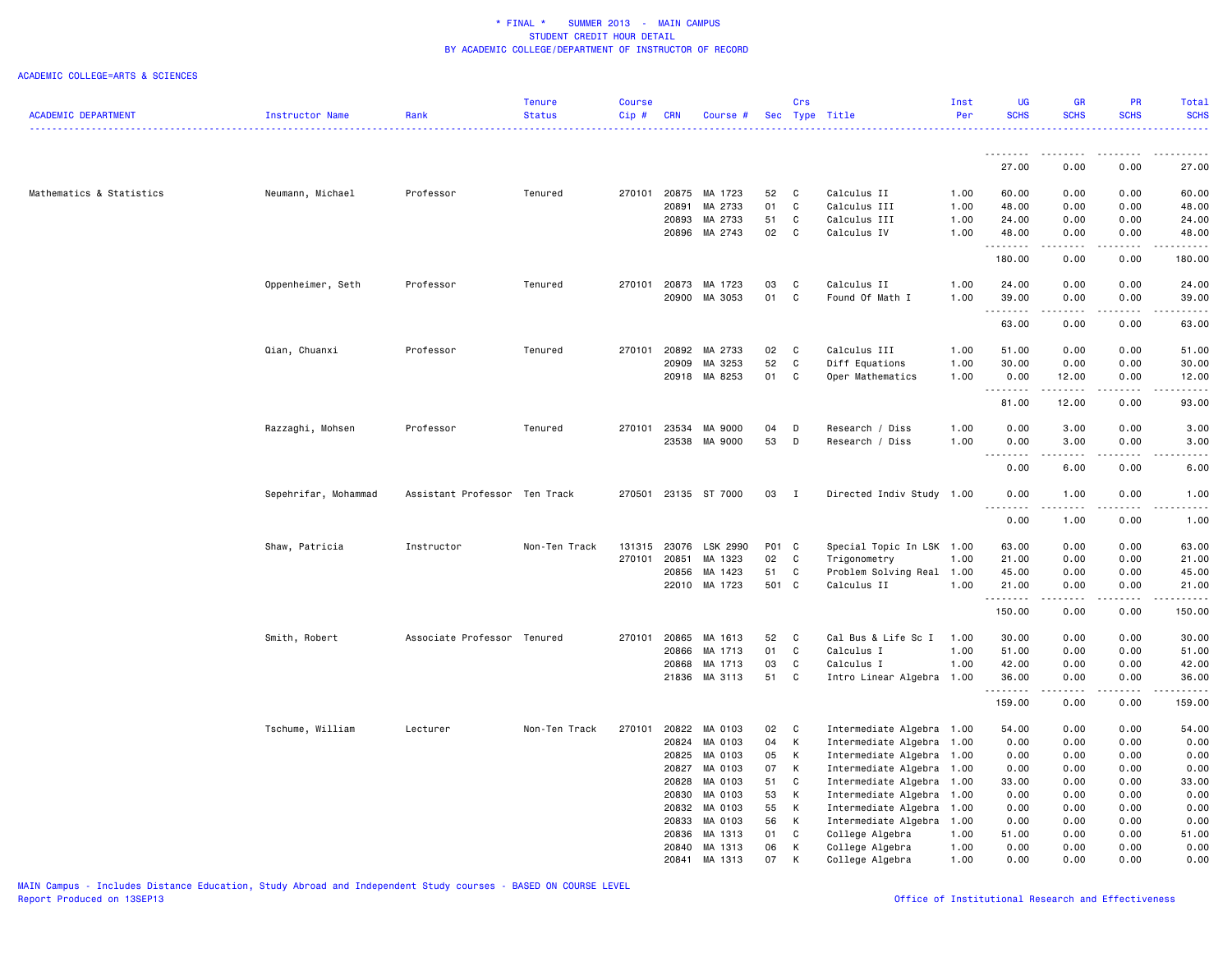|                            |                      |                               | <b>Tenure</b> | <b>Course</b> |                |                    |          | Crs          |                                    | Inst         | <b>UG</b>           | <b>GR</b>                           | PR               | Total                           |
|----------------------------|----------------------|-------------------------------|---------------|---------------|----------------|--------------------|----------|--------------|------------------------------------|--------------|---------------------|-------------------------------------|------------------|---------------------------------|
| <b>ACADEMIC DEPARTMENT</b> | Instructor Name      | Rank                          | <b>Status</b> | Cip#          | <b>CRN</b>     | Course #           |          |              | Sec Type Title                     | Per          | <b>SCHS</b>         | <b>SCHS</b>                         | <b>SCHS</b>      | <b>SCHS</b>                     |
|                            |                      |                               |               |               |                |                    |          |              |                                    |              |                     |                                     |                  |                                 |
|                            |                      |                               |               |               |                |                    |          |              |                                    |              | .<br>27.00          | - - - - - - - -<br>0.00             | 0.00             | 27.00                           |
|                            |                      |                               |               |               |                |                    |          |              |                                    |              |                     |                                     |                  |                                 |
| Mathematics & Statistics   | Neumann, Michael     | Professor                     | Tenured       | 270101        | 20875          | MA 1723            | 52<br>01 | $\mathbf{C}$ | Calculus II                        | 1.00         | 60.00               | 0.00                                | 0.00             | 60.00                           |
|                            |                      |                               |               |               | 20891<br>20893 | MA 2733<br>MA 2733 | 51       | C<br>C       | Calculus III<br>Calculus III       | 1.00<br>1.00 | 48.00<br>24.00      | 0.00<br>0.00                        | 0.00<br>0.00     | 48.00<br>24.00                  |
|                            |                      |                               |               |               | 20896          | MA 2743            | 02       | C            | Calculus IV                        | 1.00         | 48.00               | 0.00                                | 0.00             | 48.00                           |
|                            |                      |                               |               |               |                |                    |          |              |                                    |              | .                   | .                                   | .                | .                               |
|                            |                      |                               |               |               |                |                    |          |              |                                    |              | 180.00              | 0.00                                | 0.00             | 180.00                          |
|                            | Oppenheimer, Seth    | Professor                     | Tenured       | 270101        | 20873          | MA 1723            | 03       | C            | Calculus II                        | 1.00         | 24.00               | 0.00                                | 0.00             | 24.00                           |
|                            |                      |                               |               |               | 20900          | MA 3053            | 01       | C            | Found Of Math I                    | 1.00         | 39.00<br>22222      | 0.00<br>الدامات بال                 | 0.00<br>الأعامات | 39.00<br>$\omega$ is a $\omega$ |
|                            |                      |                               |               |               |                |                    |          |              |                                    |              | 63.00               | 0.00                                | 0.00             | 63.00                           |
|                            | Qian, Chuanxi        | Professor                     | Tenured       | 270101        | 20892          | MA 2733            | 02       | $\mathbf C$  | Calculus III                       | 1.00         | 51.00               | 0.00                                | 0.00             | 51.00                           |
|                            |                      |                               |               |               | 20909          | MA 3253            | 52       | C            | Diff Equations                     | 1.00         | 30.00               | 0.00                                | 0.00             | 30.00                           |
|                            |                      |                               |               |               |                | 20918 MA 8253      | 01       | C            | Oper Mathematics                   | 1.00         | 0.00                | 12.00                               | 0.00             | 12.00                           |
|                            |                      |                               |               |               |                |                    |          |              |                                    |              | .                   | .                                   | .                | .                               |
|                            |                      |                               |               |               |                |                    |          |              |                                    |              | 81.00               | 12.00                               | 0.00             | 93.00                           |
|                            | Razzaghi, Mohsen     | Professor                     | Tenured       | 270101        | 23534          | MA 9000            | 04       | D            | Research / Diss                    | 1.00         | 0.00                | 3.00                                | 0.00             | 3.00                            |
|                            |                      |                               |               |               | 23538          | MA 9000            | 53       | D            | Research / Diss                    | 1.00         | 0.00                | 3.00                                | 0.00             | 3.00                            |
|                            |                      |                               |               |               |                |                    |          |              |                                    |              | .<br>0.00           | $\sim$ $\sim$ $\sim$ $\sim$<br>6.00 | .<br>0.00        | 6.00                            |
|                            |                      |                               |               |               |                |                    |          |              |                                    |              |                     |                                     |                  |                                 |
|                            | Sepehrifar, Mohammad | Assistant Professor Ten Track |               | 270501        |                | 23135 ST 7000      | 03       | $\mathbf{I}$ | Directed Indiv Study 1.00          |              | 0.00<br>.           | 1.00<br>.                           | 0.00<br>-----    | 1.00<br>.                       |
|                            |                      |                               |               |               |                |                    |          |              |                                    |              | 0.00                | 1.00                                | 0.00             | 1.00                            |
|                            | Shaw, Patricia       | Instructor                    | Non-Ten Track | 131315        | 23076          | LSK 2990           | P01 C    |              | Special Topic In LSK 1.00          |              | 63.00               | 0.00                                | 0.00             | 63.00                           |
|                            |                      |                               |               | 270101        | 20851          | MA 1323            | 02       | C            | Trigonometry                       | 1.00         | 21.00               | 0.00                                | 0.00             | 21.00                           |
|                            |                      |                               |               |               | 20856          | MA 1423            | 51       | C            | Problem Solving Real 1.00          |              | 45.00               | 0.00                                | 0.00             | 45.00                           |
|                            |                      |                               |               |               | 22010          | MA 1723            | 501 C    |              | Calculus II                        | 1.00         | 21.00               | 0.00                                | 0.00             | 21.00                           |
|                            |                      |                               |               |               |                |                    |          |              |                                    |              | .                   | $\sim$ $\sim$ $\sim$ $\sim$         | .                | .                               |
|                            |                      |                               |               |               |                |                    |          |              |                                    |              | 150.00              | 0.00                                | 0.00             | 150.00                          |
|                            | Smith, Robert        | Associate Professor Tenured   |               | 270101        | 20865          | MA 1613            | 52       | C            | Cal Bus & Life Sc I                | 1.00         | 30.00               | 0.00                                | 0.00             | 30.00                           |
|                            |                      |                               |               |               | 20866          | MA 1713            | 01       | C            | Calculus I                         | 1.00         | 51.00               | 0.00                                | 0.00             | 51.00                           |
|                            |                      |                               |               |               | 20868          | MA 1713            | 03       | C            | Calculus I                         | 1.00         | 42.00               | 0.00                                | 0.00             | 42.00                           |
|                            |                      |                               |               |               |                | 21836 MA 3113      | 51       | C            | Intro Linear Algebra 1.00          |              | 36.00<br>. <b>.</b> | 0.00<br>الداعات ب                   | 0.00<br>-----    | 36.00<br>.                      |
|                            |                      |                               |               |               |                |                    |          |              |                                    |              | 159.00              | 0.00                                | 0.00             | 159.00                          |
|                            | Tschume, William     | Lecturer                      | Non-Ten Track | 270101        | 20822          | MA 0103            | 02       | C            | Intermediate Algebra 1.00          |              | 54.00               | 0.00                                | 0.00             | 54.00                           |
|                            |                      |                               |               |               | 20824          | MA 0103            | 04       | К            | Intermediate Algebra               | 1.00         | 0.00                | 0.00                                | 0.00             | 0.00                            |
|                            |                      |                               |               |               | 20825          | MA 0103            | 05       | К            | Intermediate Algebra 1.00          |              | 0.00                | 0.00                                | 0.00             | 0.00                            |
|                            |                      |                               |               |               | 20827          | MA 0103            | 07       | К            | Intermediate Algebra               | 1.00         | 0.00                | 0.00                                | 0.00             | 0.00                            |
|                            |                      |                               |               |               | 20828          | MA 0103            | 51       | C            | Intermediate Algebra 1.00          |              | 33.00               | 0.00                                | 0.00             | 33.00                           |
|                            |                      |                               |               |               | 20830          | MA 0103            | 53       | К            | Intermediate Algebra               | 1.00         | 0.00                | 0.00                                | 0.00             | 0.00                            |
|                            |                      |                               |               |               | 20832          | MA 0103            | 55       | К            | Intermediate Algebra 1.00          |              | 0.00                | 0.00                                | 0.00             | 0.00                            |
|                            |                      |                               |               |               | 20833          | MA 0103            | 56       | К            | Intermediate Algebra               | 1.00         | 0.00                | 0.00                                | 0.00             | 0.00                            |
|                            |                      |                               |               |               | 20836<br>20840 | MA 1313<br>MA 1313 | 01<br>06 | C<br>К       | College Algebra<br>College Algebra | 1.00<br>1.00 | 51.00<br>0.00       | 0.00<br>0.00                        | 0.00<br>0.00     | 51.00<br>0.00                   |
|                            |                      |                               |               |               | 20841          | MA 1313            | 07       | К            | College Algebra                    | 1.00         | 0.00                | 0.00                                | 0.00             | 0.00                            |
|                            |                      |                               |               |               |                |                    |          |              |                                    |              |                     |                                     |                  |                                 |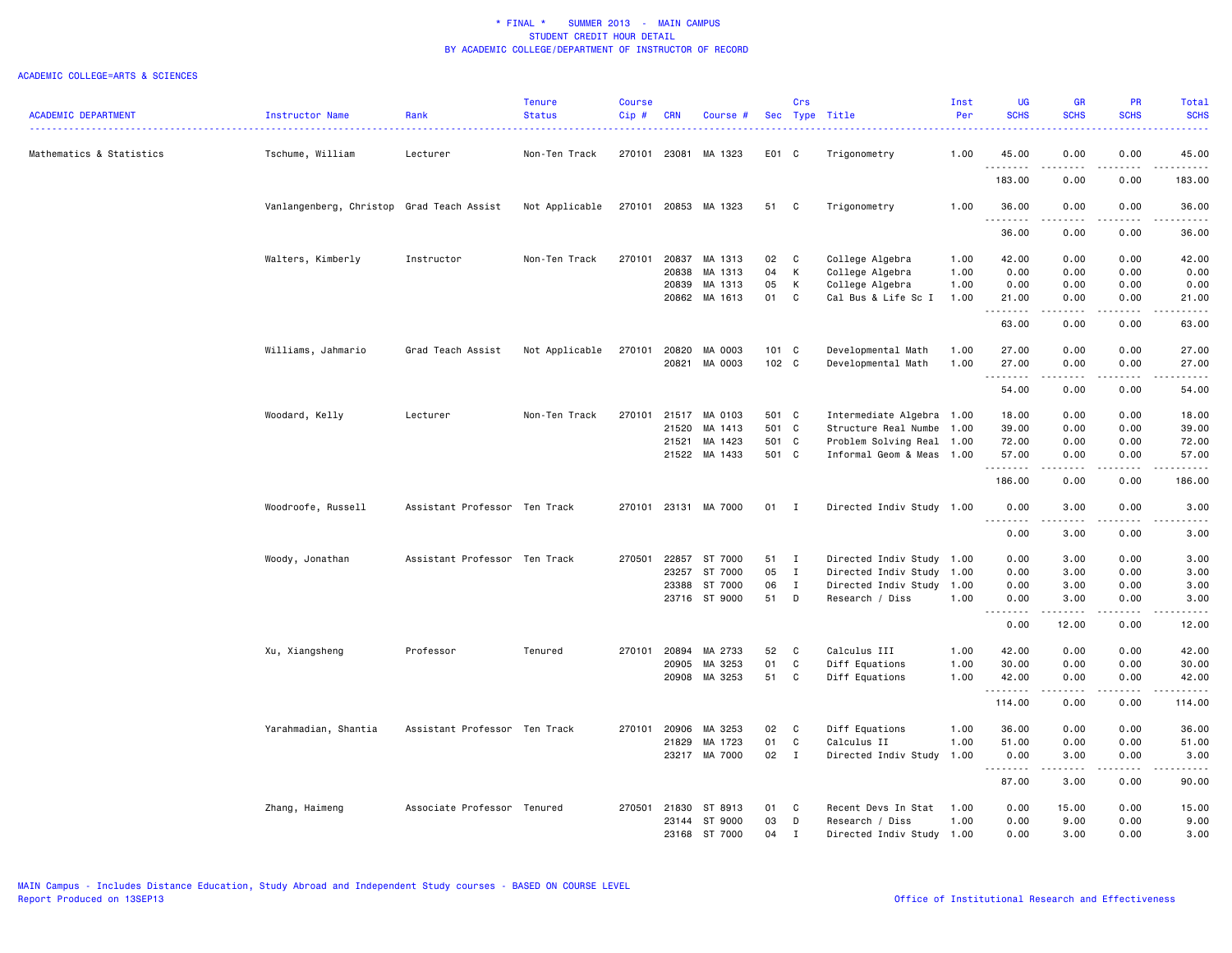|                            |                                           |                               | <b>Tenure</b>  | <b>Course</b> |              |                      |        | Crs          |                           | Inst | <b>UG</b>                         | <b>GR</b>             | PR                    | Total            |
|----------------------------|-------------------------------------------|-------------------------------|----------------|---------------|--------------|----------------------|--------|--------------|---------------------------|------|-----------------------------------|-----------------------|-----------------------|------------------|
| <b>ACADEMIC DEPARTMENT</b> | Instructor Name                           | Rank                          | <b>Status</b>  | Cip#          | <b>CRN</b>   | Course #             |        |              | Sec Type Title            | Per  | <b>SCHS</b>                       | <b>SCHS</b>           | <b>SCHS</b>           | <b>SCHS</b><br>. |
| Mathematics & Statistics   | Tschume, William                          | Lecturer                      | Non-Ten Track  | 270101        | 23081        | MA 1323              | E01 C  |              | Trigonometry              | 1.00 | 45.00                             | 0.00                  | 0.00                  | 45.00            |
|                            |                                           |                               |                |               |              |                      |        |              |                           |      | .<br>183.00                       | 0.00                  | 0.00                  | .<br>183.00      |
|                            | Vanlangenberg, Christop Grad Teach Assist |                               | Not Applicable |               |              | 270101 20853 MA 1323 | 51     | C            | Trigonometry              | 1.00 | 36.00<br>.                        | 0.00                  | 0.00                  | 36.00<br>.       |
|                            |                                           |                               |                |               |              |                      |        |              |                           |      | 36.00                             | 0.00                  | 0.00                  | 36.00            |
|                            | Walters, Kimberly                         | Instructor                    | Non-Ten Track  | 270101        | 20837        | MA 1313              | 02     | C            | College Algebra           | 1.00 | 42.00                             | 0.00                  | 0.00                  | 42.00            |
|                            |                                           |                               |                |               | 20838        | MA 1313              | 04     | К            | College Algebra           | 1.00 | 0.00                              | 0.00                  | 0.00                  | 0.00             |
|                            |                                           |                               |                |               | 20839        | MA 1313              | 05     | К            | College Algebra           | 1.00 | 0.00                              | 0.00                  | 0.00                  | 0.00             |
|                            |                                           |                               |                |               |              | 20862 MA 1613        | 01     | C            | Cal Bus & Life Sc I       | 1.00 | 21.00<br>. <b>.</b>               | 0.00<br>.             | 0.00<br>د د د د       | 21.00<br>.       |
|                            |                                           |                               |                |               |              |                      |        |              |                           |      | 63.00                             | 0.00                  | 0.00                  | 63.00            |
|                            | Williams, Jahmario                        | Grad Teach Assist             | Not Applicable | 270101        | 20820        | MA 0003              | 101 C  |              | Developmental Math        | 1.00 | 27.00                             | 0.00                  | 0.00                  | 27.00            |
|                            |                                           |                               |                |               | 20821        | MA 0003              | 102 C  |              | Developmental Math        | 1.00 | 27.00                             | 0.00                  | 0.00<br>$   -$        | 27.00            |
|                            |                                           |                               |                |               |              |                      |        |              |                           |      | <u>.</u><br>54.00                 | 0.00                  | 0.00                  | .<br>54.00       |
|                            |                                           |                               | Non-Ten Track  | 270101        | 21517        | MA 0103              | 501 C  |              |                           |      | 18.00                             | 0.00                  | 0.00                  | 18.00            |
|                            | Woodard, Kelly                            | Lecturer                      |                |               |              |                      |        |              | Intermediate Algebra 1.00 |      |                                   |                       |                       |                  |
|                            |                                           |                               |                |               | 21520        | MA 1413              | 501 C  |              | Structure Real Numbe      | 1.00 | 39.00                             | 0.00                  | 0.00                  | 39.00            |
|                            |                                           |                               |                |               | 21521        | MA 1423              | 501 C  |              | Problem Solving Real 1.00 |      | 72.00                             | 0.00                  | 0.00                  | 72.00            |
|                            |                                           |                               |                |               | 21522        | MA 1433              | 501 C  |              | Informal Geom & Meas 1.00 |      | 57.00<br>.                        | 0.00<br>$\frac{1}{2}$ | 0.00<br>$\frac{1}{2}$ | 57.00<br>.       |
|                            |                                           |                               |                |               |              |                      |        |              |                           |      | 186.00                            | 0.00                  | 0.00                  | 186.00           |
|                            | Woodroofe, Russell                        | Assistant Professor Ten Track |                |               |              | 270101 23131 MA 7000 | $01$ I |              | Directed Indiv Study 1.00 |      | 0.00<br>$\sim$ $\sim$<br>.        | 3.00<br>.             | 0.00<br>.             | 3.00<br>.        |
|                            |                                           |                               |                |               |              |                      |        |              |                           |      | 0.00                              | 3.00                  | 0.00                  | 3.00             |
|                            | Woody, Jonathan                           | Assistant Professor Ten Track |                | 270501        | 22857        | ST 7000              | 51 I   |              | Directed Indiv Study 1.00 |      | 0.00                              | 3.00                  | 0.00                  | 3.00             |
|                            |                                           |                               |                |               | 23257        | ST 7000              | 05     | $\mathbf{I}$ | Directed Indiv Study 1.00 |      | 0.00                              | 3.00                  | 0.00                  | 3.00             |
|                            |                                           |                               |                |               | 23388        | ST 7000              | 06     | $\mathbf{I}$ | Directed Indiv Study 1.00 |      | 0.00                              | 3.00                  | 0.00                  | 3.00             |
|                            |                                           |                               |                |               |              | 23716 ST 9000        | 51     | D            | Research / Diss           | 1.00 | 0.00<br>.<br>$\sim$ $\sim$ $\sim$ | 3.00<br>.             | 0.00<br>.             | 3.00<br>.        |
|                            |                                           |                               |                |               |              |                      |        |              |                           |      | 0.00                              | 12.00                 | 0.00                  | 12.00            |
|                            | Xu, Xiangsheng                            | Professor                     | Tenured        | 270101        | 20894        | MA 2733              | 52     | C            | Calculus III              | 1.00 | 42.00                             | 0.00                  | 0.00                  | 42.00            |
|                            |                                           |                               |                |               | 20905        | MA 3253              | 01     | $\mathtt{C}$ | Diff Equations            | 1.00 | 30.00                             | 0.00                  | 0.00                  | 30.00            |
|                            |                                           |                               |                |               | 20908        | MA 3253              | 51     | C            | Diff Equations            | 1.00 | 42.00                             | 0.00                  | 0.00                  | 42.00            |
|                            |                                           |                               |                |               |              |                      |        |              |                           |      | .                                 | .                     | .                     | .                |
|                            |                                           |                               |                |               |              |                      |        |              |                           |      | 114.00                            | 0.00                  | 0.00                  | 114.00           |
|                            | Yarahmadian, Shantia                      | Assistant Professor Ten Track |                | 270101        | 20906        | MA 3253              | 02     | C            | Diff Equations            | 1.00 | 36.00                             | 0.00                  | 0.00                  | 36.00            |
|                            |                                           |                               |                |               | 21829        | MA 1723              | 01     | C            | Calculus II               | 1.00 | 51.00                             | 0.00                  | 0.00                  | 51.00            |
|                            |                                           |                               |                |               |              | 23217 MA 7000        | 02 I   |              | Directed Indiv Study 1.00 |      | 0.00                              | 3.00<br>$- - - - -$   | 0.00<br>.             | 3.00<br>.        |
|                            |                                           |                               |                |               |              |                      |        |              |                           |      | 87.00                             | 3.00                  | 0.00                  | 90.00            |
|                            | Zhang, Haimeng                            | Associate Professor Tenured   |                |               | 270501 21830 | ST 8913              | 01     | C            | Recent Devs In Stat       | 1.00 | 0.00                              | 15.00                 | 0.00                  | 15.00            |
|                            |                                           |                               |                |               |              | 23144 ST 9000        | 03     | D            | Research / Diss           | 1.00 | 0.00                              | 9.00                  | 0.00                  | 9.00             |
|                            |                                           |                               |                |               | 23168        | ST 7000              | 04     | $\mathsf{T}$ | Directed Indiv Study      | 1.00 | 0.00                              | 3.00                  | 0.00                  | 3.00             |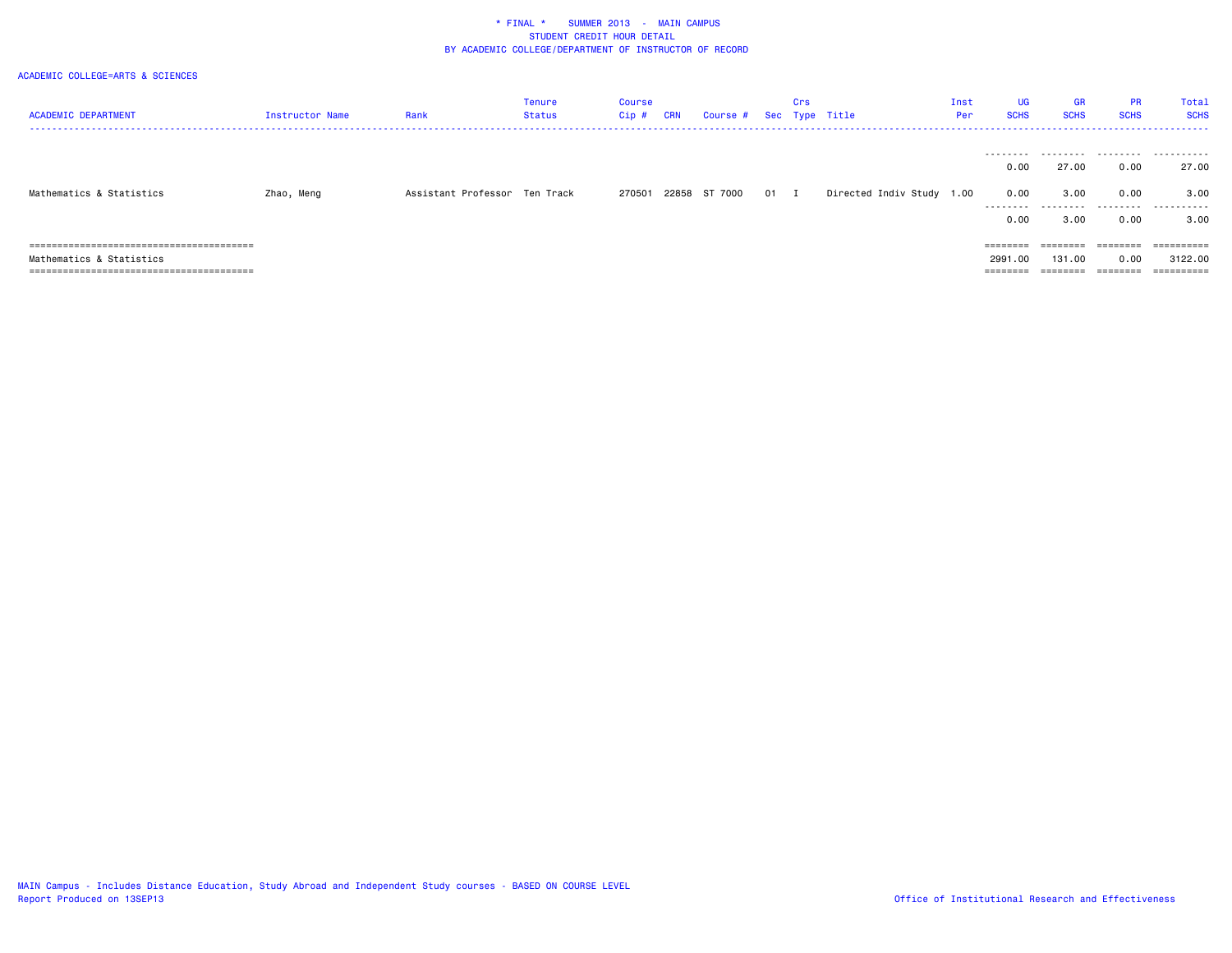| <b>ACADEMIC DEPARTMENT</b> | Instructor Name | Rank                          | Tenure<br>Status | Course<br>Cip # | CRN | Course # Sec Type Title |      | Crs |                           | Inst<br>Per | UG<br><b>SCHS</b> | <b>GR</b><br><b>SCHS</b> | <b>PR</b><br><b>SCHS</b> | Total<br><b>SCHS</b> |
|----------------------------|-----------------|-------------------------------|------------------|-----------------|-----|-------------------------|------|-----|---------------------------|-------------|-------------------|--------------------------|--------------------------|----------------------|
|                            |                 |                               |                  |                 |     |                         |      |     |                           |             | ---------         |                          |                          |                      |
|                            |                 |                               |                  |                 |     |                         |      |     |                           |             | 0.00              | 27.00                    | 0.00                     | 27.00                |
| Mathematics & Statistics   | Zhao, Meng      | Assistant Professor Ten Track |                  | 270501          |     | 22858 ST 7000           | 01 I |     | Directed Indiv Study 1.00 |             | 0.00<br>.         | 3.00<br>.                | 0.00<br>.                | 3.00<br>.            |
|                            |                 |                               |                  |                 |     |                         |      |     |                           |             | 0.00              | 3.00                     | 0.00                     | 3.00                 |
|                            |                 |                               |                  |                 |     |                         |      |     |                           |             | ========          | ========                 | ========                 |                      |
| Mathematics & Statistics   |                 |                               |                  |                 |     |                         |      |     |                           |             | 2991.00           | 131.00                   | 0.00                     | 3122.00              |
|                            |                 |                               |                  |                 |     |                         |      |     |                           |             | ========          | ========                 | ========                 | ==========           |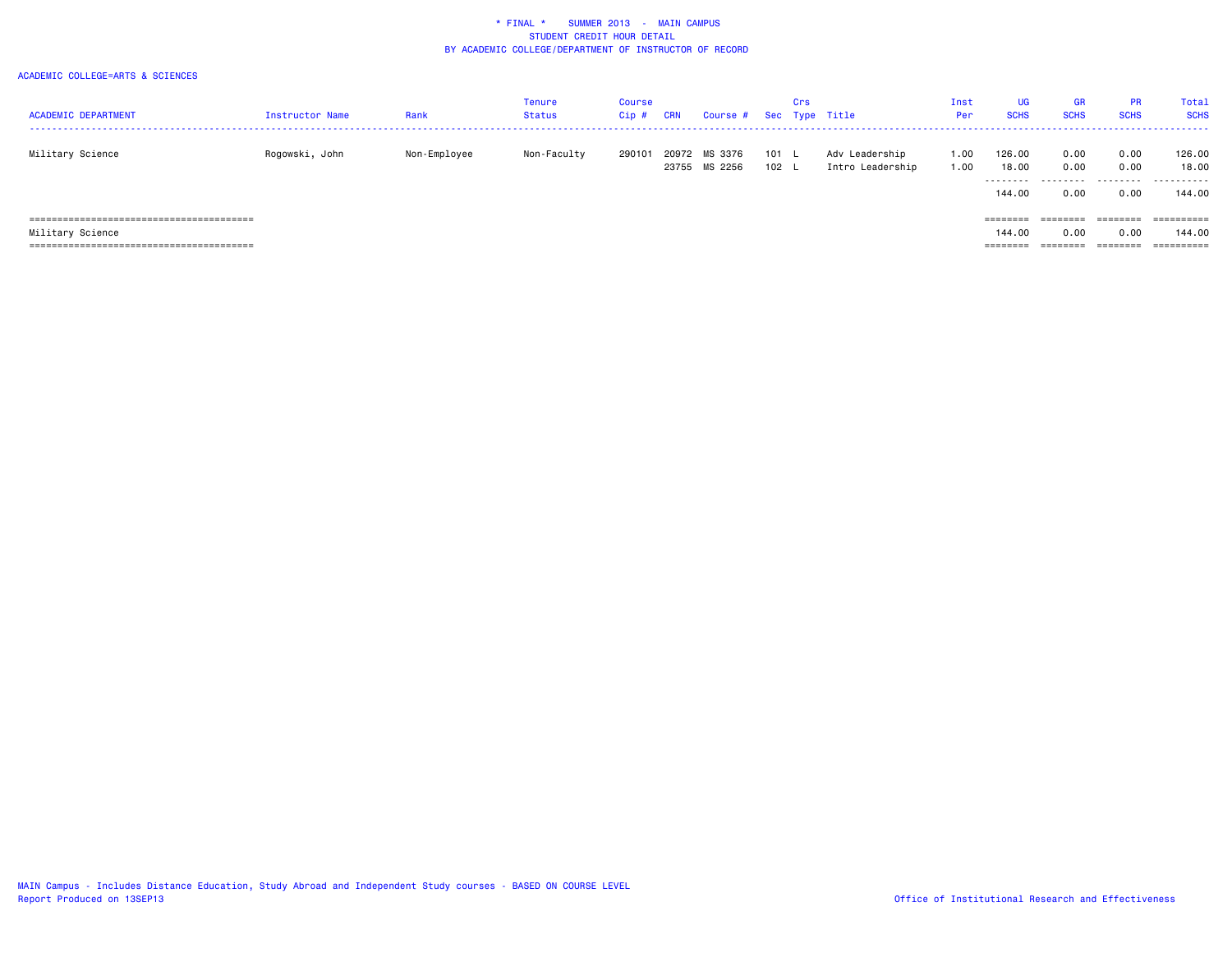| <b>ACADEMIC DEPARTMENT</b> | Instructor Name | Rank         | Tenure<br>Status | <b>Course</b><br>Cip# | CRN            | Course # Sec Type Title |                | Crs |                                    | Inst<br>Per  | <b>UG</b><br><b>SCHS</b>     | <b>GR</b><br><b>SCHS</b> | <b>PR</b><br><b>SCHS</b> | Total<br><b>SCHS</b> |
|----------------------------|-----------------|--------------|------------------|-----------------------|----------------|-------------------------|----------------|-----|------------------------------------|--------------|------------------------------|--------------------------|--------------------------|----------------------|
| Military Science           | Rogowski, John  | Non-Employee | Non-Faculty      | 290101                | 20972<br>23755 | MS 3376<br>MS 2256      | 101 L<br>102 L |     | Adv Leadership<br>Intro Leadership | 1.00<br>1.00 | 126.00<br>18.00<br>--------- | 0.00<br>0.00             | 0.00<br>0.00             | 126.00<br>18.00<br>  |
|                            |                 |              |                  |                       |                |                         |                |     |                                    |              | 144.00                       | .<br>0.00                | 0.00                     | 144.00               |
|                            |                 |              |                  |                       |                |                         |                |     |                                    |              | ========                     | $=$ = = = = = = =        | ========                 |                      |
| Military Science           |                 |              |                  |                       |                |                         |                |     |                                    |              | 144.00                       | 0.00                     | 0.00                     | 144.00               |
|                            |                 |              |                  |                       |                |                         |                |     |                                    |              | --------                     | ========                 | ========                 | ==========           |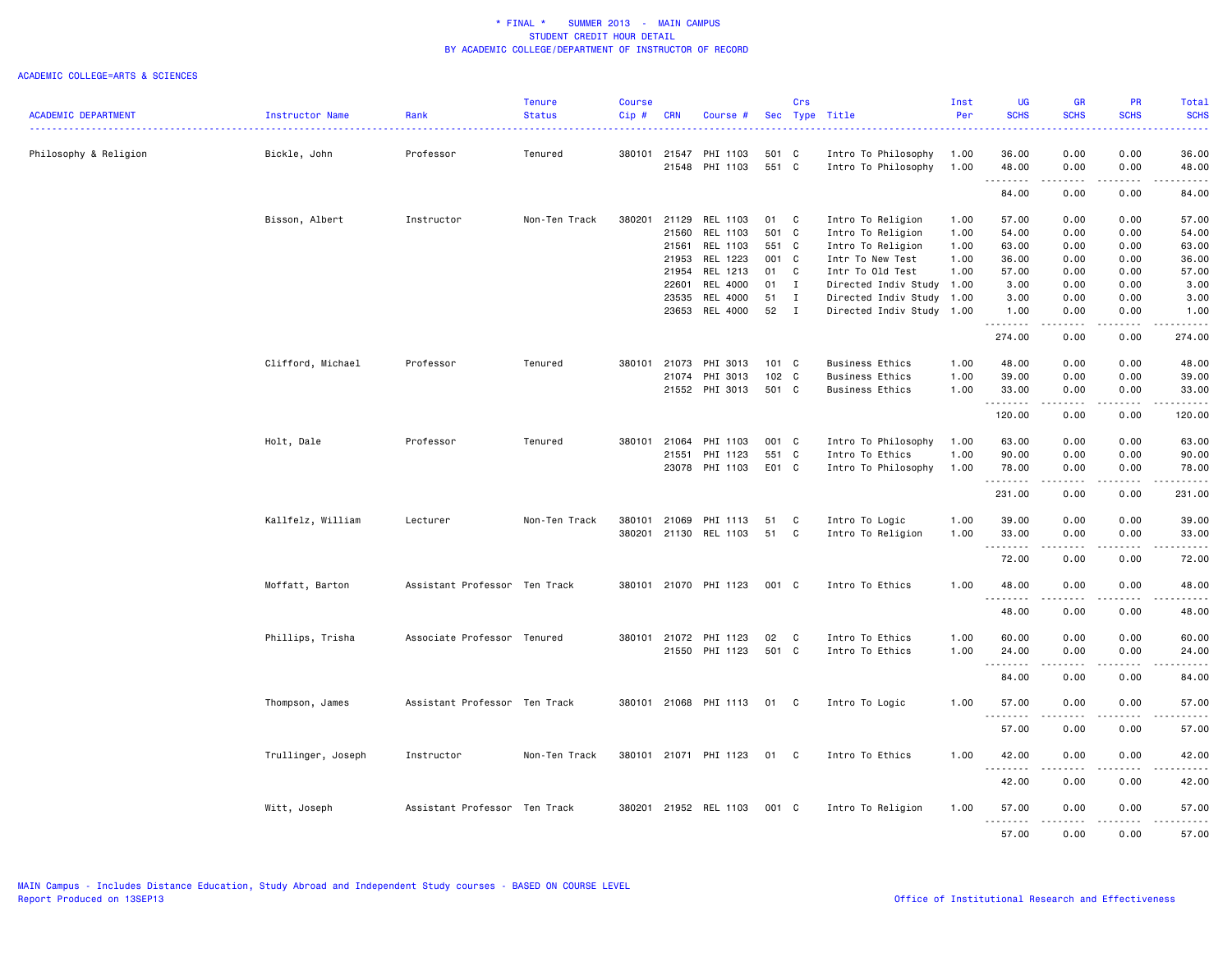|                            |                    |                               | <b>Tenure</b> | Course |            |                       |       | Crs          |                           | Inst | UG                          | GR                                                                                                                                                           | PR                    | Total       |
|----------------------------|--------------------|-------------------------------|---------------|--------|------------|-----------------------|-------|--------------|---------------------------|------|-----------------------------|--------------------------------------------------------------------------------------------------------------------------------------------------------------|-----------------------|-------------|
| <b>ACADEMIC DEPARTMENT</b> | Instructor Name    | Rank                          | <b>Status</b> | Cip#   | <b>CRN</b> | Course #              |       |              | Sec Type Title            | Per  | <b>SCHS</b>                 | <b>SCHS</b>                                                                                                                                                  | <b>SCHS</b>           | <b>SCHS</b> |
| Philosophy & Religion      | Bickle, John       | Professor                     | Tenured       | 380101 | 21547      | PHI 1103              | 501 C |              | Intro To Philosophy       | 1.00 | 36.00                       | 0.00                                                                                                                                                         | 0.00                  | 36.00       |
|                            |                    |                               |               |        | 21548      | PHI 1103              | 551 C |              | Intro To Philosophy       | 1.00 | 48.00                       | 0.00                                                                                                                                                         | 0.00                  | 48.00       |
|                            |                    |                               |               |        |            |                       |       |              |                           |      | .<br>84.00                  | .<br>0.00                                                                                                                                                    | .<br>0.00             | .<br>84.00  |
|                            | Bisson, Albert     | Instructor                    | Non-Ten Track | 380201 | 21129      | REL 1103              | 01    | $\mathbf{C}$ | Intro To Religion         | 1.00 | 57.00                       | 0.00                                                                                                                                                         | 0.00                  | 57.00       |
|                            |                    |                               |               |        | 21560      | REL 1103              | 501 C |              | Intro To Religion         | 1.00 | 54.00                       | 0.00                                                                                                                                                         | 0.00                  | 54.00       |
|                            |                    |                               |               |        | 21561      | REL 1103              | 551 C |              | Intro To Religion         | 1.00 | 63.00                       | 0.00                                                                                                                                                         | 0.00                  | 63.00       |
|                            |                    |                               |               |        | 21953      | REL 1223              | 001 C |              | Intr To New Test          | 1.00 | 36.00                       | 0.00                                                                                                                                                         | 0.00                  | 36.00       |
|                            |                    |                               |               |        | 21954      | REL 1213              | 01    | $\mathbf{C}$ | Intr To Old Test          | 1.00 | 57.00                       | 0.00                                                                                                                                                         | 0.00                  | 57.00       |
|                            |                    |                               |               |        | 22601      | REL 4000              | 01    | $\mathbf{I}$ | Directed Indiv Study      | 1.00 | 3.00                        | 0.00                                                                                                                                                         | 0.00                  | 3.00        |
|                            |                    |                               |               |        | 23535      | REL 4000              | 51    | $\mathbf{I}$ | Directed Indiv Study 1.00 |      | 3.00                        | 0.00                                                                                                                                                         | 0.00                  | 3.00        |
|                            |                    |                               |               |        | 23653      | REL 4000              | 52    | $\mathbf{I}$ | Directed Indiv Study 1.00 |      | 1.00                        | 0.00                                                                                                                                                         | 0.00                  | 1.00        |
|                            |                    |                               |               |        |            |                       |       |              |                           |      | .                           | .                                                                                                                                                            | .                     | .           |
|                            |                    |                               |               |        |            |                       |       |              |                           |      | 274.00                      | 0.00                                                                                                                                                         | 0.00                  | 274.00      |
|                            | Clifford, Michael  | Professor                     | Tenured       | 380101 | 21073      | PHI 3013              | 101 C |              | Business Ethics           | 1.00 | 48.00                       | 0.00                                                                                                                                                         | 0.00                  | 48.00       |
|                            |                    |                               |               |        | 21074      | PHI 3013              | 102 C |              | Business Ethics           | 1.00 | 39.00                       | 0.00                                                                                                                                                         | 0.00                  | 39.00       |
|                            |                    |                               |               |        |            | 21552 PHI 3013        | 501 C |              | <b>Business Ethics</b>    | 1.00 | 33.00                       | 0.00                                                                                                                                                         | 0.00                  | 33.00       |
|                            |                    |                               |               |        |            |                       |       |              |                           |      | .<br>120.00                 | -----<br>0.00                                                                                                                                                | .<br>0.00             | .<br>120.00 |
|                            | Holt, Dale         | Professor                     | Tenured       | 380101 | 21064      | PHI 1103              | 001 C |              | Intro To Philosophy       | 1.00 | 63.00                       | 0.00                                                                                                                                                         | 0.00                  | 63.00       |
|                            |                    |                               |               |        | 21551      | PHI 1123              | 551 C |              | Intro To Ethics           | 1.00 | 90.00                       | 0.00                                                                                                                                                         | 0.00                  | 90.00       |
|                            |                    |                               |               |        |            | 23078 PHI 1103        | E01 C |              | Intro To Philosophy       | 1.00 | 78.00                       | 0.00                                                                                                                                                         | 0.00                  | 78.00       |
|                            |                    |                               |               |        |            |                       |       |              |                           |      |                             |                                                                                                                                                              |                       |             |
|                            |                    |                               |               |        |            |                       |       |              |                           |      | 231.00                      | 0.00                                                                                                                                                         | 0.00                  | 231.00      |
|                            | Kallfelz, William  | Lecturer                      | Non-Ten Track | 380101 | 21069      | PHI 1113              | 51    | C            | Intro To Logic            | 1.00 | 39.00                       | 0.00                                                                                                                                                         | 0.00                  | 39.00       |
|                            |                    |                               |               | 380201 | 21130      | REL 1103              | 51    | C            | Intro To Religion         | 1.00 | 33.00                       | 0.00                                                                                                                                                         | 0.00                  | 33.00       |
|                            |                    |                               |               |        |            |                       |       |              |                           |      | .                           |                                                                                                                                                              |                       |             |
|                            |                    |                               |               |        |            |                       |       |              |                           |      | 72.00                       | 0.00                                                                                                                                                         | 0.00                  | 72.00       |
|                            | Moffatt, Barton    | Assistant Professor Ten Track |               |        |            | 380101 21070 PHI 1123 | 001 C |              | Intro To Ethics           | 1.00 | 48.00<br>.                  | 0.00<br>.                                                                                                                                                    | 0.00<br>$\frac{1}{2}$ | 48.00<br>.  |
|                            |                    |                               |               |        |            |                       |       |              |                           |      | 48.00                       | 0.00                                                                                                                                                         | 0.00                  | 48.00       |
|                            | Phillips, Trisha   | Associate Professor Tenured   |               | 380101 | 21072      | PHI 1123              | 02    | C            | Intro To Ethics           | 1.00 | 60.00                       | 0.00                                                                                                                                                         | 0.00                  | 60.00       |
|                            |                    |                               |               |        |            | 21550 PHI 1123        | 501 C |              | Intro To Ethics           | 1.00 | 24.00                       | 0.00                                                                                                                                                         | 0.00                  | 24.00       |
|                            |                    |                               |               |        |            |                       |       |              |                           |      | .                           |                                                                                                                                                              | $\frac{1}{2}$         | $- - - - -$ |
|                            |                    |                               |               |        |            |                       |       |              |                           |      | 84.00                       | 0.00                                                                                                                                                         | 0.00                  | 84.00       |
|                            | Thompson, James    | Assistant Professor Ten Track |               |        |            | 380101 21068 PHI 1113 | 01    | $\mathbf{C}$ | Intro To Logic            | 1.00 | 57.00<br>$\frac{1}{2}$<br>. | 0.00                                                                                                                                                         | 0.00                  | 57.00       |
|                            |                    |                               |               |        |            |                       |       |              |                           |      | 57.00                       | 0.00                                                                                                                                                         | 0.00                  | 57.00       |
|                            | Trullinger, Joseph | Instructor                    | Non-Ten Track |        |            | 380101 21071 PHI 1123 | 01    | $\mathbf{C}$ | Intro To Ethics           | 1.00 | 42.00                       | 0.00                                                                                                                                                         | 0.00                  | 42.00       |
|                            |                    |                               |               |        |            |                       |       |              |                           |      | 42.00                       | 0.00                                                                                                                                                         | 0.00                  | 42.00       |
|                            | Witt, Joseph       | Assistant Professor Ten Track |               |        |            | 380201 21952 REL 1103 | 001 C |              | Intro To Religion         | 1.00 | 57.00                       | 0.00                                                                                                                                                         | 0.00                  | 57.00       |
|                            |                    |                               |               |        |            |                       |       |              |                           |      | .<br>57.00                  | $\frac{1}{2} \left( \frac{1}{2} \right) \left( \frac{1}{2} \right) \left( \frac{1}{2} \right) \left( \frac{1}{2} \right) \left( \frac{1}{2} \right)$<br>0.00 | .<br>0.00             | .<br>57.00  |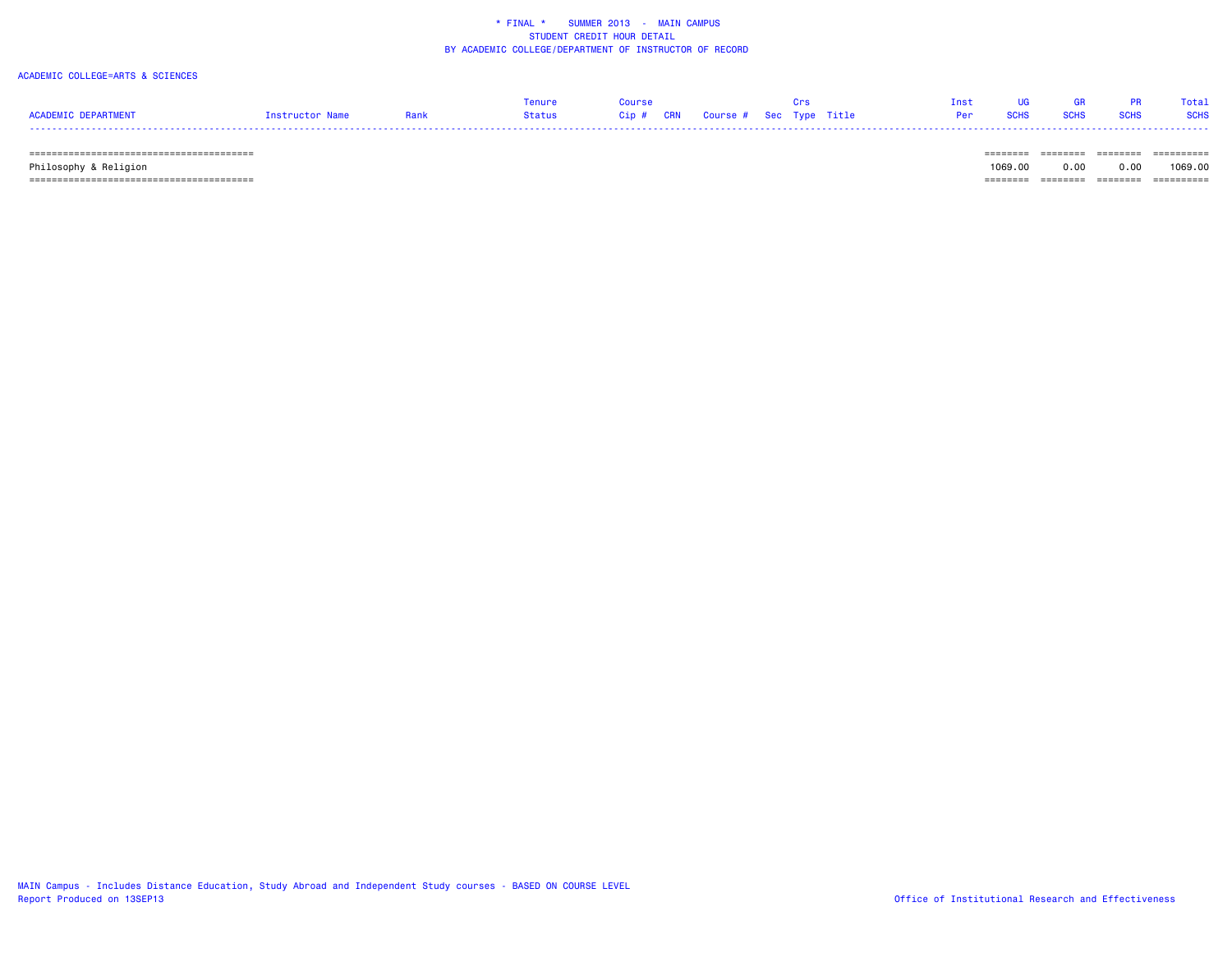### ACADEMIC COLLEGE=ARTS & SCIENCES

|                     |           |      | <b>Tenure</b> |                                   |  |  |       |  | Total       |
|---------------------|-----------|------|---------------|-----------------------------------|--|--|-------|--|-------------|
| ACADEMIC DEPARTMENT | structor. | Rank | <b>Status</b> | Cip # CRN Course # Sec Type Title |  |  | 80.HS |  | <b>SCHS</b> |
| ----                |           |      |               |                                   |  |  |       |  |             |

======================================== ======== ======== ======== ==========

 Philosophy & Religion 1069.00 0.00 0.00 1069.00 ======================================== ======== ======== ======== ==========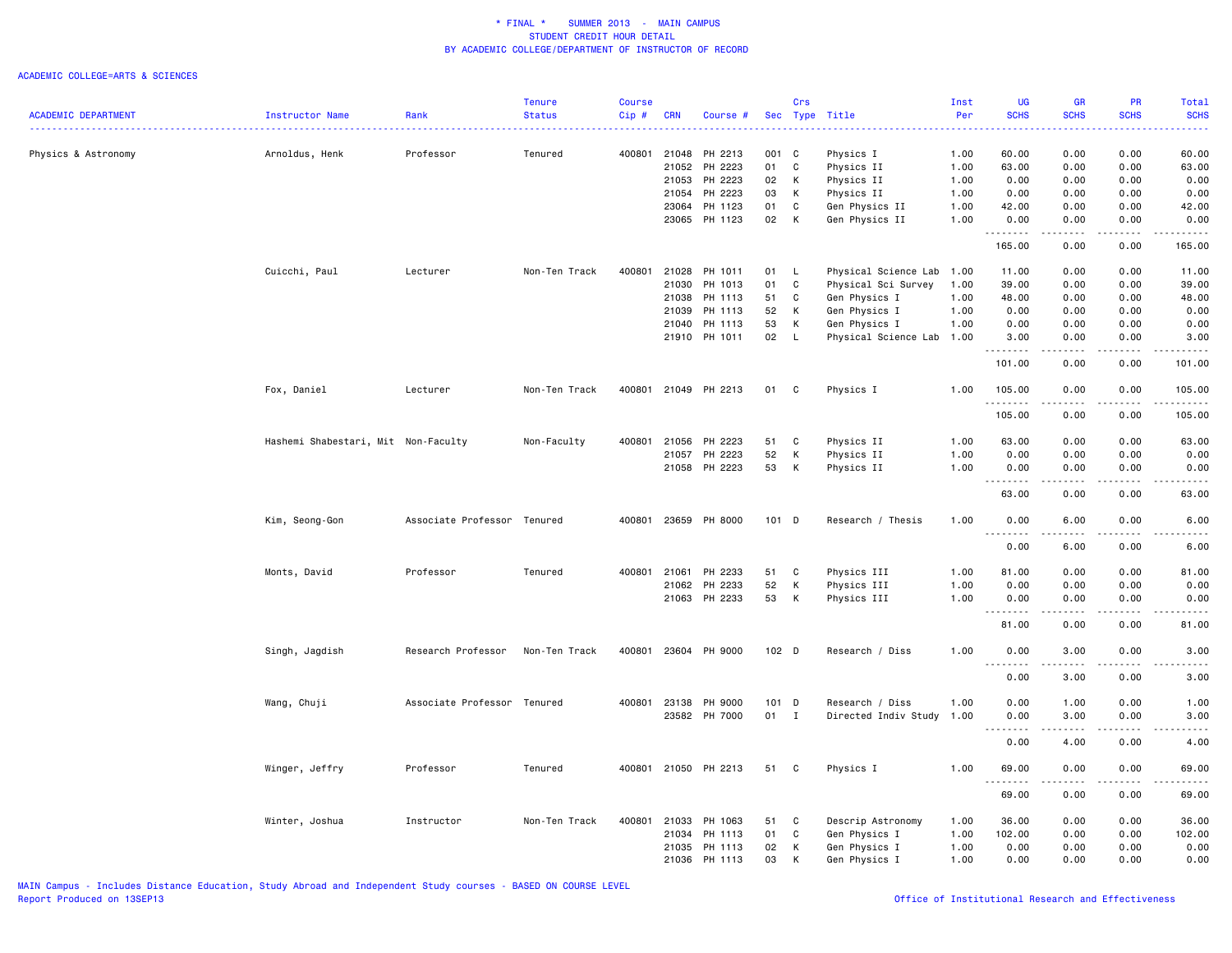|                            |                                     |                             | <b>Tenure</b> | <b>Course</b> |              |                      |                  | Crs          |                           | Inst | UG               | <b>GR</b>                           | <b>PR</b>           | <b>Total</b>                                                                                                                                         |
|----------------------------|-------------------------------------|-----------------------------|---------------|---------------|--------------|----------------------|------------------|--------------|---------------------------|------|------------------|-------------------------------------|---------------------|------------------------------------------------------------------------------------------------------------------------------------------------------|
| <b>ACADEMIC DEPARTMENT</b> | <b>Instructor Name</b>              | Rank                        | <b>Status</b> | Cip#          | <b>CRN</b>   | Course #             |                  |              | Sec Type Title            | Per  | <b>SCHS</b>      | <b>SCHS</b>                         | <b>SCHS</b>         | <b>SCHS</b>                                                                                                                                          |
|                            |                                     |                             |               |               |              |                      |                  |              |                           |      |                  |                                     |                     |                                                                                                                                                      |
| Physics & Astronomy        | Arnoldus, Henk                      | Professor                   | Tenured       |               |              | 400801 21048 PH 2213 | 001 C            |              | Physics I                 | 1.00 | 60.00            | 0.00                                | 0.00                | 60.00                                                                                                                                                |
|                            |                                     |                             |               |               | 21052        | PH 2223              | 01               | C            | Physics II                | 1.00 | 63.00            | 0.00                                | 0.00                | 63.00                                                                                                                                                |
|                            |                                     |                             |               |               | 21053        | PH 2223              | 02               | К            | Physics II                | 1.00 | 0.00             | 0.00                                | 0.00                | 0.00                                                                                                                                                 |
|                            |                                     |                             |               |               | 21054        | PH 2223              | 03               | К            | Physics II                | 1.00 | 0.00             | 0.00                                | 0.00                | 0.00                                                                                                                                                 |
|                            |                                     |                             |               |               | 23064        | PH 1123              | 01               | C            | Gen Physics II            | 1.00 | 42.00            | 0.00                                | 0.00                | 42.00                                                                                                                                                |
|                            |                                     |                             |               |               | 23065        | PH 1123              | 02               | $\mathsf{K}$ | Gen Physics II            | 1.00 | 0.00<br>.        | 0.00<br>.                           | 0.00                | 0.00<br>.                                                                                                                                            |
|                            |                                     |                             |               |               |              |                      |                  |              |                           |      | 165.00           | 0.00                                | 0.00                | 165.00                                                                                                                                               |
|                            | Cuicchi, Paul                       | Lecturer                    | Non-Ten Track | 400801        | 21028        | PH 1011              | 01               | <b>L</b>     | Physical Science Lab 1.00 |      | 11.00            | 0.00                                | 0.00                | 11.00                                                                                                                                                |
|                            |                                     |                             |               |               | 21030        | PH 1013              | 01               | C            | Physical Sci Survey       | 1.00 | 39.00            | 0.00                                | 0.00                | 39.00                                                                                                                                                |
|                            |                                     |                             |               |               | 21038        | PH 1113              | 51               | C            | Gen Physics I             | 1.00 | 48.00            | 0.00                                | 0.00                | 48.00                                                                                                                                                |
|                            |                                     |                             |               |               | 21039        | PH 1113              | 52               | K            | Gen Physics I             | 1.00 | 0.00             | 0.00                                | 0.00                | 0.00                                                                                                                                                 |
|                            |                                     |                             |               |               | 21040        | PH 1113              | 53               | K            | Gen Physics I             | 1.00 | 0.00             | 0.00                                | 0.00                | 0.00                                                                                                                                                 |
|                            |                                     |                             |               |               |              | 21910 PH 1011        | 02 L             |              | Physical Science Lab 1.00 |      | 3.00             | 0.00                                | 0.00                | 3.00                                                                                                                                                 |
|                            |                                     |                             |               |               |              |                      |                  |              |                           |      | <u>.</u>         | د د د د                             | .                   | .                                                                                                                                                    |
|                            |                                     |                             |               |               |              |                      |                  |              |                           |      | 101.00           | 0.00                                | 0.00                | 101.00                                                                                                                                               |
|                            | Fox, Daniel                         | Lecturer                    | Non-Ten Track |               |              | 400801 21049 PH 2213 | 01 C             |              | Physics I                 | 1.00 | 105.00<br>.      | 0.00<br>.                           | 0.00<br>$- - - - -$ | 105.00<br>.                                                                                                                                          |
|                            |                                     |                             |               |               |              |                      |                  |              |                           |      | 105.00           | 0.00                                | 0.00                | 105.00                                                                                                                                               |
|                            | Hashemi Shabestari, Mit Non-Faculty |                             | Non-Faculty   |               | 400801 21056 | PH 2223              | 51               | C            | Physics II                | 1.00 | 63.00            | 0.00                                | 0.00                | 63.00                                                                                                                                                |
|                            |                                     |                             |               |               | 21057        | PH 2223              | 52               | K            | Physics II                | 1.00 | 0.00             | 0.00                                | 0.00                | 0.00                                                                                                                                                 |
|                            |                                     |                             |               |               |              | 21058 PH 2223        | 53               | K            | Physics II                | 1.00 | 0.00             | 0.00                                | 0.00                | 0.00                                                                                                                                                 |
|                            |                                     |                             |               |               |              |                      |                  |              |                           |      | .<br>63.00       | 0.00                                | 0.00                | 63.00                                                                                                                                                |
|                            | Kim, Seong-Gon                      | Associate Professor Tenured |               |               |              | 400801 23659 PH 8000 | $101$ D          |              | Research / Thesis         | 1.00 | 0.00<br><u>.</u> | 6.00<br>.                           | 0.00<br>.           | 6.00<br>$\frac{1}{2}$                                                                                                                                |
|                            |                                     |                             |               |               |              |                      |                  |              |                           |      | 0.00             | 6.00                                | 0.00                | 6.00                                                                                                                                                 |
|                            | Monts, David                        | Professor                   | Tenured       | 400801        | 21061        | PH 2233              | 51               | C            | Physics III               | 1.00 | 81.00            | 0.00                                | 0.00                | 81.00                                                                                                                                                |
|                            |                                     |                             |               |               |              | 21062 PH 2233        | 52               | K            | Physics III               | 1.00 | 0.00             | 0.00                                | 0.00                | 0.00                                                                                                                                                 |
|                            |                                     |                             |               |               |              | 21063 PH 2233        | 53               | К            | Physics III               | 1.00 | 0.00             | 0.00                                | 0.00                | 0.00                                                                                                                                                 |
|                            |                                     |                             |               |               |              |                      |                  |              |                           |      | .<br>81.00       | $\sim$ $\sim$ $\sim$ $\sim$<br>0.00 | .<br>0.00           | المتمام المنا<br>81.00                                                                                                                               |
|                            | Singh, Jagdish                      | Research Professor          | Non-Ten Track | 400801        |              | 23604 PH 9000        | 102 <sub>D</sub> |              | Research / Diss           | 1.00 | 0.00             | 3.00                                | 0.00                | 3.00                                                                                                                                                 |
|                            |                                     |                             |               |               |              |                      |                  |              |                           |      | .<br>0.00        | 3.00                                | 0.00                | 3.00                                                                                                                                                 |
|                            | Wang, Chuji                         | Associate Professor Tenured |               |               | 400801 23138 | PH 9000              | 101 D            |              | Research / Diss           | 1.00 | 0.00             | 1.00                                | 0.00                | 1.00                                                                                                                                                 |
|                            |                                     |                             |               |               |              | 23582 PH 7000        | $01$ I           |              | Directed Indiv Study      | 1.00 | 0.00             | 3.00                                | 0.00                | 3.00                                                                                                                                                 |
|                            |                                     |                             |               |               |              |                      |                  |              |                           |      | .                | .                                   | .                   | $\frac{1}{2} \left( \frac{1}{2} \right) \left( \frac{1}{2} \right) \left( \frac{1}{2} \right) \left( \frac{1}{2} \right) \left( \frac{1}{2} \right)$ |
|                            |                                     |                             |               |               |              |                      |                  |              |                           |      | 0.00             | 4.00                                | 0.00                | 4.00                                                                                                                                                 |
|                            | Winger, Jeffry                      | Professor                   | Tenured       |               |              | 400801 21050 PH 2213 | 51               | C            | Physics I                 | 1.00 | 69.00<br>.       | 0.00<br>$\frac{1}{2}$               | 0.00<br>.           | 69.00                                                                                                                                                |
|                            |                                     |                             |               |               |              |                      |                  |              |                           |      | 69.00            | 0.00                                | 0.00                | 69.00                                                                                                                                                |
|                            | Winter, Joshua                      | Instructor                  | Non-Ten Track | 400801        | 21033        | PH 1063              | 51               | C            | Descrip Astronomy         | 1.00 | 36.00            | 0.00                                | 0.00                | 36.00                                                                                                                                                |
|                            |                                     |                             |               |               | 21034        | PH 1113              | 01               | C            | Gen Physics I             | 1.00 | 102.00           | 0.00                                | 0.00                | 102.00                                                                                                                                               |
|                            |                                     |                             |               |               | 21035        | PH 1113              | 02               | K            | Gen Physics I             | 1.00 | 0.00             | 0.00                                | 0.00                | 0.00                                                                                                                                                 |
|                            |                                     |                             |               |               |              | 21036 PH 1113        | 03               | К            | Gen Physics I             | 1.00 | 0.00             | 0.00                                | 0.00                | 0.00                                                                                                                                                 |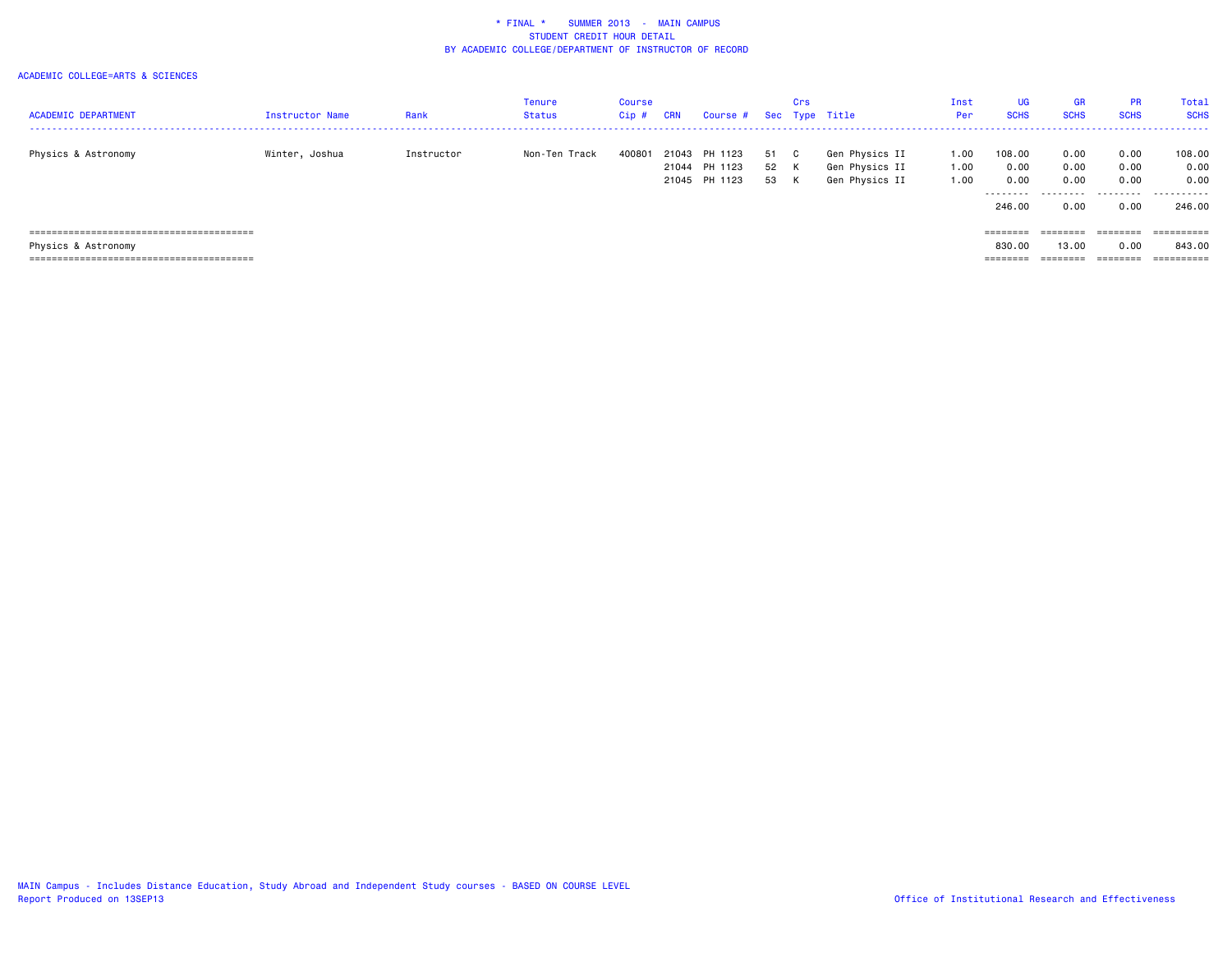| <b>ACADEMIC DEPARTMENT</b> | <b>Instructor Name</b> | Rank       | Tenure<br><b>Status</b> | <b>Course</b><br>$Cip$ # | <b>CRN</b> | Course # Sec Type Title                   |                      | Crs |                                                    | Inst<br>Per          | <b>UG</b><br><b>SCHS</b> | <b>GR</b><br><b>SCHS</b> | <b>PR</b><br><b>SCHS</b> | Total<br><b>SCHS</b>   |
|----------------------------|------------------------|------------|-------------------------|--------------------------|------------|-------------------------------------------|----------------------|-----|----------------------------------------------------|----------------------|--------------------------|--------------------------|--------------------------|------------------------|
| Physics & Astronomy        | Winter, Joshua         | Instructor | Non-Ten Track           | 400801                   | 21043      | PH 1123<br>21044 PH 1123<br>21045 PH 1123 | 51 C<br>52 K<br>53 K |     | Gen Physics II<br>Gen Physics II<br>Gen Physics II | 1.00<br>1.00<br>1.00 | 108.00<br>0.00<br>0.00   | 0.00<br>0.00<br>0.00     | 0.00<br>0.00<br>0.00     | 108.00<br>0.00<br>0.00 |
|                            |                        |            |                         |                          |            |                                           |                      |     |                                                    |                      | ---------<br>246.00      | ---------<br>0.00        | .<br>0.00                | .<br>246,00            |
|                            |                        |            |                         |                          |            |                                           |                      |     |                                                    |                      | ========                 | ========                 | ========                 | $=$ = = = = = = = = =  |
| Physics & Astronomy        |                        |            |                         |                          |            |                                           |                      |     |                                                    |                      | 830.00                   | 13,00                    | 0.00                     | 843.00                 |
|                            |                        |            |                         |                          |            |                                           |                      |     |                                                    |                      | ________<br>=======      | ---------                | ________<br>========     | ==========             |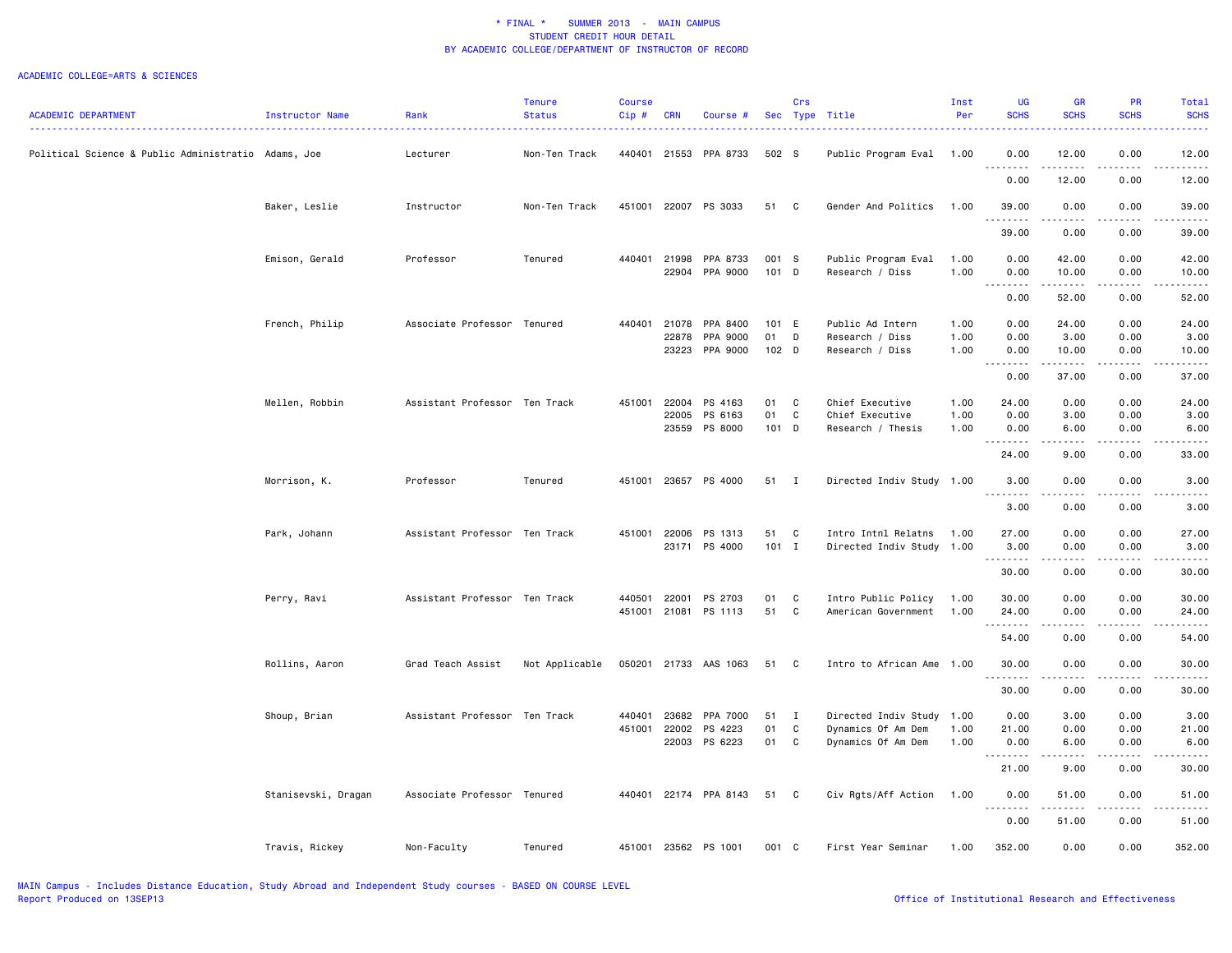|                                                     |                     |                               | <b>Tenure</b>  | <b>Course</b>          |                |                          |                  | Crs               |                                                  | Inst         | UG                   | <b>GR</b>      | <b>PR</b>             | Total          |
|-----------------------------------------------------|---------------------|-------------------------------|----------------|------------------------|----------------|--------------------------|------------------|-------------------|--------------------------------------------------|--------------|----------------------|----------------|-----------------------|----------------|
| <b>ACADEMIC DEPARTMENT</b>                          | Instructor Name     | Rank                          | <b>Status</b>  | Cip#                   | <b>CRN</b>     | Course #                 |                  |                   | Sec Type Title                                   | Per          | <b>SCHS</b>          | <b>SCHS</b>    | <b>SCHS</b>           | <b>SCHS</b>    |
| Political Science & Public Administratio Adams, Joe |                     | Lecturer                      | Non-Ten Track  | 440401                 |                | 21553 PPA 8733           | 502 S            |                   | Public Program Eval                              | 1.00         | 0.00                 | 12.00          | 0.00                  | 12.00          |
|                                                     |                     |                               |                |                        |                |                          |                  |                   |                                                  |              | 0.00                 | .<br>12.00     | .<br>0.00             | .<br>12.00     |
|                                                     | Baker, Leslie       | Instructor                    | Non-Ten Track  | 451001                 |                | 22007 PS 3033            | 51               | $\mathbf{C}$      | Gender And Politics                              | 1.00         | 39.00<br>.           | 0.00           | 0.00                  | 39.00          |
|                                                     |                     |                               |                |                        |                |                          |                  |                   |                                                  |              | 39.00                | 0.00           | 0.00                  | 39,00          |
|                                                     | Emison, Gerald      | Professor                     | Tenured        | 440401                 | 21998<br>22904 | PPA 8733<br>PPA 9000     | 001 S<br>101 D   |                   | Public Program Eval<br>Research / Diss           | 1.00<br>1.00 | 0.00<br>0.00         | 42.00<br>10.00 | 0.00<br>0.00          | 42.00<br>10.00 |
|                                                     |                     |                               |                |                        |                |                          |                  |                   |                                                  |              | 0.00                 | .<br>52.00     | .<br>0.00             | .<br>52.00     |
|                                                     | French, Philip      | Associate Professor Tenured   |                | 440401                 | 21078          | PPA 8400                 | 101 E            |                   | Public Ad Intern                                 | 1.00         | 0.00                 | 24.00          | 0.00                  | 24.00          |
|                                                     |                     |                               |                |                        | 22878          | PPA 9000                 | 01               | D                 | Research / Diss                                  | 1.00         | 0.00                 | 3.00           | 0.00                  | 3.00           |
|                                                     |                     |                               |                |                        | 23223          | PPA 9000                 | 102 <sub>D</sub> |                   | Research / Diss                                  | 1.00         | 0.00<br>.            | 10.00          | 0.00                  | 10.00<br>.     |
|                                                     |                     |                               |                |                        |                |                          |                  |                   |                                                  |              | 0.00                 | 37.00          | 0.00                  | 37.00          |
|                                                     | Mellen, Robbin      | Assistant Professor Ten Track |                | 451001                 | 22004          | PS 4163                  | 01               | C                 | Chief Executive                                  | 1.00         | 24.00                | 0.00           | 0.00                  | 24.00          |
|                                                     |                     |                               |                |                        | 22005          | PS 6163                  | 01               | $\mathbf{C}$      | Chief Executive                                  | 1.00         | 0.00                 | 3.00           | 0.00                  | 3.00           |
|                                                     |                     |                               |                |                        | 23559          | PS 8000                  | 101 D            |                   | Research / Thesis                                | 1.00         | 0.00                 | 6.00<br>.      | 0.00<br>.             | 6.00<br>.      |
|                                                     |                     |                               |                |                        |                |                          |                  |                   |                                                  |              | 24.00                | 9.00           | 0.00                  | 33.00          |
|                                                     | Morrison, K.        | Professor                     | Tenured        | 451001                 | 23657          | PS 4000                  | 51               | $\mathbf{I}$      | Directed Indiv Study 1.00                        |              | 3.00                 | 0.00           | 0.00                  | 3.00           |
|                                                     |                     |                               |                |                        |                |                          |                  |                   |                                                  |              | 3.00                 | 0.00           | 0.00                  | 3.00           |
|                                                     | Park, Johann        | Assistant Professor Ten Track |                | 451001                 | 22006          | PS 1313<br>23171 PS 4000 | 51<br>$101$ I    | $\mathbf{C}$      | Intro Intnl Relatns<br>Directed Indiv Study 1.00 | 1.00         | 27.00<br>3.00        | 0.00<br>0.00   | 0.00<br>0.00          | 27.00<br>3.00  |
|                                                     |                     |                               |                |                        |                |                          |                  |                   |                                                  |              |                      | .              | .                     | .              |
|                                                     |                     |                               |                |                        |                |                          |                  |                   |                                                  |              | 30.00                | 0.00           | 0.00                  | 30.00          |
|                                                     | Perry, Ravi         | Assistant Professor Ten Track |                | 440501<br>451001 21081 | 22001          | PS 2703<br>PS 1113       | 01<br>51         | C<br>C            | Intro Public Policy<br>American Government       | 1.00<br>1.00 | 30.00<br>24.00       | 0.00<br>0.00   | 0.00<br>0.00          | 30.00<br>24.00 |
|                                                     |                     |                               |                |                        |                |                          |                  |                   |                                                  |              | .                    | .              | .                     | .              |
|                                                     |                     |                               |                |                        |                |                          |                  |                   |                                                  |              | 54.00                | 0.00           | 0.00                  | 54.00          |
|                                                     | Rollins, Aaron      | Grad Teach Assist             | Not Applicable | 050201                 | 21733          | AAS 1063                 | 51               | C.                | Intro to African Ame                             | 1.00         | 30.00<br>.           | 0.00           | 0.00<br>$\frac{1}{2}$ | 30.00<br>.     |
|                                                     |                     |                               |                |                        |                |                          |                  |                   |                                                  |              | 30.00                | 0.00           | 0.00                  | 30.00          |
|                                                     | Shoup, Brian        | Assistant Professor Ten Track |                | 440401                 | 23682          | PPA 7000                 | 51               | $\mathbf{I}$      | Directed Indiv Study                             | 1.00         | 0.00                 | 3.00           | 0.00                  | 3.00           |
|                                                     |                     |                               |                | 451001                 | 22002<br>22003 | PS 4223<br>PS 6223       | 01<br>01         | C<br>$\mathbf{C}$ | Dynamics Of Am Dem<br>Dynamics Of Am Dem         | 1.00<br>1.00 | 21.00<br>0.00        | 0.00<br>6.00   | 0.00<br>0.00          | 21.00<br>6.00  |
|                                                     |                     |                               |                |                        |                |                          |                  |                   |                                                  |              | $- - - - -$<br>21.00 | .<br>9.00      | .<br>0.00             | .<br>30.00     |
|                                                     | Stanisevski, Dragan | Associate Professor Tenured   |                |                        |                | 440401 22174 PPA 8143    | 51               | $\mathbf{C}$      | Civ Rgts/Aff Action                              | 1.00         | 0.00                 | 51.00          | 0.00                  | 51.00          |
|                                                     |                     |                               |                |                        |                |                          |                  |                   |                                                  |              | 0.00                 | .<br>51.00     | .<br>0.00             | .<br>51.00     |
|                                                     | Travis, Rickey      | Non-Faculty                   | Tenured        | 451001                 |                | 23562 PS 1001            | 001 C            |                   | First Year Seminar                               | 1.00         | 352.00               | 0.00           | 0.00                  | 352.00         |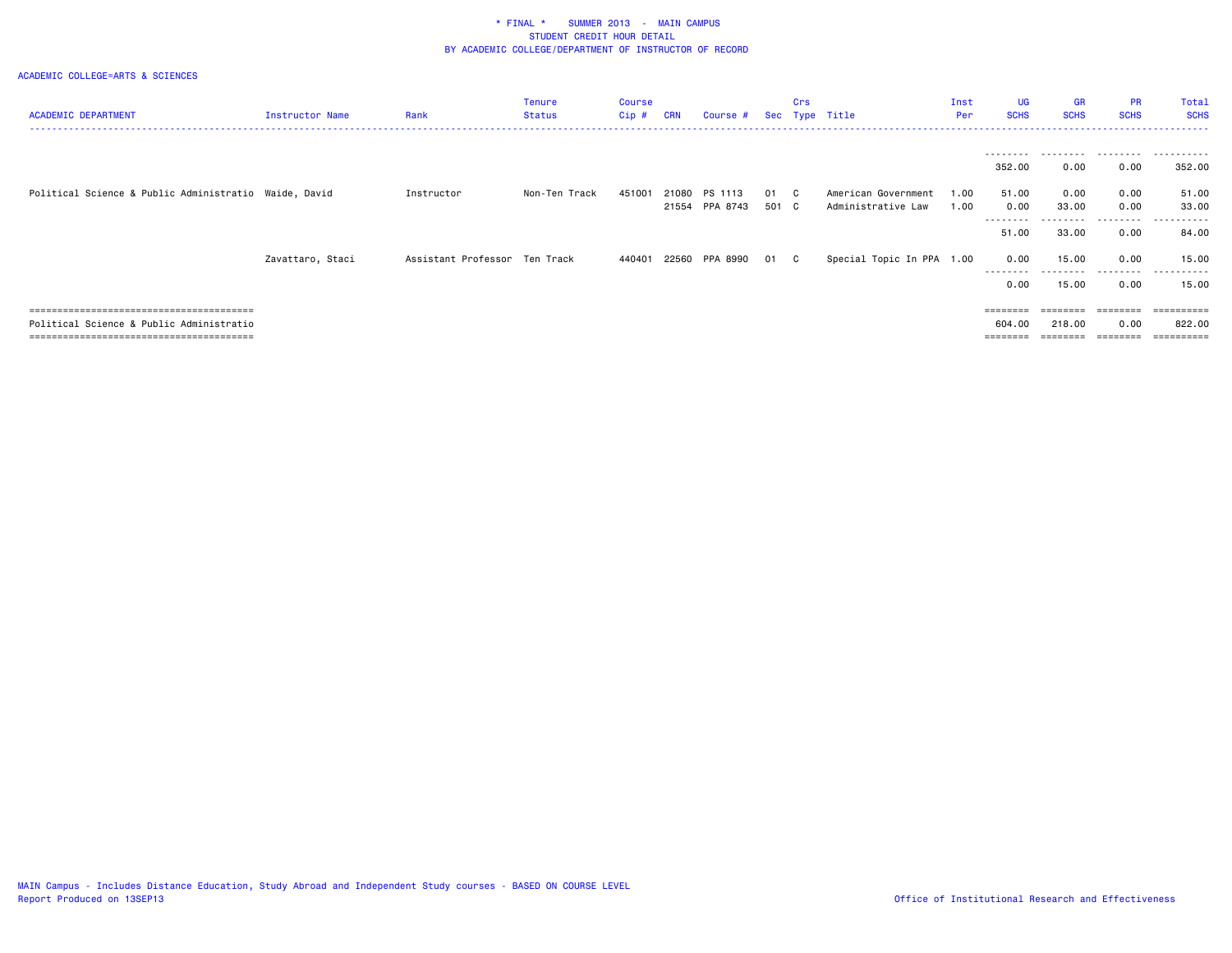| <b>ACADEMIC DEPARTMENT</b>                            | <b>Instructor Name</b> | Rank                          | Tenure<br><b>Status</b> | Course<br>$Cip$ # | <b>CRN</b> | Course #                  |               | Crs | Sec Type Title                            | Inst<br>Per  | <b>UG</b><br><b>SCHS</b>  | <b>GR</b><br><b>SCHS</b> | <b>PR</b><br><b>SCHS</b>                                                | Total<br><b>SCHS</b> |
|-------------------------------------------------------|------------------------|-------------------------------|-------------------------|-------------------|------------|---------------------------|---------------|-----|-------------------------------------------|--------------|---------------------------|--------------------------|-------------------------------------------------------------------------|----------------------|
|                                                       |                        |                               |                         |                   |            |                           |               |     |                                           |              | ---------<br>352.00       | 0.00                     | 0.00                                                                    | 352.00               |
| Political Science & Public Administratio Waide, David |                        | Instructor                    | Non-Ten Track           | 451001            | 21080      | PS 1113<br>21554 PPA 8743 | 01 C<br>501 C |     | American Government<br>Administrative Law | 1.00<br>1.00 | 51.00<br>0.00<br>-------- | 0.00<br>33.00            | 0.00<br>0.00<br>.                                                       | 51.00<br>33.00<br>.  |
|                                                       |                        |                               |                         |                   |            |                           |               |     |                                           |              | 51.00                     | 33.00                    | 0.00                                                                    | 84.00                |
|                                                       | Zavattaro, Staci       | Assistant Professor Ten Track |                         | 440401            |            | 22560 PPA 8990            | 01 C          |     | Special Topic In PPA 1.00                 |              | 0.00<br>---------         | 15.00                    | 0.00<br>---------                                                       | 15.00<br>----------  |
|                                                       |                        |                               |                         |                   |            |                           |               |     |                                           |              | 0.00                      | 15.00                    | 0.00                                                                    | 15.00                |
|                                                       |                        |                               |                         |                   |            |                           |               |     |                                           |              | ========                  | ========                 | $\qquad \qquad \equiv \equiv \equiv \equiv \equiv \equiv \equiv \equiv$ | ==========           |
| Political Science & Public Administratio              |                        |                               |                         |                   |            |                           |               |     |                                           |              | 604.00                    | 218.00                   | 0.00                                                                    | 822,00               |
|                                                       |                        |                               |                         |                   |            |                           |               |     |                                           |              |                           |                          |                                                                         |                      |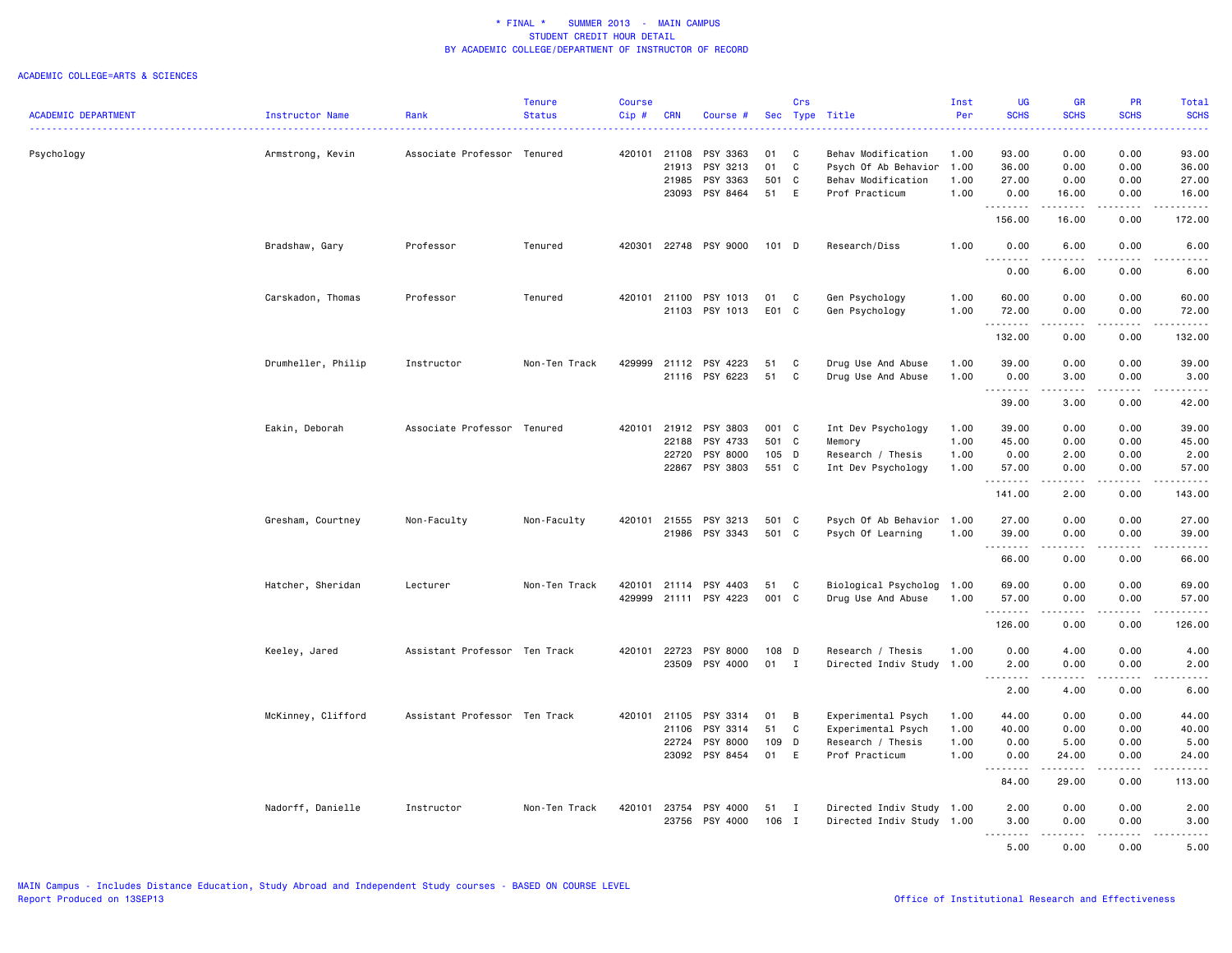|                            |                    |                               | <b>Tenure</b> | <b>Course</b> |            |                |       | Crs          |                           | Inst | <b>UG</b>             | <b>GR</b>                                                                                                                                            | <b>PR</b>                           | Total                                                                                                                                    |
|----------------------------|--------------------|-------------------------------|---------------|---------------|------------|----------------|-------|--------------|---------------------------|------|-----------------------|------------------------------------------------------------------------------------------------------------------------------------------------------|-------------------------------------|------------------------------------------------------------------------------------------------------------------------------------------|
| <b>ACADEMIC DEPARTMENT</b> | Instructor Name    | Rank                          | <b>Status</b> | $Cip$ #       | <b>CRN</b> | Course #       |       | Sec Type     | Title                     | Per  | <b>SCHS</b>           | <b>SCHS</b>                                                                                                                                          | <b>SCHS</b>                         | <b>SCHS</b><br>$\frac{1}{2} \left( \frac{1}{2} \right) \left( \frac{1}{2} \right) \left( \frac{1}{2} \right) \left( \frac{1}{2} \right)$ |
|                            |                    |                               |               |               |            |                |       |              |                           |      |                       |                                                                                                                                                      |                                     |                                                                                                                                          |
| Psychology                 | Armstrong, Kevin   | Associate Professor Tenured   |               | 420101 21108  |            | PSY 3363       | 01    | C            | Behav Modification        | 1.00 | 93.00                 | 0.00                                                                                                                                                 | 0.00                                | 93.00                                                                                                                                    |
|                            |                    |                               |               |               | 21913      | PSY 3213       | 01    | C            | Psych Of Ab Behavior      | 1.00 | 36.00                 | 0.00                                                                                                                                                 | 0.00                                | 36.00                                                                                                                                    |
|                            |                    |                               |               |               | 21985      | PSY 3363       | 501   | C            | Behav Modification        | 1.00 | 27.00                 | 0.00                                                                                                                                                 | 0.00                                | 27.00                                                                                                                                    |
|                            |                    |                               |               |               | 23093      | PSY 8464       | 51    | E            | Prof Practicum            | 1.00 | 0.00                  | 16.00                                                                                                                                                | 0.00                                | 16.00                                                                                                                                    |
|                            |                    |                               |               |               |            |                |       |              |                           |      | .<br>156.00           | .<br>16.00                                                                                                                                           | .<br>0.00                           | .<br>172.00                                                                                                                              |
|                            | Bradshaw, Gary     | Professor                     | Tenured       | 420301        |            | 22748 PSY 9000 | 101 D |              | Research/Diss             | 1.00 | 0.00                  | 6.00                                                                                                                                                 | 0.00                                | 6.00                                                                                                                                     |
|                            |                    |                               |               |               |            |                |       |              |                           |      | . <b>.</b><br>0.00    | <u>.</u><br>6.00                                                                                                                                     | .<br>0.00                           | .<br>6.00                                                                                                                                |
|                            | Carskadon, Thomas  | Professor                     | Tenured       | 420101        | 21100      | PSY 1013       | 01    | C            | Gen Psychology            | 1.00 | 60.00                 | 0.00                                                                                                                                                 | 0.00                                | 60.00                                                                                                                                    |
|                            |                    |                               |               |               | 21103      | PSY 1013       | E01 C |              | Gen Psychology            | 1.00 | 72.00                 | 0.00                                                                                                                                                 | 0.00                                | 72.00                                                                                                                                    |
|                            |                    |                               |               |               |            |                |       |              |                           |      | .                     | $\frac{1}{2} \left( \frac{1}{2} \right) \left( \frac{1}{2} \right) \left( \frac{1}{2} \right) \left( \frac{1}{2} \right) \left( \frac{1}{2} \right)$ | $\sim$ $\sim$ $\sim$                | ------                                                                                                                                   |
|                            |                    |                               |               |               |            |                |       |              |                           |      | 132.00                | 0.00                                                                                                                                                 | 0.00                                | 132.00                                                                                                                                   |
|                            |                    |                               |               | 429999        |            |                |       |              |                           |      |                       |                                                                                                                                                      |                                     |                                                                                                                                          |
|                            | Drumheller, Philip | Instructor                    | Non-Ten Track |               | 21112      | PSY 4223       | 51    | C            | Drug Use And Abuse        | 1.00 | 39.00                 | 0.00                                                                                                                                                 | 0.00                                | 39.00                                                                                                                                    |
|                            |                    |                               |               |               |            | 21116 PSY 6223 | 51    | C            | Drug Use And Abuse        | 1.00 | 0.00                  | 3.00                                                                                                                                                 | 0.00                                | 3.00                                                                                                                                     |
|                            |                    |                               |               |               |            |                |       |              |                           |      | .<br>39.00            | .<br>3.00                                                                                                                                            | $\sim$ $\sim$ $\sim$<br>0.00        | $    -$<br>42.00                                                                                                                         |
|                            |                    |                               |               |               |            |                |       |              |                           |      |                       |                                                                                                                                                      |                                     |                                                                                                                                          |
|                            | Eakin, Deborah     | Associate Professor           | Tenured       | 420101        | 21912      | PSY 3803       | 001 C |              | Int Dev Psychology        | 1.00 | 39.00                 | 0.00                                                                                                                                                 | 0.00                                | 39.00                                                                                                                                    |
|                            |                    |                               |               |               | 22188      | PSY 4733       | 501 C |              | Memory                    | 1.00 | 45.00                 | 0.00                                                                                                                                                 | 0.00                                | 45.00                                                                                                                                    |
|                            |                    |                               |               |               | 22720      | PSY 8000       | 105 D |              | Research / Thesis         | 1.00 | 0.00                  | 2.00                                                                                                                                                 | 0.00                                | 2.00                                                                                                                                     |
|                            |                    |                               |               |               | 22867      | PSY 3803       | 551 C |              | Int Dev Psychology        | 1.00 | 57.00<br><u>.</u>     | 0.00<br>المتمام المتعاد                                                                                                                              | 0.00<br>.                           | 57.00<br>.                                                                                                                               |
|                            |                    |                               |               |               |            |                |       |              |                           |      | 141.00                | 2.00                                                                                                                                                 | 0.00                                | 143.00                                                                                                                                   |
|                            |                    |                               |               |               |            |                |       |              |                           |      |                       |                                                                                                                                                      |                                     |                                                                                                                                          |
|                            | Gresham, Courtney  | Non-Faculty                   | Non-Faculty   | 420101        | 21555      | PSY 3213       | 501   | $\mathbf{C}$ | Psych Of Ab Behavior      | 1.00 | 27.00                 | 0.00                                                                                                                                                 | 0.00                                | 27.00                                                                                                                                    |
|                            |                    |                               |               |               | 21986      | PSY 3343       | 501 C |              | Psych Of Learning         | 1.00 | 39.00<br>.            | 0.00<br>.                                                                                                                                            | 0.00                                | 39.00<br>.                                                                                                                               |
|                            |                    |                               |               |               |            |                |       |              |                           |      | 66.00                 | 0.00                                                                                                                                                 | 0.00                                | 66.00                                                                                                                                    |
|                            | Hatcher, Sheridan  | Lecturer                      | Non-Ten Track | 420101        | 21114      | PSY 4403       | 51    | C            | Biological Psycholog 1.00 |      | 69.00                 | 0.00                                                                                                                                                 | 0.00                                | 69.00                                                                                                                                    |
|                            |                    |                               |               |               |            |                |       |              |                           |      |                       |                                                                                                                                                      |                                     |                                                                                                                                          |
|                            |                    |                               |               | 429999        | 21111      | PSY 4223       | 001 C |              | Drug Use And Abuse        | 1.00 | 57.00<br>.            | 0.00<br>22222                                                                                                                                        | 0.00<br>.                           | 57.00<br>.                                                                                                                               |
|                            |                    |                               |               |               |            |                |       |              |                           |      | 126.00                | 0.00                                                                                                                                                 | 0.00                                | 126.00                                                                                                                                   |
|                            | Keeley, Jared      | Assistant Professor Ten Track |               | 420101        | 22723      | PSY 8000       | 108 D |              | Research / Thesis         | 1.00 | 0.00                  | 4.00                                                                                                                                                 | 0.00                                | 4.00                                                                                                                                     |
|                            |                    |                               |               |               | 23509      | PSY 4000       | 01    | $\mathbf{I}$ | Directed Indiv Study      | 1.00 | 2.00                  | 0.00                                                                                                                                                 | 0.00                                | 2.00                                                                                                                                     |
|                            |                    |                               |               |               |            |                |       |              |                           |      | $\sim$ $\sim$<br>2.00 | 4.00                                                                                                                                                 | 0.00                                | 6.00                                                                                                                                     |
|                            |                    |                               |               |               |            |                |       |              |                           |      |                       |                                                                                                                                                      |                                     |                                                                                                                                          |
|                            | McKinney, Clifford | Assistant Professor Ten Track |               | 420101 21105  |            | PSY 3314       | 01    | B            | Experimental Psych        | 1.00 | 44.00                 | 0.00                                                                                                                                                 | 0.00                                | 44.00                                                                                                                                    |
|                            |                    |                               |               |               | 21106      | PSY 3314       | 51    | C            | Experimental Psych        | 1.00 | 40.00                 | 0.00                                                                                                                                                 | 0.00                                | 40.00                                                                                                                                    |
|                            |                    |                               |               |               | 22724      | PSY 8000       | 109   | D            | Research / Thesis         | 1.00 | 0.00                  | 5.00                                                                                                                                                 | 0.00                                | 5.00                                                                                                                                     |
|                            |                    |                               |               |               | 23092      | PSY 8454       | 01    | E            | Prof Practicum            | 1.00 | 0.00                  | 24.00                                                                                                                                                | 0.00                                | 24.00                                                                                                                                    |
|                            |                    |                               |               |               |            |                |       |              |                           |      | <u>.</u><br>84.00     | .<br>29.00                                                                                                                                           | .<br>0.00                           | .<br>113.00                                                                                                                              |
|                            |                    |                               |               | 420101        |            |                |       | $\mathbf{I}$ |                           |      | 2.00                  | 0.00                                                                                                                                                 | 0.00                                | 2.00                                                                                                                                     |
|                            | Nadorff, Danielle  | Instructor                    | Non-Ten Track |               | 23754      | PSY 4000       | 51    |              | Directed Indiv Study 1.00 |      |                       |                                                                                                                                                      |                                     |                                                                                                                                          |
|                            |                    |                               |               |               | 23756      | PSY 4000       | 106 I |              | Directed Indiv Study 1.00 |      | 3.00<br>د د د د       | 0.00<br>.                                                                                                                                            | 0.00<br>$\sim$ $\sim$ $\sim$ $\sim$ | 3.00<br>.                                                                                                                                |
|                            |                    |                               |               |               |            |                |       |              |                           |      | $\sim$ $\sim$<br>5.00 | 0.00                                                                                                                                                 | 0.00                                | 5.00                                                                                                                                     |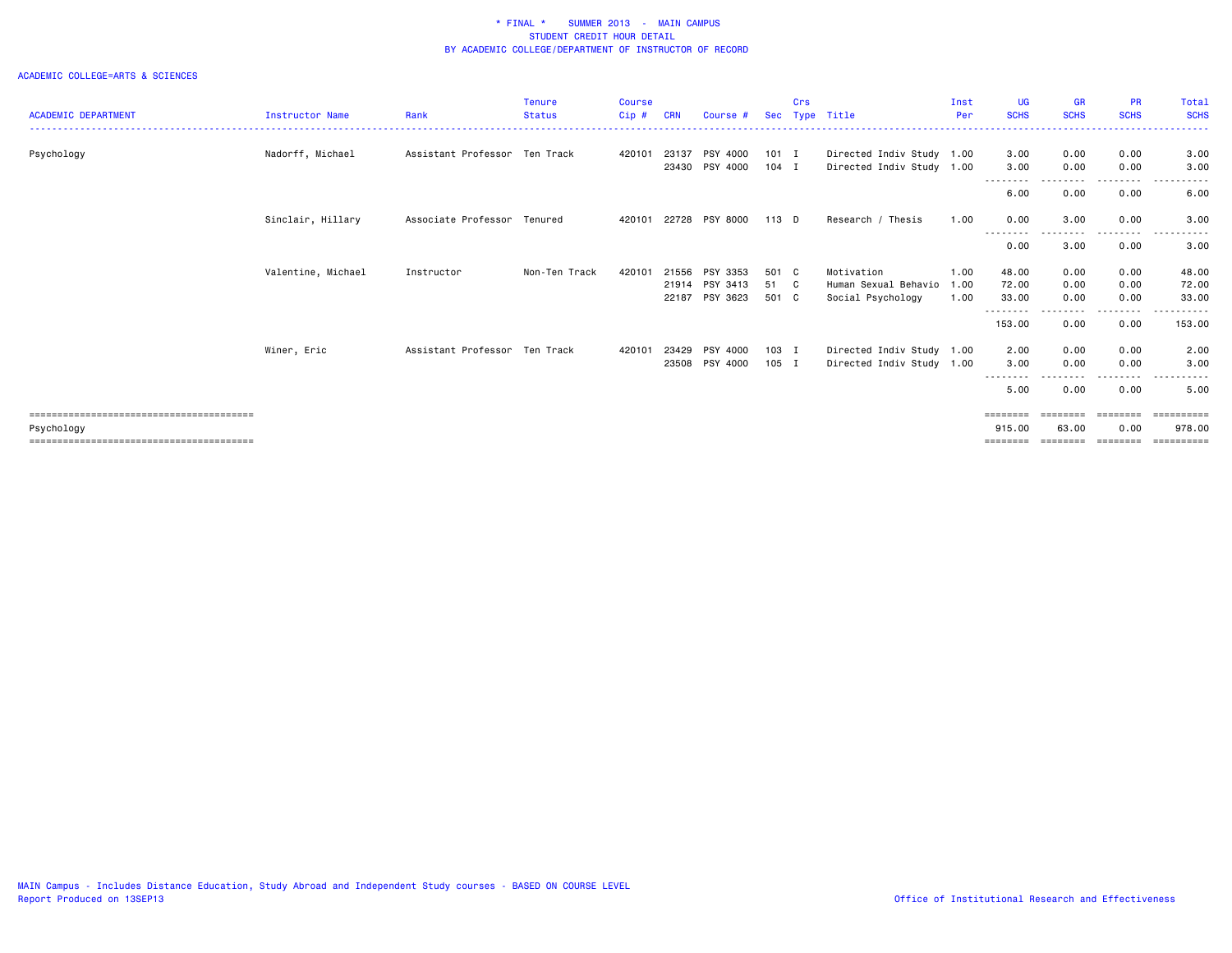|                            |                    |                               | <b>Tenure</b> | <b>Course</b> |            |                |         | Crs |                           | Inst | <b>UG</b>          | <b>GR</b>   | <b>PR</b>                                                                                                                 | Total                  |
|----------------------------|--------------------|-------------------------------|---------------|---------------|------------|----------------|---------|-----|---------------------------|------|--------------------|-------------|---------------------------------------------------------------------------------------------------------------------------|------------------------|
| <b>ACADEMIC DEPARTMENT</b> | Instructor Name    | Rank                          | <b>Status</b> | $Cip$ #       | <b>CRN</b> | Course #       |         |     | Sec Type Title            | Per  | <b>SCHS</b>        | <b>SCHS</b> | <b>SCHS</b>                                                                                                               | <b>SCHS</b>            |
| Psychology                 | Nadorff, Michael   | Assistant Professor Ten Track |               | 420101        | 23137      | PSY 4000       | 101 I   |     | Directed Indiv Study 1.00 |      | 3.00               | 0.00        | 0.00                                                                                                                      | 3.00                   |
|                            |                    |                               |               |               |            | 23430 PSY 4000 | $104$ I |     | Directed Indiv Study 1.00 |      | 3.00               | 0.00        | 0.00                                                                                                                      | 3.00                   |
|                            |                    |                               |               |               |            |                |         |     |                           |      | 6.00               | 0.00        | 0.00                                                                                                                      | 6.00                   |
|                            | Sinclair, Hillary  | Associate Professor Tenured   |               | 420101        |            | 22728 PSY 8000 | 113 D   |     | Research / Thesis         | 1.00 | 0.00               | 3.00<br>.   | 0.00<br>.                                                                                                                 | 3.00                   |
|                            |                    |                               |               |               |            |                |         |     |                           |      | --------<br>0.00   | 3.00        | 0.00                                                                                                                      | 3.00                   |
|                            | Valentine, Michael | Instructor                    | Non-Ten Track | 420101        | 21556      | PSY 3353       | 501 C   |     | Motivation                | 1.00 | 48.00              | 0.00        | 0.00                                                                                                                      | 48.00                  |
|                            |                    |                               |               |               | 21914      | PSY 3413       | 51 C    |     | Human Sexual Behavio      | 1.00 | 72.00              | 0.00        | 0.00                                                                                                                      | 72.00                  |
|                            |                    |                               |               |               | 22187      | PSY 3623       | 501 C   |     | Social Psychology         | 1.00 | 33.00              | 0.00        | 0.00                                                                                                                      | 33.00                  |
|                            |                    |                               |               |               |            |                |         |     |                           |      | --------<br>153.00 | 0.00        | 0.00                                                                                                                      | . <b>.</b> .<br>153.00 |
|                            | Winer, Eric        | Assistant Professor Ten Track |               | 420101        | 23429      | PSY 4000       | $103$ I |     | Directed Indiv Study 1.00 |      | 2.00               | 0.00        | 0.00                                                                                                                      | 2.00                   |
|                            |                    |                               |               |               | 23508      | PSY 4000       | $105$ I |     | Directed Indiv Study 1.00 |      | 3.00               | 0.00        | 0.00                                                                                                                      | 3.00                   |
|                            |                    |                               |               |               |            |                |         |     |                           |      | --------           |             | $\frac{1}{2} \left( \frac{1}{2} \right) \left( \frac{1}{2} \right) \left( \frac{1}{2} \right) \left( \frac{1}{2} \right)$ | $- - -$                |
|                            |                    |                               |               |               |            |                |         |     |                           |      | 5.00               | 0.00        | 0.00                                                                                                                      | 5.00                   |
|                            |                    |                               |               |               |            |                |         |     |                           |      | $=$ = = = = = = =  | ========    | --------                                                                                                                  |                        |
| Psychology                 |                    |                               |               |               |            |                |         |     |                           |      | 915.00             | 63.00       | 0.00                                                                                                                      | 978,00                 |
|                            |                    |                               |               |               |            |                |         |     |                           |      | ========           | ========    | --------                                                                                                                  | ==========             |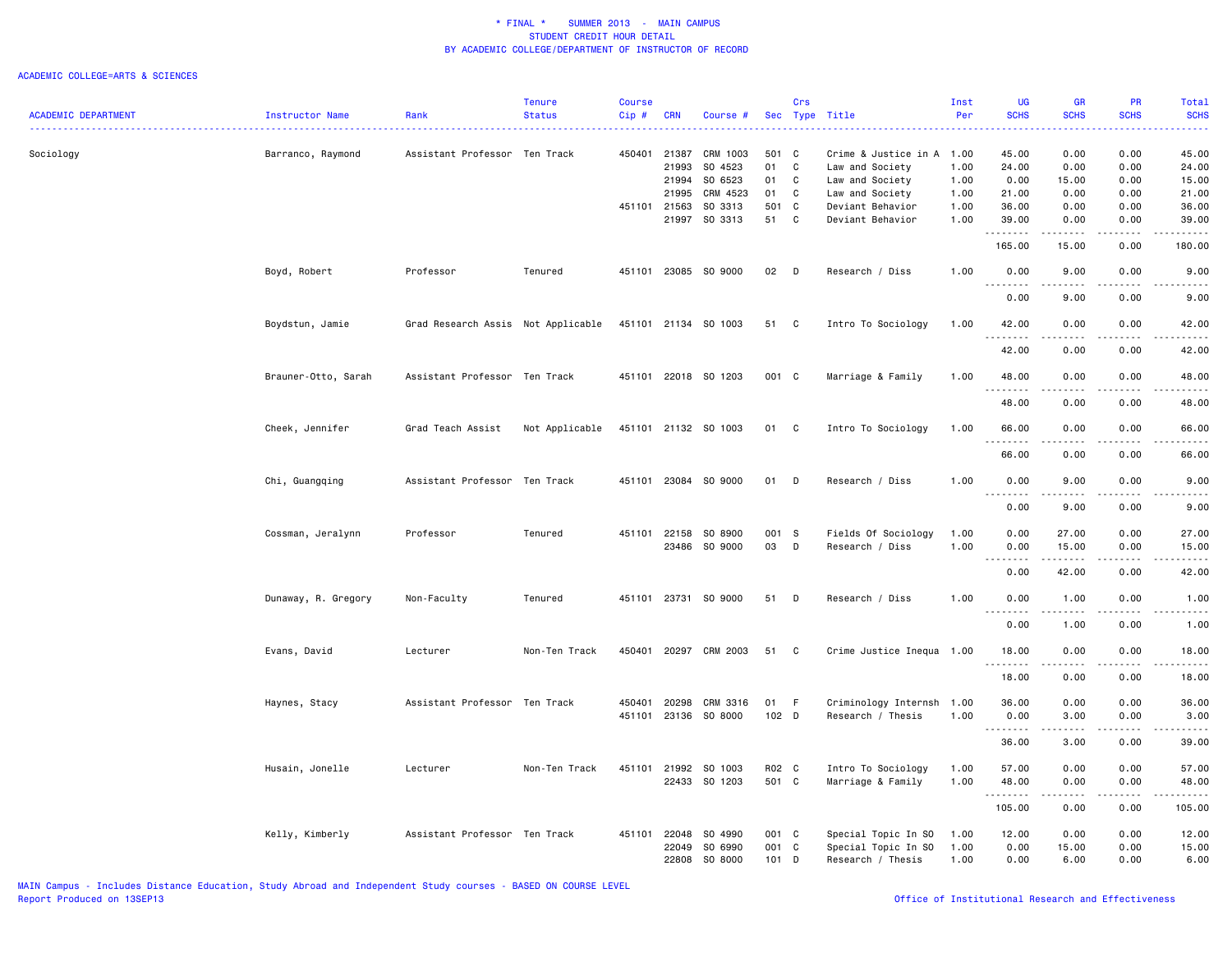|                            |                        |                                    | <b>Tenure</b>  | <b>Course</b> |              |                      |         | Crs |                           | Inst | <b>UG</b>                  | <b>GR</b>                                                                                                                                                    | <b>PR</b>           | Total                  |
|----------------------------|------------------------|------------------------------------|----------------|---------------|--------------|----------------------|---------|-----|---------------------------|------|----------------------------|--------------------------------------------------------------------------------------------------------------------------------------------------------------|---------------------|------------------------|
| <b>ACADEMIC DEPARTMENT</b> | <b>Instructor Name</b> | Rank                               | <b>Status</b>  | Cip#          | <b>CRN</b>   | Course #             |         |     | Sec Type Title            | Per  | <b>SCHS</b>                | <b>SCHS</b>                                                                                                                                                  | <b>SCHS</b>         | <b>SCHS</b>            |
| Sociology                  | Barranco, Raymond      | Assistant Professor Ten Track      |                | 450401 21387  |              | CRM 1003             | 501 C   |     | Crime & Justice in A 1.00 |      | 45.00                      | 0.00                                                                                                                                                         | 0.00                | 45.00                  |
|                            |                        |                                    |                |               | 21993        | SO 4523              | 01      | C   | Law and Society           | 1.00 | 24.00                      | 0.00                                                                                                                                                         | 0.00                | 24.00                  |
|                            |                        |                                    |                |               | 21994        | SO 6523              | 01      | C   | Law and Society           | 1.00 | 0.00                       | 15.00                                                                                                                                                        | 0.00                | 15.00                  |
|                            |                        |                                    |                |               | 21995        | CRM 4523             | 01      | C   | Law and Society           | 1.00 | 21.00                      | 0.00                                                                                                                                                         | 0.00                | 21.00                  |
|                            |                        |                                    |                | 451101 21563  |              | SO 3313              | 501 C   |     | Deviant Behavior          | 1.00 | 36.00                      | 0.00                                                                                                                                                         | 0.00                | 36.00                  |
|                            |                        |                                    |                |               | 21997        | SO 3313              | 51      | C   | Deviant Behavior          | 1.00 | 39.00                      | 0.00                                                                                                                                                         | 0.00                | 39.00                  |
|                            |                        |                                    |                |               |              |                      |         |     |                           |      | .                          | $\frac{1}{2}$                                                                                                                                                | $\frac{1}{2}$       | .                      |
|                            |                        |                                    |                |               |              |                      |         |     |                           |      | 165.00                     | 15.00                                                                                                                                                        | 0.00                | 180.00                 |
|                            | Boyd, Robert           | Professor                          | Tenured        |               |              | 451101 23085 SO 9000 | 02      | D   | Research / Diss           | 1.00 | 0.00                       | 9.00                                                                                                                                                         | 0.00                | 9.00                   |
|                            |                        |                                    |                |               |              |                      |         |     |                           |      | 0.00                       | 9.00                                                                                                                                                         | 0.00                | 9.00                   |
|                            | Boydstun, Jamie        | Grad Research Assis Not Applicable |                |               |              | 451101 21134 SO 1003 | 51      | C   | Intro To Sociology        | 1.00 | 42.00<br>.                 | 0.00<br>$\frac{1}{2} \left( \frac{1}{2} \right) \left( \frac{1}{2} \right) \left( \frac{1}{2} \right) \left( \frac{1}{2} \right) \left( \frac{1}{2} \right)$ | 0.00<br>.           | 42.00<br>.             |
|                            |                        |                                    |                |               |              |                      |         |     |                           |      | 42.00                      | 0.00                                                                                                                                                         | 0.00                | 42.00                  |
|                            | Brauner-Otto, Sarah    | Assistant Professor Ten Track      |                |               |              | 451101 22018 SO 1203 | 001 C   |     | Marriage & Family         | 1.00 | 48.00<br>.                 | 0.00<br>.                                                                                                                                                    | 0.00<br>.           | 48.00<br>المتحدث       |
|                            |                        |                                    |                |               |              |                      |         |     |                           |      | 48.00                      | 0.00                                                                                                                                                         | 0.00                | 48.00                  |
|                            | Cheek, Jennifer        | Grad Teach Assist                  | Not Applicable |               |              | 451101 21132 SO 1003 | 01      | C   | Intro To Sociology        | 1.00 | 66.00<br>1.1.1.1.1.1.1     | 0.00<br>.                                                                                                                                                    | 0.00<br>$- - - -$   | 66.00<br>$\frac{1}{2}$ |
|                            |                        |                                    |                |               |              |                      |         |     |                           |      | 66.00                      | 0.00                                                                                                                                                         | 0.00                | 66.00                  |
|                            | Chi, Guangqing         | Assistant Professor Ten Track      |                |               |              | 451101 23084 SO 9000 | 01      | D   | Research / Diss           | 1.00 | 0.00                       | 9.00                                                                                                                                                         | 0.00                | 9.00                   |
|                            |                        |                                    |                |               |              |                      |         |     |                           |      | 0.00                       | ----<br>9.00                                                                                                                                                 | 0.00                | 9.00                   |
|                            |                        | Professor                          | Tenured        | 451101        | 22158        | SO 8900              | 001 S   |     | Fields Of Sociology       | 1.00 | 0.00                       | 27.00                                                                                                                                                        | 0.00                | 27.00                  |
|                            | Cossman, Jeralynn      |                                    |                |               |              | SO 9000              | 03      |     |                           |      |                            |                                                                                                                                                              |                     |                        |
|                            |                        |                                    |                |               | 23486        |                      |         | D   | Research / Diss           | 1.00 | 0.00                       | 15.00                                                                                                                                                        | 0.00<br>.           | 15.00<br>.             |
|                            |                        |                                    |                |               |              |                      |         |     |                           |      | .<br>$\sim$ $\sim$<br>0.00 | .<br>42.00                                                                                                                                                   | 0.00                | 42.00                  |
|                            |                        |                                    |                |               |              |                      |         |     |                           |      |                            |                                                                                                                                                              |                     |                        |
|                            | Dunaway, R. Gregory    | Non-Faculty                        | Tenured        | 451101        | 23731        | SO 9000              | 51      | D   | Research / Diss           | 1.00 | 0.00                       | 1.00<br>$\frac{1}{2}$                                                                                                                                        | 0.00<br>بالمستحدث   | 1.00<br>والمستنات      |
|                            |                        |                                    |                |               |              |                      |         |     |                           |      | 0.00                       | 1.00                                                                                                                                                         | 0.00                | 1.00                   |
|                            | Evans, David           | Lecturer                           | Non-Ten Track  | 450401        | 20297        | CRM 2003             | 51      | C   | Crime Justice Inequa 1.00 |      | 18.00<br>1.1.1.1.1.1.1     | 0.00                                                                                                                                                         | 0.00                | 18.00                  |
|                            |                        |                                    |                |               |              |                      |         |     |                           |      | 18.00                      | 0.00                                                                                                                                                         | 0.00                | 18.00                  |
|                            | Haynes, Stacy          | Assistant Professor Ten Track      |                | 450401        | 20298        | CRM 3316             | 01      | F   | Criminology Internsh 1.00 |      | 36.00                      | 0.00                                                                                                                                                         | 0.00                | 36.00                  |
|                            |                        |                                    |                |               |              | 451101 23136 SO 8000 | 102 D   |     | Research / Thesis         | 1.00 | 0.00                       | 3.00                                                                                                                                                         | 0.00                | 3.00                   |
|                            |                        |                                    |                |               |              |                      |         |     |                           |      |                            | .                                                                                                                                                            | .                   | .                      |
|                            |                        |                                    |                |               |              |                      |         |     |                           |      | 36.00                      | 3.00                                                                                                                                                         | 0.00                | 39.00                  |
|                            | Husain, Jonelle        | Lecturer                           | Non-Ten Track  |               | 451101 21992 | SO 1003              | R02 C   |     | Intro To Sociology        | 1.00 | 57.00                      | 0.00                                                                                                                                                         | 0.00                | 57.00                  |
|                            |                        |                                    |                |               |              | 22433 SO 1203        | 501 C   |     | Marriage & Family         | 1.00 | 48.00                      | 0.00                                                                                                                                                         | 0.00                | 48.00                  |
|                            |                        |                                    |                |               |              |                      |         |     |                           |      | .<br>105.00                | $\frac{1}{2} \left( \frac{1}{2} \right) \left( \frac{1}{2} \right) \left( \frac{1}{2} \right) \left( \frac{1}{2} \right) \left( \frac{1}{2} \right)$<br>0.00 | $- - - - -$<br>0.00 | .<br>105.00            |
|                            | Kelly, Kimberly        | Assistant Professor Ten Track      |                | 451101        | 22048        | SO 4990              | 001 C   |     | Special Topic In SO       | 1.00 | 12.00                      | 0.00                                                                                                                                                         | 0.00                | 12.00                  |
|                            |                        |                                    |                |               | 22049        | SO 6990              | 001 C   |     | Special Topic In SO       | 1.00 | 0.00                       | 15.00                                                                                                                                                        | 0.00                | 15.00                  |
|                            |                        |                                    |                |               | 22808        | SO 8000              | $101$ D |     | Research / Thesis         | 1.00 | 0.00                       | 6.00                                                                                                                                                         | 0.00                | 6.00                   |
|                            |                        |                                    |                |               |              |                      |         |     |                           |      |                            |                                                                                                                                                              |                     |                        |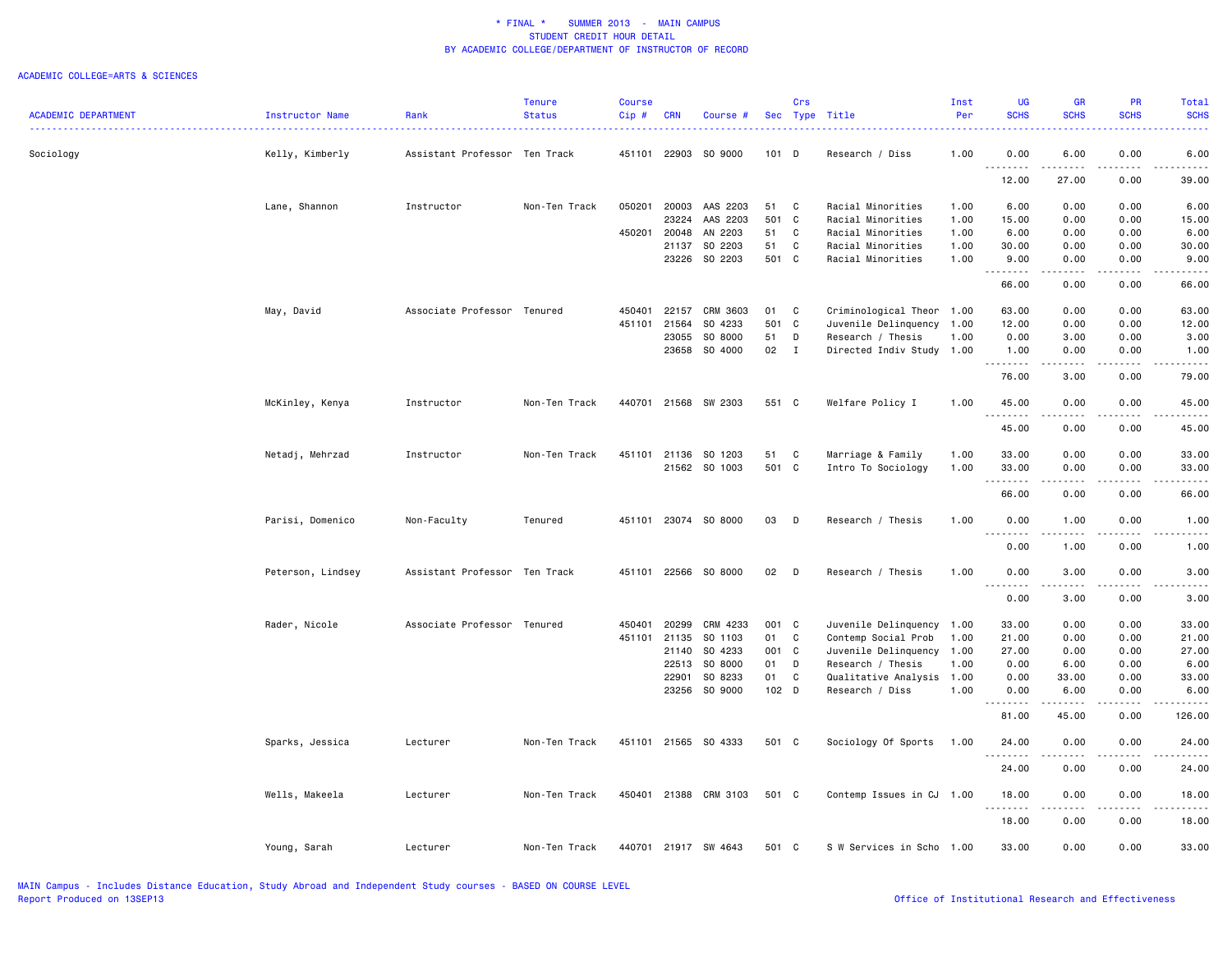|                            |                   |                               | <b>Tenure</b> | <b>Course</b> |            |                      |         | Crs          |                           | Inst | <b>UG</b>            | <b>GR</b>     | PR                                                                                                                                                           | <b>Total</b>    |
|----------------------------|-------------------|-------------------------------|---------------|---------------|------------|----------------------|---------|--------------|---------------------------|------|----------------------|---------------|--------------------------------------------------------------------------------------------------------------------------------------------------------------|-----------------|
| <b>ACADEMIC DEPARTMENT</b> | Instructor Name   | Rank                          | <b>Status</b> | Cip#          | <b>CRN</b> | Course #             |         |              | Sec Type Title            | Per  | <b>SCHS</b>          | <b>SCHS</b>   | <b>SCHS</b>                                                                                                                                                  | <b>SCHS</b>     |
| Sociology                  | Kelly, Kimberly   | Assistant Professor Ten Track |               | 451101        | 22903      | SO 9000              | $101$ D |              | Research / Diss           | 1.00 | 0.00                 | 6.00          | 0.00                                                                                                                                                         | 6.00            |
|                            |                   |                               |               |               |            |                      |         |              |                           |      | $- - - - -$<br>12.00 | .<br>27.00    | $\frac{1}{2}$<br>0.00                                                                                                                                        | 39.00           |
|                            | Lane, Shannon     | Instructor                    | Non-Ten Track | 050201        | 20003      | AAS 2203             | 51      | C            | Racial Minorities         | 1.00 | 6.00                 | 0.00          | 0.00                                                                                                                                                         | 6.00            |
|                            |                   |                               |               |               | 23224      | AAS 2203             | 501 C   |              | Racial Minorities         | 1.00 | 15.00                | 0.00          | 0.00                                                                                                                                                         | 15.00           |
|                            |                   |                               |               | 450201        | 20048      | AN 2203              | 51      | $\mathbf{C}$ | Racial Minorities         | 1.00 | 6.00                 | 0.00          | 0.00                                                                                                                                                         | 6.00            |
|                            |                   |                               |               |               | 21137      | SO 2203              | 51      | C            | Racial Minorities         | 1.00 | 30.00                | 0.00          | 0.00                                                                                                                                                         | 30.00           |
|                            |                   |                               |               |               | 23226      | SO 2203              | 501 C   |              | Racial Minorities         | 1.00 | 9.00                 | 0.00          | 0.00                                                                                                                                                         | 9.00            |
|                            |                   |                               |               |               |            |                      |         |              |                           |      | . <b>.</b><br>66.00  | .<br>0.00     | 0.00                                                                                                                                                         | وساعات<br>66.00 |
|                            | May, David        | Associate Professor Tenured   |               | 450401        | 22157      | CRM 3603             | 01      | C            | Criminological Theor 1.00 |      | 63.00                | 0.00          | 0.00                                                                                                                                                         | 63.00           |
|                            |                   |                               |               | 451101        | 21564      | SO 4233              | 501 C   |              | Juvenile Delinquency      | 1.00 | 12.00                | 0.00          | 0.00                                                                                                                                                         | 12.00           |
|                            |                   |                               |               |               | 23055      | SO 8000              | 51      | D            | Research / Thesis         | 1.00 | 0.00                 | 3.00          | 0.00                                                                                                                                                         | 3.00            |
|                            |                   |                               |               |               |            | 23658 SO 4000        | 02      | $\mathbf{I}$ | Directed Indiv Study 1.00 |      | 1.00<br>.            | 0.00<br>----- | 0.00<br>.                                                                                                                                                    | 1.00<br>.       |
|                            |                   |                               |               |               |            |                      |         |              |                           |      | 76.00                | 3.00          | 0.00                                                                                                                                                         | 79.00           |
|                            | McKinley, Kenya   | Instructor                    | Non-Ten Track |               |            | 440701 21568 SW 2303 | 551 C   |              | Welfare Policy I          | 1.00 | 45.00<br>.           | 0.00<br>.     | 0.00<br>.                                                                                                                                                    | 45.00<br>.      |
|                            |                   |                               |               |               |            |                      |         |              |                           |      | 45.00                | 0.00          | 0.00                                                                                                                                                         | 45.00           |
|                            | Netadj, Mehrzad   | Instructor                    | Non-Ten Track | 451101        | 21136      | SO 1203              | 51      | C            | Marriage & Family         | 1.00 | 33.00                | 0.00          | 0.00                                                                                                                                                         | 33.00           |
|                            |                   |                               |               |               |            | 21562 SO 1003        | 501 C   |              | Intro To Sociology        | 1.00 | 33.00                | 0.00          | 0.00                                                                                                                                                         | 33.00           |
|                            |                   |                               |               |               |            |                      |         |              |                           |      | .                    | .             | .                                                                                                                                                            | .               |
|                            |                   |                               |               |               |            |                      |         |              |                           |      | 66.00                | 0.00          | 0.00                                                                                                                                                         | 66.00           |
|                            | Parisi, Domenico  | Non-Faculty                   | Tenured       | 451101        |            | 23074 SO 8000        | 03      | D            | Research / Thesis         | 1.00 | 0.00<br>.            | 1.00          | 0.00                                                                                                                                                         | 1.00            |
|                            |                   |                               |               |               |            |                      |         |              |                           |      | 0.00                 | 1.00          | 0.00                                                                                                                                                         | 1.00            |
|                            | Peterson, Lindsey | Assistant Professor Ten Track |               | 451101        |            | 22566 SO 8000        | 02      | $\mathsf{D}$ | Research / Thesis         | 1.00 | 0.00<br>$- - -$<br>. | 3.00          | 0.00                                                                                                                                                         | 3.00            |
|                            |                   |                               |               |               |            |                      |         |              |                           |      | 0.00                 | 3.00          | 0.00                                                                                                                                                         | 3.00            |
|                            | Rader, Nicole     | Associate Professor Tenured   |               | 450401        | 20299      | CRM 4233             | 001 C   |              | Juvenile Delinquency 1.00 |      | 33.00                | 0.00          | 0.00                                                                                                                                                         | 33.00           |
|                            |                   |                               |               | 451101        | 21135      | SO 1103              | 01      | C            | Contemp Social Prob       | 1.00 | 21.00                | 0.00          | 0.00                                                                                                                                                         | 21.00           |
|                            |                   |                               |               |               | 21140      | SO 4233              | 001 C   |              | Juvenile Delinquency      | 1.00 | 27.00                | 0.00          | 0.00                                                                                                                                                         | 27.00           |
|                            |                   |                               |               |               | 22513      | SO 8000              | 01      | D            | Research / Thesis         | 1.00 | 0.00                 | 6.00          | 0.00                                                                                                                                                         | 6.00            |
|                            |                   |                               |               |               | 22901      | SO 8233              | 01      | C            | Qualitative Analysis 1.00 |      | 0.00                 | 33.00         | 0.00                                                                                                                                                         | 33.00           |
|                            |                   |                               |               |               |            | 23256 SO 9000        | 102 D   |              | Research / Diss           | 1.00 | 0.00<br><u>.</u>     | 6.00<br>.     | 0.00<br>$\frac{1}{2} \left( \frac{1}{2} \right) \left( \frac{1}{2} \right) \left( \frac{1}{2} \right) \left( \frac{1}{2} \right) \left( \frac{1}{2} \right)$ | 6.00<br>-----   |
|                            |                   |                               |               |               |            |                      |         |              |                           |      | 81.00                | 45.00         | 0.00                                                                                                                                                         | 126.00          |
|                            | Sparks, Jessica   | Lecturer                      | Non-Ten Track |               |            | 451101 21565 SO 4333 | 501 C   |              | Sociology Of Sports       | 1.00 | 24.00<br>.           | 0.00<br>.     | 0.00<br>.                                                                                                                                                    | 24.00<br>.      |
|                            |                   |                               |               |               |            |                      |         |              |                           |      | 24.00                | 0.00          | 0.00                                                                                                                                                         | 24.00           |
|                            | Wells, Makeela    | Lecturer                      | Non-Ten Track | 450401        |            | 21388 CRM 3103       | 501 C   |              | Contemp Issues in CJ      | 1.00 | 18.00<br>.           | 0.00          | 0.00                                                                                                                                                         | 18.00           |
|                            |                   |                               |               |               |            |                      |         |              |                           |      | 18.00                | 0.00          | 0.00                                                                                                                                                         | 18.00           |
|                            | Young, Sarah      | Lecturer                      | Non-Ten Track |               |            | 440701 21917 SW 4643 | 501 C   |              | S W Services in Scho      | 1.00 | 33.00                | 0.00          | 0.00                                                                                                                                                         | 33.00           |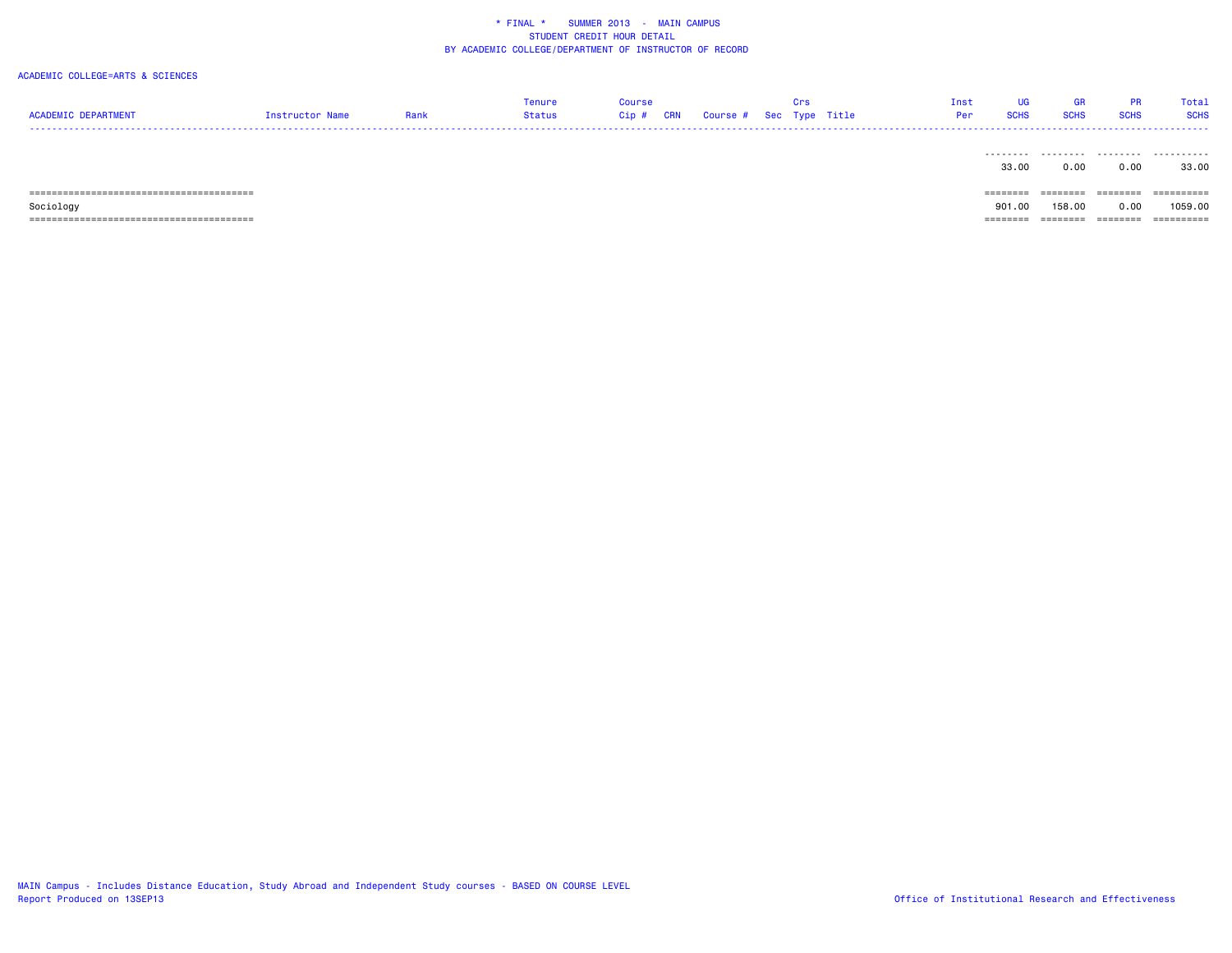| <b>ACADEMIC DEPARTMENT</b> | Instructor Name | Rank | Tenure<br>Status | <b>Course</b><br>$Cip$ # | <b>CRN</b> | Course # Sec Type Title | Crs | Inst<br>Per | UG<br><b>SCHS</b> | GR<br><b>SCHS</b> | <b>PR</b><br><b>SCHS</b> | Total<br><b>SCHS</b><br>------ |
|----------------------------|-----------------|------|------------------|--------------------------|------------|-------------------------|-----|-------------|-------------------|-------------------|--------------------------|--------------------------------|
|                            |                 |      |                  |                          |            |                         |     |             | .<br>33.00        | .<br>0.00         | .<br>0.00                | .<br>33.00                     |
|                            |                 |      |                  |                          |            |                         |     |             | ========          | ========          | ========                 | ==========                     |
| Sociology                  |                 |      |                  |                          |            |                         |     |             | 901.00            | 158,00            | 0.00                     | 1059.00                        |
|                            |                 |      |                  |                          |            |                         |     |             | ========          | ========          | ========                 | ==========                     |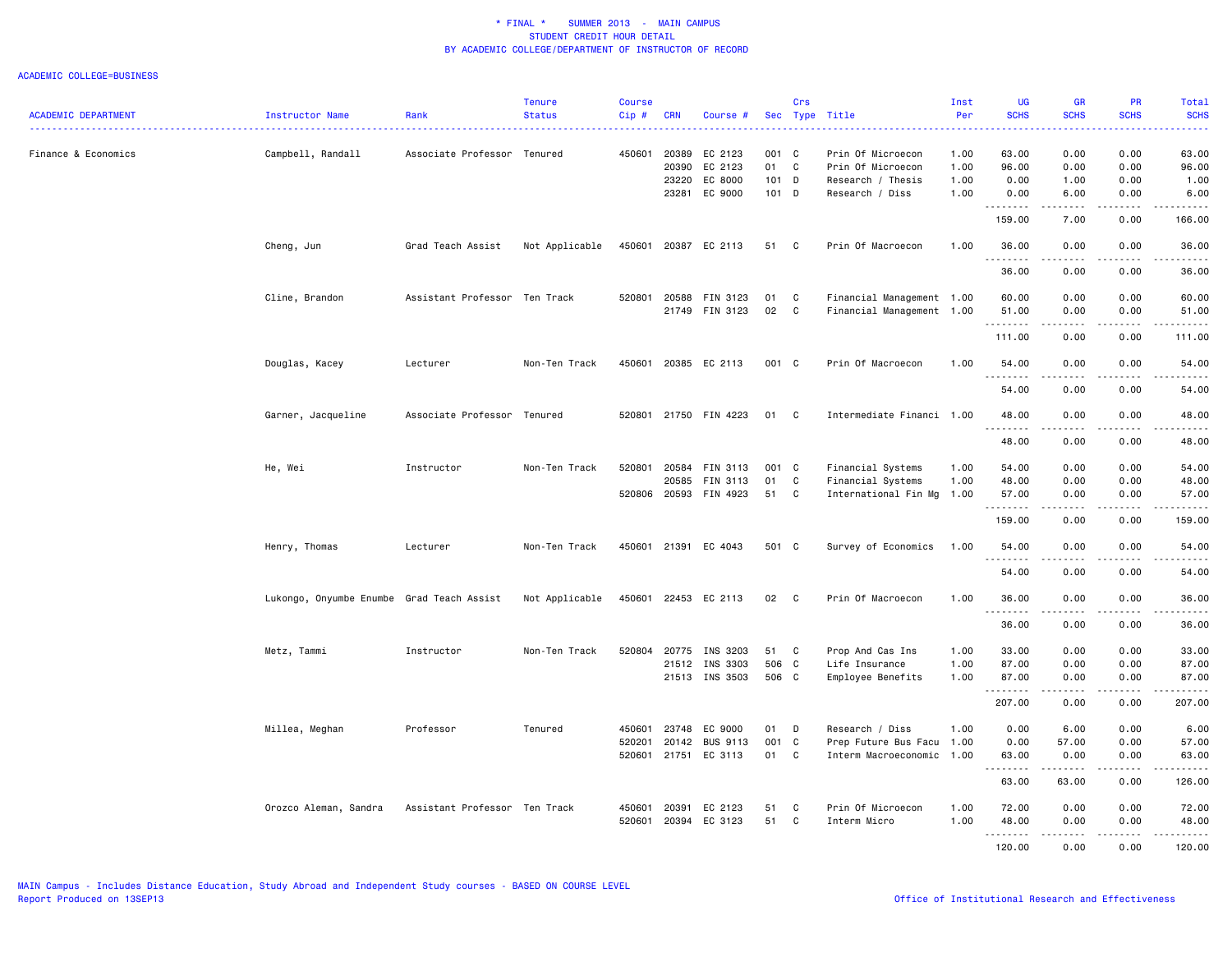| Sec Type Title<br>Instructor Name<br>Rank<br><b>CRN</b><br>Course #<br>.<br>Finance & Economics<br>Campbell, Randall<br>Associate Professor Tenured<br>450601<br>20389<br>EC 2123<br>001 C<br>Prin Of Microecon<br>1.00<br>63.00<br>0.00<br>0.00<br>63.00<br>EC 2123<br>01<br>C<br>20390<br>Prin Of Microecon<br>1.00<br>96.00<br>0.00<br>0.00<br>96.00<br>EC 8000<br>101 D<br>23220<br>Research / Thesis<br>1.00<br>0.00<br>1.00<br>0.00<br>1.00<br>EC 9000<br>23281<br>101 D<br>Research / Diss<br>1.00<br>0.00<br>6.00<br>0.00<br>6.00<br>--------<br>.<br>.<br>.<br>159.00<br>7.00<br>0.00<br>166.00<br>Grad Teach Assist<br>Not Applicable<br>450601<br>20387 EC 2113<br>Prin Of Macroecon<br>1.00<br>36.00<br>0.00<br>0.00<br>36.00<br>Cheng, Jun<br>51<br>$\mathbf{C}$<br>. <b>.</b><br>36.00<br>0.00<br>0.00<br>36.00<br>520801<br>Financial Management 1.00<br>0.00<br>0.00<br>Cline, Brandon<br>Assistant Professor Ten Track<br>20588<br>FIN 3123<br>01<br>C<br>60.00<br>60.00<br>21749 FIN 3123<br>02<br>$\mathbf{C}$<br>Financial Management 1.00<br>51.00<br>0.00<br>0.00<br>51.00<br>.<br>.<br>.<br>----<br>111.00<br>0.00<br>0.00<br>111.00<br>Non-Ten Track<br>450601<br>20385 EC 2113<br>001 C<br>Prin Of Macroecon<br>0.00<br>Douglas, Kacey<br>Lecturer<br>1.00<br>54.00<br>0.00<br>54.00<br>.<br>$\frac{1}{2} \left( \begin{array}{ccc} 1 & 0 & 0 & 0 \\ 0 & 0 & 0 & 0 \\ 0 & 0 & 0 & 0 \\ 0 & 0 & 0 & 0 \\ 0 & 0 & 0 & 0 \\ 0 & 0 & 0 & 0 \\ 0 & 0 & 0 & 0 \\ 0 & 0 & 0 & 0 \\ 0 & 0 & 0 & 0 \\ 0 & 0 & 0 & 0 \\ 0 & 0 & 0 & 0 & 0 \\ 0 & 0 & 0 & 0 & 0 \\ 0 & 0 & 0 & 0 & 0 \\ 0 & 0 & 0 & 0 & 0 \\ 0 & 0 & 0 & 0 & 0 \\ 0 & 0 & 0$<br>$\frac{1}{2}$<br>.<br>54.00<br>0.00<br>0.00<br>54.00<br>Garner, Jacqueline<br>Associate Professor Tenured<br>520801<br>21750 FIN 4223<br>01<br>$\mathbf{C}$<br>Intermediate Financi 1.00<br>48.00<br>0.00<br>0.00<br>48.00<br><b><i><u></u></i></b><br>.<br>.<br>.<br>48.00<br>0.00<br>0.00<br>48.00<br>He, Wei<br>Instructor<br>Non-Ten Track<br>520801<br>20584<br>FIN 3113<br>001 C<br>Financial Systems<br>1.00<br>54.00<br>0.00<br>0.00<br>54,00<br>20585<br>FIN 3113<br>01<br>C<br>Financial Systems<br>1.00<br>48.00<br>0.00<br>0.00<br>48.00<br>520806 20593 FIN 4923<br>51<br>$\mathbf{C}$<br>International Fin Mg<br>0.00<br>1.00<br>57.00<br>0.00<br>57.00<br>.<br><b></b><br>.<br>.<br>0.00<br>159.00<br>0.00<br>159.00<br>Henry, Thomas<br>Lecturer<br>Non-Ten Track<br>450601<br>21391 EC 4043<br>501 C<br>Survey of Economics<br>1.00<br>54.00<br>0.00<br>0.00<br>54.00<br>.<br>.<br>.<br>54.00<br>0.00<br>0.00<br>54.00<br>450601<br>22453 EC 2113<br>Lukongo, Onyumbe Enumbe Grad Teach Assist<br>Not Applicable<br>02<br>Prin Of Macroecon<br>36.00<br>0.00<br>0.00<br>$\mathbf{C}$<br>1.00<br>36.00<br><u>.</u><br>36.00<br>0.00<br>0.00<br>36.00<br>520804<br>Metz, Tammi<br>Instructor<br>Non-Ten Track<br>20775<br>INS 3203<br>51<br>$\mathbf{C}$<br>Prop And Cas Ins<br>1.00<br>33.00<br>0.00<br>0.00<br>33.00<br>506 C<br>0.00<br>INS 3303<br>Life Insurance<br>1.00<br>87.00<br>0.00<br>87.00<br>21512<br>21513 INS 3503<br>506 C<br>0.00<br>Employee Benefits<br>1.00<br>87.00<br>0.00<br>87.00<br>.<br>$\frac{1}{2} \left( \frac{1}{2} \right) \left( \frac{1}{2} \right) \left( \frac{1}{2} \right) \left( \frac{1}{2} \right) \left( \frac{1}{2} \right)$<br>.<br>.<br>207.00<br>0.00<br>0.00<br>207.00<br>Millea, Meghan<br>Professor<br>Tenured<br>450601<br>23748<br>EC 9000<br>01<br>D<br>Research / Diss<br>1.00<br>0.00<br>6.00<br>0.00<br>6.00<br>520201<br>20142<br><b>BUS 9113</b><br>001 C<br>0.00<br>57.00<br>0.00<br>57.00<br>Prep Future Bus Facu<br>1.00<br>520601<br>21751 EC 3113<br>01<br>$\mathbf{C}$<br>Interm Macroeconomic 1.00<br>63.00<br>0.00<br>0.00<br>63.00<br>.<br>63.00<br>63.00<br>0.00<br>126.00<br>Orozco Aleman, Sandra<br>Assistant Professor Ten Track<br>450601<br>EC 2123<br>51<br>C<br>Prin Of Microecon<br>1.00<br>72.00<br>0.00<br>0.00<br>72.00<br>20391<br>520601<br>20394<br>EC 3123<br>51<br>Interm Micro<br>48.00<br>C<br>1.00<br>0.00<br>0.00<br>48.00<br>.<br>.<br>.<br>$\frac{1}{2} \left( \frac{1}{2} \right) \left( \frac{1}{2} \right) \left( \frac{1}{2} \right) \left( \frac{1}{2} \right)$ |                            |  | <b>Tenure</b> | <b>Course</b> |  | Crs | Inst | <b>UG</b>   | <b>GR</b>   | <b>PR</b>   | Total       |
|---------------------------------------------------------------------------------------------------------------------------------------------------------------------------------------------------------------------------------------------------------------------------------------------------------------------------------------------------------------------------------------------------------------------------------------------------------------------------------------------------------------------------------------------------------------------------------------------------------------------------------------------------------------------------------------------------------------------------------------------------------------------------------------------------------------------------------------------------------------------------------------------------------------------------------------------------------------------------------------------------------------------------------------------------------------------------------------------------------------------------------------------------------------------------------------------------------------------------------------------------------------------------------------------------------------------------------------------------------------------------------------------------------------------------------------------------------------------------------------------------------------------------------------------------------------------------------------------------------------------------------------------------------------------------------------------------------------------------------------------------------------------------------------------------------------------------------------------------------------------------------------------------------------------------------------------------------------------------------------------------------------------------------------------------------------------------------------------------------------------------------------------------------------------------------------------------------------------------------------------------------------------------------------------------------------------------------------------------------------------------------------------------------------------------------------------------------------------------------------------------------------------------------------------------------------------------------------------------------------------------------------------------------------------------------------------------------------------------------------------------------------------------------------------------------------------------------------------------------------------------------------------------------------------------------------------------------------------------------------------------------------------------------------------------------------------------------------------------------------------------------------------------------------------------------------------------------------------------------------------------------------------------------------------------------------------------------------------------------------------------------------------------------------------------------------------------------------------------------------------------------------------------------------------------------------------------------------------------------------------------------------------------------------------------------------------------------------------------------------------------------------------------------------------------------------------------------------------------------------------------------------------------------------------------------------------------------------------------------------------------------------------------------------------------------------------------------------------------------------------------------------------------------------------------------------------------------------------------------------------|----------------------------|--|---------------|---------------|--|-----|------|-------------|-------------|-------------|-------------|
|                                                                                                                                                                                                                                                                                                                                                                                                                                                                                                                                                                                                                                                                                                                                                                                                                                                                                                                                                                                                                                                                                                                                                                                                                                                                                                                                                                                                                                                                                                                                                                                                                                                                                                                                                                                                                                                                                                                                                                                                                                                                                                                                                                                                                                                                                                                                                                                                                                                                                                                                                                                                                                                                                                                                                                                                                                                                                                                                                                                                                                                                                                                                                                                                                                                                                                                                                                                                                                                                                                                                                                                                                                                                                                                                                                                                                                                                                                                                                                                                                                                                                                                                                                                                                                             | <b>ACADEMIC DEPARTMENT</b> |  | <b>Status</b> | Cip#          |  |     | Per  | <b>SCHS</b> | <b>SCHS</b> | <b>SCHS</b> | <b>SCHS</b> |
|                                                                                                                                                                                                                                                                                                                                                                                                                                                                                                                                                                                                                                                                                                                                                                                                                                                                                                                                                                                                                                                                                                                                                                                                                                                                                                                                                                                                                                                                                                                                                                                                                                                                                                                                                                                                                                                                                                                                                                                                                                                                                                                                                                                                                                                                                                                                                                                                                                                                                                                                                                                                                                                                                                                                                                                                                                                                                                                                                                                                                                                                                                                                                                                                                                                                                                                                                                                                                                                                                                                                                                                                                                                                                                                                                                                                                                                                                                                                                                                                                                                                                                                                                                                                                                             |                            |  |               |               |  |     |      |             |             |             |             |
|                                                                                                                                                                                                                                                                                                                                                                                                                                                                                                                                                                                                                                                                                                                                                                                                                                                                                                                                                                                                                                                                                                                                                                                                                                                                                                                                                                                                                                                                                                                                                                                                                                                                                                                                                                                                                                                                                                                                                                                                                                                                                                                                                                                                                                                                                                                                                                                                                                                                                                                                                                                                                                                                                                                                                                                                                                                                                                                                                                                                                                                                                                                                                                                                                                                                                                                                                                                                                                                                                                                                                                                                                                                                                                                                                                                                                                                                                                                                                                                                                                                                                                                                                                                                                                             |                            |  |               |               |  |     |      |             |             |             |             |
|                                                                                                                                                                                                                                                                                                                                                                                                                                                                                                                                                                                                                                                                                                                                                                                                                                                                                                                                                                                                                                                                                                                                                                                                                                                                                                                                                                                                                                                                                                                                                                                                                                                                                                                                                                                                                                                                                                                                                                                                                                                                                                                                                                                                                                                                                                                                                                                                                                                                                                                                                                                                                                                                                                                                                                                                                                                                                                                                                                                                                                                                                                                                                                                                                                                                                                                                                                                                                                                                                                                                                                                                                                                                                                                                                                                                                                                                                                                                                                                                                                                                                                                                                                                                                                             |                            |  |               |               |  |     |      |             |             |             |             |
|                                                                                                                                                                                                                                                                                                                                                                                                                                                                                                                                                                                                                                                                                                                                                                                                                                                                                                                                                                                                                                                                                                                                                                                                                                                                                                                                                                                                                                                                                                                                                                                                                                                                                                                                                                                                                                                                                                                                                                                                                                                                                                                                                                                                                                                                                                                                                                                                                                                                                                                                                                                                                                                                                                                                                                                                                                                                                                                                                                                                                                                                                                                                                                                                                                                                                                                                                                                                                                                                                                                                                                                                                                                                                                                                                                                                                                                                                                                                                                                                                                                                                                                                                                                                                                             |                            |  |               |               |  |     |      |             |             |             |             |
|                                                                                                                                                                                                                                                                                                                                                                                                                                                                                                                                                                                                                                                                                                                                                                                                                                                                                                                                                                                                                                                                                                                                                                                                                                                                                                                                                                                                                                                                                                                                                                                                                                                                                                                                                                                                                                                                                                                                                                                                                                                                                                                                                                                                                                                                                                                                                                                                                                                                                                                                                                                                                                                                                                                                                                                                                                                                                                                                                                                                                                                                                                                                                                                                                                                                                                                                                                                                                                                                                                                                                                                                                                                                                                                                                                                                                                                                                                                                                                                                                                                                                                                                                                                                                                             |                            |  |               |               |  |     |      |             |             |             |             |
|                                                                                                                                                                                                                                                                                                                                                                                                                                                                                                                                                                                                                                                                                                                                                                                                                                                                                                                                                                                                                                                                                                                                                                                                                                                                                                                                                                                                                                                                                                                                                                                                                                                                                                                                                                                                                                                                                                                                                                                                                                                                                                                                                                                                                                                                                                                                                                                                                                                                                                                                                                                                                                                                                                                                                                                                                                                                                                                                                                                                                                                                                                                                                                                                                                                                                                                                                                                                                                                                                                                                                                                                                                                                                                                                                                                                                                                                                                                                                                                                                                                                                                                                                                                                                                             |                            |  |               |               |  |     |      |             |             |             |             |
|                                                                                                                                                                                                                                                                                                                                                                                                                                                                                                                                                                                                                                                                                                                                                                                                                                                                                                                                                                                                                                                                                                                                                                                                                                                                                                                                                                                                                                                                                                                                                                                                                                                                                                                                                                                                                                                                                                                                                                                                                                                                                                                                                                                                                                                                                                                                                                                                                                                                                                                                                                                                                                                                                                                                                                                                                                                                                                                                                                                                                                                                                                                                                                                                                                                                                                                                                                                                                                                                                                                                                                                                                                                                                                                                                                                                                                                                                                                                                                                                                                                                                                                                                                                                                                             |                            |  |               |               |  |     |      |             |             |             |             |
|                                                                                                                                                                                                                                                                                                                                                                                                                                                                                                                                                                                                                                                                                                                                                                                                                                                                                                                                                                                                                                                                                                                                                                                                                                                                                                                                                                                                                                                                                                                                                                                                                                                                                                                                                                                                                                                                                                                                                                                                                                                                                                                                                                                                                                                                                                                                                                                                                                                                                                                                                                                                                                                                                                                                                                                                                                                                                                                                                                                                                                                                                                                                                                                                                                                                                                                                                                                                                                                                                                                                                                                                                                                                                                                                                                                                                                                                                                                                                                                                                                                                                                                                                                                                                                             |                            |  |               |               |  |     |      |             |             |             |             |
|                                                                                                                                                                                                                                                                                                                                                                                                                                                                                                                                                                                                                                                                                                                                                                                                                                                                                                                                                                                                                                                                                                                                                                                                                                                                                                                                                                                                                                                                                                                                                                                                                                                                                                                                                                                                                                                                                                                                                                                                                                                                                                                                                                                                                                                                                                                                                                                                                                                                                                                                                                                                                                                                                                                                                                                                                                                                                                                                                                                                                                                                                                                                                                                                                                                                                                                                                                                                                                                                                                                                                                                                                                                                                                                                                                                                                                                                                                                                                                                                                                                                                                                                                                                                                                             |                            |  |               |               |  |     |      |             |             |             |             |
|                                                                                                                                                                                                                                                                                                                                                                                                                                                                                                                                                                                                                                                                                                                                                                                                                                                                                                                                                                                                                                                                                                                                                                                                                                                                                                                                                                                                                                                                                                                                                                                                                                                                                                                                                                                                                                                                                                                                                                                                                                                                                                                                                                                                                                                                                                                                                                                                                                                                                                                                                                                                                                                                                                                                                                                                                                                                                                                                                                                                                                                                                                                                                                                                                                                                                                                                                                                                                                                                                                                                                                                                                                                                                                                                                                                                                                                                                                                                                                                                                                                                                                                                                                                                                                             |                            |  |               |               |  |     |      |             |             |             |             |
|                                                                                                                                                                                                                                                                                                                                                                                                                                                                                                                                                                                                                                                                                                                                                                                                                                                                                                                                                                                                                                                                                                                                                                                                                                                                                                                                                                                                                                                                                                                                                                                                                                                                                                                                                                                                                                                                                                                                                                                                                                                                                                                                                                                                                                                                                                                                                                                                                                                                                                                                                                                                                                                                                                                                                                                                                                                                                                                                                                                                                                                                                                                                                                                                                                                                                                                                                                                                                                                                                                                                                                                                                                                                                                                                                                                                                                                                                                                                                                                                                                                                                                                                                                                                                                             |                            |  |               |               |  |     |      |             |             |             |             |
|                                                                                                                                                                                                                                                                                                                                                                                                                                                                                                                                                                                                                                                                                                                                                                                                                                                                                                                                                                                                                                                                                                                                                                                                                                                                                                                                                                                                                                                                                                                                                                                                                                                                                                                                                                                                                                                                                                                                                                                                                                                                                                                                                                                                                                                                                                                                                                                                                                                                                                                                                                                                                                                                                                                                                                                                                                                                                                                                                                                                                                                                                                                                                                                                                                                                                                                                                                                                                                                                                                                                                                                                                                                                                                                                                                                                                                                                                                                                                                                                                                                                                                                                                                                                                                             |                            |  |               |               |  |     |      |             |             |             |             |
|                                                                                                                                                                                                                                                                                                                                                                                                                                                                                                                                                                                                                                                                                                                                                                                                                                                                                                                                                                                                                                                                                                                                                                                                                                                                                                                                                                                                                                                                                                                                                                                                                                                                                                                                                                                                                                                                                                                                                                                                                                                                                                                                                                                                                                                                                                                                                                                                                                                                                                                                                                                                                                                                                                                                                                                                                                                                                                                                                                                                                                                                                                                                                                                                                                                                                                                                                                                                                                                                                                                                                                                                                                                                                                                                                                                                                                                                                                                                                                                                                                                                                                                                                                                                                                             |                            |  |               |               |  |     |      |             |             |             |             |
|                                                                                                                                                                                                                                                                                                                                                                                                                                                                                                                                                                                                                                                                                                                                                                                                                                                                                                                                                                                                                                                                                                                                                                                                                                                                                                                                                                                                                                                                                                                                                                                                                                                                                                                                                                                                                                                                                                                                                                                                                                                                                                                                                                                                                                                                                                                                                                                                                                                                                                                                                                                                                                                                                                                                                                                                                                                                                                                                                                                                                                                                                                                                                                                                                                                                                                                                                                                                                                                                                                                                                                                                                                                                                                                                                                                                                                                                                                                                                                                                                                                                                                                                                                                                                                             |                            |  |               |               |  |     |      |             |             |             |             |
|                                                                                                                                                                                                                                                                                                                                                                                                                                                                                                                                                                                                                                                                                                                                                                                                                                                                                                                                                                                                                                                                                                                                                                                                                                                                                                                                                                                                                                                                                                                                                                                                                                                                                                                                                                                                                                                                                                                                                                                                                                                                                                                                                                                                                                                                                                                                                                                                                                                                                                                                                                                                                                                                                                                                                                                                                                                                                                                                                                                                                                                                                                                                                                                                                                                                                                                                                                                                                                                                                                                                                                                                                                                                                                                                                                                                                                                                                                                                                                                                                                                                                                                                                                                                                                             |                            |  |               |               |  |     |      |             |             |             |             |
|                                                                                                                                                                                                                                                                                                                                                                                                                                                                                                                                                                                                                                                                                                                                                                                                                                                                                                                                                                                                                                                                                                                                                                                                                                                                                                                                                                                                                                                                                                                                                                                                                                                                                                                                                                                                                                                                                                                                                                                                                                                                                                                                                                                                                                                                                                                                                                                                                                                                                                                                                                                                                                                                                                                                                                                                                                                                                                                                                                                                                                                                                                                                                                                                                                                                                                                                                                                                                                                                                                                                                                                                                                                                                                                                                                                                                                                                                                                                                                                                                                                                                                                                                                                                                                             |                            |  |               |               |  |     |      |             |             |             |             |
|                                                                                                                                                                                                                                                                                                                                                                                                                                                                                                                                                                                                                                                                                                                                                                                                                                                                                                                                                                                                                                                                                                                                                                                                                                                                                                                                                                                                                                                                                                                                                                                                                                                                                                                                                                                                                                                                                                                                                                                                                                                                                                                                                                                                                                                                                                                                                                                                                                                                                                                                                                                                                                                                                                                                                                                                                                                                                                                                                                                                                                                                                                                                                                                                                                                                                                                                                                                                                                                                                                                                                                                                                                                                                                                                                                                                                                                                                                                                                                                                                                                                                                                                                                                                                                             |                            |  |               |               |  |     |      |             |             |             |             |
|                                                                                                                                                                                                                                                                                                                                                                                                                                                                                                                                                                                                                                                                                                                                                                                                                                                                                                                                                                                                                                                                                                                                                                                                                                                                                                                                                                                                                                                                                                                                                                                                                                                                                                                                                                                                                                                                                                                                                                                                                                                                                                                                                                                                                                                                                                                                                                                                                                                                                                                                                                                                                                                                                                                                                                                                                                                                                                                                                                                                                                                                                                                                                                                                                                                                                                                                                                                                                                                                                                                                                                                                                                                                                                                                                                                                                                                                                                                                                                                                                                                                                                                                                                                                                                             |                            |  |               |               |  |     |      |             |             |             |             |
|                                                                                                                                                                                                                                                                                                                                                                                                                                                                                                                                                                                                                                                                                                                                                                                                                                                                                                                                                                                                                                                                                                                                                                                                                                                                                                                                                                                                                                                                                                                                                                                                                                                                                                                                                                                                                                                                                                                                                                                                                                                                                                                                                                                                                                                                                                                                                                                                                                                                                                                                                                                                                                                                                                                                                                                                                                                                                                                                                                                                                                                                                                                                                                                                                                                                                                                                                                                                                                                                                                                                                                                                                                                                                                                                                                                                                                                                                                                                                                                                                                                                                                                                                                                                                                             |                            |  |               |               |  |     |      |             |             |             |             |
|                                                                                                                                                                                                                                                                                                                                                                                                                                                                                                                                                                                                                                                                                                                                                                                                                                                                                                                                                                                                                                                                                                                                                                                                                                                                                                                                                                                                                                                                                                                                                                                                                                                                                                                                                                                                                                                                                                                                                                                                                                                                                                                                                                                                                                                                                                                                                                                                                                                                                                                                                                                                                                                                                                                                                                                                                                                                                                                                                                                                                                                                                                                                                                                                                                                                                                                                                                                                                                                                                                                                                                                                                                                                                                                                                                                                                                                                                                                                                                                                                                                                                                                                                                                                                                             |                            |  |               |               |  |     |      |             |             |             |             |
|                                                                                                                                                                                                                                                                                                                                                                                                                                                                                                                                                                                                                                                                                                                                                                                                                                                                                                                                                                                                                                                                                                                                                                                                                                                                                                                                                                                                                                                                                                                                                                                                                                                                                                                                                                                                                                                                                                                                                                                                                                                                                                                                                                                                                                                                                                                                                                                                                                                                                                                                                                                                                                                                                                                                                                                                                                                                                                                                                                                                                                                                                                                                                                                                                                                                                                                                                                                                                                                                                                                                                                                                                                                                                                                                                                                                                                                                                                                                                                                                                                                                                                                                                                                                                                             |                            |  |               |               |  |     |      |             |             |             |             |
|                                                                                                                                                                                                                                                                                                                                                                                                                                                                                                                                                                                                                                                                                                                                                                                                                                                                                                                                                                                                                                                                                                                                                                                                                                                                                                                                                                                                                                                                                                                                                                                                                                                                                                                                                                                                                                                                                                                                                                                                                                                                                                                                                                                                                                                                                                                                                                                                                                                                                                                                                                                                                                                                                                                                                                                                                                                                                                                                                                                                                                                                                                                                                                                                                                                                                                                                                                                                                                                                                                                                                                                                                                                                                                                                                                                                                                                                                                                                                                                                                                                                                                                                                                                                                                             |                            |  |               |               |  |     |      |             |             |             |             |
|                                                                                                                                                                                                                                                                                                                                                                                                                                                                                                                                                                                                                                                                                                                                                                                                                                                                                                                                                                                                                                                                                                                                                                                                                                                                                                                                                                                                                                                                                                                                                                                                                                                                                                                                                                                                                                                                                                                                                                                                                                                                                                                                                                                                                                                                                                                                                                                                                                                                                                                                                                                                                                                                                                                                                                                                                                                                                                                                                                                                                                                                                                                                                                                                                                                                                                                                                                                                                                                                                                                                                                                                                                                                                                                                                                                                                                                                                                                                                                                                                                                                                                                                                                                                                                             |                            |  |               |               |  |     |      |             |             |             |             |
|                                                                                                                                                                                                                                                                                                                                                                                                                                                                                                                                                                                                                                                                                                                                                                                                                                                                                                                                                                                                                                                                                                                                                                                                                                                                                                                                                                                                                                                                                                                                                                                                                                                                                                                                                                                                                                                                                                                                                                                                                                                                                                                                                                                                                                                                                                                                                                                                                                                                                                                                                                                                                                                                                                                                                                                                                                                                                                                                                                                                                                                                                                                                                                                                                                                                                                                                                                                                                                                                                                                                                                                                                                                                                                                                                                                                                                                                                                                                                                                                                                                                                                                                                                                                                                             |                            |  |               |               |  |     |      |             |             |             |             |
|                                                                                                                                                                                                                                                                                                                                                                                                                                                                                                                                                                                                                                                                                                                                                                                                                                                                                                                                                                                                                                                                                                                                                                                                                                                                                                                                                                                                                                                                                                                                                                                                                                                                                                                                                                                                                                                                                                                                                                                                                                                                                                                                                                                                                                                                                                                                                                                                                                                                                                                                                                                                                                                                                                                                                                                                                                                                                                                                                                                                                                                                                                                                                                                                                                                                                                                                                                                                                                                                                                                                                                                                                                                                                                                                                                                                                                                                                                                                                                                                                                                                                                                                                                                                                                             |                            |  |               |               |  |     |      |             |             |             |             |
|                                                                                                                                                                                                                                                                                                                                                                                                                                                                                                                                                                                                                                                                                                                                                                                                                                                                                                                                                                                                                                                                                                                                                                                                                                                                                                                                                                                                                                                                                                                                                                                                                                                                                                                                                                                                                                                                                                                                                                                                                                                                                                                                                                                                                                                                                                                                                                                                                                                                                                                                                                                                                                                                                                                                                                                                                                                                                                                                                                                                                                                                                                                                                                                                                                                                                                                                                                                                                                                                                                                                                                                                                                                                                                                                                                                                                                                                                                                                                                                                                                                                                                                                                                                                                                             |                            |  |               |               |  |     |      |             |             |             |             |
|                                                                                                                                                                                                                                                                                                                                                                                                                                                                                                                                                                                                                                                                                                                                                                                                                                                                                                                                                                                                                                                                                                                                                                                                                                                                                                                                                                                                                                                                                                                                                                                                                                                                                                                                                                                                                                                                                                                                                                                                                                                                                                                                                                                                                                                                                                                                                                                                                                                                                                                                                                                                                                                                                                                                                                                                                                                                                                                                                                                                                                                                                                                                                                                                                                                                                                                                                                                                                                                                                                                                                                                                                                                                                                                                                                                                                                                                                                                                                                                                                                                                                                                                                                                                                                             |                            |  |               |               |  |     |      |             |             |             |             |
|                                                                                                                                                                                                                                                                                                                                                                                                                                                                                                                                                                                                                                                                                                                                                                                                                                                                                                                                                                                                                                                                                                                                                                                                                                                                                                                                                                                                                                                                                                                                                                                                                                                                                                                                                                                                                                                                                                                                                                                                                                                                                                                                                                                                                                                                                                                                                                                                                                                                                                                                                                                                                                                                                                                                                                                                                                                                                                                                                                                                                                                                                                                                                                                                                                                                                                                                                                                                                                                                                                                                                                                                                                                                                                                                                                                                                                                                                                                                                                                                                                                                                                                                                                                                                                             |                            |  |               |               |  |     |      |             |             |             |             |
|                                                                                                                                                                                                                                                                                                                                                                                                                                                                                                                                                                                                                                                                                                                                                                                                                                                                                                                                                                                                                                                                                                                                                                                                                                                                                                                                                                                                                                                                                                                                                                                                                                                                                                                                                                                                                                                                                                                                                                                                                                                                                                                                                                                                                                                                                                                                                                                                                                                                                                                                                                                                                                                                                                                                                                                                                                                                                                                                                                                                                                                                                                                                                                                                                                                                                                                                                                                                                                                                                                                                                                                                                                                                                                                                                                                                                                                                                                                                                                                                                                                                                                                                                                                                                                             |                            |  |               |               |  |     |      |             |             |             |             |
|                                                                                                                                                                                                                                                                                                                                                                                                                                                                                                                                                                                                                                                                                                                                                                                                                                                                                                                                                                                                                                                                                                                                                                                                                                                                                                                                                                                                                                                                                                                                                                                                                                                                                                                                                                                                                                                                                                                                                                                                                                                                                                                                                                                                                                                                                                                                                                                                                                                                                                                                                                                                                                                                                                                                                                                                                                                                                                                                                                                                                                                                                                                                                                                                                                                                                                                                                                                                                                                                                                                                                                                                                                                                                                                                                                                                                                                                                                                                                                                                                                                                                                                                                                                                                                             |                            |  |               |               |  |     |      |             |             |             |             |
|                                                                                                                                                                                                                                                                                                                                                                                                                                                                                                                                                                                                                                                                                                                                                                                                                                                                                                                                                                                                                                                                                                                                                                                                                                                                                                                                                                                                                                                                                                                                                                                                                                                                                                                                                                                                                                                                                                                                                                                                                                                                                                                                                                                                                                                                                                                                                                                                                                                                                                                                                                                                                                                                                                                                                                                                                                                                                                                                                                                                                                                                                                                                                                                                                                                                                                                                                                                                                                                                                                                                                                                                                                                                                                                                                                                                                                                                                                                                                                                                                                                                                                                                                                                                                                             |                            |  |               |               |  |     |      |             |             |             |             |
|                                                                                                                                                                                                                                                                                                                                                                                                                                                                                                                                                                                                                                                                                                                                                                                                                                                                                                                                                                                                                                                                                                                                                                                                                                                                                                                                                                                                                                                                                                                                                                                                                                                                                                                                                                                                                                                                                                                                                                                                                                                                                                                                                                                                                                                                                                                                                                                                                                                                                                                                                                                                                                                                                                                                                                                                                                                                                                                                                                                                                                                                                                                                                                                                                                                                                                                                                                                                                                                                                                                                                                                                                                                                                                                                                                                                                                                                                                                                                                                                                                                                                                                                                                                                                                             |                            |  |               |               |  |     |      |             |             |             |             |
|                                                                                                                                                                                                                                                                                                                                                                                                                                                                                                                                                                                                                                                                                                                                                                                                                                                                                                                                                                                                                                                                                                                                                                                                                                                                                                                                                                                                                                                                                                                                                                                                                                                                                                                                                                                                                                                                                                                                                                                                                                                                                                                                                                                                                                                                                                                                                                                                                                                                                                                                                                                                                                                                                                                                                                                                                                                                                                                                                                                                                                                                                                                                                                                                                                                                                                                                                                                                                                                                                                                                                                                                                                                                                                                                                                                                                                                                                                                                                                                                                                                                                                                                                                                                                                             |                            |  |               |               |  |     |      | 120.00      | 0.00        | 0.00        | 120.00      |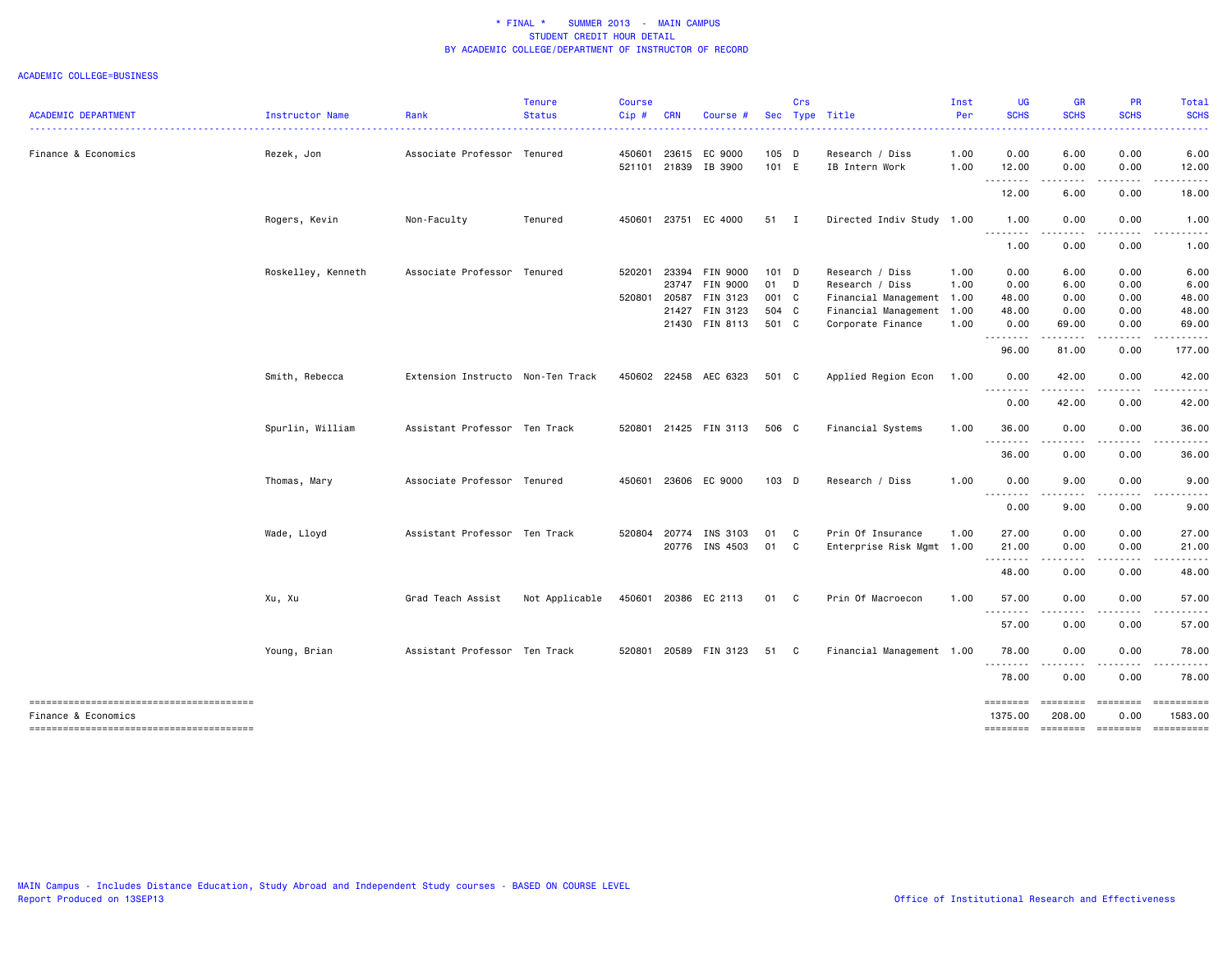| <b>ACADEMIC DEPARTMENT</b>                                    | Instructor Name    | Rank                              | <b>Tenure</b><br><b>Status</b> | <b>Course</b><br>Cip# | <b>CRN</b> | Course #              |         | Crs | Sec Type Title            | Inst<br>Per | <b>UG</b><br><b>SCHS</b> | <b>GR</b><br><b>SCHS</b><br>$\frac{1}{2} \left( \frac{1}{2} \right) \left( \frac{1}{2} \right) \left( \frac{1}{2} \right) \left( \frac{1}{2} \right)$        | <b>PR</b><br><b>SCHS</b> | Total<br><b>SCHS</b><br>. |
|---------------------------------------------------------------|--------------------|-----------------------------------|--------------------------------|-----------------------|------------|-----------------------|---------|-----|---------------------------|-------------|--------------------------|--------------------------------------------------------------------------------------------------------------------------------------------------------------|--------------------------|---------------------------|
| Finance & Economics                                           | Rezek, Jon         | Associate Professor Tenured       |                                | 450601                |            | 23615 EC 9000         | 105 D   |     | Research / Diss           | 1.00        | 0.00                     | 6.00                                                                                                                                                         | 0.00                     | 6.00                      |
|                                                               |                    |                                   |                                |                       |            | 521101 21839 IB 3900  | 101 E   |     | IB Intern Work            | 1.00        | 12.00<br>--------        | 0.00<br>$\frac{1}{2} \left( \frac{1}{2} \right) \left( \frac{1}{2} \right) \left( \frac{1}{2} \right) \left( \frac{1}{2} \right) \left( \frac{1}{2} \right)$ | 0.00                     | 12.00                     |
|                                                               |                    |                                   |                                |                       |            |                       |         |     |                           |             | 12.00                    | 6.00                                                                                                                                                         | 0.00                     | 18.00                     |
|                                                               | Rogers, Kevin      | Non-Faculty                       | Tenured                        | 450601                |            | 23751 EC 4000         | 51 I    |     | Directed Indiv Study 1.00 |             | 1.00<br>.                | 0.00<br>.                                                                                                                                                    | 0.00                     | 1.00                      |
|                                                               |                    |                                   |                                |                       |            |                       |         |     |                           |             | 1.00                     | 0.00                                                                                                                                                         | 0.00                     | 1.00                      |
|                                                               | Roskelley, Kenneth | Associate Professor Tenured       |                                | 520201                |            | 23394 FIN 9000        | 101 D   |     | Research / Diss           | 1.00        | 0.00                     | 6.00                                                                                                                                                         | 0.00                     | 6.00                      |
|                                                               |                    |                                   |                                |                       |            | 23747 FIN 9000        | 01 D    |     | Research / Diss           | 1.00        | 0.00                     | 6.00                                                                                                                                                         | 0.00                     | 6.00                      |
|                                                               |                    |                                   |                                | 520801                | 20587      | FIN 3123              | 001 C   |     | Financial Management 1.00 |             | 48.00                    | 0.00                                                                                                                                                         | 0.00                     | 48.00                     |
|                                                               |                    |                                   |                                |                       |            | 21427 FIN 3123        | 504 C   |     | Financial Management 1.00 |             | 48.00                    | 0.00                                                                                                                                                         | 0.00                     | 48.00                     |
|                                                               |                    |                                   |                                |                       |            | 21430 FIN 8113        | 501 C   |     | Corporate Finance         | 1.00        | 0.00<br>.                | 69.00<br>$\sim$ $\sim$ $\sim$ $\sim$                                                                                                                         | 0.00<br>$- - - -$        | 69.00                     |
|                                                               |                    |                                   |                                |                       |            |                       |         |     |                           |             | 96.00                    | 81.00                                                                                                                                                        | 0.00                     | 177.00                    |
|                                                               | Smith, Rebecca     | Extension Instructo Non-Ten Track |                                |                       |            | 450602 22458 AEC 6323 | 501 C   |     | Applied Region Econ       | 1.00        | 0.00                     | 42.00                                                                                                                                                        | 0.00                     | 42.00                     |
|                                                               |                    |                                   |                                |                       |            |                       |         |     |                           |             | <u>.</u><br>0.00         | .<br>42.00                                                                                                                                                   | 0.00                     | 42.00                     |
|                                                               | Spurlin, William   | Assistant Professor Ten Track     |                                |                       |            | 520801 21425 FIN 3113 | 506 C   |     | Financial Systems         | 1.00        | 36.00                    | 0.00                                                                                                                                                         | 0.00                     | 36.00                     |
|                                                               |                    |                                   |                                |                       |            |                       |         |     |                           |             | .<br>36.00               | $\frac{1}{2} \left( \frac{1}{2} \right) \left( \frac{1}{2} \right) \left( \frac{1}{2} \right) \left( \frac{1}{2} \right)$<br>0.00                            | 0.00                     | 36.00                     |
|                                                               | Thomas, Mary       | Associate Professor Tenured       |                                | 450601                |            | 23606 EC 9000         | $103$ D |     | Research / Diss           | 1.00        | 0.00                     | 9.00                                                                                                                                                         | 0.00                     | 9.00                      |
|                                                               |                    |                                   |                                |                       |            |                       |         |     |                           |             | .<br>0.00                | $\sim$ $\sim$ $\sim$ $\sim$<br>9.00                                                                                                                          | .<br>0.00                | 9.00                      |
|                                                               | Wade, Lloyd        | Assistant Professor Ten Track     |                                | 520804                |            | 20774 INS 3103        | 01 C    |     | Prin Of Insurance         | 1.00        | 27.00                    | 0.00                                                                                                                                                         | 0.00                     | 27.00                     |
|                                                               |                    |                                   |                                |                       |            | 20776 INS 4503        | 01 C    |     | Enterprise Risk Mgmt 1.00 |             | 21.00                    | 0.00                                                                                                                                                         | 0.00                     | 21.00                     |
|                                                               |                    |                                   |                                |                       |            |                       |         |     |                           |             | .<br>48.00               | $\frac{1}{2} \left( \frac{1}{2} \right) \left( \frac{1}{2} \right) \left( \frac{1}{2} \right) \left( \frac{1}{2} \right)$<br>0.00                            | $\frac{1}{2}$<br>0.00    | 48.00                     |
|                                                               | Xu, Xu             | Grad Teach Assist                 | Not Applicable                 |                       |            | 450601 20386 EC 2113  | 01 C    |     | Prin Of Macroecon         | 1.00        | 57.00                    | 0.00                                                                                                                                                         | 0.00                     | 57.00                     |
|                                                               |                    |                                   |                                |                       |            |                       |         |     |                           |             | .<br>57.00               | $\frac{1}{2} \left( \frac{1}{2} \right) \left( \frac{1}{2} \right) \left( \frac{1}{2} \right) \left( \frac{1}{2} \right) \left( \frac{1}{2} \right)$<br>0.00 | .<br>0.00                | 57.00                     |
|                                                               | Young, Brian       | Assistant Professor Ten Track     |                                |                       |            | 520801 20589 FIN 3123 | 51 C    |     | Financial Management 1.00 |             | 78.00                    | 0.00                                                                                                                                                         | 0.00                     | 78.00                     |
|                                                               |                    |                                   |                                |                       |            |                       |         |     |                           |             | .<br>78.00               | .<br>0.00                                                                                                                                                    | 0.00                     | 78.00                     |
| --------------------------------------<br>Finance & Economics |                    |                                   |                                |                       |            |                       |         |     |                           |             | ========<br>1375.00      | ========<br>208.00                                                                                                                                           | $= 222222222$<br>0.00    | ==========<br>1583.00     |
| --------------------------------------                        |                    |                                   |                                |                       |            |                       |         |     |                           |             | ========                 | -------- -------                                                                                                                                             |                          |                           |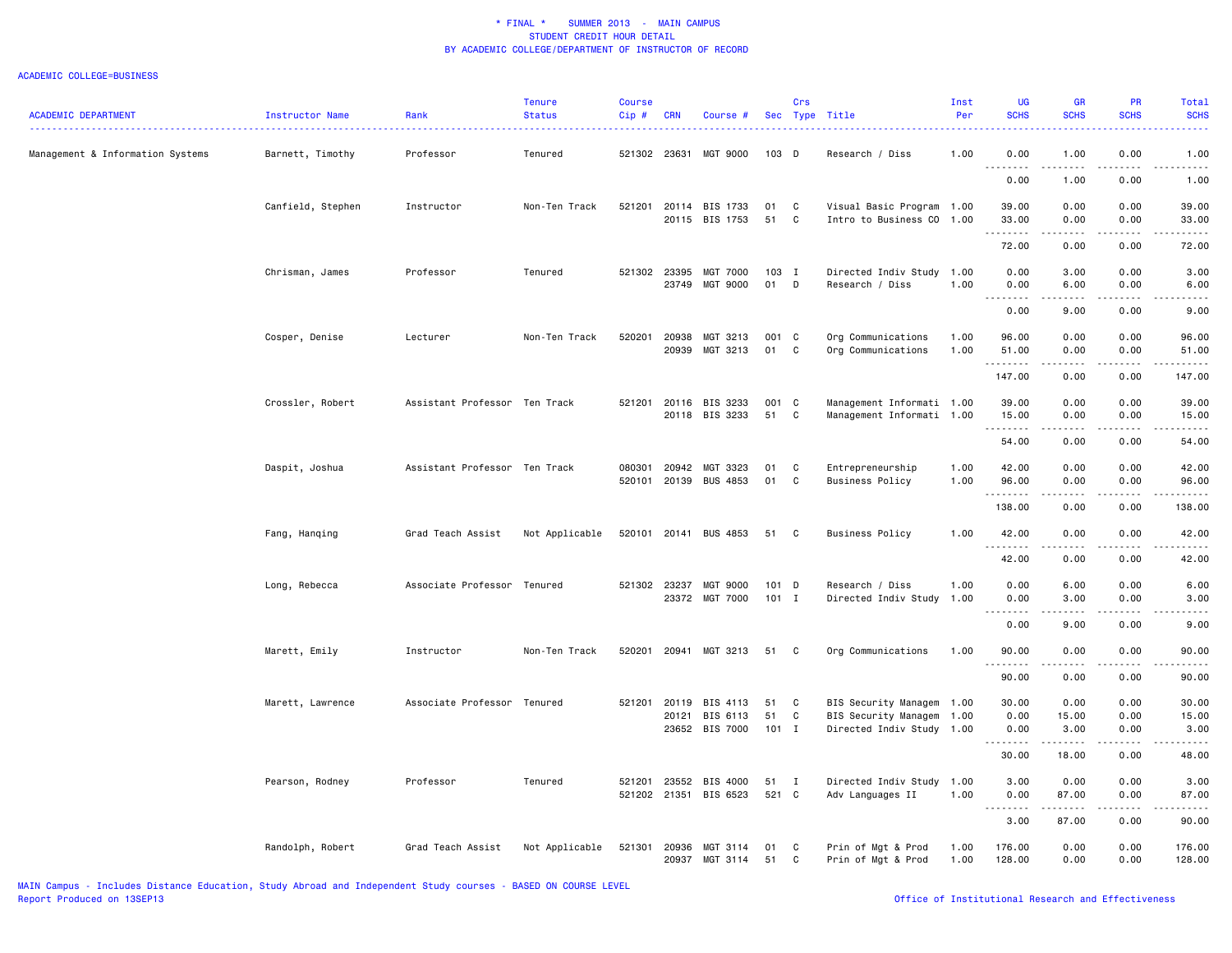| <b>ACADEMIC DEPARTMENT</b>       | Instructor Name   | Rank                          | <b>Tenure</b><br><b>Status</b> | <b>Course</b><br>$Cip$ # | <b>CRN</b>            | Course #                               |                     | Crs               | Sec Type Title                                                                      | Inst<br>Per  | UG<br><b>SCHS</b>                  | GR<br><b>SCHS</b>             | PR<br><b>SCHS</b>                    | Total<br><b>SCHS</b>   |
|----------------------------------|-------------------|-------------------------------|--------------------------------|--------------------------|-----------------------|----------------------------------------|---------------------|-------------------|-------------------------------------------------------------------------------------|--------------|------------------------------------|-------------------------------|--------------------------------------|------------------------|
| Management & Information Systems | Barnett, Timothy  | Professor                     | Tenured                        | 521302 23631             |                       | MGT 9000                               | 103 D               |                   | Research / Diss                                                                     | 1.00         | 0.00                               | 1.00                          | 0.00                                 | .<br>1.00              |
|                                  |                   |                               |                                |                          |                       |                                        |                     |                   |                                                                                     |              | .<br>$\sim$ $\sim$ $\sim$<br>0.00  | .<br>1.00                     | $- - -$<br>0.00                      | .<br>1.00              |
|                                  | Canfield, Stephen | Instructor                    | Non-Ten Track                  | 521201                   | 20114                 | BIS 1733<br>20115 BIS 1753             | 01<br>51            | C<br>C            | Visual Basic Program 1.00<br>Intro to Business CO 1.00                              |              | 39.00<br>33.00                     | 0.00<br>0.00                  | 0.00<br>0.00                         | 39.00<br>33.00         |
|                                  |                   |                               |                                |                          |                       |                                        |                     |                   |                                                                                     |              | .<br>72.00                         | 0.00                          | 0.00                                 | .<br>72.00             |
|                                  | Chrisman, James   | Professor                     | Tenured                        |                          | 521302 23395          | MGT 7000<br>23749 MGT 9000             | 103 I<br>01         | D                 | Directed Indiv Study 1.00<br>Research / Diss                                        | 1.00         | 0.00<br>0.00                       | 3.00<br>6.00                  | 0.00<br>0.00                         | 3.00<br>6.00           |
|                                  |                   |                               |                                |                          |                       |                                        |                     |                   |                                                                                     |              | $\sim$ $\sim$ $\sim$<br>.<br>0.00  | -----<br>9.00                 | .<br>0.00                            | .<br>9.00              |
|                                  | Cosper, Denise    | Lecturer                      | Non-Ten Track                  | 520201                   | 20938<br>20939        | MGT 3213<br>MGT 3213                   | 001 C<br>01         | C                 | Org Communications<br>Org Communications                                            | 1.00<br>1.00 | 96.00<br>51.00<br>.                | 0.00<br>0.00<br>.             | 0.00<br>0.00<br>$\frac{1}{2}$        | 96.00<br>51.00<br>.    |
|                                  |                   |                               |                                |                          |                       |                                        |                     |                   |                                                                                     |              | 147.00                             | 0.00                          | 0.00                                 | 147.00                 |
|                                  | Crossler, Robert  | Assistant Professor Ten Track |                                | 521201                   |                       | 20116 BIS 3233<br>20118 BIS 3233       | 001 C<br>51         | C                 | Management Informati 1.00<br>Management Informati 1.00                              |              | 39.00<br>15.00<br>.                | 0.00<br>0.00<br>.             | 0.00<br>0.00<br>.                    | 39.00<br>15.00<br>.    |
|                                  |                   |                               |                                |                          |                       |                                        |                     |                   |                                                                                     |              | 54.00                              | 0.00                          | 0.00                                 | 54.00                  |
|                                  | Daspit, Joshua    | Assistant Professor Ten Track |                                | 080301<br>520101         | 20942                 | MGT 3323<br>20139 BUS 4853             | 01<br>01            | C<br>C            | Entrepreneurship<br><b>Business Policy</b>                                          | 1.00<br>1.00 | 42.00<br>96.00<br>--------         | 0.00<br>0.00                  | 0.00<br>0.00<br>$\sim$ $\sim$ $\sim$ | 42.00<br>96.00<br>.    |
|                                  |                   |                               |                                |                          |                       |                                        |                     |                   |                                                                                     |              | 138.00                             | 0.00                          | 0.00                                 | 138.00                 |
|                                  | Fang, Hanqing     | Grad Teach Assist             | Not Applicable                 |                          |                       | 520101 20141 BUS 4853                  | 51 C                |                   | Business Policy                                                                     | 1.00         | 42.00<br>.                         | 0.00<br>.                     | 0.00<br>.                            | 42.00<br>.             |
|                                  |                   |                               |                                |                          |                       |                                        |                     |                   |                                                                                     |              | 42.00                              | 0.00                          | 0.00                                 | 42.00                  |
|                                  | Long, Rebecca     | Associate Professor Tenured   |                                |                          | 521302 23237<br>23372 | MGT 9000<br>MGT 7000                   | 101 D<br>$101$ I    |                   | Research / Diss<br>Directed Indiv Study                                             | 1.00<br>1.00 | 0.00<br>0.00<br>.<br>$\sim$ $\sim$ | 6.00<br>3.00<br>$\frac{1}{2}$ | 0.00<br>0.00<br>$\frac{1}{2}$        | 6.00<br>3.00<br>.      |
|                                  |                   |                               |                                |                          |                       |                                        |                     |                   |                                                                                     |              | 0.00                               | 9.00                          | 0.00                                 | 9.00                   |
|                                  | Marett, Emily     | Instructor                    | Non-Ten Track                  | 520201                   | 20941                 | MGT 3213                               | 51                  | C                 | Org Communications                                                                  | 1.00         | 90.00<br>$\sim$ $\sim$ $\sim$<br>. | 0.00                          | 0.00                                 | 90.00                  |
|                                  |                   |                               |                                |                          |                       |                                        |                     |                   |                                                                                     |              | 90.00                              | 0.00                          | 0.00                                 | 90.00                  |
|                                  | Marett, Lawrence  | Associate Professor Tenured   |                                | 521201                   | 20119<br>20121        | BIS 4113<br>BIS 6113<br>23652 BIS 7000 | 51<br>51<br>$101$ I | C<br>C            | BIS Security Managem 1.00<br>BIS Security Managem 1.00<br>Directed Indiv Study 1.00 |              | 30.00<br>0.00<br>0.00              | 0.00<br>15.00<br>3.00         | 0.00<br>0.00<br>0.00                 | 30.00<br>15.00<br>3.00 |
|                                  |                   |                               |                                |                          |                       |                                        |                     |                   |                                                                                     |              | .<br>30.00                         | .<br>18.00                    | .<br>0.00                            | .<br>48.00             |
|                                  | Pearson, Rodney   | Professor                     | Tenured                        | 521201<br>521202         | 23552<br>21351        | BIS 4000<br>BIS 6523                   | 51<br>521 C         | $\mathbf{I}$      | Directed Indiv Study 1.00<br>Adv Languages II                                       | 1.00         | 3.00<br>0.00                       | 0.00<br>87.00                 | 0.00<br>0.00                         | 3.00<br>87.00          |
|                                  |                   |                               |                                |                          |                       |                                        |                     |                   |                                                                                     |              | $\sim$ $\sim$ $\sim$<br>.<br>3.00  | .<br>87.00                    | $\sim$ $\sim$ $\sim$ $\sim$<br>0.00  | .<br>90.00             |
|                                  | Randolph, Robert  | Grad Teach Assist             | Not Applicable                 | 521301                   | 20936<br>20937        | MGT 3114<br>MGT 3114                   | 01<br>51            | C<br>$\mathtt{C}$ | Prin of Mgt & Prod<br>Prin of Mgt & Prod                                            | 1.00<br>1.00 | 176.00<br>128.00                   | 0.00<br>0.00                  | 0.00<br>0.00                         | 176.00<br>128.00       |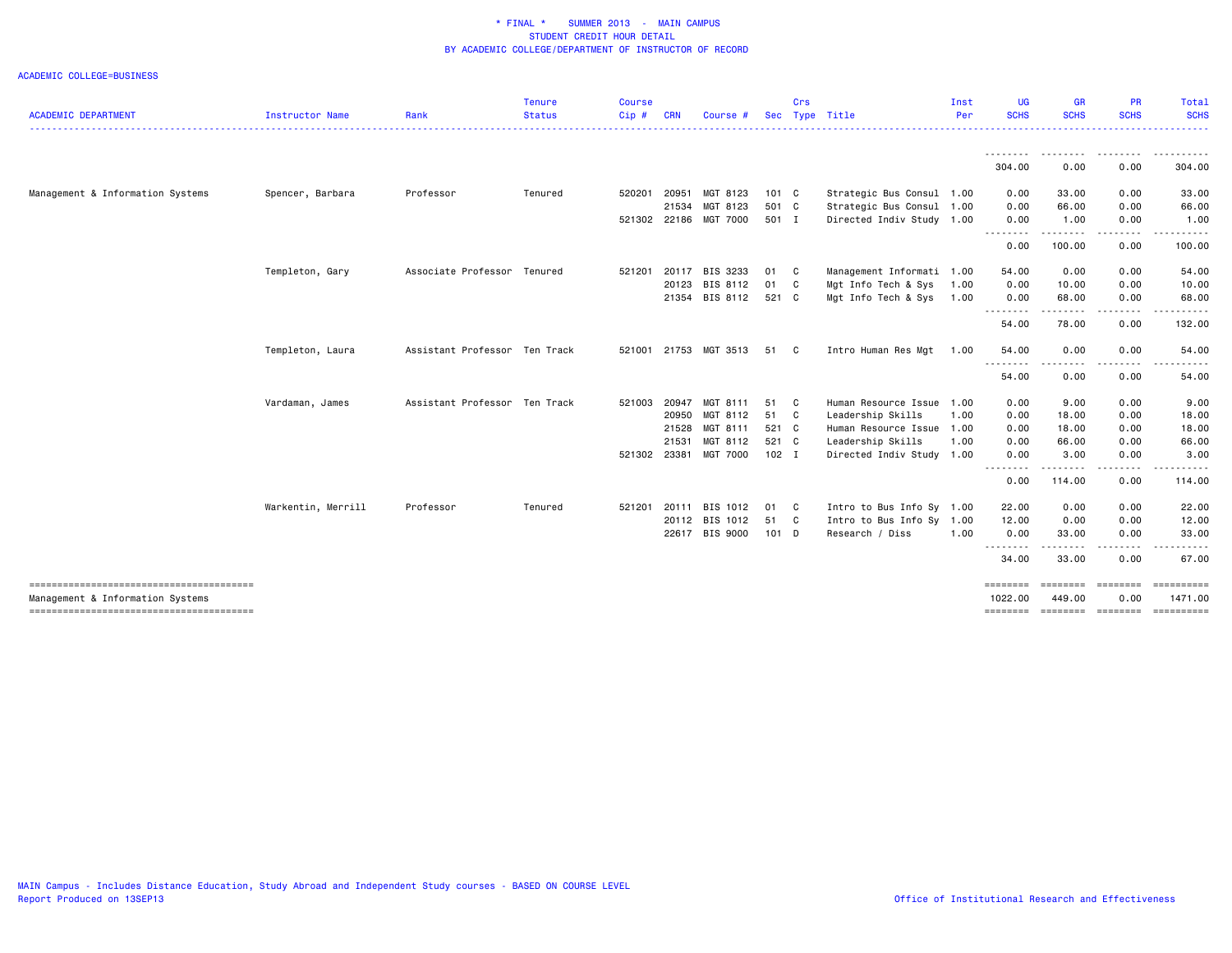|                                        |                        |                               | <b>Tenure</b> | <b>Course</b> |              |                |               | Crs |                           | Inst | UG                              | <b>GR</b>    | PR                | Total                 |
|----------------------------------------|------------------------|-------------------------------|---------------|---------------|--------------|----------------|---------------|-----|---------------------------|------|---------------------------------|--------------|-------------------|-----------------------|
| <b>ACADEMIC DEPARTMENT</b>             | <b>Instructor Name</b> | Rank                          | <b>Status</b> | $Cip$ #       | <b>CRN</b>   | Course #       |               |     | Sec Type Title            | Per  | <b>SCHS</b>                     | <b>SCHS</b>  | <b>SCHS</b>       | <b>SCHS</b>           |
|                                        |                        |                               |               |               |              |                |               |     |                           |      | 304.00                          | .<br>0.00    | --------<br>0.00  | . <u>.</u><br>304.00  |
| Management & Information Systems       | Spencer, Barbara       | Professor                     | Tenured       | 520201        | 20951        | MGT 8123       | $101 \quad C$ |     | Strategic Bus Consul      | 1.00 | 0.00                            | 33.00        | 0.00              | 33.00                 |
|                                        |                        |                               |               |               | 21534        | MGT 8123       | 501 C         |     | Strategic Bus Consul 1.00 |      | 0.00                            | 66.00        | 0.00              | 66.00                 |
|                                        |                        |                               |               |               | 521302 22186 | MGT 7000       | 501 I         |     | Directed Indiv Study 1.00 |      | 0.00<br><u>.</u>                | 1.00         | 0.00              | 1.00                  |
|                                        |                        |                               |               |               |              |                |               |     |                           |      | 0.00                            | .<br>100.00  | .<br>0.00         | 100.00                |
|                                        | Templeton, Gary        | Associate Professor Tenured   |               | 521201        | 20117        | BIS 3233       | 01 C          |     | Management Informati 1.00 |      | 54.00                           | 0.00         | 0.00              | 54.00                 |
|                                        |                        |                               |               |               | 20123        | BIS 8112       | 01 C          |     | Mgt Info Tech & Sys       | 1.00 | 0.00                            | 10.00        | 0.00              | 10.00                 |
|                                        |                        |                               |               |               |              | 21354 BIS 8112 | 521 C         |     | Mgt Info Tech & Sys       | 1.00 | 0.00<br><u>.</u>                | 68.00        | 0.00              | 68.00                 |
|                                        |                        |                               |               |               |              |                |               |     |                           |      | 54.00                           | 78.00        | 0.00              | 132.00                |
|                                        | Templeton, Laura       | Assistant Professor Ten Track |               | 521001        |              | 21753 MGT 3513 | 51 C          |     | Intro Human Res Mgt       | 1.00 | 54.00<br><u>.</u>               | 0.00<br>---- | 0.00              | 54.00                 |
|                                        |                        |                               |               |               |              |                |               |     |                           |      | 54.00                           | 0.00         | 0.00              | 54.00                 |
|                                        | Vardaman, James        | Assistant Professor Ten Track |               | 521003        | 20947        | MGT 8111       | 51 C          |     | Human Resource Issue      | 1.00 | 0.00                            | 9.00         | 0.00              | 9.00                  |
|                                        |                        |                               |               |               | 20950        | MGT 8112       | 51 C          |     | Leadership Skills         | 1.00 | 0.00                            | 18.00        | 0.00              | 18.00                 |
|                                        |                        |                               |               |               | 21528        | MGT 8111       | 521 C         |     | Human Resource Issue 1.00 |      | 0.00                            | 18.00        | 0.00              | 18.00                 |
|                                        |                        |                               |               |               | 21531        | MGT 8112       | 521 C         |     | Leadership Skills         | 1.00 | 0.00                            | 66.00        | 0.00              | 66.00                 |
|                                        |                        |                               |               |               | 521302 23381 | MGT 7000       | $102$ I       |     | Directed Indiv Study 1.00 |      | 0.00<br><u> - - - - - - - -</u> | 3.00         | 0.00              | 3.00                  |
|                                        |                        |                               |               |               |              |                |               |     |                           |      | 0.00                            | 114.00       | 0.00              | 114.00                |
|                                        | Warkentin, Merrill     | Professor                     | Tenured       |               | 521201 20111 | BIS 1012       | 01 C          |     | Intro to Bus Info Sy 1.00 |      | 22.00                           | 0.00         | 0.00              | 22.00                 |
|                                        |                        |                               |               |               |              | 20112 BIS 1012 | 51 C          |     | Intro to Bus Info Sy 1.00 |      | 12.00                           | 0.00         | 0.00              | 12.00                 |
|                                        |                        |                               |               |               |              | 22617 BIS 9000 | 101 D         |     | Research / Diss           | 1.00 | 0.00<br>.                       | 33.00<br>.   | 0.00<br>.         | 33.00<br>.            |
|                                        |                        |                               |               |               |              |                |               |     |                           |      | 34.00                           | 33.00        | 0.00              | 67.00                 |
| Management & Information Systems       |                        |                               |               |               |              |                |               |     |                           |      | ========<br>1022.00             | 449.00       | 0.00              | ==========<br>1471.00 |
| -------------------------------------- |                        |                               |               |               |              |                |               |     |                           |      | ========                        |              | ======== ======== |                       |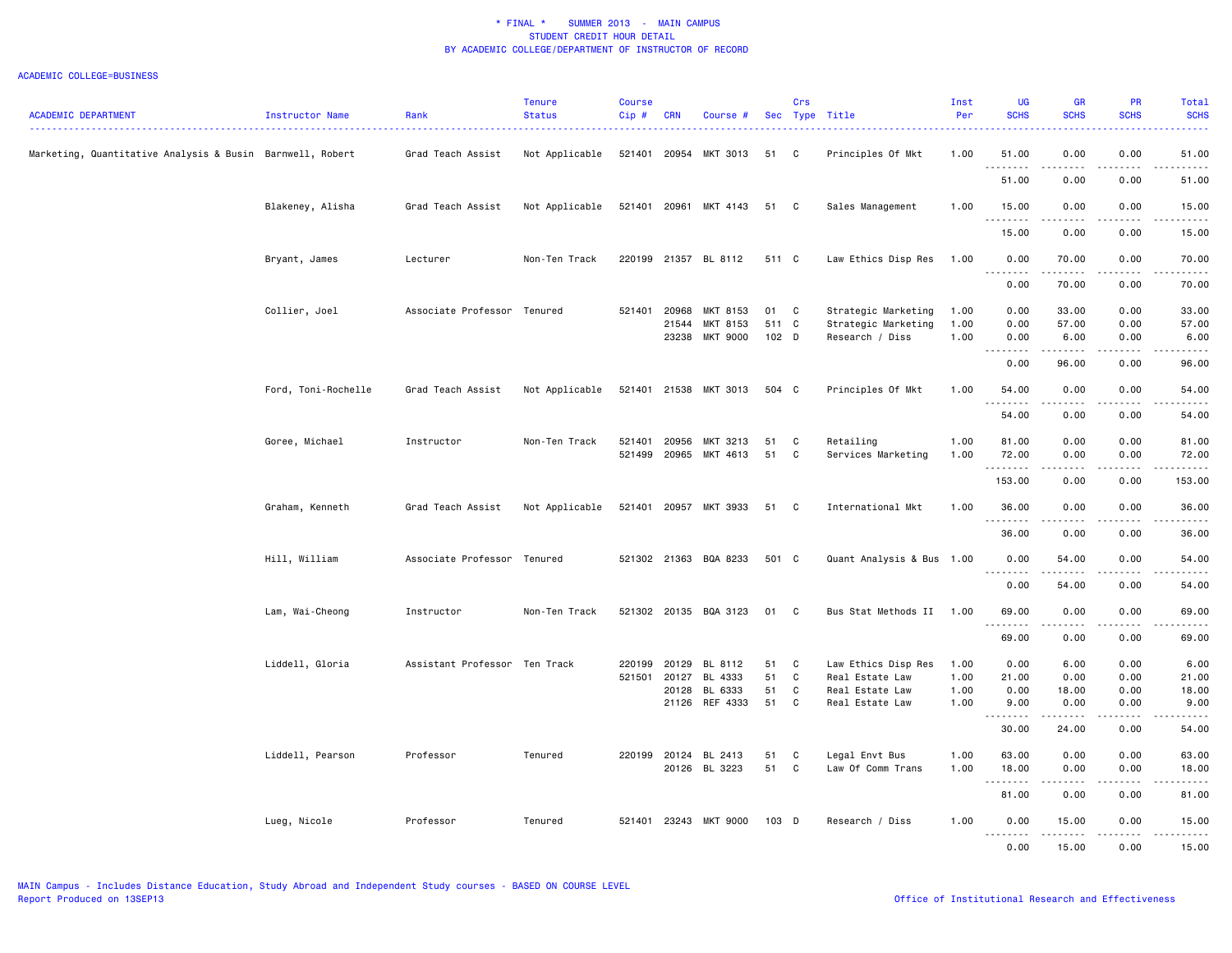| <b>ACADEMIC DEPARTMENT</b>                                | Instructor Name     | Rank                          | <b>Tenure</b><br><b>Status</b> | Course<br>Cip# | <b>CRN</b>     | Course #                    |                | Crs          | Sec Type Title                         | Inst<br>Per  | <b>UG</b><br><b>SCHS</b> | <b>GR</b><br><b>SCHS</b> | <b>PR</b><br><b>SCHS</b> | Total<br><b>SCHS</b>       |
|-----------------------------------------------------------|---------------------|-------------------------------|--------------------------------|----------------|----------------|-----------------------------|----------------|--------------|----------------------------------------|--------------|--------------------------|--------------------------|--------------------------|----------------------------|
| Marketing, Quantitative Analysis & Busin Barnwell, Robert |                     | Grad Teach Assist             | Not Applicable                 | 521401         | 20954          | MKT 3013                    | 51             | C            | Principles Of Mkt                      | 1.00         | 51.00                    | 0.00                     | 0.00                     | 51.00                      |
|                                                           |                     |                               |                                |                |                |                             |                |              |                                        |              | .<br>51.00               | 0.00                     | 0.00                     | 51.00                      |
|                                                           | Blakeney, Alisha    | Grad Teach Assist             | Not Applicable                 |                |                | 521401 20961 MKT 4143       | 51             | C            | Sales Management                       | 1.00         | 15.00<br>.               | 0.00                     | 0.00                     | 15.00<br>.                 |
|                                                           |                     |                               |                                |                |                |                             |                |              |                                        |              | 15.00                    | 0.00                     | 0.00                     | 15.00                      |
|                                                           | Bryant, James       | Lecturer                      | Non-Ten Track                  |                |                | 220199 21357 BL 8112        | 511 C          |              | Law Ethics Disp Res                    | 1.00         | 0.00<br>1.1.1.1.1.1.1    | 70.00<br>. <b>.</b>      | 0.00<br>.                | 70.00<br>.                 |
|                                                           |                     |                               |                                |                |                |                             |                |              |                                        |              | 0.00                     | 70.00                    | 0.00                     | 70.00                      |
|                                                           | Collier, Joel       | Associate Professor Tenured   |                                | 521401         | 20968          | MKT 8153                    | 01             | $\mathbf{C}$ | Strategic Marketing                    | 1.00         | 0.00                     | 33.00                    | 0.00                     | 33.00                      |
|                                                           |                     |                               |                                |                | 21544<br>23238 | MKT 8153<br><b>MKT 9000</b> | 511 C<br>102 D |              | Strategic Marketing<br>Research / Diss | 1.00<br>1.00 | 0.00<br>0.00             | 57.00<br>6.00            | 0.00<br>0.00             | 57.00<br>6.00              |
|                                                           |                     |                               |                                |                |                |                             |                |              |                                        |              | .<br>0.00                | 96.00                    | 0.00                     | .<br>96.00                 |
|                                                           |                     |                               |                                |                |                |                             |                |              |                                        |              |                          |                          |                          |                            |
|                                                           | Ford, Toni-Rochelle | Grad Teach Assist             | Not Applicable                 |                |                | 521401 21538 MKT 3013       | 504 C          |              | Principles Of Mkt                      | 1.00         | 54.00<br>.               | 0.00<br>.                | 0.00                     | 54.00<br>.                 |
|                                                           |                     |                               |                                |                |                |                             |                |              |                                        |              | 54.00                    | 0.00                     | 0.00                     | 54.00                      |
|                                                           | Goree, Michael      | Instructor                    | Non-Ten Track                  | 521401         | 20956          | MKT 3213                    | 51             | C            | Retailing                              | 1.00         | 81.00                    | 0.00                     | 0.00                     | 81.00                      |
|                                                           |                     |                               |                                | 521499         | 20965          | MKT 4613                    | 51             | C            | Services Marketing                     | 1.00         | 72.00<br>.               | 0.00<br>المتمالين        | 0.00<br>.                | 72.00<br>.                 |
|                                                           |                     |                               |                                |                |                |                             |                |              |                                        |              | 153.00                   | 0.00                     | 0.00                     | 153.00                     |
|                                                           | Graham, Kenneth     | Grad Teach Assist             | Not Applicable                 |                |                | 521401 20957 MKT 3933       | 51             | $\mathbf{C}$ | International Mkt                      | 1.00         | 36.00<br>.               | 0.00<br>.                | 0.00<br>.                | 36.00<br>.                 |
|                                                           |                     |                               |                                |                |                |                             |                |              |                                        |              | 36.00                    | 0.00                     | 0.00                     | 36.00                      |
|                                                           | Hill, William       | Associate Professor Tenured   |                                |                |                | 521302 21363 BQA 8233       | 501 C          |              | Quant Analysis & Bus 1.00              |              | 0.00<br>.                | 54.00                    | 0.00                     | 54.00<br>المالم المالية ال |
|                                                           |                     |                               |                                |                |                |                             |                |              |                                        |              | 0.00                     | 54.00                    | 0.00                     | 54.00                      |
|                                                           | Lam, Wai-Cheong     | Instructor                    | Non-Ten Track                  |                |                | 521302 20135 BQA 3123       | 01             | C            | Bus Stat Methods II                    | 1.00         | 69.00<br>.               | 0.00                     | 0.00                     | 69.00<br>.                 |
|                                                           |                     |                               |                                |                |                |                             |                |              |                                        |              | 69.00                    | 0.00                     | 0.00                     | 69.00                      |
|                                                           | Liddell, Gloria     | Assistant Professor Ten Track |                                | 220199         | 20129          | BL 8112                     | 51             | C            | Law Ethics Disp Res                    | 1.00         | 0.00                     | 6.00                     | 0.00                     | 6.00                       |
|                                                           |                     |                               |                                | 521501 20127   |                | BL 4333                     | 51             | C            | Real Estate Law                        | 1.00         | 21.00                    | 0.00                     | 0.00                     | 21.00                      |
|                                                           |                     |                               |                                |                | 20128          | BL 6333                     | 51             | C            | Real Estate Law                        | 1.00         | 0.00                     | 18.00                    | 0.00                     | 18.00                      |
|                                                           |                     |                               |                                |                |                | 21126 REF 4333              | 51             | C            | Real Estate Law                        | 1.00         | 9.00                     | 0.00<br>.                | 0.00                     | 9.00<br>.                  |
|                                                           |                     |                               |                                |                |                |                             |                |              |                                        |              | 30.00                    | 24.00                    | 0.00                     | 54.00                      |
|                                                           | Liddell, Pearson    | Professor                     | Tenured                        |                |                | 220199 20124 BL 2413        | 51             | C            | Legal Envt Bus                         | 1.00         | 63.00                    | 0.00                     | 0.00                     | 63.00                      |
|                                                           |                     |                               |                                |                |                | 20126 BL 3223               | 51             | C            | Law Of Comm Trans                      | 1.00         | 18.00<br>.               | 0.00<br>.                | 0.00<br>.                | 18.00<br>.                 |
|                                                           |                     |                               |                                |                |                |                             |                |              |                                        |              | 81.00                    | 0.00                     | 0.00                     | 81.00                      |
|                                                           | Lueg, Nicole        | Professor                     | Tenured                        | 521401         |                | 23243 MKT 9000              | 103 D          |              | Research / Diss                        | 1.00         | 0.00                     | 15.00<br>.               | 0.00<br>. <b>.</b>       | 15.00<br>.                 |
|                                                           |                     |                               |                                |                |                |                             |                |              |                                        |              | 0.00                     | 15.00                    | 0.00                     | 15.00                      |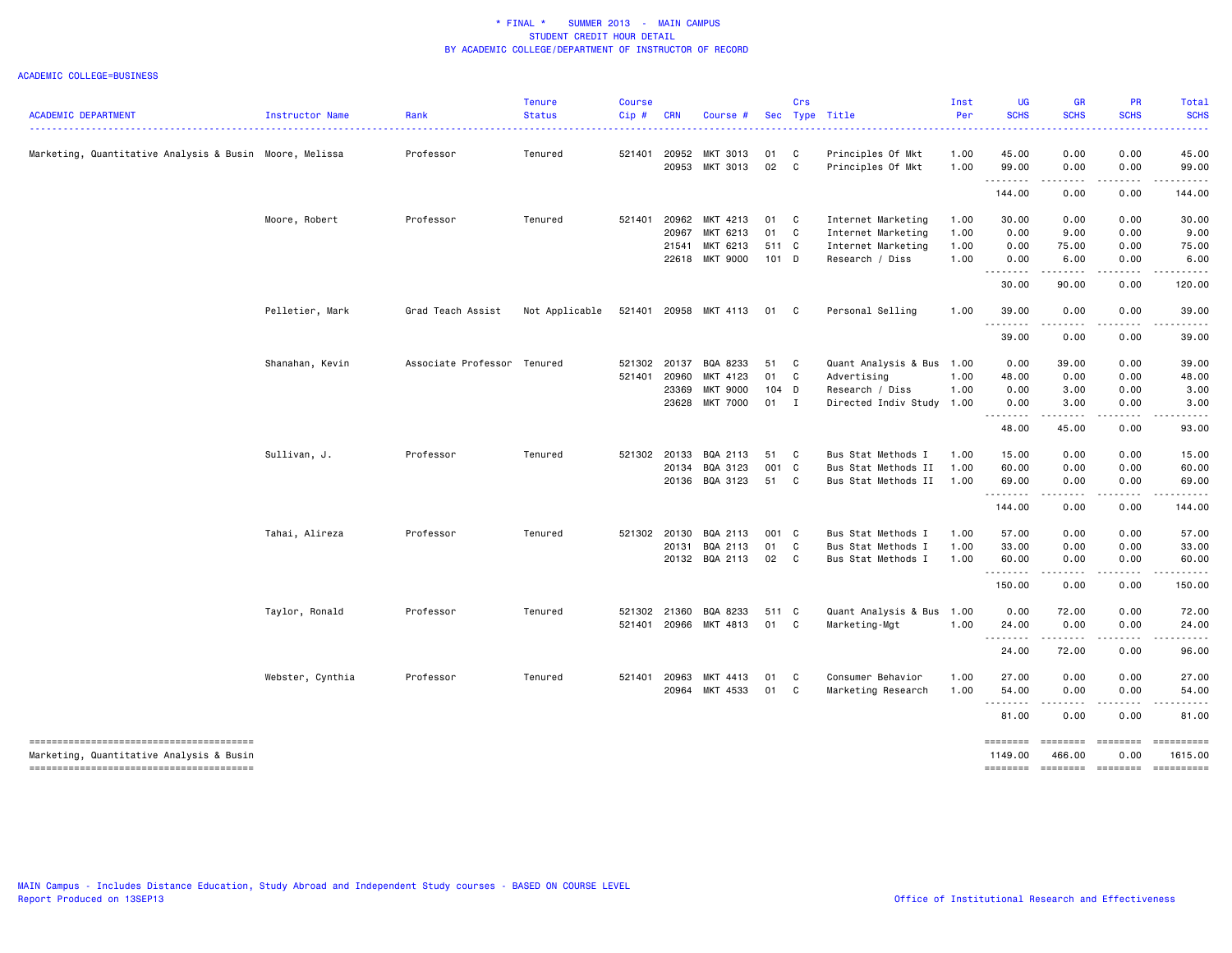|                                                         |                  |                             | <b>Tenure</b>  | <b>Course</b> |              |                            |         | Crs          |                      | Inst | <b>UG</b>           | <b>GR</b>                            | PR                   | <b>Total</b>          |
|---------------------------------------------------------|------------------|-----------------------------|----------------|---------------|--------------|----------------------------|---------|--------------|----------------------|------|---------------------|--------------------------------------|----------------------|-----------------------|
| <b>ACADEMIC DEPARTMENT</b>                              | Instructor Name  | Rank                        | <b>Status</b>  | Cip#          | <b>CRN</b>   | Course #                   |         |              | Sec Type Title       | Per  | <b>SCHS</b>         | <b>SCHS</b>                          | <b>SCHS</b>          | <b>SCHS</b>           |
| Marketing, Quantitative Analysis & Busin Moore, Melissa |                  | Professor                   | Tenured        | 521401        | 20952        | MKT 3013                   | 01      | C            | Principles Of Mkt    | 1.00 | 45.00               | 0.00                                 | 0.00                 | 45.00                 |
|                                                         |                  |                             |                |               |              | 20953 MKT 3013             | 02      | $\mathbf{C}$ | Principles Of Mkt    | 1.00 | 99.00               | 0.00                                 | 0.00                 | 99.00                 |
|                                                         |                  |                             |                |               |              |                            |         |              |                      |      | .<br>144.00         | - - - -<br>0.00                      | 0.00                 | 144.00                |
|                                                         | Moore, Robert    | Professor                   | Tenured        | 521401        | 20962        | MKT 4213                   | 01 C    |              | Internet Marketing   | 1.00 | 30.00               | 0.00                                 | 0.00                 | 30.00                 |
|                                                         |                  |                             |                |               | 20967        | MKT 6213                   | 01 C    |              | Internet Marketing   | 1.00 | 0.00                | 9.00                                 | 0.00                 | 9.00                  |
|                                                         |                  |                             |                |               | 21541        | MKT 6213                   | 511 C   |              | Internet Marketing   | 1.00 | 0.00                | 75.00                                | 0.00                 | 75.00                 |
|                                                         |                  |                             |                |               |              | 22618 MKT 9000             | $101$ D |              | Research / Diss      | 1.00 | 0.00<br>.           | 6.00                                 | 0.00                 | 6.00                  |
|                                                         |                  |                             |                |               |              |                            |         |              |                      |      | 30.00               | 90.00                                | 0.00                 | 120.00                |
|                                                         | Pelletier, Mark  | Grad Teach Assist           | Not Applicable |               |              | 521401 20958 MKT 4113 01 C |         |              | Personal Selling     | 1.00 | 39.00               | 0.00                                 | 0.00                 | 39.00                 |
|                                                         |                  |                             |                |               |              |                            |         |              |                      |      | .<br>39.00          | 0.00                                 | 0.00                 | 39.00                 |
|                                                         | Shanahan, Kevin  | Associate Professor Tenured |                | 521302        | 20137        | BQA 8233                   | 51 C    |              | Quant Analysis & Bus | 1.00 | 0.00                | 39.00                                | 0.00                 | 39.00                 |
|                                                         |                  |                             |                | 521401        | 20960        | MKT 4123                   | 01 C    |              | Advertising          | 1.00 | 48.00               | 0.00                                 | 0.00                 | 48.00                 |
|                                                         |                  |                             |                |               | 23369        | MKT 9000                   | 104 D   |              | Research / Diss      | 1.00 | 0.00                | 3.00                                 | 0.00                 | 3.00                  |
|                                                         |                  |                             |                |               |              | 23628 MKT 7000             | $01$ I  |              | Directed Indiv Study | 1.00 | 0.00                | 3.00                                 | 0.00                 | 3.00                  |
|                                                         |                  |                             |                |               |              |                            |         |              |                      |      | .<br>48.00          | $- - -$<br>45.00                     | 0.00                 | 93.00                 |
|                                                         | Sullivan, J.     | Professor                   | Tenured        | 521302        | 20133        | BQA 2113                   | 51 C    |              | Bus Stat Methods I   | 1.00 | 15.00               | 0.00                                 | 0.00                 | 15.00                 |
|                                                         |                  |                             |                |               | 20134        | BQA 3123                   | 001 C   |              | Bus Stat Methods II  | 1.00 | 60.00               | 0.00                                 | 0.00                 | 60.00                 |
|                                                         |                  |                             |                |               |              | 20136 BQA 3123             | 51 C    |              | Bus Stat Methods II  | 1.00 | 69.00               | 0.00                                 | 0.00                 | 69.00                 |
|                                                         |                  |                             |                |               |              |                            |         |              |                      |      | .<br>144.00         | .<br>0.00                            | 0.00                 | 144.00                |
|                                                         | Tahai, Alireza   | Professor                   | Tenured        |               | 521302 20130 | BQA 2113                   | 001 C   |              | Bus Stat Methods I   | 1.00 | 57.00               | 0.00                                 | 0.00                 | 57.00                 |
|                                                         |                  |                             |                |               | 20131        | BQA 2113                   | 01 C    |              | Bus Stat Methods I   | 1.00 | 33.00               | 0.00                                 | 0.00                 | 33.00                 |
|                                                         |                  |                             |                |               |              | 20132 BQA 2113             | 02 C    |              | Bus Stat Methods I   | 1.00 | 60.00               | 0.00                                 | 0.00                 | 60.00                 |
|                                                         |                  |                             |                |               |              |                            |         |              |                      |      | .<br>150.00         | .<br>0.00                            | .<br>0.00            | .<br>150.00           |
|                                                         | Taylor, Ronald   | Professor                   | Tenured        |               | 521302 21360 | BQA 8233                   | 511 C   |              | Quant Analysis & Bus | 1.00 | 0.00                | 72.00                                | 0.00                 | 72.00                 |
|                                                         |                  |                             |                | 521401        |              | 20966 MKT 4813             | 01 C    |              | Marketing-Mgt        | 1.00 | 24.00               | 0.00                                 | 0.00                 | 24.00                 |
|                                                         |                  |                             |                |               |              |                            |         |              |                      |      | .<br>24.00          | $\sim$ $\sim$ $\sim$ $\sim$<br>72.00 | .<br>0.00            | 96.00                 |
|                                                         | Webster, Cynthia | Professor                   | Tenured        | 521401        | 20963        | MKT 4413                   | 01      | C            | Consumer Behavior    | 1.00 | 27.00               | 0.00                                 | 0.00                 | 27.00                 |
|                                                         |                  |                             |                |               | 20964        | MKT 4533                   | 01 C    |              | Marketing Research   | 1.00 | 54.00               | 0.00                                 | 0.00                 | 54.00                 |
|                                                         |                  |                             |                |               |              |                            |         |              |                      |      | 81.00               | 0.00                                 | 0.00                 | 81.00                 |
| Marketing, Quantitative Analysis & Busin                |                  |                             |                |               |              |                            |         |              |                      |      | ========<br>1149.00 | ========<br>466.00                   | $=$ ========<br>0.00 | ==========<br>1615.00 |
| --------------------------------------                  |                  |                             |                |               |              |                            |         |              |                      |      | <b>SEEEEEE</b>      | ========                             | ========             |                       |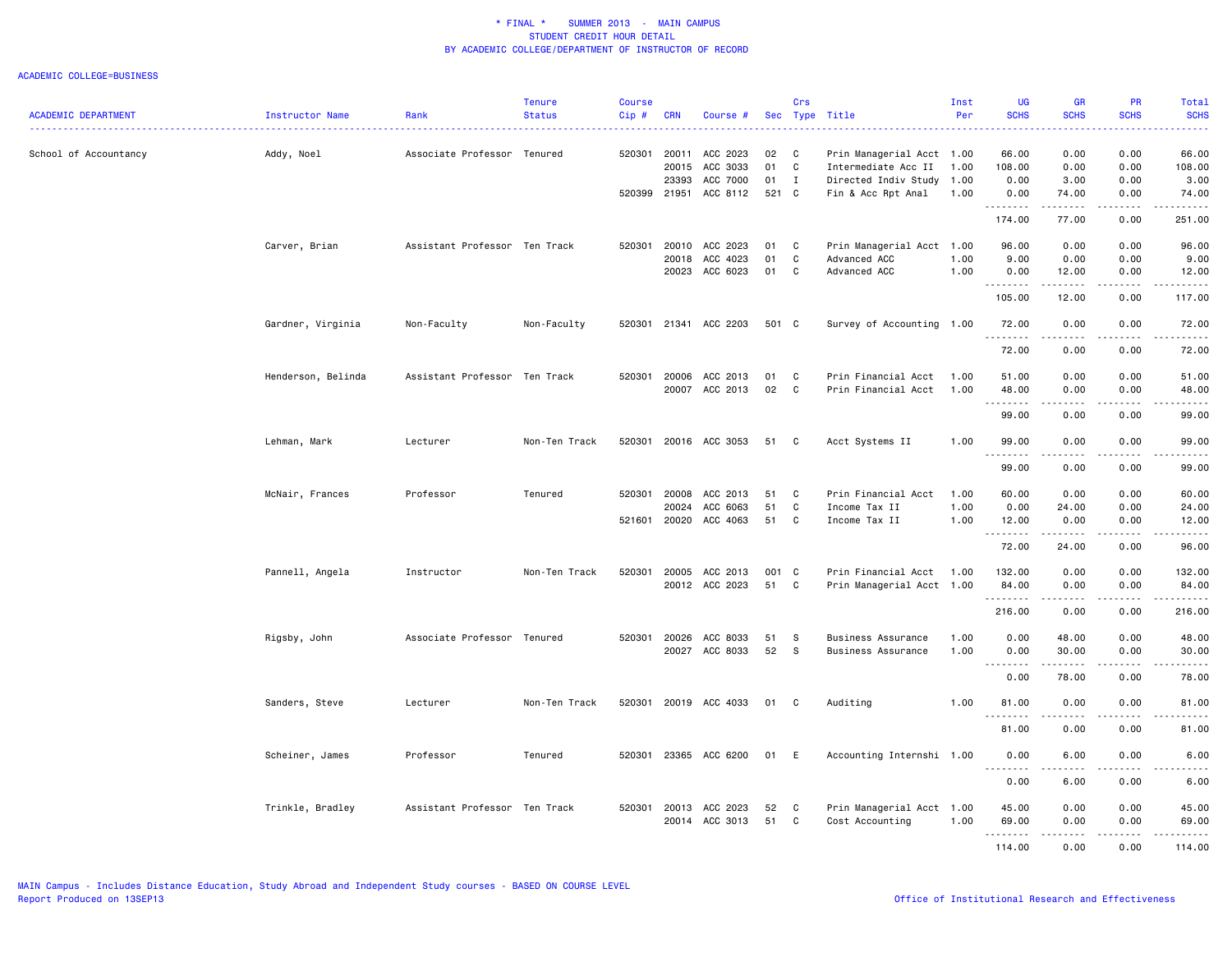|                            |                    |                               | <b>Tenure</b> | <b>Course</b> |            |                |       | Crs          |                           | Inst | <b>UG</b>                                                                                                   | <b>GR</b>                                                                                                                                                    | PR                                  | Total                                                                                                                                                                                     |
|----------------------------|--------------------|-------------------------------|---------------|---------------|------------|----------------|-------|--------------|---------------------------|------|-------------------------------------------------------------------------------------------------------------|--------------------------------------------------------------------------------------------------------------------------------------------------------------|-------------------------------------|-------------------------------------------------------------------------------------------------------------------------------------------------------------------------------------------|
| <b>ACADEMIC DEPARTMENT</b> | Instructor Name    | Rank                          | <b>Status</b> | Cip#          | <b>CRN</b> | Course #       |       |              | Sec Type Title            | Per  | <b>SCHS</b>                                                                                                 | <b>SCHS</b>                                                                                                                                                  | <b>SCHS</b>                         | <b>SCHS</b><br>ا کا کا کا ک                                                                                                                                                               |
| School of Accountancy      | Addy, Noel         | Associate Professor Tenured   |               | 520301        | 20011      | ACC 2023       | 02    | C            | Prin Managerial Acct 1.00 |      | 66.00                                                                                                       | 0.00                                                                                                                                                         | 0.00                                | 66.00                                                                                                                                                                                     |
|                            |                    |                               |               |               | 20015      | ACC 3033       | 01    | C            | Intermediate Acc II       | 1.00 | 108.00                                                                                                      | 0.00                                                                                                                                                         | 0.00                                | 108.00                                                                                                                                                                                    |
|                            |                    |                               |               |               | 23393      | ACC 7000       | 01    | $\mathbf{I}$ | Directed Indiv Study      | 1.00 | 0.00                                                                                                        | 3.00                                                                                                                                                         | 0.00                                | 3.00                                                                                                                                                                                      |
|                            |                    |                               |               | 520399 21951  |            | ACC 8112       | 521 C |              | Fin & Acc Rpt Anal        | 1.00 | 0.00<br>.                                                                                                   | 74.00<br>.                                                                                                                                                   | 0.00<br>د د د د                     | 74.00<br>.                                                                                                                                                                                |
|                            |                    |                               |               |               |            |                |       |              |                           |      | 174.00                                                                                                      | 77.00                                                                                                                                                        | 0.00                                | 251.00                                                                                                                                                                                    |
|                            | Carver, Brian      | Assistant Professor Ten Track |               | 520301        | 20010      | ACC 2023       | 01    | C<br>C       | Prin Managerial Acct 1.00 |      | 96.00                                                                                                       | 0.00                                                                                                                                                         | 0.00                                | 96.00                                                                                                                                                                                     |
|                            |                    |                               |               |               | 20018      | ACC 4023       | 01    |              | Advanced ACC              | 1.00 | 9.00                                                                                                        | 0.00                                                                                                                                                         | 0.00                                | 9.00                                                                                                                                                                                      |
|                            |                    |                               |               |               | 20023      | ACC 6023       | 01    | C            | Advanced ACC              | 1.00 | 0.00<br>.                                                                                                   | 12.00<br>.                                                                                                                                                   | 0.00<br>.                           | 12.00<br>.                                                                                                                                                                                |
|                            |                    |                               |               |               |            |                |       |              |                           |      | 105.00                                                                                                      | 12.00                                                                                                                                                        | 0.00                                | 117.00                                                                                                                                                                                    |
|                            | Gardner, Virginia  | Non-Faculty                   | Non-Faculty   | 520301        |            | 21341 ACC 2203 | 501 C |              | Survey of Accounting 1.00 |      | 72.00<br>.                                                                                                  | 0.00<br>-----                                                                                                                                                | 0.00<br>.                           | 72.00<br>.                                                                                                                                                                                |
|                            |                    |                               |               |               |            |                |       |              |                           |      | 72.00                                                                                                       | 0.00                                                                                                                                                         | 0.00                                | 72.00                                                                                                                                                                                     |
|                            | Henderson, Belinda | Assistant Professor Ten Track |               | 520301 20006  |            | ACC 2013       | 01    | C            | Prin Financial Acct 1.00  |      | 51.00                                                                                                       | 0.00                                                                                                                                                         | 0.00                                | 51.00                                                                                                                                                                                     |
|                            |                    |                               |               |               |            | 20007 ACC 2013 | 02    | C            | Prin Financial Acct       | 1.00 | 48.00<br>.                                                                                                  | 0.00<br>$- - - - -$                                                                                                                                          | 0.00<br>.                           | 48.00<br>.                                                                                                                                                                                |
|                            |                    |                               |               |               |            |                |       |              |                           |      | 99.00                                                                                                       | 0.00                                                                                                                                                         | 0.00                                | 99.00                                                                                                                                                                                     |
|                            | Lehman, Mark       | Lecturer                      | Non-Ten Track | 520301        |            | 20016 ACC 3053 | 51    | C            | Acct Systems II           | 1.00 | 99.00                                                                                                       | 0.00<br>$\frac{1}{2} \left( \frac{1}{2} \right) \left( \frac{1}{2} \right) \left( \frac{1}{2} \right) \left( \frac{1}{2} \right) \left( \frac{1}{2} \right)$ | 0.00<br>د د د د                     | 99.00<br>.                                                                                                                                                                                |
|                            |                    |                               |               |               |            |                |       |              |                           |      | 99.00                                                                                                       | 0.00                                                                                                                                                         | 0.00                                | 99.00                                                                                                                                                                                     |
|                            | McNair, Frances    | Professor                     | Tenured       | 520301        | 20008      | ACC 2013       | 51    | C            | Prin Financial Acct       | 1.00 | 60.00                                                                                                       | 0.00                                                                                                                                                         | 0.00                                | 60.00                                                                                                                                                                                     |
|                            |                    |                               |               |               | 20024      | ACC 6063       | 51    | C            | Income Tax II             | 1.00 | 0.00                                                                                                        | 24.00                                                                                                                                                        | 0.00                                | 24.00                                                                                                                                                                                     |
|                            |                    |                               |               | 521601        | 20020      | ACC 4063       | 51    | C            | Income Tax II             | 1.00 | 12.00<br>. <b>.</b>                                                                                         | 0.00<br>.                                                                                                                                                    | 0.00<br>$\sim$ $\sim$ $\sim$ $\sim$ | 12.00<br>.                                                                                                                                                                                |
|                            |                    |                               |               |               |            |                |       |              |                           |      | 72.00                                                                                                       | 24.00                                                                                                                                                        | 0.00                                | 96.00                                                                                                                                                                                     |
|                            | Pannell, Angela    | Instructor                    | Non-Ten Track | 520301        | 20005      | ACC 2013       | 001 C |              | Prin Financial Acct       | 1.00 | 132.00                                                                                                      | 0.00                                                                                                                                                         | 0.00                                | 132.00                                                                                                                                                                                    |
|                            |                    |                               |               |               |            | 20012 ACC 2023 | 51    | C            | Prin Managerial Acct 1.00 |      | 84.00                                                                                                       | 0.00                                                                                                                                                         | 0.00                                | 84.00                                                                                                                                                                                     |
|                            |                    |                               |               |               |            |                |       |              |                           |      | . <b>.</b><br>216.00                                                                                        | 0.00                                                                                                                                                         | 0.00                                | ه د د د د<br>216.00                                                                                                                                                                       |
|                            | Rigsby, John       | Associate Professor Tenured   |               | 520301 20026  |            | ACC 8033       | 51    | - S          | <b>Business Assurance</b> | 1.00 | 0.00                                                                                                        | 48.00                                                                                                                                                        | 0.00                                | 48.00                                                                                                                                                                                     |
|                            |                    |                               |               |               |            | 20027 ACC 8033 | 52    | <b>S</b>     | Business Assurance        | 1.00 | 0.00                                                                                                        | 30.00                                                                                                                                                        | 0.00                                | 30.00                                                                                                                                                                                     |
|                            |                    |                               |               |               |            |                |       |              |                           |      | .<br>$\frac{1}{2} \left( \frac{1}{2} \right) \left( \frac{1}{2} \right) \left( \frac{1}{2} \right)$<br>0.00 | .<br>78.00                                                                                                                                                   | الأعامات<br>0.00                    | .<br>78.00                                                                                                                                                                                |
|                            | Sanders, Steve     | Lecturer                      | Non-Ten Track | 520301        |            | 20019 ACC 4033 | 01    | C            | Auditing                  | 1.00 | 81.00                                                                                                       | 0.00                                                                                                                                                         | 0.00                                | 81.00                                                                                                                                                                                     |
|                            |                    |                               |               |               |            |                |       |              |                           |      | <u>.</u><br>81.00                                                                                           | 0.00                                                                                                                                                         | 0.00                                | 81.00                                                                                                                                                                                     |
|                            |                    |                               |               |               |            |                |       |              |                           |      |                                                                                                             |                                                                                                                                                              |                                     |                                                                                                                                                                                           |
|                            | Scheiner, James    | Professor                     | Tenured       | 520301        |            | 23365 ACC 6200 | 01    | E            | Accounting Internshi 1.00 |      | 0.00                                                                                                        | 6.00                                                                                                                                                         | 0.00                                | 6.00                                                                                                                                                                                      |
|                            |                    |                               |               |               |            |                |       |              |                           |      | 0.00                                                                                                        | 6.00                                                                                                                                                         | 0.00                                | 6.00                                                                                                                                                                                      |
|                            | Trinkle, Bradley   | Assistant Professor Ten Track |               | 520301 20013  |            | ACC 2023       | 52    | C            | Prin Managerial Acct 1.00 |      | 45.00                                                                                                       | 0.00                                                                                                                                                         | 0.00                                | 45.00                                                                                                                                                                                     |
|                            |                    |                               |               |               |            | 20014 ACC 3013 | 51    | $\mathbf c$  | Cost Accounting           | 1.00 | 69.00                                                                                                       | 0.00                                                                                                                                                         | 0.00                                | 69.00                                                                                                                                                                                     |
|                            |                    |                               |               |               |            |                |       |              |                           |      | .<br>114.00                                                                                                 | .<br>0.00                                                                                                                                                    | .<br>0.00                           | $\frac{1}{2} \left( \frac{1}{2} \right) \left( \frac{1}{2} \right) \left( \frac{1}{2} \right) \left( \frac{1}{2} \right) \left( \frac{1}{2} \right) \left( \frac{1}{2} \right)$<br>114.00 |
|                            |                    |                               |               |               |            |                |       |              |                           |      |                                                                                                             |                                                                                                                                                              |                                     |                                                                                                                                                                                           |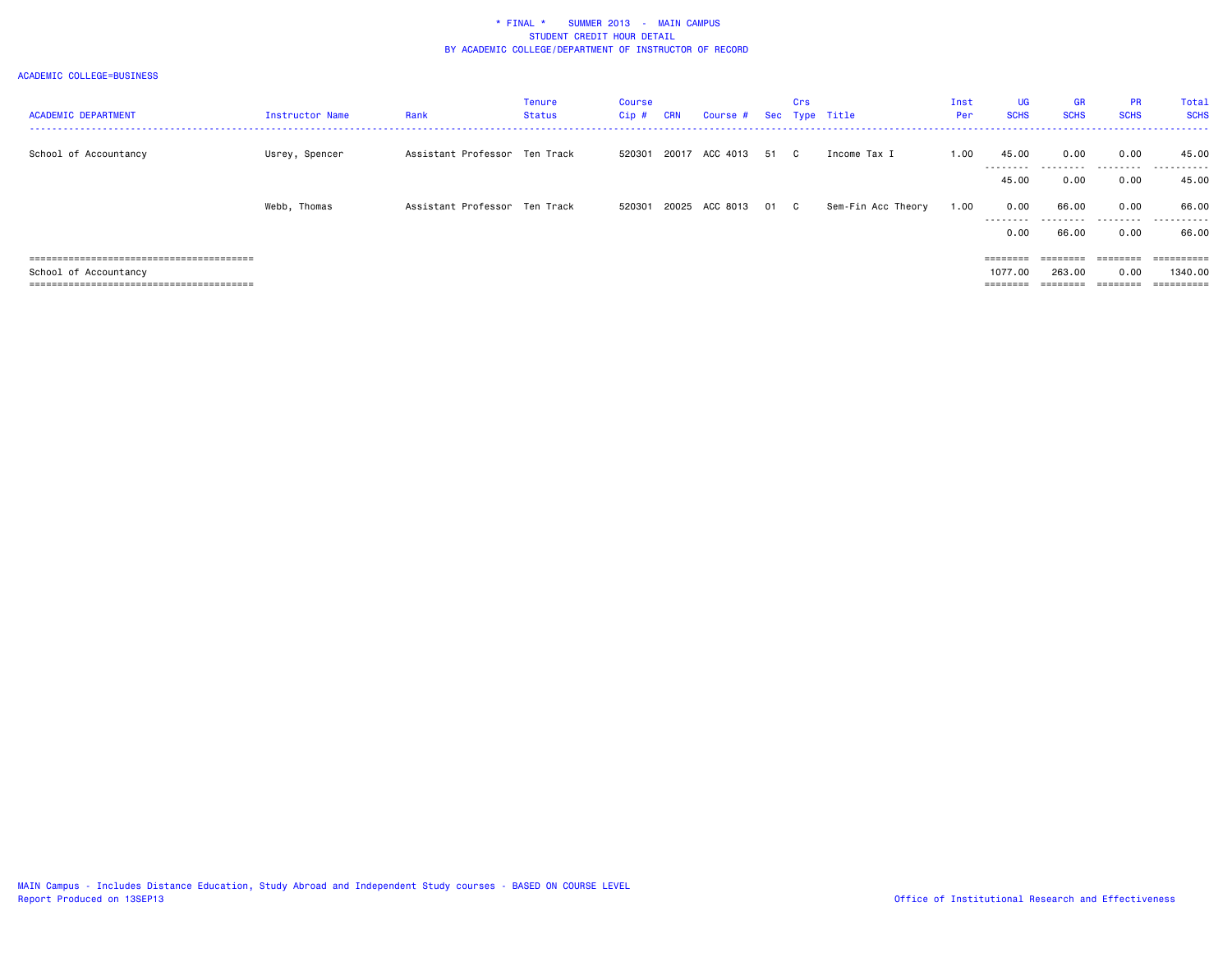| <b>ACADEMIC DEPARTMENT</b> | <b>Instructor Name</b> | Rank                          | <b>Tenure</b><br><b>Status</b> | <b>Course</b><br>Cip # | CRN | Course # Sec Type Title    | Crs |                    | Inst<br>Per | <b>UG</b><br><b>SCHS</b> | <b>GR</b><br><b>SCHS</b> | <b>PR</b><br><b>SCHS</b>                                                | Total<br><b>SCHS</b> |
|----------------------------|------------------------|-------------------------------|--------------------------------|------------------------|-----|----------------------------|-----|--------------------|-------------|--------------------------|--------------------------|-------------------------------------------------------------------------|----------------------|
| School of Accountancy      | Usrey, Spencer         | Assistant Professor Ten Track |                                | 520301                 |     | 20017 ACC 4013 51 C        |     | Income Tax I       | 1.00        | 45.00                    | 0.00                     | 0.00                                                                    | 45.00                |
|                            |                        |                               |                                |                        |     |                            |     |                    |             | ---------<br>45.00       | .<br>0.00                | .<br>0.00                                                               | .<br>45.00           |
|                            | Webb, Thomas           | Assistant Professor Ten Track |                                |                        |     | 520301 20025 ACC 8013 01 C |     | Sem-Fin Acc Theory | 1.00        | 0.00                     | 66.00                    | 0.00                                                                    | 66.00                |
|                            |                        |                               |                                |                        |     |                            |     |                    |             | .<br>0.00                | 66.00                    | .<br>0.00                                                               | .<br>66.00           |
|                            |                        |                               |                                |                        |     |                            |     |                    |             | ========                 | ========                 | $\qquad \qquad \equiv \equiv \equiv \equiv \equiv \equiv \equiv \equiv$ | ==========           |
| School of Accountancy      |                        |                               |                                |                        |     |                            |     |                    |             | 1077.00                  | 263,00                   | 0.00                                                                    | 1340,00              |
|                            |                        |                               |                                |                        |     |                            |     |                    |             | $=$ = = = = = = =        |                          | $\qquad \qquad \equiv \equiv \equiv \equiv \equiv \equiv \equiv \equiv$ |                      |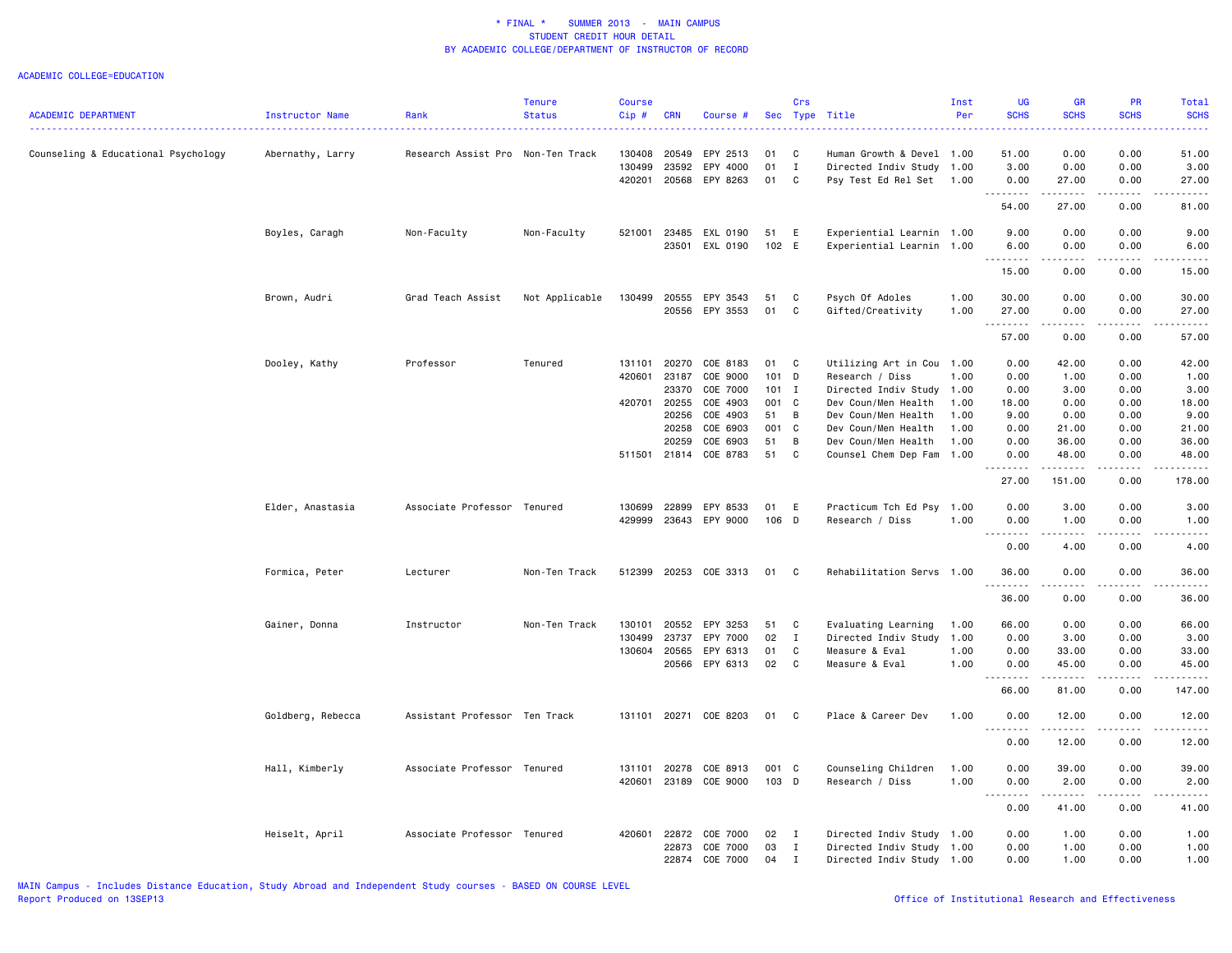| <b>ACADEMIC DEPARTMENT</b>          | Instructor Name   | Rank                              | <b>Tenure</b><br><b>Status</b> | <b>Course</b><br>Cip#      | <b>CRN</b>     | Course #                               | Sec            | Crs                   | Type Title                                                                         | Inst<br>Per  | UG<br><b>SCHS</b>                                                                                                                                                                                                                                                                                                                                     | GR<br><b>SCHS</b>     | PR<br><b>SCHS</b>    | <b>Total</b><br><b>SCHS</b> |
|-------------------------------------|-------------------|-----------------------------------|--------------------------------|----------------------------|----------------|----------------------------------------|----------------|-----------------------|------------------------------------------------------------------------------------|--------------|-------------------------------------------------------------------------------------------------------------------------------------------------------------------------------------------------------------------------------------------------------------------------------------------------------------------------------------------------------|-----------------------|----------------------|-----------------------------|
| Counseling & Educational Psychology | Abernathy, Larry  | Research Assist Pro Non-Ten Track |                                | 130408<br>130499<br>420201 | 20549<br>23592 | EPY 2513<br>EPY 4000<br>20568 EPY 8263 | 01<br>01<br>01 | C<br>$\mathbf I$<br>C | Human Growth & Devel 1.00<br>Directed Indiv Study 1.00<br>Psy Test Ed Rel Set 1.00 |              | 51.00<br>3.00<br>0.00                                                                                                                                                                                                                                                                                                                                 | 0.00<br>0.00<br>27.00 | 0.00<br>0.00<br>0.00 | 51.00<br>3.00<br>27.00      |
|                                     |                   |                                   |                                |                            |                |                                        |                |                       |                                                                                    |              | .<br>54.00                                                                                                                                                                                                                                                                                                                                            | -----<br>27.00        | 0.00                 | 81.00                       |
|                                     | Boyles, Caragh    | Non-Faculty                       | Non-Faculty                    | 521001                     | 23485          | EXL 0190                               | 51             | E                     | Experiential Learnin 1.00                                                          |              | 9.00                                                                                                                                                                                                                                                                                                                                                  | 0.00                  | 0.00                 | 9.00                        |
|                                     |                   |                                   |                                |                            | 23501          | EXL 0190                               | 102 E          |                       | Experiential Learnin 1.00                                                          |              | 6.00<br>$\frac{1}{2} \left( \begin{array}{ccc} 1 & 0 & 0 & 0 \\ 0 & 0 & 0 & 0 \\ 0 & 0 & 0 & 0 \\ 0 & 0 & 0 & 0 \\ 0 & 0 & 0 & 0 \\ 0 & 0 & 0 & 0 \\ 0 & 0 & 0 & 0 \\ 0 & 0 & 0 & 0 \\ 0 & 0 & 0 & 0 \\ 0 & 0 & 0 & 0 \\ 0 & 0 & 0 & 0 & 0 \\ 0 & 0 & 0 & 0 & 0 \\ 0 & 0 & 0 & 0 & 0 \\ 0 & 0 & 0 & 0 & 0 \\ 0 & 0 & 0 & 0 & 0 \\ 0 & 0 & 0$<br>15.00 | 0.00<br>.<br>0.00     | 0.00<br>.<br>0.00    | 6.00<br>.<br>15.00          |
|                                     | Brown, Audri      | Grad Teach Assist                 | Not Applicable                 | 130499                     | 20555          | EPY 3543                               | 51             | C                     | Psych Of Adoles                                                                    | 1.00         | 30.00                                                                                                                                                                                                                                                                                                                                                 | 0.00                  | 0.00                 | 30.00                       |
|                                     |                   |                                   |                                |                            | 20556          | EPY 3553                               | 01             | $\mathtt{C}$          | Gifted/Creativity                                                                  | 1.00         | 27.00<br>.                                                                                                                                                                                                                                                                                                                                            | 0.00<br>.             | 0.00                 | 27.00<br>.                  |
|                                     |                   |                                   |                                |                            |                |                                        |                |                       |                                                                                    |              | 57.00                                                                                                                                                                                                                                                                                                                                                 | 0.00                  | 0.00                 | 57.00                       |
|                                     | Dooley, Kathy     | Professor                         | Tenured                        | 131101                     | 20270          | COE 8183                               | 01             | $\mathbf{C}$          | Utilizing Art in Cou                                                               | 1.00         | 0.00                                                                                                                                                                                                                                                                                                                                                  | 42.00                 | 0.00                 | 42.00                       |
|                                     |                   |                                   |                                | 420601                     | 23187          | COE 9000                               | 101 D          |                       | Research / Diss                                                                    | 1.00         | 0.00                                                                                                                                                                                                                                                                                                                                                  | 1.00                  | 0.00                 | 1.00                        |
|                                     |                   |                                   |                                |                            | 23370          | COE 7000                               | $101$ I        |                       | Directed Indiv Study 1.00                                                          |              | 0.00                                                                                                                                                                                                                                                                                                                                                  | 3.00                  | 0.00                 | 3.00                        |
|                                     |                   |                                   |                                | 420701                     | 20255          | COE 4903                               | 001 C          |                       | Dev Coun/Men Health                                                                | 1.00         | 18.00                                                                                                                                                                                                                                                                                                                                                 | 0.00                  | 0.00                 | 18.00                       |
|                                     |                   |                                   |                                |                            | 20256          | COE 4903<br>COE 6903                   | 51<br>001 C    | B                     | Dev Coun/Men Health                                                                | 1.00         | 9.00                                                                                                                                                                                                                                                                                                                                                  | 0.00                  | 0.00                 | 9.00                        |
|                                     |                   |                                   |                                |                            | 20258          |                                        |                |                       | Dev Coun/Men Health                                                                | 1.00         | 0.00                                                                                                                                                                                                                                                                                                                                                  | 21.00                 | 0.00                 | 21.00                       |
|                                     |                   |                                   |                                | 511501                     | 20259<br>21814 | COE 6903<br>COE 8783                   | 51<br>51       | B<br>C                | Dev Coun/Men Health<br>Counsel Chem Dep Fam                                        | 1.00<br>1.00 | 0.00<br>0.00                                                                                                                                                                                                                                                                                                                                          | 36.00<br>48.00        | 0.00<br>0.00         | 36.00<br>48.00              |
|                                     |                   |                                   |                                |                            |                |                                        |                |                       |                                                                                    |              | .<br>27.00                                                                                                                                                                                                                                                                                                                                            | 151.00                | د د د د<br>0.00      | 178.00                      |
|                                     | Elder, Anastasia  | Associate Professor Tenured       |                                | 130699                     | 22899          | EPY 8533                               | 01             | E                     | Practicum Tch Ed Psy                                                               | 1.00         | 0.00                                                                                                                                                                                                                                                                                                                                                  | 3.00                  | 0.00                 | 3.00                        |
|                                     |                   |                                   |                                | 429999                     |                | 23643 EPY 9000                         | 106 D          |                       | Research / Diss                                                                    | 1.00         | 0.00<br>.                                                                                                                                                                                                                                                                                                                                             | 1.00<br>.             | 0.00<br>.            | 1.00<br>.                   |
|                                     |                   |                                   |                                |                            |                |                                        |                |                       |                                                                                    |              | 0.00                                                                                                                                                                                                                                                                                                                                                  | 4.00                  | 0.00                 | 4.00                        |
|                                     | Formica, Peter    | Lecturer                          | Non-Ten Track                  |                            |                | 512399 20253 COE 3313                  | 01             | C                     | Rehabilitation Servs 1.00                                                          |              | 36.00<br>.                                                                                                                                                                                                                                                                                                                                            | 0.00<br>.             | 0.00<br>.            | 36.00<br>.                  |
|                                     |                   |                                   |                                |                            |                |                                        |                |                       |                                                                                    |              | 36.00                                                                                                                                                                                                                                                                                                                                                 | 0.00                  | 0.00                 | 36.00                       |
|                                     | Gainer, Donna     | Instructor                        | Non-Ten Track                  | 130101                     | 20552          | EPY 3253                               | 51             | C                     | Evaluating Learning                                                                | 1.00         | 66.00                                                                                                                                                                                                                                                                                                                                                 | 0.00                  | 0.00                 | 66.00                       |
|                                     |                   |                                   |                                | 130499                     | 23737          | EPY 7000                               | 02             | $\mathbf{I}$          | Directed Indiv Study                                                               | 1.00         | 0.00                                                                                                                                                                                                                                                                                                                                                  | 3.00                  | 0.00                 | 3.00                        |
|                                     |                   |                                   |                                | 130604                     | 20565          | EPY 6313                               | 01             | C                     | Measure & Eval                                                                     | 1.00         | 0.00                                                                                                                                                                                                                                                                                                                                                  | 33.00                 | 0.00                 | 33.00                       |
|                                     |                   |                                   |                                |                            | 20566          | EPY 6313                               | 02             | C                     | Measure & Eval                                                                     | 1.00         | 0.00                                                                                                                                                                                                                                                                                                                                                  | 45.00                 | 0.00<br>.            | 45.00<br>.                  |
|                                     |                   |                                   |                                |                            |                |                                        |                |                       |                                                                                    |              | 66.00                                                                                                                                                                                                                                                                                                                                                 | 81.00                 | 0.00                 | 147.00                      |
|                                     | Goldberg, Rebecca | Assistant Professor Ten Track     |                                | 131101                     |                | 20271 COE 8203                         | 01             | C                     | Place & Career Dev                                                                 | 1.00         | 0.00<br>. <b>.</b>                                                                                                                                                                                                                                                                                                                                    | 12.00<br>.            | 0.00<br>.            | 12.00<br>.                  |
|                                     |                   |                                   |                                |                            |                |                                        |                |                       |                                                                                    |              | 0.00                                                                                                                                                                                                                                                                                                                                                  | 12.00                 | 0.00                 | 12.00                       |
|                                     | Hall, Kimberly    | Associate Professor Tenured       |                                | 131101                     | 20278          | COE 8913                               | 001 C          |                       | Counseling Children                                                                | 1.00         | 0.00                                                                                                                                                                                                                                                                                                                                                  | 39.00                 | 0.00                 | 39.00                       |
|                                     |                   |                                   |                                | 420601                     |                | 23189 COE 9000                         | 103 D          |                       | Research / Diss                                                                    | 1.00         | 0.00<br>-----<br>$  -$                                                                                                                                                                                                                                                                                                                                | 2.00<br>.             | 0.00<br>.            | 2.00<br>.                   |
|                                     |                   |                                   |                                |                            |                |                                        |                |                       |                                                                                    |              | 0.00                                                                                                                                                                                                                                                                                                                                                  | 41.00                 | 0.00                 | 41.00                       |
|                                     | Heiselt, April    | Associate Professor Tenured       |                                | 420601                     | 22872          | COE 7000                               | 02             | $\mathbf{I}$          | Directed Indiv Study 1.00                                                          |              | 0.00                                                                                                                                                                                                                                                                                                                                                  | 1.00                  | 0.00                 | 1.00                        |
|                                     |                   |                                   |                                |                            | 22873          | COE 7000                               | 03             | $\mathbf{I}$          | Directed Indiv Study 1.00                                                          |              | 0.00                                                                                                                                                                                                                                                                                                                                                  | 1.00                  | 0.00                 | 1.00                        |
|                                     |                   |                                   |                                |                            | 22874          | COE 7000                               | 04             | $\mathbf I$           | Directed Indiv Study 1.00                                                          |              | 0.00                                                                                                                                                                                                                                                                                                                                                  | 1.00                  | 0.00                 | 1.00                        |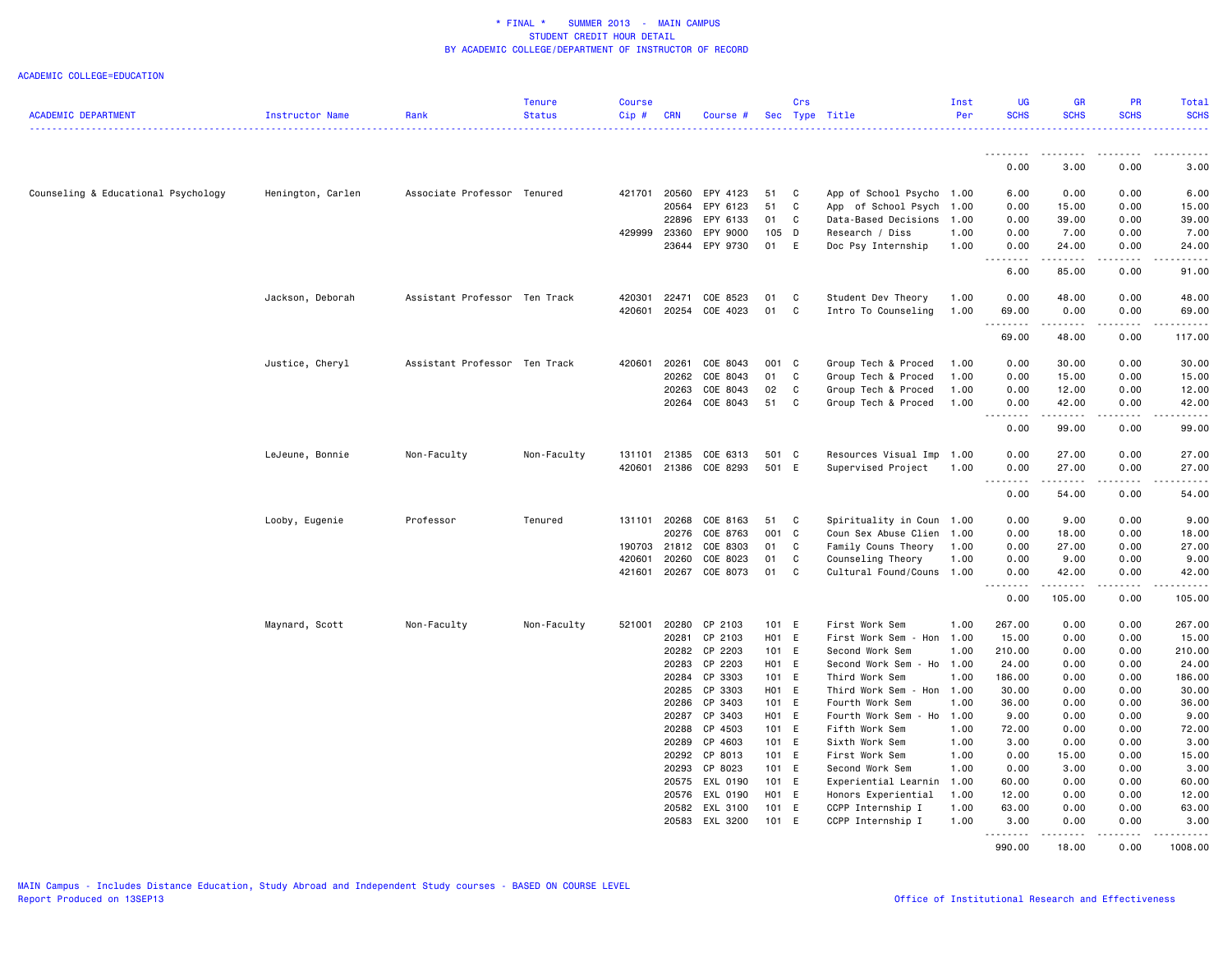#### ACADEMIC COLLEGE=EDUCATION

|                                     |                   |                               | <b>Tenure</b> | <b>Course</b> |              |                |       | Crs          |                           | Inst | <b>UG</b>                                                                                                                                                     | <b>GR</b>   | <b>PR</b>   | <b>Total</b>                                                                                                                        |
|-------------------------------------|-------------------|-------------------------------|---------------|---------------|--------------|----------------|-------|--------------|---------------------------|------|---------------------------------------------------------------------------------------------------------------------------------------------------------------|-------------|-------------|-------------------------------------------------------------------------------------------------------------------------------------|
| <b>ACADEMIC DEPARTMENT</b>          | Instructor Name   | Rank                          | <b>Status</b> | Cip#          | <b>CRN</b>   | Course #       |       |              | Sec Type Title            | Per  | <b>SCHS</b>                                                                                                                                                   | <b>SCHS</b> | <b>SCHS</b> | <b>SCHS</b><br>.                                                                                                                    |
|                                     |                   |                               |               |               |              |                |       |              |                           |      |                                                                                                                                                               |             |             |                                                                                                                                     |
|                                     |                   |                               |               |               |              |                |       |              |                           |      | 0.00                                                                                                                                                          | 3.00        | 0.00        | 3.00                                                                                                                                |
| Counseling & Educational Psychology | Henington, Carlen | Associate Professor Tenured   |               | 421701        | 20560        | EPY 4123       | 51    | C            | App of School Psycho 1.00 |      | 6.00                                                                                                                                                          | 0.00        | 0.00        | 6.00                                                                                                                                |
|                                     |                   |                               |               |               | 20564        | EPY 6123       | 51    | C            | App of School Psych       | 1.00 | 0.00                                                                                                                                                          | 15.00       | 0.00        | 15.00                                                                                                                               |
|                                     |                   |                               |               |               | 22896        | EPY 6133       | 01    | C            | Data-Based Decisions      | 1.00 | 0.00                                                                                                                                                          | 39.00       | 0.00        | 39.00                                                                                                                               |
|                                     |                   |                               |               | 429999        | 23360        | EPY 9000       | 105 D |              | Research / Diss           | 1.00 | 0.00                                                                                                                                                          | 7.00        | 0.00        | 7.00                                                                                                                                |
|                                     |                   |                               |               |               | 23644        | EPY 9730       | 01 E  |              | Doc Psy Internship        | 1.00 | 0.00                                                                                                                                                          | 24.00       | 0.00        | 24.00                                                                                                                               |
|                                     |                   |                               |               |               |              |                |       |              |                           |      | -----<br>.<br>6.00                                                                                                                                            | .<br>85.00  | .<br>0.00   | .<br>91.00                                                                                                                          |
|                                     |                   |                               |               |               |              |                |       |              |                           |      |                                                                                                                                                               |             |             |                                                                                                                                     |
|                                     | Jackson, Deborah  | Assistant Professor Ten Track |               | 420301        | 22471        | COE 8523       | 01    | C            | Student Dev Theory        | 1.00 | 0.00                                                                                                                                                          | 48.00       | 0.00        | 48.00                                                                                                                               |
|                                     |                   |                               |               | 420601        | 20254        | COE 4023       | 01    | C            | Intro To Counseling       | 1.00 | 69.00<br>$\frac{1}{2} \left( \frac{1}{2} \right) \left( \frac{1}{2} \right) \left( \frac{1}{2} \right) \left( \frac{1}{2} \right) \left( \frac{1}{2} \right)$ | 0.00<br>.   | 0.00<br>.   | 69.00                                                                                                                               |
|                                     |                   |                               |               |               |              |                |       |              |                           |      | 69.00                                                                                                                                                         | 48.00       | 0.00        | 117.00                                                                                                                              |
|                                     | Justice, Cheryl   | Assistant Professor Ten Track |               | 420601        | 20261        | COE 8043       | 001 C |              | Group Tech & Proced       | 1.00 | 0.00                                                                                                                                                          | 30.00       | 0.00        | 30.00                                                                                                                               |
|                                     |                   |                               |               |               | 20262        | COE 8043       | 01    | C            | Group Tech & Proced       | 1.00 | 0.00                                                                                                                                                          | 15.00       | 0.00        | 15.00                                                                                                                               |
|                                     |                   |                               |               |               | 20263        | COE 8043       | 02    | C            | Group Tech & Proced       | 1.00 | 0.00                                                                                                                                                          | 12.00       | 0.00        | 12.00                                                                                                                               |
|                                     |                   |                               |               |               |              | 20264 COE 8043 | 51    | C            | Group Tech & Proced       | 1.00 | 0.00                                                                                                                                                          | 42.00       | 0.00        | 42.00                                                                                                                               |
|                                     |                   |                               |               |               |              |                |       |              |                           |      | .<br>0.00                                                                                                                                                     | .<br>99.00  | .<br>0.00   | .<br>99.00                                                                                                                          |
|                                     |                   |                               |               | 131101        | 21385        | COE 6313       | 501 C |              |                           |      | 0.00                                                                                                                                                          | 27.00       | 0.00        | 27.00                                                                                                                               |
|                                     | LeJeune, Bonnie   | Non-Faculty                   | Non-Faculty   | 420601        | 21386        | COE 8293       | 501 E |              | Resources Visual Imp 1.00 | 1.00 | 0.00                                                                                                                                                          | 27.00       | 0.00        | 27.00                                                                                                                               |
|                                     |                   |                               |               |               |              |                |       |              | Supervised Project        |      |                                                                                                                                                               |             | .           |                                                                                                                                     |
|                                     |                   |                               |               |               |              |                |       |              |                           |      | 0.00                                                                                                                                                          | 54.00       | 0.00        | 54.00                                                                                                                               |
|                                     | Looby, Eugenie    | Professor                     | Tenured       |               | 131101 20268 | COE 8163       | 51    | $\mathbf{C}$ | Spirituality in Coun 1.00 |      | 0.00                                                                                                                                                          | 9.00        | 0.00        | 9.00                                                                                                                                |
|                                     |                   |                               |               |               | 20276        | COE 8763       | 001 C |              | Coun Sex Abuse Clien      | 1.00 | 0.00                                                                                                                                                          | 18.00       | 0.00        | 18.00                                                                                                                               |
|                                     |                   |                               |               | 190703        | 21812        | COE 8303       | 01    | C            | Family Couns Theory       | 1.00 | 0.00                                                                                                                                                          | 27.00       | 0.00        | 27.00                                                                                                                               |
|                                     |                   |                               |               | 420601        | 20260        | COE 8023       | 01    | C            | Counseling Theory         | 1.00 | 0.00                                                                                                                                                          | 9.00        | 0.00        | 9.00                                                                                                                                |
|                                     |                   |                               |               | 421601        | 20267        | COE 8073       | 01    | C            | Cultural Found/Couns 1.00 |      | 0.00                                                                                                                                                          | 42.00       | 0.00        | 42.00                                                                                                                               |
|                                     |                   |                               |               |               |              |                |       |              |                           |      | .<br>0.00                                                                                                                                                     | .<br>105.00 | .<br>0.00   | $\begin{array}{cccccccccccccc} \bullet & \bullet & \bullet & \bullet & \bullet & \bullet & \bullet & \bullet \end{array}$<br>105.00 |
|                                     |                   |                               |               |               |              |                |       |              |                           |      |                                                                                                                                                               |             |             |                                                                                                                                     |
|                                     | Maynard, Scott    | Non-Faculty                   | Non-Faculty   | 521001        | 20280        | CP 2103        | 101 E |              | First Work Sem            | 1.00 | 267.00                                                                                                                                                        | 0.00        | 0.00        | 267.00                                                                                                                              |
|                                     |                   |                               |               |               | 20281        | CP 2103        | H01 E |              | First Work Sem - Hon      | 1.00 | 15.00                                                                                                                                                         | 0.00        | 0.00        | 15.00                                                                                                                               |
|                                     |                   |                               |               |               |              | 20282 CP 2203  | 101 E |              | Second Work Sem           | 1.00 | 210.00                                                                                                                                                        | 0.00        | 0.00        | 210.00                                                                                                                              |
|                                     |                   |                               |               |               | 20283        | CP 2203        | H01 E |              | Second Work Sem - Ho 1.00 |      | 24.00                                                                                                                                                         | 0.00        | 0.00        | 24.00                                                                                                                               |
|                                     |                   |                               |               |               | 20284        | CP 3303        | 101 E |              | Third Work Sem            | 1.00 | 186.00                                                                                                                                                        | 0.00        | 0.00        | 186.00                                                                                                                              |
|                                     |                   |                               |               |               | 20285        | CP 3303        | H01 E |              | Third Work Sem - Hon      | 1.00 | 30.00                                                                                                                                                         | 0.00        | 0.00        | 30.00                                                                                                                               |
|                                     |                   |                               |               |               | 20286        | CP 3403        | 101 E |              | Fourth Work Sem           | 1.00 | 36.00                                                                                                                                                         | 0.00        | 0.00        | 36.00                                                                                                                               |
|                                     |                   |                               |               |               |              | 20287 CP 3403  | H01 E |              | Fourth Work Sem - Ho      | 1.00 | 9.00                                                                                                                                                          | 0.00        | 0.00        | 9.00                                                                                                                                |
|                                     |                   |                               |               |               | 20288        | CP 4503        | 101 E |              | Fifth Work Sem            | 1.00 | 72.00                                                                                                                                                         | 0.00        | 0.00        | 72.00                                                                                                                               |
|                                     |                   |                               |               |               | 20289        | CP 4603        | 101 E |              | Sixth Work Sem            | 1.00 | 3.00                                                                                                                                                          | 0.00        | 0.00        | 3.00                                                                                                                                |
|                                     |                   |                               |               |               | 20292        | CP 8013        | 101 E |              | First Work Sem            | 1.00 | 0.00                                                                                                                                                          | 15.00       | 0.00        | 15.00                                                                                                                               |
|                                     |                   |                               |               |               | 20293        | CP 8023        | 101 E |              | Second Work Sem           | 1.00 | 0.00                                                                                                                                                          | 3.00        | 0.00        | 3.00                                                                                                                                |
|                                     |                   |                               |               |               | 20575        | EXL 0190       | 101 E |              | Experiential Learnin      | 1.00 | 60.00                                                                                                                                                         | 0.00        | 0.00        | 60.00                                                                                                                               |
|                                     |                   |                               |               |               | 20576        | EXL 0190       | H01 E |              | Honors Experiential       | 1.00 | 12.00                                                                                                                                                         | 0.00        | 0.00        | 12.00                                                                                                                               |
|                                     |                   |                               |               |               |              | 20582 EXL 3100 | 101 E |              | CCPP Internship I         | 1.00 | 63.00                                                                                                                                                         | 0.00        | 0.00        | 63.00                                                                                                                               |
|                                     |                   |                               |               |               | 20583        | EXL 3200       | 101 E |              | CCPP Internship I         | 1.00 | 3.00<br>. <b>.</b>                                                                                                                                            | 0.00<br>.   | 0.00<br>.   | 3.00<br>.                                                                                                                           |
|                                     |                   |                               |               |               |              |                |       |              |                           |      | 990.00                                                                                                                                                        | 18.00       | 0.00        | 1008.00                                                                                                                             |

MAIN Campus - Includes Distance Education, Study Abroad and Independent Study courses - BASED ON COURSE LEVEL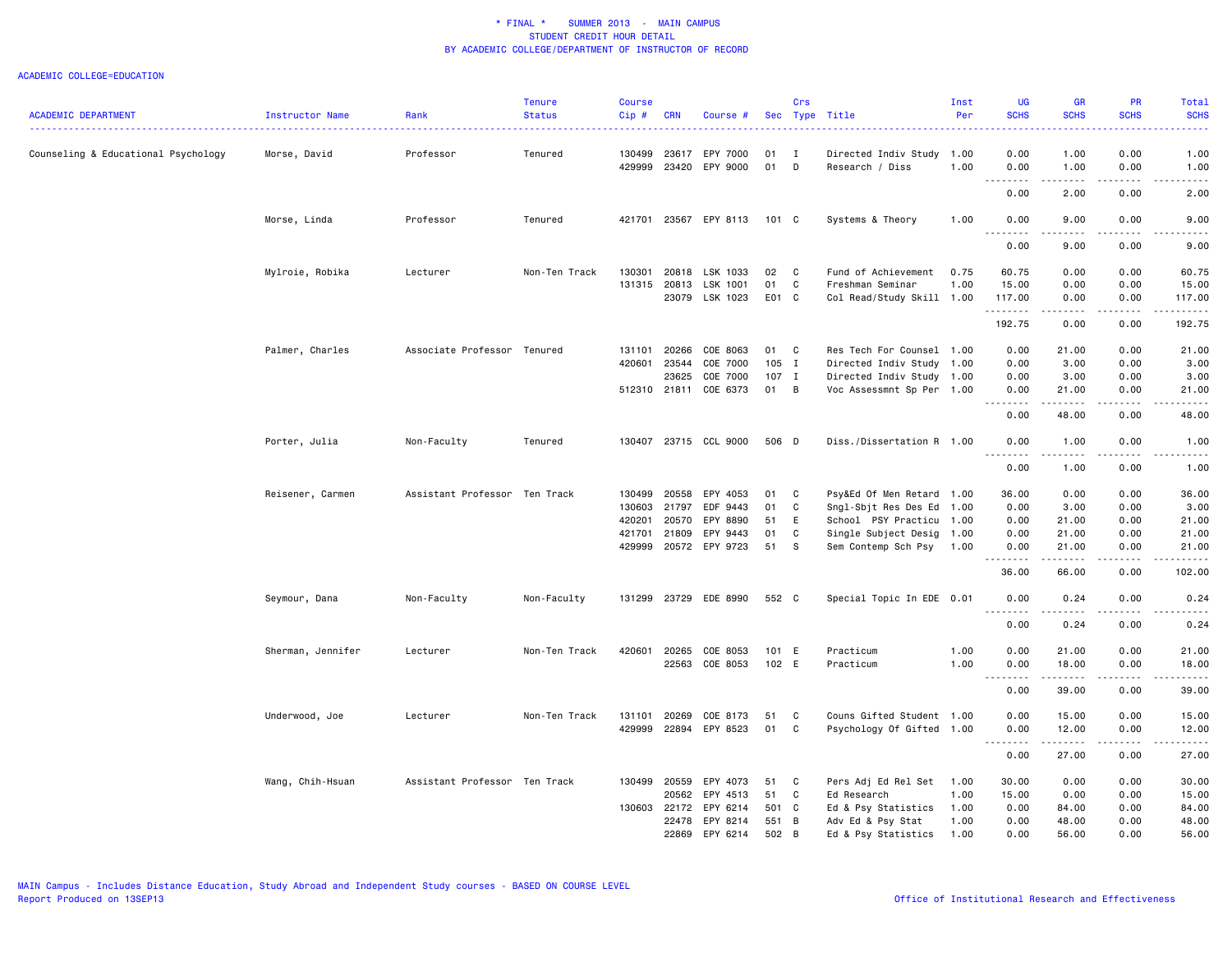|                                     |                   |                               | <b>Tenure</b> | <b>Course</b> |            |                       |       | Crs            |                           | Inst | <b>UG</b>                  | <b>GR</b>                                                                                                                                                                                | PR                                  | Total                                                                                                                                                         |
|-------------------------------------|-------------------|-------------------------------|---------------|---------------|------------|-----------------------|-------|----------------|---------------------------|------|----------------------------|------------------------------------------------------------------------------------------------------------------------------------------------------------------------------------------|-------------------------------------|---------------------------------------------------------------------------------------------------------------------------------------------------------------|
| <b>ACADEMIC DEPARTMENT</b>          | Instructor Name   | Rank                          | <b>Status</b> | Cip#          | <b>CRN</b> | Course #              |       |                | Sec Type Title            | Per  | <b>SCHS</b><br>د د د د     | <b>SCHS</b>                                                                                                                                                                              | <b>SCHS</b><br>$- - - -$            | <b>SCHS</b><br>$\frac{1}{2} \left( \frac{1}{2} \right) \left( \frac{1}{2} \right) \left( \frac{1}{2} \right) \left( \frac{1}{2} \right)$                      |
| Counseling & Educational Psychology | Morse, David      | Professor                     | Tenured       | 130499        | 23617      | EPY 7000              | 01    | Ι.             | Directed Indiv Study 1.00 |      | 0.00                       | 1.00                                                                                                                                                                                     | 0.00                                | 1.00                                                                                                                                                          |
|                                     |                   |                               |               | 429999        | 23420      | EPY 9000              | 01    | D              | Research / Diss           | 1.00 | 0.00                       | 1.00                                                                                                                                                                                     | 0.00                                | 1.00                                                                                                                                                          |
|                                     |                   |                               |               |               |            |                       |       |                |                           |      | .<br>$\sim$ $\sim$<br>0.00 | -----<br>2.00                                                                                                                                                                            | .<br>0.00                           | .<br>2.00                                                                                                                                                     |
|                                     | Morse, Linda      | Professor                     | Tenured       | 421701        | 23567      | EPY 8113              | 101 C |                | Systems & Theory          | 1.00 | 0.00                       | 9.00                                                                                                                                                                                     | 0.00                                | 9.00                                                                                                                                                          |
|                                     |                   |                               |               |               |            |                       |       |                |                           |      | .<br>0.00                  | .<br>9.00                                                                                                                                                                                | د د د د<br>0.00                     | .<br>9.00                                                                                                                                                     |
|                                     | Mylroie, Robika   | Lecturer                      | Non-Ten Track | 130301        | 20818      | LSK 1033              | 02    | C              | Fund of Achievement       | 0.75 | 60.75                      | 0.00                                                                                                                                                                                     | 0.00                                | 60.75                                                                                                                                                         |
|                                     |                   |                               |               | 131315        | 20813      | LSK 1001              | 01    | C              | Freshman Seminar          | 1.00 | 15.00                      | 0.00                                                                                                                                                                                     | 0.00                                | 15.00                                                                                                                                                         |
|                                     |                   |                               |               |               | 23079      | LSK 1023              | E01 C |                | Col Read/Study Skill 1.00 |      | 117.00<br>.                | 0.00<br>.                                                                                                                                                                                | 0.00<br>.                           | 117.00<br>$\begin{array}{cccccccccc} \bullet & \bullet & \bullet & \bullet & \bullet & \bullet & \bullet \end{array}$                                         |
|                                     |                   |                               |               |               |            |                       |       |                |                           |      | 192.75                     | 0.00                                                                                                                                                                                     | 0.00                                | 192.75                                                                                                                                                        |
|                                     | Palmer, Charles   | Associate Professor Tenured   |               | 131101        | 20266      | COE 8063              | 01    | C              | Res Tech For Counsel 1.00 |      | 0.00                       | 21.00                                                                                                                                                                                    | 0.00                                | 21.00                                                                                                                                                         |
|                                     |                   |                               |               | 420601        | 23544      | COE 7000              | 105 I |                | Directed Indiv Study 1.00 |      | 0.00                       | 3.00                                                                                                                                                                                     | 0.00                                | 3.00                                                                                                                                                          |
|                                     |                   |                               |               |               | 23625      | COE 7000              | 107 I |                | Directed Indiv Study 1.00 |      | 0.00                       | 3.00                                                                                                                                                                                     | 0.00                                | 3.00                                                                                                                                                          |
|                                     |                   |                               |               | 512310 21811  |            | COE 6373              | 01    | B              | Voc Assessmnt Sp Per 1.00 |      | 0.00                       | 21.00                                                                                                                                                                                    | 0.00                                | 21.00                                                                                                                                                         |
|                                     |                   |                               |               |               |            |                       |       |                |                           |      | . <b>.</b><br>0.00         | $\frac{1}{2} \left( \frac{1}{2} \right) \left( \frac{1}{2} \right) \left( \frac{1}{2} \right) \left( \frac{1}{2} \right) \left( \frac{1}{2} \right)$<br>48.00                            | $\sim$ $\sim$ $\sim$ $\sim$<br>0.00 | $\frac{1}{2} \left( \frac{1}{2} \right) \left( \frac{1}{2} \right) \left( \frac{1}{2} \right) \left( \frac{1}{2} \right) \left( \frac{1}{2} \right)$<br>48.00 |
|                                     | Porter, Julia     | Non-Faculty                   | Tenured       | 130407        |            | 23715 CCL 9000        | 506 D |                | Diss./Dissertation R 1.00 |      | 0.00                       | 1.00                                                                                                                                                                                     | 0.00                                | 1.00                                                                                                                                                          |
|                                     |                   |                               |               |               |            |                       |       |                |                           |      | 0.00                       | 1.00                                                                                                                                                                                     | 0.00                                | -----<br>1.00                                                                                                                                                 |
|                                     | Reisener, Carmen  | Assistant Professor Ten Track |               | 130499        | 20558      | EPY 4053              | 01    | C              | Psy&Ed Of Men Retard 1.00 |      | 36.00                      | 0.00                                                                                                                                                                                     | 0.00                                | 36.00                                                                                                                                                         |
|                                     |                   |                               |               | 130603        | 21797      | EDF 9443              | 01    | C              | Sngl-Sbjt Res Des Ed 1.00 |      | 0.00                       | 3.00                                                                                                                                                                                     | 0.00                                | 3.00                                                                                                                                                          |
|                                     |                   |                               |               | 420201        | 20570      | EPY 8890              | 51    | E              | School PSY Practicu 1.00  |      | 0.00                       | 21.00                                                                                                                                                                                    | 0.00                                | 21.00                                                                                                                                                         |
|                                     |                   |                               |               | 421701        | 21809      | EPY 9443              | 01    | C              | Single Subject Desig 1.00 |      | 0.00                       | 21.00                                                                                                                                                                                    | 0.00                                | 21.00                                                                                                                                                         |
|                                     |                   |                               |               |               |            | 429999 20572 EPY 9723 | 51    | s.             | Sem Contemp Sch Psy       | 1.00 | 0.00                       | 21.00                                                                                                                                                                                    | 0.00                                | 21.00                                                                                                                                                         |
|                                     |                   |                               |               |               |            |                       |       |                |                           |      | .<br>36.00                 | .<br>66.00                                                                                                                                                                               | .<br>0.00                           | .<br>102.00                                                                                                                                                   |
|                                     | Seymour, Dana     | Non-Faculty                   | Non-Faculty   | 131299        | 23729      | EDE 8990              | 552 C |                | Special Topic In EDE 0.01 |      | 0.00                       | 0.24                                                                                                                                                                                     | 0.00                                | 0.24                                                                                                                                                          |
|                                     |                   |                               |               |               |            |                       |       |                |                           |      | $\frac{1}{2}$<br>0.00      | .<br>0.24                                                                                                                                                                                | $- - - -$<br>0.00                   | <u>.</u><br>0.24                                                                                                                                              |
|                                     | Sherman, Jennifer | Lecturer                      | Non-Ten Track | 420601        | 20265      | COE 8053              | 101 E |                | Practicum                 | 1.00 | 0.00                       | 21.00                                                                                                                                                                                    | 0.00                                | 21.00                                                                                                                                                         |
|                                     |                   |                               |               |               | 22563      | COE 8053              | 102 E |                | Practicum                 | 1.00 | 0.00                       | 18.00                                                                                                                                                                                    | 0.00                                | 18.00                                                                                                                                                         |
|                                     |                   |                               |               |               |            |                       |       |                |                           |      | $\sim$ $\sim$<br>.<br>0.00 | $\frac{1}{2} \left( \frac{1}{2} \right) \left( \frac{1}{2} \right) \left( \frac{1}{2} \right) \left( \frac{1}{2} \right) \left( \frac{1}{2} \right) \left( \frac{1}{2} \right)$<br>39.00 | ----<br>0.00                        | $\frac{1}{2} \left( \frac{1}{2} \right) \left( \frac{1}{2} \right) \left( \frac{1}{2} \right) \left( \frac{1}{2} \right) \left( \frac{1}{2} \right)$<br>39.00 |
|                                     |                   |                               |               |               |            |                       |       |                |                           |      |                            |                                                                                                                                                                                          |                                     |                                                                                                                                                               |
|                                     | Underwood, Joe    | Lecturer                      | Non-Ten Track | 131101        | 20269      | COE 8173              | 51    | C              | Couns Gifted Student 1.00 |      | 0.00                       | 15.00                                                                                                                                                                                    | 0.00                                | 15.00                                                                                                                                                         |
|                                     |                   |                               |               | 429999        | 22894      | EPY 8523              | 01    | C              | Psychology Of Gifted 1.00 |      | 0.00<br>. <b>.</b>         | 12.00                                                                                                                                                                                    | 0.00<br>.                           | 12.00<br>.                                                                                                                                                    |
|                                     |                   |                               |               |               |            |                       |       |                |                           |      | 0.00                       | 27.00                                                                                                                                                                                    | 0.00                                | 27.00                                                                                                                                                         |
|                                     | Wang, Chih-Hsuan  | Assistant Professor Ten Track |               | 130499        | 20559      | EPY 4073              | 51    | C              | Pers Adj Ed Rel Set       | 1.00 | 30.00                      | 0.00                                                                                                                                                                                     | 0.00                                | 30.00                                                                                                                                                         |
|                                     |                   |                               |               |               | 20562      | EPY 4513              | 51    | C              | Ed Research               | 1.00 | 15.00                      | 0.00                                                                                                                                                                                     | 0.00                                | 15.00                                                                                                                                                         |
|                                     |                   |                               |               | 130603        | 22172      | EPY 6214              | 501   | $\mathbf{C}$   | Ed & Psy Statistics       | 1.00 | 0.00                       | 84.00                                                                                                                                                                                    | 0.00                                | 84.00                                                                                                                                                         |
|                                     |                   |                               |               |               | 22478      | EPY 8214              | 551   | $\overline{B}$ | Adv Ed & Psy Stat         | 1.00 | 0.00                       | 48.00                                                                                                                                                                                    | 0.00                                | 48.00                                                                                                                                                         |
|                                     |                   |                               |               |               | 22869      | EPY 6214              | 502   | B              | Ed & Psy Statistics       | 1.00 | 0.00                       | 56.00                                                                                                                                                                                    | 0.00                                | 56.00                                                                                                                                                         |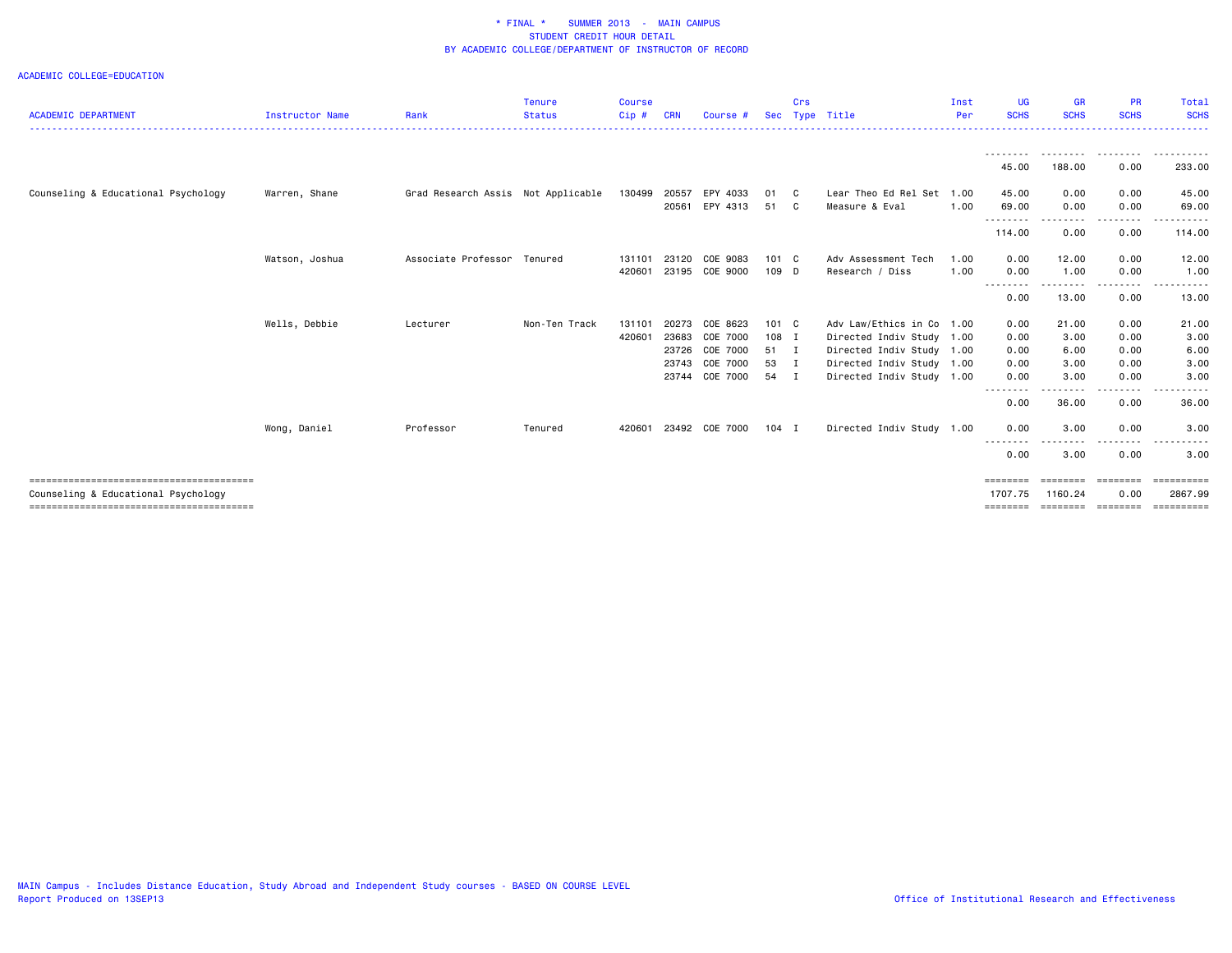| <b>ACADEMIC DEPARTMENT</b>          | <b>Instructor Name</b> | Rank                               | <b>Tenure</b><br><b>Status</b> | <b>Course</b><br>$Cip$ # | <b>CRN</b> | Course #       | Sec     | Crs<br>Type    | Title                     | Inst<br>Per | UG<br><b>SCHS</b>   | <b>GR</b><br><b>SCHS</b>     | <b>PR</b><br><b>SCHS</b>                                                        | Total<br><b>SCHS</b>  |
|-------------------------------------|------------------------|------------------------------------|--------------------------------|--------------------------|------------|----------------|---------|----------------|---------------------------|-------------|---------------------|------------------------------|---------------------------------------------------------------------------------|-----------------------|
|                                     |                        |                                    |                                |                          |            |                |         |                |                           |             |                     |                              | ---------                                                                       | ----------            |
|                                     |                        |                                    |                                |                          |            |                |         |                |                           |             | 45.00               | 188.00                       | 0.00                                                                            | 233.00                |
| Counseling & Educational Psychology | Warren, Shane          | Grad Research Assis Not Applicable |                                | 130499                   | 20557      | EPY 4033       | 01 C    |                | Lear Theo Ed Rel Set 1.00 |             | 45.00               | 0.00                         | 0.00                                                                            | 45.00                 |
|                                     |                        |                                    |                                |                          | 20561      | EPY 4313       | 51 C    |                | Measure & Eval            | 1.00        | 69.00               | 0.00                         | 0.00                                                                            | 69.00                 |
|                                     |                        |                                    |                                |                          |            |                |         |                |                           |             | .<br>114.00         | . <u>.</u> .<br>0.00         | -----<br>0.00                                                                   | 114.00                |
|                                     | Watson, Joshua         | Associate Professor Tenured        |                                | 131101                   | 23120      | COE 9083       | 101 C   |                | Adv Assessment Tech       | 1.00        | 0.00                | 12.00                        | 0.00                                                                            | 12.00                 |
|                                     |                        |                                    |                                | 420601                   |            | 23195 COE 9000 | 109 D   |                | Research / Diss           | 1.00        | 0.00                | 1.00                         | 0.00                                                                            | 1.00                  |
|                                     |                        |                                    |                                |                          |            |                |         |                |                           |             | .<br>0.00           | .<br>13.00                   | 0.00                                                                            | 13.00                 |
|                                     | Wells, Debbie          | Lecturer                           | Non-Ten Track                  | 131101                   | 20273      | COE 8623       | 101 C   |                | Adv Law/Ethics in Co 1.00 |             | 0.00                | 21.00                        | 0.00                                                                            | 21.00                 |
|                                     |                        |                                    |                                | 420601                   | 23683      | COE 7000       | 108 I   |                | Directed Indiv Study 1.00 |             | 0.00                | 3.00                         | 0.00                                                                            | 3.00                  |
|                                     |                        |                                    |                                |                          | 23726      | COE 7000       | 51 I    |                | Directed Indiv Study 1.00 |             | 0.00                | 6.00                         | 0.00                                                                            | 6.00                  |
|                                     |                        |                                    |                                |                          | 23743      | COE 7000       | 53 I    |                | Directed Indiv Study 1.00 |             | 0.00                | 3.00                         | 0.00                                                                            | 3.00                  |
|                                     |                        |                                    |                                |                          | 23744      | COE 7000       | 54      | $\blacksquare$ | Directed Indiv Study 1.00 |             | 0.00                | 3.00                         | 0.00                                                                            | 3.00                  |
|                                     |                        |                                    |                                |                          |            |                |         |                |                           |             | --------<br>0.00    | .<br>36.00                   | .<br>0.00                                                                       | ----------<br>36.00   |
|                                     | Wong, Daniel           | Professor                          | Tenured                        | 420601                   |            | 23492 COE 7000 | $104$ I |                | Directed Indiv Study 1.00 |             | 0.00                | 3.00                         | 0.00                                                                            | 3.00                  |
|                                     |                        |                                    |                                |                          |            |                |         |                |                           |             | --------<br>0.00    | 3.00                         | 0.00                                                                            | 3.00                  |
| Counseling & Educational Psychology |                        |                                    |                                |                          |            |                |         |                |                           |             | ========<br>1707.75 | $=$ = = = = = = =<br>1160.24 | $\qquad \qquad \equiv \equiv \equiv \equiv \equiv \equiv \equiv \equiv$<br>0.00 | ==========<br>2867.99 |
|                                     |                        |                                    |                                |                          |            |                |         |                |                           |             | ========            | ======== =======             |                                                                                 | ==========            |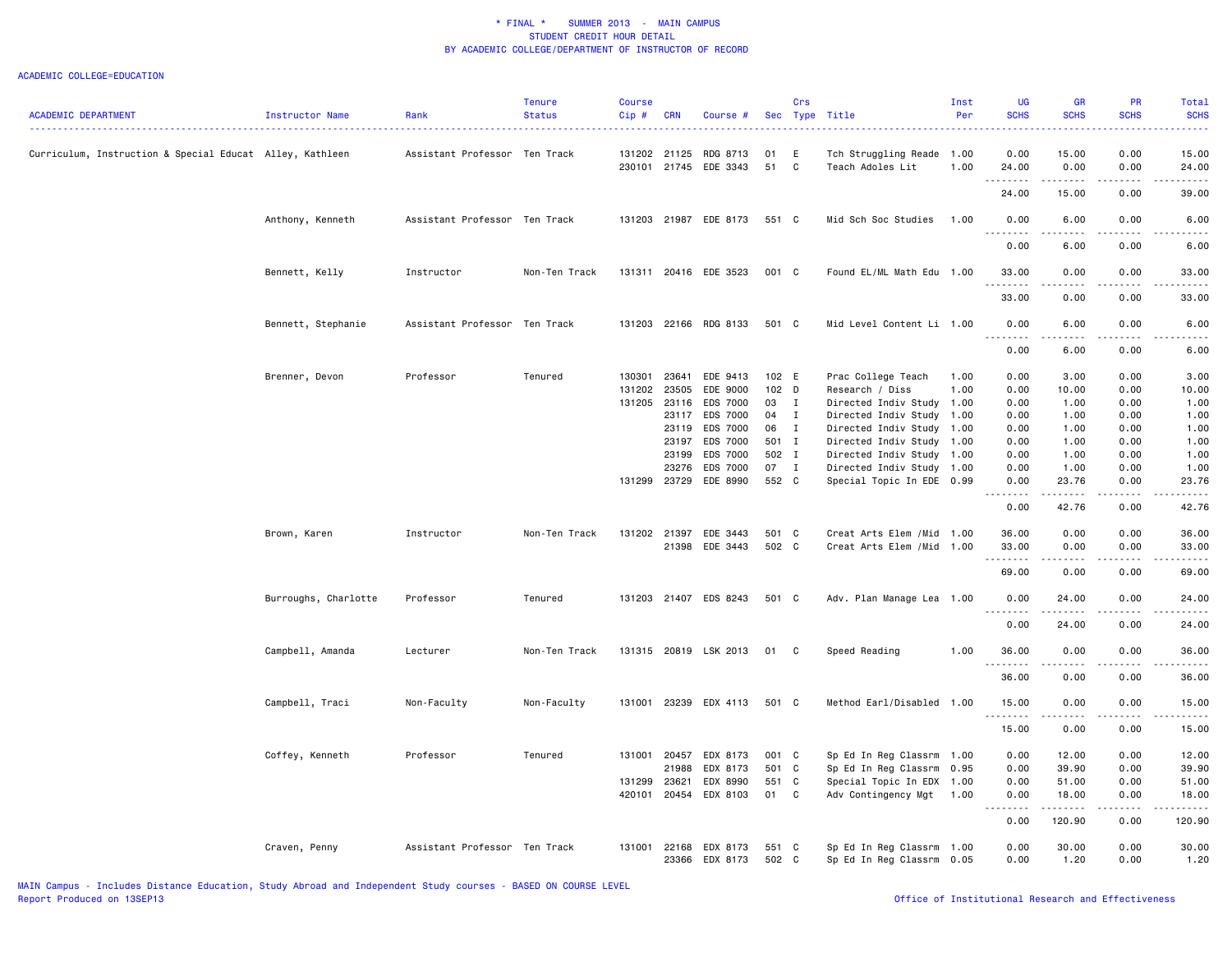| <b>ACADEMIC DEPARTMENT</b>                               | <b>Instructor Name</b> | Rank                          | <b>Tenure</b><br><b>Status</b> | <b>Course</b><br>Cip# | <b>CRN</b>   | Course #              |       | Crs          | Sec Type Title             | Inst<br>Per | <b>UG</b><br><b>SCHS</b>                                                                                                                                     | <b>GR</b><br><b>SCHS</b>                    | PR<br><b>SCHS</b> | Total<br><b>SCHS</b>                                                                                                                                          |
|----------------------------------------------------------|------------------------|-------------------------------|--------------------------------|-----------------------|--------------|-----------------------|-------|--------------|----------------------------|-------------|--------------------------------------------------------------------------------------------------------------------------------------------------------------|---------------------------------------------|-------------------|---------------------------------------------------------------------------------------------------------------------------------------------------------------|
|                                                          |                        |                               |                                |                       |              |                       |       |              |                            |             |                                                                                                                                                              |                                             |                   |                                                                                                                                                               |
| Curriculum, Instruction & Special Educat Alley, Kathleen |                        | Assistant Professor Ten Track |                                |                       | 131202 21125 | RDG 8713              | 01    | Ε            | Tch Struggling Reade 1.00  |             | 0.00                                                                                                                                                         | 15.00                                       | 0.00              | 15.00                                                                                                                                                         |
|                                                          |                        |                               |                                |                       |              | 230101 21745 EDE 3343 | 51    | C            | Teach Adoles Lit           | 1.00        | 24.00<br><u>.</u>                                                                                                                                            | 0.00                                        | 0.00              | 24.00<br>.                                                                                                                                                    |
|                                                          |                        |                               |                                |                       |              |                       |       |              |                            |             | 24.00                                                                                                                                                        | 15.00                                       | 0.00              | 39.00                                                                                                                                                         |
|                                                          | Anthony, Kenneth       | Assistant Professor Ten Track |                                |                       |              | 131203 21987 EDE 8173 | 551 C |              | Mid Sch Soc Studies        | 1.00        | 0.00                                                                                                                                                         | 6.00                                        | 0.00              | 6.00                                                                                                                                                          |
|                                                          |                        |                               |                                |                       |              |                       |       |              |                            |             | 0.00                                                                                                                                                         | 6.00                                        | 0.00              | 6.00                                                                                                                                                          |
|                                                          | Bennett, Kelly         | Instructor                    | Non-Ten Track                  |                       |              | 131311 20416 EDE 3523 | 001 C |              | Found EL/ML Math Edu 1.00  |             | 33.00                                                                                                                                                        | 0.00                                        | 0.00              | 33.00                                                                                                                                                         |
|                                                          |                        |                               |                                |                       |              |                       |       |              |                            |             | 33.00                                                                                                                                                        | 0.00                                        | 0.00              | 33.00                                                                                                                                                         |
|                                                          | Bennett, Stephanie     | Assistant Professor Ten Track |                                |                       |              | 131203 22166 RDG 8133 | 501 C |              | Mid Level Content Li 1.00  |             | 0.00                                                                                                                                                         | 6.00                                        | 0.00              | 6.00                                                                                                                                                          |
|                                                          |                        |                               |                                |                       |              |                       |       |              |                            |             | .<br>0.00                                                                                                                                                    | .<br>6.00                                   | .<br>0.00         | $\frac{1}{2} \left( \frac{1}{2} \right) \left( \frac{1}{2} \right) \left( \frac{1}{2} \right) \left( \frac{1}{2} \right)$<br>6.00                             |
|                                                          | Brenner, Devon         | Professor                     | Tenured                        | 130301                | 23641        | EDE 9413              | 102 E |              | Prac College Teach         | 1.00        | 0.00                                                                                                                                                         | 3.00                                        | 0.00              | 3.00                                                                                                                                                          |
|                                                          |                        |                               |                                |                       | 131202 23505 | EDE 9000              | 102 D |              | Research / Diss            | 1.00        | 0.00                                                                                                                                                         | 10.00                                       | 0.00              | 10.00                                                                                                                                                         |
|                                                          |                        |                               |                                |                       | 131205 23116 | EDS 7000              | 03    | $\mathbf{I}$ | Directed Indiv Study       | 1.00        | 0.00                                                                                                                                                         | 1.00                                        | 0.00              | 1.00                                                                                                                                                          |
|                                                          |                        |                               |                                |                       | 23117        | EDS 7000              | 04    | $\mathbf{I}$ |                            |             | 0.00                                                                                                                                                         | 1.00                                        | 0.00              | 1.00                                                                                                                                                          |
|                                                          |                        |                               |                                |                       |              |                       |       |              | Directed Indiv Study 1.00  |             |                                                                                                                                                              |                                             |                   |                                                                                                                                                               |
|                                                          |                        |                               |                                |                       | 23119        | EDS 7000              | 06    | $\mathbf{I}$ | Directed Indiv Study 1.00  |             | 0.00                                                                                                                                                         | 1.00                                        | 0.00              | 1.00                                                                                                                                                          |
|                                                          |                        |                               |                                |                       | 23197        | EDS 7000              | 501 I |              | Directed Indiv Study 1.00  |             | 0.00                                                                                                                                                         | 1.00                                        | 0.00              | 1.00                                                                                                                                                          |
|                                                          |                        |                               |                                |                       | 23199        | EDS 7000              | 502 I |              | Directed Indiv Study       | 1.00        | 0.00                                                                                                                                                         | 1.00                                        | 0.00              | 1.00                                                                                                                                                          |
|                                                          |                        |                               |                                |                       | 23276        | EDS 7000              | 07 I  |              | Directed Indiv Study 1.00  |             | 0.00                                                                                                                                                         | 1.00                                        | 0.00              | 1.00                                                                                                                                                          |
|                                                          |                        |                               |                                |                       | 131299 23729 | EDE 8990              | 552 C |              | Special Topic In EDE 0.99  |             | 0.00<br>$\frac{1}{2} \left( \frac{1}{2} \right) \left( \frac{1}{2} \right) \left( \frac{1}{2} \right) \left( \frac{1}{2} \right) \left( \frac{1}{2} \right)$ | 23.76<br>$\sim$ $\sim$ $\sim$ $\sim$ $\sim$ | 0.00<br>.         | 23.76<br>$\frac{1}{2} \left( \frac{1}{2} \right) \left( \frac{1}{2} \right) \left( \frac{1}{2} \right) \left( \frac{1}{2} \right) \left( \frac{1}{2} \right)$ |
|                                                          |                        |                               |                                |                       |              |                       |       |              |                            |             | 0.00                                                                                                                                                         | 42.76                                       | 0.00              | 42.76                                                                                                                                                         |
|                                                          | Brown, Karen           | Instructor                    | Non-Ten Track                  |                       | 131202 21397 | EDE 3443              | 501 C |              | Creat Arts Elem /Mid       | 1.00        | 36.00                                                                                                                                                        | 0.00                                        | 0.00              | 36.00                                                                                                                                                         |
|                                                          |                        |                               |                                |                       | 21398        | EDE 3443              | 502 C |              | Creat Arts Elem / Mid 1.00 |             | 33.00                                                                                                                                                        | 0.00                                        | 0.00              | 33.00                                                                                                                                                         |
|                                                          |                        |                               |                                |                       |              |                       |       |              |                            |             | .                                                                                                                                                            | الدامات                                     | .                 | $\sim$ $\sim$ $\sim$ $\sim$ $\sim$                                                                                                                            |
|                                                          |                        |                               |                                |                       |              |                       |       |              |                            |             | 69.00                                                                                                                                                        | 0.00                                        | 0.00              | 69.00                                                                                                                                                         |
|                                                          | Burroughs, Charlotte   | Professor                     | Tenured                        |                       |              | 131203 21407 EDS 8243 | 501 C |              | Adv. Plan Manage Lea 1.00  |             | 0.00                                                                                                                                                         | 24.00                                       | 0.00              | 24.00                                                                                                                                                         |
|                                                          |                        |                               |                                |                       |              |                       |       |              |                            |             | <u>.</u><br>0.00                                                                                                                                             | $- - - - - - -$<br>24.00                    | .<br>0.00         | .<br>24.00                                                                                                                                                    |
|                                                          | Campbell, Amanda       | Lecturer                      | Non-Ten Track                  |                       |              | 131315 20819 LSK 2013 | 01    | C            | Speed Reading              | 1.00        | 36.00                                                                                                                                                        | 0.00                                        | 0.00              | 36.00                                                                                                                                                         |
|                                                          |                        |                               |                                |                       |              |                       |       |              |                            |             | .<br>36.00                                                                                                                                                   | $\frac{1}{2}$<br>0.00                       | .<br>0.00         | $- - - - -$<br>36.00                                                                                                                                          |
|                                                          | Campbell, Traci        | Non-Faculty                   | Non-Faculty                    | 131001                |              | 23239 EDX 4113        | 501 C |              | Method Earl/Disabled       | 1.00        | 15.00                                                                                                                                                        | 0.00                                        | 0.00              | 15.00                                                                                                                                                         |
|                                                          |                        |                               |                                |                       |              |                       |       |              |                            |             | .<br>15.00                                                                                                                                                   | $\frac{1}{2}$<br>0.00                       | .<br>0.00         | .<br>15.00                                                                                                                                                    |
|                                                          |                        |                               |                                |                       |              |                       |       |              |                            |             |                                                                                                                                                              |                                             |                   |                                                                                                                                                               |
|                                                          | Coffey, Kenneth        | Professor                     | Tenured                        | 131001                | 20457        | EDX 8173              | 001 C |              | Sp Ed In Reg Classrm 1.00  |             | 0.00                                                                                                                                                         | 12.00                                       | 0.00              | 12.00                                                                                                                                                         |
|                                                          |                        |                               |                                |                       | 21988        | EDX 8173              | 501 C |              | Sp Ed In Reg Classrm 0.95  |             | 0.00                                                                                                                                                         | 39.90                                       | 0.00              | 39.90                                                                                                                                                         |
|                                                          |                        |                               |                                | 131299                | 23621        | EDX 8990              | 551 C |              | Special Topic In EDX 1.00  |             | 0.00                                                                                                                                                         | 51.00                                       | 0.00              | 51.00                                                                                                                                                         |
|                                                          |                        |                               |                                | 420101                | 20454        | EDX 8103              | 01    | $\mathbf{C}$ | Adv Contingency Mgt        | 1.00        | 0.00<br>د د د د د<br>$\sim$ $\sim$ $\sim$                                                                                                                    | 18.00<br>.                                  | 0.00<br>.         | 18.00<br>.                                                                                                                                                    |
|                                                          |                        |                               |                                |                       |              |                       |       |              |                            |             | 0.00                                                                                                                                                         | 120.90                                      | 0.00              | 120.90                                                                                                                                                        |
|                                                          | Craven, Penny          | Assistant Professor Ten Track |                                | 131001                | 22168        | EDX 8173              | 551 C |              | Sp Ed In Reg Classrm 1.00  |             | 0.00                                                                                                                                                         | 30.00                                       | 0.00              | 30.00                                                                                                                                                         |
|                                                          |                        |                               |                                |                       | 23366        | EDX 8173              | 502 C |              | Sp Ed In Reg Classrm 0.05  |             | 0.00                                                                                                                                                         | 1.20                                        | 0.00              | 1.20                                                                                                                                                          |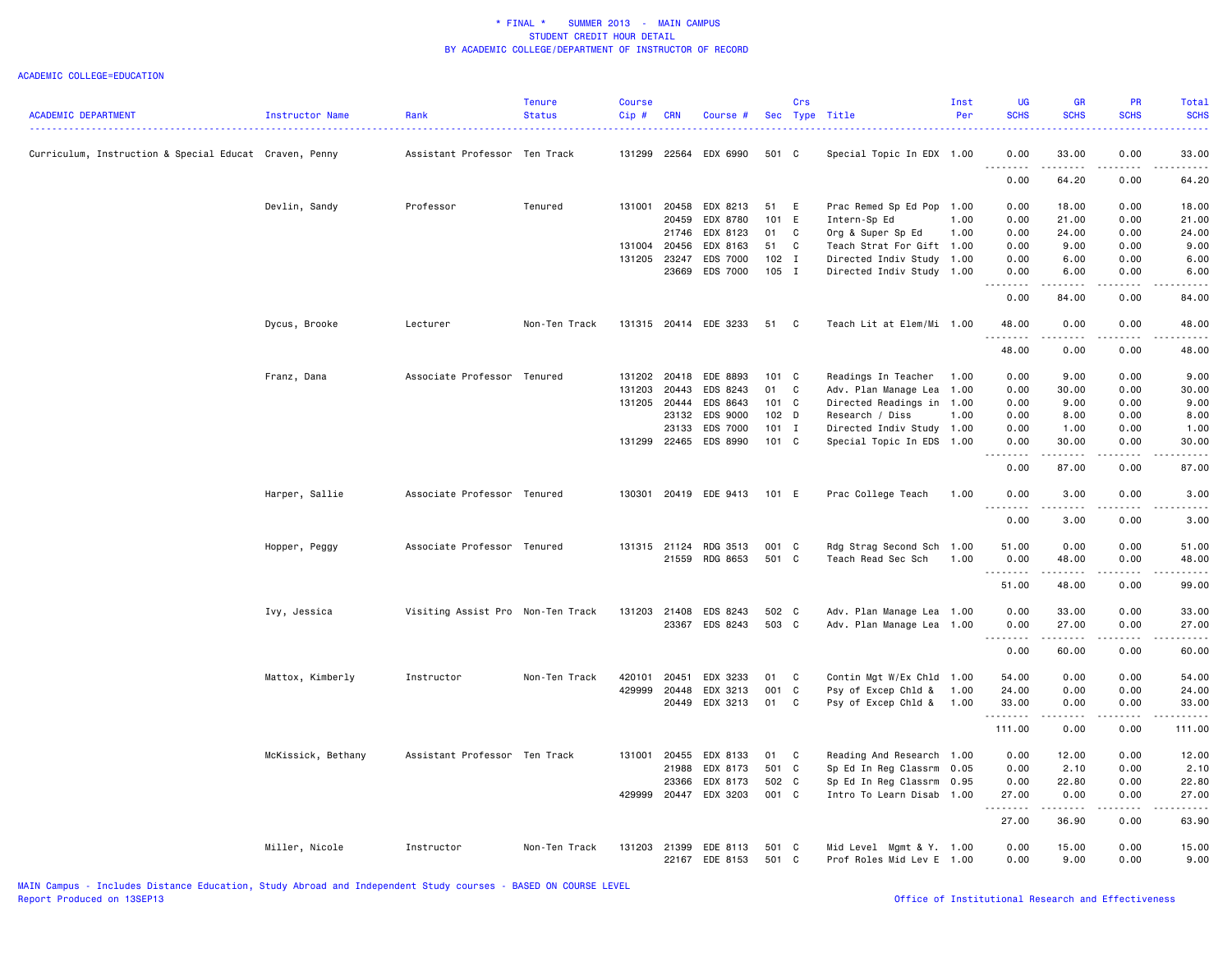|                                                        |                        |                                   | <b>Tenure</b> | <b>Course</b> |              |                       |         | Crs            |                           | Inst | <b>UG</b>        | <b>GR</b>                                                                                                                                                                                                                                                                                                                                    | <b>PR</b>   | Total                               |
|--------------------------------------------------------|------------------------|-----------------------------------|---------------|---------------|--------------|-----------------------|---------|----------------|---------------------------|------|------------------|----------------------------------------------------------------------------------------------------------------------------------------------------------------------------------------------------------------------------------------------------------------------------------------------------------------------------------------------|-------------|-------------------------------------|
| <b>ACADEMIC DEPARTMENT</b>                             | <b>Instructor Name</b> | Rank                              | <b>Status</b> | Cip#          | <b>CRN</b>   | Course #              |         |                | Sec Type Title            | Per  | <b>SCHS</b>      | <b>SCHS</b>                                                                                                                                                                                                                                                                                                                                  | <b>SCHS</b> | <b>SCHS</b>                         |
| Curriculum, Instruction & Special Educat Craven, Penny |                        | Assistant Professor Ten Track     |               | 131299        | 22564        | EDX 6990              | 501 C   |                | Special Topic In EDX 1.00 |      | 0.00             | 33.00                                                                                                                                                                                                                                                                                                                                        | 0.00        | 33.00                               |
|                                                        |                        |                                   |               |               |              |                       |         |                |                           |      | <u>.</u><br>0.00 | .<br>64.20                                                                                                                                                                                                                                                                                                                                   | .<br>0.00   | .<br>64.20                          |
|                                                        | Devlin, Sandy          | Professor                         | Tenured       | 131001        | 20458        | EDX 8213              | 51      | E              | Prac Remed Sp Ed Pop      | 1.00 | 0.00             | 18.00                                                                                                                                                                                                                                                                                                                                        | 0.00        | 18.00                               |
|                                                        |                        |                                   |               |               | 20459        | EDX 8780              | 101 E   |                | Intern-Sp Ed              | 1.00 | 0.00             | 21.00                                                                                                                                                                                                                                                                                                                                        | 0.00        | 21.00                               |
|                                                        |                        |                                   |               |               | 21746        | EDX 8123              | 01      | C              | Org & Super Sp Ed         | 1.00 | 0.00             | 24.00                                                                                                                                                                                                                                                                                                                                        | 0.00        | 24.00                               |
|                                                        |                        |                                   |               |               | 131004 20456 | EDX 8163              | 51      | C              | Teach Strat For Gift 1.00 |      | 0.00             | 9.00                                                                                                                                                                                                                                                                                                                                         | 0.00        | 9.00                                |
|                                                        |                        |                                   |               | 131205        | 23247        | EDS 7000              | $102$ I |                | Directed Indiv Study      | 1.00 | 0.00             | 6.00                                                                                                                                                                                                                                                                                                                                         | 0.00        | 6.00                                |
|                                                        |                        |                                   |               |               | 23669        | <b>EDS 7000</b>       | 105 I   |                | Directed Indiv Study 1.00 |      | 0.00             | 6.00                                                                                                                                                                                                                                                                                                                                         | 0.00        | 6.00                                |
|                                                        |                        |                                   |               |               |              |                       |         |                |                           |      | 0.00             | 84.00                                                                                                                                                                                                                                                                                                                                        | 0.00        | 84.00                               |
|                                                        | Dycus, Brooke          | Lecturer                          | Non-Ten Track |               |              | 131315 20414 EDE 3233 | 51      | C <sub>c</sub> | Teach Lit at Elem/Mi 1.00 |      | 48.00<br>.       | 0.00<br>.                                                                                                                                                                                                                                                                                                                                    | 0.00<br>.   | 48.00<br>.                          |
|                                                        |                        |                                   |               |               |              |                       |         |                |                           |      | 48.00            | 0.00                                                                                                                                                                                                                                                                                                                                         | 0.00        | 48.00                               |
|                                                        | Franz, Dana            | Associate Professor Tenured       |               |               | 131202 20418 | EDE 8893              | 101 C   |                | Readings In Teacher       | 1.00 | 0.00             | 9.00                                                                                                                                                                                                                                                                                                                                         | 0.00        | 9.00                                |
|                                                        |                        |                                   |               | 131203        | 20443        | EDS 8243              | 01 C    |                | Adv. Plan Manage Lea      | 1.00 | 0.00             | 30.00                                                                                                                                                                                                                                                                                                                                        | 0.00        | 30.00                               |
|                                                        |                        |                                   |               |               | 131205 20444 | EDS 8643              | 101 C   |                | Directed Readings in 1.00 |      | 0.00             | 9.00                                                                                                                                                                                                                                                                                                                                         | 0.00        | 9.00                                |
|                                                        |                        |                                   |               |               | 23132        | EDS 9000              | 102 D   |                | Research / Diss           | 1.00 | 0.00             | 8.00                                                                                                                                                                                                                                                                                                                                         | 0.00        | 8.00                                |
|                                                        |                        |                                   |               |               | 23133        | <b>EDS 7000</b>       | $101$ I |                | Directed Indiv Study 1.00 |      | 0.00             | 1.00                                                                                                                                                                                                                                                                                                                                         | 0.00        | 1.00                                |
|                                                        |                        |                                   |               |               |              | 131299 22465 EDS 8990 | 101 C   |                | Special Topic In EDS 1.00 |      | 0.00<br>.        | 30.00<br>.                                                                                                                                                                                                                                                                                                                                   | 0.00<br>.   | 30.00<br>.                          |
|                                                        |                        |                                   |               |               |              |                       |         |                |                           |      | 0.00             | 87.00                                                                                                                                                                                                                                                                                                                                        | 0.00        | 87.00                               |
|                                                        | Harper, Sallie         | Associate Professor Tenured       |               | 130301        |              | 20419 EDE 9413        | 101 E   |                | Prac College Teach        | 1.00 | 0.00<br>-----    | 3.00<br>$\frac{1}{2} \left( \begin{array}{ccc} 1 & 0 & 0 & 0 \\ 0 & 0 & 0 & 0 \\ 0 & 0 & 0 & 0 \\ 0 & 0 & 0 & 0 \\ 0 & 0 & 0 & 0 \\ 0 & 0 & 0 & 0 \\ 0 & 0 & 0 & 0 \\ 0 & 0 & 0 & 0 \\ 0 & 0 & 0 & 0 \\ 0 & 0 & 0 & 0 \\ 0 & 0 & 0 & 0 & 0 \\ 0 & 0 & 0 & 0 & 0 \\ 0 & 0 & 0 & 0 & 0 \\ 0 & 0 & 0 & 0 & 0 \\ 0 & 0 & 0 & 0 & 0 \\ 0 & 0 & 0$ | 0.00<br>.   | 3.00<br>$\sim$ $\sim$ $\sim$ $\sim$ |
|                                                        |                        |                                   |               |               |              |                       |         |                |                           |      | 0.00             | 3.00                                                                                                                                                                                                                                                                                                                                         | 0.00        | 3.00                                |
|                                                        | Hopper, Peggy          | Associate Professor Tenured       |               |               |              | 131315 21124 RDG 3513 | 001 C   |                | Rdg Strag Second Sch 1.00 |      | 51.00            | 0.00                                                                                                                                                                                                                                                                                                                                         | 0.00        | 51.00                               |
|                                                        |                        |                                   |               |               | 21559        | RDG 8653              | 501 C   |                | Teach Read Sec Sch        | 1.00 | 0.00             | 48.00                                                                                                                                                                                                                                                                                                                                        | 0.00        | 48.00                               |
|                                                        |                        |                                   |               |               |              |                       |         |                |                           |      | .                | .                                                                                                                                                                                                                                                                                                                                            | .           | .                                   |
|                                                        |                        |                                   |               |               |              |                       |         |                |                           |      | 51.00            | 48.00                                                                                                                                                                                                                                                                                                                                        | 0.00        | 99.00                               |
|                                                        | Ivy, Jessica           | Visiting Assist Pro Non-Ten Track |               | 131203        | 21408        | EDS 8243              | 502 C   |                | Adv. Plan Manage Lea 1.00 |      | 0.00             | 33.00                                                                                                                                                                                                                                                                                                                                        | 0.00        | 33.00                               |
|                                                        |                        |                                   |               |               |              | 23367 EDS 8243        | 503 C   |                | Adv. Plan Manage Lea 1.00 |      | 0.00<br><u>.</u> | 27.00<br>.                                                                                                                                                                                                                                                                                                                                   | 0.00<br>.   | 27.00<br>.                          |
|                                                        |                        |                                   |               |               |              |                       |         |                |                           |      | 0.00             | 60.00                                                                                                                                                                                                                                                                                                                                        | 0.00        | 60.00                               |
|                                                        | Mattox, Kimberly       | Instructor                        | Non-Ten Track | 420101        | 20451        | EDX 3233              | 01      | C              | Contin Mgt W/Ex Chld 1.00 |      | 54.00            | 0.00                                                                                                                                                                                                                                                                                                                                         | 0.00        | 54.00                               |
|                                                        |                        |                                   |               | 429999        | 20448        | EDX 3213              | 001 C   |                | Psy of Excep Chld &       | 1.00 | 24.00            | 0.00                                                                                                                                                                                                                                                                                                                                         | 0.00        | 24.00                               |
|                                                        |                        |                                   |               |               | 20449        | EDX 3213              | 01      | C              | Psy of Excep Chld &       | 1.00 | 33.00            | 0.00                                                                                                                                                                                                                                                                                                                                         | 0.00        | 33.00                               |
|                                                        |                        |                                   |               |               |              |                       |         |                |                           |      | .<br>111.00      | .<br>0.00                                                                                                                                                                                                                                                                                                                                    | .<br>0.00   | .<br>111.00                         |
|                                                        | McKissick, Bethany     | Assistant Professor Ten Track     |               | 131001        | 20455        | EDX 8133              | 01      | C              | Reading And Research      | 1.00 | 0.00             | 12.00                                                                                                                                                                                                                                                                                                                                        | 0.00        | 12.00                               |
|                                                        |                        |                                   |               |               | 21988        | EDX 8173              | 501 C   |                | Sp Ed In Reg Classrm      | 0.05 | 0.00             | 2.10                                                                                                                                                                                                                                                                                                                                         | 0.00        | 2.10                                |
|                                                        |                        |                                   |               |               | 23366        | EDX 8173              | 502 C   |                | Sp Ed In Reg Classrm      | 0.95 | 0.00             | 22.80                                                                                                                                                                                                                                                                                                                                        | 0.00        | 22.80                               |
|                                                        |                        |                                   |               | 429999        | 20447        | EDX 3203              | 001 C   |                | Intro To Learn Disab      | 1.00 | 27.00<br>.       | 0.00<br>.                                                                                                                                                                                                                                                                                                                                    | 0.00<br>.   | 27.00<br>.                          |
|                                                        |                        |                                   |               |               |              |                       |         |                |                           |      | 27.00            | 36.90                                                                                                                                                                                                                                                                                                                                        | 0.00        | 63.90                               |
|                                                        | Miller, Nicole         | Instructor                        | Non-Ten Track | 131203        | 21399        | EDE 8113              | 501 C   |                | Mid Level Mgmt & Y. 1.00  |      | 0.00             | 15.00                                                                                                                                                                                                                                                                                                                                        | 0.00        | 15.00                               |
|                                                        |                        |                                   |               |               |              | 22167 EDE 8153        | 501 C   |                | Prof Roles Mid Lev E 1.00 |      | 0.00             | 9.00                                                                                                                                                                                                                                                                                                                                         | 0.00        | 9.00                                |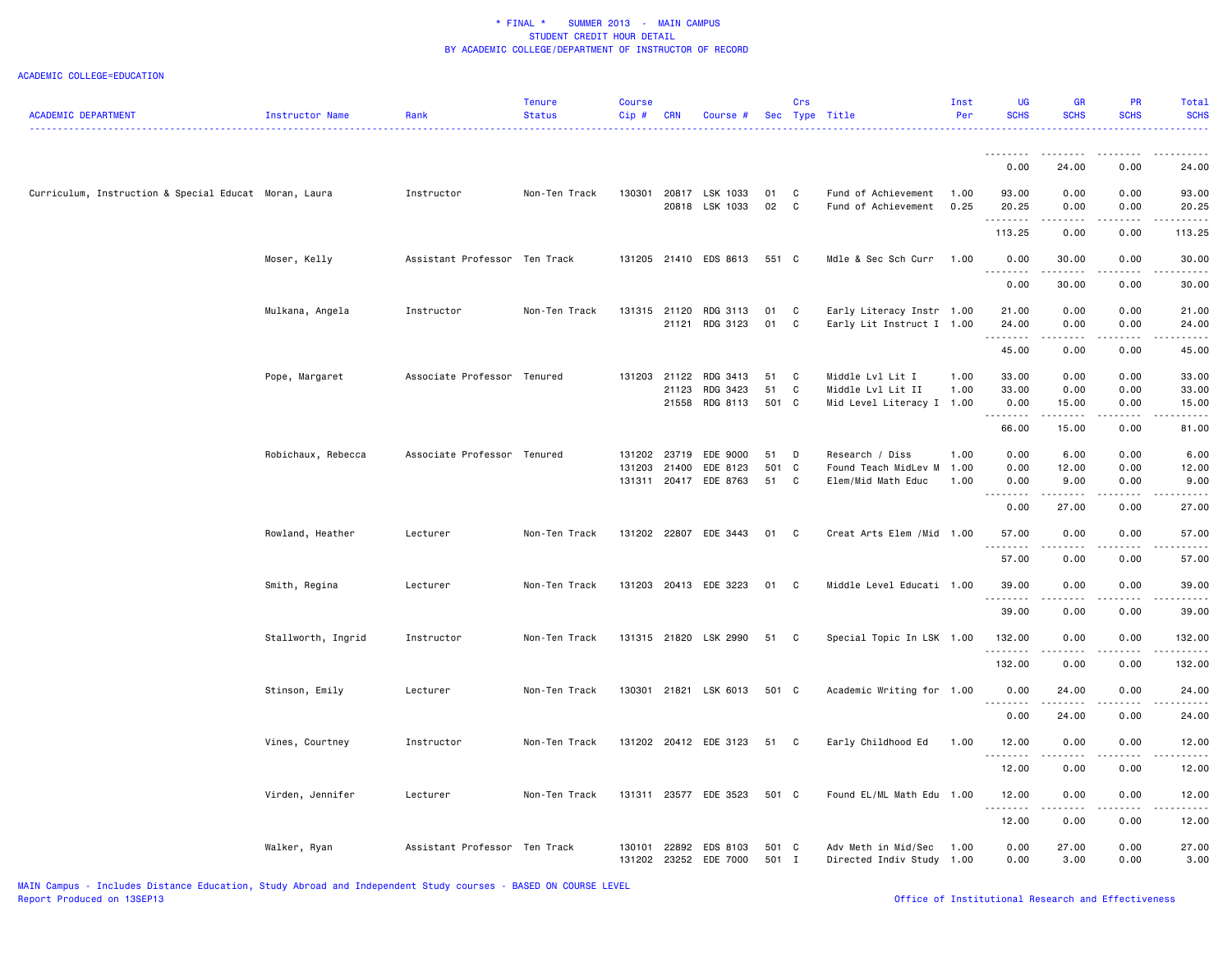|                                                       |                    |                               | <b>Tenure</b> | <b>Course</b> |                |                       |          | Crs          |                                                        | Inst | UG                 | GR                                                                                                                                                           | <b>PR</b>                                                                                                                                                    | Total                                                                                                                                                        |
|-------------------------------------------------------|--------------------|-------------------------------|---------------|---------------|----------------|-----------------------|----------|--------------|--------------------------------------------------------|------|--------------------|--------------------------------------------------------------------------------------------------------------------------------------------------------------|--------------------------------------------------------------------------------------------------------------------------------------------------------------|--------------------------------------------------------------------------------------------------------------------------------------------------------------|
| <b>ACADEMIC DEPARTMENT</b>                            | Instructor Name    | Rank                          | <b>Status</b> | Cip#          | <b>CRN</b>     | Course #              |          |              | Sec Type Title                                         | Per  | <b>SCHS</b><br>.   | <b>SCHS</b>                                                                                                                                                  | <b>SCHS</b>                                                                                                                                                  | <b>SCHS</b><br>22222                                                                                                                                         |
|                                                       |                    |                               |               |               |                |                       |          |              |                                                        |      |                    |                                                                                                                                                              |                                                                                                                                                              |                                                                                                                                                              |
|                                                       |                    |                               |               |               |                |                       |          |              |                                                        |      |                    |                                                                                                                                                              |                                                                                                                                                              |                                                                                                                                                              |
|                                                       |                    |                               |               |               |                |                       |          |              |                                                        |      | 0.00               | 24.00                                                                                                                                                        | 0.00                                                                                                                                                         | 24.00                                                                                                                                                        |
| Curriculum, Instruction & Special Educat Moran, Laura |                    | Instructor                    | Non-Ten Track | 130301        |                | 20817 LSK 1033        | 01       | C            | Fund of Achievement                                    | 1.00 | 93.00              | 0.00                                                                                                                                                         | 0.00                                                                                                                                                         | 93.00                                                                                                                                                        |
|                                                       |                    |                               |               |               |                | 20818 LSK 1033        | 02       | C            | Fund of Achievement                                    | 0.25 | 20.25              | 0.00                                                                                                                                                         | 0.00                                                                                                                                                         | 20.25                                                                                                                                                        |
|                                                       |                    |                               |               |               |                |                       |          |              |                                                        |      | .<br>113.25        | 0.00                                                                                                                                                         | $\frac{1}{2} \left( \frac{1}{2} \right) \left( \frac{1}{2} \right) \left( \frac{1}{2} \right) \left( \frac{1}{2} \right) \left( \frac{1}{2} \right)$<br>0.00 | .<br>113.25                                                                                                                                                  |
|                                                       |                    |                               |               |               |                |                       |          |              |                                                        |      |                    |                                                                                                                                                              |                                                                                                                                                              |                                                                                                                                                              |
|                                                       | Moser, Kelly       | Assistant Professor Ten Track |               |               |                | 131205 21410 EDS 8613 | 551 C    |              | Mdle & Sec Sch Curr                                    | 1.00 | 0.00<br>.          | 30.00<br>.                                                                                                                                                   | 0.00<br>.                                                                                                                                                    | 30.00<br>$\frac{1}{2}$                                                                                                                                       |
|                                                       |                    |                               |               |               |                |                       |          |              |                                                        |      | 0.00               | 30.00                                                                                                                                                        | 0.00                                                                                                                                                         | 30.00                                                                                                                                                        |
|                                                       |                    |                               |               |               |                |                       |          |              |                                                        |      |                    |                                                                                                                                                              |                                                                                                                                                              |                                                                                                                                                              |
|                                                       | Mulkana, Angela    | Instructor                    | Non-Ten Track | 131315        | 21120<br>21121 | RDG 3113<br>RDG 3123  | 01<br>01 | C<br>C       | Early Literacy Instr 1.00<br>Early Lit Instruct I 1.00 |      | 21.00<br>24.00     | 0.00<br>0.00                                                                                                                                                 | 0.00<br>0.00                                                                                                                                                 | 21.00<br>24.00                                                                                                                                               |
|                                                       |                    |                               |               |               |                |                       |          |              |                                                        |      | .                  | .                                                                                                                                                            |                                                                                                                                                              | .                                                                                                                                                            |
|                                                       |                    |                               |               |               |                |                       |          |              |                                                        |      | 45.00              | 0.00                                                                                                                                                         | 0.00                                                                                                                                                         | 45.00                                                                                                                                                        |
|                                                       | Pope, Margaret     | Associate Professor Tenured   |               |               | 131203 21122   | RDG 3413              | 51       | C            | Middle Lvl Lit I                                       | 1.00 | 33.00              | 0.00                                                                                                                                                         | 0.00                                                                                                                                                         | 33.00                                                                                                                                                        |
|                                                       |                    |                               |               |               | 21123          | RDG 3423              | 51       | C            | Middle Lvl Lit II                                      | 1.00 | 33.00              | 0.00                                                                                                                                                         | 0.00                                                                                                                                                         | 33.00                                                                                                                                                        |
|                                                       |                    |                               |               |               | 21558          | RDG 8113              | 501 C    |              | Mid Level Literacy I 1.00                              |      | 0.00               | 15.00                                                                                                                                                        | 0.00                                                                                                                                                         | 15.00                                                                                                                                                        |
|                                                       |                    |                               |               |               |                |                       |          |              |                                                        |      | .<br>66.00         | .<br>15.00                                                                                                                                                   | .<br>0.00                                                                                                                                                    | .<br>81.00                                                                                                                                                   |
|                                                       |                    |                               |               |               |                |                       |          |              |                                                        |      |                    |                                                                                                                                                              |                                                                                                                                                              |                                                                                                                                                              |
|                                                       | Robichaux, Rebecca | Associate Professor Tenured   |               | 131202        | 23719          | EDE 9000              | 51       | D            | Research / Diss                                        | 1.00 | 0.00               | 6.00                                                                                                                                                         | 0.00                                                                                                                                                         | 6.00                                                                                                                                                         |
|                                                       |                    |                               |               | 131203        | 21400          | EDE 8123              | 501 C    |              | Found Teach MidLev M                                   | 1.00 | 0.00               | 12.00                                                                                                                                                        | 0.00                                                                                                                                                         | 12.00                                                                                                                                                        |
|                                                       |                    |                               |               |               |                | 131311 20417 EDE 8763 | 51       | C            | Elem/Mid Math Educ                                     | 1.00 | 0.00<br>.          | 9.00<br>$\frac{1}{2} \left( \frac{1}{2} \right) \left( \frac{1}{2} \right) \left( \frac{1}{2} \right) \left( \frac{1}{2} \right) \left( \frac{1}{2} \right)$ | 0.00<br>.                                                                                                                                                    | 9.00<br>$\frac{1}{2} \left( \frac{1}{2} \right) \left( \frac{1}{2} \right) \left( \frac{1}{2} \right) \left( \frac{1}{2} \right) \left( \frac{1}{2} \right)$ |
|                                                       |                    |                               |               |               |                |                       |          |              |                                                        |      | 0.00               | 27.00                                                                                                                                                        | 0.00                                                                                                                                                         | 27.00                                                                                                                                                        |
|                                                       |                    |                               |               |               |                |                       |          |              |                                                        |      |                    |                                                                                                                                                              |                                                                                                                                                              |                                                                                                                                                              |
|                                                       | Rowland, Heather   | Lecturer                      | Non-Ten Track |               |                | 131202 22807 EDE 3443 | 01 C     |              | Creat Arts Elem / Mid 1.00                             |      | 57.00<br>د د د د د | 0.00<br>$\frac{1}{2} \left( \frac{1}{2} \right) \left( \frac{1}{2} \right) \left( \frac{1}{2} \right) \left( \frac{1}{2} \right)$                            | 0.00<br>.                                                                                                                                                    | 57.00                                                                                                                                                        |
|                                                       |                    |                               |               |               |                |                       |          |              |                                                        |      | 57.00              | 0.00                                                                                                                                                         | 0.00                                                                                                                                                         | 57.00                                                                                                                                                        |
|                                                       |                    |                               |               |               |                |                       |          |              |                                                        |      |                    |                                                                                                                                                              |                                                                                                                                                              |                                                                                                                                                              |
|                                                       | Smith, Regina      | Lecturer                      | Non-Ten Track |               |                | 131203 20413 EDE 3223 | 01 C     |              | Middle Level Educati 1.00                              |      | 39.00<br>.         | 0.00<br>.                                                                                                                                                    | 0.00<br>.                                                                                                                                                    | 39.00<br>.                                                                                                                                                   |
|                                                       |                    |                               |               |               |                |                       |          |              |                                                        |      | 39.00              | 0.00                                                                                                                                                         | 0.00                                                                                                                                                         | 39.00                                                                                                                                                        |
|                                                       | Stallworth, Ingrid |                               | Non-Ten Track |               |                | 131315 21820 LSK 2990 | 51       | $\mathbf{C}$ |                                                        |      |                    | 0.00                                                                                                                                                         | 0.00                                                                                                                                                         |                                                                                                                                                              |
|                                                       |                    | Instructor                    |               |               |                |                       |          |              | Special Topic In LSK 1.00                              |      | 132.00<br>.        | .                                                                                                                                                            | -----                                                                                                                                                        | 132.00<br>2.2.2.2.2.                                                                                                                                         |
|                                                       |                    |                               |               |               |                |                       |          |              |                                                        |      | 132.00             | 0.00                                                                                                                                                         | 0.00                                                                                                                                                         | 132.00                                                                                                                                                       |
|                                                       | Stinson, Emily     | Lecturer                      | Non-Ten Track | 130301        |                | 21821 LSK 6013        | 501 C    |              | Academic Writing for 1.00                              |      | 0.00               | 24.00                                                                                                                                                        | 0.00                                                                                                                                                         | 24.00                                                                                                                                                        |
|                                                       |                    |                               |               |               |                |                       |          |              |                                                        |      | .                  |                                                                                                                                                              | .                                                                                                                                                            | .                                                                                                                                                            |
|                                                       |                    |                               |               |               |                |                       |          |              |                                                        |      | 0.00               | 24.00                                                                                                                                                        | 0.00                                                                                                                                                         | 24.00                                                                                                                                                        |
|                                                       | Vines, Courtney    | Instructor                    | Non-Ten Track |               |                | 131202 20412 EDE 3123 | 51       | C            | Early Childhood Ed                                     | 1.00 | 12.00              | 0.00                                                                                                                                                         | 0.00                                                                                                                                                         | 12.00                                                                                                                                                        |
|                                                       |                    |                               |               |               |                |                       |          |              |                                                        |      | .                  | .                                                                                                                                                            | .                                                                                                                                                            | .                                                                                                                                                            |
|                                                       |                    |                               |               |               |                |                       |          |              |                                                        |      | 12.00              | 0.00                                                                                                                                                         | 0.00                                                                                                                                                         | 12.00                                                                                                                                                        |
|                                                       | Virden, Jennifer   | Lecturer                      | Non-Ten Track | 131311        |                | 23577 EDE 3523        | 501 C    |              | Found EL/ML Math Edu                                   | 1.00 | 12.00              | 0.00                                                                                                                                                         | 0.00                                                                                                                                                         | 12.00                                                                                                                                                        |
|                                                       |                    |                               |               |               |                |                       |          |              |                                                        |      | .                  |                                                                                                                                                              |                                                                                                                                                              |                                                                                                                                                              |
|                                                       |                    |                               |               |               |                |                       |          |              |                                                        |      | 12.00              | 0.00                                                                                                                                                         | 0.00                                                                                                                                                         | 12.00                                                                                                                                                        |
|                                                       | Walker, Ryan       | Assistant Professor Ten Track |               | 130101        | 22892          | EDS 8103              | 501 C    |              | Adv Meth in Mid/Sec                                    | 1.00 | 0.00               | 27.00                                                                                                                                                        | 0.00                                                                                                                                                         | 27.00                                                                                                                                                        |
|                                                       |                    |                               |               |               |                | 131202 23252 EDE 7000 | 501 I    |              | Directed Indiv Study 1.00                              |      | 0.00               | 3.00                                                                                                                                                         | 0.00                                                                                                                                                         | 3.00                                                                                                                                                         |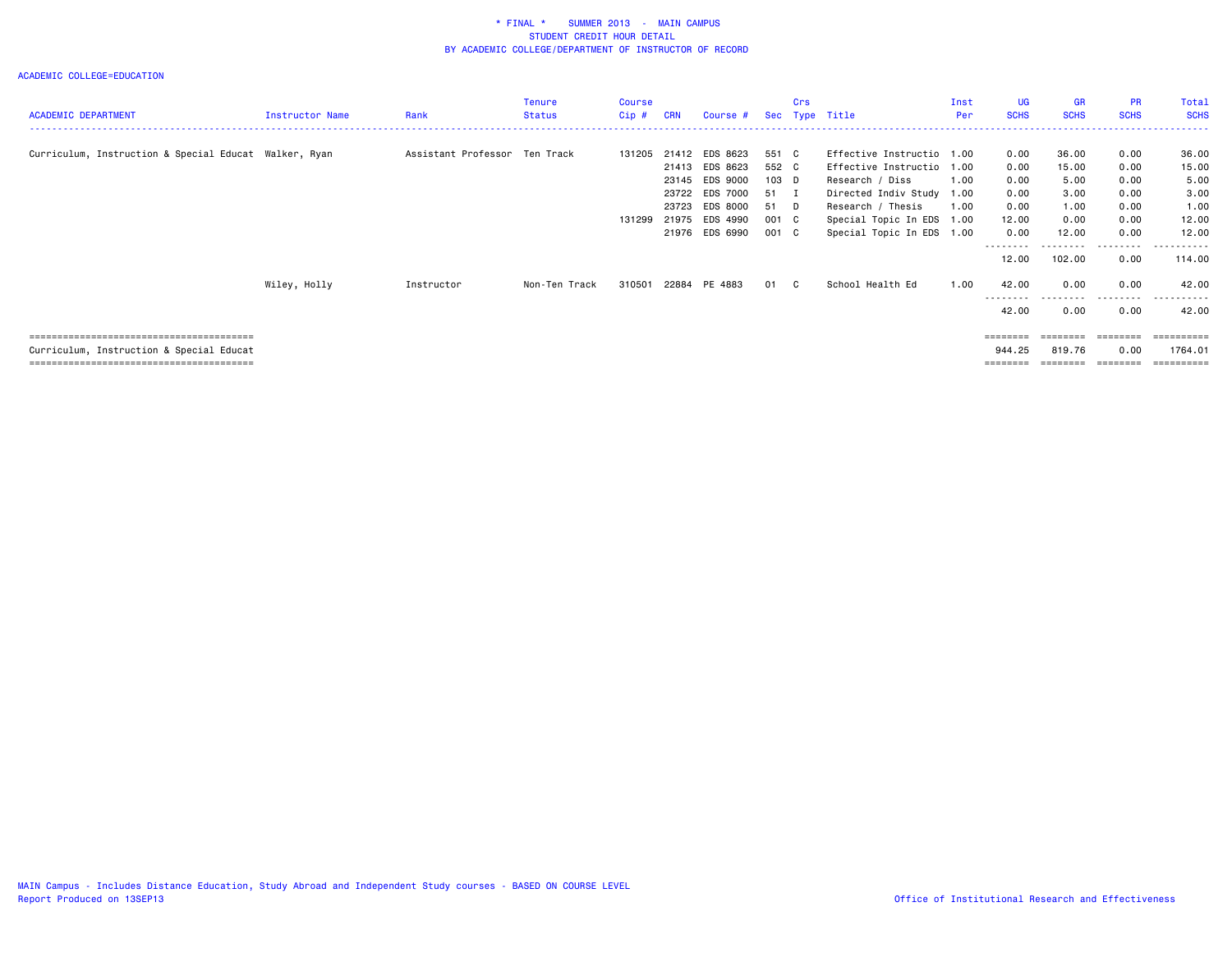| <b>ACADEMIC DEPARTMENT</b>                            | Instructor Name | Rank                          | Tenure<br>Status | Course<br>Cip# | <b>CRN</b>     | Course #                               |                        | Crs | Sec Type Title                                                              | Inst<br>Per | UG.<br><b>SCHS</b>    | <b>GR</b><br><b>SCHS</b> | <b>PR</b><br><b>SCHS</b> | Total<br><b>SCHS</b>             |
|-------------------------------------------------------|-----------------|-------------------------------|------------------|----------------|----------------|----------------------------------------|------------------------|-----|-----------------------------------------------------------------------------|-------------|-----------------------|--------------------------|--------------------------|----------------------------------|
| Curriculum, Instruction & Special Educat Walker, Ryan |                 | Assistant Professor Ten Track |                  | 131205         | 21412<br>21413 | EDS 8623<br>EDS 8623                   | 551 C<br>552 C         |     | Effective Instructio 1.00<br>Effective Instructio                           | 1.00        | 0.00<br>0.00          | 36.00<br>15.00           | 0.00<br>0.00             | 36.00<br>15.00                   |
|                                                       |                 |                               |                  |                | 23145<br>23722 | EDS 9000<br>EDS 7000                   | 103 D<br>51 I          |     | Research / Diss<br>Directed Indiv Study 1.00                                | 1.00        | 0.00<br>0.00          | 5.00<br>3.00             | 0.00<br>0.00             | 5.00<br>3.00                     |
|                                                       |                 |                               |                  | 131299         | 23723<br>21975 | EDS 8000<br>EDS 4990<br>21976 EDS 6990 | 51 D<br>001 C<br>001 C |     | Research / Thesis<br>Special Topic In EDS 1.00<br>Special Topic In EDS 1.00 | 1.00        | 0.00<br>12.00<br>0.00 | 1.00<br>0.00<br>12.00    | 0.00<br>0.00<br>0.00     | 1.00<br>12.00<br>12.00           |
|                                                       |                 |                               |                  |                |                |                                        |                        |     |                                                                             |             | ---------<br>12.00    | ---------<br>102.00      | .<br>0.00                | .<br>114.00                      |
|                                                       | Wiley, Holly    | Instructor                    | Non-Ten Track    | 310501         |                | 22884 PE 4883                          | 01                     | C.  | School Health Ed                                                            | 1.00        | 42.00<br>---------    | 0.00<br>.                | 0.00<br>.                | 42.00<br>.                       |
|                                                       |                 |                               |                  |                |                |                                        |                        |     |                                                                             |             | 42.00                 | 0.00                     | 0.00                     | 42.00                            |
| Curriculum, Instruction & Special Educat              |                 |                               |                  |                |                |                                        |                        |     |                                                                             |             | 944.25                | ========<br>819.76       | ---------<br>0.00        | ==========<br>1764.01<br>======= |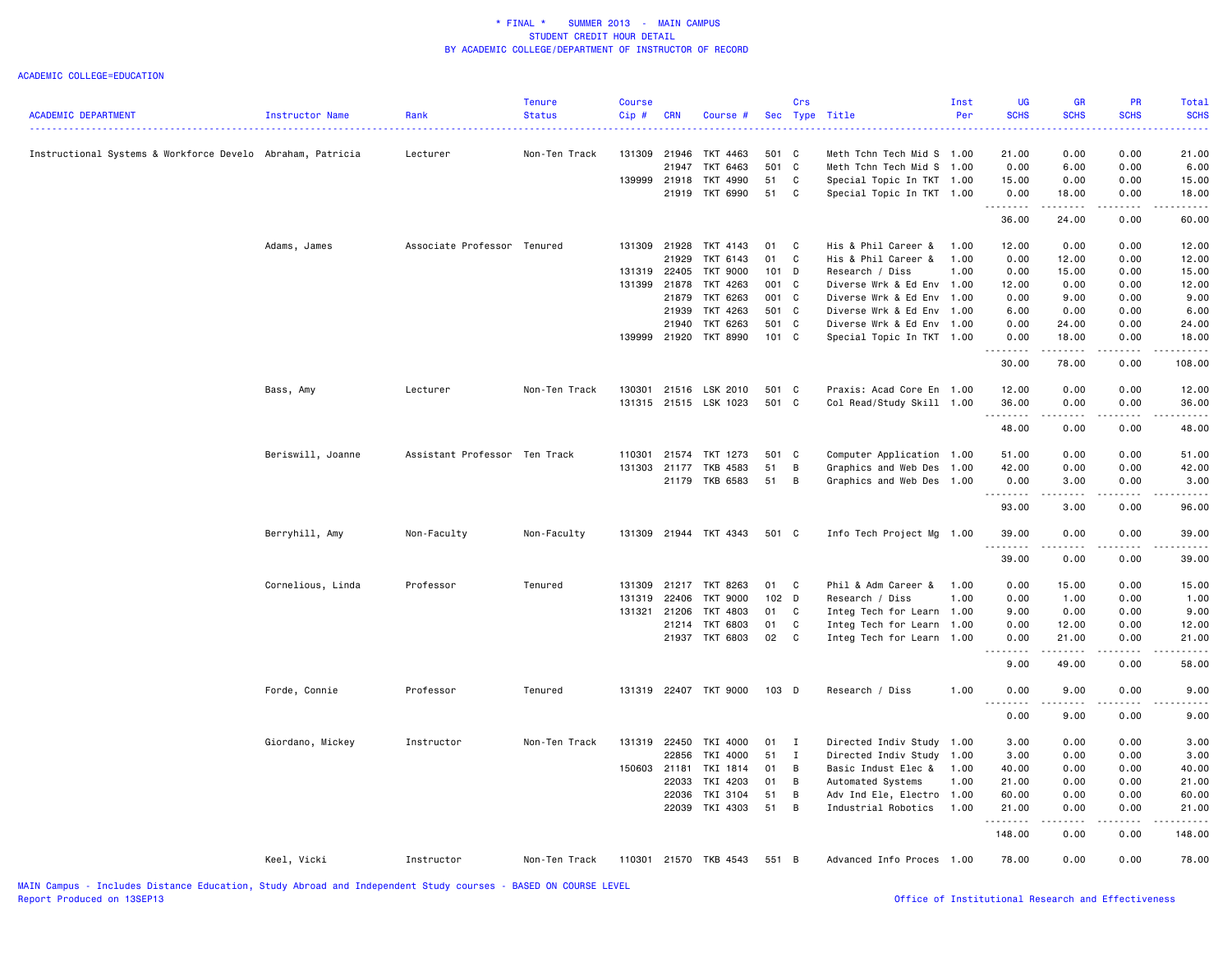|                                                            |                   |                               | <b>Tenure</b> | <b>Course</b> |            |                       |          | Crs                          |                                              | Inst | UG                | <b>GR</b>                           | PR                                                                                                                                                           | Total       |
|------------------------------------------------------------|-------------------|-------------------------------|---------------|---------------|------------|-----------------------|----------|------------------------------|----------------------------------------------|------|-------------------|-------------------------------------|--------------------------------------------------------------------------------------------------------------------------------------------------------------|-------------|
| <b>ACADEMIC DEPARTMENT</b>                                 | Instructor Name   | Rank                          | <b>Status</b> | Cip#          | <b>CRN</b> | Course #              |          |                              | Sec Type Title                               | Per  | <b>SCHS</b>       | <b>SCHS</b>                         | <b>SCHS</b>                                                                                                                                                  | <b>SCHS</b> |
|                                                            |                   |                               |               |               |            |                       |          |                              |                                              |      |                   |                                     |                                                                                                                                                              |             |
| Instructional Systems & Workforce Develo Abraham, Patricia |                   | Lecturer                      | Non-Ten Track | 131309 21946  |            | TKT 4463              | 501 C    |                              | Meth Tchn Tech Mid S 1.00                    |      | 21.00             | 0.00                                | 0.00                                                                                                                                                         | 21.00       |
|                                                            |                   |                               |               |               | 21947      | TKT 6463              | 501 C    |                              | Meth Tchn Tech Mid S                         | 1.00 | 0.00              | 6.00                                | 0.00                                                                                                                                                         | 6.00        |
|                                                            |                   |                               |               | 139999        | 21918      | TKT 4990              | 51       | C                            | Special Topic In TKT 1.00                    |      | 15.00             | 0.00                                | 0.00                                                                                                                                                         | 15.00       |
|                                                            |                   |                               |               |               |            | 21919 TKT 6990        | 51       | C                            | Special Topic In TKT 1.00                    |      | 0.00<br>.         | 18.00<br>.                          | 0.00<br>.                                                                                                                                                    | 18.00       |
|                                                            |                   |                               |               |               |            |                       |          |                              |                                              |      | 36.00             | 24.00                               | 0.00                                                                                                                                                         | 60.00       |
|                                                            | Adams, James      | Associate Professor Tenured   |               |               |            | 131309 21928 TKT 4143 | 01       | $\mathbf{C}$                 | His & Phil Career &                          | 1.00 | 12.00             | 0.00                                | 0.00                                                                                                                                                         | 12.00       |
|                                                            |                   |                               |               |               | 21929      | TKT 6143              | 01       | $\mathbf{C}$                 | His & Phil Career &                          | 1.00 | 0.00              | 12.00                               | 0.00                                                                                                                                                         | 12.00       |
|                                                            |                   |                               |               | 131319 22405  |            | TKT 9000              | $101$ D  |                              | Research / Diss                              | 1.00 | 0.00              | 15.00                               | 0.00                                                                                                                                                         | 15.00       |
|                                                            |                   |                               |               | 131399        | 21878      | TKT 4263              | 001 C    |                              | Diverse Wrk & Ed Env 1.00                    |      | 12.00             | 0.00                                | 0.00                                                                                                                                                         | 12.00       |
|                                                            |                   |                               |               |               | 21879      | TKT 6263              | 001 C    |                              | Diverse Wrk & Ed Env                         | 1.00 | 0.00              | 9.00                                | 0.00                                                                                                                                                         | 9.00        |
|                                                            |                   |                               |               |               | 21939      | TKT 4263              | 501 C    |                              | Diverse Wrk & Ed Env                         | 1.00 | 6.00              | 0.00                                | 0.00                                                                                                                                                         | 6.00        |
|                                                            |                   |                               |               |               | 21940      | TKT 6263              | 501 C    |                              | Diverse Wrk & Ed Env                         | 1.00 | 0.00              | 24.00                               | 0.00                                                                                                                                                         | 24.00       |
|                                                            |                   |                               |               |               |            | 139999 21920 TKT 8990 | 101 C    |                              | Special Topic In TKT 1.00                    |      | 0.00              | 18.00                               | 0.00                                                                                                                                                         | 18.00       |
|                                                            |                   |                               |               |               |            |                       |          |                              |                                              |      | .<br>30.00        | .<br>78.00                          | $\frac{1}{2}$<br>0.00                                                                                                                                        | 108.00      |
|                                                            |                   |                               | Non-Ten Track | 130301        |            | 21516 LSK 2010        | 501 C    |                              |                                              |      |                   |                                     |                                                                                                                                                              |             |
|                                                            | Bass, Amy         | Lecturer                      |               |               |            |                       |          |                              | Praxis: Acad Core En 1.00                    |      | 12.00             | 0.00                                | 0.00                                                                                                                                                         | 12.00       |
|                                                            |                   |                               |               |               |            | 131315 21515 LSK 1023 | 501 C    |                              | Col Read/Study Skill 1.00                    |      | 36.00<br>.        | 0.00<br>.                           | 0.00<br>.                                                                                                                                                    | 36.00       |
|                                                            |                   |                               |               |               |            |                       |          |                              |                                              |      | 48.00             | 0.00                                | 0.00                                                                                                                                                         | 48.00       |
|                                                            | Beriswill, Joanne | Assistant Professor Ten Track |               | 110301        |            | 21574 TKT 1273        | 501 C    |                              | Computer Application 1.00                    |      | 51.00             | 0.00                                | 0.00                                                                                                                                                         | 51.00       |
|                                                            |                   |                               |               | 131303        | 21177      | TKB 4583              | 51       | B                            | Graphics and Web Des                         | 1.00 | 42.00             | 0.00                                | 0.00                                                                                                                                                         | 42.00       |
|                                                            |                   |                               |               |               |            | 21179 TKB 6583        | 51       | $\overline{B}$               | Graphics and Web Des 1.00                    |      | 0.00              | 3.00                                | 0.00                                                                                                                                                         | 3.00        |
|                                                            |                   |                               |               |               |            |                       |          |                              |                                              |      | .<br>93.00        | . <u>.</u> .<br>3.00                | 0.00                                                                                                                                                         | 96.00       |
|                                                            | Berryhill, Amy    | Non-Faculty                   | Non-Faculty   |               |            | 131309 21944 TKT 4343 | 501 C    |                              | Info Tech Project Mg 1.00                    |      | 39.00             | 0.00                                | 0.00                                                                                                                                                         | 39.00       |
|                                                            |                   |                               |               |               |            |                       |          |                              |                                              |      | <u>.</u><br>39.00 | 0.00                                | 0.00                                                                                                                                                         | 39.00       |
|                                                            | Cornelious, Linda | Professor                     | Tenured       |               |            | 131309 21217 TKT 8263 | 01 C     |                              | Phil & Adm Career &                          | 1.00 | 0.00              | 15.00                               | 0.00                                                                                                                                                         | 15.00       |
|                                                            |                   |                               |               | 131319        | 22406      | <b>TKT 9000</b>       | 102 D    |                              | Research / Diss                              | 1.00 | 0.00              | 1.00                                | 0.00                                                                                                                                                         | 1.00        |
|                                                            |                   |                               |               |               |            | 131321 21206 TKT 4803 | 01 C     |                              | Integ Tech for Learn 1.00                    |      | 9.00              | 0.00                                | 0.00                                                                                                                                                         | 9.00        |
|                                                            |                   |                               |               |               |            | 21214 TKT 6803        | 01       | $\mathbf{C}$                 |                                              | 1.00 | 0.00              | 12.00                               | 0.00                                                                                                                                                         | 12.00       |
|                                                            |                   |                               |               |               |            | 21937 TKT 6803        | 02 C     |                              | Integ Tech for Learn<br>Integ Tech for Learn | 1.00 | 0.00              | 21.00                               | 0.00                                                                                                                                                         | 21.00       |
|                                                            |                   |                               |               |               |            |                       |          |                              |                                              |      | 9.00              | .<br>49.00                          | 0.00                                                                                                                                                         | 58.00       |
|                                                            | Forde, Connie     | Professor                     | Tenured       |               |            | 131319 22407 TKT 9000 | 103 D    |                              | Research / Diss                              | 1.00 | 0.00              | 9.00                                | 0.00                                                                                                                                                         | 9.00        |
|                                                            |                   |                               |               |               |            |                       |          |                              |                                              |      | <u>.</u><br>0.00  | .<br>9.00                           | 0.00                                                                                                                                                         | 9.00        |
|                                                            |                   |                               |               |               |            |                       |          |                              |                                              |      |                   |                                     |                                                                                                                                                              |             |
|                                                            | Giordano, Mickey  | Instructor                    | Non-Ten Track | 131319 22450  | 22856      | TKI 4000<br>TKI 4000  | 01<br>51 | $\mathbf{I}$<br>$\mathbf{I}$ | Directed Indiv Study                         | 1.00 | 3.00              | 0.00                                | 0.00                                                                                                                                                         | 3.00        |
|                                                            |                   |                               |               |               |            |                       |          |                              | Directed Indiv Study                         | 1.00 | 3.00              | 0.00                                | 0.00                                                                                                                                                         | 3.00        |
|                                                            |                   |                               |               | 150603 21181  |            | TKI 1814              | 01       | B                            | Basic Indust Elec &                          | 1.00 | 40.00             | 0.00                                | 0.00                                                                                                                                                         | 40.00       |
|                                                            |                   |                               |               |               | 22033      | TKI 4203              | 01       | B                            | Automated Systems                            | 1.00 | 21.00             | 0.00                                | 0.00                                                                                                                                                         | 21.00       |
|                                                            |                   |                               |               |               | 22036      | TKI 3104              | 51       | B                            | Adv Ind Ele, Electro 1.00                    |      | 60.00             | 0.00                                | 0.00                                                                                                                                                         | 60.00       |
|                                                            |                   |                               |               |               |            | 22039 TKI 4303        | 51       | B                            | Industrial Robotics                          | 1.00 | 21.00<br>.        | 0.00<br>$\sim$ $\sim$ $\sim$ $\sim$ | 0.00<br>$\frac{1}{2} \left( \frac{1}{2} \right) \left( \frac{1}{2} \right) \left( \frac{1}{2} \right) \left( \frac{1}{2} \right) \left( \frac{1}{2} \right)$ | 21.00       |
|                                                            |                   |                               |               |               |            |                       |          |                              |                                              |      | 148.00            | 0.00                                | 0.00                                                                                                                                                         | 148.00      |
|                                                            | Keel, Vicki       | Instructor                    | Non-Ten Track |               |            | 110301 21570 TKB 4543 | 551 B    |                              | Advanced Info Proces 1.00                    |      | 78.00             | 0.00                                | 0.00                                                                                                                                                         | 78.00       |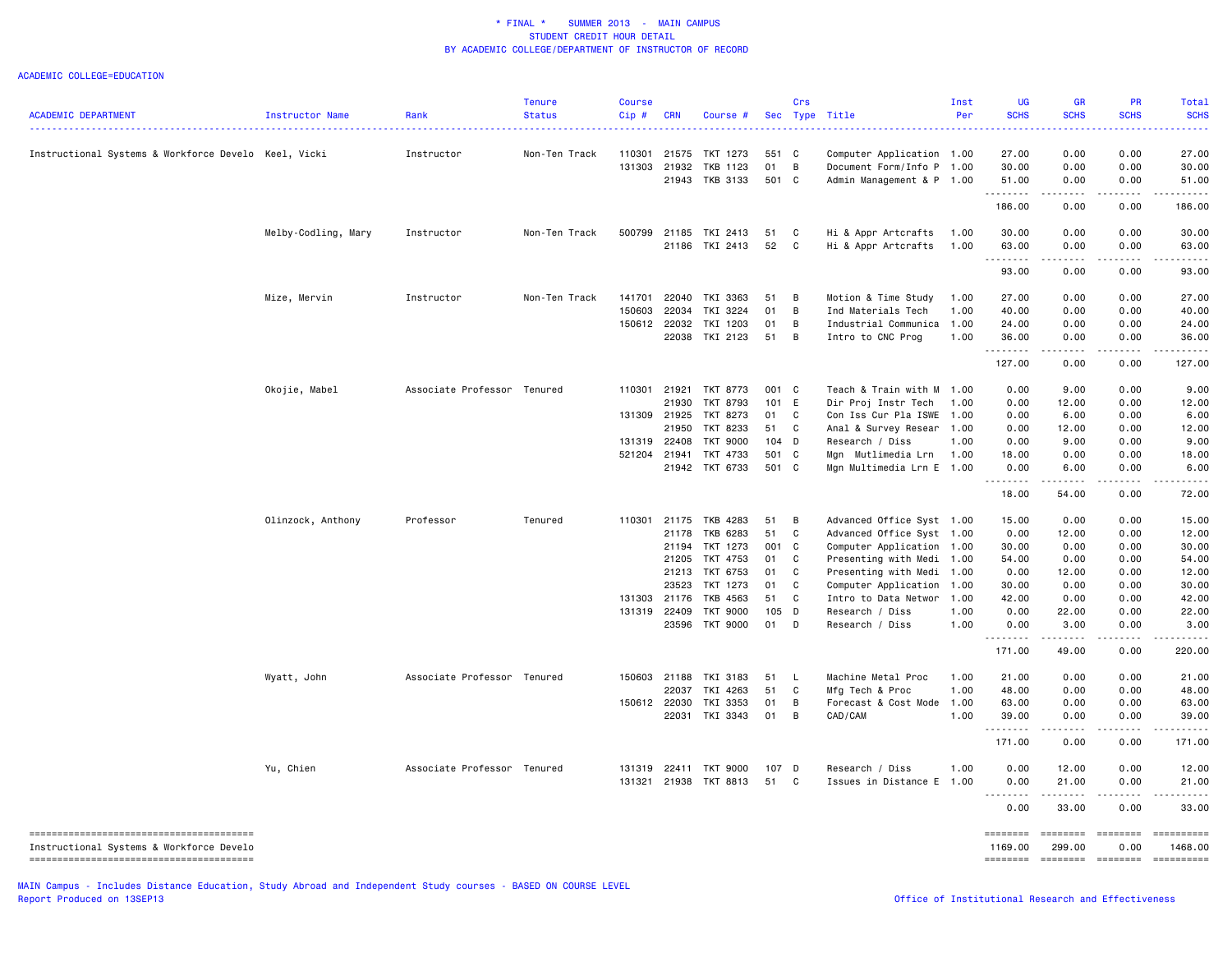|                                                      |                        |                             | <b>Tenure</b> | <b>Course</b> |              |                                   |               | Crs            |                                    | Inst         | UG                | <b>GR</b>                                                                                                                                                                                                                                                                                                                                                                                                                                                                              | PR                                                                                                                                                   | Total         |
|------------------------------------------------------|------------------------|-----------------------------|---------------|---------------|--------------|-----------------------------------|---------------|----------------|------------------------------------|--------------|-------------------|----------------------------------------------------------------------------------------------------------------------------------------------------------------------------------------------------------------------------------------------------------------------------------------------------------------------------------------------------------------------------------------------------------------------------------------------------------------------------------------|------------------------------------------------------------------------------------------------------------------------------------------------------|---------------|
| <b>ACADEMIC DEPARTMENT</b>                           | <b>Instructor Name</b> | Rank                        | <b>Status</b> | Cip#          | <b>CRN</b>   | Course #                          |               |                | Sec Type Title                     | Per          | <b>SCHS</b>       | <b>SCHS</b>                                                                                                                                                                                                                                                                                                                                                                                                                                                                            | <b>SCHS</b>                                                                                                                                          | <b>SCHS</b>   |
| Instructional Systems & Workforce Develo Keel, Vicki |                        | Instructor                  | Non-Ten Track | 110301        |              | 21575 TKT 1273                    | 551 C         |                | Computer Application 1.00          |              | 27.00             | 0.00                                                                                                                                                                                                                                                                                                                                                                                                                                                                                   | 0.00                                                                                                                                                 | 27.00         |
|                                                      |                        |                             |               | 131303        | 21932        | TKB 1123                          | 01            | $\overline{B}$ | Document Form/Info P 1.00          |              | 30.00             | 0.00                                                                                                                                                                                                                                                                                                                                                                                                                                                                                   | 0.00                                                                                                                                                 | 30.00         |
|                                                      |                        |                             |               |               |              | 21943 TKB 3133                    | 501 C         |                | Admin Management & P 1.00          |              | 51.00             | 0.00                                                                                                                                                                                                                                                                                                                                                                                                                                                                                   | 0.00                                                                                                                                                 | 51.00         |
|                                                      |                        |                             |               |               |              |                                   |               |                |                                    |              | <u>.</u>          | .                                                                                                                                                                                                                                                                                                                                                                                                                                                                                      | $\frac{1}{2} \left( \frac{1}{2} \right) \left( \frac{1}{2} \right) \left( \frac{1}{2} \right) \left( \frac{1}{2} \right) \left( \frac{1}{2} \right)$ | .             |
|                                                      |                        |                             |               |               |              |                                   |               |                |                                    |              | 186.00            | 0.00                                                                                                                                                                                                                                                                                                                                                                                                                                                                                   | 0.00                                                                                                                                                 | 186.00        |
|                                                      | Melby-Codling, Mary    | Instructor                  | Non-Ten Track |               |              | 500799 21185 TKI 2413             | 51            | $\mathbf{C}$   | Hi & Appr Artcrafts                | 1.00         | 30.00             | 0.00                                                                                                                                                                                                                                                                                                                                                                                                                                                                                   | 0.00                                                                                                                                                 | 30.00         |
|                                                      |                        |                             |               |               |              | 21186 TKI 2413                    | 52            | $\mathbf{C}$   | Hi & Appr Artcrafts                | 1.00         | 63.00<br><u>.</u> | 0.00<br>.                                                                                                                                                                                                                                                                                                                                                                                                                                                                              | 0.00<br>د د د د د                                                                                                                                    | 63.00<br>.    |
|                                                      |                        |                             |               |               |              |                                   |               |                |                                    |              | 93.00             | 0.00                                                                                                                                                                                                                                                                                                                                                                                                                                                                                   | 0.00                                                                                                                                                 | 93.00         |
|                                                      | Mize, Mervin           | Instructor                  | Non-Ten Track | 141701        | 22040        | TKI 3363                          | 51            | - B            | Motion & Time Study                | 1.00         | 27.00             | 0.00                                                                                                                                                                                                                                                                                                                                                                                                                                                                                   | 0.00                                                                                                                                                 | 27.00         |
|                                                      |                        |                             |               | 150603        | 22034        | TKI 3224                          | 01            | B              | Ind Materials Tech                 | 1.00         | 40.00             | 0.00                                                                                                                                                                                                                                                                                                                                                                                                                                                                                   | 0.00                                                                                                                                                 | 40.00         |
|                                                      |                        |                             |               | 150612        | 22032        | TKI 1203                          | 01            | B              | Industrial Communica               | 1.00         | 24.00             | 0.00                                                                                                                                                                                                                                                                                                                                                                                                                                                                                   | 0.00                                                                                                                                                 | 24.00         |
|                                                      |                        |                             |               |               |              | 22038 TKI 2123                    | 51            | $\overline{B}$ | Intro to CNC Prog                  | 1.00         | 36.00<br>.        | 0.00<br>.                                                                                                                                                                                                                                                                                                                                                                                                                                                                              | 0.00<br>المتمام المتعاد                                                                                                                              | 36.00         |
|                                                      |                        |                             |               |               |              |                                   |               |                |                                    |              | 127.00            | 0.00                                                                                                                                                                                                                                                                                                                                                                                                                                                                                   | 0.00                                                                                                                                                 | 127.00        |
|                                                      | Okojie, Mabel          | Associate Professor Tenured |               |               | 110301 21921 | TKT 8773                          | 001 C         |                | Teach & Train with M               | 1.00         | 0.00              | 9.00                                                                                                                                                                                                                                                                                                                                                                                                                                                                                   | 0.00                                                                                                                                                 | 9.00          |
|                                                      |                        |                             |               |               | 21930        | TKT 8793                          | 101 E         |                | Dir Proj Instr Tech                | 1.00         | 0.00              | 12.00                                                                                                                                                                                                                                                                                                                                                                                                                                                                                  | 0.00                                                                                                                                                 | 12.00         |
|                                                      |                        |                             |               | 131309        | 21925        | TKT 8273                          | 01            | C              | Con Iss Cur Pla ISWE               | 1.00         | 0.00              | 6.00                                                                                                                                                                                                                                                                                                                                                                                                                                                                                   | 0.00                                                                                                                                                 | 6.00          |
|                                                      |                        |                             |               |               | 21950        | TKT 8233                          | 51            | $\mathbf{C}$   | Anal & Survey Resear               | 1.00         | 0.00              | 12.00                                                                                                                                                                                                                                                                                                                                                                                                                                                                                  | 0.00                                                                                                                                                 | 12.00         |
|                                                      |                        |                             |               | 131319        | 22408        | <b>TKT 9000</b>                   | 104 D         |                | Research / Diss                    | 1.00         | 0.00              | 9.00                                                                                                                                                                                                                                                                                                                                                                                                                                                                                   | 0.00                                                                                                                                                 | 9.00          |
|                                                      |                        |                             |               | 521204        | 21941        | TKT 4733                          | 501 C         |                | Mgn Mutlimedia Lrn                 | 1.00         | 18.00             | 0.00                                                                                                                                                                                                                                                                                                                                                                                                                                                                                   | 0.00                                                                                                                                                 | 18.00         |
|                                                      |                        |                             |               |               |              | 21942 TKT 6733                    | 501 C         |                | Mgn Multimedia Lrn E 1.00          |              | 0.00<br>.         | 6.00                                                                                                                                                                                                                                                                                                                                                                                                                                                                                   | 0.00                                                                                                                                                 | 6.00          |
|                                                      |                        |                             |               |               |              |                                   |               |                |                                    |              | 18.00             | 54.00                                                                                                                                                                                                                                                                                                                                                                                                                                                                                  | 0.00                                                                                                                                                 | 72.00         |
|                                                      | Olinzock, Anthony      | Professor                   | Tenured       |               |              | 110301 21175 TKB 4283             | 51            | $\overline{B}$ | Advanced Office Syst 1.00          |              | 15.00             | 0.00                                                                                                                                                                                                                                                                                                                                                                                                                                                                                   | 0.00                                                                                                                                                 | 15.00         |
|                                                      |                        |                             |               |               | 21178        | TKB 6283                          | 51            | C              | Advanced Office Syst 1.00          |              | 0.00              | 12.00                                                                                                                                                                                                                                                                                                                                                                                                                                                                                  | 0.00                                                                                                                                                 | 12.00         |
|                                                      |                        |                             |               |               | 21194        | TKT 1273                          | 001 C         |                | Computer Application               | 1.00         | 30.00             | 0.00                                                                                                                                                                                                                                                                                                                                                                                                                                                                                   | 0.00                                                                                                                                                 | 30.00         |
|                                                      |                        |                             |               |               | 21205        | TKT 4753                          | 01            | C              | Presenting with Medi 1.00          |              | 54.00             | 0.00                                                                                                                                                                                                                                                                                                                                                                                                                                                                                   | 0.00                                                                                                                                                 | 54.00         |
|                                                      |                        |                             |               |               |              | 21213 TKT 6753                    | 01            | C              | Presenting with Medi               | 1.00         | 0.00              | 12.00                                                                                                                                                                                                                                                                                                                                                                                                                                                                                  | 0.00                                                                                                                                                 | 12.00         |
|                                                      |                        |                             |               |               | 23523        | TKT 1273                          | 01            | $\mathbf{C}$   | Computer Application               | 1.00         | 30.00             | 0.00                                                                                                                                                                                                                                                                                                                                                                                                                                                                                   | 0.00                                                                                                                                                 | 30.00         |
|                                                      |                        |                             |               | 131303        | 21176        | TKB 4563                          | 51            | C              | Intro to Data Networ               | 1.00         | 42.00             | 0.00                                                                                                                                                                                                                                                                                                                                                                                                                                                                                   | 0.00                                                                                                                                                 | 42.00         |
|                                                      |                        |                             |               | 131319        | 22409        | <b>TKT 9000</b><br>23596 TKT 9000 | 105 D<br>01 D |                | Research / Diss<br>Research / Diss | 1.00<br>1.00 | 0.00<br>0.00      | 22.00<br>3.00                                                                                                                                                                                                                                                                                                                                                                                                                                                                          | 0.00<br>0.00                                                                                                                                         | 22.00<br>3.00 |
|                                                      |                        |                             |               |               |              |                                   |               |                |                                    |              | .<br>171.00       | $\frac{1}{2} \left( \frac{1}{2} \right) \left( \frac{1}{2} \right) \left( \frac{1}{2} \right) \left( \frac{1}{2} \right) \left( \frac{1}{2} \right)$<br>49.00                                                                                                                                                                                                                                                                                                                          | .<br>0.00                                                                                                                                            | 220.00        |
|                                                      |                        |                             |               |               |              |                                   |               |                |                                    |              |                   |                                                                                                                                                                                                                                                                                                                                                                                                                                                                                        |                                                                                                                                                      |               |
|                                                      | Wyatt, John            | Associate Professor Tenured |               |               | 150603 21188 | TKI 3183                          | 51            | $\mathsf{L}$   | Machine Metal Proc                 | 1.00         | 21.00             | 0.00                                                                                                                                                                                                                                                                                                                                                                                                                                                                                   | 0.00                                                                                                                                                 | 21.00         |
|                                                      |                        |                             |               |               | 22037        | TKI 4263                          | 51            | $\mathbf{C}$   | Mfg Tech & Proc                    | 1.00         | 48.00             | 0.00                                                                                                                                                                                                                                                                                                                                                                                                                                                                                   | 0.00                                                                                                                                                 | 48.00         |
|                                                      |                        |                             |               |               | 150612 22030 | TKI 3353                          | 01            | B              | Forecast & Cost Mode 1.00          |              | 63.00             | 0.00                                                                                                                                                                                                                                                                                                                                                                                                                                                                                   | 0.00                                                                                                                                                 | 63.00         |
|                                                      |                        |                             |               |               |              | 22031 TKI 3343                    | 01            | B              | CAD/CAM                            | 1.00         | 39.00<br>.        | 0.00<br>.                                                                                                                                                                                                                                                                                                                                                                                                                                                                              | 0.00                                                                                                                                                 | 39.00         |
|                                                      |                        |                             |               |               |              |                                   |               |                |                                    |              | 171.00            | 0.00                                                                                                                                                                                                                                                                                                                                                                                                                                                                                   | 0.00                                                                                                                                                 | 171.00        |
|                                                      | Yu, Chien              | Associate Professor Tenured |               | 131319        |              | 22411 TKT 9000                    | 107 D         |                | Research / Diss                    | 1.00         | 0.00              | 12.00                                                                                                                                                                                                                                                                                                                                                                                                                                                                                  | 0.00                                                                                                                                                 | 12.00         |
|                                                      |                        |                             |               | 131321        |              | 21938 TKT 8813                    | 51            | C              | Issues in Distance E 1.00          |              | 0.00              | 21.00<br>.                                                                                                                                                                                                                                                                                                                                                                                                                                                                             | 0.00<br>المتمالين                                                                                                                                    | 21.00<br>.    |
|                                                      |                        |                             |               |               |              |                                   |               |                |                                    |              | 0.00              | 33.00                                                                                                                                                                                                                                                                                                                                                                                                                                                                                  | 0.00                                                                                                                                                 | 33.00         |
|                                                      |                        |                             |               |               |              |                                   |               |                |                                    |              | ========          | ========                                                                                                                                                                                                                                                                                                                                                                                                                                                                               | $= 222222222$                                                                                                                                        |               |
| Instructional Systems & Workforce Develo             |                        |                             |               |               |              |                                   |               |                |                                    |              | 1169.00           | 299.00                                                                                                                                                                                                                                                                                                                                                                                                                                                                                 | 0.00                                                                                                                                                 | 1468.00       |
|                                                      |                        |                             |               |               |              |                                   |               |                |                                    |              | ========          | $\begin{array}{cccccccccc} \multicolumn{2}{c}{} & \multicolumn{2}{c}{} & \multicolumn{2}{c}{} & \multicolumn{2}{c}{} & \multicolumn{2}{c}{} & \multicolumn{2}{c}{} & \multicolumn{2}{c}{} & \multicolumn{2}{c}{} & \multicolumn{2}{c}{} & \multicolumn{2}{c}{} & \multicolumn{2}{c}{} & \multicolumn{2}{c}{} & \multicolumn{2}{c}{} & \multicolumn{2}{c}{} & \multicolumn{2}{c}{} & \multicolumn{2}{c}{} & \multicolumn{2}{c}{} & \multicolumn{2}{c}{} & \multicolumn{2}{c}{} & \mult$ | $= 222222222$                                                                                                                                        |               |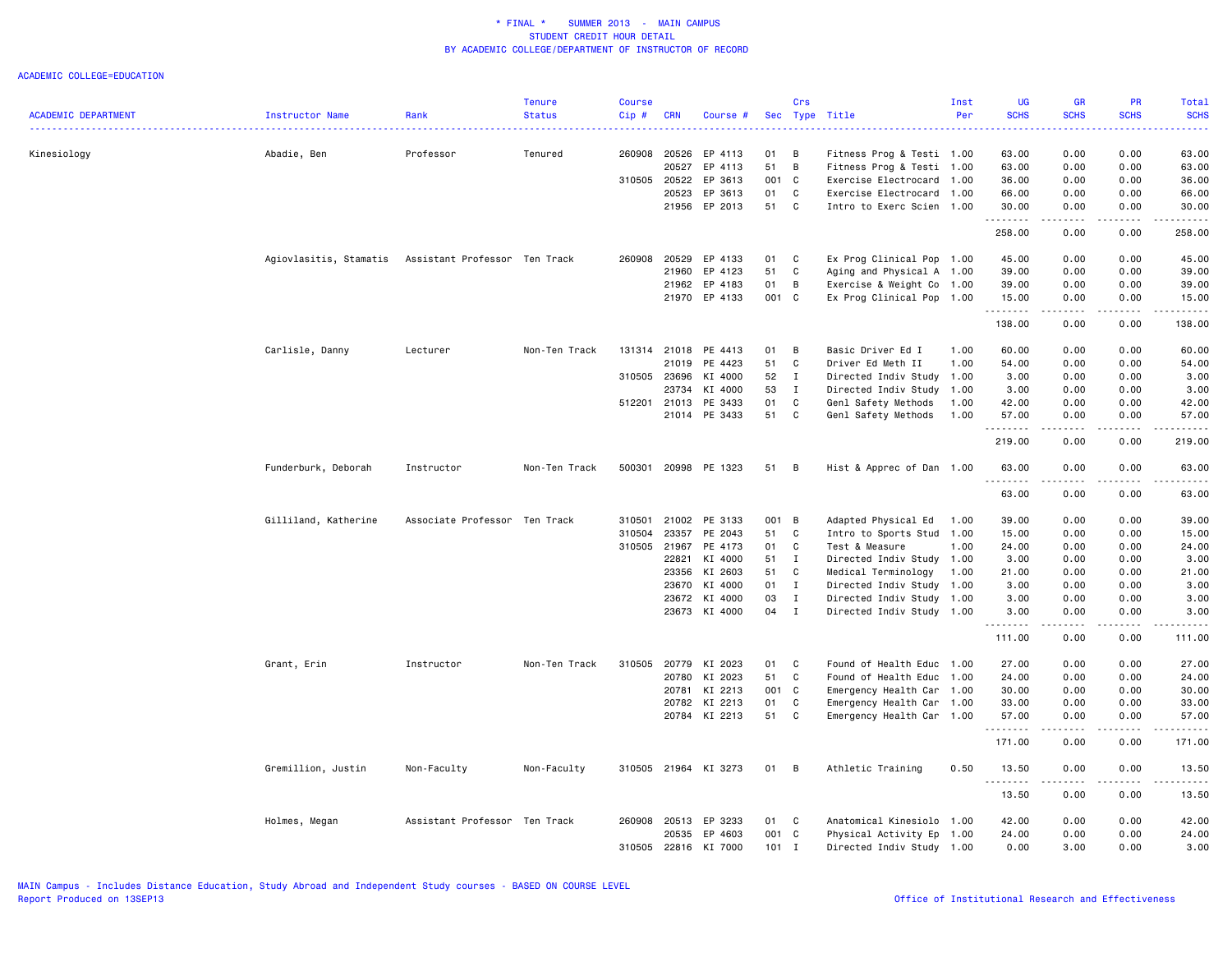|                            |                        |                               | <b>Tenure</b> | <b>Course</b> |              |                      |         | Crs          |                           | Inst | <b>UG</b>   | <b>GR</b>                        | PR          | Total       |
|----------------------------|------------------------|-------------------------------|---------------|---------------|--------------|----------------------|---------|--------------|---------------------------|------|-------------|----------------------------------|-------------|-------------|
| <b>ACADEMIC DEPARTMENT</b> | Instructor Name        | Rank                          | <b>Status</b> | Cip#          | <b>CRN</b>   | Course #             | Sec     |              | Type Title                | Per  | <b>SCHS</b> | <b>SCHS</b>                      | <b>SCHS</b> | <b>SCHS</b> |
| Kinesiology                | Abadie, Ben            | Professor                     | Tenured       | 260908        | 20526        | EP 4113              | 01      | B            | Fitness Prog & Testi 1.00 |      | 63.00       | 0.00                             | 0.00        | 63.00       |
|                            |                        |                               |               |               | 20527        | EP 4113              | 51      | B            | Fitness Prog & Testi 1.00 |      | 63.00       | 0.00                             | 0.00        | 63.00       |
|                            |                        |                               |               |               | 310505 20522 | EP 3613              | 001 C   |              | Exercise Electrocard      | 1.00 | 36.00       | 0.00                             | 0.00        | 36.00       |
|                            |                        |                               |               |               | 20523        | EP 3613              | 01      | C            | Exercise Electrocard      | 1.00 | 66.00       | 0.00                             | 0.00        | 66.00       |
|                            |                        |                               |               |               |              | 21956 EP 2013        | 51      | C            | Intro to Exerc Scien 1.00 |      | 30.00       | 0.00                             | 0.00        | 30.00       |
|                            |                        |                               |               |               |              |                      |         |              |                           |      | .<br>258.00 | .<br>0.00                        | .<br>0.00   | .<br>258.00 |
|                            | Agiovlasitis, Stamatis | Assistant Professor Ten Track |               | 260908        | 20529        | EP 4133              | 01      | C            | Ex Prog Clinical Pop 1.00 |      | 45.00       | 0.00                             | 0.00        | 45.00       |
|                            |                        |                               |               |               | 21960        | EP 4123              | 51      | C            | Aging and Physical A 1.00 |      | 39.00       | 0.00                             | 0.00        | 39.00       |
|                            |                        |                               |               |               | 21962        | EP 4183              | 01      | B            | Exercise & Weight Co 1.00 |      | 39.00       | 0.00                             | 0.00        | 39.00       |
|                            |                        |                               |               |               |              | 21970 EP 4133        | 001 C   |              | Ex Prog Clinical Pop 1.00 |      | 15.00       | 0.00                             | 0.00        | 15.00       |
|                            |                        |                               |               |               |              |                      |         |              |                           |      | .           | .                                | .           | .           |
|                            |                        |                               |               |               |              |                      |         |              |                           |      | 138.00      | 0.00                             | 0.00        | 138.00      |
|                            | Carlisle, Danny        | Lecturer                      | Non-Ten Track |               | 131314 21018 | PE 4413              | 01      | B            | Basic Driver Ed I         | 1.00 | 60.00       | 0.00                             | 0.00        | 60.00       |
|                            |                        |                               |               |               | 21019        | PE 4423              | 51      | C            | Driver Ed Meth II         | 1.00 | 54.00       | 0.00                             | 0.00        | 54.00       |
|                            |                        |                               |               | 310505        | 23696        | KI 4000              | 52      | $\mathbf{I}$ | Directed Indiv Study      | 1.00 | 3.00        | 0.00                             | 0.00        | 3.00        |
|                            |                        |                               |               |               | 23734        | KI 4000              | 53      | I            | Directed Indiv Study      | 1.00 | 3.00        | 0.00                             | 0.00        | 3.00        |
|                            |                        |                               |               |               | 512201 21013 | PE 3433              | 01      | C            | Genl Safety Methods       | 1.00 | 42.00       | 0.00                             | 0.00        | 42.00       |
|                            |                        |                               |               |               |              | 21014 PE 3433        | 51      | C            | Genl Safety Methods       | 1.00 | 57.00       | 0.00                             | 0.00        | 57.00       |
|                            |                        |                               |               |               |              |                      |         |              |                           |      | .<br>219.00 | $\omega = \omega/\omega$<br>0.00 | .<br>0.00   | .<br>219.00 |
|                            | Funderburk, Deborah    | Instructor                    | Non-Ten Track | 500301        |              | 20998 PE 1323        | 51      | B            | Hist & Apprec of Dan 1.00 |      | 63.00       | 0.00                             | 0.00        | 63.00       |
|                            |                        |                               |               |               |              |                      |         |              |                           |      | 63.00       | 0.00                             | 0.00        | 63.00       |
|                            | Gilliland, Katherine   | Associate Professor Ten Track |               | 310501        | 21002        | PE 3133              | 001 B   |              | Adapted Physical Ed       | 1.00 | 39.00       | 0.00                             | 0.00        | 39.00       |
|                            |                        |                               |               | 310504        | 23357        | PE 2043              | 51      | C            | Intro to Sports Stud 1.00 |      | 15.00       | 0.00                             | 0.00        | 15.00       |
|                            |                        |                               |               | 310505        | 21967        | PE 4173              | 01      | C            | Test & Measure            | 1.00 | 24.00       | 0.00                             | 0.00        | 24.00       |
|                            |                        |                               |               |               | 22821        | KI 4000              | 51      | $\mathbf{I}$ | Directed Indiv Study      | 1.00 | 3.00        | 0.00                             | 0.00        | 3.00        |
|                            |                        |                               |               |               | 23356        | KI 2603              | 51      | C            | Medical Terminology       | 1.00 | 21.00       | 0.00                             | 0.00        | 21.00       |
|                            |                        |                               |               |               | 23670        | KI 4000              | 01 I    |              | Directed Indiv Study      | 1.00 | 3.00        | 0.00                             | 0.00        | 3.00        |
|                            |                        |                               |               |               | 23672        | KI 4000              | 03      | $\mathbf{I}$ | Directed Indiv Study      | 1.00 | 3.00        | 0.00                             | 0.00        | 3.00        |
|                            |                        |                               |               |               |              | 23673 KI 4000        | 04 I    |              | Directed Indiv Study 1.00 |      | 3.00        | 0.00                             | 0.00        | 3.00        |
|                            |                        |                               |               |               |              |                      |         |              |                           |      | 111.00      | .<br>0.00                        | 0.00        | 111.00      |
|                            | Grant, Erin            | Instructor                    | Non-Ten Track | 310505        | 20779        | KI 2023              | 01      | C            | Found of Health Educ 1.00 |      | 27.00       | 0.00                             | 0.00        | 27.00       |
|                            |                        |                               |               |               |              | 20780 KI 2023        | 51      | C            | Found of Health Educ 1.00 |      | 24.00       | 0.00                             | 0.00        | 24.00       |
|                            |                        |                               |               |               | 20781        | KI 2213              | 001 C   |              | Emergency Health Car      | 1.00 | 30.00       | 0.00                             | 0.00        | 30.00       |
|                            |                        |                               |               |               | 20782        | KI 2213              | 01      | C            | Emergency Health Car 1.00 |      | 33.00       | 0.00                             | 0.00        | 33.00       |
|                            |                        |                               |               |               |              | 20784 KI 2213        | 51      | C            | Emergency Health Car 1.00 |      | 57.00       | 0.00                             | 0.00        | 57.00       |
|                            |                        |                               |               |               |              |                      |         |              |                           |      | .<br>171.00 | د د د د<br>0.00                  | .<br>0.00   | 171.00      |
|                            | Gremillion, Justin     | Non-Faculty                   | Non-Faculty   |               |              | 310505 21964 KI 3273 | 01      | B            | Athletic Training         | 0.50 | 13.50       | 0.00                             | 0.00        | 13.50       |
|                            |                        |                               |               |               |              |                      |         |              |                           |      | .<br>13.50  | .<br>0.00                        | .<br>0.00   | .<br>13.50  |
|                            | Holmes, Megan          | Assistant Professor           | Ten Track     | 260908        | 20513        | EP 3233              | 01      | C            | Anatomical Kinesiolo 1.00 |      | 42.00       | 0.00                             | 0.00        | 42.00       |
|                            |                        |                               |               |               |              | 20535 EP 4603        | 001 C   |              | Physical Activity Ep 1.00 |      | 24.00       | 0.00                             | 0.00        | 24.00       |
|                            |                        |                               |               | 310505        |              | 22816 KI 7000        | $101$ I |              | Directed Indiv Study 1.00 |      | 0.00        | 3.00                             | 0.00        | 3.00        |
|                            |                        |                               |               |               |              |                      |         |              |                           |      |             |                                  |             |             |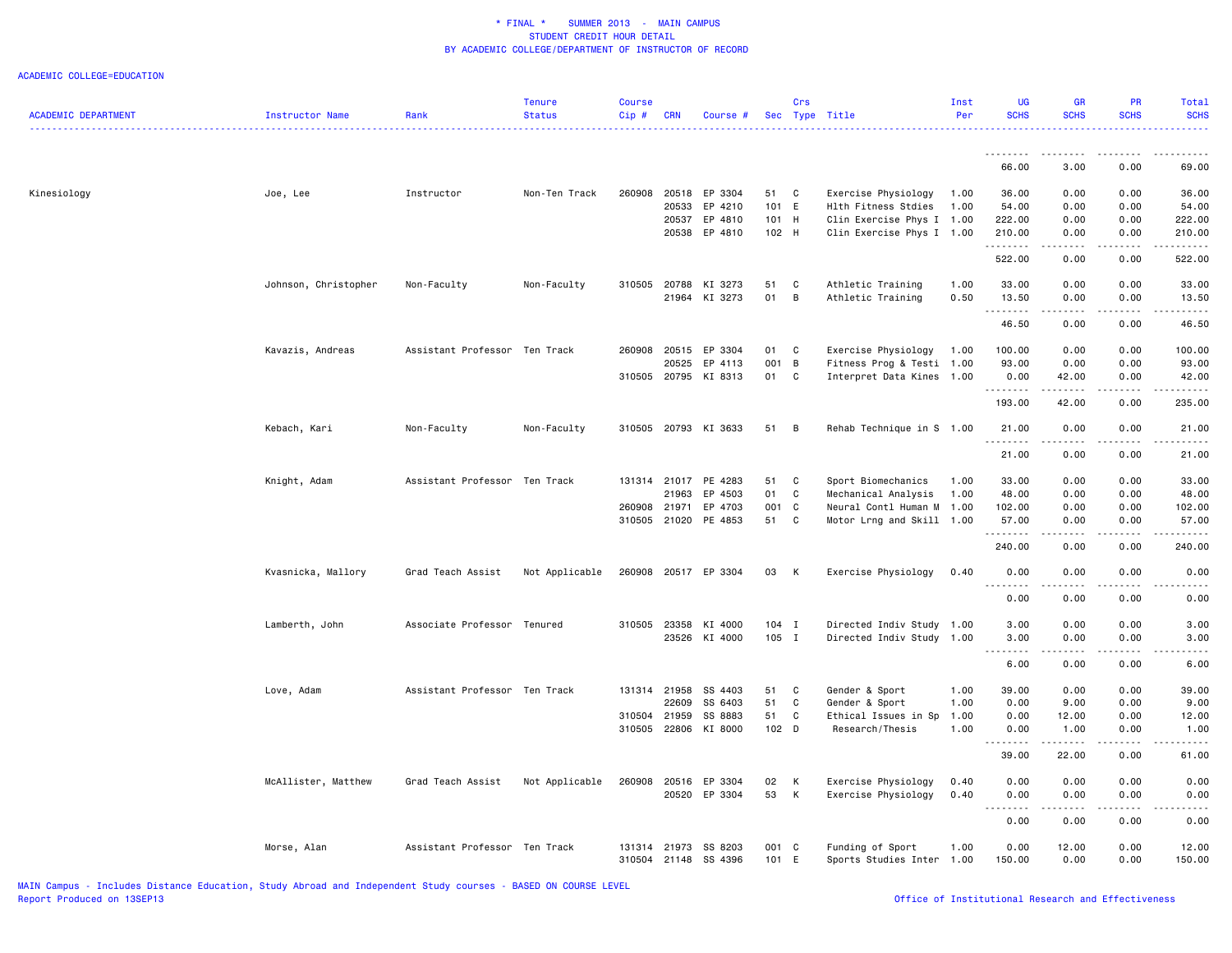|                            |                        |                               | <b>Tenure</b>  | <b>Course</b> |              |                          |                | Crs          |                                  | Inst         | <b>UG</b>                      | <b>GR</b>                           | <b>PR</b>        | Total                                                                                                                                                         |
|----------------------------|------------------------|-------------------------------|----------------|---------------|--------------|--------------------------|----------------|--------------|----------------------------------|--------------|--------------------------------|-------------------------------------|------------------|---------------------------------------------------------------------------------------------------------------------------------------------------------------|
| <b>ACADEMIC DEPARTMENT</b> | <b>Instructor Name</b> | Rank                          | <b>Status</b>  | Cip#          | <b>CRN</b>   | Course #                 |                |              | Sec Type Title                   | Per          | <b>SCHS</b>                    | <b>SCHS</b>                         | <b>SCHS</b>      | <b>SCHS</b>                                                                                                                                                   |
|                            |                        |                               |                |               |              |                          |                |              |                                  |              | . <b>.</b>                     |                                     |                  |                                                                                                                                                               |
|                            |                        |                               |                |               |              |                          |                |              |                                  |              | 66.00                          | 3.00                                | 0.00             | 69.00                                                                                                                                                         |
| Kinesiology                | Joe, Lee               | Instructor                    | Non-Ten Track  | 260908        | 20518        | EP 3304                  | 51             | $\mathbf{C}$ | Exercise Physiology              | 1.00         | 36.00                          | 0.00                                | 0.00             | 36.00                                                                                                                                                         |
|                            |                        |                               |                |               | 20533        | EP 4210                  | 101 E          |              | Hlth Fitness Stdies              | 1.00         | 54.00                          | 0.00                                | 0.00             | 54.00                                                                                                                                                         |
|                            |                        |                               |                |               | 20537        | EP 4810<br>20538 EP 4810 | 101 H<br>102 H |              | Clin Exercise Phys I 1.00        |              | 222.00<br>210.00               | 0.00<br>0.00                        | 0.00<br>0.00     | 222.00<br>210.00                                                                                                                                              |
|                            |                        |                               |                |               |              |                          |                |              | Clin Exercise Phys I 1.00        |              | .                              | .                                   | .                | . <u>.</u>                                                                                                                                                    |
|                            |                        |                               |                |               |              |                          |                |              |                                  |              | 522.00                         | 0.00                                | 0.00             | 522.00                                                                                                                                                        |
|                            | Johnson, Christopher   | Non-Faculty                   | Non-Faculty    | 310505        | 20788        | KI 3273                  | 51             | C            | Athletic Training                | 1.00         | 33.00                          | 0.00                                | 0.00             | 33.00                                                                                                                                                         |
|                            |                        |                               |                |               | 21964        | KI 3273                  | 01             | B            | Athletic Training                | 0.50         | 13.50<br>.                     | 0.00<br>$\sim$ $\sim$ $\sim$ $\sim$ | 0.00<br>.        | 13.50<br>.                                                                                                                                                    |
|                            |                        |                               |                |               |              |                          |                |              |                                  |              | 46.50                          | 0.00                                | 0.00             | 46.50                                                                                                                                                         |
|                            | Kavazis, Andreas       | Assistant Professor Ten Track |                | 260908        | 20515        | EP 3304                  | 01             | C            | Exercise Physiology              | 1.00         | 100.00                         | 0.00                                | 0.00             | 100.00                                                                                                                                                        |
|                            |                        |                               |                |               | 20525        | EP 4113                  | 001 B          |              | Fitness Prog & Testi 1.00        |              | 93.00                          | 0.00                                | 0.00             | 93.00                                                                                                                                                         |
|                            |                        |                               |                |               |              | 310505 20795 KI 8313     | 01             | C            | Interpret Data Kines 1.00        |              | 0.00<br>.                      | 42.00<br>.                          | 0.00<br>.        | 42.00<br>$\frac{1}{2} \left( \frac{1}{2} \right) \left( \frac{1}{2} \right) \left( \frac{1}{2} \right) \left( \frac{1}{2} \right) \left( \frac{1}{2} \right)$ |
|                            |                        |                               |                |               |              |                          |                |              |                                  |              | 193.00                         | 42.00                               | 0.00             | 235.00                                                                                                                                                        |
|                            | Kebach, Kari           | Non-Faculty                   | Non-Faculty    |               |              | 310505 20793 KI 3633     | 51             | B            | Rehab Technique in S 1.00        |              | 21.00                          | 0.00                                | 0.00             | 21.00                                                                                                                                                         |
|                            |                        |                               |                |               |              |                          |                |              |                                  |              | .<br>21.00                     | .<br>0.00                           | .<br>0.00        | .<br>21.00                                                                                                                                                    |
|                            | Knight, Adam           | Assistant Professor Ten Track |                |               | 131314 21017 | PE 4283                  | 51             | C            | Sport Biomechanics               | 1.00         | 33.00                          | 0.00                                | 0.00             | 33.00                                                                                                                                                         |
|                            |                        |                               |                |               | 21963        | EP 4503                  | 01             | C            | Mechanical Analysis              | 1.00         | 48.00                          | 0.00                                | 0.00             | 48.00                                                                                                                                                         |
|                            |                        |                               |                | 260908        | 21971        | EP 4703                  | 001 C          |              | Neural Contl Human M             | 1.00         | 102.00                         | 0.00                                | 0.00             | 102.00                                                                                                                                                        |
|                            |                        |                               |                |               |              | 310505 21020 PE 4853     | 51             | C            | Motor Lrng and Skill 1.00        |              | 57.00<br>.                     | 0.00                                | 0.00             | 57.00                                                                                                                                                         |
|                            |                        |                               |                |               |              |                          |                |              |                                  |              | 240.00                         | 0.00                                | 0.00             | 240.00                                                                                                                                                        |
|                            | Kvasnicka, Mallory     | Grad Teach Assist             | Not Applicable | 260908        |              | 20517 EP 3304            | 03             | К            | Exercise Physiology              | 0.40         | 0.00                           | 0.00                                | 0.00             | 0.00                                                                                                                                                          |
|                            |                        |                               |                |               |              |                          |                |              |                                  |              | 0.00                           | 0.00                                | 0.00             | 0.00                                                                                                                                                          |
|                            | Lamberth, John         | Associate Professor Tenured   |                |               | 310505 23358 | KI 4000                  | $104$ I        |              | Directed Indiv Study 1.00        |              | 3.00                           | 0.00                                | 0.00             | 3.00                                                                                                                                                          |
|                            |                        |                               |                |               |              | 23526 KI 4000            | 105 I          |              | Directed Indiv Study 1.00        |              | 3.00                           | 0.00                                | 0.00             | 3.00                                                                                                                                                          |
|                            |                        |                               |                |               |              |                          |                |              |                                  |              | $- - - - -$<br>$- - -$<br>6.00 | .<br>0.00                           | .<br>0.00        | $\cdots$<br>6.00                                                                                                                                              |
|                            |                        |                               |                |               |              |                          |                |              |                                  |              |                                |                                     |                  |                                                                                                                                                               |
|                            | Love, Adam             | Assistant Professor Ten Track |                | 131314 21958  | 22609        | SS 4403<br>SS 6403       | 51<br>51       | C<br>C       | Gender & Sport<br>Gender & Sport | 1.00<br>1.00 | 39.00<br>0.00                  | 0.00<br>9.00                        | 0.00<br>0.00     | 39.00<br>9.00                                                                                                                                                 |
|                            |                        |                               |                | 310504        | 21959        | SS 8883                  | 51             | C            | Ethical Issues in Sp             | 1.00         | 0.00                           | 12.00                               | 0.00             | 12.00                                                                                                                                                         |
|                            |                        |                               |                | 310505        | 22806        | KI 8000                  | 102 D          |              | Research/Thesis                  | 1.00         | 0.00                           | 1.00                                | 0.00             | 1.00                                                                                                                                                          |
|                            |                        |                               |                |               |              |                          |                |              |                                  |              | 22222<br>39.00                 | .<br>22.00                          | الأعامات<br>0.00 | المستمات<br>61.00                                                                                                                                             |
|                            | McAllister, Matthew    | Grad Teach Assist             | Not Applicable | 260908        | 20516        | EP 3304                  | 02             | К            | Exercise Physiology              | 0.40         | 0.00                           | 0.00                                | 0.00             | 0.00                                                                                                                                                          |
|                            |                        |                               |                |               | 20520        | EP 3304                  | 53             | К            | Exercise Physiology              | 0.40         | 0.00<br>.                      | 0.00<br>.                           | 0.00<br>.        | 0.00<br>----                                                                                                                                                  |
|                            |                        |                               |                |               |              |                          |                |              |                                  |              | 0.00                           | 0.00                                | 0.00             | 0.00                                                                                                                                                          |
|                            | Morse, Alan            | Assistant Professor Ten Track |                | 131314        | 21973        | SS 8203                  | 001 C          |              | Funding of Sport                 | 1.00         | 0.00                           | 12.00                               | 0.00             | 12.00                                                                                                                                                         |
|                            |                        |                               |                |               | 310504 21148 | SS 4396                  | 101 E          |              | Sports Studies Inter             | 1.00         | 150.00                         | 0.00                                | 0.00             | 150.00                                                                                                                                                        |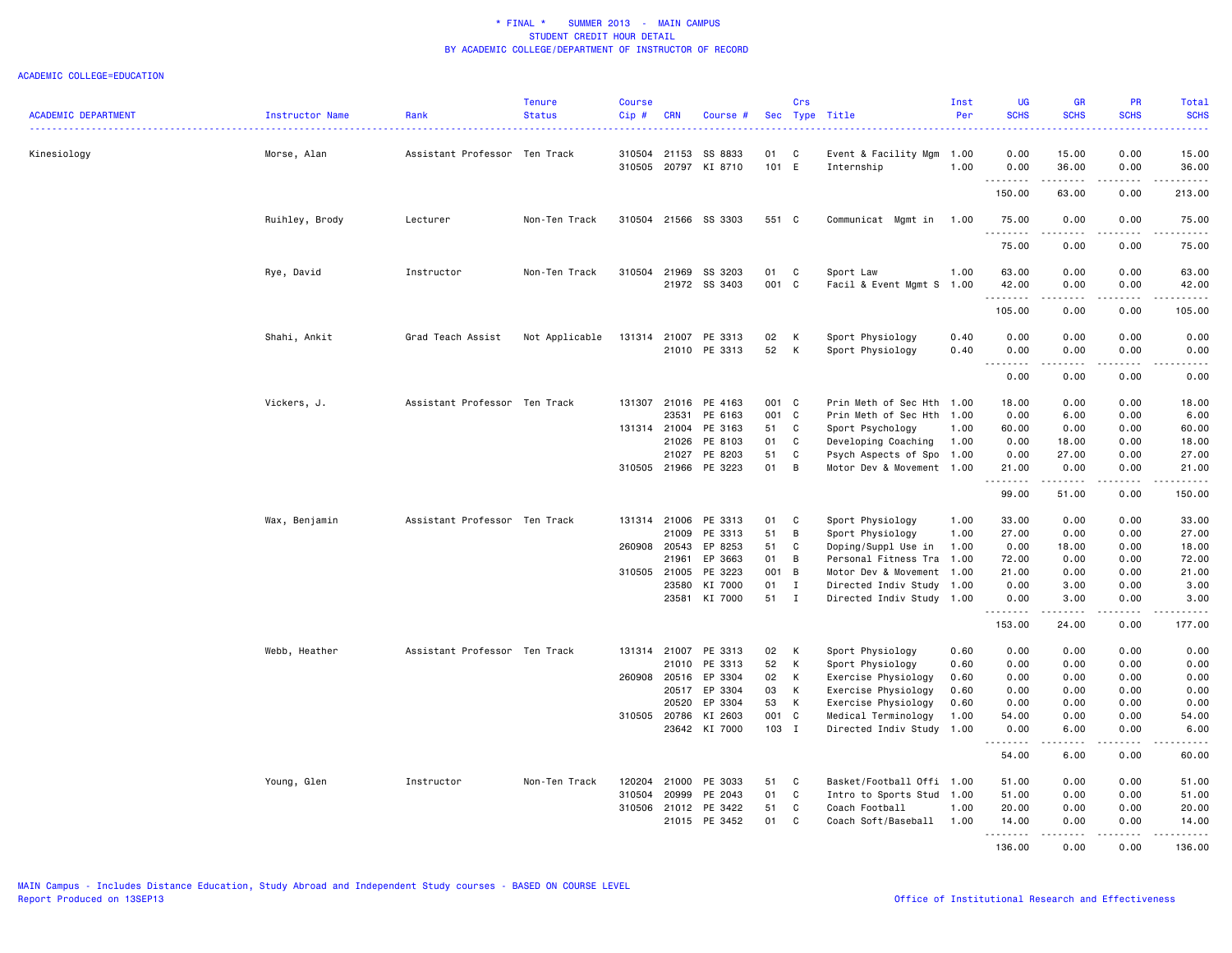|                            |                 |                               | <b>Tenure</b>  | <b>Course</b> |              |                      |         | Crs          |                           | Inst | <b>UG</b>             | <b>GR</b>                                                                                                                                                    | <b>PR</b>        | <b>Total</b>     |
|----------------------------|-----------------|-------------------------------|----------------|---------------|--------------|----------------------|---------|--------------|---------------------------|------|-----------------------|--------------------------------------------------------------------------------------------------------------------------------------------------------------|------------------|------------------|
| <b>ACADEMIC DEPARTMENT</b> | Instructor Name | Rank                          | <b>Status</b>  | $Cip$ #       | <b>CRN</b>   | Course #             |         |              | Sec Type Title            | Per  | <b>SCHS</b><br>.      | <b>SCHS</b>                                                                                                                                                  | <b>SCHS</b>      | <b>SCHS</b><br>. |
| Kinesiology                | Morse, Alan     | Assistant Professor Ten Track |                | 310504        | 21153        | SS 8833              | 01      | C            | Event & Facility Mgm      | 1.00 | 0.00                  | 15.00                                                                                                                                                        | 0.00             | 15.00            |
|                            |                 |                               |                | 310505        |              | 20797 KI 8710        | 101 E   |              | Internship                | 1.00 | 0.00<br><u>.</u>      | 36.00<br>.                                                                                                                                                   | 0.00<br>.        | 36.00            |
|                            |                 |                               |                |               |              |                      |         |              |                           |      | 150.00                | 63.00                                                                                                                                                        | 0.00             | 213.00           |
|                            | Ruihley, Brody  | Lecturer                      | Non-Ten Track  |               |              | 310504 21566 SS 3303 | 551 C   |              | Communicat Mgmt in        | 1.00 | 75.00<br>.            | 0.00<br>.                                                                                                                                                    | 0.00             | 75.00            |
|                            |                 |                               |                |               |              |                      |         |              |                           |      | 75.00                 | 0.00                                                                                                                                                         | 0.00             | 75.00            |
|                            | Rye, David      | Instructor                    | Non-Ten Track  |               |              | 310504 21969 SS 3203 | 01      | C            | Sport Law                 | 1.00 | 63.00                 | 0.00                                                                                                                                                         | 0.00             | 63.00            |
|                            |                 |                               |                |               |              | 21972 SS 3403        | 001     | C            | Facil & Event Mgmt S      | 1.00 | 42.00<br>.            | 0.00<br>.                                                                                                                                                    | 0.00<br>.        | 42.00<br>.       |
|                            |                 |                               |                |               |              |                      |         |              |                           |      | 105.00                | 0.00                                                                                                                                                         | 0.00             | 105.00           |
|                            | Shahi, Ankit    | Grad Teach Assist             | Not Applicable | 131314        | 21007        | PE 3313              | 02      | К            | Sport Physiology          | 0.40 | 0.00                  | 0.00                                                                                                                                                         | 0.00             | 0.00             |
|                            |                 |                               |                |               |              | 21010 PE 3313        | 52      | К            | Sport Physiology          | 0.40 | 0.00<br>$\frac{1}{2}$ | 0.00<br>$\frac{1}{2} \left( \frac{1}{2} \right) \left( \frac{1}{2} \right) \left( \frac{1}{2} \right) \left( \frac{1}{2} \right)$                            | 0.00<br>.        | 0.00<br>-----    |
|                            |                 |                               |                |               |              |                      |         |              |                           |      | 0.00                  | 0.00                                                                                                                                                         | 0.00             | 0.00             |
|                            | Vickers, J.     | Assistant Professor Ten Track |                |               | 131307 21016 | PE 4163              | 001 C   |              | Prin Meth of Sec Hth      | 1.00 | 18.00                 | 0.00                                                                                                                                                         | 0.00             | 18.00            |
|                            |                 |                               |                |               | 23531        | PE 6163              | 001 C   |              | Prin Meth of Sec Hth 1.00 |      | 0.00                  | 6.00                                                                                                                                                         | 0.00             | 6.00             |
|                            |                 |                               |                |               | 131314 21004 | PE 3163              | 51      | C            | Sport Psychology          | 1.00 | 60.00                 | 0.00                                                                                                                                                         | 0.00             | 60.00            |
|                            |                 |                               |                |               | 21026        | PE 8103              | 01      | C            | Developing Coaching       | 1.00 | 0.00                  | 18.00                                                                                                                                                        | 0.00             | 18.00            |
|                            |                 |                               |                |               | 21027        | PE 8203              | 51      | C            | Psych Aspects of Spo 1.00 |      | 0.00                  | 27.00                                                                                                                                                        | 0.00             | 27.00            |
|                            |                 |                               |                |               |              | 310505 21966 PE 3223 | 01      | B            | Motor Dev & Movement 1.00 |      | 21.00<br><b></b>      | 0.00<br>.                                                                                                                                                    | 0.00<br>.        | 21.00<br>.       |
|                            |                 |                               |                |               |              |                      |         |              |                           |      | 99.00                 | 51.00                                                                                                                                                        | 0.00             | 150.00           |
|                            | Wax, Benjamin   | Assistant Professor Ten Track |                |               | 131314 21006 | PE 3313              | 01      | C            | Sport Physiology          | 1.00 | 33.00                 | 0.00                                                                                                                                                         | 0.00             | 33.00            |
|                            |                 |                               |                |               | 21009        | PE 3313              | 51      | B            | Sport Physiology          | 1.00 | 27.00                 | 0.00                                                                                                                                                         | 0.00             | 27.00            |
|                            |                 |                               |                | 260908        | 20543        | EP 8253              | 51      | C            | Doping/Suppl Use in       | 1.00 | 0.00                  | 18.00                                                                                                                                                        | 0.00             | 18.00            |
|                            |                 |                               |                |               | 21961        | EP 3663              | 01      | B            | Personal Fitness Tra      | 1.00 | 72.00                 | 0.00                                                                                                                                                         | 0.00             | 72.00            |
|                            |                 |                               |                |               | 310505 21005 | PE 3223              | 001     | B            | Motor Dev & Movement      | 1.00 | 21.00                 | 0.00                                                                                                                                                         | 0.00             | 21.00            |
|                            |                 |                               |                |               | 23580        | KI 7000              | 01      | $\mathbf{I}$ | Directed Indiv Study      | 1.00 | 0.00                  | 3.00                                                                                                                                                         | 0.00             | 3.00             |
|                            |                 |                               |                |               | 23581        | KI 7000              | 51      | $\mathbf{I}$ | Directed Indiv Study 1.00 |      | 0.00<br>.             | 3.00<br>$\frac{1}{2} \left( \frac{1}{2} \right) \left( \frac{1}{2} \right) \left( \frac{1}{2} \right) \left( \frac{1}{2} \right) \left( \frac{1}{2} \right)$ | 0.00<br>$\cdots$ | 3.00<br>.        |
|                            |                 |                               |                |               |              |                      |         |              |                           |      | 153.00                | 24.00                                                                                                                                                        | 0.00             | 177.00           |
|                            | Webb, Heather   | Assistant Professor Ten Track |                |               | 131314 21007 | PE 3313              | 02      | К            | Sport Physiology          | 0.60 | 0.00                  | 0.00                                                                                                                                                         | 0.00             | 0.00             |
|                            |                 |                               |                |               | 21010        | PE 3313              | 52      | К            | Sport Physiology          | 0.60 | 0.00                  | 0.00                                                                                                                                                         | 0.00             | 0.00             |
|                            |                 |                               |                | 260908        | 20516        | EP 3304              | 02      | К            | Exercise Physiology       | 0.60 | 0.00                  | 0.00                                                                                                                                                         | 0.00             | 0.00             |
|                            |                 |                               |                |               | 20517        | EP 3304              | 03      | К            | Exercise Physiology       | 0.60 | 0.00                  | 0.00                                                                                                                                                         | 0.00             | 0.00             |
|                            |                 |                               |                |               | 20520        | EP 3304              | 53      | К            | Exercise Physiology       | 0.60 | 0.00                  | 0.00                                                                                                                                                         | 0.00             | 0.00             |
|                            |                 |                               |                | 310505 20786  |              | KI 2603              | 001 C   |              | Medical Terminology       | 1.00 | 54.00                 | 0.00                                                                                                                                                         | 0.00             | 54.00            |
|                            |                 |                               |                |               |              | 23642 KI 7000        | $103$ I |              | Directed Indiv Study      | 1.00 | 0.00<br>-----         | 6.00<br>.                                                                                                                                                    | 0.00<br>.        | 6.00<br>المتمام  |
|                            |                 |                               |                |               |              |                      |         |              |                           |      | 54.00                 | 6.00                                                                                                                                                         | 0.00             | 60.00            |
|                            | Young, Glen     | Instructor                    | Non-Ten Track  | 120204        | 21000        | PE 3033              | 51      | C            | Basket/Football Offi 1.00 |      | 51.00                 | 0.00                                                                                                                                                         | 0.00             | 51.00            |
|                            |                 |                               |                | 310504        | 20999        | PE 2043              | 01      | $\mathbb{C}$ | Intro to Sports Stud      | 1.00 | 51.00                 | 0.00                                                                                                                                                         | 0.00             | 51.00            |
|                            |                 |                               |                | 310506        | 21012        | PE 3422              | 51      | C            | Coach Football            | 1.00 | 20.00                 | 0.00                                                                                                                                                         | 0.00             | 20.00            |
|                            |                 |                               |                |               |              | 21015 PE 3452        | 01      | C            | Coach Soft/Baseball       | 1.00 | 14.00<br>.            | 0.00<br>.                                                                                                                                                    | 0.00<br>.        | 14.00<br>.       |
|                            |                 |                               |                |               |              |                      |         |              |                           |      | 136.00                | 0.00                                                                                                                                                         | 0.00             | 136.00           |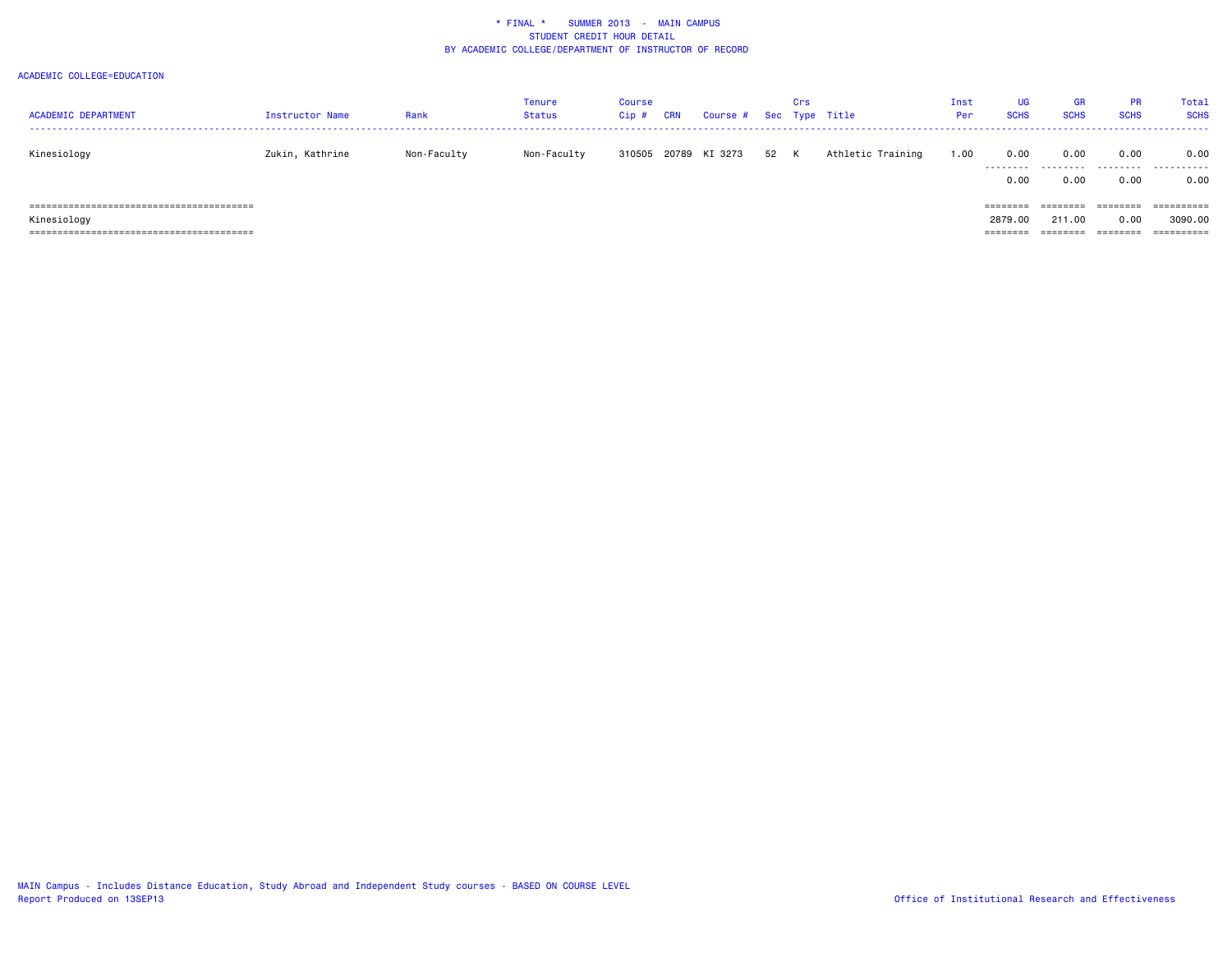| <b>ACADEMIC DEPARTMENT</b> | Instructor Name | Rank        | Tenure<br>Status | Course<br>Cip# | CRN | Course # Sec Type Title |      | Crs |                   | Inst<br>Per | <b>UG</b><br><b>SCHS</b>        | <b>GR</b><br><b>SCHS</b>       | <b>PR</b><br><b>SCHS</b>      | Total<br><b>SCHS</b>                |
|----------------------------|-----------------|-------------|------------------|----------------|-----|-------------------------|------|-----|-------------------|-------------|---------------------------------|--------------------------------|-------------------------------|-------------------------------------|
| Kinesiology                | Zukin, Kathrine | Non-Faculty | Non-Faculty      | 310505         |     | 20789 KI 3273           | 52 K |     | Athletic Training | 1.00        | 0.00<br>.<br>0.00               | 0.00<br>.<br>0.00              | 0.00<br>.<br>0.00             | 0.00<br>.<br>0.00                   |
| Kinesiology                |                 |             |                  |                |     |                         |      |     |                   |             | ========<br>2879.00<br>======== | ========<br>211.00<br>-------- | ========<br>0.00<br>-50000000 | ==========<br>3090.00<br>========== |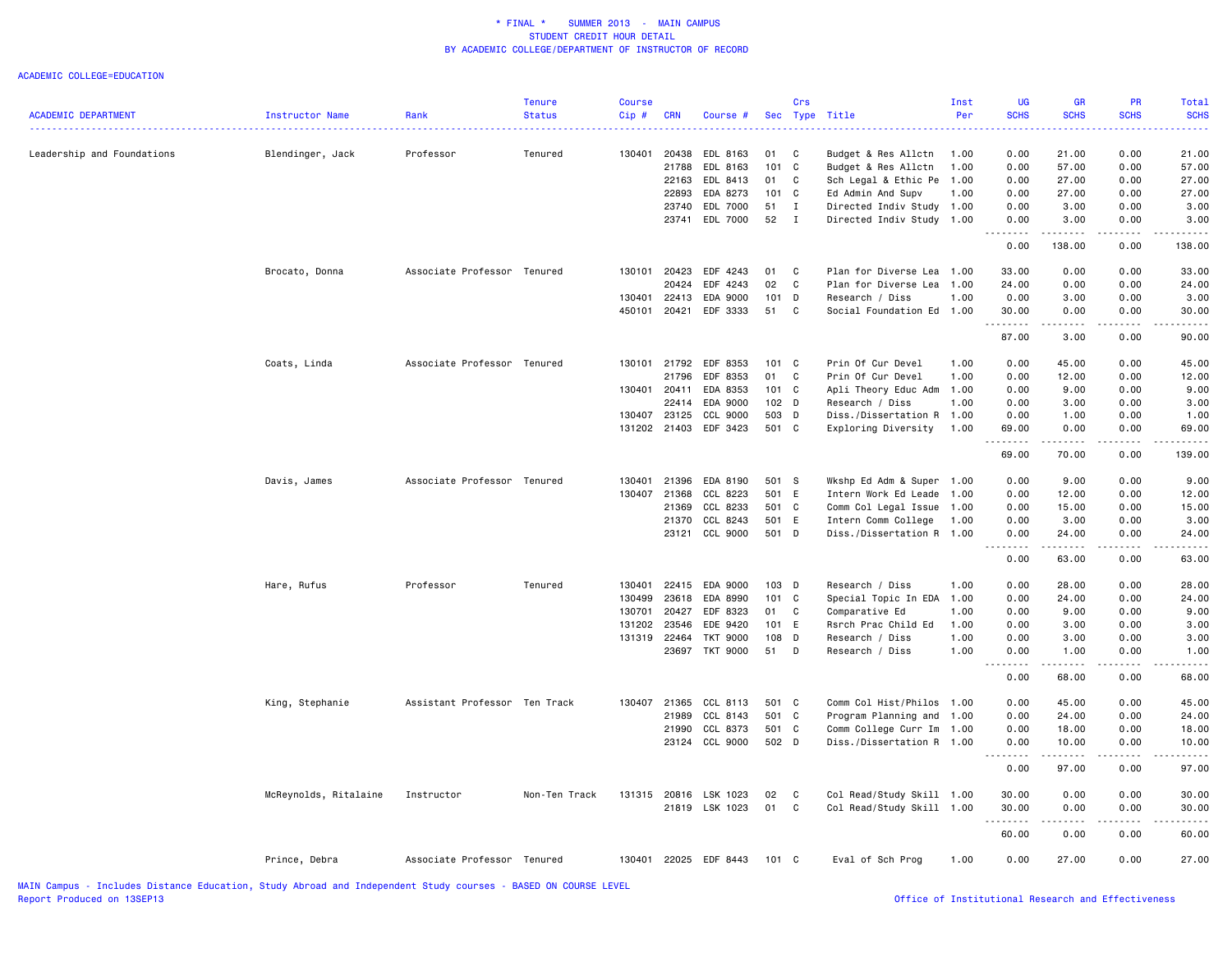|                            |                       |                               | <b>Tenure</b> | <b>Course</b> |              |                       |         | Crs          |                           | Inst | <b>UG</b>         | <b>GR</b>                                                                                                                                                                                                                                                                                                                                    | PR              | Total            |
|----------------------------|-----------------------|-------------------------------|---------------|---------------|--------------|-----------------------|---------|--------------|---------------------------|------|-------------------|----------------------------------------------------------------------------------------------------------------------------------------------------------------------------------------------------------------------------------------------------------------------------------------------------------------------------------------------|-----------------|------------------|
| <b>ACADEMIC DEPARTMENT</b> | Instructor Name       | Rank                          | <b>Status</b> | Cip#          | <b>CRN</b>   | Course #              |         |              | Sec Type Title            | Per  | <b>SCHS</b>       | <b>SCHS</b>                                                                                                                                                                                                                                                                                                                                  | <b>SCHS</b>     | <b>SCHS</b><br>. |
|                            |                       |                               |               |               |              |                       |         |              |                           |      |                   |                                                                                                                                                                                                                                                                                                                                              |                 |                  |
| Leadership and Foundations | Blendinger, Jack      | Professor                     | Tenured       |               | 130401 20438 | EDL 8163              | 01      | C            | Budget & Res Allctn       | 1.00 | 0.00              | 21.00                                                                                                                                                                                                                                                                                                                                        | 0.00            | 21.00            |
|                            |                       |                               |               |               | 21788        | EDL 8163              | 101 C   |              | Budget & Res Allctn       | 1.00 | 0.00              | 57.00                                                                                                                                                                                                                                                                                                                                        | 0.00            | 57.00            |
|                            |                       |                               |               |               | 22163        | EDL 8413              | 01      | C            | Sch Legal & Ethic Pe      | 1.00 | 0.00              | 27.00                                                                                                                                                                                                                                                                                                                                        | 0.00            | 27.00            |
|                            |                       |                               |               |               | 22893        | EDA 8273              | 101 C   |              | Ed Admin And Supv         | 1.00 | 0.00              | 27.00                                                                                                                                                                                                                                                                                                                                        | 0.00            | 27.00            |
|                            |                       |                               |               |               | 23740        | EDL 7000              | 51      | $\mathbf{I}$ | Directed Indiv Study 1.00 |      | 0.00              | 3.00                                                                                                                                                                                                                                                                                                                                         | 0.00            | 3.00             |
|                            |                       |                               |               |               | 23741        | EDL 7000              | 52      | $\mathbf{I}$ | Directed Indiv Study 1.00 |      | 0.00<br>.         | 3.00<br>.                                                                                                                                                                                                                                                                                                                                    | 0.00<br>.       | 3.00             |
|                            |                       |                               |               |               |              |                       |         |              |                           |      | 0.00              | 138.00                                                                                                                                                                                                                                                                                                                                       | 0.00            | 138.00           |
|                            | Brocato, Donna        | Associate Professor Tenured   |               | 130101        | 20423        | EDF 4243              | 01      | $\mathbf{C}$ | Plan for Diverse Lea 1.00 |      | 33.00             | 0.00                                                                                                                                                                                                                                                                                                                                         | 0.00            | 33.00            |
|                            |                       |                               |               |               | 20424        | EDF 4243              | 02      | C            | Plan for Diverse Lea 1.00 |      | 24.00             | 0.00                                                                                                                                                                                                                                                                                                                                         | 0.00            | 24.00            |
|                            |                       |                               |               | 130401        | 22413        | EDA 9000              | $101$ D |              | Research / Diss           | 1.00 | 0.00              | 3.00                                                                                                                                                                                                                                                                                                                                         | 0.00            | 3.00             |
|                            |                       |                               |               | 450101        | 20421        | EDF 3333              | 51      | C            | Social Foundation Ed 1.00 |      | 30.00<br>.        | 0.00<br>$\frac{1}{2} \left( \begin{array}{ccc} 1 & 0 & 0 & 0 \\ 0 & 0 & 0 & 0 \\ 0 & 0 & 0 & 0 \\ 0 & 0 & 0 & 0 \\ 0 & 0 & 0 & 0 \\ 0 & 0 & 0 & 0 \\ 0 & 0 & 0 & 0 \\ 0 & 0 & 0 & 0 \\ 0 & 0 & 0 & 0 \\ 0 & 0 & 0 & 0 \\ 0 & 0 & 0 & 0 & 0 \\ 0 & 0 & 0 & 0 & 0 \\ 0 & 0 & 0 & 0 & 0 \\ 0 & 0 & 0 & 0 & 0 \\ 0 & 0 & 0 & 0 & 0 \\ 0 & 0 & 0$ | 0.00<br>22222   | 30.00<br>.       |
|                            |                       |                               |               |               |              |                       |         |              |                           |      | 87.00             | 3.00                                                                                                                                                                                                                                                                                                                                         | 0.00            | 90.00            |
|                            | Coats, Linda          | Associate Professor Tenured   |               |               | 130101 21792 | EDF 8353              | 101 C   |              | Prin Of Cur Devel         | 1.00 | 0.00              | 45.00                                                                                                                                                                                                                                                                                                                                        | 0.00            | 45.00            |
|                            |                       |                               |               |               | 21796        | EDF 8353              | 01      | $\mathbf c$  | Prin Of Cur Devel         | 1.00 | 0.00              | 12.00                                                                                                                                                                                                                                                                                                                                        | 0.00            | 12.00            |
|                            |                       |                               |               |               | 130401 20411 | EDA 8353              | 101 C   |              | Apli Theory Educ Adm      | 1.00 | 0.00              | 9.00                                                                                                                                                                                                                                                                                                                                         | 0.00            | 9.00             |
|                            |                       |                               |               |               | 22414        | EDA 9000              | 102 D   |              | Research / Diss           | 1.00 | 0.00              | 3.00                                                                                                                                                                                                                                                                                                                                         | 0.00            | 3.00             |
|                            |                       |                               |               | 130407        | 23125        | CCL 9000              | 503 D   |              | Diss./Dissertation R 1.00 |      | 0.00              | 1.00                                                                                                                                                                                                                                                                                                                                         | 0.00            | 1.00             |
|                            |                       |                               |               |               | 131202 21403 | EDF 3423              | 501 C   |              | Exploring Diversity       | 1.00 | 69.00             | 0.00                                                                                                                                                                                                                                                                                                                                         | 0.00            | 69.00            |
|                            |                       |                               |               |               |              |                       |         |              |                           |      | <u>.</u><br>69.00 | $\frac{1}{2} \left( \frac{1}{2} \right) \left( \frac{1}{2} \right) \left( \frac{1}{2} \right) \left( \frac{1}{2} \right) \left( \frac{1}{2} \right)$<br>70.00                                                                                                                                                                                | .<br>0.00       | .<br>139.00      |
|                            | Davis, James          | Associate Professor Tenured   |               | 130401        | 21396        | EDA 8190              | 501 S   |              | Wkshp Ed Adm & Super 1.00 |      | 0.00              | 9.00                                                                                                                                                                                                                                                                                                                                         | 0.00            | 9.00             |
|                            |                       |                               |               |               | 130407 21368 | CCL 8223              | 501 E   |              | Intern Work Ed Leade      | 1.00 | 0.00              | 12.00                                                                                                                                                                                                                                                                                                                                        | 0.00            | 12.00            |
|                            |                       |                               |               |               | 21369        | CCL 8233              | 501 C   |              | Comm Col Legal Issue      | 1.00 | 0.00              | 15.00                                                                                                                                                                                                                                                                                                                                        | 0.00            | 15.00            |
|                            |                       |                               |               |               | 21370        | CCL 8243              | 501 E   |              | Intern Comm College       | 1.00 | 0.00              | 3.00                                                                                                                                                                                                                                                                                                                                         | 0.00            | 3.00             |
|                            |                       |                               |               |               | 23121        | CCL 9000              | 501 D   |              | Diss./Dissertation R 1.00 |      | 0.00              | 24.00                                                                                                                                                                                                                                                                                                                                        | 0.00            | 24.00            |
|                            |                       |                               |               |               |              |                       |         |              |                           |      | .<br>0.00         | د د د د د<br>63.00                                                                                                                                                                                                                                                                                                                           | 0.00            | .<br>63.00       |
|                            | Hare, Rufus           | Professor                     | Tenured       | 130401        | 22415        | EDA 9000              | $103$ D |              | Research / Diss           | 1.00 | 0.00              | 28.00                                                                                                                                                                                                                                                                                                                                        | 0.00            | 28.00            |
|                            |                       |                               |               | 130499        | 23618        | EDA 8990              | 101 C   |              | Special Topic In EDA      | 1.00 | 0.00              | 24.00                                                                                                                                                                                                                                                                                                                                        | 0.00            | 24.00            |
|                            |                       |                               |               | 130701        | 20427        | EDF 8323              | 01      | $\mathbf c$  | Comparative Ed            | 1.00 | 0.00              | 9.00                                                                                                                                                                                                                                                                                                                                         | 0.00            | 9.00             |
|                            |                       |                               |               | 131202        | 23546        | EDE 9420              | 101 E   |              | Rsrch Prac Child Ed       | 1.00 | 0.00              | 3.00                                                                                                                                                                                                                                                                                                                                         | 0.00            | 3.00             |
|                            |                       |                               |               | 131319        | 22464        | <b>TKT 9000</b>       | 108 D   |              | Research / Diss           | 1.00 | 0.00              | 3.00                                                                                                                                                                                                                                                                                                                                         | 0.00            | 3.00             |
|                            |                       |                               |               |               | 23697        | <b>TKT 9000</b>       | 51 D    |              | Research / Diss           | 1.00 | 0.00              | 1.00                                                                                                                                                                                                                                                                                                                                         | 0.00            | 1.00             |
|                            |                       |                               |               |               |              |                       |         |              |                           |      | 0.00              | .<br>68.00                                                                                                                                                                                                                                                                                                                                   | د د د د<br>0.00 | 68.00            |
|                            | King, Stephanie       | Assistant Professor Ten Track |               | 130407        | 21365        | CCL 8113              | 501 C   |              | Comm Col Hist/Philos 1.00 |      | 0.00              | 45.00                                                                                                                                                                                                                                                                                                                                        | 0.00            | 45.00            |
|                            |                       |                               |               |               | 21989        | CCL 8143              | 501 C   |              | Program Planning and 1.00 |      | 0.00              | 24.00                                                                                                                                                                                                                                                                                                                                        | 0.00            | 24.00            |
|                            |                       |                               |               |               | 21990        | CCL 8373              | 501 C   |              | Comm College Curr Im      | 1.00 | 0.00              | 18.00                                                                                                                                                                                                                                                                                                                                        | 0.00            | 18.00            |
|                            |                       |                               |               |               |              | 23124 CCL 9000        | 502 D   |              | Diss./Dissertation R 1.00 |      | 0.00              | 10.00                                                                                                                                                                                                                                                                                                                                        | 0.00            | 10.00            |
|                            |                       |                               |               |               |              |                       |         |              |                           |      | 0.00              | 97.00                                                                                                                                                                                                                                                                                                                                        | 0.00            | 97.00            |
|                            | McReynolds, Ritalaine | Instructor                    | Non-Ten Track |               |              | 131315 20816 LSK 1023 | 02      | C            | Col Read/Study Skill 1.00 |      | 30.00             | 0.00                                                                                                                                                                                                                                                                                                                                         | 0.00            | 30.00            |
|                            |                       |                               |               |               |              | 21819 LSK 1023        | 01 C    |              | Col Read/Study Skill 1.00 |      | 30.00             | 0.00                                                                                                                                                                                                                                                                                                                                         | 0.00            | 30.00            |
|                            |                       |                               |               |               |              |                       |         |              |                           |      | .                 | .                                                                                                                                                                                                                                                                                                                                            |                 |                  |
|                            |                       |                               |               |               |              |                       |         |              |                           |      | 60.00             | 0.00                                                                                                                                                                                                                                                                                                                                         | 0.00            | 60.00            |
|                            | Prince, Debra         | Associate Professor Tenured   |               |               |              | 130401 22025 EDF 8443 | 101 C   |              | Eval of Sch Prog          | 1.00 | 0.00              | 27.00                                                                                                                                                                                                                                                                                                                                        | 0.00            | 27.00            |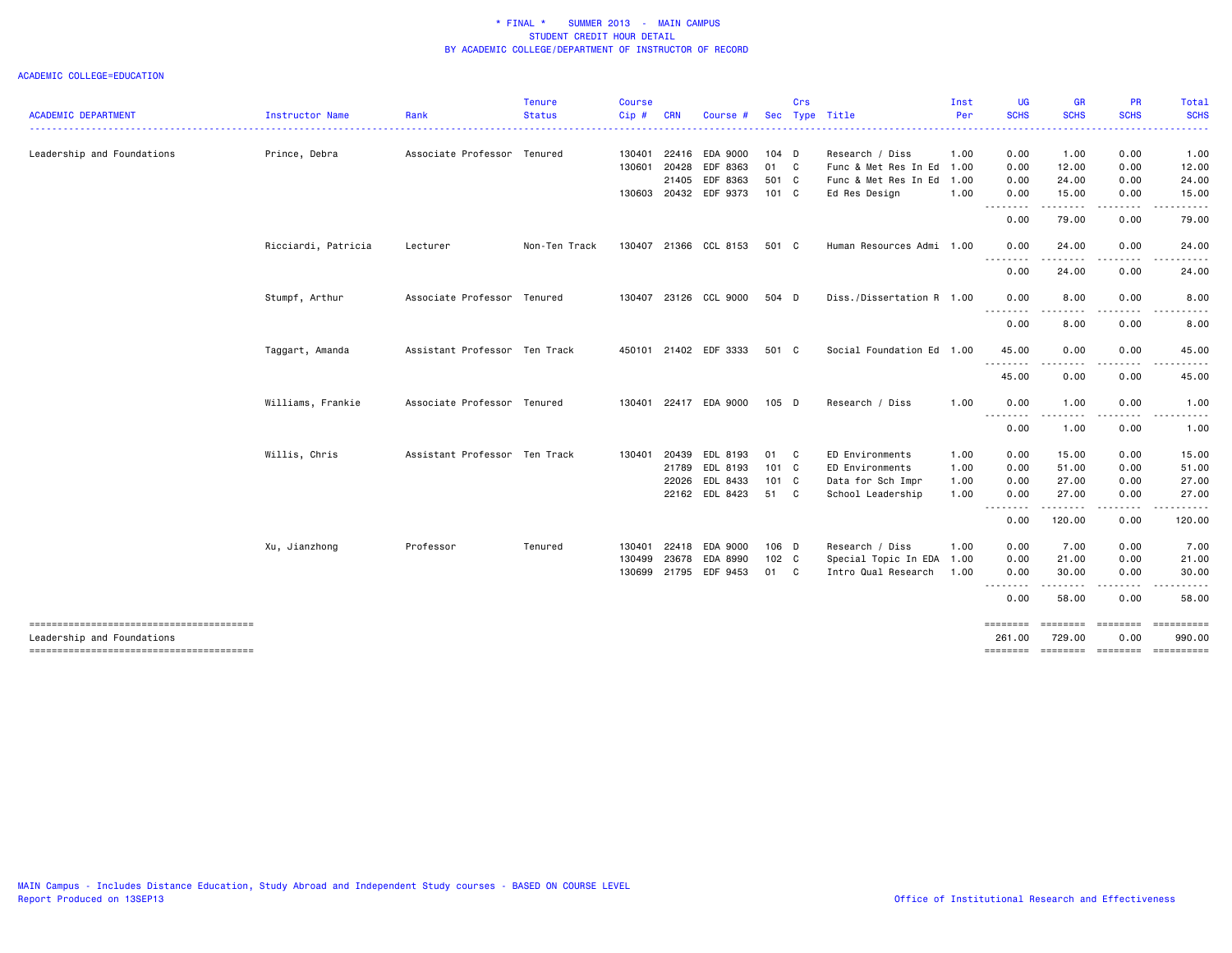| <b>ACADEMIC DEPARTMENT</b> | Instructor Name     | Rank                          | <b>Tenure</b><br><b>Status</b> | <b>Course</b><br>Cip# | <b>CRN</b> | Course #              |               | Crs | Sec Type Title            | Inst<br>Per | <b>UG</b><br><b>SCHS</b> | <b>GR</b><br><b>SCHS</b>                                                                                                          | <b>PR</b><br><b>SCHS</b> | Total<br><b>SCHS</b>         |
|----------------------------|---------------------|-------------------------------|--------------------------------|-----------------------|------------|-----------------------|---------------|-----|---------------------------|-------------|--------------------------|-----------------------------------------------------------------------------------------------------------------------------------|--------------------------|------------------------------|
|                            |                     |                               |                                |                       |            |                       |               |     |                           |             |                          |                                                                                                                                   |                          |                              |
| Leadership and Foundations | Prince, Debra       | Associate Professor Tenured   |                                | 130401                | 22416      | EDA 9000              | 104 D         |     | Research / Diss           | 1.00        | 0.00                     | 1.00                                                                                                                              | 0.00                     | 1.00                         |
|                            |                     |                               |                                | 130601                | 20428      | EDF 8363              | 01 C          |     | Func & Met Res In Ed      | 1.00        | 0.00                     | 12.00                                                                                                                             | 0.00                     | 12.00                        |
|                            |                     |                               |                                |                       |            | 21405 EDF 8363        | 501 C         |     | Func & Met Res In Ed      | 1.00        | 0.00                     | 24.00                                                                                                                             | 0.00                     | 24.00                        |
|                            |                     |                               |                                |                       |            | 130603 20432 EDF 9373 | 101 C         |     | Ed Res Design             | 1.00        | 0.00<br>---------        | 15.00<br>.                                                                                                                        | 0.00<br>.                | 15.00                        |
|                            |                     |                               |                                |                       |            |                       |               |     |                           |             | 0.00                     | 79.00                                                                                                                             | 0.00                     | 79.00                        |
|                            | Ricciardi, Patricia | Lecturer                      | Non-Ten Track                  |                       |            | 130407 21366 CCL 8153 | 501 C         |     | Human Resources Admi 1.00 |             | 0.00<br>.                | 24.00<br>.                                                                                                                        | 0.00<br>.                | 24.00                        |
|                            |                     |                               |                                |                       |            |                       |               |     |                           |             | 0.00                     | 24.00                                                                                                                             | 0.00                     | 24.00                        |
|                            | Stumpf, Arthur      | Associate Professor Tenured   |                                | 130407                |            | 23126 CCL 9000        | 504 D         |     | Diss./Dissertation R 1.00 |             | 0.00                     | 8.00                                                                                                                              | 0.00                     | 8.00                         |
|                            |                     |                               |                                |                       |            |                       |               |     |                           |             | .<br>0.00                | ----<br>8.00                                                                                                                      | $\cdots$<br>0.00         | .<br>8.00                    |
|                            | Taggart, Amanda     | Assistant Professor Ten Track |                                |                       |            | 450101 21402 EDF 3333 | 501 C         |     | Social Foundation Ed 1.00 |             | 45.00                    | 0.00                                                                                                                              | 0.00                     | 45.00                        |
|                            |                     |                               |                                |                       |            |                       |               |     |                           |             | <u>.</u><br>45.00        | .<br>0.00                                                                                                                         | .<br>0.00                | 45.00                        |
|                            | Williams, Frankie   | Associate Professor Tenured   |                                | 130401                |            | 22417 EDA 9000        | $105$ D       |     | Research / Diss           | 1.00        | 0.00                     | 1.00                                                                                                                              | 0.00                     | 1.00                         |
|                            |                     |                               |                                |                       |            |                       |               |     |                           |             | .<br>0.00                | $\frac{1}{2} \left( \frac{1}{2} \right) \left( \frac{1}{2} \right) \left( \frac{1}{2} \right) \left( \frac{1}{2} \right)$<br>1.00 | .<br>0.00                | .<br>1.00                    |
|                            | Willis, Chris       | Assistant Professor Ten Track |                                | 130401                | 20439      | EDL 8193              | 01 C          |     | ED Environments           | 1.00        | 0.00                     | 15.00                                                                                                                             | 0.00                     | 15.00                        |
|                            |                     |                               |                                |                       |            | 21789 EDL 8193        | 101 C         |     | ED Environments           | 1.00        | 0.00                     | 51.00                                                                                                                             | 0.00                     | 51.00                        |
|                            |                     |                               |                                |                       |            | 22026 EDL 8433        | $101 \quad C$ |     | Data for Sch Impr         | 1.00        | 0.00                     | 27.00                                                                                                                             | 0.00                     | 27.00                        |
|                            |                     |                               |                                |                       |            | 22162 EDL 8423        | 51 C          |     | School Leadership         | 1.00        | 0.00<br>.                | 27.00<br>.                                                                                                                        | 0.00<br>-----            | 27.00                        |
|                            |                     |                               |                                |                       |            |                       |               |     |                           |             | 0.00                     | 120.00                                                                                                                            | 0.00                     | 120.00                       |
|                            | Xu, Jianzhong       | Professor                     | Tenured                        | 130401                | 22418      | EDA 9000              | 106 D         |     | Research / Diss           | 1.00        | 0.00                     | 7.00                                                                                                                              | 0.00                     | 7.00                         |
|                            |                     |                               |                                | 130499                | 23678      | EDA 8990              | $102 \quad C$ |     | Special Topic In EDA 1.00 |             | 0.00                     | 21.00                                                                                                                             | 0.00                     | 21.00                        |
|                            |                     |                               |                                | 130699                |            | 21795 EDF 9453        | 01 C          |     | Intro Qual Research       | 1.00        | 0.00<br>.                | 30.00                                                                                                                             | 0.00                     | 30.00                        |
|                            |                     |                               |                                |                       |            |                       |               |     |                           |             | 0.00                     | 58.00                                                                                                                             | 0.00                     | 58.00                        |
| Leadership and Foundations |                     |                               |                                |                       |            |                       |               |     |                           |             | ========<br>261.00       | ========<br>729.00                                                                                                                | 0.00                     | ==================<br>990.00 |
|                            |                     |                               |                                |                       |            |                       |               |     |                           |             | ========                 | $=$ ========                                                                                                                      |                          | -------------------          |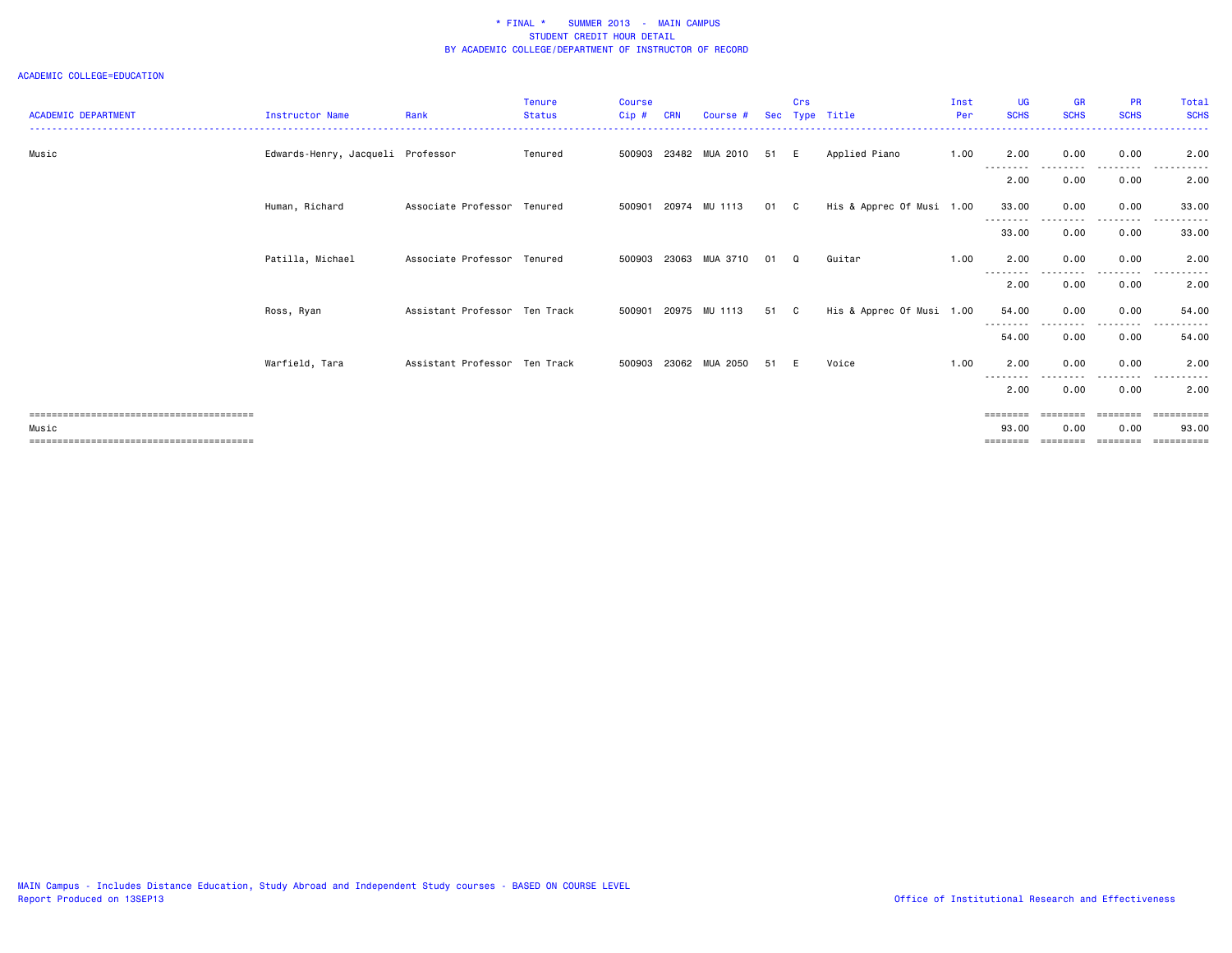|                            |                                   |                               | Tenure        | <b>Course</b> |            |                      |      | Crs      |                           | Inst | <b>UG</b>         | <b>GR</b>       | <b>PR</b>                                                               | Total            |
|----------------------------|-----------------------------------|-------------------------------|---------------|---------------|------------|----------------------|------|----------|---------------------------|------|-------------------|-----------------|-------------------------------------------------------------------------|------------------|
| <b>ACADEMIC DEPARTMENT</b> | Instructor Name                   | Rank                          | <b>Status</b> | Cip#          | <b>CRN</b> | Course #             |      |          | Sec Type Title            | Per  | <b>SCHS</b>       | <b>SCHS</b>     | <b>SCHS</b>                                                             | <b>SCHS</b><br>. |
|                            |                                   |                               |               |               |            |                      |      |          |                           |      |                   |                 |                                                                         |                  |
| Music                      | Edwards-Henry, Jacqueli Professor |                               | Tenured       | 500903        |            | 23482 MUA 2010       | 51 E |          | Applied Piano             | 1.00 | 2.00              | 0.00            | 0.00                                                                    | 2.00             |
|                            |                                   |                               |               |               |            |                      |      |          |                           |      | --------<br>2.00  | 0.00            | . <u>.</u> .<br>0.00                                                    | $  -$<br>2.00    |
|                            | Human, Richard                    | Associate Professor Tenured   |               | 500901        |            | 20974 MU 1113        | 01 C |          | His & Apprec Of Musi 1.00 |      | 33.00             | 0.00            | 0.00                                                                    | 33.00            |
|                            |                                   |                               |               |               |            |                      |      |          |                           |      | 33.00             | 0.00            | 0.00                                                                    | 33.00            |
|                            | Patilla, Michael                  | Associate Professor Tenured   |               | 500903        | 23063      | MUA 3710             | 01   | $\Omega$ | Guitar                    | 1.00 | 2.00              | 0.00            | 0.00                                                                    | 2.00             |
|                            |                                   |                               |               |               |            |                      |      |          |                           |      | --------<br>2.00  | 0.00            | ----<br>0.00                                                            | 2.00             |
|                            | Ross, Ryan                        | Assistant Professor Ten Track |               |               |            | 500901 20975 MU 1113 | 51 C |          | His & Apprec Of Musi 1.00 |      | 54.00<br>-------- | 0.00            | 0.00<br>.                                                               | 54.00<br>.       |
|                            |                                   |                               |               |               |            |                      |      |          |                           |      | 54.00             | 0.00            | 0.00                                                                    | 54.00            |
|                            | Warfield, Tara                    | Assistant Professor Ten Track |               | 500903        |            | 23062 MUA 2050       | 51 E |          | Voice                     | 1.00 | 2.00<br>--------  | 0.00            | 0.00                                                                    | 2.00             |
|                            |                                   |                               |               |               |            |                      |      |          |                           |      | 2.00              | 0.00            | 0.00                                                                    | 2.00             |
|                            |                                   |                               |               |               |            |                      |      |          |                           |      | ========          | <b>EBBEEBBE</b> | $\qquad \qquad \equiv \equiv \equiv \equiv \equiv \equiv \equiv \equiv$ | ==========       |
| Music                      |                                   |                               |               |               |            |                      |      |          |                           |      | 93.00             | 0.00            | 0.00                                                                    | 93.00            |
|                            |                                   |                               |               |               |            |                      |      |          |                           |      | ========          | ========        | ========                                                                | -----------      |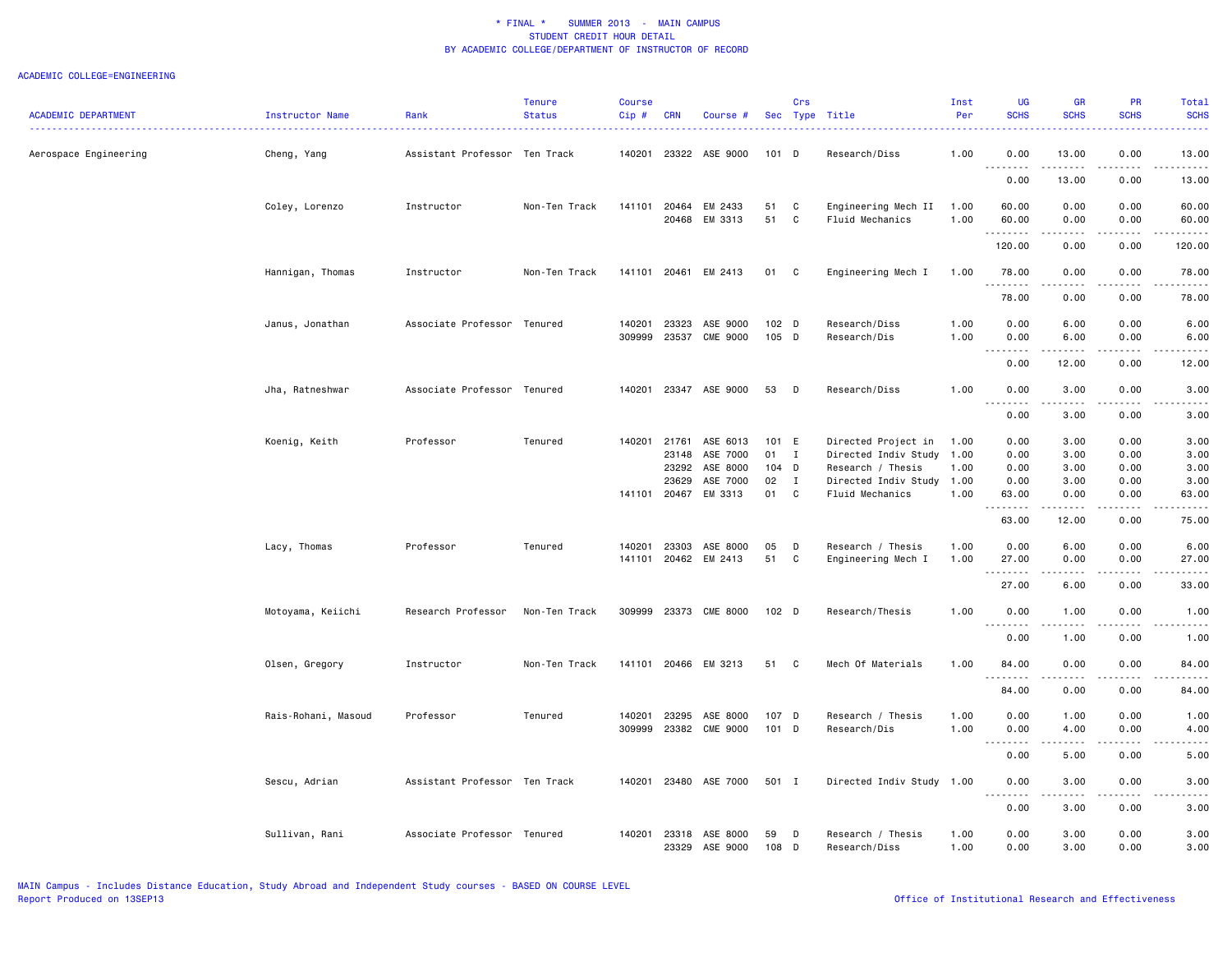|                            |                     |                               | <b>Tenure</b> | <b>Course</b> |            |                                  |                  | Crs          |                                         | Inst         | <b>UG</b>                             | <b>GR</b>                                                                                                                                                                                                                                                                                                                                                                                            | PR           | Total                |
|----------------------------|---------------------|-------------------------------|---------------|---------------|------------|----------------------------------|------------------|--------------|-----------------------------------------|--------------|---------------------------------------|------------------------------------------------------------------------------------------------------------------------------------------------------------------------------------------------------------------------------------------------------------------------------------------------------------------------------------------------------------------------------------------------------|--------------|----------------------|
| <b>ACADEMIC DEPARTMENT</b> | Instructor Name     | Rank                          | <b>Status</b> | Cip#          | <b>CRN</b> | Course #                         |                  |              | Sec Type Title                          | Per          | <b>SCHS</b>                           | <b>SCHS</b>                                                                                                                                                                                                                                                                                                                                                                                          | <b>SCHS</b>  | <b>SCHS</b>          |
| Aerospace Engineering      | Cheng, Yang         | Assistant Professor Ten Track |               | 140201        |            | 23322 ASE 9000                   | $101$ D          |              | Research/Diss                           | 1.00         | 0.00<br>.                             | 13.00                                                                                                                                                                                                                                                                                                                                                                                                | 0.00         | 13.00                |
|                            |                     |                               |               |               |            |                                  |                  |              |                                         |              | 0.00                                  | 13.00                                                                                                                                                                                                                                                                                                                                                                                                | 0.00         | 13.00                |
|                            | Coley, Lorenzo      | Instructor                    | Non-Ten Track | 141101        | 20464      | EM 2433                          | 51               | C            | Engineering Mech II                     | 1.00         | 60.00                                 | 0.00                                                                                                                                                                                                                                                                                                                                                                                                 | 0.00         | 60.00                |
|                            |                     |                               |               |               | 20468      | EM 3313                          | 51               | C            | Fluid Mechanics                         | 1.00         | 60.00<br>.                            | 0.00<br>$\frac{1}{2} \frac{1}{2} \frac{1}{2} \frac{1}{2} \frac{1}{2} \frac{1}{2} \frac{1}{2} \frac{1}{2} \frac{1}{2} \frac{1}{2} \frac{1}{2} \frac{1}{2} \frac{1}{2} \frac{1}{2} \frac{1}{2} \frac{1}{2} \frac{1}{2} \frac{1}{2} \frac{1}{2} \frac{1}{2} \frac{1}{2} \frac{1}{2} \frac{1}{2} \frac{1}{2} \frac{1}{2} \frac{1}{2} \frac{1}{2} \frac{1}{2} \frac{1}{2} \frac{1}{2} \frac{1}{2} \frac{$ | 0.00         | 60.00                |
|                            |                     |                               |               |               |            |                                  |                  |              |                                         |              | 120.00                                | 0.00                                                                                                                                                                                                                                                                                                                                                                                                 | 0.00         | 120.00               |
|                            | Hannigan, Thomas    | Instructor                    | Non-Ten Track |               |            | 141101 20461 EM 2413             | 01 C             |              | Engineering Mech I                      | 1.00         | 78.00<br><u>.</u>                     | 0.00<br>$\frac{1}{2}$                                                                                                                                                                                                                                                                                                                                                                                | 0.00<br>.    | 78.00                |
|                            |                     |                               |               |               |            |                                  |                  |              |                                         |              | 78.00                                 | 0.00                                                                                                                                                                                                                                                                                                                                                                                                 | 0.00         | 78.00                |
|                            | Janus, Jonathan     | Associate Professor Tenured   |               | 140201        | 23323      | ASE 9000                         | 102 <sub>D</sub> |              | Research/Diss                           | 1.00         | 0.00                                  | 6.00                                                                                                                                                                                                                                                                                                                                                                                                 | 0.00         | 6.00                 |
|                            |                     |                               |               | 309999        | 23537      | <b>CME 9000</b>                  | 105 D            |              | Research/Dis                            | 1.00         | 0.00<br>.                             | 6.00                                                                                                                                                                                                                                                                                                                                                                                                 | 0.00         | 6.00                 |
|                            |                     |                               |               |               |            |                                  |                  |              |                                         |              | 0.00                                  | 12.00                                                                                                                                                                                                                                                                                                                                                                                                | 0.00         | 12.00                |
|                            | Jha, Ratneshwar     | Associate Professor Tenured   |               | 140201        |            | 23347 ASE 9000                   | 53               | D            | Research/Diss                           | 1.00         | 0.00<br>$\sim$ $\sim$ $\sim$<br>----- | 3.00<br>-----                                                                                                                                                                                                                                                                                                                                                                                        | 0.00         | 3.00                 |
|                            |                     |                               |               |               |            |                                  |                  |              |                                         |              | 0.00                                  | 3.00                                                                                                                                                                                                                                                                                                                                                                                                 | 0.00         | 3.00                 |
|                            | Koenig, Keith       | Professor                     | Tenured       | 140201        | 21761      | ASE 6013                         | 101 E            |              | Directed Project in                     | 1.00         | 0.00                                  | 3.00                                                                                                                                                                                                                                                                                                                                                                                                 | 0.00         | 3.00                 |
|                            |                     |                               |               |               | 23148      | ASE 7000                         | 01               | $\mathbf{I}$ | Directed Indiv Study                    | 1.00         | 0.00                                  | 3.00                                                                                                                                                                                                                                                                                                                                                                                                 | 0.00         | 3.00                 |
|                            |                     |                               |               |               | 23292      | ASE 8000                         | 104 D            |              | Research / Thesis                       | 1.00         | 0.00                                  | 3.00                                                                                                                                                                                                                                                                                                                                                                                                 | 0.00         | 3.00                 |
|                            |                     |                               |               |               | 23629      | ASE 7000<br>141101 20467 EM 3313 | 02<br>01         | I<br>C       | Directed Indiv Study<br>Fluid Mechanics | 1.00<br>1.00 | 0.00<br>63.00                         | 3.00<br>0.00                                                                                                                                                                                                                                                                                                                                                                                         | 0.00<br>0.00 | 3.00<br>63.00        |
|                            |                     |                               |               |               |            |                                  |                  |              |                                         |              | .                                     | .                                                                                                                                                                                                                                                                                                                                                                                                    | .            | .                    |
|                            |                     |                               |               |               |            |                                  |                  |              |                                         |              | 63.00                                 | 12.00                                                                                                                                                                                                                                                                                                                                                                                                | 0.00         | 75.00                |
|                            | Lacy, Thomas        | Professor                     | Tenured       | 140201        | 23303      | ASE 8000                         | 05               | D            | Research / Thesis                       | 1.00         | 0.00                                  | 6.00                                                                                                                                                                                                                                                                                                                                                                                                 | 0.00         | 6.00                 |
|                            |                     |                               |               | 141101        | 20462      | EM 2413                          | 51               | C            | Engineering Mech I                      | 1.00         | 27.00<br><u>.</u>                     | 0.00                                                                                                                                                                                                                                                                                                                                                                                                 | 0.00         | 27.00                |
|                            |                     |                               |               |               |            |                                  |                  |              |                                         |              | 27.00                                 | 6.00                                                                                                                                                                                                                                                                                                                                                                                                 | 0.00         | 33.00                |
|                            | Motoyama, Keiichi   | Research Professor            | Non-Ten Track | 309999        | 23373      | <b>CME 8000</b>                  | 102 <sub>D</sub> |              | Research/Thesis                         | 1.00         | 0.00                                  | 1.00                                                                                                                                                                                                                                                                                                                                                                                                 | 0.00         | 1.00                 |
|                            |                     |                               |               |               |            |                                  |                  |              |                                         |              | 0.00                                  | 1.00                                                                                                                                                                                                                                                                                                                                                                                                 | 0.00         | 1.00                 |
|                            | Olsen, Gregory      | Instructor                    | Non-Ten Track |               |            | 141101 20466 EM 3213             | 51               | C            | Mech Of Materials                       | 1.00         | 84.00                                 | 0.00                                                                                                                                                                                                                                                                                                                                                                                                 | 0.00         | 84.00                |
|                            |                     |                               |               |               |            |                                  |                  |              |                                         |              | . <i>.</i><br>84.00                   | .<br>0.00                                                                                                                                                                                                                                                                                                                                                                                            | .<br>0.00    | $- - - - -$<br>84.00 |
|                            | Rais-Rohani, Masoud | Professor                     | Tenured       | 140201        | 23295      | ASE 8000                         | 107 D            |              | Research / Thesis                       | 1.00         | 0.00                                  | 1.00                                                                                                                                                                                                                                                                                                                                                                                                 | 0.00         | 1.00                 |
|                            |                     |                               |               | 309999        |            | 23382 CME 9000                   | 101 D            |              | Research/Dis                            | 1.00         | 0.00                                  | 4.00                                                                                                                                                                                                                                                                                                                                                                                                 | 0.00         | 4.00                 |
|                            |                     |                               |               |               |            |                                  |                  |              |                                         |              | . <b>.</b> .<br>$  -$<br>0.00         | المتماما<br>5.00                                                                                                                                                                                                                                                                                                                                                                                     | .<br>0.00    | $- - - -$<br>5.00    |
|                            | Sescu, Adrian       | Assistant Professor Ten Track |               | 140201        | 23480      | ASE 7000                         | 501 I            |              | Directed Indiv Study                    | 1.00         | 0.00                                  | 3.00                                                                                                                                                                                                                                                                                                                                                                                                 | 0.00         | 3.00                 |
|                            |                     |                               |               |               |            |                                  |                  |              |                                         |              | $\sim$ $\sim$ $\sim$<br>0.00          | 3.00                                                                                                                                                                                                                                                                                                                                                                                                 | 0.00         | 3.00                 |
|                            | Sullivan, Rani      | Associate Professor Tenured   |               | 140201        | 23318      | ASE 8000                         | 59               | D            | Research / Thesis                       | 1.00         | 0.00                                  | 3.00                                                                                                                                                                                                                                                                                                                                                                                                 | 0.00         | 3.00                 |
|                            |                     |                               |               |               | 23329      | ASE 9000                         | 108              | D            | Research/Diss                           | 1.00         | 0.00                                  | 3.00                                                                                                                                                                                                                                                                                                                                                                                                 | 0.00         | 3.00                 |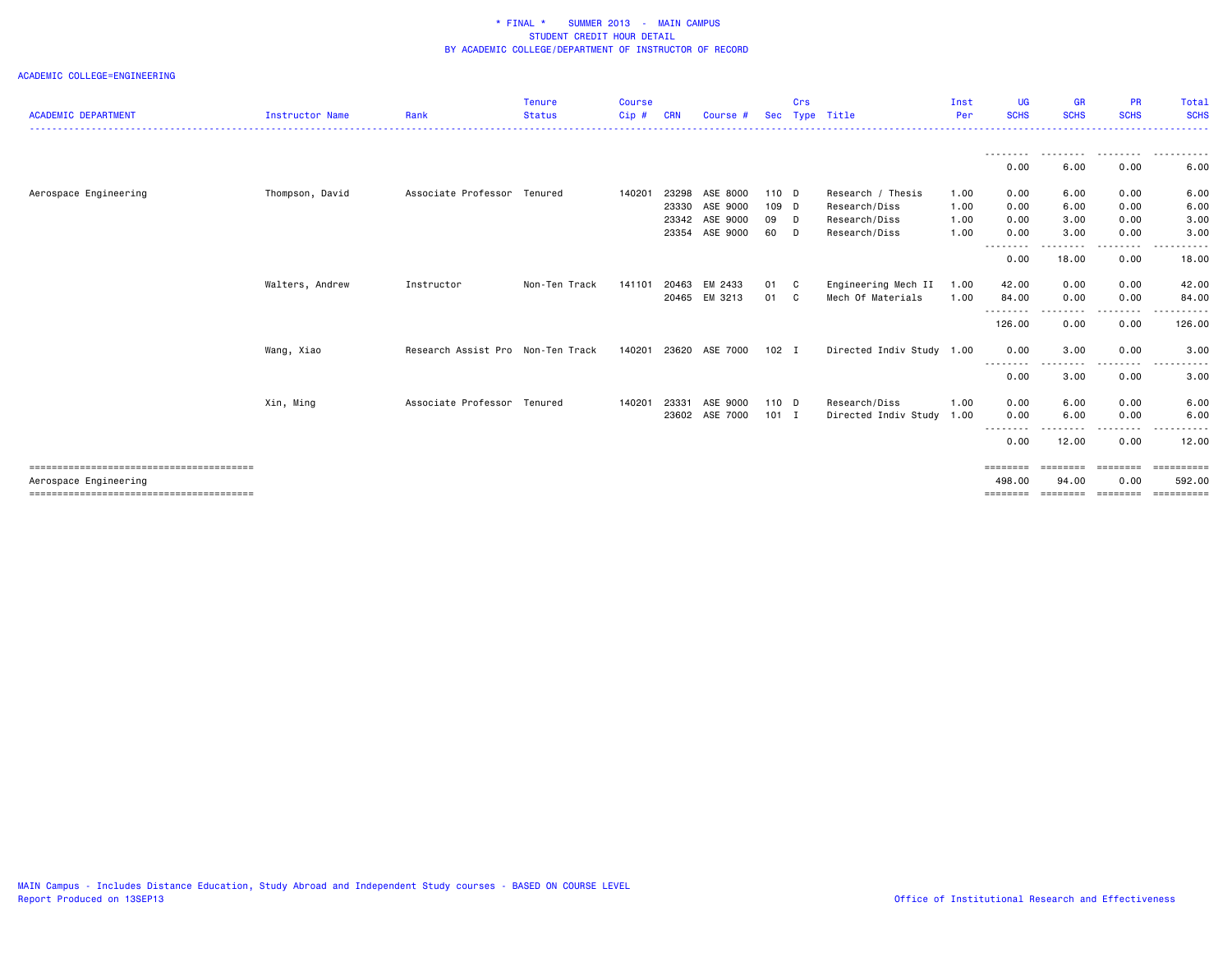| <b>ACADEMIC DEPARTMENT</b> | <b>Instructor Name</b> | Rank                              | <b>Tenure</b><br><b>Status</b> | <b>Course</b><br>$Cip$ # | <b>CRN</b> | Course #      | <b>Sec</b> | Crs          | Type Title                | Inst<br>Per | <b>UG</b><br><b>SCHS</b> | GR<br><b>SCHS</b> | <b>PR</b><br><b>SCHS</b> | Total<br><b>SCHS</b> |
|----------------------------|------------------------|-----------------------------------|--------------------------------|--------------------------|------------|---------------|------------|--------------|---------------------------|-------------|--------------------------|-------------------|--------------------------|----------------------|
|                            |                        |                                   |                                |                          |            |               |            |              |                           |             |                          |                   |                          |                      |
|                            |                        |                                   |                                |                          |            |               |            |              |                           |             | 0.00                     | .<br>6.00         | .<br>0.00                | .<br>6.00            |
| Aerospace Engineering      | Thompson, David        | Associate Professor Tenured       |                                | 140201                   | 23298      | ASE 8000      | 110 D      |              | Research / Thesis         | 1.00        | 0.00                     | 6.00              | 0.00                     | 6.00                 |
|                            |                        |                                   |                                |                          | 23330      | ASE 9000      | 109 D      |              | Research/Diss             | 1.00        | 0.00                     | 6.00              | 0.00                     | 6.00                 |
|                            |                        |                                   |                                |                          | 23342      | ASE 9000      | 09 D       |              | Research/Diss             | 1.00        | 0.00                     | 3.00              | 0.00                     | 3.00                 |
|                            |                        |                                   |                                |                          | 23354      | ASE 9000      | 60         | <b>D</b>     | Research/Diss             | 1.00        | 0.00                     | 3.00              | 0.00                     | 3.00                 |
|                            |                        |                                   |                                |                          |            |               |            |              |                           |             | ---------<br>0.00        | -----<br>18.00    | .<br>0.00                | 18.00                |
|                            | Walters, Andrew        | Instructor                        | Non-Ten Track                  | 141101                   | 20463      | EM 2433       | 01         | C.           | Engineering Mech II       | 1.00        | 42.00                    | 0.00              | 0.00                     | 42.00                |
|                            |                        |                                   |                                |                          |            | 20465 EM 3213 | 01         | $\mathbf{C}$ | Mech Of Materials         | 1.00        | 84.00                    | 0.00              | 0.00                     | 84.00                |
|                            |                        |                                   |                                |                          |            |               |            |              |                           |             | ---------<br>126.00      | ----<br>0.00      | -----<br>0.00            | . <u>.</u><br>126.00 |
|                            | Wang, Xiao             | Research Assist Pro Non-Ten Track |                                | 140201                   | 23620      | ASE 7000      | $102$ I    |              | Directed Indiv Study 1.00 |             | 0.00                     | 3.00              | 0.00                     | 3.00                 |
|                            |                        |                                   |                                |                          |            |               |            |              |                           |             | --------<br>0.00         | 3.00              | 0.00                     | 3.00                 |
|                            | Xin, Ming              | Associate Professor Tenured       |                                | 140201                   | 23331      | ASE 9000      | 110 D      |              | Research/Diss             | 1.00        | 0.00                     | 6.00              | 0.00                     | 6.00                 |
|                            |                        |                                   |                                |                          | 23602      | ASE 7000      | $101$ I    |              | Directed Indiv Study      | 1.00        | 0.00                     | 6.00              | 0.00                     | 6.00                 |
|                            |                        |                                   |                                |                          |            |               |            |              |                           |             | --------<br>0.00         | 12.00             | 0.00                     | 12.00                |
|                            |                        |                                   |                                |                          |            |               |            |              |                           |             | ========                 | ========          | ========                 | ==========           |
| Aerospace Engineering      |                        |                                   |                                |                          |            |               |            |              |                           |             | 498.00<br>========       | 94.00<br>======== | 0.00<br>========         | 592.00<br>========== |
|                            |                        |                                   |                                |                          |            |               |            |              |                           |             |                          |                   |                          |                      |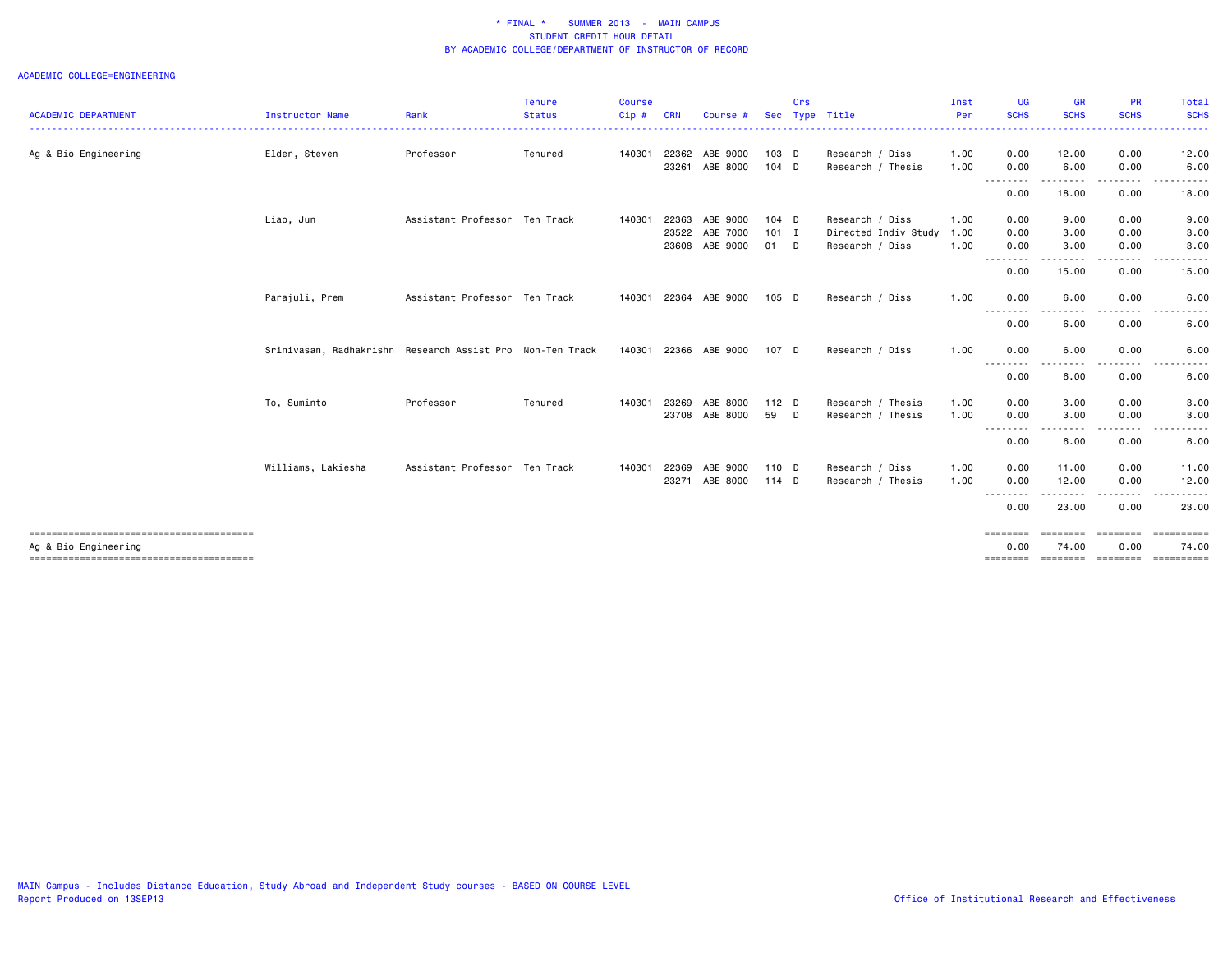| <b>ACADEMIC DEPARTMENT</b> | Instructor Name                                           | Rank                          | <b>Tenure</b><br><b>Status</b> | <b>Course</b><br>Cip# | <b>CRN</b> | Course #              | <b>Sec</b> | Crs | Type Title           | Inst<br>Per | <b>UG</b><br><b>SCHS</b> | <b>GR</b><br><b>SCHS</b> | <b>PR</b><br><b>SCHS</b> | Total<br><b>SCHS</b> |
|----------------------------|-----------------------------------------------------------|-------------------------------|--------------------------------|-----------------------|------------|-----------------------|------------|-----|----------------------|-------------|--------------------------|--------------------------|--------------------------|----------------------|
|                            |                                                           |                               |                                |                       |            |                       |            |     |                      |             |                          |                          |                          | . <u>.</u> .         |
| Ag & Bio Engineering       | Elder, Steven                                             | Professor                     | Tenured                        | 140301                | 22362      | ABE 9000              | 103 D      |     | Research / Diss      | 1.00        | 0.00                     | 12.00                    | 0.00                     | 12.00                |
|                            |                                                           |                               |                                |                       | 23261      | ABE 8000              | 104 D      |     | Research / Thesis    | 1.00        | 0.00<br>--------         | 6.00<br>.                | 0.00<br>.                | 6.00<br>.            |
|                            |                                                           |                               |                                |                       |            |                       |            |     |                      |             | 0.00                     | 18.00                    | 0.00                     | 18.00                |
|                            | Liao, Jun                                                 | Assistant Professor Ten Track |                                | 140301                | 22363      | ABE 9000              | $104$ D    |     | Research / Diss      | 1.00        | 0.00                     | 9.00                     | 0.00                     | 9.00                 |
|                            |                                                           |                               |                                |                       | 23522      | ABE 7000              | $101$ I    |     | Directed Indiv Study | 1.00        | 0.00                     | 3.00                     | 0.00                     | 3.00                 |
|                            |                                                           |                               |                                |                       | 23608      | ABE 9000              | 01 D       |     | Research / Diss      | 1.00        | 0.00<br>.                | 3.00                     | 0.00                     | 3.00                 |
|                            |                                                           |                               |                                |                       |            |                       |            |     |                      |             | 0.00                     | 15.00                    | 0.00                     | 15.00                |
|                            | Parajuli, Prem                                            | Assistant Professor Ten Track |                                | 140301                | 22364      | ABE 9000              | $105$ D    |     | Research / Diss      | 1.00        | 0.00                     | 6.00                     | 0.00                     | 6.00                 |
|                            |                                                           |                               |                                |                       |            |                       |            |     |                      |             | --------<br>0.00         | .<br>6.00                | .<br>0.00                | .<br>6.00            |
|                            | Srinivasan, Radhakrishn Research Assist Pro Non-Ten Track |                               |                                |                       |            | 140301 22366 ABE 9000 | 107 D      |     | Research / Diss      | 1.00        | 0.00                     | 6.00                     | 0.00                     | 6.00                 |
|                            |                                                           |                               |                                |                       |            |                       |            |     |                      |             | --------<br>0.00         | .<br>6.00                | $\cdots$<br>0.00         | 6.00                 |
|                            | To, Suminto                                               | Professor                     | Tenured                        | 140301                | 23269      | ABE 8000              | $112$ D    |     | Research / Thesis    | 1.00        | 0.00                     | 3.00                     | 0.00                     | 3.00                 |
|                            |                                                           |                               |                                |                       | 23708      | ABE 8000              | 59 D       |     | Research / Thesis    | 1.00        | 0.00                     | 3.00<br>--------         | 0.00<br>.                | 3.00<br>. <b>.</b> . |
|                            |                                                           |                               |                                |                       |            |                       |            |     |                      |             | --------<br>0.00         | 6.00                     | 0.00                     | 6.00                 |
|                            | Williams, Lakiesha                                        | Assistant Professor Ten Track |                                | 140301                | 22369      | ABE 9000              | 110 D      |     | Research / Diss      | 1.00        | 0.00                     | 11.00                    | 0.00                     | 11.00                |
|                            |                                                           |                               |                                |                       | 23271      | ABE 8000              | 114 D      |     | Research / Thesis    | 1.00        | 0.00                     | 12.00                    | 0.00                     | 12.00                |
|                            |                                                           |                               |                                |                       |            |                       |            |     |                      |             | --------<br>0.00         | $\cdots$<br>23.00        | 0.00                     | 23.00                |
|                            |                                                           |                               |                                |                       |            |                       |            |     |                      |             | ========                 | <b>BEBBEEB</b>           | ========                 | ==========           |
| Ag & Bio Engineering       |                                                           |                               |                                |                       |            |                       |            |     |                      |             | 0.00                     | 74.00                    | 0.00                     | 74.00                |
|                            |                                                           |                               |                                |                       |            |                       |            |     |                      |             | ========                 | ========                 | ========                 | ==========           |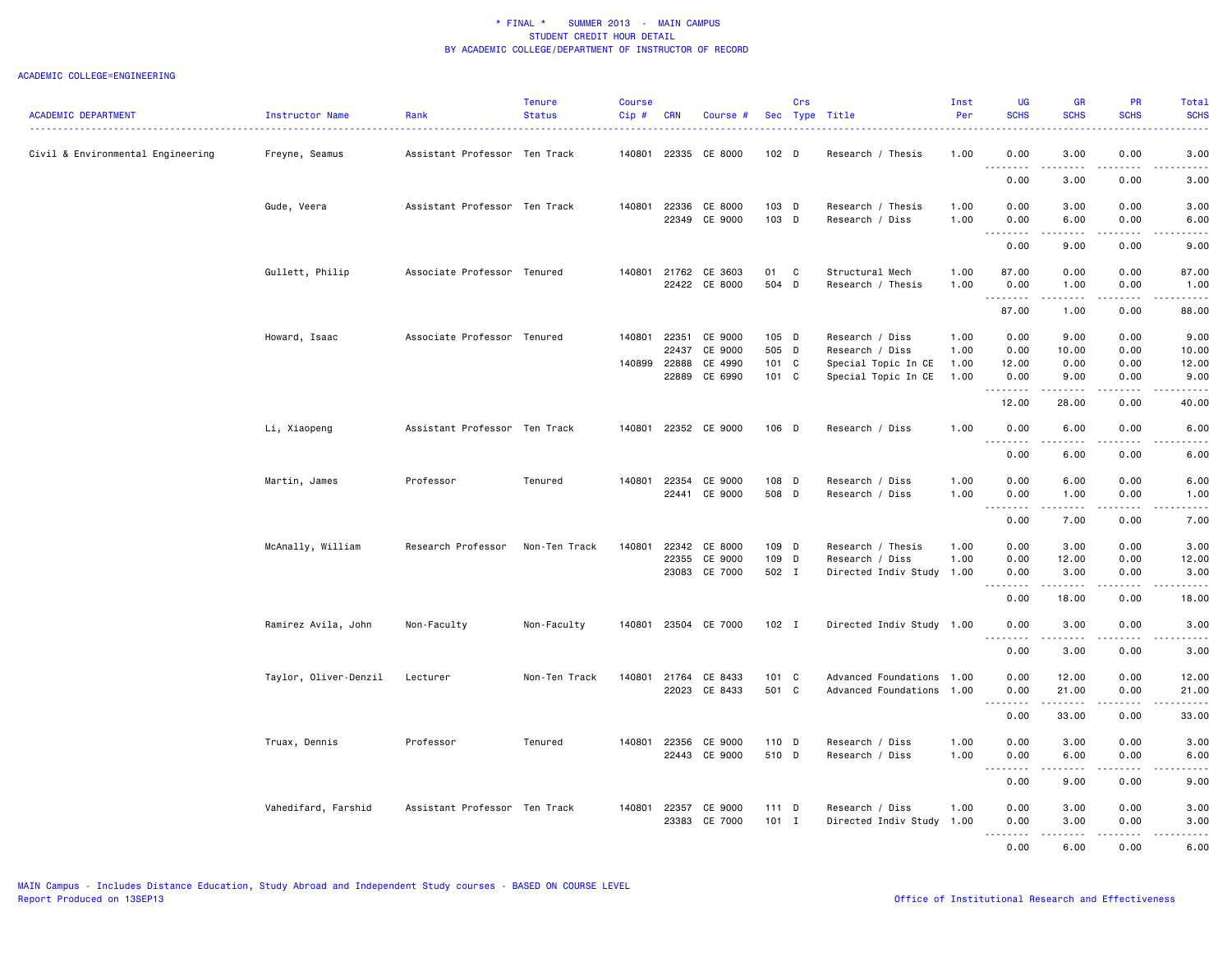| والمحاميات<br>Civil & Environmental Engineering<br>Freyne, Seamus<br>Assistant Professor Ten Track<br>140801 22335<br>CE 8000<br>102 <sub>D</sub><br>1.00<br>0.00<br>3.00<br>0.00<br>3.00<br>Research / Thesis<br>.<br><u>.</u><br>3.00<br>0.00<br>0.00<br>3.00<br>Gude, Veera<br>Assistant Professor Ten Track<br>140801<br>22336<br>CE 8000<br>103 D<br>Research / Thesis<br>1.00<br>0.00<br>3.00<br>0.00<br>3.00<br>22349 CE 9000<br>103 D<br>Research / Diss<br>1.00<br>0.00<br>6.00<br>0.00<br>6.00<br>$\sim$ $\sim$<br>$\sim$ $\sim$ $\sim$<br>.<br>0.00<br>9.00<br>0.00<br>9.00<br>Gullett, Philip<br>140801 21762 CE 3603<br>C<br>Associate Professor Tenured<br>01<br>Structural Mech<br>1.00<br>87.00<br>0.00<br>0.00<br>87.00<br>22422<br>CE 8000<br>504 D<br>Research / Thesis<br>1.00<br>0.00<br>1.00<br>0.00<br>1.00<br>.<br>$\frac{1}{2} \left( \frac{1}{2} \right) \left( \frac{1}{2} \right) \left( \frac{1}{2} \right) \left( \frac{1}{2} \right) \left( \frac{1}{2} \right)$<br>.<br>$\sim$ $\sim$ $\sim$ $\sim$<br>87.00<br>1.00<br>0.00<br>88.00<br>Associate Professor Tenured<br>140801 22351<br>CE 9000<br>105 D<br>Research / Diss<br>0.00<br>9.00<br>0.00<br>9.00<br>Howard, Isaac<br>1.00<br>22437<br>CE 9000<br>505 D<br>Research / Diss<br>0.00<br>1.00<br>0.00<br>10.00<br>10.00<br>CE 4990<br>101 C<br>140899 22888<br>Special Topic In CE<br>12.00<br>0.00<br>0.00<br>12.00<br>1.00<br>22889<br>CE 6990<br>101 C<br>Special Topic In CE<br>1.00<br>0.00<br>9.00<br>0.00<br>9.00<br>.<br>.<br>12.00<br>28.00<br>0.00<br>40.00<br>Li, Xiaopeng<br>Assistant Professor Ten Track<br>140801 22352 CE 9000<br>106 D<br>Research / Diss<br>1.00<br>0.00<br>6.00<br>0.00<br>6.00<br>.<br>.<br>$\sim$ $\sim$<br>$\sim$ $\sim$ $\sim$ $\sim$<br>0.00<br>6.00<br>0.00<br>6.00<br>Martin, James<br>Professor<br>Tenured<br>140801<br>22354<br>CE 9000<br>108 D<br>Research / Diss<br>1.00<br>0.00<br>6.00<br>0.00<br>6.00<br>CE 9000<br>508 D<br>22441<br>Research / Diss<br>1.00<br>0.00<br>1.00<br>0.00<br>1.00<br>د د د د<br>.<br><u>.</u><br>$\sim$ $\sim$<br>.<br>7.00<br>0.00<br>0.00<br>7.00<br>109 D<br>McAnally, William<br>Research Professor<br>140801<br>22342<br>CE 8000<br>Research / Thesis<br>1.00<br>0.00<br>3.00<br>0.00<br>3.00<br>Non-Ten Track<br>22355<br>CE 9000<br>109 D<br>Research / Diss<br>1.00<br>0.00<br>12.00<br>0.00<br>12.00<br>23083 CE 7000<br>502 I<br>Directed Indiv Study 1.00<br>0.00<br>3.00<br>0.00<br>3.00<br>.<br>.<br>$\frac{1}{2} \left( \frac{1}{2} \right) \left( \frac{1}{2} \right) \left( \frac{1}{2} \right) \left( \frac{1}{2} \right) \left( \frac{1}{2} \right)$<br>$\sim$ $\sim$ .<br>.<br>0.00<br>18.00<br>0.00<br>18.00<br>102 I<br>Ramirez Avila, John<br>Non-Faculty<br>23504 CE 7000<br>Directed Indiv Study 1.00<br>0.00<br>3.00<br>0.00<br>3.00<br>Non-Faculty<br>140801<br>$\sim$ $\sim$<br>0.00<br>3.00<br>0.00<br>3.00<br>Taylor, Oliver-Denzil<br>Non-Ten Track<br>140801 21764 CE 8433<br>101 C<br>Advanced Foundations 1.00<br>0.00<br>12.00<br>Lecturer<br>0.00<br>12.00<br>22023<br>CE 8433<br>501 C<br>Advanced Foundations<br>1.00<br>0.00<br>21.00<br>0.00<br>21.00<br>.<br>.<br>.<br>.<br>$\sim$ $\sim$ .<br>0.00<br>33.00<br>0.00<br>33.00 | <b>ACADEMIC DEPARTMENT</b> | Instructor Name | Rank      | <b>Tenure</b><br><b>Status</b> | <b>Course</b><br>Cip# | <b>CRN</b> | Course # |       | Crs | Sec Type Title  | Inst<br>Per | <b>UG</b><br><b>SCHS</b> | <b>GR</b><br><b>SCHS</b> | <b>PR</b><br><b>SCHS</b> | Total<br><b>SCHS</b> |
|--------------------------------------------------------------------------------------------------------------------------------------------------------------------------------------------------------------------------------------------------------------------------------------------------------------------------------------------------------------------------------------------------------------------------------------------------------------------------------------------------------------------------------------------------------------------------------------------------------------------------------------------------------------------------------------------------------------------------------------------------------------------------------------------------------------------------------------------------------------------------------------------------------------------------------------------------------------------------------------------------------------------------------------------------------------------------------------------------------------------------------------------------------------------------------------------------------------------------------------------------------------------------------------------------------------------------------------------------------------------------------------------------------------------------------------------------------------------------------------------------------------------------------------------------------------------------------------------------------------------------------------------------------------------------------------------------------------------------------------------------------------------------------------------------------------------------------------------------------------------------------------------------------------------------------------------------------------------------------------------------------------------------------------------------------------------------------------------------------------------------------------------------------------------------------------------------------------------------------------------------------------------------------------------------------------------------------------------------------------------------------------------------------------------------------------------------------------------------------------------------------------------------------------------------------------------------------------------------------------------------------------------------------------------------------------------------------------------------------------------------------------------------------------------------------------------------------------------------------------------------------------------------------------------------------------------------------------------------------------------------------------------------------------------------------------------------------------------------------------------------------------------------------------------------------------------------------------------------------------------|----------------------------|-----------------|-----------|--------------------------------|-----------------------|------------|----------|-------|-----|-----------------|-------------|--------------------------|--------------------------|--------------------------|----------------------|
|                                                                                                                                                                                                                                                                                                                                                                                                                                                                                                                                                                                                                                                                                                                                                                                                                                                                                                                                                                                                                                                                                                                                                                                                                                                                                                                                                                                                                                                                                                                                                                                                                                                                                                                                                                                                                                                                                                                                                                                                                                                                                                                                                                                                                                                                                                                                                                                                                                                                                                                                                                                                                                                                                                                                                                                                                                                                                                                                                                                                                                                                                                                                                                                                                                            |                            |                 |           |                                |                       |            |          |       |     |                 |             |                          |                          |                          |                      |
|                                                                                                                                                                                                                                                                                                                                                                                                                                                                                                                                                                                                                                                                                                                                                                                                                                                                                                                                                                                                                                                                                                                                                                                                                                                                                                                                                                                                                                                                                                                                                                                                                                                                                                                                                                                                                                                                                                                                                                                                                                                                                                                                                                                                                                                                                                                                                                                                                                                                                                                                                                                                                                                                                                                                                                                                                                                                                                                                                                                                                                                                                                                                                                                                                                            |                            |                 |           |                                |                       |            |          |       |     |                 |             |                          |                          |                          |                      |
|                                                                                                                                                                                                                                                                                                                                                                                                                                                                                                                                                                                                                                                                                                                                                                                                                                                                                                                                                                                                                                                                                                                                                                                                                                                                                                                                                                                                                                                                                                                                                                                                                                                                                                                                                                                                                                                                                                                                                                                                                                                                                                                                                                                                                                                                                                                                                                                                                                                                                                                                                                                                                                                                                                                                                                                                                                                                                                                                                                                                                                                                                                                                                                                                                                            |                            |                 |           |                                |                       |            |          |       |     |                 |             |                          |                          |                          |                      |
|                                                                                                                                                                                                                                                                                                                                                                                                                                                                                                                                                                                                                                                                                                                                                                                                                                                                                                                                                                                                                                                                                                                                                                                                                                                                                                                                                                                                                                                                                                                                                                                                                                                                                                                                                                                                                                                                                                                                                                                                                                                                                                                                                                                                                                                                                                                                                                                                                                                                                                                                                                                                                                                                                                                                                                                                                                                                                                                                                                                                                                                                                                                                                                                                                                            |                            |                 |           |                                |                       |            |          |       |     |                 |             |                          |                          |                          |                      |
|                                                                                                                                                                                                                                                                                                                                                                                                                                                                                                                                                                                                                                                                                                                                                                                                                                                                                                                                                                                                                                                                                                                                                                                                                                                                                                                                                                                                                                                                                                                                                                                                                                                                                                                                                                                                                                                                                                                                                                                                                                                                                                                                                                                                                                                                                                                                                                                                                                                                                                                                                                                                                                                                                                                                                                                                                                                                                                                                                                                                                                                                                                                                                                                                                                            |                            |                 |           |                                |                       |            |          |       |     |                 |             |                          |                          |                          |                      |
|                                                                                                                                                                                                                                                                                                                                                                                                                                                                                                                                                                                                                                                                                                                                                                                                                                                                                                                                                                                                                                                                                                                                                                                                                                                                                                                                                                                                                                                                                                                                                                                                                                                                                                                                                                                                                                                                                                                                                                                                                                                                                                                                                                                                                                                                                                                                                                                                                                                                                                                                                                                                                                                                                                                                                                                                                                                                                                                                                                                                                                                                                                                                                                                                                                            |                            |                 |           |                                |                       |            |          |       |     |                 |             |                          |                          |                          |                      |
|                                                                                                                                                                                                                                                                                                                                                                                                                                                                                                                                                                                                                                                                                                                                                                                                                                                                                                                                                                                                                                                                                                                                                                                                                                                                                                                                                                                                                                                                                                                                                                                                                                                                                                                                                                                                                                                                                                                                                                                                                                                                                                                                                                                                                                                                                                                                                                                                                                                                                                                                                                                                                                                                                                                                                                                                                                                                                                                                                                                                                                                                                                                                                                                                                                            |                            |                 |           |                                |                       |            |          |       |     |                 |             |                          |                          |                          |                      |
|                                                                                                                                                                                                                                                                                                                                                                                                                                                                                                                                                                                                                                                                                                                                                                                                                                                                                                                                                                                                                                                                                                                                                                                                                                                                                                                                                                                                                                                                                                                                                                                                                                                                                                                                                                                                                                                                                                                                                                                                                                                                                                                                                                                                                                                                                                                                                                                                                                                                                                                                                                                                                                                                                                                                                                                                                                                                                                                                                                                                                                                                                                                                                                                                                                            |                            |                 |           |                                |                       |            |          |       |     |                 |             |                          |                          |                          |                      |
|                                                                                                                                                                                                                                                                                                                                                                                                                                                                                                                                                                                                                                                                                                                                                                                                                                                                                                                                                                                                                                                                                                                                                                                                                                                                                                                                                                                                                                                                                                                                                                                                                                                                                                                                                                                                                                                                                                                                                                                                                                                                                                                                                                                                                                                                                                                                                                                                                                                                                                                                                                                                                                                                                                                                                                                                                                                                                                                                                                                                                                                                                                                                                                                                                                            |                            |                 |           |                                |                       |            |          |       |     |                 |             |                          |                          |                          |                      |
|                                                                                                                                                                                                                                                                                                                                                                                                                                                                                                                                                                                                                                                                                                                                                                                                                                                                                                                                                                                                                                                                                                                                                                                                                                                                                                                                                                                                                                                                                                                                                                                                                                                                                                                                                                                                                                                                                                                                                                                                                                                                                                                                                                                                                                                                                                                                                                                                                                                                                                                                                                                                                                                                                                                                                                                                                                                                                                                                                                                                                                                                                                                                                                                                                                            |                            |                 |           |                                |                       |            |          |       |     |                 |             |                          |                          |                          |                      |
|                                                                                                                                                                                                                                                                                                                                                                                                                                                                                                                                                                                                                                                                                                                                                                                                                                                                                                                                                                                                                                                                                                                                                                                                                                                                                                                                                                                                                                                                                                                                                                                                                                                                                                                                                                                                                                                                                                                                                                                                                                                                                                                                                                                                                                                                                                                                                                                                                                                                                                                                                                                                                                                                                                                                                                                                                                                                                                                                                                                                                                                                                                                                                                                                                                            |                            |                 |           |                                |                       |            |          |       |     |                 |             |                          |                          |                          |                      |
|                                                                                                                                                                                                                                                                                                                                                                                                                                                                                                                                                                                                                                                                                                                                                                                                                                                                                                                                                                                                                                                                                                                                                                                                                                                                                                                                                                                                                                                                                                                                                                                                                                                                                                                                                                                                                                                                                                                                                                                                                                                                                                                                                                                                                                                                                                                                                                                                                                                                                                                                                                                                                                                                                                                                                                                                                                                                                                                                                                                                                                                                                                                                                                                                                                            |                            |                 |           |                                |                       |            |          |       |     |                 |             |                          |                          |                          |                      |
|                                                                                                                                                                                                                                                                                                                                                                                                                                                                                                                                                                                                                                                                                                                                                                                                                                                                                                                                                                                                                                                                                                                                                                                                                                                                                                                                                                                                                                                                                                                                                                                                                                                                                                                                                                                                                                                                                                                                                                                                                                                                                                                                                                                                                                                                                                                                                                                                                                                                                                                                                                                                                                                                                                                                                                                                                                                                                                                                                                                                                                                                                                                                                                                                                                            |                            |                 |           |                                |                       |            |          |       |     |                 |             |                          |                          |                          |                      |
|                                                                                                                                                                                                                                                                                                                                                                                                                                                                                                                                                                                                                                                                                                                                                                                                                                                                                                                                                                                                                                                                                                                                                                                                                                                                                                                                                                                                                                                                                                                                                                                                                                                                                                                                                                                                                                                                                                                                                                                                                                                                                                                                                                                                                                                                                                                                                                                                                                                                                                                                                                                                                                                                                                                                                                                                                                                                                                                                                                                                                                                                                                                                                                                                                                            |                            |                 |           |                                |                       |            |          |       |     |                 |             |                          |                          |                          |                      |
|                                                                                                                                                                                                                                                                                                                                                                                                                                                                                                                                                                                                                                                                                                                                                                                                                                                                                                                                                                                                                                                                                                                                                                                                                                                                                                                                                                                                                                                                                                                                                                                                                                                                                                                                                                                                                                                                                                                                                                                                                                                                                                                                                                                                                                                                                                                                                                                                                                                                                                                                                                                                                                                                                                                                                                                                                                                                                                                                                                                                                                                                                                                                                                                                                                            |                            |                 |           |                                |                       |            |          |       |     |                 |             |                          |                          |                          |                      |
|                                                                                                                                                                                                                                                                                                                                                                                                                                                                                                                                                                                                                                                                                                                                                                                                                                                                                                                                                                                                                                                                                                                                                                                                                                                                                                                                                                                                                                                                                                                                                                                                                                                                                                                                                                                                                                                                                                                                                                                                                                                                                                                                                                                                                                                                                                                                                                                                                                                                                                                                                                                                                                                                                                                                                                                                                                                                                                                                                                                                                                                                                                                                                                                                                                            |                            |                 |           |                                |                       |            |          |       |     |                 |             |                          |                          |                          |                      |
|                                                                                                                                                                                                                                                                                                                                                                                                                                                                                                                                                                                                                                                                                                                                                                                                                                                                                                                                                                                                                                                                                                                                                                                                                                                                                                                                                                                                                                                                                                                                                                                                                                                                                                                                                                                                                                                                                                                                                                                                                                                                                                                                                                                                                                                                                                                                                                                                                                                                                                                                                                                                                                                                                                                                                                                                                                                                                                                                                                                                                                                                                                                                                                                                                                            |                            |                 |           |                                |                       |            |          |       |     |                 |             |                          |                          |                          |                      |
|                                                                                                                                                                                                                                                                                                                                                                                                                                                                                                                                                                                                                                                                                                                                                                                                                                                                                                                                                                                                                                                                                                                                                                                                                                                                                                                                                                                                                                                                                                                                                                                                                                                                                                                                                                                                                                                                                                                                                                                                                                                                                                                                                                                                                                                                                                                                                                                                                                                                                                                                                                                                                                                                                                                                                                                                                                                                                                                                                                                                                                                                                                                                                                                                                                            |                            |                 |           |                                |                       |            |          |       |     |                 |             |                          |                          |                          |                      |
|                                                                                                                                                                                                                                                                                                                                                                                                                                                                                                                                                                                                                                                                                                                                                                                                                                                                                                                                                                                                                                                                                                                                                                                                                                                                                                                                                                                                                                                                                                                                                                                                                                                                                                                                                                                                                                                                                                                                                                                                                                                                                                                                                                                                                                                                                                                                                                                                                                                                                                                                                                                                                                                                                                                                                                                                                                                                                                                                                                                                                                                                                                                                                                                                                                            |                            |                 |           |                                |                       |            |          |       |     |                 |             |                          |                          |                          |                      |
|                                                                                                                                                                                                                                                                                                                                                                                                                                                                                                                                                                                                                                                                                                                                                                                                                                                                                                                                                                                                                                                                                                                                                                                                                                                                                                                                                                                                                                                                                                                                                                                                                                                                                                                                                                                                                                                                                                                                                                                                                                                                                                                                                                                                                                                                                                                                                                                                                                                                                                                                                                                                                                                                                                                                                                                                                                                                                                                                                                                                                                                                                                                                                                                                                                            |                            |                 |           |                                |                       |            |          |       |     |                 |             |                          |                          |                          |                      |
|                                                                                                                                                                                                                                                                                                                                                                                                                                                                                                                                                                                                                                                                                                                                                                                                                                                                                                                                                                                                                                                                                                                                                                                                                                                                                                                                                                                                                                                                                                                                                                                                                                                                                                                                                                                                                                                                                                                                                                                                                                                                                                                                                                                                                                                                                                                                                                                                                                                                                                                                                                                                                                                                                                                                                                                                                                                                                                                                                                                                                                                                                                                                                                                                                                            |                            |                 |           |                                |                       |            |          |       |     |                 |             |                          |                          |                          |                      |
|                                                                                                                                                                                                                                                                                                                                                                                                                                                                                                                                                                                                                                                                                                                                                                                                                                                                                                                                                                                                                                                                                                                                                                                                                                                                                                                                                                                                                                                                                                                                                                                                                                                                                                                                                                                                                                                                                                                                                                                                                                                                                                                                                                                                                                                                                                                                                                                                                                                                                                                                                                                                                                                                                                                                                                                                                                                                                                                                                                                                                                                                                                                                                                                                                                            |                            |                 |           |                                |                       |            |          |       |     |                 |             |                          |                          |                          |                      |
|                                                                                                                                                                                                                                                                                                                                                                                                                                                                                                                                                                                                                                                                                                                                                                                                                                                                                                                                                                                                                                                                                                                                                                                                                                                                                                                                                                                                                                                                                                                                                                                                                                                                                                                                                                                                                                                                                                                                                                                                                                                                                                                                                                                                                                                                                                                                                                                                                                                                                                                                                                                                                                                                                                                                                                                                                                                                                                                                                                                                                                                                                                                                                                                                                                            |                            |                 |           |                                |                       |            |          |       |     |                 |             |                          |                          |                          |                      |
|                                                                                                                                                                                                                                                                                                                                                                                                                                                                                                                                                                                                                                                                                                                                                                                                                                                                                                                                                                                                                                                                                                                                                                                                                                                                                                                                                                                                                                                                                                                                                                                                                                                                                                                                                                                                                                                                                                                                                                                                                                                                                                                                                                                                                                                                                                                                                                                                                                                                                                                                                                                                                                                                                                                                                                                                                                                                                                                                                                                                                                                                                                                                                                                                                                            |                            |                 |           |                                |                       |            |          |       |     |                 |             |                          |                          |                          |                      |
|                                                                                                                                                                                                                                                                                                                                                                                                                                                                                                                                                                                                                                                                                                                                                                                                                                                                                                                                                                                                                                                                                                                                                                                                                                                                                                                                                                                                                                                                                                                                                                                                                                                                                                                                                                                                                                                                                                                                                                                                                                                                                                                                                                                                                                                                                                                                                                                                                                                                                                                                                                                                                                                                                                                                                                                                                                                                                                                                                                                                                                                                                                                                                                                                                                            |                            |                 |           |                                |                       |            |          |       |     |                 |             |                          |                          |                          |                      |
|                                                                                                                                                                                                                                                                                                                                                                                                                                                                                                                                                                                                                                                                                                                                                                                                                                                                                                                                                                                                                                                                                                                                                                                                                                                                                                                                                                                                                                                                                                                                                                                                                                                                                                                                                                                                                                                                                                                                                                                                                                                                                                                                                                                                                                                                                                                                                                                                                                                                                                                                                                                                                                                                                                                                                                                                                                                                                                                                                                                                                                                                                                                                                                                                                                            |                            |                 |           |                                |                       |            |          |       |     |                 |             |                          |                          |                          |                      |
|                                                                                                                                                                                                                                                                                                                                                                                                                                                                                                                                                                                                                                                                                                                                                                                                                                                                                                                                                                                                                                                                                                                                                                                                                                                                                                                                                                                                                                                                                                                                                                                                                                                                                                                                                                                                                                                                                                                                                                                                                                                                                                                                                                                                                                                                                                                                                                                                                                                                                                                                                                                                                                                                                                                                                                                                                                                                                                                                                                                                                                                                                                                                                                                                                                            |                            |                 |           |                                |                       |            |          |       |     |                 |             |                          |                          |                          |                      |
|                                                                                                                                                                                                                                                                                                                                                                                                                                                                                                                                                                                                                                                                                                                                                                                                                                                                                                                                                                                                                                                                                                                                                                                                                                                                                                                                                                                                                                                                                                                                                                                                                                                                                                                                                                                                                                                                                                                                                                                                                                                                                                                                                                                                                                                                                                                                                                                                                                                                                                                                                                                                                                                                                                                                                                                                                                                                                                                                                                                                                                                                                                                                                                                                                                            |                            |                 |           |                                |                       |            |          |       |     |                 |             |                          |                          |                          |                      |
|                                                                                                                                                                                                                                                                                                                                                                                                                                                                                                                                                                                                                                                                                                                                                                                                                                                                                                                                                                                                                                                                                                                                                                                                                                                                                                                                                                                                                                                                                                                                                                                                                                                                                                                                                                                                                                                                                                                                                                                                                                                                                                                                                                                                                                                                                                                                                                                                                                                                                                                                                                                                                                                                                                                                                                                                                                                                                                                                                                                                                                                                                                                                                                                                                                            |                            | Truax, Dennis   | Professor | Tenured                        | 140801                | 22356      | CE 9000  | 110 D |     | Research / Diss | 1.00        | 0.00                     | 3.00                     | 0.00                     | 3.00                 |
| 22443 CE 9000<br>510 D<br>Research / Diss<br>1.00<br>0.00<br>6.00<br>0.00<br>6.00<br>.<br>.<br>.<br>-----                                                                                                                                                                                                                                                                                                                                                                                                                                                                                                                                                                                                                                                                                                                                                                                                                                                                                                                                                                                                                                                                                                                                                                                                                                                                                                                                                                                                                                                                                                                                                                                                                                                                                                                                                                                                                                                                                                                                                                                                                                                                                                                                                                                                                                                                                                                                                                                                                                                                                                                                                                                                                                                                                                                                                                                                                                                                                                                                                                                                                                                                                                                                  |                            |                 |           |                                |                       |            |          |       |     |                 |             |                          |                          |                          |                      |
| 9.00<br>0.00<br>0.00<br>9.00                                                                                                                                                                                                                                                                                                                                                                                                                                                                                                                                                                                                                                                                                                                                                                                                                                                                                                                                                                                                                                                                                                                                                                                                                                                                                                                                                                                                                                                                                                                                                                                                                                                                                                                                                                                                                                                                                                                                                                                                                                                                                                                                                                                                                                                                                                                                                                                                                                                                                                                                                                                                                                                                                                                                                                                                                                                                                                                                                                                                                                                                                                                                                                                                               |                            |                 |           |                                |                       |            |          |       |     |                 |             |                          |                          |                          |                      |
| Vahedifard, Farshid<br>Assistant Professor Ten Track<br>140801<br>22357<br>CE 9000<br>Research / Diss<br>1.00<br>0.00<br>3.00<br>0.00<br>3.00<br>111 D                                                                                                                                                                                                                                                                                                                                                                                                                                                                                                                                                                                                                                                                                                                                                                                                                                                                                                                                                                                                                                                                                                                                                                                                                                                                                                                                                                                                                                                                                                                                                                                                                                                                                                                                                                                                                                                                                                                                                                                                                                                                                                                                                                                                                                                                                                                                                                                                                                                                                                                                                                                                                                                                                                                                                                                                                                                                                                                                                                                                                                                                                     |                            |                 |           |                                |                       |            |          |       |     |                 |             |                          |                          |                          |                      |
| 23383<br>CE 7000<br>$101$ I<br>Directed Indiv Study 1.00<br>0.00<br>3.00<br>0.00<br>3.00                                                                                                                                                                                                                                                                                                                                                                                                                                                                                                                                                                                                                                                                                                                                                                                                                                                                                                                                                                                                                                                                                                                                                                                                                                                                                                                                                                                                                                                                                                                                                                                                                                                                                                                                                                                                                                                                                                                                                                                                                                                                                                                                                                                                                                                                                                                                                                                                                                                                                                                                                                                                                                                                                                                                                                                                                                                                                                                                                                                                                                                                                                                                                   |                            |                 |           |                                |                       |            |          |       |     |                 |             |                          |                          |                          |                      |
| د د د د<br>$\omega$ is a $\omega$<br>$\sim$ $\sim$ $\sim$ $\sim$<br>.<br>0.00<br>6.00<br>0.00<br>6.00                                                                                                                                                                                                                                                                                                                                                                                                                                                                                                                                                                                                                                                                                                                                                                                                                                                                                                                                                                                                                                                                                                                                                                                                                                                                                                                                                                                                                                                                                                                                                                                                                                                                                                                                                                                                                                                                                                                                                                                                                                                                                                                                                                                                                                                                                                                                                                                                                                                                                                                                                                                                                                                                                                                                                                                                                                                                                                                                                                                                                                                                                                                                      |                            |                 |           |                                |                       |            |          |       |     |                 |             |                          |                          |                          |                      |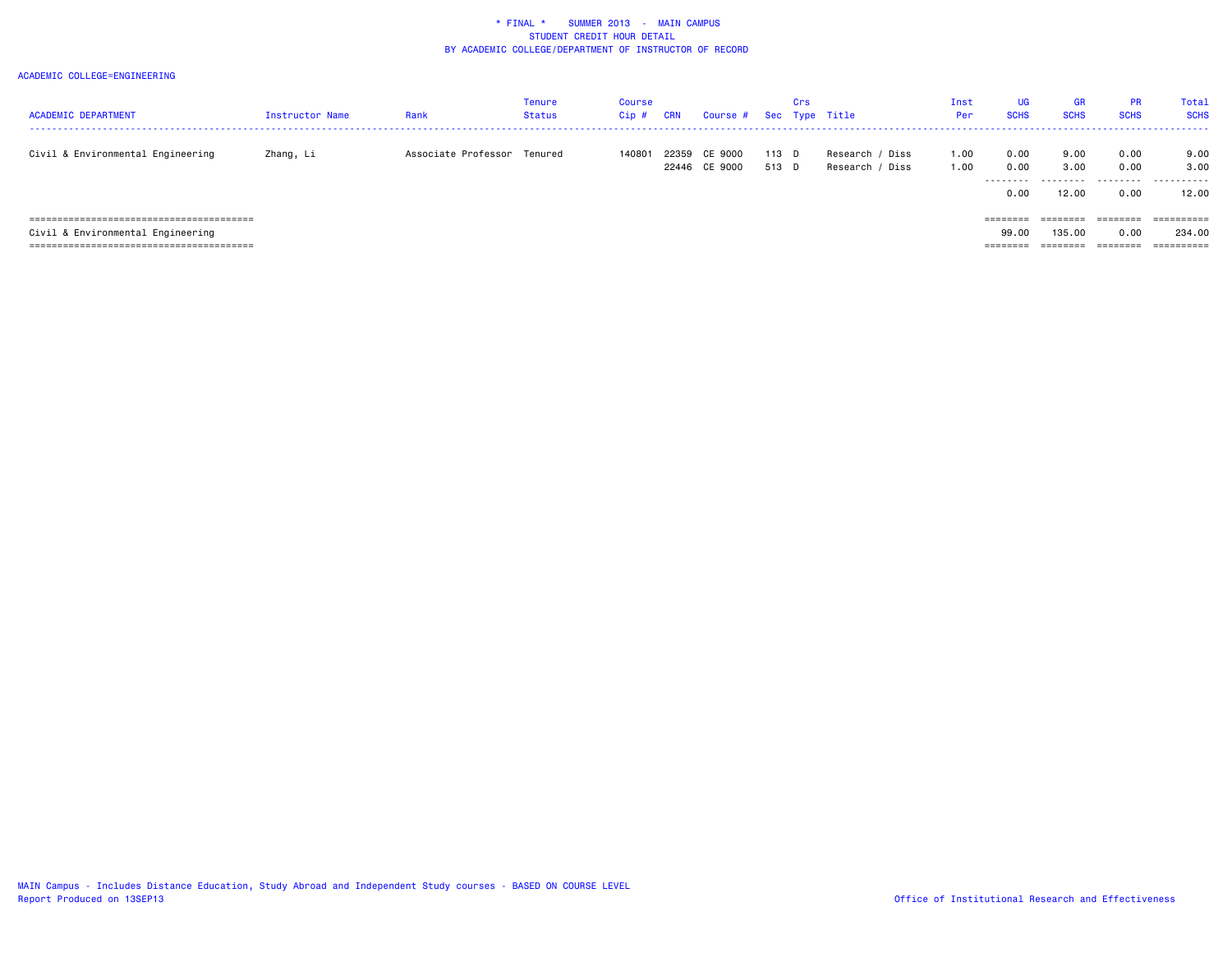| <b>ACADEMIC DEPARTMENT</b>        | <b>Instructor Name</b> | Rank                        | Tenure<br>Status | Course<br>$Cip$ # | CRN   | Course # Sec Type Title |       | Crs |                 | Inst<br>Per | <b>UG</b><br><b>SCHS</b>                                                | <b>GR</b><br><b>SCHS</b> | <b>PR</b><br><b>SCHS</b> | Total<br><b>SCHS</b> |
|-----------------------------------|------------------------|-----------------------------|------------------|-------------------|-------|-------------------------|-------|-----|-----------------|-------------|-------------------------------------------------------------------------|--------------------------|--------------------------|----------------------|
|                                   |                        |                             |                  |                   |       |                         |       |     |                 |             |                                                                         |                          |                          |                      |
| Civil & Environmental Engineering | Zhang, Li              | Associate Professor Tenured |                  | 140801            | 22359 | CE 9000                 | 113 D |     | Research / Diss | 1.00        | 0.00                                                                    | 9.00                     | 0.00                     | 9.00                 |
|                                   |                        |                             |                  |                   |       | 22446 CE 9000           | 513 D |     | Research / Diss | 1.00        | 0.00                                                                    | 3.00                     | 0.00                     | 3.00                 |
|                                   |                        |                             |                  |                   |       |                         |       |     |                 |             | .                                                                       |                          | .                        | .                    |
|                                   |                        |                             |                  |                   |       |                         |       |     |                 |             | 0.00                                                                    | 12.00                    | 0.00                     | 12.00                |
|                                   |                        |                             |                  |                   |       |                         |       |     |                 |             |                                                                         |                          |                          |                      |
|                                   |                        |                             |                  |                   |       |                         |       |     |                 |             | $\qquad \qquad \equiv \equiv \equiv \equiv \equiv \equiv \equiv \equiv$ | :=======                 | ========                 | ==========           |
| Civil & Environmental Engineering |                        |                             |                  |                   |       |                         |       |     |                 |             | 99.00                                                                   | 135,00                   | 0.00                     | 234.00               |
|                                   |                        |                             |                  |                   |       |                         |       |     |                 |             | ========                                                                |                          |                          | ==========           |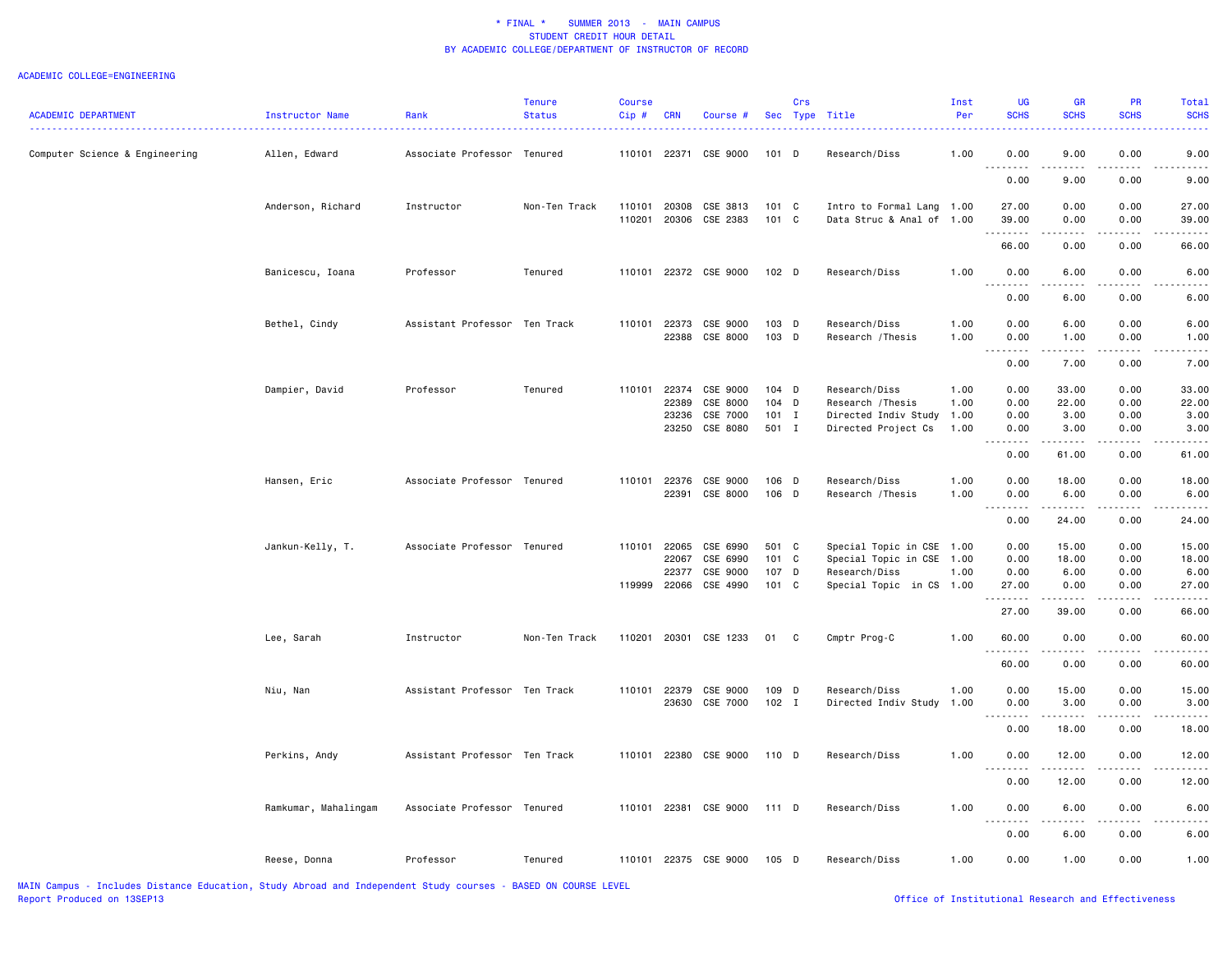| <b>ACADEMIC DEPARTMENT</b>     | <b>Instructor Name</b> | Rank                          | <b>Tenure</b><br><b>Status</b> | Course<br>Cip# | <b>CRN</b>     | Course #              |                  | Crs          | Sec Type Title                     | Inst<br>Per  | <b>UG</b><br><b>SCHS</b>          | <b>GR</b><br><b>SCHS</b> | PR<br><b>SCHS</b> | Total<br><b>SCHS</b> |
|--------------------------------|------------------------|-------------------------------|--------------------------------|----------------|----------------|-----------------------|------------------|--------------|------------------------------------|--------------|-----------------------------------|--------------------------|-------------------|----------------------|
|                                |                        |                               |                                |                |                |                       |                  |              |                                    |              |                                   |                          |                   |                      |
| Computer Science & Engineering | Allen, Edward          | Associate Professor Tenured   |                                | 110101         |                | 22371 CSE 9000        | $101$ D          |              | Research/Diss                      | 1.00         | 0.00<br>.                         | 9.00<br>د د د د          | 0.00<br>.         | 9.00                 |
|                                |                        |                               |                                |                |                |                       |                  |              |                                    |              | 0.00                              | 9.00                     | 0.00              | 9.00                 |
|                                | Anderson, Richard      | Instructor                    | Non-Ten Track                  | 110101         | 20308          | CSE 3813              | 101 C            |              | Intro to Formal Lang 1.00          |              | 27.00                             | 0.00                     | 0.00              | 27.00                |
|                                |                        |                               |                                | 110201         |                | 20306 CSE 2383        | 101 C            |              | Data Struc & Anal of 1.00          |              | 39.00                             | 0.00                     | 0.00              | 39.00                |
|                                |                        |                               |                                |                |                |                       |                  |              |                                    |              | 66.00                             | 0.00                     | 0.00              | 66.00                |
|                                | Banicescu, Ioana       | Professor                     | Tenured                        | 110101         |                | 22372 CSE 9000        | 102 D            |              | Research/Diss                      | 1.00         | 0.00<br>----                      | 6.00                     | 0.00              | 6.00                 |
|                                |                        |                               |                                |                |                |                       |                  |              |                                    |              | 0.00                              | 6.00                     | 0.00              | 6.00                 |
|                                | Bethel, Cindy          | Assistant Professor Ten Track |                                | 110101         |                | 22373 CSE 9000        | 103 D            |              | Research/Diss                      | 1.00         | 0.00                              | 6.00                     | 0.00              | 6.00                 |
|                                |                        |                               |                                |                | 22388          | CSE 8000              | 103 D            |              | Research / Thesis                  | 1.00         | 0.00                              | 1.00                     | 0.00              | 1.00                 |
|                                |                        |                               |                                |                |                |                       |                  |              |                                    |              | <u>.</u><br>0.00                  | $- - - - -$<br>7.00      | .<br>0.00         | $\cdots$<br>7.00     |
|                                |                        |                               |                                |                |                |                       |                  |              |                                    |              |                                   |                          |                   |                      |
|                                | Dampier, David         | Professor                     | Tenured                        | 110101         | 22374<br>22389 | CSE 9000<br>CSE 8000  | $104$ D<br>104 D |              | Research/Diss<br>Research / Thesis | 1.00<br>1.00 | 0.00<br>0.00                      | 33.00<br>22.00           | 0.00<br>0.00      | 33.00<br>22.00       |
|                                |                        |                               |                                |                | 23236          | CSE 7000              | $101$ I          |              | Directed Indiv Study               | 1.00         | 0.00                              | 3.00                     | 0.00              | 3.00                 |
|                                |                        |                               |                                |                | 23250          | CSE 8080              | 501 I            |              | Directed Project Cs                | 1.00         | 0.00                              | 3.00                     | 0.00              | 3.00                 |
|                                |                        |                               |                                |                |                |                       |                  |              |                                    |              | .<br>0.00                         | .<br>61.00               | .<br>0.00         | 61.00                |
|                                | Hansen, Eric           | Associate Professor Tenured   |                                | 110101         | 22376          | CSE 9000              | 106 D            |              | Research/Diss                      | 1.00         | 0.00                              | 18.00                    | 0.00              | 18.00                |
|                                |                        |                               |                                |                | 22391          | CSE 8000              | 106 D            |              | Research / Thesis                  | 1.00         | 0.00                              | 6.00                     | 0.00              | 6.00                 |
|                                |                        |                               |                                |                |                |                       |                  |              |                                    |              | <u>.</u><br>0.00                  | .<br>24.00               | $- - - -$<br>0.00 | 24.00                |
|                                | Jankun-Kelly, T.       | Associate Professor Tenured   |                                | 110101         | 22065          | CSE 6990              | 501 C            |              | Special Topic in CSE 1.00          |              | 0.00                              | 15.00                    | 0.00              | 15.00                |
|                                |                        |                               |                                |                | 22067          | CSE 6990              | 101 C            |              | Special Topic in CSE               | 1.00         | 0.00                              | 18.00                    | 0.00              | 18.00                |
|                                |                        |                               |                                |                | 22377          | CSE 9000              | 107 D            |              | Research/Diss                      | 1.00         | 0.00                              | 6.00                     | 0.00              | 6.00                 |
|                                |                        |                               |                                |                | 119999 22066   | CSE 4990              | 101 C            |              | Special Topic in CS 1.00           |              | 27.00<br>.                        | 0.00                     | 0.00              | 27.00                |
|                                |                        |                               |                                |                |                |                       |                  |              |                                    |              | 27.00                             | 39.00                    | 0.00              | 66.00                |
|                                | Lee, Sarah             | Instructor                    | Non-Ten Track                  | 110201         |                | 20301 CSE 1233        | 01               | $\mathbf{C}$ | Cmptr Prog-C                       | 1.00         | 60.00<br><u>.</u>                 | 0.00                     | 0.00              | 60.00                |
|                                |                        |                               |                                |                |                |                       |                  |              |                                    |              | 60.00                             | 0.00                     | 0.00              | 60.00                |
|                                | Niu, Nan               | Assistant Professor Ten Track |                                | 110101         | 22379          | CSE 9000              | 109 D            |              | Research/Diss                      | 1.00         | 0.00                              | 15.00                    | 0.00              | 15.00                |
|                                |                        |                               |                                |                | 23630          | CSE 7000              | $102$ I          |              | Directed Indiv Study               | 1.00         | 0.00                              | 3.00                     | 0.00              | 3.00                 |
|                                |                        |                               |                                |                |                |                       |                  |              |                                    |              | -----<br>0.00                     | .<br>18.00               | 0.00              | 18.00                |
|                                | Perkins, Andy          | Assistant Professor Ten Track |                                | 110101         |                | 22380 CSE 9000        | 110 D            |              | Research/Diss                      | 1.00         | 0.00                              | 12.00                    | 0.00              | 12.00                |
|                                |                        |                               |                                |                |                |                       |                  |              |                                    |              | 0.00                              | 12.00                    | 0.00              | 12.00                |
|                                | Ramkumar, Mahalingam   | Associate Professor Tenured   |                                | 110101         |                | 22381 CSE 9000        | 111 D            |              | Research/Diss                      | 1.00         | 0.00<br>$\sim$ $\sim$ $\sim$<br>. | 6.00<br>- - -            | 0.00              | 6.00                 |
|                                |                        |                               |                                |                |                |                       |                  |              |                                    |              | 0.00                              | 6.00                     | 0.00              | 6.00                 |
|                                | Reese, Donna           | Professor                     | Tenured                        |                |                | 110101 22375 CSE 9000 | 105 D            |              | Research/Diss                      | 1.00         | 0.00                              | 1.00                     | 0.00              | 1.00                 |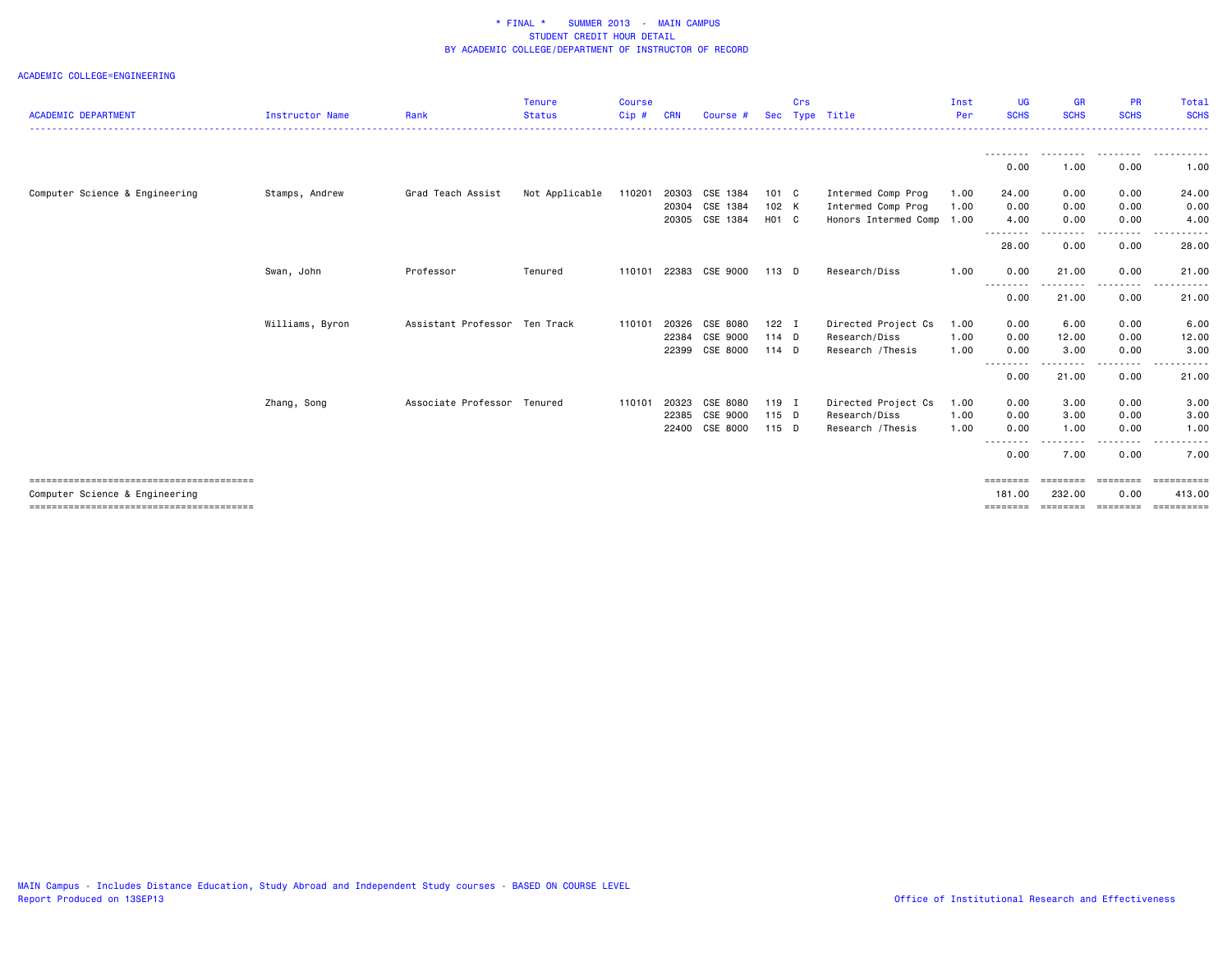| <b>ACADEMIC DEPARTMENT</b>     | <b>Instructor Name</b> | Rank                          | <b>Tenure</b><br><b>Status</b> | <b>Course</b><br>Cip# | <b>CRN</b> | Course #       | Sec     | Crs | Type Title                | Inst<br>Per | UG<br><b>SCHS</b>  | <b>GR</b><br><b>SCHS</b>    | <b>PR</b><br><b>SCHS</b> | Total<br><b>SCHS</b>     |
|--------------------------------|------------------------|-------------------------------|--------------------------------|-----------------------|------------|----------------|---------|-----|---------------------------|-------------|--------------------|-----------------------------|--------------------------|--------------------------|
|                                |                        |                               |                                |                       |            |                |         |     |                           |             |                    |                             |                          |                          |
|                                |                        |                               |                                |                       |            |                |         |     |                           |             | --------<br>0.00   | ---------<br>1.00           | .<br>0.00                | .<br>1.00                |
| Computer Science & Engineering | Stamps, Andrew         | Grad Teach Assist             | Not Applicable                 | 110201                | 20303      | CSE 1384       | 101 C   |     | Intermed Comp Prog        | 1.00        | 24.00              | 0.00                        | 0.00                     | 24.00                    |
|                                |                        |                               |                                |                       | 20304      | CSE 1384       | 102 K   |     | Intermed Comp Prog        | 1.00        | 0.00               | 0.00                        | 0.00                     | 0.00                     |
|                                |                        |                               |                                |                       | 20305      | CSE 1384       | H01 C   |     | Honors Intermed Comp 1.00 |             | 4.00               | 0.00                        | 0.00                     | 4.00                     |
|                                |                        |                               |                                |                       |            |                |         |     |                           |             | 28.00              | 0.00                        | 0.00                     | 28.00                    |
|                                | Swan, John             | Professor                     | Tenured                        | 110101                |            | 22383 CSE 9000 | $113$ D |     | Research/Diss             | 1.00        | 0.00               | 21.00                       | 0.00                     | 21.00                    |
|                                |                        |                               |                                |                       |            |                |         |     |                           |             | --------<br>0.00   | .<br>21.00                  | -----<br>0.00            | . <b>.</b> .<br>21.00    |
|                                | Williams, Byron        | Assistant Professor Ten Track |                                | 110101                | 20326      | CSE 8080       | $122$ I |     | Directed Project Cs       | 1.00        | 0.00               | 6.00                        | 0.00                     | 6.00                     |
|                                |                        |                               |                                |                       | 22384      | CSE 9000       | $114$ D |     | Research/Diss             | 1.00        | 0.00               | 12.00                       | 0.00                     | 12.00                    |
|                                |                        |                               |                                |                       | 22399      | CSE 8000       | $114$ D |     | Research / Thesis         | 1.00        | 0.00<br>--------   | 3.00                        | 0.00                     | 3.00                     |
|                                |                        |                               |                                |                       |            |                |         |     |                           |             | 0.00               | 21.00                       | 0.00                     | 21.00                    |
|                                | Zhang, Song            | Associate Professor           | Tenured                        | 110101                | 20323      | CSE 8080       | 119 I   |     | Directed Project Cs       | 1.00        | 0.00               | 3.00                        | 0.00                     | 3.00                     |
|                                |                        |                               |                                |                       | 22385      | CSE 9000       | 115 D   |     | Research/Diss             | 1.00        | 0.00               | 3.00                        | 0.00                     | 3.00                     |
|                                |                        |                               |                                |                       | 22400      | CSE 8000       | 115 D   |     | Research / Thesis         | 1.00        | 0.00<br>--------   | 1.00                        | 0.00                     | 1.00                     |
|                                |                        |                               |                                |                       |            |                |         |     |                           |             | 0.00               | 7.00                        | 0.00                     | 7.00                     |
| Computer Science & Engineering |                        |                               |                                |                       |            |                |         |     |                           |             | ========<br>181,00 | $=$ = = = = = = =<br>232.00 | ========<br>0.00         | $=$ ==========<br>413.00 |
|                                |                        |                               |                                |                       |            |                |         |     |                           |             | ========           | ========                    | ---------                | ==========               |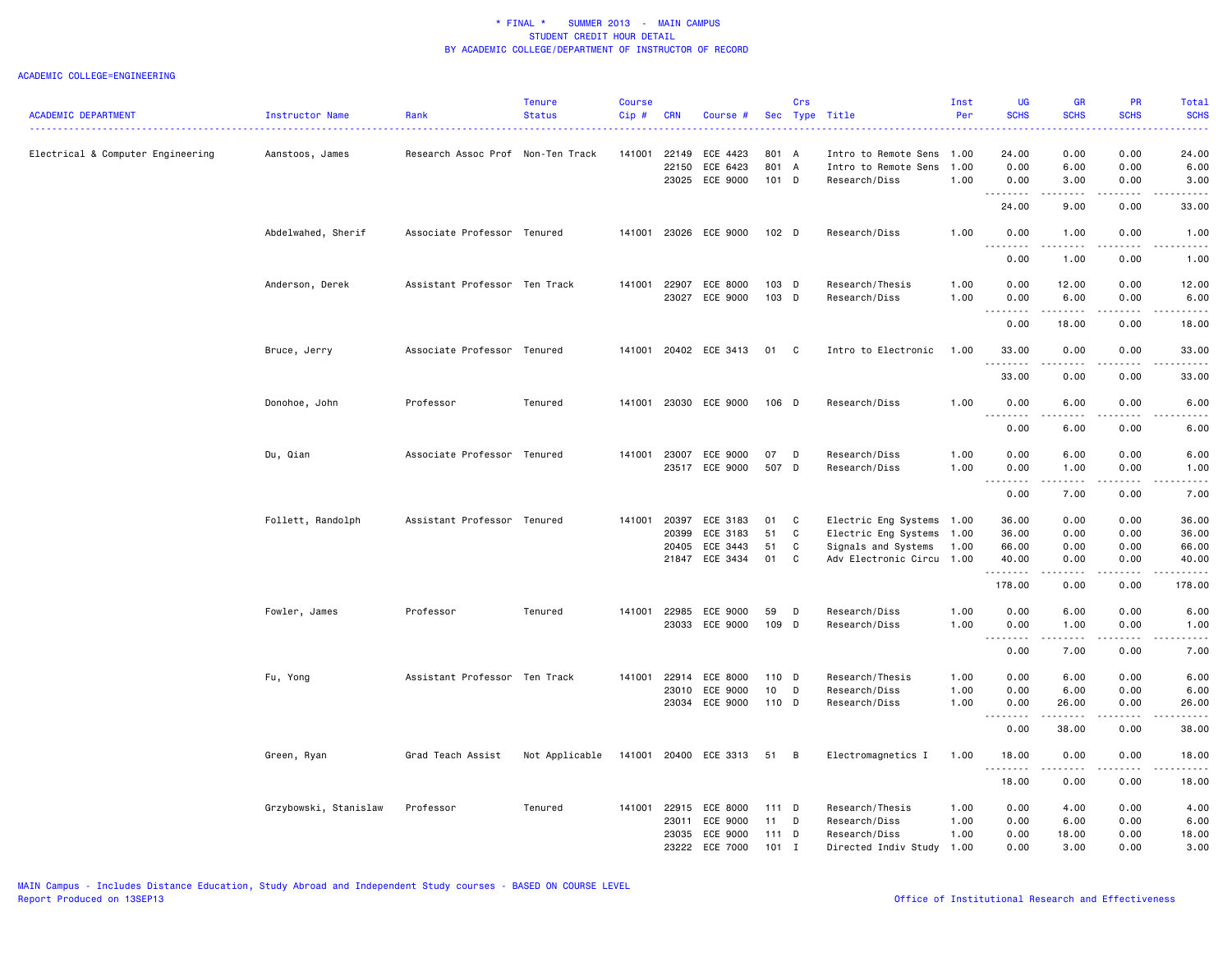| <b>ACADEMIC DEPARTMENT</b>        | Instructor Name       | Rank                              | <b>Tenure</b><br><b>Status</b> | <b>Course</b><br>Cip# | <b>CRN</b> | Course #              |                  | Crs          | Sec Type Title            | Inst<br>Per | <b>UG</b><br><b>SCHS</b> | <b>GR</b><br><b>SCHS</b>                                                                                                          | PR<br><b>SCHS</b> | Total<br><b>SCHS</b> |
|-----------------------------------|-----------------------|-----------------------------------|--------------------------------|-----------------------|------------|-----------------------|------------------|--------------|---------------------------|-------------|--------------------------|-----------------------------------------------------------------------------------------------------------------------------------|-------------------|----------------------|
|                                   |                       |                                   |                                |                       |            |                       |                  |              |                           |             |                          |                                                                                                                                   |                   |                      |
| Electrical & Computer Engineering | Aanstoos, James       | Research Assoc Prof Non-Ten Track |                                | 141001                | 22149      | ECE 4423              | 801 A            |              | Intro to Remote Sens      | 1.00        | 24.00                    | 0.00                                                                                                                              | 0.00              | 24.00                |
|                                   |                       |                                   |                                |                       | 22150      | ECE 6423              | 801 A            |              | Intro to Remote Sens      | 1.00        | 0.00                     | 6.00                                                                                                                              | 0.00              | 6.00                 |
|                                   |                       |                                   |                                |                       |            | 23025 ECE 9000        | 101 D            |              | Research/Diss             | 1.00        | 0.00<br>.                | 3.00<br>$\frac{1}{2} \left( \frac{1}{2} \right) \left( \frac{1}{2} \right) \left( \frac{1}{2} \right) \left( \frac{1}{2} \right)$ | 0.00<br>.         | 3.00                 |
|                                   |                       |                                   |                                |                       |            |                       |                  |              |                           |             | 24.00                    | 9.00                                                                                                                              | 0.00              | 33.00                |
|                                   | Abdelwahed, Sherif    | Associate Professor Tenured       |                                | 141001                |            | 23026 ECE 9000        | 102 <sub>D</sub> |              | Research/Diss             | 1.00        | 0.00<br>.                | 1.00<br>.                                                                                                                         | 0.00<br>.         | 1.00<br>المتمالين    |
|                                   |                       |                                   |                                |                       |            |                       |                  |              |                           |             | 0.00                     | 1.00                                                                                                                              | 0.00              | 1.00                 |
|                                   | Anderson, Derek       | Assistant Professor Ten Track     |                                | 141001                | 22907      | ECE 8000              | 103 D            |              | Research/Thesis           | 1.00        | 0.00                     | 12.00                                                                                                                             | 0.00              | 12.00                |
|                                   |                       |                                   |                                |                       | 23027      | ECE 9000              | 103 D            |              | Research/Diss             | 1.00        | 0.00<br><u>.</u>         | 6.00                                                                                                                              | 0.00              | 6.00                 |
|                                   |                       |                                   |                                |                       |            |                       |                  |              |                           |             | 0.00                     | 18.00                                                                                                                             | 0.00              | 18.00                |
|                                   | Bruce, Jerry          | Associate Professor Tenured       |                                | 141001                |            | 20402 ECE 3413        | 01               | $\mathbf{C}$ | Intro to Electronic       | 1.00        | 33.00<br>.               | 0.00                                                                                                                              | 0.00              | 33.00<br>وعاعات      |
|                                   |                       |                                   |                                |                       |            |                       |                  |              |                           |             | 33.00                    | 0.00                                                                                                                              | 0.00              | 33.00                |
|                                   | Donohoe, John         | Professor                         | Tenured                        | 141001                |            | 23030 ECE 9000        | 106 D            |              | Research/Diss             | 1.00        | 0.00                     | 6.00                                                                                                                              | 0.00              | 6.00                 |
|                                   |                       |                                   |                                |                       |            |                       |                  |              |                           |             | 0.00                     | 6.00                                                                                                                              | 0.00              | 6.00                 |
|                                   | Du, Qian              | Associate Professor Tenured       |                                | 141001                | 23007      | ECE 9000              | 07               | D            | Research/Diss             | 1.00        | 0.00                     | 6.00                                                                                                                              | 0.00              | 6.00                 |
|                                   |                       |                                   |                                |                       | 23517      | ECE 9000              | 507 D            |              | Research/Diss             | 1.00        | 0.00                     | 1.00                                                                                                                              | 0.00              | 1.00                 |
|                                   |                       |                                   |                                |                       |            |                       |                  |              |                           |             | <u>.</u>                 | .                                                                                                                                 | .                 | .                    |
|                                   |                       |                                   |                                |                       |            |                       |                  |              |                           |             | 0.00                     | 7.00                                                                                                                              | 0.00              | 7.00                 |
|                                   | Follett, Randolph     | Assistant Professor Tenured       |                                | 141001                | 20397      | ECE 3183              | 01               | C            | Electric Eng Systems      | 1.00        | 36.00                    | 0.00                                                                                                                              | 0.00              | 36.00                |
|                                   |                       |                                   |                                |                       | 20399      | ECE 3183              | 51               | C            | Electric Eng Systems      | 1.00        | 36.00                    | 0.00                                                                                                                              | 0.00              | 36.00                |
|                                   |                       |                                   |                                |                       | 20405      | ECE 3443              | 51               | $\mathtt{C}$ | Signals and Systems       | 1.00        | 66.00                    | 0.00                                                                                                                              | 0.00              | 66.00                |
|                                   |                       |                                   |                                |                       | 21847      | ECE 3434              | 01               | C            | Adv Electronic Circu 1.00 |             | 40.00<br>.               | 0.00<br>المتمالين                                                                                                                 | 0.00<br>.         | 40.00<br>.           |
|                                   |                       |                                   |                                |                       |            |                       |                  |              |                           |             | 178.00                   | 0.00                                                                                                                              | 0.00              | 178.00               |
|                                   | Fowler, James         | Professor                         | Tenured                        | 141001                | 22985      | ECE 9000              | 59               | D            | Research/Diss             | 1.00        | 0.00                     | 6.00                                                                                                                              | 0.00              | 6.00                 |
|                                   |                       |                                   |                                |                       | 23033      | ECE 9000              | 109 D            |              | Research/Diss             | 1.00        | 0.00<br>.                | 1.00<br>.                                                                                                                         | 0.00<br>.         | 1.00<br>.            |
|                                   |                       |                                   |                                |                       |            |                       |                  |              |                           |             | 0.00                     | 7.00                                                                                                                              | 0.00              | 7.00                 |
|                                   | Fu, Yong              | Assistant Professor Ten Track     |                                | 141001                | 22914      | ECE 8000              | 110 D            |              | Research/Thesis           | 1.00        | 0.00                     | 6.00                                                                                                                              | 0.00              | 6.00                 |
|                                   |                       |                                   |                                |                       | 23010      | ECE 9000              | 10               | D            | Research/Diss             | 1.00        | 0.00                     | 6.00                                                                                                                              | 0.00              | 6.00                 |
|                                   |                       |                                   |                                |                       | 23034      | ECE 9000              | 110 D            |              | Research/Diss             | 1.00        | 0.00<br>.                | 26.00                                                                                                                             | 0.00              | 26.00                |
|                                   |                       |                                   |                                |                       |            |                       |                  |              |                           |             | 0.00                     | 38.00                                                                                                                             | 0.00              | 38.00                |
|                                   | Green, Ryan           | Grad Teach Assist                 | Not Applicable                 |                       |            | 141001 20400 ECE 3313 | 51               | B            | Electromagnetics I        | 1.00        | 18.00<br>.               | 0.00                                                                                                                              | 0.00              | 18.00                |
|                                   |                       |                                   |                                |                       |            |                       |                  |              |                           |             | 18.00                    | 0.00                                                                                                                              | 0.00              | 18.00                |
|                                   | Grzybowski, Stanislaw | Professor                         | Tenured                        | 141001                | 22915      | ECE 8000              | 111 D            |              | Research/Thesis           | 1.00        | 0.00                     | 4.00                                                                                                                              | 0.00              | 4.00                 |
|                                   |                       |                                   |                                |                       | 23011      | ECE 9000              | 11               | D            | Research/Diss             | 1.00        | 0.00                     | 6.00                                                                                                                              | 0.00              | 6.00                 |
|                                   |                       |                                   |                                |                       | 23035      | ECE 9000              | 111 D            |              | Research/Diss             | 1.00        | 0.00                     | 18.00                                                                                                                             | 0.00              | 18.00                |
|                                   |                       |                                   |                                |                       | 23222      | ECE 7000              | $101$ I          |              | Directed Indiv Study      | 1.00        | 0.00                     | 3.00                                                                                                                              | 0.00              | 3.00                 |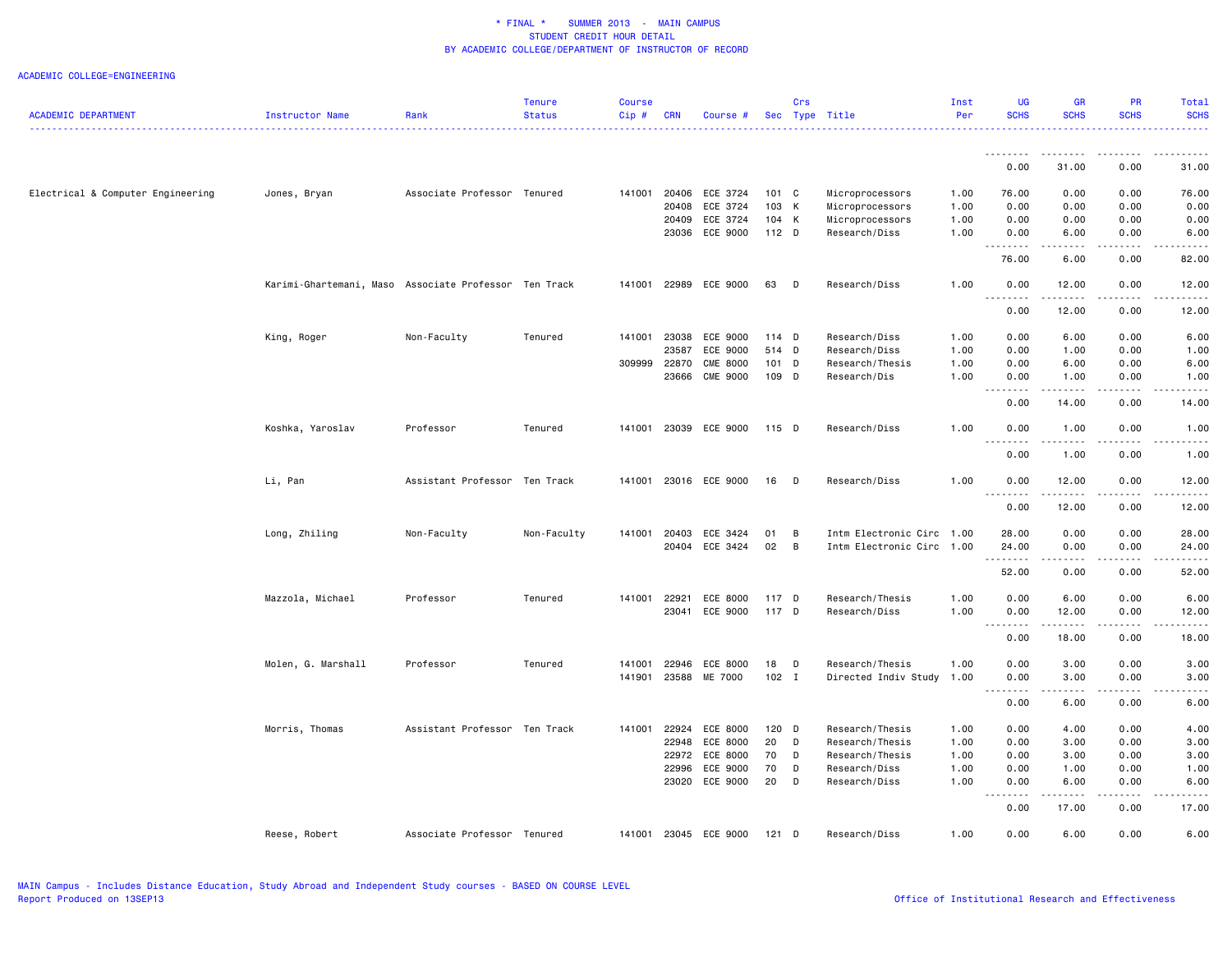|                                   |                                                       |                               | <b>Tenure</b> | <b>Course</b> |              |                       |         | Crs          |                           | Inst | UG                   | <b>GR</b>                                                                                                                         | PR          | Total              |
|-----------------------------------|-------------------------------------------------------|-------------------------------|---------------|---------------|--------------|-----------------------|---------|--------------|---------------------------|------|----------------------|-----------------------------------------------------------------------------------------------------------------------------------|-------------|--------------------|
| <b>ACADEMIC DEPARTMENT</b>        | Instructor Name                                       | Rank                          | <b>Status</b> | Cip#          | <b>CRN</b>   | Course                |         |              | Sec Type Title            | Per  | <b>SCHS</b>          | <b>SCHS</b>                                                                                                                       | <b>SCHS</b> | <b>SCHS</b>        |
|                                   |                                                       |                               |               |               |              |                       |         |              |                           |      | <u>.</u>             | .                                                                                                                                 | <u>.</u>    | <u>.</u>           |
|                                   |                                                       |                               |               |               |              |                       |         |              |                           |      | 0.00                 | 31.00                                                                                                                             | 0.00        | 31.00              |
| Electrical & Computer Engineering | Jones, Bryan                                          | Associate Professor Tenured   |               | 141001        | 20406        | ECE 3724              | 101 C   |              | Microprocessors           | 1.00 | 76.00                | 0.00                                                                                                                              | 0.00        | 76.00              |
|                                   |                                                       |                               |               |               | 20408        | ECE 3724              | 103 K   |              | Microprocessors           | 1.00 | 0.00                 | 0.00                                                                                                                              | 0.00        | 0.00               |
|                                   |                                                       |                               |               |               | 20409        | ECE 3724              | 104 K   |              | Microprocessors           | 1.00 | 0.00                 | 0.00                                                                                                                              | 0.00        | 0.00               |
|                                   |                                                       |                               |               |               | 23036        | ECE 9000              | $112$ D |              | Research/Diss             | 1.00 | 0.00                 | 6.00                                                                                                                              | 0.00        | 6.00               |
|                                   |                                                       |                               |               |               |              |                       |         |              |                           |      | .<br>76.00           | 6.00                                                                                                                              | 0.00        | 82.00              |
|                                   | Karimi-Ghartemani, Maso Associate Professor Ten Track |                               |               |               | 141001 22989 | ECE 9000              | 63      | $\mathsf{D}$ | Research/Diss             | 1.00 | 0.00                 | 12.00                                                                                                                             | 0.00        | 12.00              |
|                                   |                                                       |                               |               |               |              |                       |         |              |                           |      | 0.00                 | 12.00                                                                                                                             | 0.00        | 12.00              |
|                                   | King, Roger                                           | Non-Faculty                   | Tenured       | 141001        | 23038        | ECE 9000              | 114 D   |              | Research/Diss             | 1.00 | 0.00                 | 6.00                                                                                                                              | 0.00        | 6.00               |
|                                   |                                                       |                               |               |               | 23587        | ECE 9000              | 514 D   |              | Research/Diss             | 1.00 | 0.00                 | 1.00                                                                                                                              | 0.00        | 1.00               |
|                                   |                                                       |                               |               | 309999        | 22870        | <b>CME 8000</b>       | $101$ D |              | Research/Thesis           | 1.00 | 0.00                 | 6.00                                                                                                                              | 0.00        | 6.00               |
|                                   |                                                       |                               |               |               | 23666        | <b>CME 9000</b>       | 109 D   |              | Research/Dis              | 1.00 | 0.00                 | 1.00                                                                                                                              | 0.00        | 1.00               |
|                                   |                                                       |                               |               |               |              |                       |         |              |                           |      | <u>.</u><br>0.00     | .<br>14.00                                                                                                                        | .<br>0.00   | 14.00              |
|                                   | Koshka, Yaroslav                                      | Professor                     | Tenured       |               |              | 141001 23039 ECE 9000 | 115 D   |              | Research/Diss             | 1.00 | 0.00                 | 1.00                                                                                                                              | 0.00        | 1.00               |
|                                   |                                                       |                               |               |               |              |                       |         |              |                           |      | -----<br>0.00        | .<br>1.00                                                                                                                         | .<br>0.00   | د د د د<br>1.00    |
|                                   | Li, Pan                                               | Assistant Professor Ten Track |               | 141001        |              | 23016 ECE 9000        | 16      | D            | Research/Diss             | 1.00 | 0.00                 | 12.00                                                                                                                             | 0.00        | 12.00              |
|                                   |                                                       |                               |               |               |              |                       |         |              |                           |      | <u>.</u><br>0.00     | .<br>12.00                                                                                                                        | .<br>0.00   | .<br>12.00         |
|                                   |                                                       |                               |               |               |              |                       |         |              |                           |      |                      |                                                                                                                                   |             |                    |
|                                   | Long, Zhiling                                         | Non-Faculty                   | Non-Faculty   | 141001        | 20403        | ECE 3424              | 01      | B            | Intm Electronic Circ 1.00 |      | 28.00                | 0.00                                                                                                                              | 0.00        | 28.00              |
|                                   |                                                       |                               |               |               | 20404        | ECE 3424              | 02      | B            | Intm Electronic Circ 1.00 |      | 24.00<br>.           | 0.00<br>$\frac{1}{2} \left( \frac{1}{2} \right) \left( \frac{1}{2} \right) \left( \frac{1}{2} \right) \left( \frac{1}{2} \right)$ | 0.00<br>.   | 24.00<br>$- - - -$ |
|                                   |                                                       |                               |               |               |              |                       |         |              |                           |      | 52.00                | 0.00                                                                                                                              | 0.00        | 52.00              |
|                                   | Mazzola, Michael                                      | Professor                     | Tenured       | 141001        | 22921        | ECE 8000              | 117 D   |              | Research/Thesis           | 1.00 | 0.00                 | 6.00                                                                                                                              | 0.00        | 6.00               |
|                                   |                                                       |                               |               |               | 23041        | ECE 9000              | 117 D   |              | Research/Diss             | 1.00 | 0.00                 | 12.00                                                                                                                             | 0.00        | 12.00              |
|                                   |                                                       |                               |               |               |              |                       |         |              |                           |      | .<br>0.00            | 18.00                                                                                                                             | 0.00        | 18.00              |
|                                   |                                                       |                               |               |               |              |                       |         |              |                           |      |                      |                                                                                                                                   |             |                    |
|                                   | Molen, G. Marshall                                    | Professor                     | Tenured       | 141001        | 22946        | ECE 8000              | 18      | D            | Research/Thesis           | 1.00 | 0.00                 | 3.00                                                                                                                              | 0.00        | 3.00               |
|                                   |                                                       |                               |               |               |              | 141901 23588 ME 7000  | $102$ I |              | Directed Indiv Study      | 1.00 | 0.00<br>.<br>$- - -$ | 3.00<br>.                                                                                                                         | 0.00<br>.   | 3.00<br>- - - -    |
|                                   |                                                       |                               |               |               |              |                       |         |              |                           |      | 0.00                 | 6.00                                                                                                                              | 0.00        | 6.00               |
|                                   | Morris, Thomas                                        | Assistant Professor Ten Track |               |               | 141001 22924 | ECE 8000              | $120$ D |              | Research/Thesis           | 1.00 | 0.00                 | 4.00                                                                                                                              | 0.00        | 4.00               |
|                                   |                                                       |                               |               |               | 22948        | ECE 8000              | 20      | D            | Research/Thesis           | 1.00 | 0.00                 | 3.00                                                                                                                              | 0.00        | 3.00               |
|                                   |                                                       |                               |               |               | 22972        | ECE 8000              | 70      | D            | Research/Thesis           | 1.00 | 0.00                 | 3.00                                                                                                                              | 0.00        | 3.00               |
|                                   |                                                       |                               |               |               | 22996        | ECE 9000              | 70      | D            | Research/Diss             | 1.00 | 0.00                 | 1.00                                                                                                                              | 0.00        | 1.00               |
|                                   |                                                       |                               |               |               |              | 23020 ECE 9000        | 20      | D            | Research/Diss             | 1.00 | 0.00                 | 6.00                                                                                                                              | 0.00        | 6.00               |
|                                   |                                                       |                               |               |               |              |                       |         |              |                           |      | .<br>0.00            | .<br>17.00                                                                                                                        | .<br>0.00   | .<br>17.00         |
|                                   | Reese, Robert                                         | Associate Professor           | Tenured       |               |              | 141001 23045 ECE 9000 | $121$ D |              | Research/Diss             | 1.00 | 0.00                 | 6.00                                                                                                                              | 0.00        | 6.00               |
|                                   |                                                       |                               |               |               |              |                       |         |              |                           |      |                      |                                                                                                                                   |             |                    |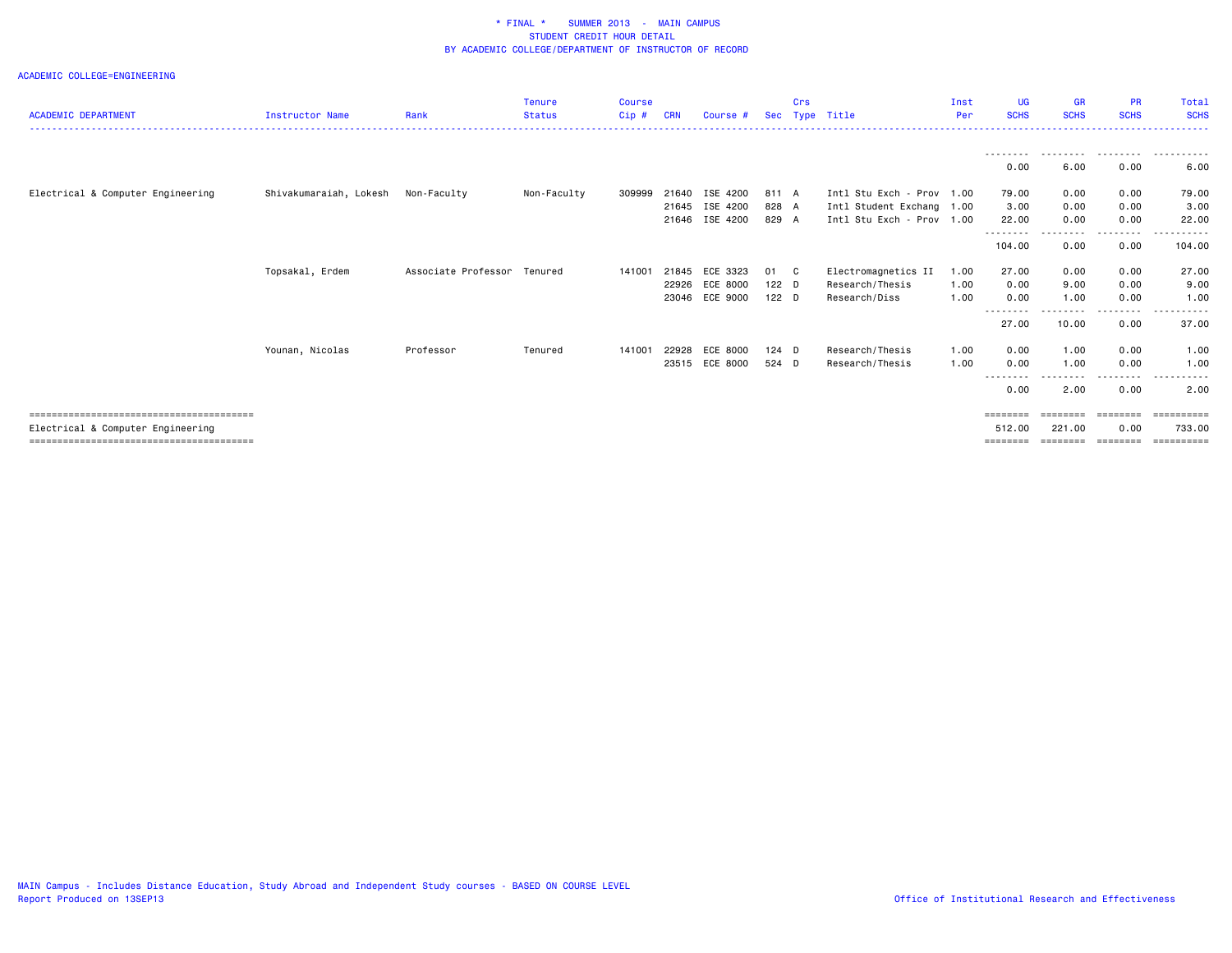|                                   |                                    |                             | <b>Tenure</b> | <b>Course</b> |            |                |         | Crs |                           | Inst | <b>UG</b>         | <b>GR</b>   | <b>PR</b>            | Total            |
|-----------------------------------|------------------------------------|-----------------------------|---------------|---------------|------------|----------------|---------|-----|---------------------------|------|-------------------|-------------|----------------------|------------------|
| <b>ACADEMIC DEPARTMENT</b>        | <b>Instructor Name</b>             | Rank                        | <b>Status</b> | Cip#          | <b>CRN</b> | Course #       |         |     | Sec Type Title            | Per  | <b>SCHS</b>       | <b>SCHS</b> | <b>SCHS</b>          | <b>SCHS</b><br>. |
|                                   |                                    |                             |               |               |            |                |         |     |                           |      |                   |             |                      |                  |
|                                   |                                    |                             |               |               |            |                |         |     |                           |      | 0.00              | 6.00        | .<br>0.00            | 6.00             |
| Electrical & Computer Engineering | Shivakumaraiah, Lokesh Non-Faculty |                             | Non-Faculty   | 309999        | 21640      | ISE 4200       | 811 A   |     | Intl Stu Exch - Prov 1.00 |      | 79.00             | 0.00        | 0.00                 | 79.00            |
|                                   |                                    |                             |               |               | 21645      | ISE 4200       | 828 A   |     | Intl Student Exchang 1.00 |      | 3.00              | 0.00        | 0.00                 | 3.00             |
|                                   |                                    |                             |               |               |            | 21646 ISE 4200 | 829 A   |     | Intl Stu Exch - Prov 1.00 |      | 22.00             | 0.00        | 0.00                 | 22.00            |
|                                   |                                    |                             |               |               |            |                |         |     |                           |      | .<br>104.00       | .<br>0.00   | .<br>0.00            | .<br>104.00      |
|                                   | Topsakal, Erdem                    | Associate Professor Tenured |               | 141001        | 21845      | ECE 3323       | 01 C    |     | Electromagnetics II       | 1.00 | 27.00             | 0.00        | 0.00                 | 27.00            |
|                                   |                                    |                             |               |               | 22926      | ECE 8000       | $122$ D |     | Research/Thesis           | 1.00 | 0.00              | 9.00        | 0.00                 | 9.00             |
|                                   |                                    |                             |               |               |            | 23046 ECE 9000 | $122$ D |     | Research/Diss             | 1.00 | 0.00              | 1.00        | 0.00                 | 1.00             |
|                                   |                                    |                             |               |               |            |                |         |     |                           |      | --------<br>27.00 | 10.00       | . <b>.</b> .<br>0.00 | 37.00            |
|                                   |                                    |                             |               |               |            |                |         |     |                           |      |                   |             |                      |                  |
|                                   | Younan, Nicolas                    | Professor                   | Tenured       | 141001        | 22928      | ECE 8000       | $124$ D |     | Research/Thesis           | 1.00 | 0.00              | 1.00        | 0.00                 | 1.00             |
|                                   |                                    |                             |               |               | 23515      | ECE 8000       | 524 D   |     | Research/Thesis           | 1.00 | 0.00              | 1.00        | 0.00                 | 1.00             |
|                                   |                                    |                             |               |               |            |                |         |     |                           |      | ---------<br>0.00 | .<br>2.00   | ---------<br>0.00    | .<br>2.00        |
|                                   |                                    |                             |               |               |            |                |         |     |                           |      | $=$ = = = = = = = | ========    | ========             | ==========       |
| Electrical & Computer Engineering |                                    |                             |               |               |            |                |         |     |                           |      | 512.00            | 221.00      | 0.00                 | 733.00           |
|                                   |                                    |                             |               |               |            |                |         |     |                           |      | ========          | ---------   | ---------            | ==========       |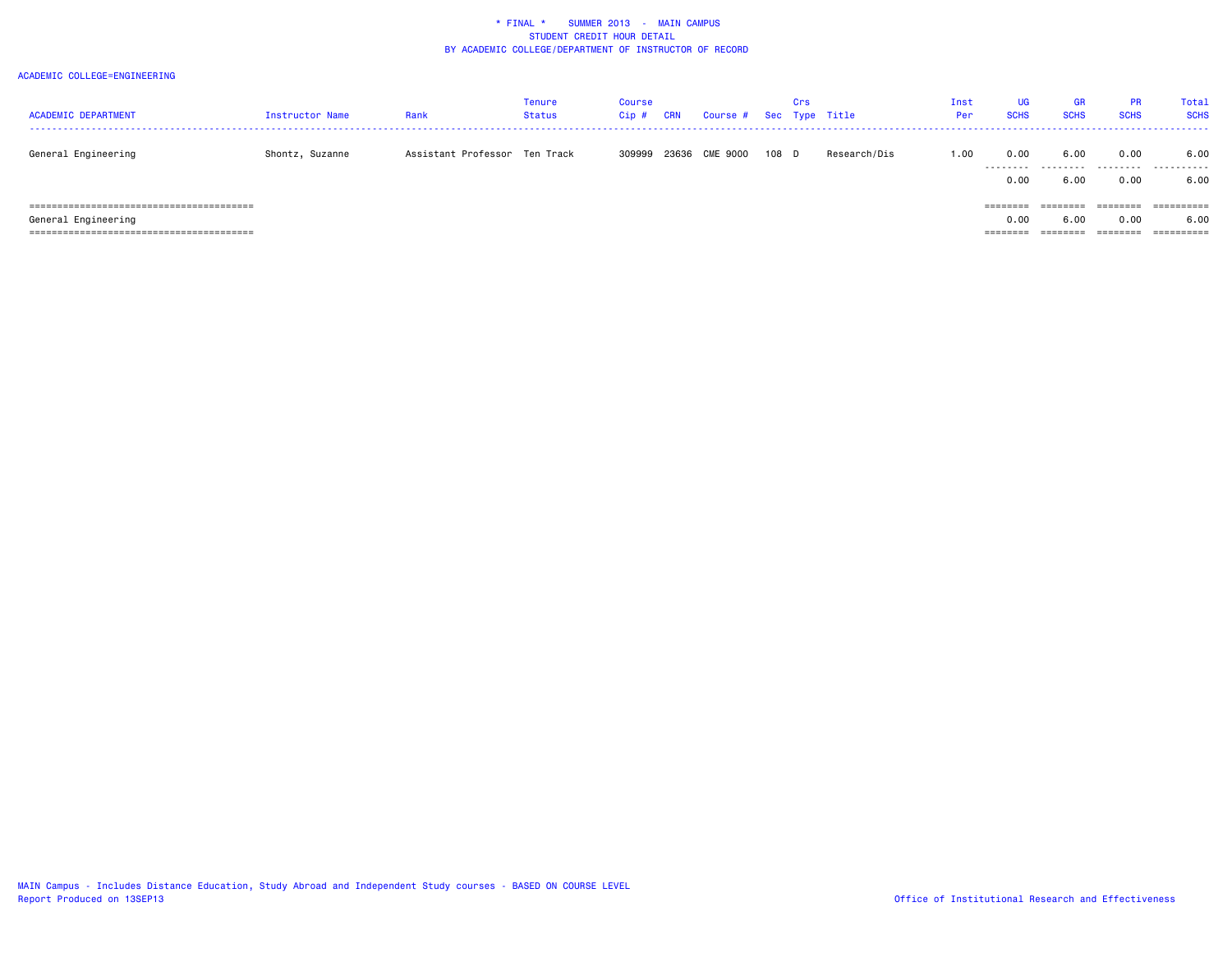| <b>ACADEMIC DEPARTMENT</b> | Instructor Name | Rank                          | Tenure<br>Status | Course<br>Cip# | <b>CRN</b> | Course #       |       | Crs | Sec Type Title | Inst<br>Per: | <b>UG</b><br><b>SCHS</b>                                                | <b>GR</b><br><b>SCHS</b> | <b>PR</b><br><b>SCHS</b> | Total<br><b>SCHS</b> |
|----------------------------|-----------------|-------------------------------|------------------|----------------|------------|----------------|-------|-----|----------------|--------------|-------------------------------------------------------------------------|--------------------------|--------------------------|----------------------|
| General Engineering        | Shontz, Suzanne | Assistant Professor Ten Track |                  | 309999         |            | 23636 CME 9000 | 108 D |     | Research/Dis   | 1.00         | 0.00                                                                    | 6.00<br>                 | 0.00                     | 6.00<br>.            |
|                            |                 |                               |                  |                |            |                |       |     |                |              | 0.00                                                                    | 6.00                     | 0.00                     | 6.00                 |
|                            |                 |                               |                  |                |            |                |       |     |                |              | $\qquad \qquad \equiv \equiv \equiv \equiv \equiv \equiv \equiv \equiv$ | ========                 | ========                 |                      |
| General Engineering        |                 |                               |                  |                |            |                |       |     |                |              | 0.00                                                                    | 6.00                     | 0.00                     | 6.00                 |
|                            |                 |                               |                  |                |            |                |       |     |                |              | ========                                                                | ========                 | ========                 |                      |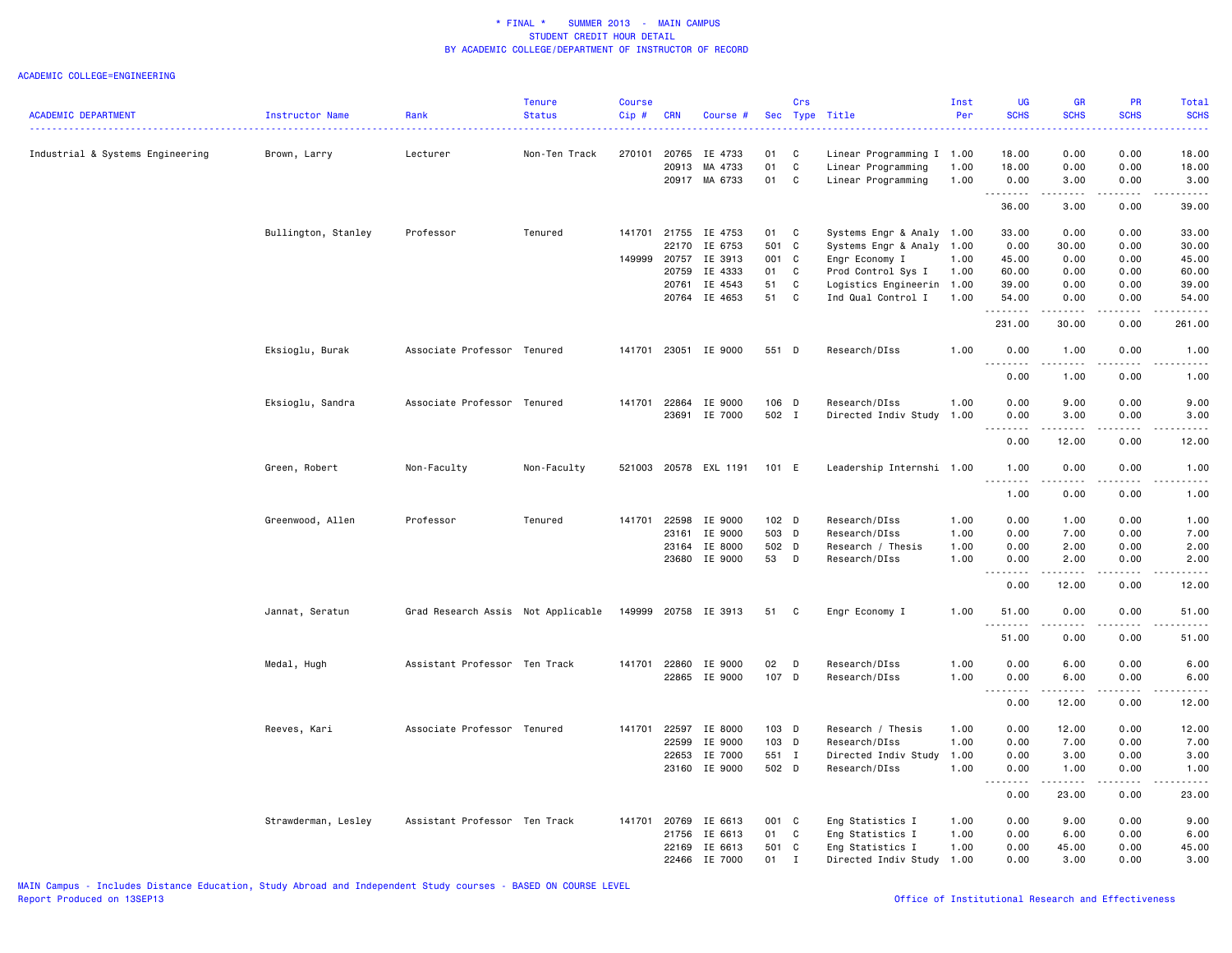|                                  |                        |                                    | <b>Tenure</b> | <b>Course</b> |            |                      |       | Crs          |                              | Inst | <b>UG</b>                               | <b>GR</b>                                                                                                                                                    | <b>PR</b>   | Total                                                                                                                                    |
|----------------------------------|------------------------|------------------------------------|---------------|---------------|------------|----------------------|-------|--------------|------------------------------|------|-----------------------------------------|--------------------------------------------------------------------------------------------------------------------------------------------------------------|-------------|------------------------------------------------------------------------------------------------------------------------------------------|
| <b>ACADEMIC DEPARTMENT</b>       | <b>Instructor Name</b> | Rank                               | <b>Status</b> | Cip#          | <b>CRN</b> | Course #             |       |              | Sec Type Title<br>. <u>.</u> | Per  | <b>SCHS</b>                             | <b>SCHS</b>                                                                                                                                                  | <b>SCHS</b> | <b>SCHS</b><br>$\frac{1}{2} \left( \frac{1}{2} \right) \left( \frac{1}{2} \right) \left( \frac{1}{2} \right) \left( \frac{1}{2} \right)$ |
| Industrial & Systems Engineering | Brown, Larry           | Lecturer                           | Non-Ten Track | 270101        | 20765      | IE 4733              | 01    | C            | Linear Programming I 1.00    |      | 18.00                                   | 0.00                                                                                                                                                         | 0.00        | 18.00                                                                                                                                    |
|                                  |                        |                                    |               |               | 20913      | MA 4733              | 01    | C            | Linear Programming           | 1.00 | 18.00                                   | 0.00                                                                                                                                                         | 0.00        | 18.00                                                                                                                                    |
|                                  |                        |                                    |               |               |            | 20917 MA 6733        | 01    | C            | Linear Programming           | 1.00 | 0.00<br>. <b>.</b>                      | 3.00                                                                                                                                                         | 0.00        | 3.00                                                                                                                                     |
|                                  |                        |                                    |               |               |            |                      |       |              |                              |      | 36.00                                   | .<br>3.00                                                                                                                                                    | .<br>0.00   | .<br>39.00                                                                                                                               |
|                                  | Bullington, Stanley    | Professor                          | Tenured       |               |            | 141701 21755 IE 4753 | 01    | C            | Systems Engr & Analy 1.00    |      | 33.00                                   | 0.00                                                                                                                                                         | 0.00        | 33.00                                                                                                                                    |
|                                  |                        |                                    |               |               | 22170      | IE 6753              | 501 C |              | Systems Engr & Analy         | 1.00 | 0.00                                    | 30.00                                                                                                                                                        | 0.00        | 30.00                                                                                                                                    |
|                                  |                        |                                    |               | 149999        | 20757      | IE 3913              | 001 C |              | Engr Economy I               | 1.00 | 45.00                                   | 0.00                                                                                                                                                         | 0.00        | 45.00                                                                                                                                    |
|                                  |                        |                                    |               |               | 20759      | IE 4333              | 01    | C            | Prod Control Sys I           | 1.00 | 60.00                                   | 0.00                                                                                                                                                         | 0.00        | 60.00                                                                                                                                    |
|                                  |                        |                                    |               |               | 20761      | IE 4543              | 51    | C            | Logistics Engineerin         | 1.00 | 39.00                                   | 0.00                                                                                                                                                         | 0.00        | 39.00                                                                                                                                    |
|                                  |                        |                                    |               |               |            | 20764 IE 4653        | 51    | $\mathtt{C}$ | Ind Qual Control I           | 1.00 | 54.00<br>.                              | 0.00<br>.                                                                                                                                                    | 0.00<br>.   | 54.00<br>.                                                                                                                               |
|                                  |                        |                                    |               |               |            |                      |       |              |                              |      | 231.00                                  | 30.00                                                                                                                                                        | 0.00        | 261.00                                                                                                                                   |
|                                  | Eksioglu, Burak        | Associate Professor Tenured        |               | 141701        |            | 23051 IE 9000        | 551 D |              | Research/DIss                | 1.00 | 0.00<br>.                               | 1.00<br>.                                                                                                                                                    | 0.00<br>.   | 1.00<br>.                                                                                                                                |
|                                  |                        |                                    |               |               |            |                      |       |              |                              |      | 0.00                                    | 1.00                                                                                                                                                         | 0.00        | 1.00                                                                                                                                     |
|                                  | Eksioglu, Sandra       | Associate Professor Tenured        |               | 141701        | 22864      | IE 9000              | 106 D |              | Research/DIss                | 1.00 | 0.00                                    | 9.00                                                                                                                                                         | 0.00        | 9.00                                                                                                                                     |
|                                  |                        |                                    |               |               |            | 23691 IE 7000        | 502 I |              | Directed Indiv Study         | 1.00 | 0.00                                    | 3.00                                                                                                                                                         | 0.00        | 3.00                                                                                                                                     |
|                                  |                        |                                    |               |               |            |                      |       |              |                              |      | .<br>0.00                               | $- - - - -$<br>12.00                                                                                                                                         | .<br>0.00   | .<br>12.00                                                                                                                               |
|                                  | Green, Robert          | Non-Faculty                        | Non-Faculty   | 521003        |            | 20578 EXL 1191       | 101 E |              | Leadership Internshi 1.00    |      | 1.00                                    | 0.00                                                                                                                                                         | 0.00        | 1.00                                                                                                                                     |
|                                  |                        |                                    |               |               |            |                      |       |              |                              |      | .                                       |                                                                                                                                                              |             |                                                                                                                                          |
|                                  |                        |                                    |               |               |            |                      |       |              |                              |      | 1.00                                    | 0.00                                                                                                                                                         | 0.00        | 1.00                                                                                                                                     |
|                                  | Greenwood, Allen       | Professor                          | Tenured       | 141701        | 22598      | IE 9000              | 102 D |              | Research/DIss                | 1.00 | 0.00                                    | 1.00                                                                                                                                                         | 0.00        | 1.00                                                                                                                                     |
|                                  |                        |                                    |               |               | 23161      | IE 9000              | 503 D |              | Research/DIss                | 1.00 | 0.00                                    | 7.00                                                                                                                                                         | 0.00        | 7.00                                                                                                                                     |
|                                  |                        |                                    |               |               | 23164      | IE 8000              | 502 D |              | Research / Thesis            | 1.00 | 0.00                                    | 2.00                                                                                                                                                         | 0.00        | 2.00                                                                                                                                     |
|                                  |                        |                                    |               |               |            | 23680 IE 9000        | 53 D  |              | Research/DIss                | 1.00 | 0.00<br>- - -<br>.                      | 2.00<br>$\frac{1}{2} \left( \frac{1}{2} \right) \left( \frac{1}{2} \right) \left( \frac{1}{2} \right) \left( \frac{1}{2} \right) \left( \frac{1}{2} \right)$ | 0.00<br>.   | 2.00<br>.                                                                                                                                |
|                                  |                        |                                    |               |               |            |                      |       |              |                              |      | 0.00                                    | 12.00                                                                                                                                                        | 0.00        | 12.00                                                                                                                                    |
|                                  | Jannat, Seratun        | Grad Research Assis Not Applicable |               | 149999        |            | 20758 IE 3913        | 51    | C.           | Engr Economy I               | 1.00 | 51.00                                   | 0.00                                                                                                                                                         | 0.00        | 51.00                                                                                                                                    |
|                                  |                        |                                    |               |               |            |                      |       |              |                              |      | 51.00                                   | 0.00                                                                                                                                                         | 0.00        | 51.00                                                                                                                                    |
|                                  | Medal, Hugh            | Assistant Professor Ten Track      |               | 141701        | 22860      | IE 9000              | 02    | D            | Research/DIss                | 1.00 | 0.00                                    | 6.00                                                                                                                                                         | 0.00        | 6.00                                                                                                                                     |
|                                  |                        |                                    |               |               |            | 22865 IE 9000        | 107 D |              | Research/DIss                | 1.00 | 0.00                                    | 6.00                                                                                                                                                         | 0.00        | 6.00                                                                                                                                     |
|                                  |                        |                                    |               |               |            |                      |       |              |                              |      | $\sim$ $\sim$ .<br>. <u>.</u> .<br>0.00 | 12.00                                                                                                                                                        | 0.00        | 12.00                                                                                                                                    |
|                                  | Reeves, Kari           | Associate Professor Tenured        |               | 141701        | 22597      | IE 8000              | 103 D |              | Research / Thesis            | 1.00 | 0.00                                    | 12.00                                                                                                                                                        | 0.00        | 12.00                                                                                                                                    |
|                                  |                        |                                    |               |               | 22599      | IE 9000              | 103 D |              | Research/DIss                | 1.00 | 0.00                                    | 7.00                                                                                                                                                         | 0.00        | 7.00                                                                                                                                     |
|                                  |                        |                                    |               |               | 22653      | IE 7000              | 551 I |              | Directed Indiv Study         | 1.00 | 0.00                                    | 3.00                                                                                                                                                         | 0.00        | 3.00                                                                                                                                     |
|                                  |                        |                                    |               |               |            | 23160 IE 9000        | 502 D |              | Research/DIss                | 1.00 | 0.00<br>.                               | 1.00<br>.                                                                                                                                                    | 0.00<br>.   | 1.00<br>.                                                                                                                                |
|                                  |                        |                                    |               |               |            |                      |       |              |                              |      | 0.00                                    | 23.00                                                                                                                                                        | 0.00        | 23.00                                                                                                                                    |
|                                  | Strawderman, Lesley    | Assistant Professor Ten Track      |               | 141701        | 20769      | IE 6613              | 001 C |              | Eng Statistics I             | 1.00 | 0.00                                    | 9.00                                                                                                                                                         | 0.00        | 9.00                                                                                                                                     |
|                                  |                        |                                    |               |               | 21756      | IE 6613              | 01    | C            | Eng Statistics I             | 1.00 | 0.00                                    | 6.00                                                                                                                                                         | 0.00        | 6.00                                                                                                                                     |
|                                  |                        |                                    |               |               | 22169      | IE 6613              | 501 C |              | Eng Statistics I             | 1.00 | 0.00                                    | 45.00                                                                                                                                                        | 0.00        | 45.00                                                                                                                                    |
|                                  |                        |                                    |               |               | 22466      | IE 7000              | 01    | $\mathbf{I}$ | Directed Indiv Study         | 1.00 | 0.00                                    | 3.00                                                                                                                                                         | 0.00        | 3.00                                                                                                                                     |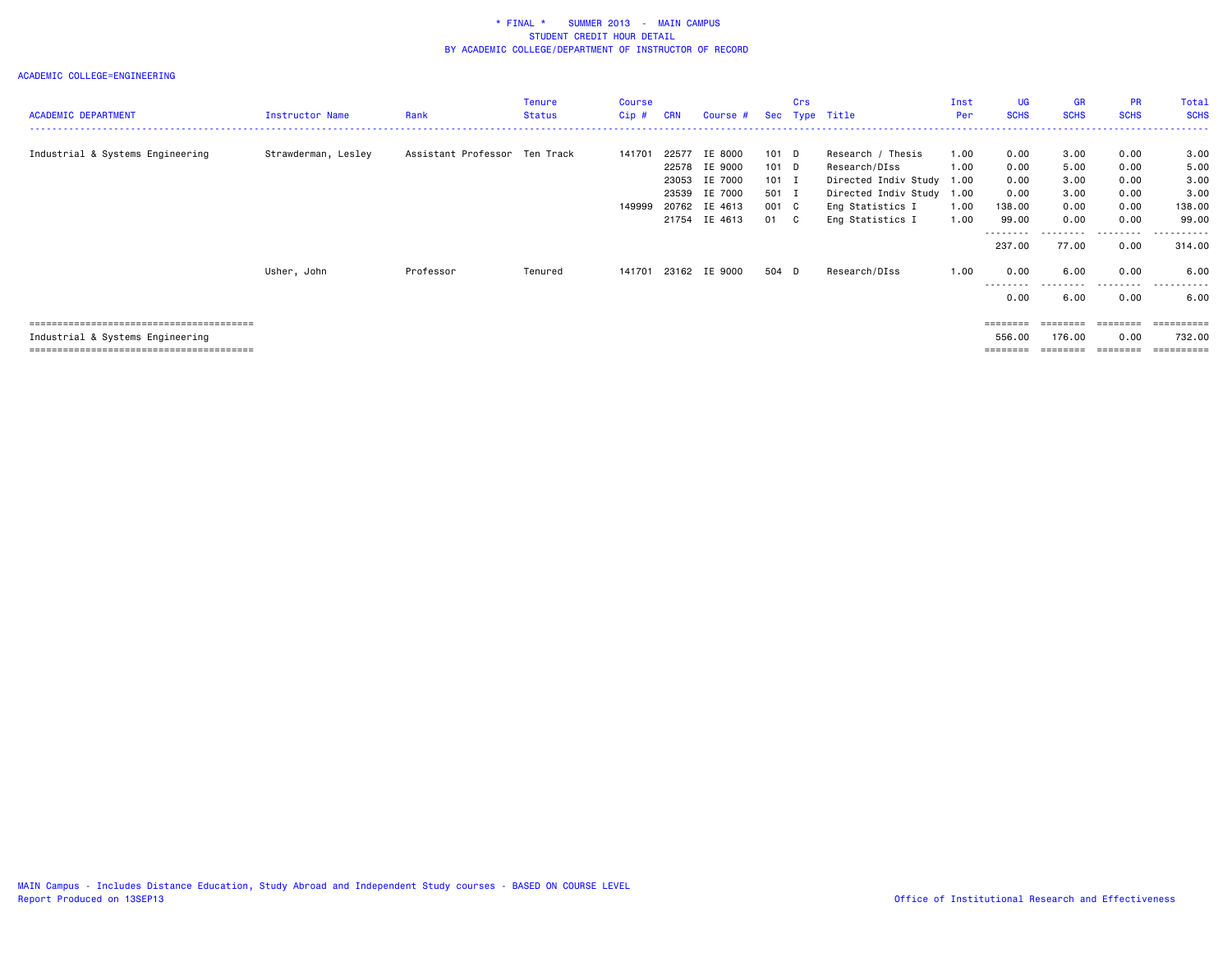| <b>ACADEMIC DEPARTMENT</b>       | <b>Instructor Name</b> | Rank                          | Tenure<br><b>Status</b> | Course<br>$Cip \#$ | <b>CRN</b>                       | Course #                                                                   |                                                     | Crs | Sec Type Title                                                                                                                       | Inst<br>Per                  | <b>UG</b><br><b>SCHS</b>                                  | GR<br><b>SCHS</b>                                     | <b>PR</b><br><b>SCHS</b>                             | Total<br><b>SCHS</b>                                      |
|----------------------------------|------------------------|-------------------------------|-------------------------|--------------------|----------------------------------|----------------------------------------------------------------------------|-----------------------------------------------------|-----|--------------------------------------------------------------------------------------------------------------------------------------|------------------------------|-----------------------------------------------------------|-------------------------------------------------------|------------------------------------------------------|-----------------------------------------------------------|
| Industrial & Systems Engineering | Strawderman, Lesley    | Assistant Professor Ten Track |                         | 141701<br>149999   | 22577<br>22578<br>23053<br>23539 | IE 8000<br>IE 9000<br>IE 7000<br>IE 7000<br>20762 IE 4613<br>21754 IE 4613 | 101 D<br>101 D<br>$101$ I<br>501 I<br>001 C<br>01 C |     | Research / Thesis<br>Research/DIss<br>Directed Indiv Study 1.00<br>Directed Indiv Study 1.00<br>Eng Statistics I<br>Eng Statistics I | 1.00<br>1.00<br>1.00<br>1.00 | 0.00<br>0.00<br>0.00<br>0.00<br>138.00<br>99.00<br>237.00 | 3.00<br>5.00<br>3.00<br>3.00<br>0.00<br>0.00<br>77.00 | 0.00<br>0.00<br>0.00<br>0.00<br>0.00<br>0.00<br>0.00 | 3.00<br>5.00<br>3.00<br>3.00<br>138.00<br>99.00<br>314.00 |
|                                  | Usher, John            | Professor                     | Tenured                 | 141701             |                                  | 23162 IE 9000                                                              | 504 D                                               |     | Research/DIss                                                                                                                        | 1.00                         | 0.00<br>.<br>0.00                                         | 6.00<br>.<br>6.00                                     | 0.00<br>.<br>0.00                                    | 6.00<br>.<br>6.00                                         |
| Industrial & Systems Engineering |                        |                               |                         |                    |                                  |                                                                            |                                                     |     |                                                                                                                                      |                              | ========<br>556.00<br>========                            | 176.00<br>========                                    | ========<br>0.00<br>========                         | eeeeeeee<br>732.00<br>==========                          |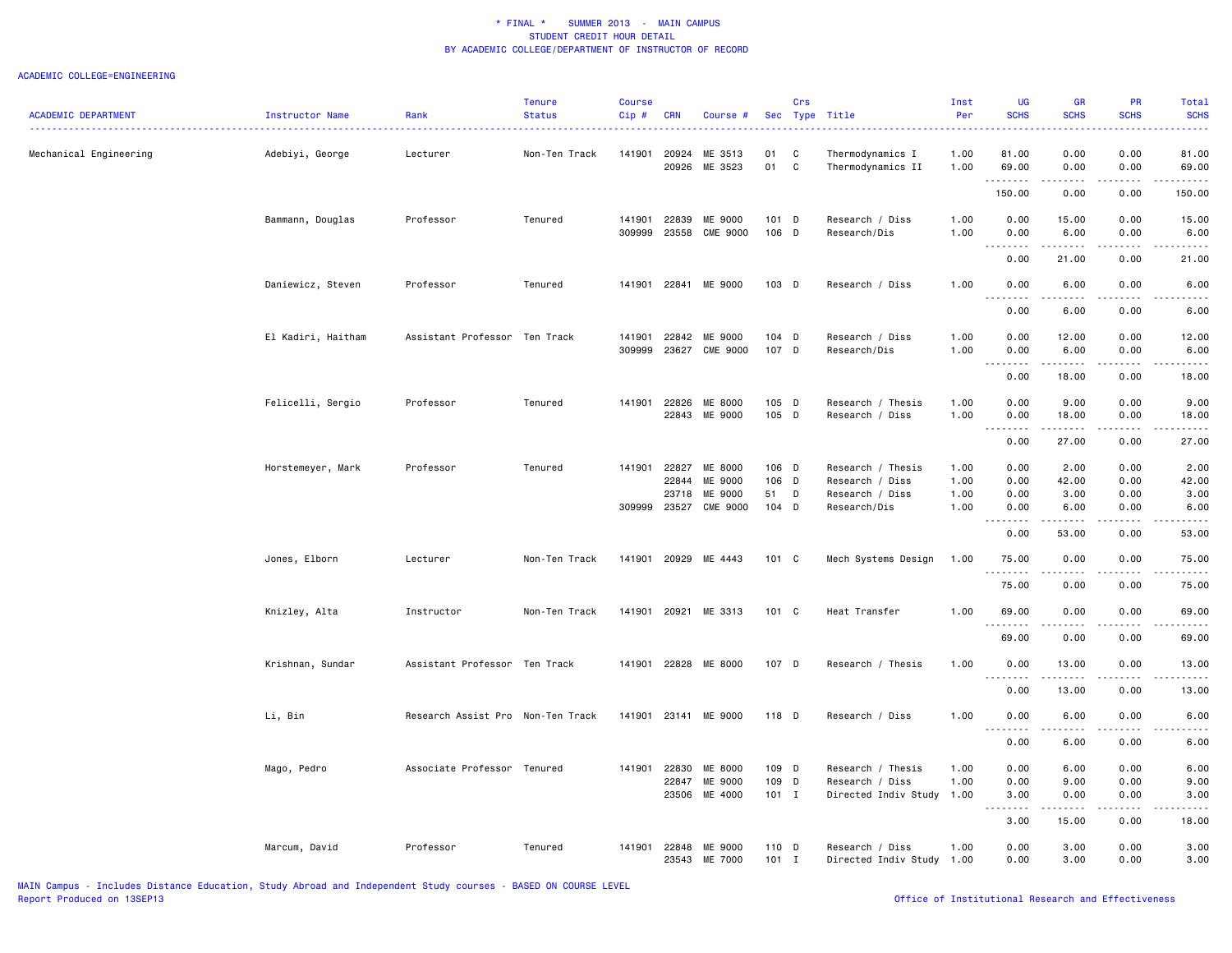| <b>ACADEMIC DEPARTMENT</b> | Instructor Name    | Rank                              | <b>Tenure</b><br><b>Status</b> | Course<br>$Cip$ # | <b>CRN</b>     | Course #                   |                  | Crs    | Sec Type Title                               | Inst<br>Per  | UG<br><b>SCHS</b>                     | <b>GR</b><br><b>SCHS</b>                                                                                  | PR<br><b>SCHS</b> | Total<br><b>SCHS</b>                                                                                                              |
|----------------------------|--------------------|-----------------------------------|--------------------------------|-------------------|----------------|----------------------------|------------------|--------|----------------------------------------------|--------------|---------------------------------------|-----------------------------------------------------------------------------------------------------------|-------------------|-----------------------------------------------------------------------------------------------------------------------------------|
| Mechanical Engineering     | Adebiyi, George    | Lecturer                          | Non-Ten Track                  | 141901            | 20924<br>20926 | ME 3513<br>ME 3523         | 01<br>01         | C<br>C | Thermodynamics I<br>Thermodynamics II        | 1.00<br>1.00 | 81.00<br>69.00                        | 0.00<br>0.00                                                                                              | 0.00<br>0.00      | 81.00<br>69.00                                                                                                                    |
|                            |                    |                                   |                                |                   |                |                            |                  |        |                                              |              | . <b>.</b><br>150.00                  | .<br>0.00                                                                                                 | .<br>0.00         | .<br>150.00                                                                                                                       |
|                            | Bammann, Douglas   | Professor                         | Tenured                        | 141901<br>309999  | 22839<br>23558 | ME 9000<br>CME 9000        | 101 D<br>106 D   |        | Research / Diss<br>Research/Dis              | 1.00<br>1.00 | 0.00<br>0.00                          | 15.00<br>6.00                                                                                             | 0.00<br>0.00      | 15.00<br>6.00                                                                                                                     |
|                            |                    |                                   |                                |                   |                |                            |                  |        |                                              |              | 0.00                                  | 21.00                                                                                                     | 0.00              | 21.00                                                                                                                             |
|                            | Daniewicz, Steven  | Professor                         | Tenured                        | 141901 22841      |                | ME 9000                    | 103 D            |        | Research / Diss                              | 1.00         | 0.00                                  | 6.00                                                                                                      | 0.00              | 6.00                                                                                                                              |
|                            |                    |                                   |                                |                   |                |                            |                  |        |                                              |              | 0.00                                  | .<br>6.00                                                                                                 | 0.00              | 6.00                                                                                                                              |
|                            | El Kadiri, Haitham | Assistant Professor Ten Track     |                                | 141901<br>309999  | 22842<br>23627 | ME 9000<br>CME 9000        | $104$ D<br>107 D |        | Research / Diss<br>Research/Dis              | 1.00<br>1.00 | 0.00<br>0.00                          | 12.00<br>6.00                                                                                             | 0.00<br>0.00      | 12.00<br>6.00                                                                                                                     |
|                            |                    |                                   |                                |                   |                |                            |                  |        |                                              |              | .<br>$\frac{1}{2}$<br>0.00            | . <b>.</b><br>18.00                                                                                       | .<br>0.00         | .<br>18.00                                                                                                                        |
|                            | Felicelli, Sergio  | Professor                         | Tenured                        | 141901            | 22826<br>22843 | ME 8000<br>ME 9000         | 105 D<br>105 D   |        | Research / Thesis<br>Research / Diss         | 1.00<br>1.00 | 0.00<br>0.00                          | 9.00<br>18.00                                                                                             | 0.00<br>0.00      | 9.00<br>18.00                                                                                                                     |
|                            |                    |                                   |                                |                   |                |                            |                  |        |                                              |              | $\sim$ $\sim$ $\sim$<br>-----<br>0.00 | .<br>27.00                                                                                                | .<br>0.00         | .<br>27.00                                                                                                                        |
|                            | Horstemeyer, Mark  | Professor                         | Tenured                        | 141901            | 22827<br>22844 | ME 8000<br>ME 9000         | 106 D<br>106 D   |        | Research / Thesis<br>Research / Diss         | 1.00<br>1.00 | 0.00<br>0.00                          | 2.00<br>42.00                                                                                             | 0.00<br>0.00      | 2.00<br>42.00                                                                                                                     |
|                            |                    |                                   |                                | 309999            | 23718<br>23527 | ME 9000<br><b>CME 9000</b> | 51<br>$104$ D    | D      | Research / Diss<br>Research/Dis              | 1.00<br>1.00 | 0.00<br>0.00                          | 3.00<br>6.00                                                                                              | 0.00<br>0.00      | 3.00<br>6.00                                                                                                                      |
|                            |                    |                                   |                                |                   |                |                            |                  |        |                                              |              | 0.00                                  | 53.00                                                                                                     | 0.00              | 53.00                                                                                                                             |
|                            | Jones, Elborn      | Lecturer                          | Non-Ten Track                  | 141901            |                | 20929 ME 4443              | 101 C            |        | Mech Systems Design                          | 1.00         | 75.00                                 | 0.00                                                                                                      | 0.00              | 75.00                                                                                                                             |
|                            |                    |                                   |                                |                   |                |                            |                  |        |                                              |              | .<br>75.00                            | 0.00                                                                                                      | 0.00              | 75.00                                                                                                                             |
|                            | Knizley, Alta      | Instructor                        | Non-Ten Track                  | 141901 20921      |                | ME 3313                    | 101 C            |        | Heat Transfer                                | 1.00         | 69.00                                 | 0.00                                                                                                      | 0.00              | 69.00                                                                                                                             |
|                            |                    |                                   |                                |                   |                |                            |                  |        |                                              |              | <u>.</u><br>69.00                     | 0.00                                                                                                      | 0.00              | 69.00                                                                                                                             |
|                            | Krishnan, Sundar   | Assistant Professor Ten Track     |                                |                   |                | 141901 22828 ME 8000       | 107 D            |        | Research / Thesis                            | 1.00         | 0.00                                  | 13.00                                                                                                     | 0.00              | 13.00                                                                                                                             |
|                            |                    |                                   |                                |                   |                |                            |                  |        |                                              |              | 0.00                                  | 13.00                                                                                                     | 0.00              | 13.00                                                                                                                             |
|                            | Li, Bin            | Research Assist Pro Non-Ten Track |                                | 141901 23141      |                | ME 9000                    | 118 D            |        | Research / Diss                              | 1.00         | 0.00<br>.                             | 6.00                                                                                                      | 0.00              | 6.00<br>$\frac{1}{2} \left( \frac{1}{2} \right) \left( \frac{1}{2} \right) \left( \frac{1}{2} \right) \left( \frac{1}{2} \right)$ |
|                            |                    |                                   |                                |                   |                |                            |                  |        |                                              |              | 0.00                                  | 6.00                                                                                                      | 0.00              | 6.00                                                                                                                              |
|                            | Mago, Pedro        | Associate Professor Tenured       |                                | 141901            | 22830<br>22847 | ME 8000<br>ME 9000         | 109 D<br>109 D   |        | Research / Thesis<br>Research / Diss         | 1.00<br>1.00 | 0.00<br>0.00                          | 6.00<br>9.00                                                                                              | 0.00<br>0.00      | 6.00<br>9.00                                                                                                                      |
|                            |                    |                                   |                                |                   | 23506          | ME 4000                    | $101$ I          |        | Directed Indiv Study 1.00                    |              | 3.00<br>$\omega$ is a $\omega$        | 0.00<br>$\begin{array}{cccccccccc} \bullet & \bullet & \bullet & \bullet & \bullet & \bullet \end{array}$ | 0.00<br>.         | 3.00<br>$\omega$ is $\omega$ in .                                                                                                 |
|                            |                    |                                   |                                |                   |                |                            |                  |        |                                              |              | 3.00                                  | 15.00                                                                                                     | 0.00              | 18.00                                                                                                                             |
|                            | Marcum, David      | Professor                         | Tenured                        | 141901 22848      |                | ME 9000<br>23543 ME 7000   | 110 D<br>$101$ I |        | Research / Diss<br>Directed Indiv Study 1.00 | 1.00         | 0.00<br>0.00                          | 3.00<br>3.00                                                                                              | 0.00<br>0.00      | 3.00<br>3.00                                                                                                                      |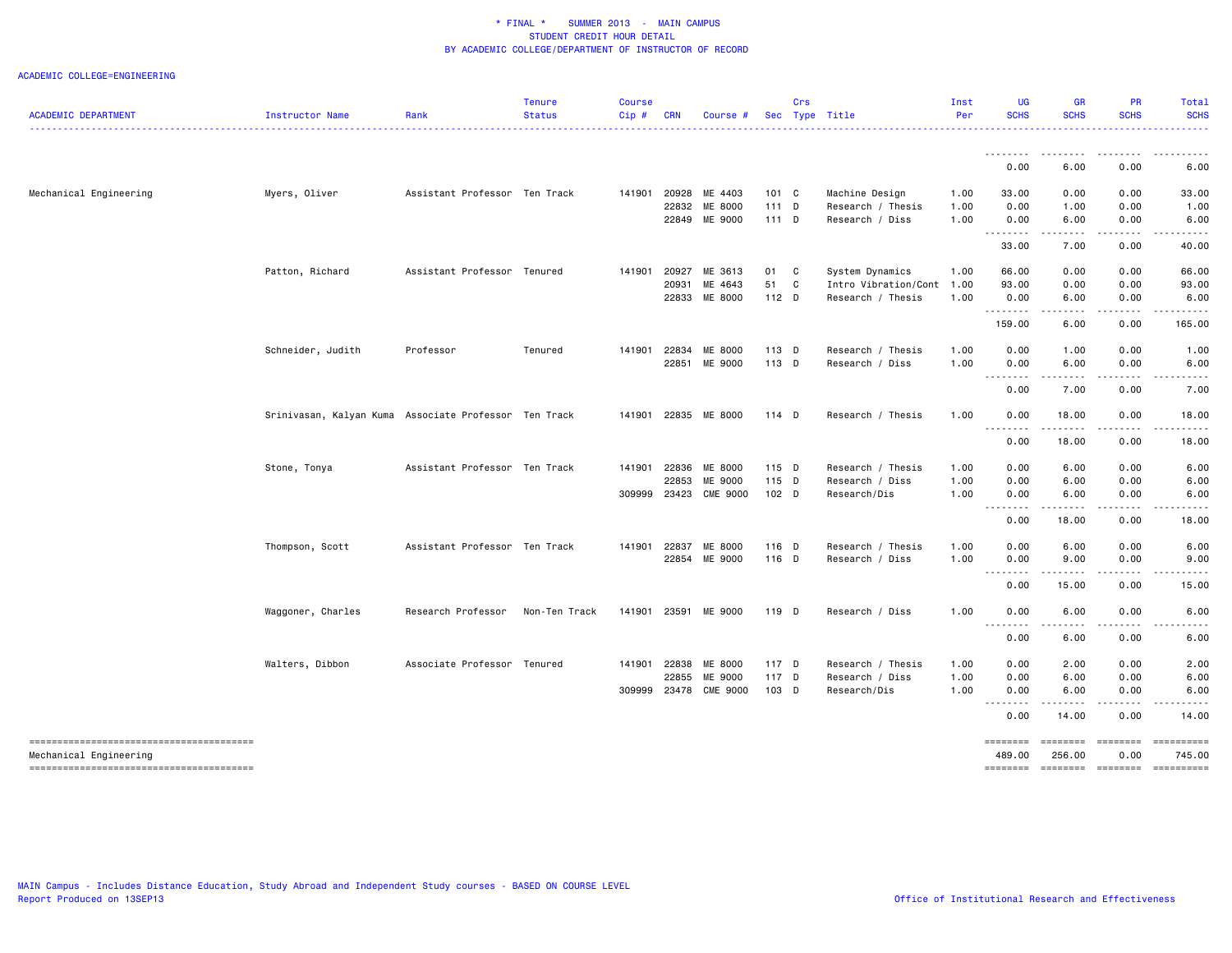| <b>ACADEMIC DEPARTMENT</b>             | Instructor Name                                       | Rank                          | <b>Tenure</b><br><b>Status</b> | <b>Course</b><br>Cip# | CRN   | Course #                 |                | Crs | Sec Type Title                       | Inst<br>Per  | UG<br><b>SCHS</b> | <b>GR</b><br><b>SCHS</b> | <b>PR</b><br><b>SCHS</b> | <b>Total</b><br><b>SCHS</b> |
|----------------------------------------|-------------------------------------------------------|-------------------------------|--------------------------------|-----------------------|-------|--------------------------|----------------|-----|--------------------------------------|--------------|-------------------|--------------------------|--------------------------|-----------------------------|
|                                        |                                                       |                               |                                |                       |       |                          |                |     |                                      |              |                   | .                        |                          |                             |
|                                        |                                                       |                               |                                |                       |       |                          |                |     |                                      |              | 0.00              | 6.00                     | 0.00                     | 6.00                        |
| Mechanical Engineering                 | Myers, Oliver                                         | Assistant Professor Ten Track |                                | 141901                |       | 20928 ME 4403            | $101 \quad C$  |     | Machine Design                       | 1.00         | 33.00             | 0.00                     | 0.00                     | 33.00                       |
|                                        |                                                       |                               |                                |                       |       | 22832 ME 8000            | 111 D          |     | Research / Thesis                    | 1.00         | 0.00              | 1.00                     | 0.00                     | 1.00                        |
|                                        |                                                       |                               |                                |                       | 22849 | ME 9000                  | $111$ D        |     | Research / Diss                      | 1.00         | 0.00<br>.         | 6.00<br>$- - - -$        | 0.00                     | 6.00                        |
|                                        |                                                       |                               |                                |                       |       |                          |                |     |                                      |              | 33.00             | 7.00                     | 0.00                     | 40.00                       |
|                                        | Patton, Richard                                       | Assistant Professor Tenured   |                                | 141901                | 20927 | ME 3613                  | 01 C           |     | System Dynamics                      | 1.00         | 66.00             | 0.00                     | 0.00                     | 66.00                       |
|                                        |                                                       |                               |                                |                       | 20931 | ME 4643                  | 51 C           |     | Intro Vibration/Cont 1.00            |              | 93.00             | 0.00                     | 0.00                     | 93.00                       |
|                                        |                                                       |                               |                                |                       |       | 22833 ME 8000            | 112 D          |     | Research / Thesis                    | 1.00         | 0.00<br>.         | 6.00<br>د د د د          | 0.00<br>.                | 6.00<br>.                   |
|                                        |                                                       |                               |                                |                       |       |                          |                |     |                                      |              | 159.00            | 6.00                     | 0.00                     | 165.00                      |
|                                        | Schneider, Judith                                     | Professor                     | Tenured                        | 141901                | 22834 | ME 8000                  | 113 D          |     | Research / Thesis                    | 1.00         | 0.00              | 1.00                     | 0.00                     | 1.00                        |
|                                        |                                                       |                               |                                |                       | 22851 | ME 9000                  | 113 D          |     | Research / Diss                      | 1.00         | 0.00              | 6.00                     | 0.00                     | 6.00                        |
|                                        |                                                       |                               |                                |                       |       |                          |                |     |                                      |              | .<br>0.00         | .<br>7.00                | .<br>0.00                | 7.00                        |
|                                        |                                                       |                               |                                |                       |       |                          |                |     |                                      |              |                   |                          |                          |                             |
|                                        | Srinivasan, Kalyan Kuma Associate Professor Ten Track |                               |                                | 141901                |       | 22835 ME 8000            | 114 D          |     | Research / Thesis                    | 1.00         | 0.00<br>.         | 18.00<br>.               | 0.00<br>.                | 18.00                       |
|                                        |                                                       |                               |                                |                       |       |                          |                |     |                                      |              | 0.00              | 18.00                    | 0.00                     | 18.00                       |
|                                        | Stone, Tonya                                          | Assistant Professor Ten Track |                                | 141901                |       | 22836 ME 8000            | 115 D          |     | Research / Thesis                    | 1.00         | 0.00              | 6.00                     | 0.00                     | 6.00                        |
|                                        |                                                       |                               |                                |                       | 22853 | ME 9000                  | 115 D          |     | Research / Diss                      | 1.00         | 0.00              | 6.00                     | 0.00                     | 6.00                        |
|                                        |                                                       |                               |                                | 309999                | 23423 | <b>CME 9000</b>          | 102 D          |     | Research/Dis                         | 1.00         | 0.00              | 6.00                     | 0.00                     | 6.00                        |
|                                        |                                                       |                               |                                |                       |       |                          |                |     |                                      |              | .                 | $   -$                   | $- - - - -$              |                             |
|                                        |                                                       |                               |                                |                       |       |                          |                |     |                                      |              | 0.00              | 18.00                    | 0.00                     | 18.00                       |
|                                        | Thompson, Scott                                       | Assistant Professor Ten Track |                                | 141901                | 22837 | ME 8000                  | 116 D          |     | Research / Thesis                    | 1.00         | 0.00              | 6.00                     | 0.00                     | 6.00                        |
|                                        |                                                       |                               |                                |                       |       | 22854 ME 9000            | 116 D          |     | Research / Diss                      | 1.00         | 0.00<br><u>.</u>  | 9.00<br>.                | 0.00<br>-----            | 9.00                        |
|                                        |                                                       |                               |                                |                       |       |                          |                |     |                                      |              | 0.00              | 15.00                    | 0.00                     | 15.00                       |
|                                        | Waggoner, Charles                                     | Research Professor            | Non-Ten Track                  | 141901                |       | 23591 ME 9000            | 119 D          |     | Research / Diss                      | 1.00         | 0.00              | 6.00                     | 0.00                     | 6.00                        |
|                                        |                                                       |                               |                                |                       |       |                          |                |     |                                      |              | --------<br>0.00  | $- - -$<br>6.00          | 0.00                     | 6.00                        |
|                                        |                                                       |                               |                                |                       |       |                          |                |     |                                      |              |                   |                          |                          |                             |
|                                        | Walters, Dibbon                                       | Associate Professor Tenured   |                                | 141901                | 22855 | 22838 ME 8000<br>ME 9000 | 117 D<br>117 D |     | Research / Thesis<br>Research / Diss | 1.00<br>1.00 | 0.00<br>0.00      | 2.00<br>6.00             | 0.00<br>0.00             | 2.00<br>6.00                |
|                                        |                                                       |                               |                                | 309999                |       | 23478 CME 9000           | 103 D          |     | Research/Dis                         | 1.00         | 0.00              | 6.00                     | 0.00                     | 6.00                        |
|                                        |                                                       |                               |                                |                       |       |                          |                |     |                                      |              | .                 | -----                    | .                        | $\frac{1}{2}$               |
|                                        |                                                       |                               |                                |                       |       |                          |                |     |                                      |              | 0.00              | 14.00                    | 0.00                     | 14.00                       |
|                                        |                                                       |                               |                                |                       |       |                          |                |     |                                      |              | ========          | ========                 | ========                 | ==========                  |
| Mechanical Engineering                 |                                                       |                               |                                |                       |       |                          |                |     |                                      |              | 489.00            | 256.00                   | 0.00                     | 745.00                      |
| -------------------------------------- |                                                       |                               |                                |                       |       |                          |                |     |                                      |              | ========          | $=$ ========             | $=$ ========             | ==========                  |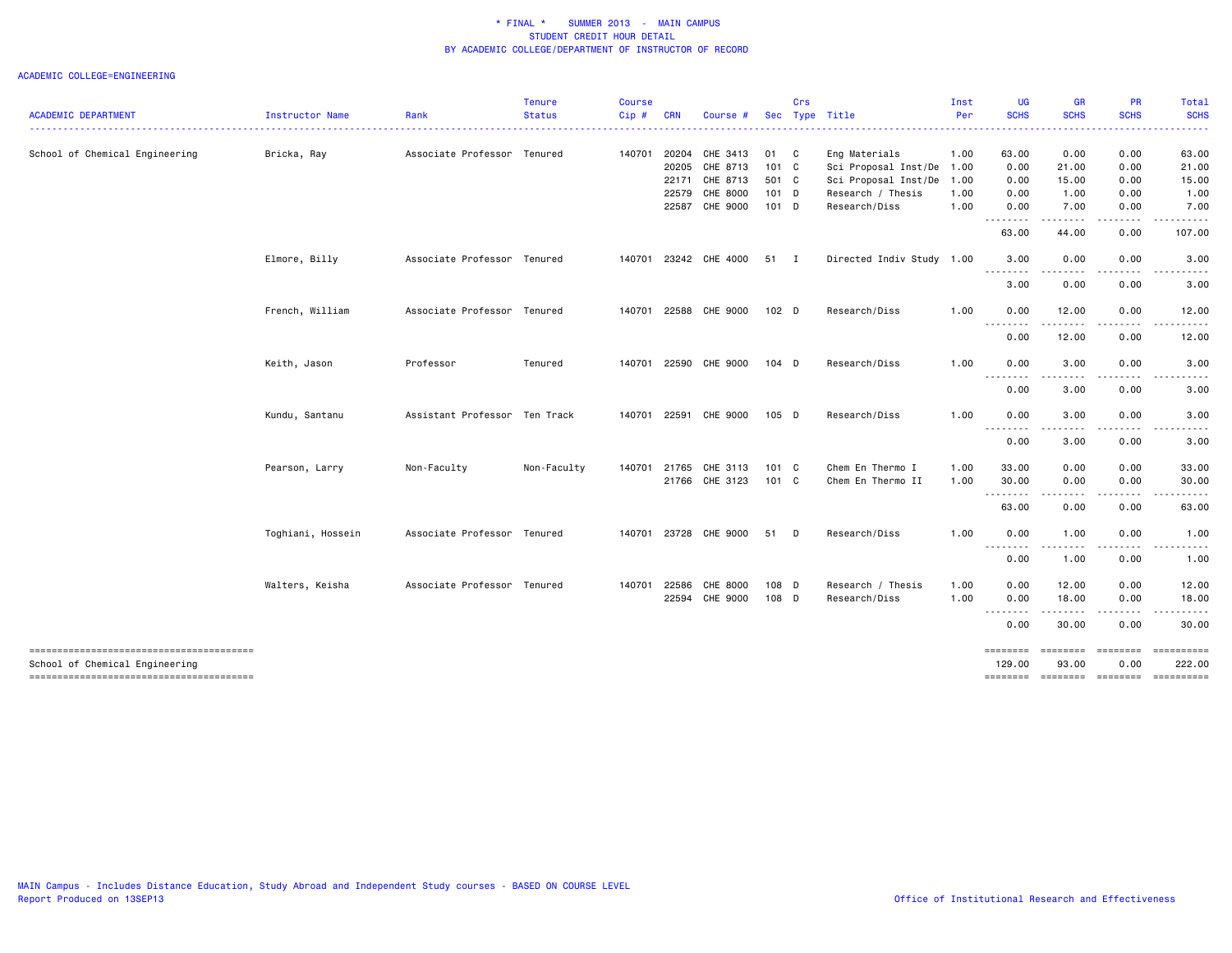#### ACADEMIC COLLEGE=ENGINEERING

| <b>ACADEMIC DEPARTMENT</b>     | Instructor Name   | Rank                          | <b>Tenure</b><br><b>Status</b> | <b>Course</b><br>Cip# | <b>CRN</b> | Course #       |                  | Crs | Sec Type Title            | Inst<br>Per | <b>UG</b><br><b>SCHS</b> | <b>GR</b><br><b>SCHS</b>                                                                                                                                     | PR<br><b>SCHS</b> | <b>Total</b><br><b>SCHS</b> |
|--------------------------------|-------------------|-------------------------------|--------------------------------|-----------------------|------------|----------------|------------------|-----|---------------------------|-------------|--------------------------|--------------------------------------------------------------------------------------------------------------------------------------------------------------|-------------------|-----------------------------|
|                                |                   |                               |                                |                       |            |                |                  |     |                           |             |                          |                                                                                                                                                              |                   |                             |
| School of Chemical Engineering | Bricka, Ray       | Associate Professor Tenured   |                                | 140701                | 20204      | CHE 3413       | 01 C             |     | Eng Materials             | 1.00        | 63.00                    | 0.00                                                                                                                                                         | 0.00              | 63.00                       |
|                                |                   |                               |                                |                       | 20205      | CHE 8713       | $101 \quad C$    |     | Sci Proposal Inst/De      | 1.00        | 0.00                     | 21.00                                                                                                                                                        | 0.00              | 21.00                       |
|                                |                   |                               |                                |                       | 22171      | CHE 8713       | 501 C            |     | Sci Proposal Inst/De      | 1.00        | 0.00                     | 15.00                                                                                                                                                        | 0.00              | 15.00                       |
|                                |                   |                               |                                |                       | 22579      | CHE 8000       | $101$ D          |     | Research / Thesis         | 1.00        | 0.00                     | 1.00                                                                                                                                                         | 0.00              | 1.00                        |
|                                |                   |                               |                                |                       |            | 22587 CHE 9000 | $101$ D          |     | Research/Diss             | 1.00        | 0.00<br>. <b>.</b>       | 7.00<br>$\frac{1}{2} \left( \frac{1}{2} \right) \left( \frac{1}{2} \right) \left( \frac{1}{2} \right) \left( \frac{1}{2} \right) \left( \frac{1}{2} \right)$ | 0.00<br><u>.</u>  | 7.00                        |
|                                |                   |                               |                                |                       |            |                |                  |     |                           |             | 63.00                    | 44.00                                                                                                                                                        | 0.00              | 107.00                      |
|                                | Elmore, Billy     | Associate Professor Tenured   |                                | 140701                |            | 23242 CHE 4000 | 51 I             |     | Directed Indiv Study 1.00 |             | 3.00<br>.                | 0.00<br>----                                                                                                                                                 | 0.00              | 3.00                        |
|                                |                   |                               |                                |                       |            |                |                  |     |                           |             | 3.00                     | 0.00                                                                                                                                                         | 0.00              | 3.00                        |
|                                | French, William   | Associate Professor Tenured   |                                | 140701                |            | 22588 CHE 9000 | 102 <sub>D</sub> |     | Research/Diss             | 1.00        | 0.00                     | 12.00                                                                                                                                                        | 0.00              | 12.00                       |
|                                |                   |                               |                                |                       |            |                |                  |     |                           |             | 0.00                     | 12.00                                                                                                                                                        | 0.00              | 12.00                       |
|                                | Keith, Jason      | Professor                     | Tenured                        | 140701                |            | 22590 CHE 9000 | $104$ D          |     | Research/Diss             | 1.00        | 0.00<br>.                | 3.00<br>.                                                                                                                                                    | 0.00              | 3.00                        |
|                                |                   |                               |                                |                       |            |                |                  |     |                           |             | 0.00                     | 3.00                                                                                                                                                         | 0.00              | 3.00                        |
|                                | Kundu, Santanu    | Assistant Professor Ten Track |                                | 140701                |            | 22591 CHE 9000 | 105 D            |     | Research/Diss             | 1.00        | 0.00<br>.                | 3.00<br>$\frac{1}{2} \left( \frac{1}{2} \right) \left( \frac{1}{2} \right) \left( \frac{1}{2} \right) \left( \frac{1}{2} \right)$                            | 0.00              | 3.00                        |
|                                |                   |                               |                                |                       |            |                |                  |     |                           |             | 0.00                     | 3.00                                                                                                                                                         | 0.00              | 3.00                        |
|                                | Pearson, Larry    | Non-Faculty                   | Non-Faculty                    | 140701                |            | 21765 CHE 3113 | 101 C            |     | Chem En Thermo I          | 1.00        | 33.00                    | 0.00                                                                                                                                                         | 0.00              | 33.00                       |
|                                |                   |                               |                                |                       |            | 21766 CHE 3123 | 101 C            |     | Chem En Thermo II         | 1.00        | 30.00<br>.               | 0.00<br>$\frac{1}{2} \left( \frac{1}{2} \right) \left( \frac{1}{2} \right) \left( \frac{1}{2} \right) \left( \frac{1}{2} \right)$                            | 0.00              | 30.00                       |
|                                |                   |                               |                                |                       |            |                |                  |     |                           |             | 63.00                    | 0.00                                                                                                                                                         | 0.00              | 63.00                       |
|                                | Toghiani, Hossein | Associate Professor Tenured   |                                | 140701                |            | 23728 CHE 9000 | 51 D             |     | Research/Diss             | 1.00        | 0.00                     | 1.00                                                                                                                                                         | 0.00              | 1.00                        |
|                                |                   |                               |                                |                       |            |                |                  |     |                           |             | - - -<br>.<br>0.00       | 1.00                                                                                                                                                         | 0.00              | 1.00                        |
|                                | Walters, Keisha   | Associate Professor Tenured   |                                | 140701                | 22586      | CHE 8000       | 108 D            |     | Research / Thesis         | 1.00        | 0.00                     | 12.00                                                                                                                                                        | 0.00              | 12.00                       |
|                                |                   |                               |                                |                       | 22594      | CHE 9000       | 108 D            |     | Research/Diss             | 1.00        | 0.00                     | 18.00                                                                                                                                                        | 0.00              | 18.00                       |
|                                |                   |                               |                                |                       |            |                |                  |     |                           |             | 0.00                     | 30.00                                                                                                                                                        | 0.00              | 30.00                       |
| School of Chemical Engineering |                   |                               |                                |                       |            |                |                  |     |                           |             | ========<br>129.00       | ========<br>93.00                                                                                                                                            | ========<br>0.00  | ==========<br>222.00        |
|                                |                   |                               |                                |                       |            |                |                  |     |                           |             | ========                 |                                                                                                                                                              |                   | -------- -------- --------- |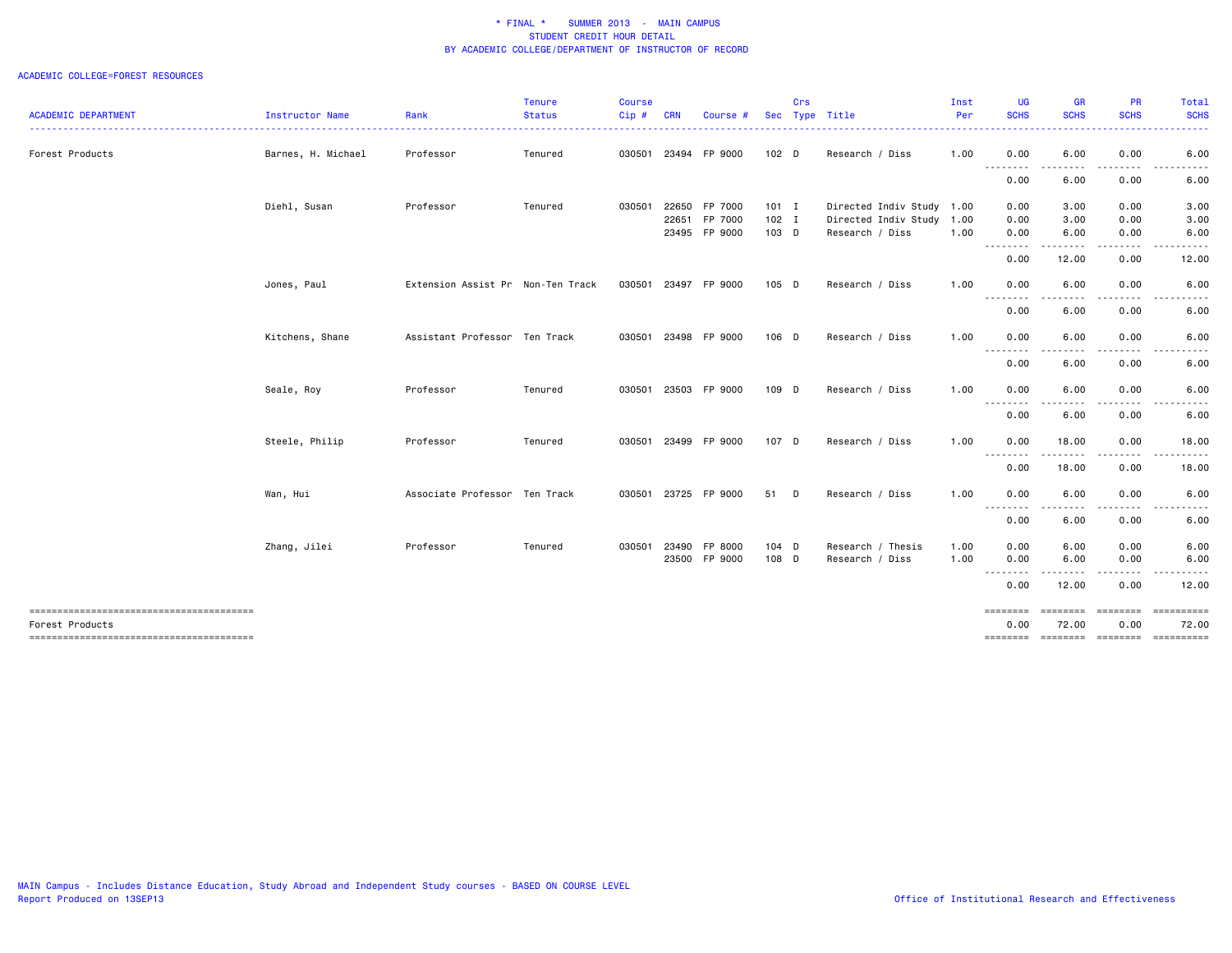|                                                           |                        |                                   | <b>Tenure</b>                 | Course |            |                      |         | Crs |                           | Inst | UG               | <b>GR</b>                                                                                                                                                    | PR               | Total         |
|-----------------------------------------------------------|------------------------|-----------------------------------|-------------------------------|--------|------------|----------------------|---------|-----|---------------------------|------|------------------|--------------------------------------------------------------------------------------------------------------------------------------------------------------|------------------|---------------|
| <b>ACADEMIC DEPARTMENT</b>                                | <b>Instructor Name</b> | Rank                              | <b>Status</b><br>. <u>.</u> . | Cip#   | <b>CRN</b> | Course #             |         |     | Sec Type Title            | Per  | <b>SCHS</b><br>. | <b>SCHS</b><br>$\frac{1}{2} \left( \frac{1}{2} \right) \left( \frac{1}{2} \right) \left( \frac{1}{2} \right) \left( \frac{1}{2} \right)$                     | <b>SCHS</b>      | <b>SCHS</b>   |
| Forest Products                                           | Barnes, H. Michael     | Professor                         | Tenured                       |        |            | 030501 23494 FP 9000 | 102 D   |     | Research / Diss           | 1.00 | 0.00             | 6.00                                                                                                                                                         | 0.00             | 6.00          |
|                                                           |                        |                                   |                               |        |            |                      |         |     |                           |      | <u>.</u><br>0.00 | .<br>6.00                                                                                                                                                    | .<br>0.00        | -----<br>6.00 |
|                                                           | Diehl, Susan           | Professor                         | Tenured                       | 030501 | 22650      | FP 7000              | $101$ I |     | Directed Indiv Study 1.00 |      | 0.00             | 3.00                                                                                                                                                         | 0.00             | 3.00          |
|                                                           |                        |                                   |                               |        | 22651      | FP 7000              | $102$ I |     | Directed Indiv Study      | 1.00 | 0.00             | 3.00                                                                                                                                                         | 0.00             | 3.00          |
|                                                           |                        |                                   |                               |        |            | 23495 FP 9000        | 103 D   |     | Research / Diss           | 1.00 | 0.00<br>-------- | 6.00<br>$\cdots \cdots \cdots$                                                                                                                               | 0.00<br>.        | 6.00          |
|                                                           |                        |                                   |                               |        |            |                      |         |     |                           |      | 0.00             | 12.00                                                                                                                                                        | 0.00             | 12.00         |
|                                                           | Jones, Paul            | Extension Assist Pr Non-Ten Track |                               | 030501 |            | 23497 FP 9000        | 105 D   |     | Research / Diss           | 1.00 | 0.00             | 6.00                                                                                                                                                         | 0.00             | 6.00          |
|                                                           |                        |                                   |                               |        |            |                      |         |     |                           |      | .<br>0.00        | $\frac{1}{2} \left( \frac{1}{2} \right) \left( \frac{1}{2} \right) \left( \frac{1}{2} \right) \left( \frac{1}{2} \right) \left( \frac{1}{2} \right)$<br>6.00 | -----<br>0.00    | 6.00          |
|                                                           | Kitchens, Shane        | Assistant Professor Ten Track     |                               | 030501 |            | 23498 FP 9000        | 106 D   |     | Research / Diss           | 1.00 | 0.00             | 6.00                                                                                                                                                         | 0.00             | 6.00          |
|                                                           |                        |                                   |                               |        |            |                      |         |     |                           |      | .<br>0.00        | $  -$<br>6.00                                                                                                                                                | 0.00             | 6.00          |
|                                                           | Seale, Roy             | Professor                         | Tenured                       | 030501 |            | 23503 FP 9000        | 109 D   |     | Research / Diss           | 1.00 | 0.00             | 6.00                                                                                                                                                         | 0.00             | 6.00          |
|                                                           |                        |                                   |                               |        |            |                      |         |     |                           |      | --------<br>0.00 | 6.00                                                                                                                                                         | 0.00             | 6.00          |
|                                                           | Steele, Philip         | Professor                         | Tenured                       | 030501 |            | 23499 FP 9000        | 107 D   |     | Research / Diss           | 1.00 | 0.00             | 18.00                                                                                                                                                        | 0.00             | 18.00         |
|                                                           |                        |                                   |                               |        |            |                      |         |     |                           |      | .<br>0.00        | 18.00                                                                                                                                                        | 0.00             | 18.00         |
|                                                           | Wan, Hui               | Associate Professor Ten Track     |                               | 030501 |            | 23725 FP 9000        | 51 D    |     | Research / Diss           | 1.00 | 0.00             | 6.00                                                                                                                                                         | 0.00             | 6.00          |
|                                                           |                        |                                   |                               |        |            |                      |         |     |                           |      | --------<br>0.00 | .<br>6.00                                                                                                                                                    | 0.00             | 6.00          |
|                                                           | Zhang, Jilei           | Professor                         | Tenured                       | 030501 | 23490      | FP 8000              | $104$ D |     | Research / Thesis         | 1.00 | 0.00             | 6.00                                                                                                                                                         | 0.00             | 6.00          |
|                                                           |                        |                                   |                               |        |            | 23500 FP 9000        | 108 D   |     | Research / Diss           | 1.00 | 0.00<br><u>.</u> | 6.00                                                                                                                                                         | 0.00             | 6.00          |
|                                                           |                        |                                   |                               |        |            |                      |         |     |                           |      | 0.00             | 12.00                                                                                                                                                        | 0.00             | 12.00         |
| --------------------------------------<br>Forest Products |                        |                                   |                               |        |            |                      |         |     |                           |      | ========<br>0.00 | ========<br>72.00                                                                                                                                            | ========<br>0.00 | 72.00         |
|                                                           |                        |                                   |                               |        |            |                      |         |     |                           |      | ========         | =================                                                                                                                                            |                  | ==========    |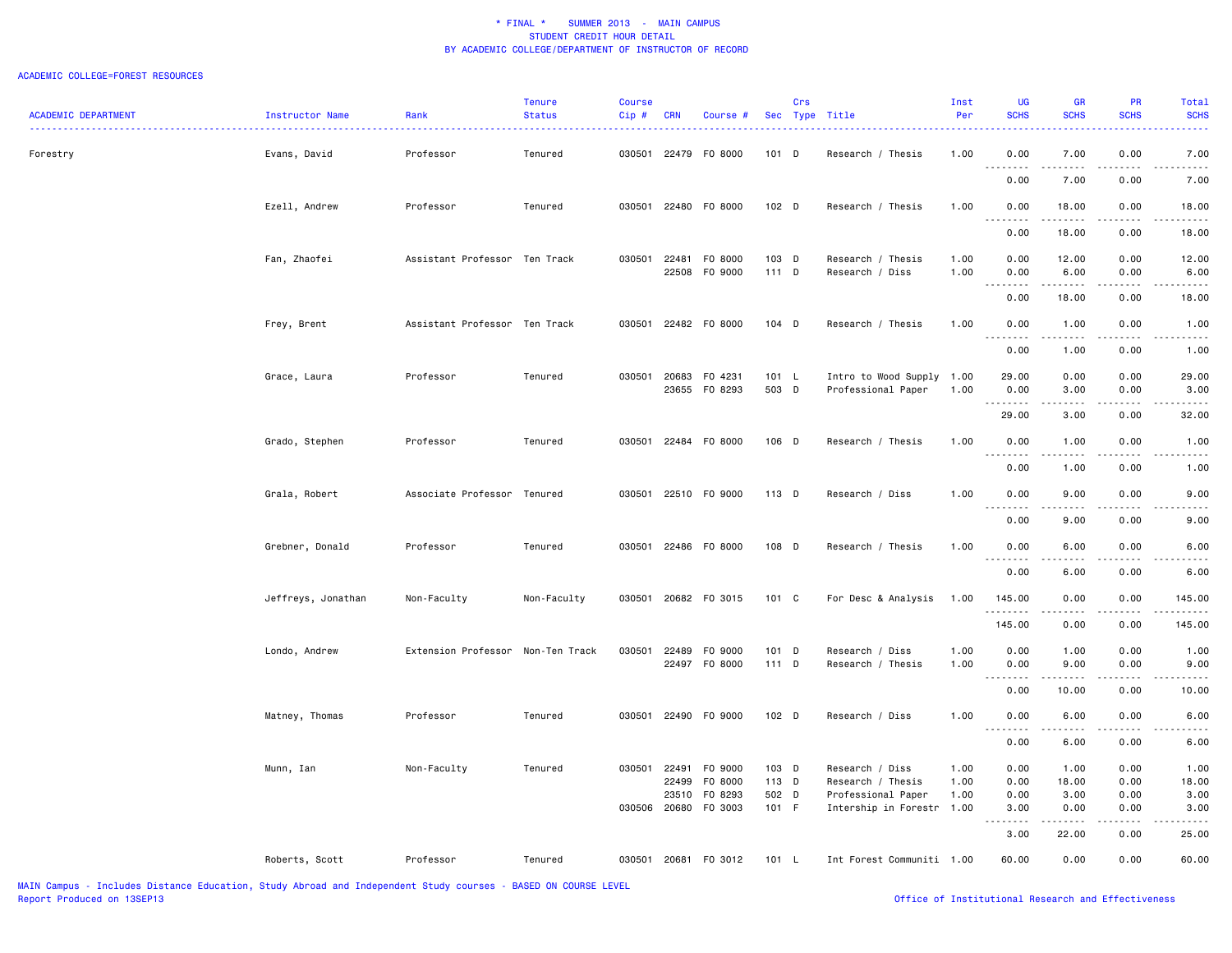| <b>ACADEMIC DEPARTMENT</b> | Instructor Name    | Rank                              | <b>Tenure</b><br><b>Status</b> | <b>Course</b><br>$Cip$ # | <b>CRN</b> | Course #                       |                  | Crs | Sec Type Title                                  | Inst<br>Per  | UG<br><b>SCHS</b>                                                                                                                                            | <b>GR</b><br><b>SCHS</b>     | PR<br><b>SCHS</b> | <b>Total</b><br><b>SCHS</b> |
|----------------------------|--------------------|-----------------------------------|--------------------------------|--------------------------|------------|--------------------------------|------------------|-----|-------------------------------------------------|--------------|--------------------------------------------------------------------------------------------------------------------------------------------------------------|------------------------------|-------------------|-----------------------------|
| Forestry                   | Evans, David       | Professor                         | Tenured                        | 030501                   |            | 22479 F0 8000                  | 101 D            |     | Research / Thesis                               | 1.00         | 0.00                                                                                                                                                         | 7.00                         | 0.00              | 7.00                        |
|                            |                    |                                   |                                |                          |            |                                |                  |     |                                                 |              | .<br>0.00                                                                                                                                                    | .<br>7.00                    | .<br>0.00         | 7.00                        |
|                            | Ezell, Andrew      | Professor                         | Tenured                        | 030501                   |            | 22480 F0 8000                  | 102 D            |     | Research / Thesis                               | 1.00         | 0.00<br>.                                                                                                                                                    | 18.00<br>.                   | 0.00<br>.         | 18.00                       |
|                            |                    |                                   |                                |                          |            |                                |                  |     |                                                 |              | 0.00                                                                                                                                                         | 18.00                        | 0.00              | 18.00                       |
|                            | Fan, Zhaofei       | Assistant Professor Ten Track     |                                | 030501                   |            | 22481 F0 8000<br>22508 FO 9000 | 103 D<br>$111$ D |     | Research / Thesis<br>Research / Diss            | 1.00<br>1.00 | 0.00<br>0.00                                                                                                                                                 | 12.00<br>6.00                | 0.00<br>0.00      | 12.00<br>6.00               |
|                            |                    |                                   |                                |                          |            |                                |                  |     |                                                 |              | $\frac{1}{2} \left( \frac{1}{2} \right) \left( \frac{1}{2} \right) \left( \frac{1}{2} \right) \left( \frac{1}{2} \right) \left( \frac{1}{2} \right)$<br>0.00 | 18.00                        | 0.00              | 18.00                       |
|                            | Frey, Brent        | Assistant Professor Ten Track     |                                |                          |            | 030501 22482 F0 8000           | 104 D            |     | Research / Thesis                               | 1.00         | 0.00<br>.                                                                                                                                                    | 1.00                         | 0.00              | 1.00                        |
|                            |                    |                                   |                                |                          |            |                                |                  |     |                                                 |              | 0.00                                                                                                                                                         | 1.00                         | 0.00              | 1.00                        |
|                            | Grace, Laura       | Professor                         | Tenured                        | 030501                   |            | 20683 FO 4231<br>23655 FO 8293 | 101 L<br>503 D   |     | Intro to Wood Supply 1.00<br>Professional Paper | 1.00         | 29.00<br>0.00                                                                                                                                                | 0.00<br>3.00                 | 0.00<br>0.00      | 29.00<br>3.00               |
|                            |                    |                                   |                                |                          |            |                                |                  |     |                                                 |              | <b></b><br>29.00                                                                                                                                             | المتمالين<br>3.00            | .<br>0.00         | 32.00                       |
|                            | Grado, Stephen     | Professor                         | Tenured                        |                          |            | 030501 22484 F0 8000           | 106 D            |     | Research / Thesis                               | 1.00         | 0.00                                                                                                                                                         | 1.00                         | 0.00              | 1.00                        |
|                            |                    |                                   |                                |                          |            |                                |                  |     |                                                 |              | 0.00                                                                                                                                                         | 1.00                         | 0.00              | 1.00                        |
|                            | Grala, Robert      | Associate Professor Tenured       |                                | 030501                   |            | 22510 FO 9000                  | 113 D            |     | Research / Diss                                 | 1.00         | 0.00<br>.                                                                                                                                                    | 9.00                         | 0.00              | 9.00                        |
|                            |                    |                                   |                                |                          |            |                                |                  |     |                                                 |              | 0.00                                                                                                                                                         | 9.00                         | 0.00              | 9.00                        |
|                            | Grebner, Donald    | Professor                         | Tenured                        |                          |            | 030501 22486 F0 8000           | 108 D            |     | Research / Thesis                               | 1.00         | 0.00                                                                                                                                                         | 6.00                         | 0.00              | 6.00                        |
|                            |                    |                                   |                                |                          |            |                                |                  |     |                                                 |              | 0.00                                                                                                                                                         | 6.00                         | 0.00              | 6.00                        |
|                            | Jeffreys, Jonathan | Non-Faculty                       | Non-Faculty                    |                          |            | 030501 20682 FO 3015           | 101 C            |     | For Desc & Analysis                             | 1.00         | 145.00<br>.<br>145.00                                                                                                                                        | 0.00<br>0.00                 | 0.00<br>0.00      | 145.00<br>145.00            |
|                            | Londo, Andrew      | Extension Professor Non-Ten Track |                                | 030501                   |            | 22489 FO 9000                  | 101 D            |     | Research / Diss                                 | 1.00         | 0.00                                                                                                                                                         | 1.00                         | 0.00              | 1.00                        |
|                            |                    |                                   |                                |                          |            | 22497 F0 8000                  | $111$ D          |     | Research / Thesis                               | 1.00         | 0.00<br>.                                                                                                                                                    | 9.00                         | 0.00              | 9.00                        |
|                            |                    |                                   |                                |                          |            |                                |                  |     |                                                 |              | 0.00                                                                                                                                                         | 10.00                        | 0.00              | 10.00                       |
|                            | Matney, Thomas     | Professor                         | Tenured                        | 030501                   |            | 22490 FO 9000                  | $102$ D          |     | Research / Diss                                 | 1.00         | 0.00<br>.<br>$\sim$ $\sim$ $\sim$                                                                                                                            | 6.00<br>$\sim$ $\sim$ $\sim$ | 0.00              | 6.00                        |
|                            |                    |                                   |                                |                          |            |                                |                  |     |                                                 |              | 0.00                                                                                                                                                         | 6.00                         | 0.00              | 6.00                        |
|                            | Munn, Ian          | Non-Faculty                       | Tenured                        | 030501                   | 22491      | F0 9000<br>22499 F0 8000       | 103 D<br>113 D   |     | Research / Diss<br>Research / Thesis            | 1.00<br>1.00 | 0.00<br>0.00                                                                                                                                                 | 1.00<br>18.00                | 0.00<br>0.00      | 1.00<br>18.00               |
|                            |                    |                                   |                                |                          | 23510      | F0 8293                        | 502 D            |     | Professional Paper                              | 1.00         | 0.00                                                                                                                                                         | 3.00                         | 0.00              | 3.00                        |
|                            |                    |                                   |                                | 030506                   |            | 20680 F0 3003                  | 101 F            |     | Intership in Forestr                            | 1.00         | 3.00<br>.                                                                                                                                                    | 0.00                         | 0.00              | 3.00                        |
|                            |                    |                                   |                                |                          |            |                                |                  |     |                                                 |              | 3.00                                                                                                                                                         | 22.00                        | 0.00              | 25.00                       |
|                            | Roberts, Scott     | Professor                         | Tenured                        |                          |            | 030501 20681 F0 3012           | 101 L            |     | Int Forest Communiti 1.00                       |              | 60.00                                                                                                                                                        | 0.00                         | 0.00              | 60.00                       |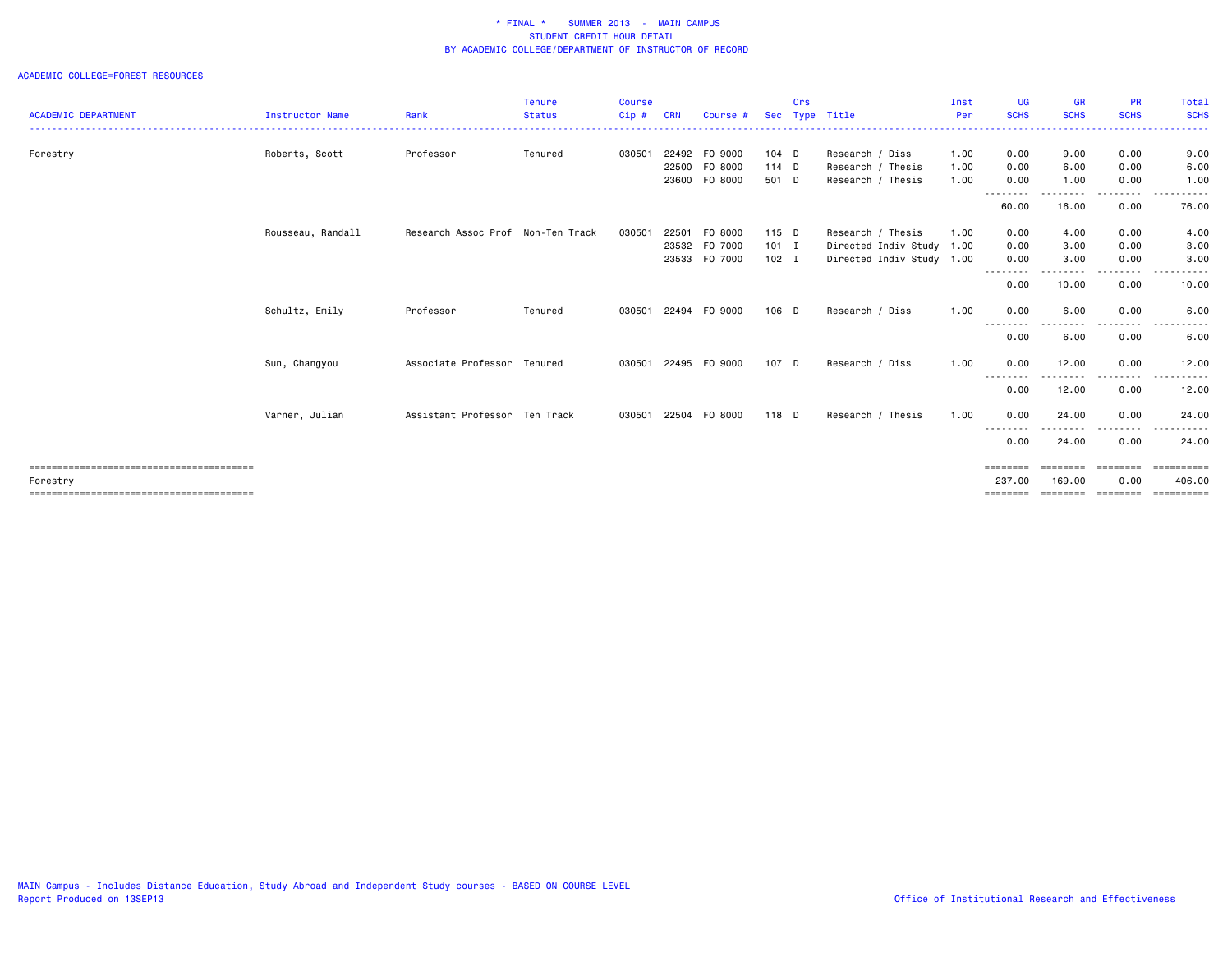|                            |                        |                                   | <b>Tenure</b> | <b>Course</b> |            |               |            | Crs |                           | Inst | <b>UG</b>                        | <b>GR</b>                   | <b>PR</b>               | <b>Total</b>           |
|----------------------------|------------------------|-----------------------------------|---------------|---------------|------------|---------------|------------|-----|---------------------------|------|----------------------------------|-----------------------------|-------------------------|------------------------|
| <b>ACADEMIC DEPARTMENT</b> | <b>Instructor Name</b> | Rank                              | <b>Status</b> | Cip#          | <b>CRN</b> | Course #      | <b>Sec</b> |     | Type Title                | Per  | <b>SCHS</b><br>- - - - - - - - - | <b>SCHS</b><br>. <u>.</u> . | <b>SCHS</b>             | <b>SCHS</b><br>.       |
| Forestry                   | Roberts, Scott         | Professor                         | Tenured       | 030501        |            | 22492 FO 9000 | $104$ D    |     | Research / Diss           | 1.00 | 0.00                             | 9.00                        | 0.00                    | 9.00                   |
|                            |                        |                                   |               |               | 22500      | F0 8000       | $114$ D    |     | Research / Thesis         | 1.00 | 0.00                             | 6.00                        | 0.00                    | 6.00                   |
|                            |                        |                                   |               |               |            | 23600 F0 8000 | 501 D      |     | Research / Thesis         | 1.00 | 0.00<br>--------                 | 1.00<br>----                | 0.00                    | 1.00                   |
|                            |                        |                                   |               |               |            |               |            |     |                           |      | 60.00                            | 16.00                       | 0.00                    | 76.00                  |
|                            | Rousseau, Randall      | Research Assoc Prof Non-Ten Track |               | 030501        | 22501      | F0 8000       | 115 D      |     | Research / Thesis         | 1.00 | 0.00                             | 4.00                        | 0.00                    | 4.00                   |
|                            |                        |                                   |               |               |            | 23532 F0 7000 | $101$ I    |     | Directed Indiv Study 1.00 |      | 0.00                             | 3.00                        | 0.00                    | 3.00                   |
|                            |                        |                                   |               |               |            | 23533 F0 7000 | $102$ I    |     | Directed Indiv Study 1.00 |      | 0.00<br>--------                 | 3.00<br>.                   | 0.00<br>.               | 3.00<br>.              |
|                            |                        |                                   |               |               |            |               |            |     |                           |      | 0.00                             | 10.00                       | 0.00                    | 10.00                  |
|                            | Schultz, Emily         | Professor                         | Tenured       | 030501        | 22494      | F0 9000       | 106 D      |     | Research / Diss           | 1.00 | 0.00                             | 6.00                        | 0.00                    | 6.00                   |
|                            |                        |                                   |               |               |            |               |            |     |                           |      | ---------<br>0.00                | .<br>6.00                   | .<br>0.00               | 6.00                   |
|                            | Sun, Changyou          | Associate Professor Tenured       |               | 030501        |            | 22495 FO 9000 | 107 D      |     | Research / Diss           | 1.00 | 0.00                             | 12.00                       | 0.00                    | 12.00                  |
|                            |                        |                                   |               |               |            |               |            |     |                           |      | --------<br>0.00                 | -----<br>12.00              | -----<br>0.00           | .<br>12.00             |
|                            | Varner, Julian         | Assistant Professor Ten Track     |               | 030501        |            | 22504 FO 8000 | 118 D      |     | Research / Thesis         | 1.00 | 0.00                             | 24.00                       | 0.00                    | 24.00                  |
|                            |                        |                                   |               |               |            |               |            |     |                           |      | --------<br>0.00                 | $\cdots$<br>24.00           | - - - - - - - -<br>0.00 | .<br>$\cdots$<br>24,00 |
|                            |                        |                                   |               |               |            |               |            |     |                           |      | ========                         | ========                    | ========                | -----------            |
| Forestry                   |                        |                                   |               |               |            |               |            |     |                           |      | 237.00                           | 169.00                      | 0.00                    | 406,00                 |
|                            |                        |                                   |               |               |            |               |            |     |                           |      |                                  |                             |                         | ==========             |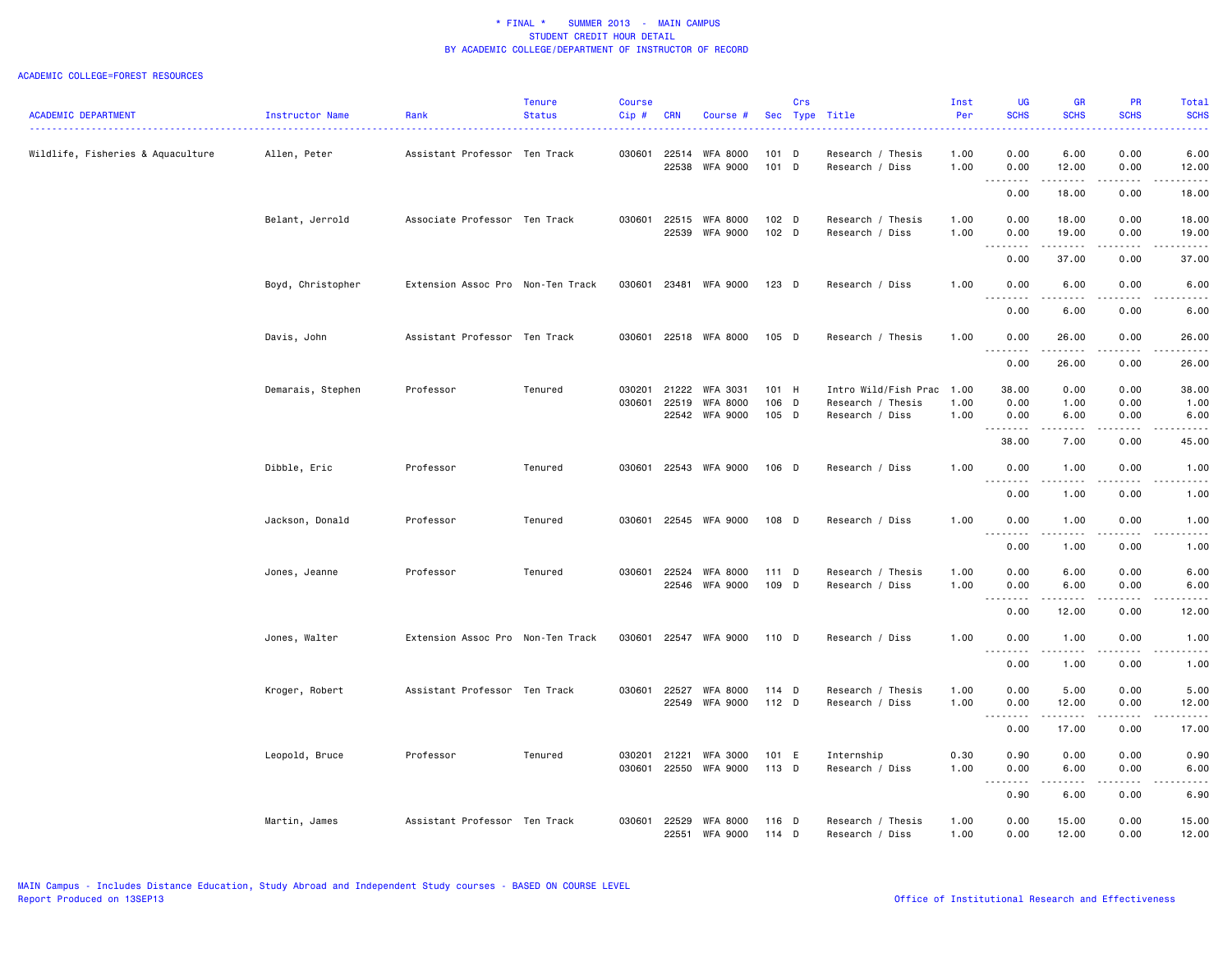|                                   |                   |                                   | <b>Tenure</b> | <b>Course</b> |              |                 |         | Crs |                                      | Inst | UG                                                                                                                                                                              | <b>GR</b>                                                                                                                                                    | PR                          | Total                                                                                                                                                         |
|-----------------------------------|-------------------|-----------------------------------|---------------|---------------|--------------|-----------------|---------|-----|--------------------------------------|------|---------------------------------------------------------------------------------------------------------------------------------------------------------------------------------|--------------------------------------------------------------------------------------------------------------------------------------------------------------|-----------------------------|---------------------------------------------------------------------------------------------------------------------------------------------------------------|
| <b>ACADEMIC DEPARTMENT</b>        | Instructor Name   | Rank                              | <b>Status</b> | Cip#          | <b>CRN</b>   | Course #        |         |     | Sec Type Title                       | Per  | <b>SCHS</b>                                                                                                                                                                     | <b>SCHS</b>                                                                                                                                                  | <b>SCHS</b>                 | <b>SCHS</b>                                                                                                                                                   |
| Wildlife, Fisheries & Aquaculture | Allen, Peter      | Assistant Professor Ten Track     |               | 030601        | 22514        | WFA 8000        | $101$ D |     | Research / Thesis                    | 1.00 | 0.00                                                                                                                                                                            | 6.00                                                                                                                                                         | 0.00                        | 6.00                                                                                                                                                          |
|                                   |                   |                                   |               |               | 22538        | <b>WFA 9000</b> | 101 D   |     | Research / Diss                      | 1.00 | 0.00<br>.                                                                                                                                                                       | 12.00                                                                                                                                                        | 0.00<br>$\frac{1}{2}$       | 12.00<br>$- - - - -$                                                                                                                                          |
|                                   |                   |                                   |               |               |              |                 |         |     |                                      |      | 0.00                                                                                                                                                                            | 18.00                                                                                                                                                        | 0.00                        | 18.00                                                                                                                                                         |
|                                   | Belant, Jerrold   | Associate Professor Ten Track     |               | 030601        | 22515        | <b>WFA 8000</b> | 102 D   |     | Research / Thesis                    | 1.00 | 0.00                                                                                                                                                                            | 18.00                                                                                                                                                        | 0.00                        | 18.00                                                                                                                                                         |
|                                   |                   |                                   |               |               | 22539        | <b>WFA 9000</b> | 102 D   |     | Research / Diss                      | 1.00 | 0.00                                                                                                                                                                            | 19.00                                                                                                                                                        | 0.00                        | 19.00                                                                                                                                                         |
|                                   |                   |                                   |               |               |              |                 |         |     |                                      |      | .                                                                                                                                                                               |                                                                                                                                                              | .                           | والمستحدث                                                                                                                                                     |
|                                   |                   |                                   |               |               |              |                 |         |     |                                      |      | 0.00                                                                                                                                                                            | 37.00                                                                                                                                                        | 0.00                        | 37.00                                                                                                                                                         |
|                                   | Boyd, Christopher | Extension Assoc Pro Non-Ten Track |               | 030601        |              | 23481 WFA 9000  | 123 D   |     | Research / Diss                      | 1.00 | 0.00<br>$\sim$ $\sim$                                                                                                                                                           | 6.00                                                                                                                                                         | 0.00                        | 6.00                                                                                                                                                          |
|                                   |                   |                                   |               |               |              |                 |         |     |                                      |      | 0.00                                                                                                                                                                            | 6.00                                                                                                                                                         | 0.00                        | 6.00                                                                                                                                                          |
|                                   | Davis, John       | Assistant Professor Ten Track     |               | 030601        |              | 22518 WFA 8000  | 105 D   |     | Research / Thesis                    | 1.00 | 0.00<br>$\sim$ $\sim$<br>$  -$                                                                                                                                                  | 26.00                                                                                                                                                        | 0.00                        | 26.00<br>$\frac{1}{2} \left( \frac{1}{2} \right) \left( \frac{1}{2} \right) \left( \frac{1}{2} \right) \left( \frac{1}{2} \right) \left( \frac{1}{2} \right)$ |
|                                   |                   |                                   |               |               |              |                 |         |     |                                      |      | 0.00                                                                                                                                                                            | 26.00                                                                                                                                                        | 0.00                        | 26.00                                                                                                                                                         |
|                                   | Demarais, Stephen | Professor                         | Tenured       |               | 030201 21222 | WFA 3031        | 101 H   |     | Intro Wild/Fish Prac 1.00            |      | 38.00                                                                                                                                                                           | 0.00                                                                                                                                                         | 0.00                        | 38.00                                                                                                                                                         |
|                                   |                   |                                   |               | 030601        | 22519        | <b>WFA 8000</b> | 106 D   |     | Research / Thesis                    | 1.00 | 0.00                                                                                                                                                                            | 1.00                                                                                                                                                         | 0.00                        | 1.00                                                                                                                                                          |
|                                   |                   |                                   |               |               |              | 22542 WFA 9000  | 105 D   |     | Research / Diss                      | 1.00 | 0.00                                                                                                                                                                            | 6.00                                                                                                                                                         | 0.00                        | 6.00                                                                                                                                                          |
|                                   |                   |                                   |               |               |              |                 |         |     |                                      |      | <u>.</u><br>38.00                                                                                                                                                               | .<br>7.00                                                                                                                                                    | $- - - -$<br>0.00           | د د د د د<br>45.00                                                                                                                                            |
|                                   | Dibble, Eric      | Professor                         | Tenured       | 030601        |              | 22543 WFA 9000  | 106 D   |     | Research / Diss                      | 1.00 | 0.00                                                                                                                                                                            | 1.00                                                                                                                                                         | 0.00                        | 1.00                                                                                                                                                          |
|                                   |                   |                                   |               |               |              |                 |         |     |                                      |      | $\sim$ $\sim$ .<br>$\frac{1}{2} \left( \frac{1}{2} \right) \left( \frac{1}{2} \right) \left( \frac{1}{2} \right) \left( \frac{1}{2} \right) \left( \frac{1}{2} \right)$<br>0.00 | .<br>1.00                                                                                                                                                    | .<br>0.00                   | والمستحدث<br>1.00                                                                                                                                             |
|                                   | Jackson, Donald   | Professor                         | Tenured       | 030601        | 22545        | WFA 9000        | 108 D   |     | Research / Diss                      | 1.00 | 0.00                                                                                                                                                                            | 1.00                                                                                                                                                         | 0.00                        | 1.00                                                                                                                                                          |
|                                   |                   |                                   |               |               |              |                 |         |     |                                      |      | $\sim$ $\sim$ $\sim$<br>.<br>0.00                                                                                                                                               | $- - - - -$<br>1.00                                                                                                                                          | .<br>0.00                   | $- - - - -$<br>1.00                                                                                                                                           |
|                                   |                   | Professor                         | Tenured       | 030601        | 22524        | <b>WFA 8000</b> | $111$ D |     |                                      | 1.00 | 0.00                                                                                                                                                                            | 6.00                                                                                                                                                         | 0.00                        | 6.00                                                                                                                                                          |
|                                   | Jones, Jeanne     |                                   |               |               | 22546        | <b>WFA 9000</b> | 109 D   |     | Research / Thesis<br>Research / Diss | 1.00 | 0.00                                                                                                                                                                            | 6.00                                                                                                                                                         | 0.00                        | 6.00                                                                                                                                                          |
|                                   |                   |                                   |               |               |              |                 |         |     |                                      |      | .                                                                                                                                                                               | $- - - - -$                                                                                                                                                  | $\sim$ $\sim$ $\sim$ $\sim$ | $\frac{1}{2}$                                                                                                                                                 |
|                                   |                   |                                   |               |               |              |                 |         |     |                                      |      | 0.00                                                                                                                                                                            | 12.00                                                                                                                                                        | 0.00                        | 12.00                                                                                                                                                         |
|                                   | Jones, Walter     | Extension Assoc Pro Non-Ten Track |               | 030601        |              | 22547 WFA 9000  | 110 D   |     | Research / Diss                      | 1.00 | 0.00<br>.                                                                                                                                                                       | 1.00<br>.                                                                                                                                                    | 0.00<br>.                   | 1.00<br>. <u>.</u>                                                                                                                                            |
|                                   |                   |                                   |               |               |              |                 |         |     |                                      |      | 0.00                                                                                                                                                                            | 1.00                                                                                                                                                         | 0.00                        | 1.00                                                                                                                                                          |
|                                   | Kroger, Robert    | Assistant Professor Ten Track     |               | 030601        | 22527        | <b>WFA 8000</b> | 114 D   |     | Research / Thesis                    | 1.00 | 0.00                                                                                                                                                                            | 5.00                                                                                                                                                         | 0.00                        | 5.00                                                                                                                                                          |
|                                   |                   |                                   |               |               | 22549        | <b>WFA 9000</b> | $112$ D |     | Research / Diss                      | 1.00 | 0.00                                                                                                                                                                            | 12.00                                                                                                                                                        | 0.00                        | 12.00                                                                                                                                                         |
|                                   |                   |                                   |               |               |              |                 |         |     |                                      |      | $\sim$ $\sim$<br>0.00                                                                                                                                                           | 17.00                                                                                                                                                        | 0.00                        | .<br>17.00                                                                                                                                                    |
|                                   | Leopold, Bruce    | Professor                         | Tenured       | 030201        | 21221        | <b>WFA 3000</b> | 101 E   |     | Internship                           | 0.30 | 0.90                                                                                                                                                                            | 0.00                                                                                                                                                         | 0.00                        | 0.90                                                                                                                                                          |
|                                   |                   |                                   |               | 030601        | 22550        | <b>WFA 9000</b> | 113 D   |     | Research / Diss                      | 1.00 | 0.00                                                                                                                                                                            | 6.00                                                                                                                                                         | 0.00                        | 6.00                                                                                                                                                          |
|                                   |                   |                                   |               |               |              |                 |         |     |                                      |      | .<br>$\sim$ $\sim$ $\sim$<br>0.90                                                                                                                                               | $\frac{1}{2} \left( \frac{1}{2} \right) \left( \frac{1}{2} \right) \left( \frac{1}{2} \right) \left( \frac{1}{2} \right) \left( \frac{1}{2} \right)$<br>6.00 | .<br>0.00                   | .<br>6.90                                                                                                                                                     |
|                                   | Martin, James     | Assistant Professor Ten Track     |               | 030601        | 22529        | <b>WFA 8000</b> | 116 D   |     | Research / Thesis                    | 1.00 | 0.00                                                                                                                                                                            | 15.00                                                                                                                                                        | 0.00                        | 15.00                                                                                                                                                         |
|                                   |                   |                                   |               |               | 22551        | <b>WFA 9000</b> | $114$ D |     | Research / Diss                      | 1.00 | 0.00                                                                                                                                                                            | 12.00                                                                                                                                                        | 0.00                        | 12.00                                                                                                                                                         |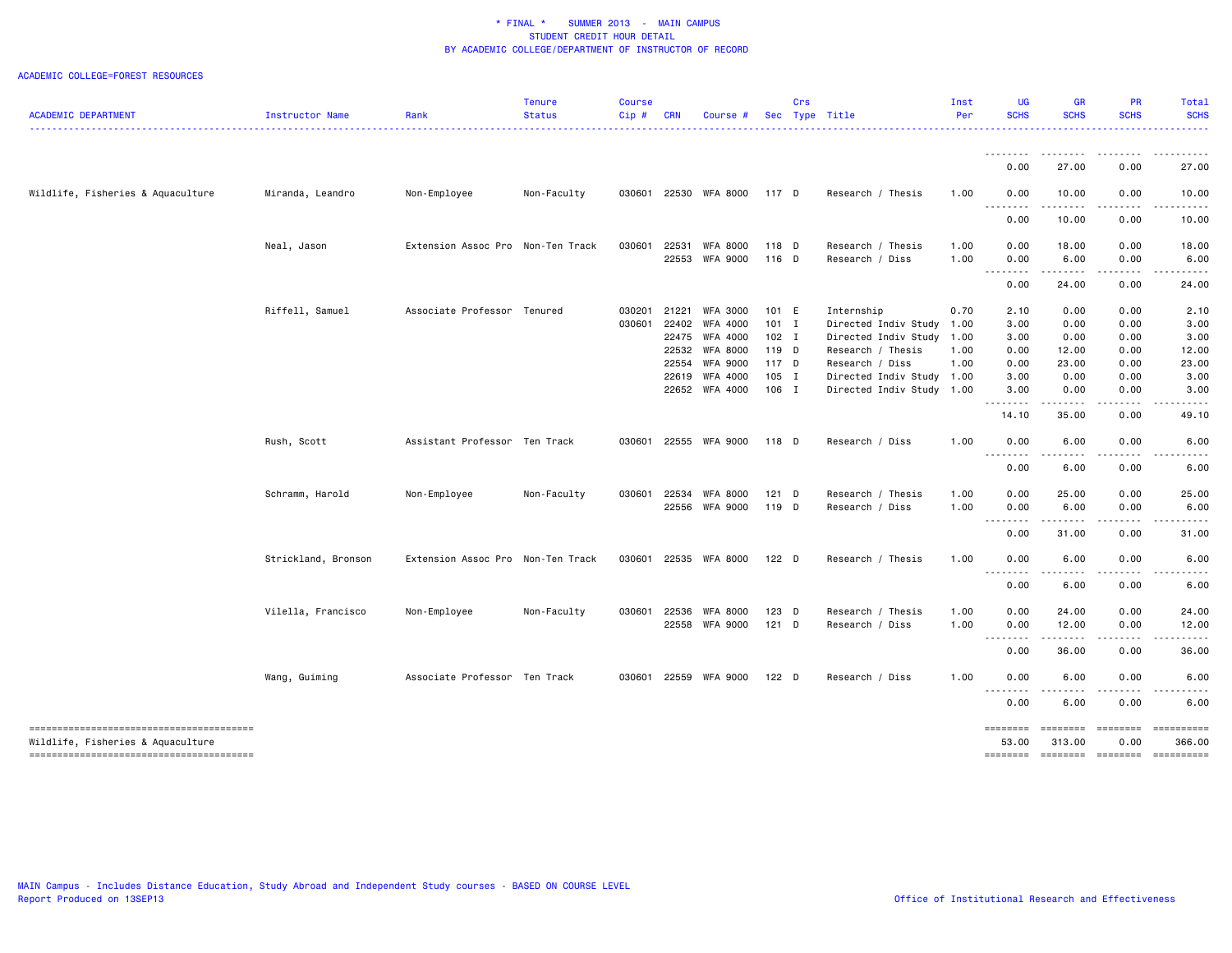|                                        |                     |                                   | <b>Tenure</b> | <b>Course</b> |            |                 |         | Crs |                           | Inst | <b>UG</b>         | <b>GR</b>                      | PR            | <b>Total</b>                  |
|----------------------------------------|---------------------|-----------------------------------|---------------|---------------|------------|-----------------|---------|-----|---------------------------|------|-------------------|--------------------------------|---------------|-------------------------------|
| <b>ACADEMIC DEPARTMENT</b>             | Instructor Name     | Rank                              | <b>Status</b> | Cip#          | <b>CRN</b> | Course #        |         |     | Sec Type Title            | Per  | <b>SCHS</b>       | <b>SCHS</b>                    | <b>SCHS</b>   | <b>SCHS</b>                   |
|                                        |                     |                                   |               |               |            |                 |         |     |                           |      | .<br>0.00         | $\cdots$<br>27.00              | 0.00          | 27.00                         |
|                                        |                     |                                   |               |               |            |                 |         |     |                           |      |                   |                                |               |                               |
| Wildlife, Fisheries & Aquaculture      | Miranda, Leandro    | Non-Employee                      | Non-Faculty   | 030601        |            | 22530 WFA 8000  | 117 D   |     | Research / Thesis         | 1.00 | 0.00<br>، د د د   | 10.00<br>н.                    | 0.00          | 10.00                         |
|                                        |                     |                                   |               |               |            |                 |         |     |                           |      | 0.00              | 10.00                          | 0.00          | 10.00                         |
|                                        | Neal, Jason         | Extension Assoc Pro Non-Ten Track |               | 030601        | 22531      | <b>WFA 8000</b> | 118 D   |     | Research / Thesis         | 1.00 | 0.00              | 18.00                          | 0.00          | 18.00                         |
|                                        |                     |                                   |               |               |            | 22553 WFA 9000  | 116 D   |     | Research / Diss           | 1.00 | 0.00<br>.         | 6.00<br>.                      | 0.00<br>----- | 6.00                          |
|                                        |                     |                                   |               |               |            |                 |         |     |                           |      | 0.00              | 24.00                          | 0.00          | 24.00                         |
|                                        | Riffell, Samuel     | Associate Professor Tenured       |               | 030201        | 21221      | <b>WFA 3000</b> | 101 E   |     | Internship                | 0.70 | 2.10              | 0.00                           | 0.00          | 2.10                          |
|                                        |                     |                                   |               | 030601        | 22402      | <b>WFA 4000</b> | $101$ I |     | Directed Indiv Study      | 1.00 | 3.00              | 0.00                           | 0.00          | 3.00                          |
|                                        |                     |                                   |               |               |            | 22475 WFA 4000  | $102$ I |     | Directed Indiv Study      | 1.00 | 3.00              | 0.00                           | 0.00          | 3.00                          |
|                                        |                     |                                   |               |               |            | 22532 WFA 8000  | 119 D   |     | Research / Thesis         | 1.00 | 0.00              | 12.00                          | 0.00          | 12.00                         |
|                                        |                     |                                   |               |               |            | 22554 WFA 9000  | 117 D   |     | Research / Diss           | 1.00 | 0.00              | 23.00                          | 0.00          | 23.00                         |
|                                        |                     |                                   |               |               |            | 22619 WFA 4000  | 105 I   |     | Directed Indiv Study      | 1.00 | 3.00              | 0.00                           | 0.00          | 3.00                          |
|                                        |                     |                                   |               |               |            | 22652 WFA 4000  | 106 I   |     | Directed Indiv Study 1.00 |      | 3.00<br>.         | 0.00<br>$\cdots \cdots \cdots$ | 0.00<br>.     | 3.00                          |
|                                        |                     |                                   |               |               |            |                 |         |     |                           |      | 14.10             | 35.00                          | 0.00          | 49.10                         |
|                                        | Rush, Scott         | Assistant Professor Ten Track     |               | 030601        |            | 22555 WFA 9000  | 118 D   |     | Research / Diss           | 1.00 | 0.00<br>.         | 6.00                           | 0.00          | 6.00                          |
|                                        |                     |                                   |               |               |            |                 |         |     |                           |      | 0.00              | 6.00                           | 0.00          | 6.00                          |
|                                        | Schramm, Harold     | Non-Employee                      | Non-Faculty   | 030601        | 22534      | <b>WFA 8000</b> | $121$ D |     | Research / Thesis         | 1.00 | 0.00              | 25.00                          | 0.00          | 25.00                         |
|                                        |                     |                                   |               |               |            | 22556 WFA 9000  | 119 D   |     | Research / Diss           | 1.00 | 0.00              | 6.00                           | 0.00          | 6.00                          |
|                                        |                     |                                   |               |               |            |                 |         |     |                           |      | .<br>0.00         | .<br>31.00                     | -----<br>0.00 | 31.00                         |
|                                        | Strickland, Bronson | Extension Assoc Pro Non-Ten Track |               | 030601        |            | 22535 WFA 8000  | $122$ D |     | Research / Thesis         | 1.00 | 0.00              | 6.00                           | 0.00          | 6.00                          |
|                                        |                     |                                   |               |               |            |                 |         |     |                           |      | .                 | .                              | .             |                               |
|                                        |                     |                                   |               |               |            |                 |         |     |                           |      | 0.00              | 6.00                           | 0.00          | 6.00                          |
|                                        | Vilella, Francisco  | Non-Employee                      | Non-Faculty   | 030601        | 22536      | WFA 8000        | 123 D   |     | Research / Thesis         | 1.00 | 0.00              | 24.00                          | 0.00          | 24.00                         |
|                                        |                     |                                   |               |               |            | 22558 WFA 9000  | $121$ D |     | Research / Diss           | 1.00 | 0.00<br>.         | 12.00                          | 0.00          | 12.00                         |
|                                        |                     |                                   |               |               |            |                 |         |     |                           |      | 0.00              | 36.00                          | 0.00          | 36.00                         |
|                                        | Wang, Guiming       | Associate Professor Ten Track     |               | 030601        |            | 22559 WFA 9000  | $122$ D |     | Research / Diss           | 1.00 | 0.00              | 6.00                           | 0.00          | 6.00                          |
|                                        |                     |                                   |               |               |            |                 |         |     |                           |      | .<br>0.00         | 6.00                           | 0.00          | 6.00                          |
| -------------------------------------- |                     |                                   |               |               |            |                 |         |     |                           |      | <b>EDESSED</b>    | ========                       | ========      | ==========                    |
| Wildlife, Fisheries & Aquaculture      |                     |                                   |               |               |            |                 |         |     |                           |      | 53.00<br>======== | 313.00<br>$=$                  | 0.00          | 366.00<br>--------- --------- |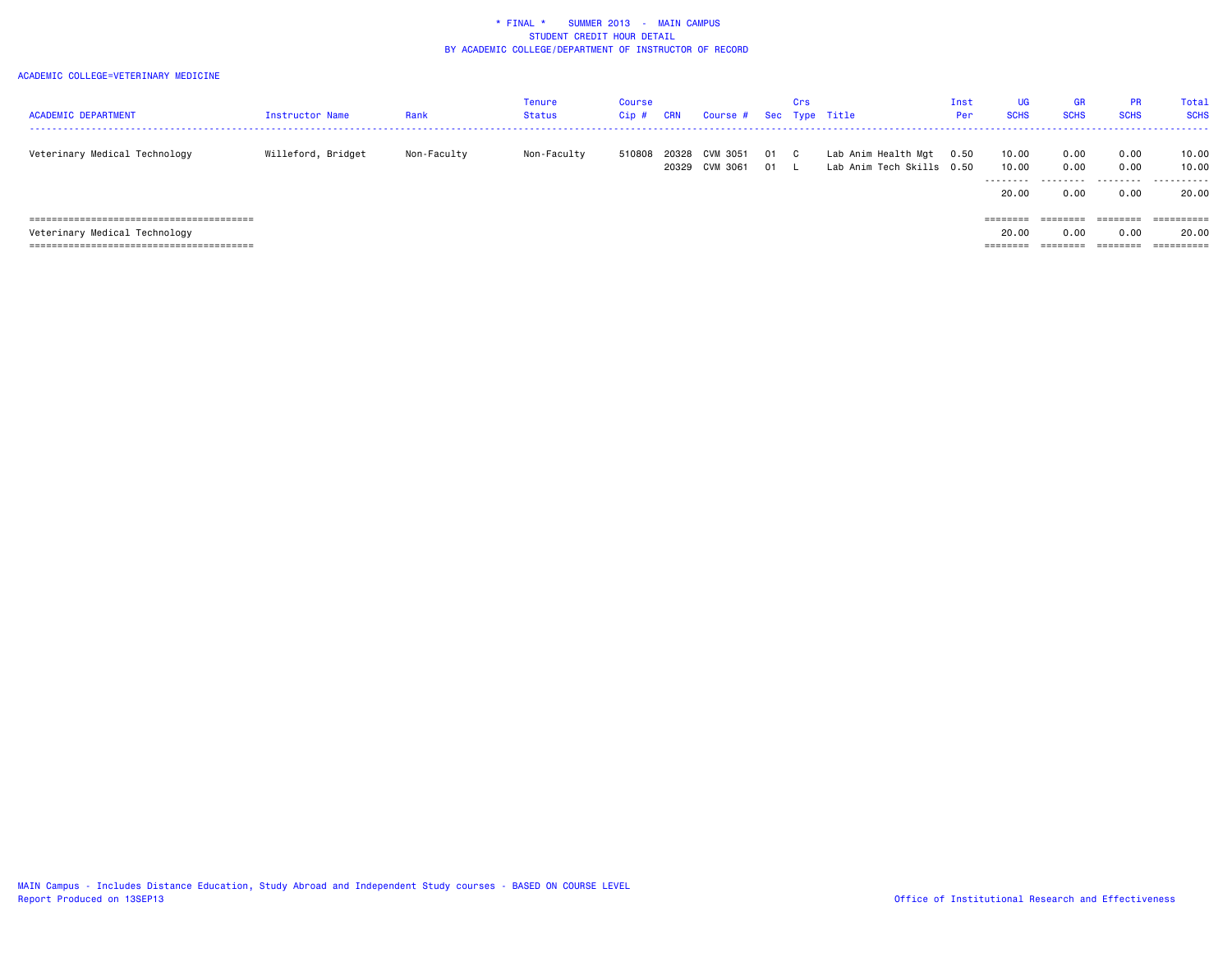| <b>ACADEMIC DEPARTMENT</b>    | Instructor Name    | Rank        | Tenure<br>Status | <b>Course</b><br>Cip# | CRN   | Course # Sec Type Title |    | Crs          |                           | Inst<br>Per | UG<br><b>SCHS</b> | <b>GR</b><br><b>SCHS</b> | <b>PR</b><br><b>SCHS</b> | Total<br><b>SCHS</b>  |
|-------------------------------|--------------------|-------------|------------------|-----------------------|-------|-------------------------|----|--------------|---------------------------|-------------|-------------------|--------------------------|--------------------------|-----------------------|
|                               |                    |             |                  |                       |       |                         |    |              |                           |             |                   |                          |                          |                       |
| Veterinary Medical Technology | Willeford, Bridget | Non-Faculty | Non-Faculty      | 510808                | 20328 | CVM 3051                | 01 | $\mathbf{C}$ | Lab Anim Health Mgt       | 0.50        | 10.00             | 0.00                     | 0.00                     | 10.00                 |
|                               |                    |             |                  |                       | 20329 | CVM 3061                | 01 |              | Lab Anim Tech Skills 0.50 |             | 10.00             | 0.00                     | 0.00                     | 10.00                 |
|                               |                    |             |                  |                       |       |                         |    |              |                           |             | .                 | ---------                | .                        | .                     |
|                               |                    |             |                  |                       |       |                         |    |              |                           |             | 20.00             | 0.00                     | 0.00                     | 20.00                 |
|                               |                    |             |                  |                       |       |                         |    |              |                           |             |                   |                          |                          |                       |
|                               |                    |             |                  |                       |       |                         |    |              |                           |             | ========          | ========                 | ========                 | ==========            |
| Veterinary Medical Technology |                    |             |                  |                       |       |                         |    |              |                           |             | 20.00             | 0.00                     | 0.00                     | 20.00                 |
|                               |                    |             |                  |                       |       |                         |    |              |                           |             | ========          | ========                 | ---------                | $=$ = = = = = = = = = |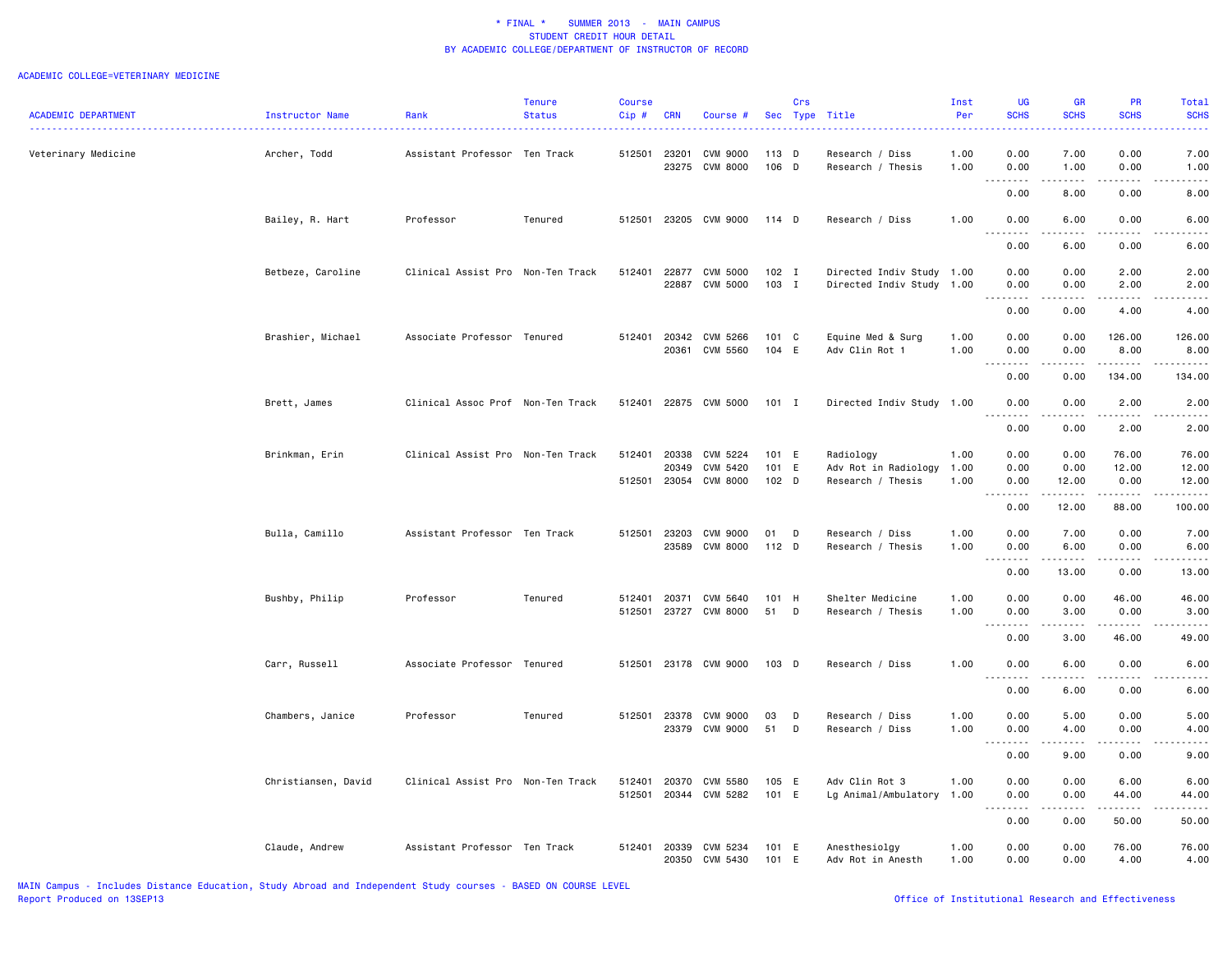|                            |                     |                                   | <b>Tenure</b> | <b>Course</b> |                |                      |                | Crs      |                                           | Inst         | <b>UG</b>                                                                                                                         | <b>GR</b>                                                                                                                                                    | <b>PR</b>                 | Total                         |
|----------------------------|---------------------|-----------------------------------|---------------|---------------|----------------|----------------------|----------------|----------|-------------------------------------------|--------------|-----------------------------------------------------------------------------------------------------------------------------------|--------------------------------------------------------------------------------------------------------------------------------------------------------------|---------------------------|-------------------------------|
| <b>ACADEMIC DEPARTMENT</b> | Instructor Name     | Rank                              | <b>Status</b> | Cip#          | <b>CRN</b>     | Course #             |                | Sec Type | Title                                     | Per          | <b>SCHS</b>                                                                                                                       | <b>SCHS</b>                                                                                                                                                  | <b>SCHS</b>               | <b>SCHS</b>                   |
|                            |                     | Assistant Professor Ten Track     |               | 512501        | 23201          | CVM 9000             | $113$ D        |          | Research / Diss                           | 1.00         | 0.00                                                                                                                              | 7.00                                                                                                                                                         | 0.00                      | 7.00                          |
| Veterinary Medicine        | Archer, Todd        |                                   |               |               | 23275          | <b>CVM 8000</b>      | 106 D          |          | Research / Thesis                         | 1.00         | 0.00                                                                                                                              | 1.00                                                                                                                                                         | 0.00                      | 1.00                          |
|                            |                     |                                   |               |               |                |                      |                |          |                                           |              | 0.00                                                                                                                              | 8.00                                                                                                                                                         | 0.00                      | 8.00                          |
|                            | Bailey, R. Hart     | Professor                         | Tenured       | 512501        |                | 23205 CVM 9000       | 114 D          |          | Research / Diss                           | 1.00         | 0.00                                                                                                                              | 6.00                                                                                                                                                         | 0.00                      | 6.00                          |
|                            |                     |                                   |               |               |                |                      |                |          |                                           |              | 0.00                                                                                                                              | 6.00                                                                                                                                                         | 0.00                      | 6.00                          |
|                            | Betbeze, Caroline   | Clinical Assist Pro Non-Ten Track |               | 512401        | 22877          | <b>CVM 5000</b>      | 102 I          |          | Directed Indiv Study 1.00                 |              | 0.00                                                                                                                              | 0.00                                                                                                                                                         | 2.00                      | 2.00                          |
|                            |                     |                                   |               |               | 22887          | CVM 5000             | 103 I          |          | Directed Indiv Study 1.00                 |              | 0.00                                                                                                                              | 0.00                                                                                                                                                         | 2.00                      | 2.00                          |
|                            |                     |                                   |               |               |                |                      |                |          |                                           |              | .<br>0.00                                                                                                                         | $\frac{1}{2} \left( \frac{1}{2} \right) \left( \frac{1}{2} \right) \left( \frac{1}{2} \right) \left( \frac{1}{2} \right) \left( \frac{1}{2} \right)$<br>0.00 | .<br>4.00                 | .<br>4.00                     |
|                            | Brashier, Michael   | Associate Professor Tenured       |               | 512401        | 20342          | CVM 5266             | 101 C          |          | Equine Med & Surg                         | 1.00         | 0.00                                                                                                                              | 0.00                                                                                                                                                         | 126.00                    | 126.00                        |
|                            |                     |                                   |               |               | 20361          | CVM 5560             | 104 E          |          | Adv Clin Rot 1                            | 1.00         | 0.00                                                                                                                              | 0.00                                                                                                                                                         | 8.00                      | 8.00                          |
|                            |                     |                                   |               |               |                |                      |                |          |                                           |              | .<br>0.00                                                                                                                         | .<br>0.00                                                                                                                                                    | $- - - - - - -$<br>134.00 | $- - - - -$<br>134.00         |
|                            | Brett, James        | Clinical Assoc Prof Non-Ten Track |               | 512401        |                | 22875 CVM 5000       | $101$ I        |          | Directed Indiv Study 1.00                 |              | 0.00                                                                                                                              | 0.00                                                                                                                                                         | 2.00                      | 2.00                          |
|                            |                     |                                   |               |               |                |                      |                |          |                                           |              | 0.00                                                                                                                              | .<br>0.00                                                                                                                                                    | .<br>2.00                 | 2.00                          |
|                            |                     |                                   |               |               |                |                      |                |          |                                           |              |                                                                                                                                   |                                                                                                                                                              |                           |                               |
|                            | Brinkman, Erin      | Clinical Assist Pro Non-Ten Track |               | 512401        | 20338          | CVM 5224             | 101 E          |          | Radiology                                 | 1.00         | 0.00                                                                                                                              | 0.00                                                                                                                                                         | 76.00                     | 76.00                         |
|                            |                     |                                   |               | 512501        | 20349<br>23054 | CVM 5420<br>CVM 8000 | 101 E<br>102 D |          | Adv Rot in Radiology<br>Research / Thesis | 1.00<br>1.00 | 0.00<br>0.00                                                                                                                      | 0.00<br>12.00                                                                                                                                                | 12.00<br>0.00             | 12.00<br>12.00                |
|                            |                     |                                   |               |               |                |                      |                |          |                                           |              | .                                                                                                                                 | ------                                                                                                                                                       | ------                    | $\omega$ is a set of $\omega$ |
|                            |                     |                                   |               |               |                |                      |                |          |                                           |              | 0.00                                                                                                                              | 12.00                                                                                                                                                        | 88.00                     | 100.00                        |
|                            | Bulla, Camillo      | Assistant Professor Ten Track     |               | 512501        | 23203          | CVM 9000             | 01             | D        | Research / Diss                           | 1.00         | 0.00                                                                                                                              | 7.00                                                                                                                                                         | 0.00                      | 7.00                          |
|                            |                     |                                   |               |               | 23589          | CVM 8000             | 112 D          |          | Research / Thesis                         | 1.00         | 0.00<br>.                                                                                                                         | 6.00<br>.                                                                                                                                                    | 0.00<br>.                 | 6.00<br>.                     |
|                            |                     |                                   |               |               |                |                      |                |          |                                           |              | 0.00                                                                                                                              | 13.00                                                                                                                                                        | 0.00                      | 13.00                         |
|                            | Bushby, Philip      | Professor                         | Tenured       | 512401        | 20371          | CVM 5640             | 101 H          |          | Shelter Medicine                          | 1.00         | 0.00                                                                                                                              | 0.00                                                                                                                                                         | 46.00                     | 46.00                         |
|                            |                     |                                   |               | 512501        | 23727          | <b>CVM 8000</b>      | 51             | D        | Research / Thesis                         | 1.00         | 0.00                                                                                                                              | 3.00                                                                                                                                                         | 0.00                      | 3.00                          |
|                            |                     |                                   |               |               |                |                      |                |          |                                           |              | .<br>0.00                                                                                                                         | $\sim$ $\sim$ $\sim$<br>3.00                                                                                                                                 | .<br>46.00                | $\frac{1}{2}$<br>49.00        |
|                            | Carr, Russell       | Associate Professor Tenured       |               | 512501        |                | 23178 CVM 9000       | 103 D          |          | Research / Diss                           | 1.00         | 0.00                                                                                                                              | 6.00                                                                                                                                                         | 0.00                      | 6.00                          |
|                            |                     |                                   |               |               |                |                      |                |          |                                           |              | 0.00                                                                                                                              | 6.00                                                                                                                                                         | 0.00                      | 6.00                          |
|                            |                     |                                   |               |               |                |                      |                |          |                                           |              |                                                                                                                                   |                                                                                                                                                              |                           |                               |
|                            | Chambers, Janice    | Professor                         | Tenured       | 512501        | 23378          | <b>CVM 9000</b>      | 03             | D        | Research / Diss                           | 1.00         | 0.00                                                                                                                              | 5.00                                                                                                                                                         | 0.00                      | 5.00                          |
|                            |                     |                                   |               |               | 23379          | CVM 9000             | 51             | D        | Research / Diss                           | 1.00         | 0.00<br>$\frac{1}{2} \left( \frac{1}{2} \right) \left( \frac{1}{2} \right) \left( \frac{1}{2} \right) \left( \frac{1}{2} \right)$ | 4.00<br>.                                                                                                                                                    | 0.00                      | 4.00<br>----                  |
|                            |                     |                                   |               |               |                |                      |                |          |                                           |              | 0.00                                                                                                                              | 9.00                                                                                                                                                         | 0.00                      | 9.00                          |
|                            | Christiansen, David | Clinical Assist Pro Non-Ten Track |               | 512401        | 20370          | CVM 5580             | 105 E          |          | Adv Clin Rot 3                            | 1.00         | 0.00                                                                                                                              | 0.00                                                                                                                                                         | 6.00                      | 6.00                          |
|                            |                     |                                   |               | 512501        |                | 20344 CVM 5282       | 101 E          |          | Lg Animal/Ambulatory 1.00                 |              | 0.00<br>.                                                                                                                         | 0.00<br>.                                                                                                                                                    | 44.00<br>.                | 44.00<br>.                    |
|                            |                     |                                   |               |               |                |                      |                |          |                                           |              | 0.00                                                                                                                              | 0.00                                                                                                                                                         | 50.00                     | 50.00                         |
|                            | Claude, Andrew      | Assistant Professor Ten Track     |               | 512401        | 20339          | CVM 5234             | 101 E          |          | Anesthesiolgy                             | 1.00         | 0.00                                                                                                                              | 0.00                                                                                                                                                         | 76.00                     | 76.00                         |
|                            |                     |                                   |               |               | 20350          | CVM 5430             | 101 E          |          | Adv Rot in Anesth                         | 1.00         | 0.00                                                                                                                              | 0.00                                                                                                                                                         | 4.00                      | 4.00                          |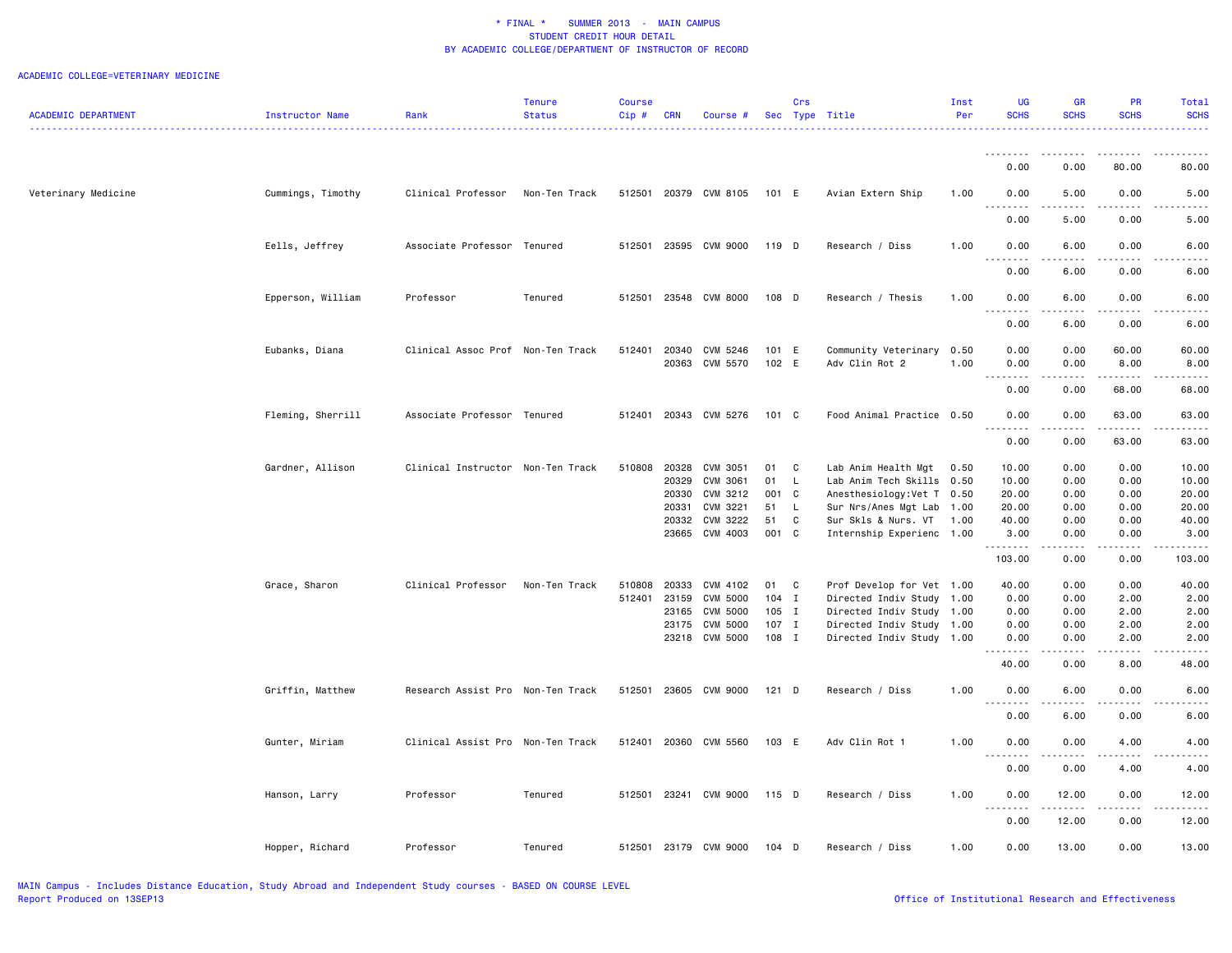| <b>ACADEMIC DEPARTMENT</b> | Instructor Name   | Rank                              | <b>Tenure</b><br>Status | Course<br>Cip# | <b>CRN</b> | Course #                   |                | Crs            | Sec Type Title                         | Inst<br>Per  | UG<br><b>SCHS</b>        | <b>GR</b><br><b>SCHS</b>                                                                                                          | PR<br><b>SCHS</b>    | Total<br><b>SCHS</b> |
|----------------------------|-------------------|-----------------------------------|-------------------------|----------------|------------|----------------------------|----------------|----------------|----------------------------------------|--------------|--------------------------|-----------------------------------------------------------------------------------------------------------------------------------|----------------------|----------------------|
|                            |                   |                                   |                         |                |            |                            |                |                |                                        |              |                          |                                                                                                                                   |                      |                      |
|                            |                   |                                   |                         |                |            |                            |                |                |                                        |              | .<br>0.00                | ----<br>0.00                                                                                                                      | 80.00                | 80.00                |
| Veterinary Medicine        | Cummings, Timothy | Clinical Professor                | Non-Ten Track           | 512501         |            | 20379 CVM 8105             | 101 E          |                | Avian Extern Ship                      | 1.00         | 0.00<br>.                | 5.00<br>$\sim$ $\sim$ $\sim$ $\sim$                                                                                               | 0.00<br>.            | 5.00                 |
|                            |                   |                                   |                         |                |            |                            |                |                |                                        |              | 0.00                     | 5.00                                                                                                                              | 0.00                 | 5.00                 |
|                            | Eells, Jeffrey    | Associate Professor Tenured       |                         | 512501         |            | 23595 CVM 9000             | 119 D          |                | Research / Diss                        | 1.00         | 0.00<br>.                | 6.00<br>.                                                                                                                         | 0.00<br>.            | 6.00                 |
|                            |                   |                                   |                         |                |            |                            |                |                |                                        |              | 0.00                     | 6.00                                                                                                                              | 0.00                 | 6.00                 |
|                            | Epperson, William | Professor                         | Tenured                 | 512501         |            | 23548 CVM 8000             | 108 D          |                | Research / Thesis                      | 1.00         | 0.00                     | 6.00                                                                                                                              | 0.00                 | 6.00                 |
|                            |                   |                                   |                         |                |            |                            |                |                |                                        |              | 0.00                     | 6.00                                                                                                                              | 0.00                 | 6.00                 |
|                            | Eubanks, Diana    | Clinical Assoc Prof Non-Ten Track |                         | 512401         | 20340      | CVM 5246<br>20363 CVM 5570 | 101 E<br>102 E |                | Community Veterinary<br>Adv Clin Rot 2 | 0.50<br>1.00 | 0.00<br>0.00<br><u>.</u> | 0.00<br>0.00<br>.                                                                                                                 | 60.00<br>8.00<br>.   | 60.00<br>8.00        |
|                            |                   |                                   |                         |                |            |                            |                |                |                                        |              | 0.00                     | 0.00                                                                                                                              | 68.00                | 68.00                |
|                            | Fleming, Sherrill | Associate Professor Tenured       |                         |                |            | 512401 20343 CVM 5276      | 101 C          |                | Food Animal Practice 0.50              |              | 0.00<br>$\frac{1}{2}$    | 0.00<br>$\frac{1}{2} \left( \frac{1}{2} \right) \left( \frac{1}{2} \right) \left( \frac{1}{2} \right) \left( \frac{1}{2} \right)$ | 63.00<br>$- - - - -$ | 63.00                |
|                            |                   |                                   |                         |                |            |                            |                |                |                                        |              | 0.00                     | 0.00                                                                                                                              | 63.00                | 63.00                |
|                            | Gardner, Allison  | Clinical Instructor Non-Ten Track |                         | 510808         | 20328      | CVM 3051                   | 01             | $\overline{C}$ | Lab Anim Health Mgt                    | 0.50         | 10.00                    | 0.00                                                                                                                              | 0.00                 | 10.00                |
|                            |                   |                                   |                         |                | 20329      | CVM 3061                   | 01             | L.             | Lab Anim Tech Skills                   | 0.50         | 10.00                    | 0.00                                                                                                                              | 0.00                 | 10.00                |
|                            |                   |                                   |                         |                | 20330      | CVM 3212                   | 001 C          |                | Anesthesiology: Vet T 0.50             |              | 20.00                    | 0.00                                                                                                                              | 0.00                 | 20.00                |
|                            |                   |                                   |                         |                | 20331      | CVM 3221                   | 51 L           |                | Sur Nrs/Anes Mgt Lab                   | 1.00         | 20.00                    | 0.00                                                                                                                              | 0.00                 | 20.00                |
|                            |                   |                                   |                         |                |            | 20332 CVM 3222             | 51 C<br>001 C  |                | Sur Skls & Nurs. VT                    | 1.00         | 40.00                    | 0.00                                                                                                                              | 0.00                 | 40.00                |
|                            |                   |                                   |                         |                |            | 23665 CVM 4003             |                |                | Internship Experienc 1.00              |              | 3.00<br>.<br>103.00      | 0.00<br>$- - -$<br>0.00                                                                                                           | 0.00<br>.<br>0.00    | 3.00<br>103.00       |
|                            | Grace, Sharon     | Clinical Professor                | Non-Ten Track           | 510808         | 20333      | CVM 4102                   | 01             | $\mathbf{C}$   | Prof Develop for Vet 1.00              |              | 40.00                    | 0.00                                                                                                                              | 0.00                 | 40.00                |
|                            |                   |                                   |                         | 512401         | 23159      | CVM 5000                   | $104$ I        |                | Directed Indiv Study 1.00              |              | 0.00                     | 0.00                                                                                                                              | 2.00                 | 2.00                 |
|                            |                   |                                   |                         |                | 23165      | <b>CVM 5000</b>            | 105 I          |                | Directed Indiv Study                   | 1.00         | 0.00                     | 0.00                                                                                                                              | 2.00                 | 2.00                 |
|                            |                   |                                   |                         |                |            | 23175 CVM 5000             | 107 I          |                | Directed Indiv Study 1.00              |              | 0.00                     | 0.00                                                                                                                              | 2.00                 | 2.00                 |
|                            |                   |                                   |                         |                |            | 23218 CVM 5000             | 108 I          |                | Directed Indiv Study 1.00              |              | 0.00<br>.                | 0.00<br>.                                                                                                                         | 2.00                 | 2.00                 |
|                            |                   |                                   |                         |                |            |                            |                |                |                                        |              | 40.00                    | 0.00                                                                                                                              | 8.00                 | 48.00                |
|                            | Griffin, Matthew  | Research Assist Pro Non-Ten Track |                         |                |            | 512501 23605 CVM 9000      | $121$ D        |                | Research / Diss                        | 1.00         | 0.00<br><u>.</u>         | 6.00<br>$\frac{1}{2}$                                                                                                             | 0.00<br>.            | 6.00                 |
|                            |                   |                                   |                         |                |            |                            |                |                |                                        |              | 0.00                     | 6.00                                                                                                                              | 0.00                 | 6.00                 |
|                            | Gunter, Miriam    | Clinical Assist Pro Non-Ten Track |                         | 512401         |            | 20360 CVM 5560             | 103 E          |                | Adv Clin Rot 1                         | 1.00         | 0.00<br>.                | 0.00<br>د د د د                                                                                                                   | 4.00<br>.<br>4.00    | 4.00                 |
|                            | Hanson, Larry     | Professor                         | Tenured                 | 512501         |            | 23241 CVM 9000             | 115 D          |                | Research / Diss                        | 1.00         | 0.00<br>0.00             | 0.00<br>12.00                                                                                                                     | 0.00                 | 4.00<br>12.00        |
|                            |                   |                                   |                         |                |            |                            |                |                |                                        |              | 0.00                     | 12.00                                                                                                                             | 0.00                 | 12.00                |
|                            | Hopper, Richard   | Professor                         | Tenured                 | 512501         |            | 23179 CVM 9000             | $104$ D        |                | Research / Diss                        | 1.00         | 0.00                     | 13.00                                                                                                                             | 0.00                 | 13.00                |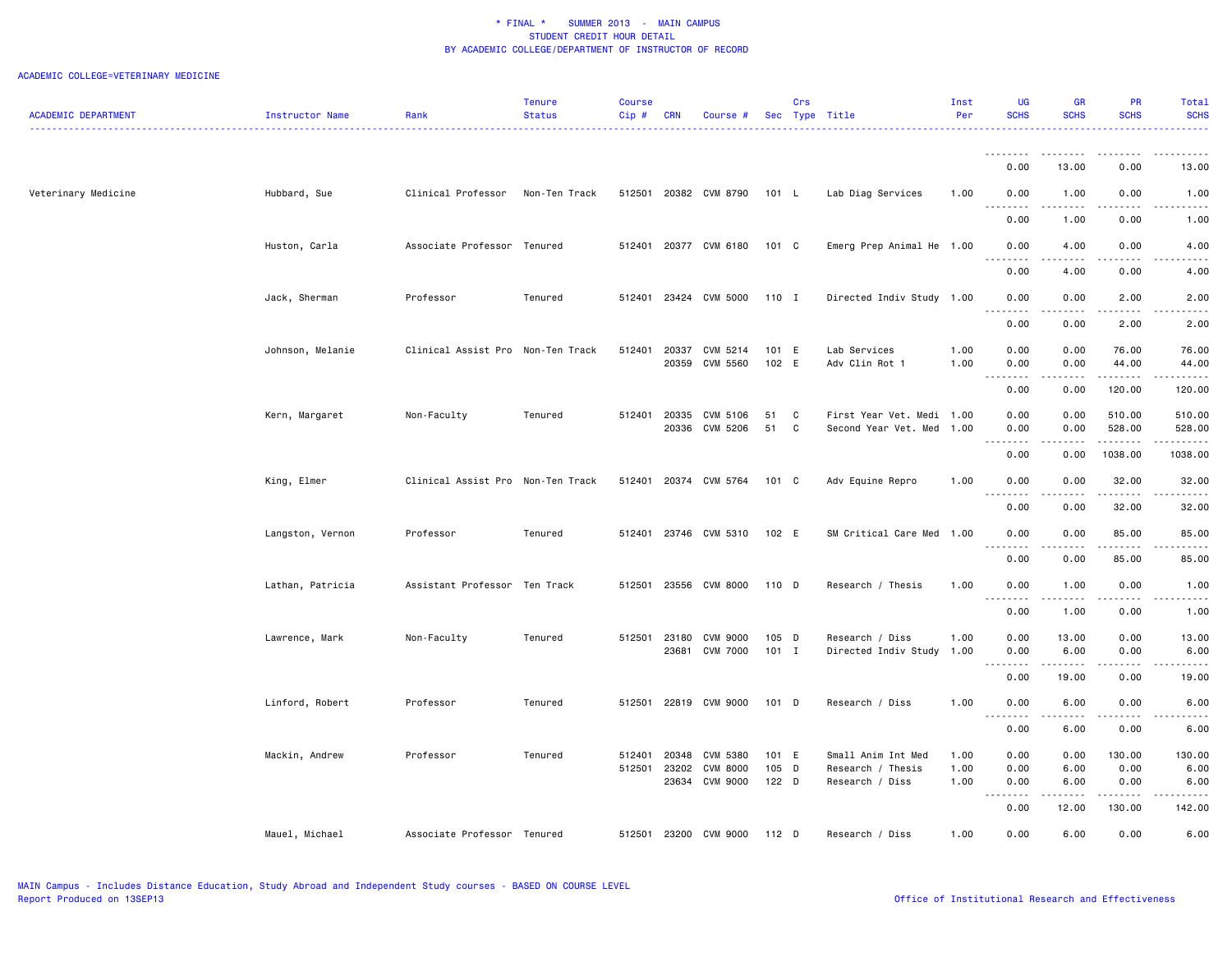|                            |                  |                                   | <b>Tenure</b> | <b>Course</b> |                |                             |                | Crs          |                                | Inst         | UG                                                                                                                                                                    | <b>GR</b>        | <b>PR</b>          | Total             |
|----------------------------|------------------|-----------------------------------|---------------|---------------|----------------|-----------------------------|----------------|--------------|--------------------------------|--------------|-----------------------------------------------------------------------------------------------------------------------------------------------------------------------|------------------|--------------------|-------------------|
| <b>ACADEMIC DEPARTMENT</b> | Instructor Name  | Rank                              | <b>Status</b> | Cip#          | <b>CRN</b>     | Course #                    |                |              | Sec Type Title                 | Per          | <b>SCHS</b>                                                                                                                                                           | <b>SCHS</b>      | <b>SCHS</b>        | <b>SCHS</b>       |
|                            |                  |                                   |               |               |                |                             |                |              |                                |              |                                                                                                                                                                       |                  |                    |                   |
|                            |                  |                                   |               |               |                |                             |                |              |                                |              | --------<br>0.00                                                                                                                                                      | .<br>13.00       | . <b>.</b><br>0.00 | .<br>13.00        |
|                            |                  |                                   |               |               |                |                             |                |              |                                |              |                                                                                                                                                                       |                  |                    |                   |
| Veterinary Medicine        | Hubbard, Sue     | Clinical Professor                | Non-Ten Track |               |                | 512501 20382 CVM 8790       | 101 L          |              | Lab Diag Services              | 1.00         | 0.00<br>.                                                                                                                                                             | 1.00<br><b>.</b> | 0.00<br>.          | 1.00<br>$- - - -$ |
|                            |                  |                                   |               |               |                |                             |                |              |                                |              | 0.00                                                                                                                                                                  | 1.00             | 0.00               | 1.00              |
|                            | Huston, Carla    | Associate Professor Tenured       |               | 512401        |                | 20377 CVM 6180              | 101 C          |              | Emerg Prep Animal He 1.00      |              | 0.00                                                                                                                                                                  | 4.00             | 0.00               | 4.00              |
|                            |                  |                                   |               |               |                |                             |                |              |                                |              |                                                                                                                                                                       |                  |                    |                   |
|                            |                  |                                   |               |               |                |                             |                |              |                                |              | 0.00                                                                                                                                                                  | 4.00             | 0.00               | 4.00              |
|                            | Jack, Sherman    | Professor                         | Tenured       |               |                | 512401 23424 CVM 5000       | 110 I          |              | Directed Indiv Study 1.00      |              | 0.00                                                                                                                                                                  | 0.00             | 2.00               | 2.00              |
|                            |                  |                                   |               |               |                |                             |                |              |                                |              | .<br>0.00                                                                                                                                                             | .<br>0.00        | 2.00               | -----<br>2.00     |
|                            |                  |                                   |               |               |                |                             |                |              |                                |              |                                                                                                                                                                       |                  |                    |                   |
|                            | Johnson, Melanie | Clinical Assist Pro Non-Ten Track |               | 512401        | 20337<br>20359 | CVM 5214<br><b>CVM 5560</b> | 101 E<br>102 E |              | Lab Services<br>Adv Clin Rot 1 | 1.00<br>1.00 | 0.00<br>0.00                                                                                                                                                          | 0.00<br>0.00     | 76.00<br>44.00     | 76.00<br>44.00    |
|                            |                  |                                   |               |               |                |                             |                |              |                                |              | .                                                                                                                                                                     | .                | .                  | .                 |
|                            |                  |                                   |               |               |                |                             |                |              |                                |              | 0.00                                                                                                                                                                  | 0.00             | 120.00             | 120.00            |
|                            | Kern, Margaret   | Non-Faculty                       | Tenured       | 512401        | 20335          | CVM 5106                    | 51<br>51       | $\mathbf{C}$ | First Year Vet. Medi 1.00      |              | 0.00                                                                                                                                                                  | 0.00             | 510.00             | 510.00            |
|                            |                  |                                   |               |               |                | 20336 CVM 5206              |                | $\mathbf{C}$ | Second Year Vet. Med 1.00      |              | 0.00                                                                                                                                                                  | 0.00             | 528.00<br><b></b>  | 528.00<br>.       |
|                            |                  |                                   |               |               |                |                             |                |              |                                |              | 0.00                                                                                                                                                                  | 0.00             | 1038.00            | 1038.00           |
|                            | King, Elmer      | Clinical Assist Pro Non-Ten Track |               |               |                | 512401 20374 CVM 5764       | 101 C          |              | Adv Equine Repro               | 1.00         | 0.00                                                                                                                                                                  | 0.00             | 32.00              | 32.00             |
|                            |                  |                                   |               |               |                |                             |                |              |                                |              | $\sim$ $\sim$ $\sim$<br>.<br>0.00                                                                                                                                     | .<br>0.00        | <u>.</u><br>32.00  | .<br>32.00        |
|                            |                  |                                   |               |               |                |                             |                |              |                                |              |                                                                                                                                                                       |                  |                    |                   |
|                            | Langston, Vernon | Professor                         | Tenured       | 512401        |                | 23746 CVM 5310              | 102 E          |              | SM Critical Care Med 1.00      |              | 0.00<br>المالم المالي                                                                                                                                                 | 0.00<br>- - - -  | 85.00              | 85.00             |
|                            |                  |                                   |               |               |                |                             |                |              |                                |              | 0.00                                                                                                                                                                  | 0.00             | 85.00              | 85.00             |
|                            | Lathan, Patricia | Assistant Professor Ten Track     |               | 512501        |                | 23556 CVM 8000              | 110 D          |              | Research / Thesis              | 1.00         | 0.00                                                                                                                                                                  | 1.00             | 0.00               | 1.00              |
|                            |                  |                                   |               |               |                |                             |                |              |                                |              | .                                                                                                                                                                     | .                | .                  | .                 |
|                            |                  |                                   |               |               |                |                             |                |              |                                |              | 0.00                                                                                                                                                                  | 1.00             | 0.00               | 1.00              |
|                            | Lawrence, Mark   | Non-Faculty                       | Tenured       | 512501        | 23180          | CVM 9000                    | 105 D          |              | Research / Diss                | 1.00         | 0.00                                                                                                                                                                  | 13.00            | 0.00               | 13.00             |
|                            |                  |                                   |               |               | 23681          | <b>CVM 7000</b>             | $101$ I        |              | Directed Indiv Study 1.00      |              | 0.00<br>$\frac{1}{2} \left( \frac{1}{2} \right) \left( \frac{1}{2} \right) \left( \frac{1}{2} \right) \left( \frac{1}{2} \right) \left( \frac{1}{2} \right)$<br>$  -$ | 6.00<br>.        | 0.00<br>.          | 6.00<br>د د د د   |
|                            |                  |                                   |               |               |                |                             |                |              |                                |              | 0.00                                                                                                                                                                  | 19.00            | 0.00               | 19.00             |
|                            | Linford, Robert  | Professor                         | Tenured       | 512501        |                | 22819 CVM 9000              | 101 D          |              | Research / Diss                | 1.00         | 0.00                                                                                                                                                                  | 6.00             | 0.00               | 6.00              |
|                            |                  |                                   |               |               |                |                             |                |              |                                |              |                                                                                                                                                                       |                  |                    |                   |
|                            |                  |                                   |               |               |                |                             |                |              |                                |              | 0.00                                                                                                                                                                  | 6.00             | 0.00               | 6.00              |
|                            | Mackin, Andrew   | Professor                         | Tenured       | 512401        | 20348          | CVM 5380                    | 101 E          |              | Small Anim Int Med             | 1.00         | 0.00                                                                                                                                                                  | 0.00             | 130.00             | 130.00            |
|                            |                  |                                   |               | 512501        | 23202          | CVM 8000                    | 105 D          |              | Research / Thesis              | 1.00         | 0.00                                                                                                                                                                  | 6.00             | 0.00               | 6.00              |
|                            |                  |                                   |               |               | 23634          | CVM 9000                    | $122$ D        |              | Research / Diss                | 1.00         | 0.00<br>.<br>$- - -$                                                                                                                                                  | 6.00<br>.        | 0.00<br>. <b>.</b> | 6.00<br>.         |
|                            |                  |                                   |               |               |                |                             |                |              |                                |              | 0.00                                                                                                                                                                  | 12.00            | 130.00             | 142.00            |
|                            | Mauel, Michael   | Associate Professor Tenured       |               | 512501        |                | 23200 CVM 9000              | 112 D          |              | Research / Diss                | 1.00         | 0.00                                                                                                                                                                  | 6.00             | 0.00               | 6.00              |
|                            |                  |                                   |               |               |                |                             |                |              |                                |              |                                                                                                                                                                       |                  |                    |                   |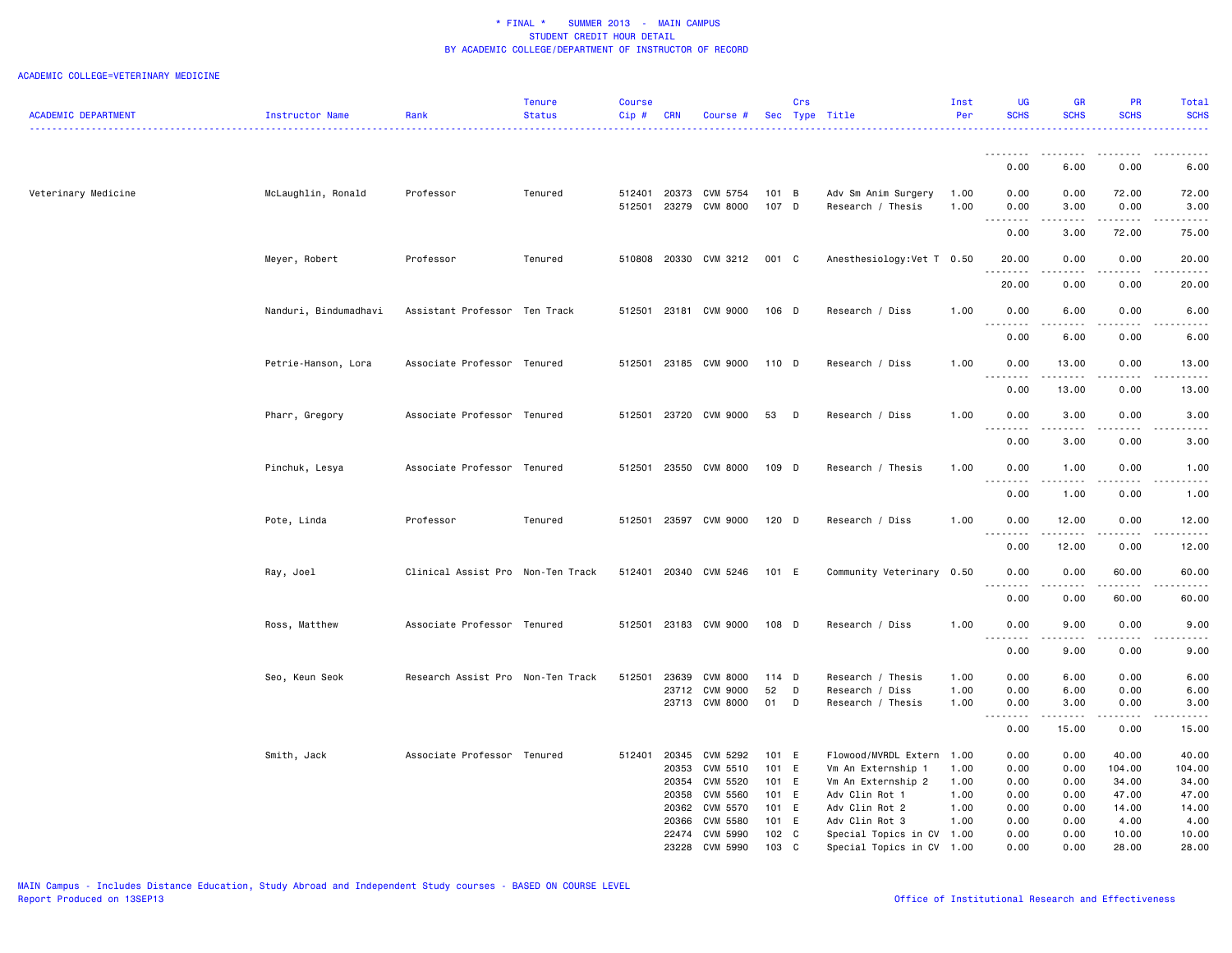|                            |                        |                                   | <b>Tenure</b> | <b>Course</b>    |                |                             |                | Crs |                                          | Inst         |                                             |                                                                                                                                                      |                       | Total                                                                                                                                                |
|----------------------------|------------------------|-----------------------------------|---------------|------------------|----------------|-----------------------------|----------------|-----|------------------------------------------|--------------|---------------------------------------------|------------------------------------------------------------------------------------------------------------------------------------------------------|-----------------------|------------------------------------------------------------------------------------------------------------------------------------------------------|
| <b>ACADEMIC DEPARTMENT</b> | <b>Instructor Name</b> | Rank                              | <b>Status</b> | Cip#             | <b>CRN</b>     | Course #                    |                |     | Sec Type Title                           | Per          | <b>SCHS</b>                                 | <b>SCHS</b>                                                                                                                                          | <b>SCHS</b>           | <b>SCHS</b><br>.                                                                                                                                     |
|                            |                        |                                   |               |                  |                |                             |                |     |                                          |              |                                             |                                                                                                                                                      |                       |                                                                                                                                                      |
|                            |                        |                                   |               |                  |                |                             |                |     |                                          |              | .<br>0.00                                   | .<br>6.00                                                                                                                                            | 0.00                  | 6.00                                                                                                                                                 |
|                            |                        |                                   |               |                  |                |                             |                |     |                                          |              |                                             |                                                                                                                                                      |                       |                                                                                                                                                      |
| Veterinary Medicine        | McLaughlin, Ronald     | Professor                         | Tenured       | 512401<br>512501 | 20373<br>23279 | CVM 5754<br><b>CVM 8000</b> | 101 B<br>107 D |     | Adv Sm Anim Surgery<br>Research / Thesis | 1.00<br>1.00 | 0.00<br>0.00                                | 0.00<br>3.00                                                                                                                                         | 72.00<br>0.00         | 72.00<br>3.00                                                                                                                                        |
|                            |                        |                                   |               |                  |                |                             |                |     |                                          |              | .                                           | $\frac{1}{2} \left( \frac{1}{2} \right) \left( \frac{1}{2} \right) \left( \frac{1}{2} \right) \left( \frac{1}{2} \right) \left( \frac{1}{2} \right)$ | .                     | .                                                                                                                                                    |
|                            |                        |                                   |               |                  |                |                             |                |     |                                          |              | 0.00                                        | 3.00                                                                                                                                                 | 72.00                 | 75.00                                                                                                                                                |
|                            | Meyer, Robert          | Professor                         | Tenured       | 510808           | 20330          | CVM 3212                    | 001 C          |     | Anesthesiology: Vet T 0.50               |              | 20.00<br>وعاديا                             | 0.00                                                                                                                                                 | 0.00                  | 20.00<br>-----                                                                                                                                       |
|                            |                        |                                   |               |                  |                |                             |                |     |                                          |              | 20.00                                       | 0.00                                                                                                                                                 | 0.00                  | 20.00                                                                                                                                                |
|                            | Nanduri, Bindumadhavi  | Assistant Professor Ten Track     |               | 512501           |                | 23181 CVM 9000              | 106 D          |     | Research / Diss                          | 1.00         | 0.00                                        | 6.00                                                                                                                                                 | 0.00                  | 6.00                                                                                                                                                 |
|                            |                        |                                   |               |                  |                |                             |                |     |                                          |              | $\sim$ $\sim$ $\sim$                        |                                                                                                                                                      |                       | -----                                                                                                                                                |
|                            |                        |                                   |               |                  |                |                             |                |     |                                          |              | 0.00                                        | 6.00                                                                                                                                                 | 0.00                  | 6.00                                                                                                                                                 |
|                            | Petrie-Hanson, Lora    | Associate Professor Tenured       |               | 512501           |                | 23185 CVM 9000              | 110 D          |     | Research / Diss                          | 1.00         | 0.00                                        | 13.00                                                                                                                                                | 0.00                  | 13.00                                                                                                                                                |
|                            |                        |                                   |               |                  |                |                             |                |     |                                          |              | .<br>0.00                                   | .<br>13.00                                                                                                                                           | $\frac{1}{2}$<br>0.00 | .<br>13.00                                                                                                                                           |
|                            |                        |                                   |               |                  |                |                             |                |     |                                          |              |                                             |                                                                                                                                                      |                       |                                                                                                                                                      |
|                            | Pharr, Gregory         | Associate Professor Tenured       |               | 512501           | 23720          | CVM 9000                    | 53             | D   | Research / Diss                          | 1.00         | 0.00<br>$\sim$ $\sim$                       | 3.00                                                                                                                                                 | 0.00                  | 3.00                                                                                                                                                 |
|                            |                        |                                   |               |                  |                |                             |                |     |                                          |              | 0.00                                        | 3.00                                                                                                                                                 | 0.00                  | 3.00                                                                                                                                                 |
|                            | Pinchuk, Lesya         | Associate Professor Tenured       |               | 512501           |                | 23550 CVM 8000              | 109 D          |     | Research / Thesis                        | 1.00         | 0.00                                        | 1.00                                                                                                                                                 | 0.00                  | 1.00                                                                                                                                                 |
|                            |                        |                                   |               |                  |                |                             |                |     |                                          |              | $\sim$ $\sim$ $\sim$<br>$- - - - -$<br>0.00 | .<br>1.00                                                                                                                                            | .<br>0.00             | $\frac{1}{2}$<br>1.00                                                                                                                                |
|                            |                        |                                   |               |                  |                |                             |                |     |                                          |              |                                             |                                                                                                                                                      |                       |                                                                                                                                                      |
|                            | Pote, Linda            | Professor                         | Tenured       | 512501           | 23597          | CVM 9000                    | $120$ D        |     | Research / Diss                          | 1.00         | 0.00<br>.                                   | 12.00<br>.                                                                                                                                           | 0.00<br>د د د د       | 12.00<br>.                                                                                                                                           |
|                            |                        |                                   |               |                  |                |                             |                |     |                                          |              | 0.00                                        | 12.00                                                                                                                                                | 0.00                  | 12.00                                                                                                                                                |
|                            | Ray, Joel              | Clinical Assist Pro Non-Ten Track |               | 512401           | 20340          | CVM 5246                    | 101 E          |     | Community Veterinary 0.50                |              | 0.00                                        | 0.00                                                                                                                                                 | 60.00                 | 60.00                                                                                                                                                |
|                            |                        |                                   |               |                  |                |                             |                |     |                                          |              | $\sim$ $\sim$<br>0.00                       | 0.00                                                                                                                                                 | 60.00                 | 60.00                                                                                                                                                |
|                            | Ross, Matthew          | Associate Professor Tenured       |               | 512501           | 23183          | CVM 9000                    | 108 D          |     | Research / Diss                          | 1.00         | 0.00                                        | 9.00                                                                                                                                                 | 0.00                  | 9.00                                                                                                                                                 |
|                            |                        |                                   |               |                  |                |                             |                |     |                                          |              | .                                           |                                                                                                                                                      |                       | $\frac{1}{2} \left( \frac{1}{2} \right) \left( \frac{1}{2} \right) \left( \frac{1}{2} \right) \left( \frac{1}{2} \right) \left( \frac{1}{2} \right)$ |
|                            |                        |                                   |               |                  |                |                             |                |     |                                          |              | 0.00                                        | 9.00                                                                                                                                                 | 0.00                  | 9.00                                                                                                                                                 |
|                            | Seo, Keun Seok         | Research Assist Pro Non-Ten Track |               | 512501           | 23639          | <b>CVM 8000</b>             | 114 D          |     | Research / Thesis                        | 1.00         | 0.00                                        | 6.00                                                                                                                                                 | 0.00                  | 6.00                                                                                                                                                 |
|                            |                        |                                   |               |                  | 23712          | <b>CVM 9000</b>             | 52             | D   | Research / Diss                          | 1.00         | 0.00                                        | 6.00                                                                                                                                                 | 0.00                  | 6.00                                                                                                                                                 |
|                            |                        |                                   |               |                  | 23713          | <b>CVM 8000</b>             | 01             | D   | Research / Thesis                        | 1.00         | 0.00                                        | 3.00                                                                                                                                                 | 0.00<br>.             | 3.00<br>.                                                                                                                                            |
|                            |                        |                                   |               |                  |                |                             |                |     |                                          |              | $\sim$ $\sim$<br>0.00                       | 15.00                                                                                                                                                | 0.00                  | 15.00                                                                                                                                                |
|                            | Smith, Jack            | Associate Professor Tenured       |               | 512401           | 20345          | <b>CVM 5292</b>             | 101 E          |     | Flowood/MVRDL Extern                     | 1.00         | 0.00                                        | 0.00                                                                                                                                                 | 40.00                 | 40.00                                                                                                                                                |
|                            |                        |                                   |               |                  | 20353          | CVM 5510                    | 101 E          |     | Vm An Externship 1                       | 1.00         | 0.00                                        | 0.00                                                                                                                                                 | 104.00                | 104.00                                                                                                                                               |
|                            |                        |                                   |               |                  | 20354          | CVM 5520                    | 101 E          |     | Vm An Externship 2                       | 1.00         | 0.00                                        | 0.00                                                                                                                                                 | 34.00                 | 34.00                                                                                                                                                |
|                            |                        |                                   |               |                  | 20358          | <b>CVM 5560</b>             | 101 E          |     | Adv Clin Rot 1                           | 1.00         | 0.00                                        | 0.00                                                                                                                                                 | 47.00                 | 47.00                                                                                                                                                |
|                            |                        |                                   |               |                  | 20362          | <b>CVM 5570</b>             | 101 E          |     | Adv Clin Rot 2                           | 1.00         | 0.00                                        | 0.00                                                                                                                                                 | 14.00                 | 14.00                                                                                                                                                |
|                            |                        |                                   |               |                  | 20366          | <b>CVM 5580</b>             | 101 E          |     | Adv Clin Rot 3                           | 1.00         | 0.00                                        | 0.00                                                                                                                                                 | 4.00                  | 4.00                                                                                                                                                 |
|                            |                        |                                   |               |                  | 22474          | CVM 5990                    | 102 C          |     | Special Topics in CV 1.00                |              | 0.00                                        | 0.00                                                                                                                                                 | 10.00                 | 10.00                                                                                                                                                |
|                            |                        |                                   |               |                  | 23228          | CVM 5990                    | 103            | C   | Special Topics in CV 1.00                |              | 0.00                                        | 0.00                                                                                                                                                 | 28.00                 | 28.00                                                                                                                                                |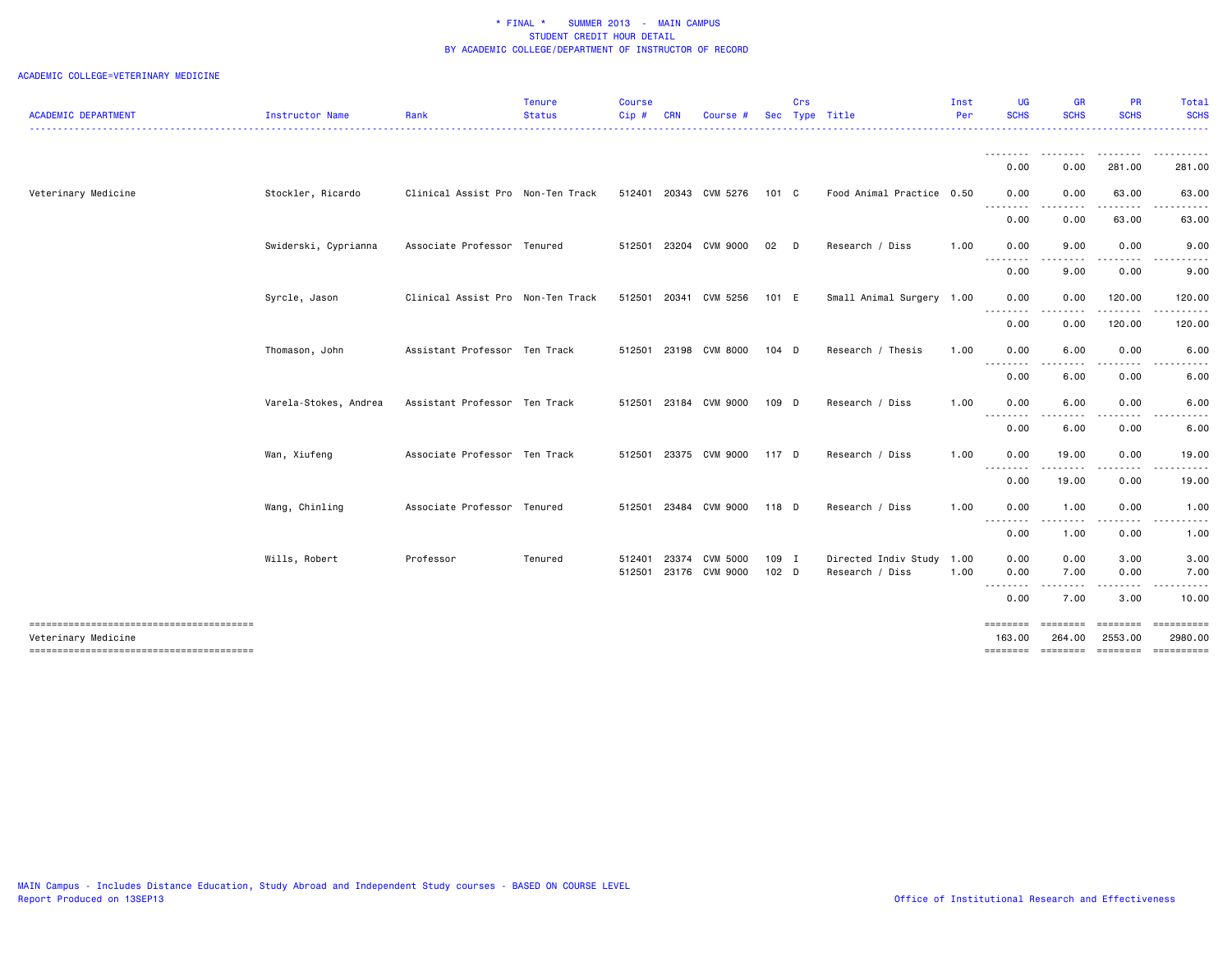|                            |                       |                                   | <b>Tenure</b> | <b>Course</b> |              |                       |            | Crs    |                           | Inst | UG               | <b>GR</b>       | <b>PR</b>      | Total                                                                                                                               |
|----------------------------|-----------------------|-----------------------------------|---------------|---------------|--------------|-----------------------|------------|--------|---------------------------|------|------------------|-----------------|----------------|-------------------------------------------------------------------------------------------------------------------------------------|
| <b>ACADEMIC DEPARTMENT</b> | Instructor Name       | Rank                              | <b>Status</b> | $Cip \#$      | <b>CRN</b>   | Course                | <b>Sec</b> |        | Type Title                | Per  | <b>SCHS</b>      | <b>SCHS</b>     | <b>SCHS</b>    | <b>SCHS</b><br>. <b>.</b>                                                                                                           |
|                            |                       |                                   |               |               |              |                       |            |        |                           |      | <u>.</u>         |                 | .              |                                                                                                                                     |
|                            |                       |                                   |               |               |              |                       |            |        |                           |      | 0.00             | 0.00            | 281.00         | 281.00                                                                                                                              |
| Veterinary Medicine        | Stockler, Ricardo     | Clinical Assist Pro Non-Ten Track |               |               | 512401 20343 | CVM 5276              | 101 C      |        | Food Animal Practice 0.50 |      | 0.00<br>.        | 0.00            | 63.00          | 63.00<br>.                                                                                                                          |
|                            |                       |                                   |               |               |              |                       |            |        |                           |      | 0.00             | .<br>0.00       | -----<br>63.00 | 63.00                                                                                                                               |
|                            | Swiderski, Cyprianna  | Associate Professor Tenured       |               |               |              | 512501 23204 CVM 9000 | 02         | $\Box$ | Research / Diss           | 1.00 | 0.00             | 9.00            | 0.00           | 9.00                                                                                                                                |
|                            |                       |                                   |               |               |              |                       |            |        |                           |      | .<br>0.00        | 9.00            | 0.00           | 9.00                                                                                                                                |
|                            | Syrcle, Jason         | Clinical Assist Pro Non-Ten Track |               |               |              | 512501 20341 CVM 5256 | 101 E      |        | Small Animal Surgery 1.00 |      | 0.00             | 0.00            | 120.00         | 120.00                                                                                                                              |
|                            |                       |                                   |               |               |              |                       |            |        |                           |      | .<br>0.00        | .<br>0.00       | .<br>120.00    | $\begin{array}{cccccccccccccc} \bullet & \bullet & \bullet & \bullet & \bullet & \bullet & \bullet & \bullet \end{array}$<br>120.00 |
|                            | Thomason, John        | Assistant Professor Ten Track     |               |               |              | 512501 23198 CVM 8000 | $104$ D    |        | Research / Thesis         | 1.00 | 0.00             | 6.00            | 0.00           | 6.00                                                                                                                                |
|                            |                       |                                   |               |               |              |                       |            |        |                           |      | <u>.</u><br>0.00 | $- - -$<br>6.00 | 0.00           | 6.00                                                                                                                                |
|                            | Varela-Stokes, Andrea | Assistant Professor Ten Track     |               |               |              | 512501 23184 CVM 9000 | 109 D      |        | Research / Diss           | 1.00 | 0.00             | 6.00            | 0.00           | 6.00                                                                                                                                |
|                            |                       |                                   |               |               |              |                       |            |        |                           |      | --------<br>0.00 | ----<br>6.00    | .<br>0.00      | $\frac{1}{2} \left( \frac{1}{2} \right) \left( \frac{1}{2} \right) \left( \frac{1}{2} \right) \left( \frac{1}{2} \right)$<br>6.00   |
|                            | Wan, Xiufeng          | Associate Professor Ten Track     |               |               |              | 512501 23375 CVM 9000 | 117 D      |        | Research / Diss           | 1.00 | 0.00             | 19.00           | 0.00           | 19.00                                                                                                                               |
|                            |                       |                                   |               |               |              |                       |            |        |                           |      | .<br>0.00        | 19.00           | .<br>0.00      | 19.00                                                                                                                               |
|                            | Wang, Chinling        | Associate Professor Tenured       |               |               |              | 512501 23484 CVM 9000 | 118 D      |        | Research / Diss           | 1.00 | 0.00             | 1.00            | 0.00           | 1.00                                                                                                                                |
|                            |                       |                                   |               |               |              |                       |            |        |                           |      | .<br>0.00        | .<br>1.00       | .<br>0.00      | .<br>1.00                                                                                                                           |
|                            | Wills, Robert         | Professor                         | Tenured       | 512401        | 23374        | CVM 5000              | 109 I      |        | Directed Indiv Study      | 1.00 | 0.00             | 0.00            | 3.00           | 3.00                                                                                                                                |
|                            |                       |                                   |               |               |              | 512501 23176 CVM 9000 | $102$ D    |        | Research / Diss           | 1.00 | 0.00<br><u>.</u> | 7.00<br>.       | 0.00           | 7.00                                                                                                                                |
|                            |                       |                                   |               |               |              |                       |            |        |                           |      | 0.00             | 7.00            | 3.00           | 10.00                                                                                                                               |
|                            |                       |                                   |               |               |              |                       |            |        |                           |      | ========         | <b>SEBSEBER</b> |                |                                                                                                                                     |
| Veterinary Medicine        |                       |                                   |               |               |              |                       |            |        |                           |      | 163.00           | 264.00          | 2553.00        | 2980.00<br>-------- ------- ------- ---------                                                                                       |